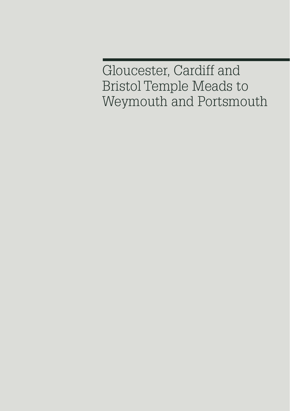Gloucester, Cardiff and Bristol Temple Meads to Weymouth and Portsmouth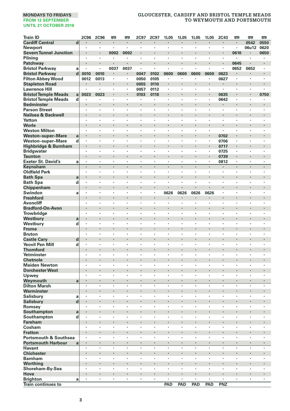| <b>Train ID</b>                      | <b>2C96</b>         | <b>2C96</b>          | œ            | O      | 2C97           | 2C97           | 1L05                 | 1L05           | 1L05               | 1L05                       | <b>2C43</b> | <b>m</b>             | œ                    | <b>m</b>             |
|--------------------------------------|---------------------|----------------------|--------------|--------|----------------|----------------|----------------------|----------------|--------------------|----------------------------|-------------|----------------------|----------------------|----------------------|
| <b>Cardiff Central</b>               | $\overline{d}$      | $\blacksquare$       | ٠            | ٠      | $\blacksquare$ | $\blacksquare$ | $\blacksquare$       | $\blacksquare$ | $\cdot$            | ٠                          | ٠           | $\blacksquare$       | 0542                 | 0550                 |
| <b>Newport</b>                       | $\cdot$             | $\cdot$              | ٠            | ×,     | $\cdot$        | $\blacksquare$ | $\cdot$              |                |                    | ٠                          | ٠           | ٠                    | 06u12                | 0620                 |
| <b>Severn Tunnel Junction</b>        | $\cdot$             |                      | 0002         | 0002   | l,             |                |                      |                |                    | ł,                         | ×           | 0610                 |                      | 0650                 |
| Pilning                              | $\cdot$             | $\cdot$              | ٠            | ٠      | ×              | ×              | ×                    | $\cdot$        | $\cdot$            | ×                          | ×           | ٠                    | ×                    | ٠                    |
| Patchway                             |                     |                      |              |        |                |                |                      |                |                    |                            |             | 0645                 |                      |                      |
| <b>Bristol Parkway</b>               | $\cdot$<br>a        |                      | 0037         | 0037   | $\cdot$        | ×              | ٠                    |                |                    | ×,                         | ×,          | 0652                 | 0652                 | ٠                    |
| <b>Bristol Parkway</b>               | $\mathbf d$<br>0010 | 0010                 | ٠            |        | 0047           | 0102           | 0600                 | 0600           | 0600               | 0600                       | 0623        |                      |                      |                      |
| <b>Filton Abbey Wood</b>             | 0012                | 0013                 | ٠            | ٠      | 0050           | 0105           | ٠                    |                |                    | ï                          | 0627        | $\cdot$              | $\cdot$              | ٠                    |
| <b>Stapleton Road</b>                |                     | ٠                    | l.           | ï      | 0055           | 0110           | $\ddot{\phantom{0}}$ |                | $\cdot$            | ï                          | ٠           |                      | $\ddot{\phantom{0}}$ | ,                    |
| <b>Lawrence Hill</b>                 |                     |                      |              | ×,     | 0057           | 0112           | ٠                    |                |                    | ٠                          | ٠           |                      | ٠                    | ï                    |
| <b>Bristol Temple Meads</b>          | 0023<br>a           | 0023                 | ٠            |        | 0103           | 0118           | ×                    | ,              |                    | ł.                         | 0635        | ٠                    | $\cdot$              | 0750                 |
| <b>Bristol Temple Meads</b>          | d<br>$\blacksquare$ | $\cdot$              | ٠            | ٠      | ٠              | ٠              | ٠                    | ٠              | $\cdot$            | ×                          | 0642        | $\cdot$              | $\cdot$              | ٠                    |
| <b>Bedminster</b>                    | $\cdot$             |                      |              | ï      |                | ï              |                      |                |                    | ï                          |             |                      |                      | ï                    |
| <b>Parson Street</b>                 | $\cdot$             | $\cdot$              | ٠            | ٠      | $\cdot$        | $\cdot$        | ٠                    |                |                    | ٠                          | ×,          | $\cdot$              | $\cdot$              | ٠                    |
| Nailsea & Backwell                   |                     |                      |              |        |                |                |                      |                |                    | ï                          |             |                      |                      | ï                    |
| Yatton                               | ٠                   | $\cdot$              | ×            | ×      | ٠              | ٠              | ٠                    | ,              | $\cdot$            | ٠                          | ٠           | ٠                    | ٠                    | ٠                    |
| Worle                                | $\cdot$             | $\cdot$              | ٠            | ×      | ٠              |                |                      | ï              |                    | ×                          | ٠           |                      | ٠                    |                      |
| <b>Weston Milton</b>                 |                     |                      |              | ï      |                |                |                      |                |                    | ×,                         | ٠           | ٠                    |                      | ï                    |
| <b>Weston-super-Mare</b>             | $\cdot$<br>a        |                      | l,           | ï      | ×              |                |                      |                |                    | i,                         | 0702        |                      | $\cdot$              | ï                    |
| <b>Weston-super-Mare</b>             | d<br>$\cdot$        | $\ddot{\phantom{a}}$ | J.           | ï      | ï              | i.             | $\ddot{\phantom{0}}$ | l.             | $\cdot$            | ×.                         | 0706        | $\cdot$              | ٠                    | $\ddot{\phantom{0}}$ |
| Highbridge & Burnham                 |                     |                      |              |        |                |                |                      |                |                    |                            | 0717        |                      |                      |                      |
| <b>Bridgwater</b>                    | ٠                   | $\cdot$              | ٠            | ٠      | ٠              | ٠              | ٠                    | ٠              |                    | ٠                          | 0725        | ٠                    | ٠                    | ٠                    |
| <b>Taunton</b>                       | $\cdot$<br>$\cdot$  | $\cdot$              |              | ł.     | ×<br>l,        | ÷,             |                      |                |                    | ×,<br>$\ddot{\phantom{a}}$ | 0739        |                      | $\blacksquare$       | ÷,                   |
| <b>Exeter St. David's</b>            | a<br>$\cdot$        | $\cdot$              | ٠<br>$\cdot$ | ×<br>÷ | $\cdot$        | ÷.             | ×<br>$\cdot$         | $\cdot$        | $\cdot$<br>$\cdot$ | ×                          | 0812<br>×   | ×<br>$\cdot$         | ×<br>$\cdot$         | $\cdot$              |
| Keynsham                             |                     |                      |              |        |                |                |                      |                |                    |                            |             |                      |                      |                      |
| <b>Oldfield Park</b>                 |                     |                      |              | ï      |                |                |                      |                |                    | ł,                         | ٠           |                      | ٠                    |                      |
| <b>Bath Spa</b>                      | a<br>$\blacksquare$ |                      |              | ï      | ٠              | ×              | ٠<br>×               |                | $\bullet$          | ×                          | ٠<br>٠      | ×                    | ٠<br>×               | ٠<br>×               |
| <b>Bath Spa</b>                      | d<br>$\cdot$        |                      | ×            |        | ٠              |                |                      |                |                    | ٠                          |             |                      |                      |                      |
| Chippenham                           | $\cdot$             | $\cdot$              | ×<br>٠       | ×      | ×<br>×         | ×              |                      |                |                    |                            | ×<br>×      | $\ddot{\phantom{a}}$ | ×<br>×               | ×                    |
| Swindon                              | a                   |                      |              |        |                |                | 0626                 | 0626           | 0626               | 0626                       |             |                      |                      |                      |
| <b>Freshford</b><br><b>Avoncliff</b> | $\cdot$             | $\cdot$              | ٠            | ٠      | ٠              | ٠              | ٠                    | ٠              | $\cdot$            | ٠                          | ٠           | ٠                    | ٠                    | ٠                    |
|                                      |                     |                      |              |        |                |                |                      | ï              |                    |                            | ×           |                      |                      | ×                    |
| <b>Bradford-On-Avon</b>              | $\cdot$             |                      | l,           | ï      | ï              | ł,             | ï                    |                |                    | ï                          | ï           | ï                    | ٠<br>ï               | ł,                   |
| Trowbridge                           | $\cdot$             |                      | ٠            | ï      | ×              |                |                      |                | $\cdot$            | ł.                         | ٠           |                      | $\cdot$              |                      |
| Westbury                             | a                   |                      | ×            | ×,     | ٠              | ï              | ٠                    |                |                    | ٠                          | ٠           | ٠                    | ٠                    | ï                    |
| Westbury                             | d                   | ٠                    |              |        |                |                |                      |                |                    | ٠                          |             |                      |                      |                      |
| Frome                                | $\cdot$             | $\cdot$              | ٠            | ٠      | ٠              | ٠              | ٠                    |                | $\cdot$            | ٠                          | ٠           | ٠                    | ٠<br>٠               | ٠                    |
| <b>Bruton</b><br><b>Castle Cary</b>  | d<br>$\cdot$        |                      |              |        |                |                |                      |                |                    | i,                         |             |                      |                      |                      |
| <b>Yeovil Pen Mill</b>               | $\cdot$             | $\cdot$              | ٠            | ٠      | ٠              | ٠              | ٠                    |                |                    | ٠                          | ٠           | ٠                    | ٠                    | ٠                    |
| <b>Thornford</b>                     | d                   |                      |              |        |                |                |                      |                |                    | l,                         |             |                      |                      | ï                    |
| Yetminster                           | ٠                   | $\cdot$              | ٠            | ×      | ٠              | ٠              | ٠                    |                | ,                  | ×                          | ٠           | ٠                    | ٠                    | ٠                    |
| <b>Chetnole</b>                      |                     |                      |              |        | ٠              |                |                      | ٠              |                    | ٠                          | ٠           |                      | ٠                    | ٠                    |
| <b>Maiden Newton</b>                 |                     | $\cdot$              |              | ×,     | ,              | ,              | ٠                    |                |                    | ï                          | ×,          | ٠                    |                      | ×                    |
| <b>Dorchester West</b>               | $\cdot$             |                      | ×            | ï      |                |                |                      |                |                    | l,                         | ٠           |                      | $\ddot{\phantom{0}}$ |                      |
| Upwey                                | $\cdot$             | $\cdot$              | ×            | ٠      | ٠              | ٠              | ٠                    |                | $\cdot$            | ×.                         | ٠           | $\cdot$              | ٠                    | ×                    |
| Weymouth                             | $\cdot$             | $\cdot$              |              | ٠      | $\cdot$        | ł,             |                      |                |                    |                            | ٠           | ٠                    | $\cdot$              |                      |
| <b>Dilton Marsh</b>                  | a<br>$\cdot$        | $\cdot$              | ٠            | ٠      | ٠              | ٠              | ٠                    | $\cdot$        |                    | ٠                          | ٠           | ٠                    | ٠                    | ٠                    |
| Warminster                           | $\cdot$             |                      |              |        |                |                |                      |                |                    | ł.                         | ×           |                      |                      |                      |
| Salisbury                            | $\cdot$<br>a        | $\cdot$              | ×            | ٠      | ٠              | ٠              | ٠                    |                |                    | ٠                          | ٠           | ٠                    | $\cdot$              | ٠                    |
| Salisbury                            | d<br>$\cdot$        |                      | l,           | ï      | ×              |                |                      |                | $\cdot$            | l,                         | ×           | ï                    | $\cdot$              | ï                    |
| Romsey                               |                     |                      |              | ï      |                | ï              | ï                    |                |                    | ï                          | ï           | ï                    |                      |                      |
| Southampton                          | a                   |                      |              |        | ٠              |                |                      |                |                    |                            | ٠           | ×                    | ٠                    | ×                    |
| Southampton                          | d<br>$\cdot$        | $\cdot$              | ٠            | ٠      | ٠              | ٠              | ٠                    | ,              | $\cdot$            | ٠                          | ٠           | ٠                    | ٠                    | ٠                    |
| <b>Fareham</b>                       |                     |                      |              | ï      |                |                |                      |                |                    | ï                          |             |                      | ×                    |                      |
| Cosham                               | $\cdot$             | $\cdot$              | ٠            | ï      | ×              | ×              | ×                    |                | $\cdot$            | ×                          | ٠           | ×                    | ×                    | ÷,                   |
| <b>Fratton</b>                       |                     |                      |              |        |                |                |                      |                |                    |                            |             |                      |                      | ï                    |
| <b>Portsmouth &amp; Southsea</b>     | $\cdot$             | $\cdot$              | ٠            | ï      | ٠              | ×              | ٠                    | ٠              | ٠                  | ×                          | ٠           | ٠                    | ٠                    | ٠                    |
| <b>Portsmouth Harbour</b>            | a<br>$\blacksquare$ | $\cdot$              | ٠            | ×      | ٠              |                |                      |                | $\cdot$            | ٠                          | ٠           | ×                    | $\blacksquare$       | ٠                    |
| <b>Havant</b>                        |                     |                      |              | ï      | ï              | l,             |                      |                |                    |                            |             |                      | ï                    | ł,                   |
| <b>Chichester</b>                    | $\cdot$             |                      | ×            | ł.     | ×              |                |                      |                | $\cdot$            | ï                          | ×           | ï                    | ٠                    | ï                    |
| <b>Barnham</b>                       |                     |                      | ×            | ٠      | ٠              | ï              | ×                    |                | $\cdot$            | ٠                          | ٠           | ×                    | ٠                    | ï                    |
| Worthing                             |                     | ٠                    |              |        |                |                |                      |                |                    |                            |             |                      |                      |                      |
| Shoreham-By-Sea                      | $\cdot$             | $\cdot$              | ٠            | ٠      | $\cdot$        | ٠              | ٠                    | $\cdot$        | $\cdot$            | ٠                          | ×           | ٠                    | $\cdot$              | ×                    |
| Hove                                 |                     |                      |              |        | ×              |                |                      |                |                    | ł.                         |             |                      |                      |                      |
| <b>Brighton</b>                      | a<br>$\cdot$        | $\cdot$              | ٠            | ï      | ï              | ×              | $\cdot$              | $\cdot$        | $\cdot$            | ٠                          | ×.          | ï                    | $\cdot$              | ×                    |
| <b>Train continues to</b>            |                     |                      |              |        |                |                | PAD                  | PAD            | PAD                | PAD                        | PNZ         |                      |                      |                      |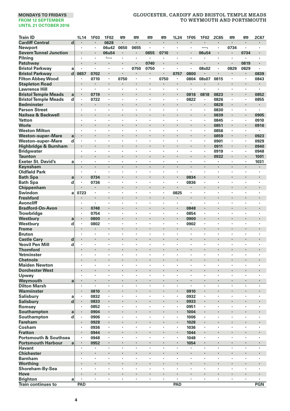| <b>Train ID</b>                              |             | 1L14                 | 1F03                 | <b>1F02</b> | 罒       | 罒              | 罒                         | 罒              | 1L24                 | 1F05           | 1F02    | <b>2C65</b>          | œ              | 罒              | 2C67           |
|----------------------------------------------|-------------|----------------------|----------------------|-------------|---------|----------------|---------------------------|----------------|----------------------|----------------|---------|----------------------|----------------|----------------|----------------|
| <b>Cardiff Central</b>                       | d           | $\cdot$              | $\cdot$              | 0628        | ٠       | $\blacksquare$ | $\blacksquare$            | $\cdot$        | $\cdot$              | $\cdot$        | $\cdot$ | ٠                    |                | $\cdot$        | $\cdot$        |
| Newport                                      |             | $\cdot$              | $\cdot$              | 06u42       | 0650    | 0655           | $\cdot$                   | ÷,             | $\cdot$              | $\cdot$        | ┑       | ×                    | 0734           | ×,             |                |
| <b>Severn Tunnel Junction</b>                |             | $\cdot$              | $\cdot$              | 06u54       |         | ł,             | 0655                      | 0710           | $\cdot$              |                | 06u54   | ٠                    | $\cdot$        | 0734           |                |
| Pilnina                                      |             |                      |                      | L           | ï       | ï              | $\cdot$                   |                |                      |                |         | ٠                    | ٠              | ٠              |                |
| Patchway                                     |             | $\cdot$              | $\cdot$              | ×,          |         |                | 0740                      | $\cdot$        | $\cdot$              |                | ×       | ٠                    |                | 0819           |                |
| <b>Bristol Parkway</b>                       | a           | $\cdot$              | $\cdot$              | ×,          | ٠       | 0750           | 0750                      | $\cdot$        | $\cdot$              | $\cdot$        | 08s02   | ×                    | 0829           | 0829           | $\cdot$        |
| <b>Bristol Parkway</b>                       | $\mathbf d$ | 0657                 | 0702                 |             | ï       |                |                           |                | 0757                 | 0800           |         |                      |                |                | 0839           |
| <b>Filton Abbey Wood</b>                     |             | $\cdot$              | 0710                 | ×,          | 0750    | $\cdot$        | $\cdot$                   | 0750           | $\cdot$              | 0804           | 08s07   | 0815                 | $\cdot$        | ×,             | 0843           |
| <b>Stapleton Road</b>                        |             |                      | $\blacksquare$       |             |         |                |                           | ۰              |                      |                |         |                      | ٠              |                |                |
| <b>Lawrence Hill</b>                         |             | ٠                    | $\cdot$              | ×           | ×       | ٠              | ٠                         |                |                      | ٠              | ł,      | ×                    | ٠              | ٠              |                |
| <b>Bristol Temple Meads</b>                  | a           | $\blacksquare$       | 0719                 | ٠           |         | ×              | ٠                         | $\cdot$        | $\cdot$              | 0816           | 0818    | 0823                 | ٠              | $\blacksquare$ | 0852           |
| <b>Bristol Temple Meads</b>                  | d           |                      | 0722                 | ٠           | ×       | $\cdot$        | $\cdot$                   | $\cdot$        |                      | 0822           | ×       | 0826                 | $\cdot$        | $\cdot$        | 0855           |
| <b>Bedminster</b>                            |             |                      |                      |             | ï       | ï              |                           | ï              |                      |                | i,      | 0828                 |                |                |                |
| <b>Parson Street</b>                         |             | $\cdot$              | $\cdot$              | ٠           | ×       | ×              | $\ddot{\phantom{a}}$      | $\cdot$        | $\cdot$              | $\cdot$        | ٠       | 0830                 | ×              | ×              | $\cdot$        |
| Nailsea & Backwell                           |             |                      |                      |             |         |                |                           |                |                      |                |         | 0839                 |                |                | 0905           |
| Yatton                                       |             | ٠                    | $\cdot$              | ٠           | ×       | ٠              | ٠                         | ٠              |                      |                | ×       | 0845                 | $\cdot$        | ×,             | 0910           |
| Worle                                        |             | $\blacksquare$       | $\cdot$              |             | ł       | ×              |                           | $\cdot$        |                      |                | ٠       | 0851                 | $\blacksquare$ | $\blacksquare$ | 0916           |
| <b>Weston Milton</b>                         |             |                      |                      | ï           | ï       | ï              | ï                         |                |                      |                | ï       | 0856                 | ï              | ï              |                |
| <b>Weston-super-Mare</b>                     | a           | $\cdot$              |                      |             | ï       | ï              |                           |                |                      |                | l,      | 0859                 |                | ×,             | 0923           |
| <b>Weston-super-Mare</b>                     | d           | $\cdot$              | $\cdot$              | ٠           | ×       | ×              | $\cdot$                   | $\cdot$        | $\cdot$              | $\cdot$        | ٠       | 0901                 | $\cdot$        | ×,             | 0929           |
| <b>Highbridge &amp; Burnham</b>              |             |                      |                      |             |         |                |                           |                |                      |                |         | 0911                 |                |                | 0940           |
| <b>Bridgwater</b>                            |             | ٠                    | $\cdot$              | ٠           | ٠       | ٠              | ٠                         | $\cdot$        | $\cdot$              | ٠              | ٠       | 0919                 | ٠              | ٠              | 0948           |
| <b>Taunton</b>                               |             |                      | $\cdot$              | ł<br>ï      |         | ï              | $\ddot{\phantom{0}}$<br>× | $\cdot$        |                      | $\cdot$        | i,<br>ï | 0932                 | $\blacksquare$ | $\blacksquare$ | 1001           |
| <b>Exeter St. David's</b>                    | a           | $\cdot$<br>$\cdot$   |                      | i,          | ×<br>l, |                |                           | $\cdot$        | $\cdot$              | $\cdot$        | ä,      | ٠<br>÷,              | $\cdot$        | $\cdot$<br>×,  | 1031           |
| Keynsham                                     |             |                      |                      |             |         |                |                           |                |                      |                |         |                      |                |                | $\blacksquare$ |
| <b>Oldfield Park</b>                         |             |                      |                      | ł,          | ł,      | ï              | ٠                         |                |                      |                | ٠       | ł,                   | ٠              | ٠              |                |
| <b>Bath Spa</b>                              | a           | $\blacksquare$       | 0734                 | ٠           |         | ×              |                           | $\cdot$        | $\bullet$<br>$\cdot$ | 0834           | ٠<br>×  |                      |                |                |                |
| <b>Bath Spa</b>                              | d           | $\cdot$              | 0736                 | ٠           | ٠       |                | ٠<br>×                    |                |                      | 0836           |         | ٠<br>×               | ٠              | ٠              | $\cdot$        |
| Chippenham                                   |             |                      | $\cdot$              | ٠           | ٠       | ×              | $\ddot{\phantom{a}}$      | $\cdot$        |                      |                | ٠       | $\cdot$              | ×              | ٠              | $\cdot$        |
| Swindon                                      | a           | 0723                 |                      |             | ï       |                |                           |                | 0825                 |                | ×       | ï                    |                |                |                |
| <b>Freshford</b><br><b>Avoncliff</b>         |             | $\cdot$              |                      | ï           | ï       | ï              |                           |                |                      |                | ï       |                      | ,              |                |                |
|                                              |             | $\cdot$              | 0748                 | ٠           |         | ×              | ٠                         |                | $\cdot$              | 0848           | ×       |                      |                |                |                |
| <b>Bradford-On-Avon</b><br><b>Trowbridge</b> |             | $\blacksquare$       | 0754                 | ٠           | ٠       | ٠              | ٠                         | $\cdot$        | $\cdot$              | 0854           | ٠       | ٠                    | ٠              | ٠              | $\cdot$        |
|                                              |             | $\cdot$              | 0800                 | ł.          |         |                |                           |                |                      | 0900           | ï       |                      |                |                |                |
| Westbury<br>Westbury                         | a<br>d      | $\cdot$              | 0802                 | ٠           | ×       | $\cdot$        | $\cdot$                   |                |                      | 0902           | ×,      | ×                    | ٠              | ٠              |                |
| <b>Frome</b>                                 |             |                      | $\cdot$              |             |         |                |                           |                |                      |                | ×       |                      |                |                |                |
| <b>Bruton</b>                                |             | ٠                    | $\cdot$              | ٠           | ×       | ٠              | ٠                         |                | $\cdot$              | $\cdot$        | ٠       | ٠                    | $\cdot$        | ٠              | ,              |
| <b>Castle Cary</b>                           | d           | $\cdot$              | $\cdot$              | ٠           |         | ×              | ٠                         | ł.             |                      | ï              | ×       |                      | ٠              |                |                |
| <b>Yeovil Pen Mill</b>                       | d           | $\cdot$              |                      | ł,          | ł,      | ï              | ٠                         |                |                      |                | ł,      | ٠                    | ï              | ٠              |                |
| <b>Thornford</b>                             |             | $\cdot$              | $\cdot$              | l,          | ï       |                |                           |                |                      |                | l,      |                      |                |                |                |
| Yetminster                                   |             | $\cdot$              | $\cdot$              | ٠           | ×       | ×              | $\ddot{\phantom{a}}$      | $\cdot$        | $\cdot$              | $\cdot$        | ×       | $\cdot$              | ×              | ×              | $\cdot$        |
| <b>Chetnole</b>                              |             |                      |                      |             |         |                |                           |                |                      |                |         |                      |                |                |                |
| <b>Maiden Newton</b>                         |             | $\cdot$              | $\cdot$              | ٠           | ٠       | ٠              | ٠                         | $\cdot$        | $\cdot$              | $\cdot$        | ٠       | ٠                    | ٠              | ٠              | ٠              |
| <b>Dorchester West</b>                       |             |                      | $\cdot$              |             |         | ×              |                           | $\cdot$        |                      |                | ×       | ×                    | ×              |                |                |
| Upwey                                        |             | $\cdot$              | $\cdot$              | ï           | ï       | ï              | ł,                        |                |                      |                | ï       | ×                    | ï              | ï              |                |
| Weymouth                                     | a           | $\cdot$              | $\ddot{\phantom{0}}$ |             |         |                |                           |                | $\cdot$              |                |         | l,                   |                |                |                |
| <b>Dilton Marsh</b>                          |             | $\cdot$              | $\cdot$              | ÷,          | ÷,      | ï              |                           | $\cdot$        | $\cdot$              | $\cdot$        | ÷,      | $\ddot{\phantom{a}}$ |                |                | $\cdot$        |
| Warminster                                   |             |                      | 0810                 | ٠           |         | ٠              |                           |                |                      | 0910           |         |                      |                |                |                |
| Salisbury                                    | a           | $\cdot$              | 0832                 | ×           | ٠       | ×              | ×                         | $\cdot$        | $\cdot$              | 0932           | ×       | $\cdot$              | ×              | ٠              | ٠              |
| <b>Salisbury</b>                             | d           | $\cdot$              | 0833                 |             |         |                | ×                         |                | $\cdot$              | 0933           |         | ï                    | ٠              |                |                |
| Romsey                                       |             |                      | 0852                 | ï           | ï       | ï              | ł,                        |                | $\cdot$              | 0951           | ï       | ×                    | ٠              | ٠              |                |
| Southampton                                  | a           | $\blacksquare$       | 0904                 | ×           | ï       |                |                           |                |                      | 1004           |         | ï                    | ٠              |                |                |
| Southampton                                  | d           |                      | 0906                 |             | ï       | ï              | ٠                         |                |                      | 1006           | ×,      | ï                    | ٠              | ٠              |                |
| Fareham                                      |             | $\cdot$              | 0928                 | ٠           |         | ×              |                           |                |                      | 1028           | ×       |                      |                |                |                |
| Cosham                                       |             | $\cdot$              | 0936                 | ٠           | ٠       | ٠              | ٠                         | $\cdot$        | $\cdot$              | 1036           | ٠       | ٠                    | ٠              | ٠              | ٠              |
| <b>Fratton</b>                               |             | $\cdot$              | 0944                 |             | ï       |                |                           |                |                      | 1044           |         | ï                    |                |                |                |
| <b>Portsmouth &amp; Southsea</b>             |             | $\cdot$              | 0948                 | ×,          | ٠       | ï              | ×                         |                |                      | 1048           | ×,      | ×                    | $\cdot$        | $\cdot$        |                |
| <b>Portsmouth Harbour</b>                    | a           | $\ddot{\phantom{a}}$ | 0952                 | ä,          |         |                |                           |                | $\cdot$              | 1054           | i,      | ä,                   | ÷.             | ÷.             |                |
| <b>Havant</b>                                |             | $\cdot$              | ,                    | ł,          | ï       | ï              | ٠                         |                |                      | ł              | ł,      | ×                    | ï              | ï              |                |
| <b>Chichester</b>                            |             | $\bullet$            | $\bullet$            | ٠           |         |                | ٠                         | ,              |                      | ł              | ٠       | ٠                    | ٠              |                |                |
| <b>Barnham</b>                               |             | $\cdot$              |                      | ٠           | ×       | ï              | ٠                         |                |                      |                | ٠       | ×                    | $\cdot$        | ٠              |                |
| <b>Worthing</b>                              |             |                      | $\cdot$              | ×           | ï       |                |                           |                |                      |                | ł.      | ï                    |                | ï              |                |
| Shoreham-By-Sea                              |             | $\ddot{\phantom{0}}$ | $\cdot$              | ×           | $\cdot$ | ×              | $\ddot{\phantom{a}}$      | $\cdot$        | $\cdot$              | $\cdot$        | ×       | $\cdot$              | ×              | ×              | $\cdot$        |
| Hove                                         |             |                      |                      |             | ï       |                |                           |                |                      |                |         |                      | ٠              |                |                |
| <b>Brighton</b>                              | a           |                      | $\blacksquare$       | ×,          | ٠       | ٠              | $\blacksquare$            | $\blacksquare$ |                      | $\blacksquare$ | ٠       | ٠                    | ٠              | ٠              |                |
| <b>Train continues to</b>                    |             | PAD                  |                      |             |         |                |                           |                | PAD                  |                |         |                      |                |                | <b>PGN</b>     |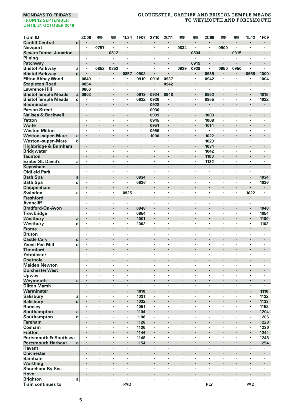| <b>Train ID</b>                                      |                         | <b>2C09</b>    | œ                  | œ       | 1L34    | 1F07                | 2Y10                 | 2C11    | <b>m</b>       | œ              | <b>2C69</b>  | œ            | <b>m</b>             | 1L42                     | 1F09                      |
|------------------------------------------------------|-------------------------|----------------|--------------------|---------|---------|---------------------|----------------------|---------|----------------|----------------|--------------|--------------|----------------------|--------------------------|---------------------------|
| <b>Cardiff Central</b>                               | $\overline{\mathbf{d}}$ |                | $\blacksquare$     | ٠       | ٠       | $\blacksquare$      | $\blacksquare$       | ٠       | $\cdot$        | $\blacksquare$ | ٠            | ٠            | ٠                    | ٠                        | $\blacksquare$            |
| <b>Newport</b>                                       |                         | ٠              | 0757               |         | ٠       | $\cdot$             | $\cdot$              | $\cdot$ | 0834           | $\cdot$        | ٠            | 0900         | ï                    | $\cdot$                  | $\cdot$                   |
| <b>Severn Tunnel Junction</b>                        |                         |                |                    | 0812    | ï       |                     | ×                    |         | $\cdot$        | 0834           | ł.           |              | 0915                 |                          |                           |
| Pilning                                              |                         | $\cdot$        | $\cdot$            | ٠       | ٠       | ×                   | ٠                    | ×       | $\cdot$        | $\cdot$        | ×            | ٠            | ٠                    | ×                        | ×                         |
| Patchway                                             |                         |                |                    |         |         |                     |                      |         |                | 0919           |              |              |                      |                          |                           |
| <b>Bristol Parkway</b>                               | a                       | $\cdot$        | 0852               | 0852    | ٠       | ×                   | ٠                    | $\cdot$ | 0929           | 0929           | ٠            | 0950         | 0950                 | $\cdot$                  | $\blacksquare$            |
| <b>Bristol Parkway</b>                               | d                       |                |                    |         | 0857    | 0902                |                      |         | $\blacksquare$ | $\blacksquare$ | 0939         | ٠            |                      | 0955                     | 1000                      |
| <b>Filton Abbey Wood</b>                             |                         | 0849           | $\cdot$<br>$\cdot$ | ٠<br>l, | ٠       | 0910                | 0916                 | 0937    |                | $\cdot$        | 0942         | ٠<br>$\cdot$ | ٠                    | ٠                        | 1004                      |
| <b>Stapleton Road</b>                                |                         | 0854           |                    | ×       |         | $\blacksquare$<br>٠ | $\blacksquare$<br>×, | 0942    |                |                | ٠<br>٠       | ٠            |                      |                          | $\blacksquare$<br>$\cdot$ |
| <b>Lawrence Hill</b>                                 |                         | 0856           |                    | ï       | ×,<br>× |                     |                      |         |                | $\cdot$        |              | ٠            | ï                    | ×                        |                           |
| <b>Bristol Temple Meads</b>                          | a                       | 0902           | $\bullet$          |         | ٠       | 0919                | 0924                 | 0948    | $\bullet$      |                | 0952         |              | ٠<br>٠               |                          | 1015                      |
| <b>Bristol Temple Meads</b>                          | d                       | ٠              | $\cdot$            | ٠       | ï       | 0922                | 0926                 | ٠<br>l, |                | $\cdot$        | 0955<br>i,   | ٠<br>ï       | ï                    | $\cdot$                  | 1022                      |
| <b>Bedminster</b>                                    |                         | $\cdot$        |                    | ٠       | ٠       | ×                   | 0928                 | ×,      |                | $\cdot$        | ä,           | ٠            | $\cdot$              | ٠                        | $\blacksquare$            |
| <b>Parson Street</b><br>Nailsea & Backwell           |                         |                |                    | ï       |         | ï                   | 0930                 |         | $\cdot$        |                |              |              |                      |                          |                           |
| Yatton                                               |                         | ٠              | $\cdot$            | ٠       | ٠       | ٠                   | 0939<br>0945         | $\cdot$ | $\cdot$        | $\cdot$        | 1003<br>1008 | ٠            | ٠                    | ٠                        | ٠                         |
| Worle                                                |                         |                | $\cdot$            | ł,      |         | ٠                   |                      | ٠       | $\cdot$        |                |              | ٠            |                      | ٠                        | ×                         |
| <b>Weston Milton</b>                                 |                         |                |                    | ł,      | ï       | ٠                   | 0951<br>0956         | $\cdot$ |                | $\cdot$        | 1014<br>٠    | ×            | ï                    | ٠                        | ï                         |
|                                                      |                         |                |                    | ï       | ł.      |                     |                      | l,      | $\cdot$        |                |              | ł.           | ï                    |                          |                           |
| <b>Weston-super-Mare</b><br><b>Weston-super-Mare</b> | a<br>d                  | l.             | ÷,                 | J.      | ï       | ÷,                  | 1000                 | i.      | i.             | $\cdot$        | 1022         | ï            | ï                    | $\overline{\phantom{a}}$ | $\ddot{\phantom{0}}$      |
|                                                      |                         |                |                    |         | ×       |                     | ۰                    |         |                |                | 1023         | ٠            |                      |                          |                           |
| Highbridge & Burnham                                 |                         | ٠              | $\cdot$            | ٠       | ٠       | ٠                   | ٠                    | ٠       | $\cdot$        | $\cdot$        | 1034         | ٠            | ٠                    | ٠                        | ٠                         |
| <b>Bridgwater</b>                                    |                         |                | $\cdot$            |         |         | ï                   |                      |         | $\cdot$        |                | 1042         |              |                      | ×                        |                           |
| <b>Taunton</b><br><b>Exeter St. David's</b>          | a                       | $\cdot$        | $\cdot$            | ٠       | ï       | ÷,                  |                      | ×       | $\cdot$        | $\cdot$        | 1100<br>1132 | ÷,           | ×                    | ÷,                       | l,                        |
| Keynsham                                             |                         | $\cdot$        | $\cdot$            | $\cdot$ | ÷       | $\cdot$             | $\cdot$              | $\cdot$ | $\cdot$        | $\cdot$        | ٠            | ÷.           | $\cdot$              | $\cdot$                  | $\cdot$                   |
| <b>Oldfield Park</b>                                 |                         |                |                    |         | ï       |                     | ï                    |         |                |                | ł,           | ٠            |                      |                          |                           |
| <b>Bath Spa</b>                                      |                         |                | $\bullet$          |         | ٠       | 0934                | ٠                    |         | $\bullet$      | ٠              | ٠            | ٠            |                      | ٠                        | 1034                      |
|                                                      | a<br>d                  | ٠              |                    | ٠       | ٠       | 0936                | ï                    | ä,      | $\cdot$        | $\cdot$        | ×            | ×            | ×                    | ٠                        | 1036                      |
| <b>Bath Spa</b>                                      |                         |                | $\cdot$            | ł.      |         |                     |                      |         | $\cdot$        |                | ×            | i,           |                      |                          |                           |
| Chippenham<br>Swindon                                | a                       | $\cdot$        | $\cdot$            | ٠       | 0925    | $\cdot$             | ×                    | ×       | $\cdot$        | $\cdot$        | ×            | ×            | $\ddot{\phantom{a}}$ | 1022                     | $\cdot$                   |
| <b>Freshford</b>                                     |                         |                |                    |         |         |                     |                      |         |                |                |              | ï            |                      |                          |                           |
| <b>Avoncliff</b>                                     |                         | $\cdot$        | $\cdot$            | ٠       | ٠       | $\cdot$             | ٠                    | ٠       | ٠              | $\cdot$        | ٠            | ٠            | ٠                    | $\cdot$                  | ٠                         |
| <b>Bradford-On-Avon</b>                              |                         |                |                    |         | ٠       | 0948                |                      |         |                |                | ×            | ×            |                      |                          | 1048                      |
| Trowbridge                                           |                         | ,              | ,                  | ł,      | ï       | 0954                | ï                    | ï       |                |                | l,           | ï            | ï                    | ×                        | 1054                      |
| Westbury                                             |                         |                | $\cdot$            | ï       | l,      | 1001                | l,                   |         | $\cdot$        |                | ٠            | ×            |                      | l,                       | 1100                      |
| Westbury                                             | a<br>d                  |                |                    | ×       | ×,      | 1002                | ٠                    | ٠       |                |                | ٠            | ٠            | ٠                    | ٠                        | 1102                      |
| <b>Frome</b>                                         |                         |                |                    |         | ٠       |                     | ٠                    |         |                |                |              |              |                      |                          | ٠                         |
| <b>Bruton</b>                                        |                         | $\cdot$        | $\cdot$            | ٠       | ٠       | ٠                   | ٠                    | ٠       | $\cdot$        | $\cdot$        | ٠            | ٠            | ٠                    | ٠                        | $\cdot$                   |
| <b>Castle Cary</b>                                   | d                       |                |                    | ï       | i,      | ï                   |                      |         |                |                | i,           | ï            |                      | ï                        |                           |
| <b>Yeovil Pen Mill</b>                               | d                       | $\cdot$        | $\cdot$            | ٠       | ٠       | ×                   | ٠                    | ٠       |                | $\cdot$        | ٠            | ٠            | ٠                    | ٠                        | $\cdot$                   |
| <b>Thornford</b>                                     |                         |                |                    |         |         |                     |                      |         | $\cdot$        |                |              | ï            |                      |                          |                           |
| Yetminster                                           |                         | ٠              | ٠                  | ٠       | ×       | ٠                   | ٠                    | ٠       | ,              | $\cdot$        | ×            | ×            | ٠                    | ٠                        | ï                         |
| <b>Chetnole</b>                                      |                         |                | ٠                  |         | ł       |                     | ٠                    |         | ٠              | ٠              | ٠            | ٠            |                      |                          | ٠                         |
| <b>Maiden Newton</b>                                 |                         | ٠              |                    | ×       | ×,      | ٠                   | ï                    | ٠       |                | $\cdot$        | ٠            | ٠            |                      | ٠                        |                           |
| <b>Dorchester West</b>                               |                         |                | $\cdot$            | ï       | l,      |                     |                      |         | $\cdot$        |                | ï            | ï            |                      |                          |                           |
|                                                      |                         | $\cdot$        | $\cdot$            | ٠       | ٠       | ×                   | ٠                    | ×       | $\cdot$        | $\cdot$        | ×            | ×            | ×                    | ×                        | ×                         |
| Upwey<br>Weymouth                                    | a                       | $\cdot$        |                    | ł       | ٠       | ×,                  |                      |         | $\cdot$        |                | ×            |              |                      |                          | ×                         |
| <b>Dilton Marsh</b>                                  |                         | ٠              | $\cdot$            | ٠       | ٠       | ×,                  | ٠                    | ٠       |                | $\cdot$        | ٠            | ٠            | ٠                    | ٠                        |                           |
| Warminster                                           |                         |                |                    |         |         | 1010                |                      |         |                |                | ×            |              |                      |                          | 1110                      |
| Salisbury                                            | a                       | $\cdot$        | $\cdot$            | ٠       | ٠       | 1031                | $\cdot$              | ٠       |                | $\cdot$        | ٠            | ٠            | ٠                    | ٠                        | 1132                      |
|                                                      |                         |                |                    | ï       | i,      | 1032                |                      | ï       | $\cdot$        |                | ٠            |              |                      |                          | 1133                      |
| Salisbury<br>Romsey                                  | d                       |                |                    |         | ï       | 1051                | ï                    | ï       |                |                | ï            | ï            | ï                    |                          | 1152                      |
| Southampton                                          |                         |                | $\cdot$            |         | ٠       | 1104                | ٠                    |         |                |                | ×            | ×            | ×                    | ٠                        | 1204                      |
| Southampton                                          | a<br>d                  | $\blacksquare$ |                    | ٠       | ٠       | 1106                | ٠                    | ٠       | $\cdot$        | $\cdot$        | ٠            | ٠            | ٠                    | $\cdot$                  | 1206                      |
| <b>Fareham</b>                                       |                         |                |                    | ï       | i,      | 1128                |                      |         |                |                |              |              | ï                    |                          | 1228                      |
| Cosham                                               |                         | $\cdot$        | $\cdot$            | ٠       | ٠       | 1136                | ä,                   | ×       | $\cdot$        | $\cdot$        | ×            | ×            |                      | $\ddot{\phantom{a}}$     | 1236                      |
| <b>Fratton</b>                                       |                         |                |                    |         |         | 1144                |                      |         |                |                |              |              |                      |                          | 1244                      |
| <b>Portsmouth &amp; Southsea</b>                     |                         | $\cdot$        | $\blacksquare$     | ٠       | ٠       | 1148                | ٠                    | ٠       | ٠              | $\cdot$        | ×            | ٠            | ٠                    | ×                        | 1248                      |
| <b>Portsmouth Harbour</b>                            |                         | $\blacksquare$ | $\cdot$            | ٠       |         | 1154                | ٠                    | ٠       | $\cdot$        | $\bullet$      | ٠            | ٠            | ×                    | ×                        | 1254                      |
| <b>Havant</b>                                        | a                       |                |                    |         | ï       |                     | ï                    | l,      |                | $\cdot$        | ï            |              | l,                   | ÷,                       | ï                         |
| <b>Chichester</b>                                    |                         |                |                    | ï       | ł.      |                     | ×                    |         | $\cdot$        |                | ×            | i,           |                      |                          |                           |
| <b>Barnham</b>                                       |                         |                |                    | ×       | ٠       | ٠                   | ٠                    | ×       | $\cdot$        |                | ×            | ×            | ï                    |                          | ï                         |
| Worthing                                             |                         |                |                    |         | ٠       |                     |                      |         |                |                |              |              | ٠                    |                          |                           |
| Shoreham-By-Sea                                      |                         | $\cdot$        | $\cdot$            | ٠       | ٠       | ٠                   | $\cdot$              | ٠       | $\cdot$        | $\cdot$        | ٠            | ٠            | ×                    | ×                        | ×                         |
| Hove                                                 |                         |                |                    |         | ł.      | ï                   |                      |         | $\cdot$        |                | ×            | ï            |                      |                          |                           |
| <b>Brighton</b>                                      | a                       |                | $\cdot$            | ×       | ï       | ×                   | $\cdot$              | $\cdot$ |                | $\cdot$        | ×            | ï            | ï                    | ÷,                       | ×                         |
| <b>Train continues to</b>                            |                         |                |                    |         | PAD     |                     |                      |         |                |                | <b>PLY</b>   |              |                      | PAD                      |                           |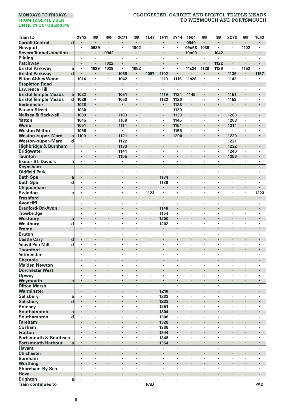| <b>Train ID</b>                                    |                  | 2Y12      | 罒       | œ              | 2C71                     | O         | 1L48                 | 1F11                            | 2Y14                 | 1F04                 | œ       | 罒              | 2C73           | œ                    | 1L52           |
|----------------------------------------------------|------------------|-----------|---------|----------------|--------------------------|-----------|----------------------|---------------------------------|----------------------|----------------------|---------|----------------|----------------|----------------------|----------------|
| <b>Cardiff Central</b>                             | d                |           | $\cdot$ | ×              |                          | ł.        |                      |                                 |                      | 0940                 |         | $\cdot$        |                | ×                    |                |
| Newport                                            |                  |           | 0939    | ٠              | ٠                        | 1002      | ×                    | $\cdot$                         | $\blacksquare$       | 09u58                | 1039    | $\blacksquare$ | ×,             | 1102                 |                |
| <b>Severn Tunnel Junction</b>                      |                  |           |         | 0942           |                          |           |                      |                                 |                      | 10u09                | ٠       | 1042           |                |                      |                |
| Pilning                                            |                  | ٠         | $\cdot$ | $\blacksquare$ | ٠                        | $\cdot$   | ٠                    | $\cdot$<br>$\cdot$              | $\cdot$              |                      | ×,      | $\blacksquare$ | $\cdot$        | $\cdot$              |                |
| Patchway                                           |                  | ٠         | $\cdot$ | 1022           | ٠<br>٠                   |           | ٠                    |                                 | $\cdot$<br>$\cdot$   |                      | ×       | 1122           | $\cdot$        |                      |                |
| <b>Bristol Parkway</b>                             | a<br>$\mathbf d$ |           | 1029    | 1029<br>٠      | 1039                     | 1052<br>٠ | 1057                 | 1102                            |                      | 11s24                | 1129    | 1129<br>٠      |                | 1152<br>٠            | 1157           |
| <b>Bristol Parkway</b><br><b>Filton Abbey Wood</b> |                  | 1014      |         | ×.             | 1042                     | $\cdot$   | ٠                    | 1110                            | 1116                 | 11s28                | ×,      | ٠              | 1139<br>1142   | $\blacksquare$       | ï              |
| <b>Stapleton Road</b>                              |                  |           |         |                |                          |           |                      | $\cdot$                         |                      |                      |         |                |                |                      |                |
| <b>Lawrence Hill</b>                               |                  | $\cdot$   | $\cdot$ | ٠              | ×                        | ٠         | ٠                    | $\cdot$                         | $\cdot$              | $\cdot$              | ٠       | ×              | ×,             | ٠                    | $\cdot$        |
| <b>Bristol Temple Meads</b>                        | a                | 1022      | $\cdot$ |                | 1051                     |           |                      | 1119                            | 1124                 | 1145                 | ٠       |                | 1151           |                      |                |
| <b>Bristol Temple Meads</b><br>d                   |                  | 1026      | $\cdot$ | ł,             | 1053                     |           |                      | 1122                            | 1126                 |                      | ł,      | ł,             | 1153           |                      |                |
| <b>Bedminster</b>                                  |                  | 1028      | $\cdot$ | i,             | ٠                        | ï         |                      | ٠                               | 1128                 |                      | $\cdot$ | i,             | ٠              |                      |                |
| <b>Parson Street</b>                               |                  | 1030      | $\cdot$ | ï              | $\blacksquare$           | ï         | ÷,                   | ï,                              | 1130                 | $\cdot$              | ×,      | ×              | ×,             | ٠                    | $\overline{a}$ |
| Nailsea & Backwell                                 |                  | 1039      |         | ٠              | 1103                     |           |                      |                                 | 1139                 |                      |         |                | 1203           |                      | ٠              |
| Yatton                                             |                  | 1045      | $\cdot$ | ٠              | 1108                     | ٠         | ٠                    | $\cdot$                         | 1145                 | $\cdot$              | ٠       | ٠              | 1208           | ٠                    | $\cdot$        |
| Worle                                              |                  | 1051      | $\cdot$ |                | 1114                     |           | ×                    |                                 | 1151                 | $\cdot$              | ٠       | ٠              | 1214           |                      |                |
| <b>Weston Milton</b>                               |                  | 1056      | $\cdot$ | ٠              |                          | ٠         | ٠                    | $\cdot$                         | 1156                 | $\cdot$              | ٠       | ×,             |                | ٠                    |                |
| <b>Weston-super-Mare</b>                           | a                | 1100      |         | ä,             | 1121                     | l,        |                      |                                 | 1200                 |                      | ×       | l,             | 1220           | l,                   |                |
| Weston-super-Mare<br>d                             |                  |           |         | ×,             | 1122                     |           | ٠                    |                                 |                      |                      | ٠       | ٠              | 1221           |                      |                |
| Highbridge & Burnham                               |                  |           |         | ٠              | 1133                     |           |                      |                                 | $\cdot$              |                      |         |                | 1232           |                      |                |
| <b>Bridgwater</b>                                  |                  | $\cdot$   | ٠       | ٠              | 1141                     | $\cdot$   | ٠                    | $\cdot$                         | $\cdot$              | $\cdot$              | ٠       | ×              | 1240           | ٠                    | $\cdot$        |
| <b>Taunton</b>                                     |                  |           |         |                | 1155                     |           |                      |                                 |                      |                      | ł.      |                | 1256           |                      |                |
| <b>Exeter St. David's</b>                          | a                |           | $\cdot$ | ×              | ٠                        | $\cdot$   | ×                    | $\cdot$                         | $\cdot$              |                      | ٠       | $\bullet$      | ٠              | ×                    | $\cdot$        |
| Keynsham                                           |                  | $\cdot$   | $\cdot$ | ×              | l,                       | ٠         | ×                    |                                 | $\cdot$              | $\cdot$              | ×       | ä,             | $\cdot$        | ×,                   | $\cdot$        |
| <b>Oldfield Park</b>                               |                  |           | $\cdot$ | ×              | ٠                        | ٠         | ٠                    |                                 | $\cdot$              |                      | ٠       | ٠              | $\cdot$        | ٠                    |                |
| <b>Bath Spa</b>                                    | a                | $\bullet$ |         | ×              | ٠                        |           | ٠                    | 1134                            | $\cdot$              |                      | ٠       | ٠              | ٠              |                      |                |
| <b>Bath Spa</b><br>d                               |                  |           | $\cdot$ | ï              | ٠                        | ×         | ٠                    | 1136                            | $\cdot$              |                      | ×       | ٠              | ٠              | ×                    |                |
| Chippenham                                         |                  | $\cdot$   |         | ł.             | ï                        | ï         |                      |                                 |                      |                      | ٠       | ł.             | ×,             |                      |                |
| Swindon                                            | a                | $\cdot$   | $\cdot$ | ×              | ٠                        | ×         | 1123                 | $\cdot$                         | $\cdot$              | $\cdot$              | ٠       | ×              | ×              | $\ddot{\phantom{a}}$ | 1223           |
| <b>Freshford</b>                                   |                  |           |         |                | ï                        |           |                      |                                 |                      |                      |         | ï              |                | ï                    |                |
| <b>Avoncliff</b>                                   |                  | ٠         | ٠       | ٠              | ٠                        | ٠         | ł,                   |                                 | $\cdot$              | $\cdot$              | ٠       | ٠              | ٠              | ٠                    | $\cdot$        |
| <b>Bradford-On-Avon</b>                            |                  | $\cdot$   |         | ×              | ×                        | ×         | ×                    | 1148                            | $\cdot$              |                      |         | ł,             | ×              |                      |                |
| <b>Trowbridge</b>                                  |                  |           | $\cdot$ | ï              | ×<br>ï                   | ï         | ×<br>l,              | 1154                            | $\cdot$              |                      | ٠<br>×  | ï<br>l,        | ï              | l,                   |                |
| Westbury                                           | a                | $\cdot$   | $\cdot$ | ٠              | ٠                        | ٠         | $\ddot{\phantom{a}}$ | 1200                            |                      |                      | ٠       | ٠              | ×              | ×                    |                |
| Westbury<br>d<br><b>Frome</b>                      |                  |           |         |                |                          |           |                      | 1202                            |                      |                      |         |                |                |                      |                |
| <b>Bruton</b>                                      |                  | ٠         | $\cdot$ | ٠              | ٠                        | ٠         | ٠                    | $\cdot$                         | $\cdot$              | $\cdot$              | ٠       | ٠              | ٠              | ٠                    | $\cdot$        |
| <b>Castle Cary</b><br>d                            |                  | $\cdot$   |         | ł              | ł                        |           | $\ddot{\phantom{0}}$ |                                 |                      |                      | ٠       |                |                |                      |                |
| <b>Yeovil Pen Mill</b><br>d                        |                  |           |         | ×              | ٠                        | ٠         | ł,                   | $\cdot$                         | $\cdot$              |                      | ٠       | ×              | ٠              | ٠                    |                |
| <b>Thornford</b>                                   |                  |           |         | i,             | ï                        | ï         | l,                   |                                 | $\ddot{\phantom{0}}$ |                      | l,      | ï              |                | ï                    |                |
| Yetminster                                         |                  |           |         | ł,             | ×                        | ٠         | ٠                    |                                 | $\cdot$              |                      | ٠       | ٠              | ٠              | ï                    |                |
| <b>Chetnole</b>                                    |                  |           |         |                |                          | ٠         |                      |                                 |                      |                      |         |                |                |                      |                |
| <b>Maiden Newton</b>                               |                  | $\cdot$   | $\cdot$ | ٠              | ٠                        | ×         | ×                    | $\cdot$                         | $\cdot$              | $\cdot$              | ×       | ٠              | ×              | ٠                    | $\cdot$        |
| <b>Dorchester West</b>                             |                  |           |         | ł.             |                          |           | ï                    |                                 |                      |                      |         | ł.             |                |                      |                |
| Upwey                                              |                  | $\cdot$   | $\cdot$ | ł,             | ÷,                       | ï         | ÷,                   | $\cdot$                         | $\cdot$              | $\cdot$              | ٠       | $\blacksquare$ | ٠              | ÷,                   |                |
| Weymouth                                           | a                | $\cdot$   |         | ٠              | ł.                       | ï         |                      | $\cdot$                         | $\cdot$              |                      | ٠       | ٠              | ٠              |                      |                |
| <b>Dilton Marsh</b>                                |                  |           | $\cdot$ | ×              | ł,                       |           | ÷,                   | $\cdot$                         | $\cdot$              |                      |         |                | ï              |                      |                |
| Warminster                                         |                  | $\bullet$ |         | ٠              |                          |           | ٠                    | 1210                            | $\blacksquare$       |                      |         | ٠              | ٠              |                      |                |
| <b>Salisbury</b>                                   | a                |           | $\cdot$ | ٠              | $\overline{\phantom{a}}$ | ٠         | ٠                    | 1232                            | $\cdot$              | $\ddot{\phantom{0}}$ | ٠       | ٠              | $\blacksquare$ | $\ddot{\phantom{0}}$ |                |
| <b>Salisbury</b>                                   | $\mathbf d$      |           |         | i,             | ï                        | ï         |                      | 1233                            |                      |                      |         |                | ï              | ï                    |                |
| Romsey                                             |                  |           | $\cdot$ | ٠              | ٠                        | $\cdot$   | ٠                    | 1251                            | $\cdot$              | $\cdot$              | ٠       | ٠              | ٠              | ٠                    |                |
| Southampton                                        | a                |           |         |                | ï                        | ï         |                      | 1304                            |                      |                      |         | ï              |                |                      |                |
| Southampton<br>d                                   |                  | ٠         | ٠       | ×              | ٠                        | ٠         | ٠                    | 1306                            | $\cdot$              |                      | ٠       | ×              | ٠              | ٠                    | $\cdot$        |
| Fareham                                            |                  | $\bullet$ |         | ٠              | ł                        |           | $\ddot{\phantom{0}}$ | 1328                            | $\cdot$              | ٠                    |         | ٠              | ٠              | ٠                    |                |
| Cosham                                             |                  |           | $\cdot$ |                | ×                        |           | ×                    | 1336                            | $\cdot$              |                      | ٠       |                | ï              | ï                    |                |
| <b>Fratton</b>                                     |                  |           |         | ï              | ï                        |           |                      | 1344                            |                      |                      |         | ï              |                |                      |                |
| <b>Portsmouth &amp; Southsea</b>                   |                  | $\cdot$   | $\cdot$ | ×              | ٠                        | ٠         | $\ddot{\phantom{a}}$ | 1348                            | $\cdot$              | $\cdot$              | ٠       | ٠              | ×              | ×                    |                |
| <b>Portsmouth Harbour</b>                          | a                |           |         |                | i,                       |           |                      | 1354                            | $\cdot$              |                      |         |                |                |                      |                |
| <b>Havant</b>                                      |                  |           | $\cdot$ | l,             | ٠                        | ٠         | ×                    | $\cdot$                         | $\cdot$              |                      | ٠       | ٠              | $\cdot$        | ٠                    |                |
| <b>Chichester</b>                                  |                  |           | ٠       | l,             | ł,                       | ï         | ł,                   | $\centering \label{eq:reduced}$ |                      |                      | ï       | ï              | ï              | ï                    |                |
| <b>Barnham</b>                                     |                  |           |         | i,             | ï                        | ï         |                      |                                 | $\cdot$              |                      | ×       | i,             |                | ï                    |                |
| Worthing<br>Shoreham-By-Sea                        |                  |           | $\cdot$ | ×              | ٠                        |           | ×                    | $\cdot$                         | $\cdot$              | $\cdot$              | ×       | ٠              | ×              | ×                    |                |
| Hove                                               |                  |           |         |                |                          |           |                      |                                 |                      |                      |         |                |                |                      |                |
| <b>Brighton</b>                                    | a                | ٠         | $\cdot$ | ٠              | ٠                        | ٠         | ٠                    | ٠                               | ٠                    | ٠                    | ٠       | ٠              | ٠              | ٠                    |                |
| <b>Train continues to</b>                          |                  |           |         |                |                          |           | PAD                  |                                 |                      |                      |         |                |                |                      | PAD            |
|                                                    |                  |           |         |                |                          |           |                      |                                 |                      |                      |         |                |                |                      |                |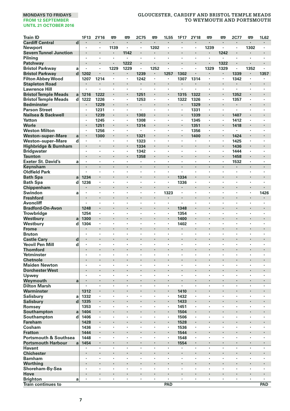| <b>Train ID</b>                             |                         | 1F13           | <b>2Y16</b> | 罒                    | 罒               | 2C75                   | 罒                    | 1L55                 | 1F17                 | 2Y18                 | 罒      | 罒         | 2C77         | 罒                        | 1L62                 |
|---------------------------------------------|-------------------------|----------------|-------------|----------------------|-----------------|------------------------|----------------------|----------------------|----------------------|----------------------|--------|-----------|--------------|--------------------------|----------------------|
| <b>Cardiff Central</b>                      | $\overline{\mathbf{d}}$ | $\cdot$        | $\cdot$     | ٠                    | ٠               | $\blacksquare$         | $\blacksquare$       | $\blacksquare$       | $\cdot$              | $\cdot$              | ٠      | ٠         |              | ٠                        | $\blacksquare$       |
| <b>Newport</b>                              |                         | ٠              |             | 1139                 | ٠               | ×<br>ï                 | 1202                 | $\cdot$<br>ï         |                      | $\cdot$              | 1239   | ٠         | $\cdot$<br>ï | 1302                     | $\cdot$              |
| <b>Severn Tunnel Junction</b><br>Pilning    |                         | $\cdot$        | $\cdot$     | $\ddot{\phantom{a}}$ | 1142<br>$\cdot$ |                        | $\ddot{\phantom{0}}$ |                      | $\cdot$              | $\cdot$              | ×      | 1242<br>٠ | ×            |                          | ×                    |
| Patchwav                                    |                         |                |             | ł,                   | 1222            |                        | ٠                    |                      |                      |                      | ×      | 1322      |              |                          |                      |
| <b>Bristol Parkway</b>                      | a                       | $\cdot$        |             | 1229                 | 1229            | $\blacksquare$         | 1252                 |                      | $\cdot$              | $\cdot$              | 1329   | 1329      | ٠            | 1352                     |                      |
| <b>Bristol Parkway</b>                      | d                       | 1202           | $\cdot$     |                      | ٠               | 1239                   | ٠                    | 1257                 | 1302                 |                      | ٠      | ٠         | 1339         |                          | 1357                 |
| <b>Filton Abbey Wood</b>                    |                         | 1207           | 1214        |                      | ł,              | 1242                   | ï                    | ï                    | 1307                 | 1314                 | ł,     | ł,        | 1342         |                          |                      |
| <b>Stapleton Road</b>                       |                         |                |             | ï                    | ×               | ٠                      | ٠                    | ï                    | $\cdot$              |                      | ×      | ×         | ×            |                          |                      |
| <b>Lawrence Hill</b>                        |                         |                | ٠           | ٠                    | ï               | $\ddot{\phantom{0}}$   | i.                   | $\ddot{\phantom{0}}$ | $\ddot{\phantom{0}}$ | $\ddot{\phantom{0}}$ | ł.     | ł.        | ×,           | $\ddot{\phantom{0}}$     | $\ddot{\phantom{0}}$ |
| <b>Bristol Temple Meads</b>                 | a                       | 1216           | 1222        | ł                    | ł               | 1251                   |                      | ï                    | 1315                 | 1322                 | ×      |           | 1352         |                          |                      |
| <b>Bristol Temple Meads</b>                 | d                       | 1222           | 1226        | ٠                    | ٠               | 1253                   | ٠                    | ٠                    | 1322                 | 1326                 | ٠      | ٠         | 1357         | ٠                        | ٠                    |
| <b>Bedminster</b>                           |                         |                | 1229        | ł.                   | ł.              | $\blacksquare$         |                      |                      |                      | 1329                 | ł.     | ×         |              |                          |                      |
| <b>Parson Street</b>                        |                         | $\cdot$        | 1231        | ٠                    | ï               | ÷,                     | $\cdot$              | ٠                    |                      | 1331                 | ٠      | ٠         | ÷,           | ٠                        | ٠                    |
| Nailsea & Backwell                          |                         |                | 1239        | ï                    | i,              | 1303                   | ÷.                   |                      | $\cdot$              | 1339                 | ٠      |           | 1407         |                          |                      |
| Yatton                                      |                         |                | 1245        |                      | ï               | 1308                   |                      | ï                    |                      | 1345                 | ٠      | ٠         | 1412         |                          |                      |
| Worle                                       |                         |                | 1251        | ×                    | ٠               | 1314                   | ٠                    |                      | $\cdot$              | 1351                 | ٠      | ٠         | 1418         | ×                        | ×                    |
| <b>Weston Milton</b>                        |                         | $\cdot$        | 1256        | ٠                    | ٠               | ٠                      | ٠                    | ٠                    | $\cdot$              | 1356                 | ٠      | ٠         |              | ٠                        | ٠                    |
| <b>Weston-super-Mare</b>                    | a                       | $\cdot$        | 1300        | i,                   |                 | 1321                   |                      |                      |                      | 1400                 |        |           | 1424         |                          |                      |
| Weston-super-Mare                           | d                       | $\cdot$        | $\cdot$     | ×                    | ٠               | 1323                   | ×,                   | ٠                    |                      | $\cdot$              | ٠      | ٠         | 1425         | ٠                        | ٠                    |
| Highbridge & Burnham                        |                         |                |             | ï                    |                 | 1334                   |                      |                      | $\cdot$              |                      | ٠      |           | 1436         |                          |                      |
| <b>Bridgwater</b>                           |                         | ٠              | $\cdot$     | ٠                    | ٠               | 1342                   | $\cdot$              | ٠                    |                      | $\cdot$              | ×      | ٠         | 1444         | ٠                        | ٠                    |
| <b>Taunton</b><br><b>Exeter St. David's</b> | a                       | $\cdot$        | $\cdot$     | ł,<br>×              | ٠<br>×,         | 1358<br>$\blacksquare$ | ٠<br>$\cdot$         | ٠                    | $\cdot$              | $\cdot$<br>$\cdot$   | ٠<br>٠ | ٠<br>٠    | 1458<br>1532 | ٠<br>×                   | ٠                    |
| Keynsham                                    |                         | $\cdot$        |             | l,                   | l,              |                        | l,                   | l,                   |                      | $\cdot$              | l,     | l,        |              |                          |                      |
| <b>Oldfield Park</b>                        |                         | $\cdot$        | $\cdot$     | ٠                    | ٠               | ×                      | ٠                    | ×                    | $\cdot$              | $\cdot$              | ×      | ×         | $\cdot$      | ×                        | ×                    |
| <b>Bath Spa</b>                             | a                       | 1234           |             |                      |                 |                        |                      |                      | 1334                 |                      |        |           |              |                          |                      |
| <b>Bath Spa</b>                             | d                       | 1236           | $\cdot$     | ٠                    | ٠               | ٠                      | ٠                    | $\cdot$              | 1336                 | $\cdot$              | ٠      | ٠         | ٠            | ٠                        | ٠                    |
| Chippenham                                  |                         |                | $\bullet$   |                      |                 |                        |                      |                      | $\blacksquare$       |                      | ٠      |           |              | ٠                        |                      |
| Swindon                                     | a                       |                |             | ï                    | ï               | ï                      | ï                    | 1323                 |                      | $\cdot$              | ï      |           | ï            | ł,                       | 1426                 |
| <b>Freshford</b>                            |                         |                | $\cdot$     | ï                    | ×               |                        | ×                    | ٠                    | $\cdot$              |                      | ×      | i,        |              |                          |                      |
| Avoncliff                                   |                         |                |             | ٠                    | ï               | ×                      | ï                    | ×                    |                      | $\cdot$              | ×      | ×         | ï            | ×                        | ï                    |
| <b>Bradford-On-Avon</b>                     |                         | 1248           | ٠           |                      | ×               |                        |                      |                      | 1348                 |                      |        |           | ٠            |                          | ٠                    |
| <b>Trowbridge</b>                           |                         | 1254           | $\cdot$     | ٠                    | ×               | ×                      | ×                    | ×                    | 1354                 | $\cdot$              | ٠      | ٠         | ×            | ×                        | ×                    |
| Westbury                                    | a                       | 1300           |             | ï                    | ł.              |                        |                      |                      | 1400                 |                      |        |           |              |                          |                      |
| Westbury                                    | d                       | 1304           | $\cdot$     | ÷,                   | ł,              | ÷,                     | ٠                    |                      | 1402                 | $\cdot$              |        |           | l,           | ÷,                       | l,                   |
| Frome                                       |                         |                |             |                      | ł.              |                        |                      |                      | $\cdot$              |                      |        |           |              |                          |                      |
| <b>Bruton</b>                               |                         |                |             |                      | ï               | ï                      | ï                    |                      |                      |                      | ï      | l,        | ï            |                          | ,                    |
| <b>Castle Cary</b>                          | d                       | $\blacksquare$ | $\bullet$   |                      | ٠               |                        | ٠                    |                      | ٠                    |                      | ٠      | ٠         | ٠            | ×                        | ٠                    |
| <b>Yeovil Pen Mill</b>                      | d                       | $\cdot$        | ,           | ٠                    | ×               | ٠                      | ×,                   | $\ddot{\phantom{0}}$ | $\ddot{\phantom{0}}$ | $\cdot$              | ٠      | ٠         | ×,           | $\overline{\phantom{a}}$ | ٠                    |
| <b>Thornford</b>                            |                         | $\cdot$        |             |                      | ł.              |                        |                      |                      |                      |                      | ł.     |           |              | ٠                        | ٠                    |
| Yetminster<br><b>Chetnole</b>               |                         |                | $\cdot$     | ٠                    | ٠               | ٠                      | ٠                    | ٠                    | $\cdot$              | $\cdot$              | ٠<br>× | ٠         | ٠            |                          |                      |
| <b>Maiden Newton</b>                        |                         | ٠              | ,           | ٠                    | ٠               | ٠                      | ٠                    | ٠                    | ,                    | $\cdot$              | ٠      | ٠         | ٠            | ٠                        | ٠                    |
| <b>Dorchester West</b>                      |                         |                | $\cdot$     |                      | ł.              |                        |                      |                      | ł.                   |                      | ×      |           | ×            | ٠                        |                      |
| Upwey                                       |                         |                |             |                      | ×,              |                        |                      | ٠                    |                      | $\cdot$              | ٠      | ٠         | ï            | ×                        |                      |
| Weymouth                                    | a                       |                |             | ï                    | l,              | l,                     |                      | ï                    |                      |                      |        | ï         | l,           | l,                       |                      |
| <b>Dilton Marsh</b>                         |                         |                |             | ٠                    | ٠               | ×                      | ×                    | ×                    | $\cdot$              | $\cdot$              | ×      | ×         | ٠            | ×                        | ×                    |
| Warminster                                  |                         | 1312           |             |                      |                 |                        |                      |                      | 1410                 |                      |        |           |              |                          |                      |
| Salisbury                                   | a                       | 1332           | $\cdot$     | ٠                    | ٠               | ٠                      | ٠                    | ٠                    | 1432                 | $\cdot$              | ٠      | ٠         | ٠            | ٠                        | ٠                    |
| <b>Salisbury</b>                            | d                       | 1335           | $\cdot$     | ł,                   | ł               |                        |                      |                      | 1433                 | $\cdot$              |        |           |              |                          |                      |
| Romsey                                      |                         | 1353           | $\cdot$     | ł,                   | ×               | ٠                      | ï                    | ٠                    | 1451                 | $\cdot$              | ×      | ×         | ٠            | ٠                        | ٠                    |
| Southampton                                 | a                       | 1404           |             | ï                    | i,              | ï                      |                      | ï                    | 1504                 |                      | i,     | ï         | ï            | ï                        | ×                    |
| Southampton                                 | d                       | 1406           |             | ×                    | ï               | ï                      | ï                    | ٠                    | 1506                 | $\cdot$              | ٠      | ٠         | ï            | ×                        |                      |
| Fareham                                     |                         | 1428           | $\bullet$   |                      | ٠               |                        |                      |                      | 1528                 |                      |        |           | ٠            |                          |                      |
| Cosham                                      |                         | 1436           | $\cdot$     | ٠                    | ٠               | ٠                      | ×                    | ٠                    | 1536                 | $\cdot$              | ٠      | ٠         | ×            | ×                        | ×                    |
| <b>Fratton</b>                              |                         | 1444           |             | ï                    | ł.              |                        |                      | ×,                   | 1544                 |                      |        | ï         |              |                          |                      |
| <b>Portsmouth &amp; Southsea</b>            |                         | 1448           | $\cdot$     | ł,                   | ï               | ł,                     | $\cdot$              | ×                    | 1548                 | $\cdot$              | ٠      | ï         | ï            | ł,                       | $\cdot$              |
| <b>Portsmouth Harbour</b>                   | a                       | 1454           | $\cdot$     | ï                    |                 |                        | ٠                    | ï                    | 1554                 |                      | ٠      | ٠         | ٠            | $\ddot{\phantom{0}}$     | ٠                    |
| <b>Havant</b>                               |                         | ٠              |             | ï                    | ï               | ï                      | ï                    | ï                    | ,                    |                      | ï      | ï         | ï            | ł,                       | ï                    |
| <b>Chichester</b><br><b>Barnham</b>         |                         | $\cdot$        | $\bullet$   | ł<br>×               | ٠               | ٠                      | ٠<br>ï               | ×                    | $\cdot$              | ٠<br>$\cdot$         | ٠<br>٠ | ٠<br>٠    | ï            | ٠<br>٠                   | ٠                    |
| Worthing                                    |                         |                | $\cdot$     | ï                    | ł.              |                        |                      | ï                    | $\cdot$              |                      | ×      | i,        |              |                          |                      |
| Shoreham-By-Sea                             |                         | $\cdot$        | $\cdot$     | $\cdot$              | ×               | ×                      | ×                    | ×                    | $\cdot$              | $\cdot$              | ×      | ×         | ×            | ×                        | ×                    |
| Hove                                        |                         |                |             | ï                    |                 | ï                      |                      | ï                    |                      |                      |        | ï         |              |                          |                      |
| <b>Brighton</b>                             | a                       | ٠              |             | ٠                    | ٠               | $\blacksquare$         | ٠                    |                      | ٠                    | ٠                    | ٠      | ٠         | ٠            | $\cdot$                  |                      |
| <b>Train continues to</b>                   |                         |                |             |                      |                 |                        |                      | PAD                  |                      |                      |        |           |              |                          | PAD                  |
|                                             |                         |                |             |                      |                 |                        |                      |                      |                      |                      |        |           |              |                          |                      |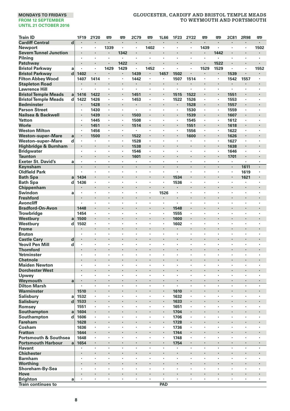| <b>Train ID</b>                  |        | 1F19                            | 2Y20           | 罒              | 罒       | <b>2C79</b>               | 罒              | 1L66                 | 1F23         | 2Y22                            | œ       | 罒       | <b>2C81</b>          | 2R98                 | 吧                    |
|----------------------------------|--------|---------------------------------|----------------|----------------|---------|---------------------------|----------------|----------------------|--------------|---------------------------------|---------|---------|----------------------|----------------------|----------------------|
| <b>Cardiff Central</b>           | d      | $\cdot$                         | $\cdot$        | $\blacksquare$ | ٠       | $\blacksquare$            | $\blacksquare$ | $\cdot$              | $\cdot$      | $\cdot$                         | ×       | ٠       | ×                    | $\cdot$              | $\cdot$              |
| Newport                          |        |                                 |                | 1339           | ×       | ×,                        | 1402           |                      | $\cdot$      |                                 | 1439    | ×       | ×                    | $\cdot$              | 1502                 |
| <b>Severn Tunnel Junction</b>    |        |                                 |                |                | 1342    |                           |                |                      |              |                                 | ٠       | 1442    |                      | ×                    |                      |
| Pilning                          |        |                                 |                | ł,             | ł,      |                           |                |                      |              |                                 | ł,      | ł,      |                      |                      |                      |
| Patchway                         |        | $\blacksquare$                  | $\bullet$      | ×              | 1422    | $\blacksquare$            | ٠              | $\blacksquare$       |              | $\cdot$                         | ×       | 1522    |                      | ٠                    |                      |
| <b>Bristol Parkway</b>           | a      | $\cdot$                         |                | 1429           | 1429    | $\blacksquare$            | 1452           | $\cdot$              | $\cdot$      | $\cdot$                         | 1529    | 1529    | ٠                    | ٠                    | 1552                 |
| <b>Bristol Parkway</b>           | d      | 1402                            |                |                | ٠       | 1439                      |                | 1457                 | 1502         |                                 | ٠       | ٠       | 1539                 |                      |                      |
| <b>Filton Abbey Wood</b>         |        | 1407                            | 1414           | ×,             | ×,      | 1442                      | $\blacksquare$ | $\cdot$              | 1507         | 1514                            | ٠       | ٠       | 1542                 | 1557                 | $\cdot$              |
| <b>Stapleton Road</b>            |        |                                 |                |                |         | $\blacksquare$            |                |                      |              |                                 |         |         |                      |                      |                      |
| <b>Lawrence Hill</b>             |        | ,                               |                | ٠              | ٠       | $\cdot$                   | $\cdot$        | ٠                    | $\cdot$      | $\cdot$                         | ٠       | ٠       | $\cdot$              | ٠                    | ٠                    |
| <b>Bristol Temple Meads</b>      | a      | 1416                            | 1422           | ł              |         | 1451                      |                |                      | 1515         | 1522                            | ł.      | ٠       | 1551                 | ٠                    |                      |
| <b>Bristol Temple Meads</b>      | d      | 1422                            | 1426           | ٠              | ×,      | 1453                      | ٠              | $\cdot$              | 1522         | 1526                            | ٠       | ٠       | 1553                 | ,                    | $\cdot$              |
| <b>Bedminster</b>                |        |                                 | 1428           | l,             | i,      |                           |                |                      |              | 1528                            | l,      | ł.      | 1557                 |                      |                      |
| <b>Parson Street</b>             |        |                                 | 1430           | ٠              | ٠       | ٠                         | ×,             | $\cdot$              |              | 1530                            | ٠       | ٠       | 1559                 | ٠                    | $\cdot$              |
| Nailsea & Backwell               |        |                                 | 1439           |                | ×       | 1503                      | ł,             |                      |              | 1539                            |         |         | 1607                 |                      |                      |
| Yatton                           |        | ٠                               | 1445           | ٠              | ٠       | 1508                      | ٠              | $\cdot$              | $\cdot$      | 1545                            | ٠       | ٠       | 1612                 | ٠                    | $\cdot$              |
| Worle                            |        |                                 | 1451           | ł              | ٠       | 1514                      | ł              |                      |              | 1551                            | ٠       | ×,      | 1618                 | $\cdot$              | $\cdot$              |
| <b>Weston Milton</b>             |        | $\cdot$                         | 1456           | ×              | ٠       | ł,                        | $\cdot$        |                      |              | 1556                            | ×       | ٠       | 1622                 | ٠                    | $\cdot$              |
| <b>Weston-super-Mare</b>         | a      |                                 | 1500           |                |         | 1522                      |                |                      |              | 1600                            | i,      | ÷.      | 1626                 |                      |                      |
| Weston-super-Mare                | d      |                                 |                | ï              | ×,      | 1528                      |                |                      |              |                                 | ï       | ٠       | 1627                 | ,                    |                      |
| Highbridge & Burnham             |        |                                 | $\bullet$      | ٠              | ٠       | 1538                      | ٠              |                      |              |                                 |         | ٠       | 1638                 | ٠                    |                      |
| <b>Bridgwater</b>                |        | $\cdot$                         | $\cdot$        | ٠              | ×,      | 1546                      | $\cdot$        | $\cdot$              | $\cdot$      | $\cdot$                         | ٠       | ٠       | 1646                 | $\cdot$              | $\cdot$              |
| <b>Taunton</b>                   |        |                                 | $\cdot$        | i,             |         | 1601                      |                |                      |              |                                 |         |         | 1701                 |                      |                      |
| <b>Exeter St. David's</b>        | a      | $\cdot$<br>$\ddot{\phantom{0}}$ | $\cdot$        | ×<br>ä,        | ٠<br>ä, | ٠<br>$\ddot{\phantom{0}}$ | ×,             | $\cdot$              |              | $\cdot$<br>$\ddot{\phantom{0}}$ | ×<br>J. | ٠<br>J. | ٠                    | $\cdot$              | $\cdot$              |
| Keynsham                         |        |                                 |                |                |         |                           | ×,             | $\cdot$              | $\cdot$      |                                 |         |         | ä,                   | 1611                 | $\cdot$              |
| <b>Oldfield Park</b>             |        |                                 | $\cdot$        | ×              | ٠       | ٠                         | $\cdot$        | ٠                    |              | $\cdot$                         | ٠       | ٠       | $\cdot$              | 1619                 | $\cdot$              |
| <b>Bath Spa</b>                  | a      | 1434                            | $\bullet$      | ł<br>ï         | ٠<br>٠  | ٠                         | ï              | $\bullet$            | 1534         | $\bullet$<br>$\cdot$            | ۰<br>ï  | ٠<br>×  | ï                    | 1621<br>٠            |                      |
| <b>Bath Spa</b><br>Chippenham    | d      | 1436                            |                | ï              | i,      |                           | ×              |                      | 1536         |                                 | ï       | l,      |                      |                      |                      |
| Swindon                          | a      |                                 | $\cdot$        | ٠              | ٠       | ×                         | ×              | 1526                 |              | $\cdot$                         | ×       | ×       | $\ddot{\phantom{a}}$ | ×                    | $\cdot$              |
| <b>Freshford</b>                 |        |                                 |                |                |         |                           |                |                      |              |                                 |         |         |                      |                      |                      |
| <b>Avoncliff</b>                 |        | $\cdot$                         | $\cdot$        | ٠              | ٠       | ٠                         | ٠              | $\cdot$              | $\cdot$      | $\cdot$                         | ٠       | ٠       | ٠                    | ٠                    | $\cdot$              |
| <b>Bradford-On-Avon</b>          |        | 1448                            |                | ł              |         |                           |                |                      | 1548         | $\cdot$                         |         |         |                      | ٠                    | $\cdot$              |
| Trowbridge                       |        | 1454                            |                | ï              | ï       | ł,                        | ï              |                      | 1555         |                                 | ï       | ï       | ï                    | ï                    |                      |
| Westbury                         | a      | 1500                            | $\cdot$        | ï              | ł.      | ï                         | ×              |                      | 1600         |                                 |         | ٠       |                      | $\ddot{\phantom{0}}$ |                      |
| Westbury                         | d      | 1502                            |                | ï              | ٠       | ×                         | ٠              | $\cdot$              | 1602         | $\cdot$                         | ٠       | ×       | ï                    | ٠                    |                      |
| <b>Frome</b>                     |        |                                 |                |                | ٠       |                           | ٠              |                      | ٠            |                                 |         |         |                      |                      |                      |
| <b>Bruton</b>                    |        | $\cdot$                         | $\cdot$        | ٠              | ٠       | ×                         | ×              | $\cdot$              | $\cdot$      | $\cdot$                         | ٠       | ٠       | ٠                    | ٠                    | $\cdot$              |
| <b>Castle Cary</b>               | d      | $\cdot$                         | $\cdot$        | ł.             | ł.      |                           |                |                      |              |                                 |         |         |                      |                      |                      |
| <b>Yeovil Pen Mill</b>           | d      | $\cdot$                         | $\cdot$        | ٠              | ٠       | ×                         | ٠              | $\cdot$              | $\cdot$      | $\cdot$                         | ٠       | ٠       | ٠                    | ٠                    | $\cdot$              |
| <b>Thornford</b>                 |        |                                 |                |                |         |                           |                |                      |              |                                 |         |         |                      |                      |                      |
| Yetminster                       |        |                                 |                | ï              | ï       | ï                         | ï              |                      | ï            |                                 |         | ×       | ï                    | ٠                    |                      |
| <b>Chetnole</b>                  |        | ٠                               |                | ×              | ٠       |                           | ×              |                      |              |                                 |         |         |                      | ٠                    |                      |
| <b>Maiden Newton</b>             |        | $\cdot$                         |                | ï              | ×,      | ×                         | ×              | $\cdot$              |              | $\cdot$                         | ٠       |         | ,                    | ,                    | $\cdot$              |
| <b>Dorchester West</b>           |        |                                 |                | ï              | ł.      |                           |                |                      | ï            |                                 |         |         |                      | ×                    |                      |
| Upwey                            |        | $\ddot{\phantom{a}}$            | $\cdot$        |                | ٠       | ÷,                        | ٠              | $\cdot$              | $\cdot$      | $\cdot$                         | ×       | ×       | ×                    | ×                    | $\cdot$              |
| Weymouth                         | a      |                                 |                | ı,             | ×       |                           | ×,             |                      |              |                                 |         |         |                      |                      |                      |
| <b>Dilton Marsh</b>              |        |                                 |                | ï              | ï       | l,                        | l,             |                      |              |                                 | ł,      | ł,      | ï                    | l,                   |                      |
| Warminster                       |        | 1510                            | $\blacksquare$ |                |         |                           |                |                      | 1610         | $\blacksquare$                  |         |         |                      |                      |                      |
| Salisbury                        | a      | 1532                            |                |                | ï       | ,                         | ,              |                      | 1632         |                                 | ï       |         |                      |                      |                      |
| <b>Salisbury</b>                 | d      | 1533                            | $\cdot$        | ï<br>ï         | ×       | $\ddot{\phantom{0}}$      | ×,             | $\ddot{\phantom{0}}$ | 1633         | $\cdot$                         | ï<br>٠  | l,      | ï<br>ï               | ×                    | $\ddot{\phantom{0}}$ |
| Romsey                           |        | 1551                            |                |                | ٠       |                           |                |                      | 1651         |                                 |         | ٠       |                      | ٠                    |                      |
| Southampton<br>Southampton       | a<br>d | 1604<br>1606                    | $\cdot$        | ٠              | ٠       | ٠                         | ٠              | $\cdot$              | 1704<br>1706 | $\cdot$                         | ٠       | ٠       | ٠                    | ٠                    | $\cdot$              |
| <b>Fareham</b>                   |        | 1628                            | $\cdot$        | ł.             | ł.      |                           |                |                      | 1728         | $\cdot$                         |         |         |                      |                      |                      |
| Cosham                           |        | 1636                            |                | ٠              | ٠       | l,                        | ٠              | $\cdot$              | 1736         | $\cdot$                         | ×       | ×       | ٠                    | ٠                    | $\cdot$              |
| <b>Fratton</b>                   |        | 1644                            |                |                | ł.      |                           | ٠              |                      | 1744         |                                 | ï       |         |                      |                      |                      |
| <b>Portsmouth &amp; Southsea</b> |        | 1648                            |                | ï              | ï       | ï                         | ï              |                      | 1748         |                                 | ï       | ×       | ï                    |                      |                      |
| <b>Portsmouth Harbour</b>        | a      | 1654                            | ٠              |                | ٠       |                           |                |                      | 1754         |                                 |         |         |                      |                      |                      |
| <b>Havant</b>                    |        | $\cdot$                         | $\cdot$        | $\bullet$      | ٠       | $\cdot$                   | ×              | $\cdot$              | $\cdot$      | $\cdot$                         | ٠       | ٠       | $\ddot{\phantom{a}}$ | ٠                    | $\cdot$              |
| <b>Chichester</b>                |        |                                 |                | ł,             | ł.      |                           |                |                      | ï            |                                 |         |         |                      | ×                    |                      |
| <b>Barnham</b>                   |        | $\cdot$                         |                | ٠              | ٠       | ٠                         | ٠              | $\cdot$              | $\cdot$      | $\cdot$                         | ٠       | ٠       | ٠                    | ٠                    | $\cdot$              |
| Worthing                         |        |                                 |                | ï              |         |                           |                |                      |              |                                 |         |         |                      |                      |                      |
| Shoreham-By-Sea                  |        | ٠                               | $\cdot$        | ٠              | ٠       | ٠                         | ٠              | $\cdot$              | ,            | ٠                               | ٠       | ٠       | ٠                    | ٠                    | ٠                    |
| Hove                             |        |                                 |                | ×              | ×       |                           | ×              | $\cdot$              | ł.           |                                 |         |         |                      | ٠                    |                      |
| <b>Brighton</b>                  | a      |                                 |                | ×,             | ×,      | $\blacksquare$            | ٠              | $\cdot$              |              | $\cdot$                         | ٠       | ٠       | ٠                    | ٠                    | $\cdot$              |
| Train continues to               |        |                                 |                |                |         |                           |                | PAD                  |              |                                 |         |         |                      |                      |                      |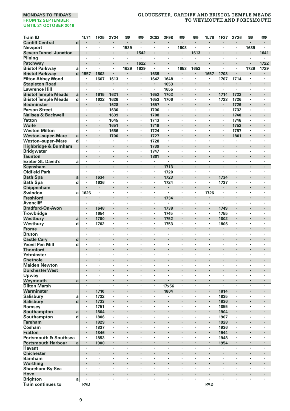| <b>Train ID</b>                                               |                         | 1L71           | 1F25                 | 2Y24   | <b>m</b> | 罒                    | <b>2C83</b>          | 2F98           | œ              | 罒              | 1L76           | 1F27         | 2Y26                 | <b>P</b> | 罒                    |
|---------------------------------------------------------------|-------------------------|----------------|----------------------|--------|----------|----------------------|----------------------|----------------|----------------|----------------|----------------|--------------|----------------------|----------|----------------------|
| <b>Cardiff Central</b>                                        | $\overline{\mathbf{d}}$ |                |                      |        |          |                      |                      |                | $\cdot$        |                |                |              |                      |          |                      |
| <b>Newport</b>                                                |                         | $\cdot$        | $\cdot$              | ٠      | 1539     | ٠                    | $\blacksquare$       | ٠              | 1603           | $\cdot$        | ٠              | ٠            | ٠                    | 1639     | ٠                    |
| <b>Severn Tunnel Junction</b>                                 |                         |                |                      |        |          | 1542                 |                      |                |                | 1613           | ×              | ï            |                      |          | 1641                 |
| Pilnina                                                       |                         |                |                      | ×      | ×        | $\cdot$              | ×                    | ٠              | $\cdot$        | $\cdot$        | ×              | ï            | ٠                    | ï        | ٠                    |
| Patchway                                                      |                         |                |                      | l,     | i,       | 1622                 |                      | $\cdot$        |                | $\cdot$        | l,             | ٠            | $\cdot$              |          | 1722                 |
| <b>Bristol Parkway</b>                                        | a                       |                |                      | ٠      | 1629     | 1629                 | ×,                   | ٠              | 1653           | 1653           | $\blacksquare$ |              | $\cdot$              | 1729     | 1729                 |
| <b>Bristol Parkway</b>                                        | d                       | 1557           | 1602                 | ï      |          | ٠                    | 1639                 |                |                | $\blacksquare$ | 1657           | 1703         | $\ddot{\phantom{0}}$ |          | ٠                    |
| <b>Filton Abbey Wood</b>                                      |                         | $\blacksquare$ | 1607                 | 1613   | ٠        | ٠                    | 1642                 | 1648           | $\cdot$        | $\cdot$        | ٠<br>i,        | 1707         | 1714                 | $\cdot$  | ٠                    |
| <b>Stapleton Road</b><br><b>Lawrence Hill</b>                 |                         | $\cdot$        |                      | ×      | ٠        | $\cdot$              | $\blacksquare$       | 1653           | $\cdot$        | $\cdot$        | ×              | ×<br>×       | ×                    | ٠        | $\cdot$              |
| <b>Bristol Temple Meads</b>                                   | a                       | $\cdot$        | 1615                 | 1621   | ı,       |                      | 1652                 | 1655<br>1702   |                | $\cdot$        | i,             | 1714         | 1722                 |          |                      |
| <b>Bristol Temple Meads</b>                                   | d                       | $\blacksquare$ | 1622                 | 1626   | ٠        | ٠                    | 1653                 | 1706           | $\cdot$        | ٠              | ×              | 1723         | 1726                 | ٠        | ٠                    |
| <b>Bedminster</b>                                             |                         | $\cdot$        |                      | 1628   | ł.       | ×                    | 1657                 | $\blacksquare$ |                |                |                | ٠            | 1729                 |          | ٠                    |
| <b>Parson Street</b>                                          |                         | $\cdot$        | $\blacksquare$       | 1630   | ٠        |                      | 1700                 | $\blacksquare$ |                |                | ×              | ٠            | 1732                 | ٠        |                      |
| Nailsea & Backwell                                            |                         | $\cdot$        |                      | 1639   | ï        |                      | 1708                 |                |                |                | ï              | i,           | 1740                 |          |                      |
| Yatton                                                        |                         | $\cdot$        |                      | 1645   | ٠        | $\cdot$              | 1713                 | ×,             | $\cdot$        | $\cdot$        | $\cdot$        | ٠            | 1746                 | ٠        | ٠                    |
| Worle                                                         |                         |                |                      | 1651   |          |                      | 1719                 |                |                |                |                | ×            | 1752                 |          |                      |
| <b>Weston Milton</b>                                          |                         | ٠              |                      | 1656   | ٠        | ٠                    | 1724                 | ٠              | $\cdot$        | $\cdot$        | ٠              | ٠            | 1757                 | ٠        | ٠                    |
| <b>Weston-super-Mare</b>                                      | a                       | $\cdot$        |                      | 1700   | ł        |                      | 1727                 | ×              |                |                | ï              | ×            | 1801                 |          | ×                    |
| Weston-super-Mare                                             | d                       | $\cdot$        |                      | ٠      | ×        | ٠                    | 1728                 | $\cdot$        | ٠              | $\cdot$        | ×              | ٠            | ٠                    | ٠        | $\cdot$              |
| Highbridge & Burnham                                          |                         |                |                      | i,     | ï        |                      | 1739                 |                |                | $\cdot$        |                | ×            | ×,                   | ×,       | $\cdot$              |
| <b>Bridgwater</b>                                             |                         |                |                      |        | ï        |                      | 1747                 | ï              |                |                | ï              | ï            |                      | ,        |                      |
| <b>Taunton</b>                                                |                         |                |                      | ×      |          | ×                    | 1801                 | $\blacksquare$ |                | $\cdot$        | ×              | ٠            | ٠                    | ×        | ٠                    |
| <b>Exeter St. David's</b>                                     | a                       | $\blacksquare$ |                      | ٠      | ٠        | ٠                    | $\cdot$              | ٠              | $\cdot$        | $\cdot$        | ٠              | ٠            | ٠                    | ٠        | ٠                    |
| Keynsham                                                      |                         | $\cdot$        | $\cdot$              | ł.     | ä,       |                      | ×,                   | 1713           | $\cdot$        | $\cdot$        | ×              | ł.           |                      |          |                      |
| <b>Oldfield Park</b>                                          |                         | $\cdot$        |                      | ٠      | ٠        | ٠                    | ٠                    | 1720           | ٠              | $\cdot$        | ٠              | ٠            | ٠                    | ٠        | ٠                    |
| <b>Bath Spa</b>                                               | a                       |                | 1634                 |        |          |                      |                      | 1723           |                |                | i,             | 1734         |                      |          |                      |
| <b>Bath Spa</b>                                               | d                       | $\cdot$        | 1636                 | ×      | ٠        | ×                    | $\cdot$              | 1724           | $\cdot$        | ٠              | ÷,             | 1737         | ×                    | ٠        | ٠                    |
| Chippenham                                                    |                         |                |                      |        |          | ٠                    |                      | ٠              |                | $\bullet$      |                | ٠            |                      |          | ٠                    |
| Swindon                                                       | a                       | 1626           |                      |        | ï        |                      | ,                    |                |                |                | 1726           | ł,           |                      |          |                      |
| <b>Freshford</b>                                              |                         |                |                      | l,     | ï        | $\ddot{\phantom{0}}$ | ï                    | 1734           |                |                | ٠              | ×            |                      |          |                      |
| Avoncliff                                                     |                         | $\cdot$        |                      | ×      | ï        | ×                    | ×                    |                | $\cdot$        |                | $\cdot$        | ä,           | ×                    | ×        | ÷,                   |
| <b>Bradford-On-Avon</b>                                       |                         | $\cdot$        | 1648                 | ٠      | ï        | ×                    | $\ddot{\phantom{a}}$ | 1738           | $\cdot$        | ٠              | ł.<br>$\cdot$  | 1749         | ٠<br>×               | ٠<br>×   | ٠                    |
| Trowbridge                                                    |                         | $\cdot$        | 1654<br>1700         | ł.     | ï        |                      |                      | 1745<br>1752   |                |                | ×              | 1755<br>1802 |                      |          | ×                    |
| Westbury<br>Westbury                                          | a<br>d                  |                | 1702                 | ÷,     | ï        | ï                    | ×                    | 1753           |                |                | $\blacksquare$ | 1806         | ×                    | ï        |                      |
| <b>Frome</b>                                                  |                         |                |                      |        |          |                      |                      |                |                |                | ٠              | ٠            |                      |          | $\ddot{\phantom{0}}$ |
| <b>Bruton</b>                                                 |                         |                |                      | ï      | ï        |                      | ï                    | ٠              |                |                | ï              | ٠            | ٠                    | ٠        |                      |
| <b>Castle Cary</b>                                            | d                       | $\bullet$      |                      | ٠      |          | ٠                    |                      |                |                | ٠              | ۰              | ٠            | ٠                    | ٠        | ٠                    |
| Yeovil Pen Mill                                               | d                       | $\cdot$        |                      | ×      | ï        | ×                    |                      | ×              |                | $\cdot$        | $\cdot$        | ×            | ×                    | ï        | ٠                    |
| <b>Thornford</b>                                              |                         |                |                      | ł.     | ï        |                      |                      |                |                |                | ł.             | ×            | ×                    |          | l,                   |
| Yetminster                                                    |                         | $\cdot$        | $\cdot$              | ×      | ×        | ×                    | ×                    | ×              | $\cdot$        | $\cdot$        | $\cdot$        | ×            | ×                    | ×        | ×                    |
| <b>Chetnole</b>                                               |                         |                |                      |        |          |                      |                      |                |                |                | ï              |              |                      |          |                      |
| <b>Maiden Newton</b>                                          |                         | $\cdot$        | $\cdot$              | ٠      | ٠        | ٠                    | ٠                    | ٠              | $\cdot$        | ,              | ٠              | ٠            | ٠                    | ٠        | ٠                    |
| <b>Dorchester West</b>                                        |                         |                |                      |        |          |                      |                      |                |                | $\cdot$        | ×              | ×            | ٠                    |          |                      |
| Upwey                                                         |                         |                |                      | ï      | ï        | ï                    | ł,                   | ï              |                |                | ×              | ï            | ï                    | ï        | ï                    |
| Weymouth                                                      | a                       | $\cdot$        | $\ddot{\phantom{0}}$ | l,     |          | l,                   | l,                   |                |                | $\cdot$        | l,             |              |                      |          | l,                   |
| <b>Dilton Marsh</b>                                           |                         | $\cdot$        | $\cdot$              | ×      | ٠        | $\cdot$              | $\blacksquare$       | 17x56          | $\cdot$        |                | $\cdot$        | ï            | $\cdot$              | ٠        | ×                    |
| Warminster                                                    |                         |                | 1710                 | ٠      |          |                      |                      | 1804           |                |                | ٠              | 1814         | ٠                    | ٠        | ٠                    |
| Salisbury                                                     | a                       | $\cdot$        | 1732                 | ٠      | ï        | ٠                    | ٠                    | ٠              | $\cdot$        | $\cdot$        | $\cdot$        | 1835         | ٠                    | ٠        | ٠                    |
| <b>Salisbury</b>                                              | d                       | $\cdot$        | 1733                 |        |          |                      |                      |                |                |                |                | 1836         |                      |          |                      |
| Romsey                                                        |                         |                | 1751                 | ٠      | ٠        | ٠                    | ٠                    | ٠              | $\cdot$        | $\cdot$        | ×              | 1855         | $\cdot$              | $\cdot$  | $\cdot$              |
| Southampton                                                   | a                       |                | 1804                 |        |          |                      |                      |                |                |                | i,             | 1904         |                      | ۰        |                      |
| Southampton                                                   | d                       | $\cdot$        | 1806                 | ٠      | ï        | ٠                    | ٠                    |                |                | ,              | ×              | 1907         | $\cdot$              | ٠        | ٠                    |
| <b>Fareham</b>                                                |                         |                | 1829                 | ٠      | ï        |                      |                      |                |                |                | ٠              | 1928         | ٠                    |          | ٠                    |
| Cosham                                                        |                         | $\cdot$        | 1837                 | ٠<br>ï | ×,<br>ï  |                      |                      | ٠              |                |                | ×<br>ï         | 1936         |                      | l,       |                      |
| <b>Fratton</b>                                                |                         | $\cdot$        | 1846                 | ٠      | ٠        | ٠                    | ï                    | ٠              | $\cdot$        | $\cdot$        | $\bullet$      | 1944         | $\cdot$              | ×        | ×                    |
| <b>Portsmouth &amp; Southsea</b><br><b>Portsmouth Harbour</b> |                         | $\cdot$        | 1853<br>1900         | ٠      |          |                      |                      |                |                |                |                | 1948<br>1954 |                      |          |                      |
| <b>Havant</b>                                                 | a                       | $\cdot$        | $\cdot$              | ٠      | ٠        | ٠                    | ٠                    | ٠              | ٠              | $\cdot$        | ٠              | ٠            | ٠                    | ٠        | ٠                    |
| <b>Chichester</b>                                             |                         |                |                      | ł.     | ï        |                      |                      |                |                |                | ï              | ł.           | $\cdot$              |          | ×                    |
| <b>Barnham</b>                                                |                         | $\cdot$        |                      | ٠      | ×        | ٠                    | ٠                    | ٠              | ٠              |                | ×              | ٠            | $\cdot$              | ٠        | $\cdot$              |
| Worthing                                                      |                         |                |                      | l,     | ï        | $\ddot{\phantom{0}}$ |                      |                |                | $\cdot$        |                | ٠            | $\cdot$              |          | $\cdot$              |
| Shoreham-By-Sea                                               |                         |                |                      | ×      | ï        |                      | ï                    | ٠              |                |                | ٠              | ï            | ٠                    | ï        |                      |
| Hove                                                          |                         |                |                      |        |          |                      |                      |                |                |                |                |              |                      |          |                      |
| Brighton                                                      | a                       | $\cdot$        | $\blacksquare$       | ٠      | ٠        | ٠                    | ٠                    | ٠              | $\blacksquare$ | $\blacksquare$ | ٠              | ٠            | ٠                    | ٠        | ٠                    |
| <b>Train continues to</b>                                     |                         | PAD            |                      |        |          |                      |                      |                |                |                | PAD            |              |                      |          |                      |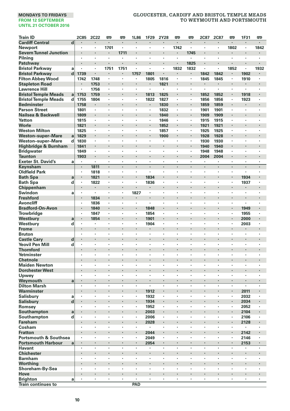| <b>Train ID</b>                                |             | <b>2C85</b>    | <b>2C22</b>    | 罒       | 罒         | 1L86                 | 1F29                 | 2Y28    | 罒                    | 罒               | 2C87         | <b>2C87</b>  | 罒              | 1F31                 | 罒       |
|------------------------------------------------|-------------|----------------|----------------|---------|-----------|----------------------|----------------------|---------|----------------------|-----------------|--------------|--------------|----------------|----------------------|---------|
| <b>Cardiff Central</b>                         | d           |                |                |         |           |                      |                      |         | $\cdot$              | ÷               |              | ٠            |                | ٠                    | ٠       |
| Newport                                        |             | $\cdot$        | $\cdot$        | 1701    | ٠         | $\cdot$              | $\cdot$              | $\cdot$ | 1742                 | $\cdot$         | ٠<br>l,      | ×<br>ï       | 1802           | $\cdot$<br>ï         | 1842    |
| <b>Severn Tunnel Junction</b><br>Pilning       |             | $\cdot$        | $\cdot$        | ×,      | 1711<br>٠ | $\cdot$              | ×                    |         | $\cdot$              | 1745<br>$\cdot$ | ٠            | ٠            | $\cdot$        | $\ddot{\phantom{a}}$ |         |
| Patchway                                       |             |                | l.             | ٠       | i,        |                      | ï                    |         | $\cdot$              | 1825            |              |              |                |                      |         |
| <b>Bristol Parkway</b>                         | a           | $\cdot$        | ٠              | 1751    | 1751      | ï                    | ł,                   |         | 1832                 | 1832            | ï            | ×            | 1852           | ×                    | 1932    |
| <b>Bristol Parkway</b>                         | d           | 1739           | $\cdot$        | ٠       | ٠         | 1757                 | 1801                 |         |                      | ٠               | 1842         | 1842         | $\blacksquare$ | 1902                 | ٠       |
| <b>Filton Abbey Wood</b>                       |             | 1742           | 1748           | ٠       | ٠         |                      | 1805                 | 1816    | $\cdot$              |                 | 1845         | 1845         |                | 1910                 |         |
| <b>Stapleton Road</b>                          |             |                | 1753           | ł.      | ï         |                      | ٠                    | 1821    |                      |                 |              |              |                |                      |         |
| <b>Lawrence Hill</b>                           |             |                | 1756           | ٠       | ×         | $\cdot$              | $\ddot{\phantom{a}}$ |         | $\cdot$              | $\cdot$         | ×            | ×            | ×              | ٠                    |         |
| <b>Bristol Temple Meads</b>                    | a           | 1753           | 1759           |         |           |                      | 1813                 | 1825    |                      |                 | 1852         | 1852         |                | 1918                 |         |
| <b>Bristol Temple Meads</b>                    | d           | 1755           | 1804           | ٠       | ٠         | ٠                    | 1822                 | 1827    | $\cdot$              | $\cdot$         | 1856         | 1856         | ٠              | 1923                 | $\cdot$ |
| <b>Bedminster</b>                              |             | 1758           |                |         |           | ٠                    | $\blacksquare$       | 1830    | $\bullet$            |                 | 1859         | 1859         | $\blacksquare$ |                      |         |
| <b>Parson Street</b>                           |             | 1801           | $\cdot$        | ï       | ï         | ï                    | ×                    | 1832    | $\cdot$              |                 | 1901         | 1901         | $\cdot$        | $\cdot$              |         |
| Nailsea & Backwell                             |             | 1809           |                | ٠       | ï         |                      |                      | 1840    |                      |                 | 1909         | 1909         |                | ï                    |         |
| Yatton                                         |             | 1815           |                | ٠       | ï         | ٠                    | ï                    | 1846    | $\cdot$              |                 | 1915         | 1915         | ٠              | ٠                    |         |
| Worle                                          |             | 1821           |                |         |           | ٠                    |                      | 1852    | $\bullet$            |                 | 1921         | 1921         | ٠              |                      |         |
| <b>Weston Milton</b>                           |             | 1825           | $\cdot$        | ٠       | ٠         | ٠                    | ٠                    | 1857    | $\cdot$              | $\cdot$         | 1925         | 1925         | ٠              | ٠                    |         |
| <b>Weston-super-Mare</b>                       | a           | 1829           |                |         | ï         |                      | ×                    | 1900    | à,<br>$\cdot$        |                 | 1928         | 1928         |                |                      |         |
| Weston-super-Mare                              | d           | 1830           | $\cdot$        | ٠       | ٠<br>ï    | ٠                    | ï                    | ×       |                      |                 | 1930         | 1930         | ٠              | ٠                    | $\cdot$ |
| Highbridge & Burnham                           |             | 1841<br>1849   | $\cdot$        | ٠       | ×         | ٠                    | ٠                    |         | ٠                    |                 | 1940<br>1948 | 1940<br>1948 | ٠              | ٠                    |         |
| <b>Bridgwater</b><br><b>Taunton</b>            |             | 1903           |                | ٠       | ï         | $\ddot{\phantom{0}}$ |                      |         | ٠                    |                 | 2004         | 2004         | $\blacksquare$ | ٠                    |         |
| <b>Exeter St. David's</b>                      | a           | $\cdot$        | $\cdot$        | ٠       | ٠         | $\cdot$              | $\cdot$              |         | $\cdot$              |                 | ٠            | ٠            | $\cdot$        | $\cdot$              |         |
| Keynsham                                       |             |                | 1811           |         | l,        |                      | l,                   | $\cdot$ | $\cdot$              | $\cdot$         |              | l,           |                |                      |         |
| <b>Oldfield Park</b>                           |             | $\cdot$        | 1818           | ٠       | ٠         | $\cdot$              | $\cdot$              | $\cdot$ | $\cdot$              | $\cdot$         | ×            | ×            | ×              | $\ddot{\phantom{a}}$ |         |
| <b>Bath Spa</b>                                | a           |                | 1821           |         |           |                      | 1834                 |         |                      |                 |              |              |                | 1934                 |         |
| <b>Bath Spa</b>                                | d           | $\cdot$        | 1822           | ٠       | ٠         | ٠                    | 1836                 | $\cdot$ | $\cdot$              | $\cdot$         | ٠            | ٠            | ٠              | 1937                 | $\cdot$ |
| Chippenham                                     |             | $\cdot$        | $\blacksquare$ |         | ł         |                      | $\cdot$              |         |                      |                 |              | ï            | $\blacksquare$ |                      |         |
| Swindon                                        | a           |                | $\cdot$        | ٠       | ×         | 1827                 | ×                    |         |                      |                 | ×            | ×            | $\cdot$        | $\cdot$              |         |
| <b>Freshford</b>                               |             | $\cdot$        | 1834           | l,      | l,        |                      |                      |         |                      |                 | J.           | ï            |                |                      |         |
| <b>Avoncliff</b>                               |             |                | 1836           | ٠       | ï         | ٠                    | ï                    |         |                      |                 |              | ï            | $\cdot$        |                      |         |
| <b>Bradford-On-Avon</b>                        |             |                | 1840           | ٠       |           | ٠                    | 1848                 |         |                      |                 |              |              | ٠              | 1949                 |         |
| <b>Trowbridge</b>                              |             | $\cdot$        | 1847           | ٠       | ٠         | ٠                    | 1854                 | $\cdot$ | $\cdot$              | ٠               | ٠            | ٠            | ٠              | 1955                 | $\cdot$ |
| Westbury                                       | a           |                | 1854           |         |           |                      | 1901                 |         |                      |                 |              |              |                | 2000                 |         |
| Westbury                                       | d           | $\cdot$        | $\cdot$        | ٠       | ٠         | ×,                   | 1904                 |         | $\cdot$              |                 | ٠            | ٠            | $\cdot$        | 2003                 |         |
| <b>Frome</b>                                   |             |                |                |         | ï         |                      |                      |         |                      |                 |              | ï            |                |                      |         |
| <b>Bruton</b>                                  |             |                | $\cdot$        | ٠       | ×         | ٠                    | ٠                    |         |                      |                 | ٠            | ٠            | $\cdot$        | ٠                    | ٠       |
| <b>Castle Cary</b>                             | d           |                |                |         |           | ٠                    |                      | ٠       |                      | ٠               |              | ٠            | ٠              |                      |         |
| <b>Yeovil Pen Mill</b>                         | d           |                |                | ×       | ï         | ٠                    |                      |         |                      |                 | ×            | ٠            | ٠              | ٠                    |         |
| <b>Thornford</b>                               |             | $\cdot$        |                | $\cdot$ | ï         | $\ddot{\phantom{0}}$ | l,                   |         |                      |                 | l,           | ï            | $\cdot$        |                      |         |
| Yetminster                                     |             | $\cdot$        | $\cdot$        | ×       | ×         | ×                    | ×                    | $\cdot$ | $\cdot$              | $\cdot$         | ٠            | ×            | ×              | $\ddot{\phantom{a}}$ | $\cdot$ |
| <b>Chetnole</b>                                |             | $\cdot$        | ٠              | ٠       | ٠         | ٠                    | ٠                    | $\cdot$ | $\cdot$              | ,               | ٠            | ٠            | ٠              | ٠                    | $\cdot$ |
| <b>Maiden Newton</b><br><b>Dorchester West</b> |             |                |                |         | ï         | ×                    |                      | ï       |                      |                 |              | ï            | ×              |                      |         |
| Upwey                                          |             | $\cdot$        |                | ï       | ï         | ï                    | ł,                   |         | $\cdot$              |                 | ×            | ٠            | $\cdot$        | ٠                    |         |
| Weymouth                                       | a           | l.             | l.             | J.      | ï         |                      | l,                   | l.      | $\ddot{\phantom{0}}$ |                 | J.           | l,           |                | l,                   |         |
| <b>Dilton Marsh</b>                            |             | ٠              | $\cdot$        | ٠       | ٠         | $\cdot$              | $\blacksquare$       |         | $\cdot$              |                 | ×            | ٠            | ï              | $\cdot$              |         |
| Warminster                                     |             |                |                |         | ٠         | $\blacksquare$       | 1912                 |         |                      |                 |              |              | $\blacksquare$ | 2011                 |         |
| Salisbury                                      | a           | $\cdot$        | $\cdot$        | ٠       | ٠         | ٠                    | 1932                 | $\cdot$ | $\cdot$              |                 | ٠            | ٠            | ٠              | 2032                 | $\cdot$ |
| <b>Salisbury</b>                               | $\mathbf d$ |                |                |         | ï         |                      | 1934                 |         |                      |                 |              |              |                | 2034                 |         |
| Romsey                                         |             | $\cdot$        | $\cdot$        | ٠       | ٠         | ٠                    | 1952                 | $\cdot$ | $\cdot$              | $\cdot$         | ٠            | ٠            | ٠              | 2052                 |         |
| Southampton                                    | a           |                |                |         | ï         | $\cdot$              | 2003                 |         |                      |                 |              | ï            |                | 2104                 |         |
| Southampton                                    | d           | ٠              |                | ٠       | ×         | ٠                    | 2006                 | $\cdot$ |                      | ,               | ٠            | ×            | $\cdot$        | 2106                 | $\cdot$ |
| <b>Fareham</b>                                 |             |                |                |         |           | ×                    | 2028                 |         |                      |                 |              |              | $\cdot$        | 2128                 |         |
| Cosham                                         |             | $\cdot$        |                | ٠       | ٠         |                      | $\cdot$              |         |                      |                 |              | ï            |                |                      |         |
| <b>Fratton</b>                                 |             |                |                |         | ï         |                      | 2044                 |         |                      |                 |              | ï            | $\cdot$        | 2142                 |         |
| <b>Portsmouth &amp; Southsea</b>               |             | $\cdot$        | $\cdot$        | ×       | ×         | $\cdot$              | 2049                 | $\cdot$ | $\cdot$              | $\cdot$         | ٠            | ×            | $\cdot$        | 2146                 |         |
| <b>Portsmouth Harbour</b>                      | a           |                |                |         | ł.        | $\cdot$              | 2054                 |         |                      |                 |              |              |                | 2153                 |         |
| <b>Havant</b>                                  |             | $\cdot$        | $\cdot$        | ٠       | ٠         | ٠                    | ٠                    | $\cdot$ | $\cdot$              | $\cdot$         | ٠            | ٠            | ٠              | ٠                    |         |
| <b>Chichester</b>                              |             | $\cdot$        |                |         | ï         | ×                    |                      |         |                      |                 |              |              | $\cdot$        | ł                    |         |
| <b>Barnham</b>                                 |             | $\cdot$        | $\cdot$        | ٠       | ×         | ٠                    | ٠                    |         | ٠                    |                 | ×            | ٠            | $\cdot$        | ٠                    |         |
| Worthing                                       |             |                |                |         | ï         | $\ddot{\phantom{0}}$ |                      |         |                      |                 | ×            | ï            | $\cdot$        | ï                    |         |
| Shoreham-By-Sea                                |             |                |                | ٠       | ï         | ,                    | ï                    |         |                      |                 |              | ï            | ٠              | ٠                    |         |
| Hove                                           |             | $\blacksquare$ | $\cdot$        | ٠       | ٠         | ٠<br>٠               | ٠                    | $\cdot$ | $\cdot$              |                 | ٠            | ٠            | ٠              | ٠                    |         |
| Brighton<br><b>Train continues to</b>          | a           |                |                |         |           | PAD                  |                      |         |                      |                 |              |              |                |                      |         |
|                                                |             |                |                |         |           |                      |                      |         |                      |                 |              |              |                |                      |         |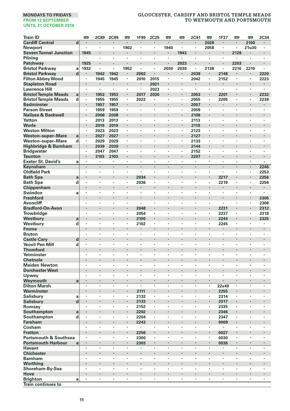| <b>Train ID</b>                                     |                         | 罒                  | <b>2C89</b>  | <b>2C89</b> | 罒      | 1F99                 | 2C25         | œ                    | 罒              | 2C91           | 嘌       | 1F37       | 罒                   | 罒       | 2C34                 |
|-----------------------------------------------------|-------------------------|--------------------|--------------|-------------|--------|----------------------|--------------|----------------------|----------------|----------------|---------|------------|---------------------|---------|----------------------|
| <b>Cardiff Central</b>                              | $\overline{\mathbf{d}}$ |                    |              |             | ٠      |                      |              |                      |                |                | 2028    |            |                     | 2100    |                      |
| <b>Newport</b>                                      |                         | ٠                  | $\cdot$      | ٠           | 1902   | ٠                    | ٠            | 1940                 | $\cdot$        | ٠              | 2058    | ٠          | ٠                   | 21u30   | $\cdot$              |
| <b>Severn Tunnel Junction</b>                       |                         | 1845               |              |             |        |                      |              |                      | 1943           |                |         | ł.         | 2128                |         |                      |
| Pilning                                             |                         | ٠                  | $\cdot$      | ×           | ÷,     | ٠                    | ٠            | $\blacksquare$       | ٠              | $\cdot$        | ×       | ٠          | ٠                   | l,      | ٠                    |
| Patchway                                            |                         | 1925               |              |             |        |                      |              | ä,                   | 2023           |                |         | ï          | 2203                |         |                      |
| <b>Bristol Parkway</b>                              | a                       | 1932               | $\cdot$      | ٠           | 1952   | ٠                    | ٠            | 2030                 | 2030           | $\blacksquare$ | 2138    | ٠          | 2210                | 2210    | ٠                    |
| <b>Bristol Parkway</b>                              | d                       | ٠                  | 1942         | 1942        | ٠      | 2002                 | ٠            |                      | $\bullet$      | 2038           | ٠       | 2148       |                     |         | 2220                 |
| <b>Filton Abbey Wood</b>                            |                         | $\blacksquare$     | 1945         | 1945        | ٠      | 2010                 | 2015         | $\cdot$              |                | 2042           | ٠       | 2152       | ٠                   | $\cdot$ | 2223                 |
| <b>Stapleton Road</b>                               |                         | $\cdot$            | $\cdot$      | ٠           | ×<br>× | $\ddot{\phantom{a}}$ | 2021         | $\ddot{\phantom{a}}$ | $\cdot$        | $\cdot$        | ł.<br>× | ×.         | ×                   | ×       | $\ddot{\phantom{0}}$ |
| <b>Lawrence Hill</b><br><b>Bristol Temple Meads</b> | a                       |                    | 1953         | 1953        |        | 2017                 | 2023<br>2030 | ı,                   |                | 2053           | ٠       | 2201       |                     |         | 2232                 |
| <b>Bristol Temple Meads</b>                         | d                       | $\cdot$            | 1955         | 1955        | ٠      | 2022                 | ٠            | ٠                    | $\cdot$        | 2055           | ٠       | 2205       | ٠                   | $\cdot$ | 2239                 |
| <b>Bedminster</b>                                   |                         |                    | 1957         | 1957        | ٠      | ×                    |              |                      | $\blacksquare$ | 2057           |         |            |                     | ٠       |                      |
| <b>Parson Street</b>                                |                         |                    | 1959         | 1959        | ï      | ł,                   | ï            |                      |                | 2059           | ×       | ï          | ï                   | ł,      | ï                    |
| Nailsea & Backwell                                  |                         |                    | 2008         | 2008        | l,     | ï                    |              |                      |                | 2108           | i,      | ï          | ï                   |         | ï                    |
| Yatton                                              |                         |                    | 2013         | 2013        |        | ï                    | ٠            | ٠                    |                | 2113           | ٠       | ï          | ï                   | ï       | ï                    |
| Worle                                               |                         |                    | 2019         | 2019        | ٠      |                      |              |                      | ٠              | 2119           | ٠       |            |                     |         |                      |
| <b>Weston Milton</b>                                |                         | $\cdot$            | 2023         | 2023        | ٠      | ٠                    | ٠            | ٠                    | $\cdot$        | 2123           | ٠       | ٠          | ٠                   | ٠       | ٠                    |
| <b>Weston-super-Mare</b>                            | a                       | $\cdot$            | 2027         | 2027        | l,     |                      |              |                      |                | 2127           | ï       | ï          |                     |         |                      |
| Weston-super-Mare                                   | d                       | $\cdot$            | 2029         | 2029        | ×      | ٠                    | ٠            | ٠                    |                | 2133           | ٠       | ٠          | ٠                   | ٠       | ٠                    |
| Highbridge & Burnham                                |                         |                    | 2039         | 2039        |        |                      |              |                      | $\cdot$        | 2144           | ł       | ï          |                     |         |                      |
| <b>Bridgwater</b>                                   |                         | $\cdot$            | 2047         | 2047        | ×      | ٠                    | ٠            | ï                    | $\cdot$        | 2152           | ٠       | ٠          | ï                   | ٠       | ï                    |
| Taunton                                             |                         |                    | 2103         | 2103        | ×      | ×                    | ٠            |                      | $\cdot$        | 2207           | ٠       |            |                     |         |                      |
| <b>Exeter St. David's</b>                           | a                       |                    |              | ł,          | ł,     |                      | ï            | ï                    |                |                | ł,      | ï          |                     |         | ,                    |
| Keynsham                                            |                         |                    | $\cdot$      | ×,          | l,     |                      |              | l,                   |                |                | l,      | l,<br>J.   | ,                   | ×,      | 2246                 |
| <b>Oldfield Park</b>                                |                         |                    | $\cdot$      | ł,          |        | $\ddot{\phantom{0}}$ | ×            | ٠                    | $\cdot$        | $\cdot$        | ÷,      |            | ×                   | ×       | 2253                 |
| <b>Bath Spa</b>                                     | a                       | $\cdot$            |              | ٠           | ٠<br>٠ | 2034                 | ×            | ٠                    | ٠              | $\cdot$        | ×       | 2217       | ×                   | ٠<br>×  | 2256                 |
| <b>Bath Spa</b><br>Chippenham                       | d                       |                    |              |             | ×      | 2036                 |              |                      | $\cdot$        |                | ł       | 2219       |                     |         | 2256<br>٠            |
| Swindon                                             | a                       | $\cdot$            | $\cdot$      | ٠           | ٠      | $\cdot$              | ٠            | ٠                    | $\cdot$        | $\cdot$        | ٠       | ÷,         | ×                   | ÷,      | $\ddot{\phantom{0}}$ |
| <b>Freshford</b>                                    |                         |                    |              |             |        |                      |              |                      | ×              |                |         |            | ×,                  |         | 2305                 |
| Avoncliff                                           |                         | ,                  |              |             | ×      | ٠                    | ٠            |                      | ,              |                | ×       | ł,         |                     | ٠       | 2308                 |
| <b>Bradford-On-Avon</b>                             |                         |                    |              |             | ٠      | 2048                 | ٠            |                      |                |                | ×       | 2231       |                     | ٠       | 2312                 |
| <b>Trowbridge</b>                                   |                         |                    | ٠            |             |        | 2054                 | ,            |                      |                |                | ×       | 2237       | ,                   | $\cdot$ | 2318                 |
| Westbury                                            | a                       |                    |              | ï           | l,     | 2100                 |              |                      |                |                | l,      | 2244       | l,                  | l,      | 2325                 |
| Westbury                                            | d                       | $\cdot$            | $\cdot$      |             | ×      | 2102                 | ×,           | ٠                    | $\cdot$        | $\cdot$        | ٠       | 2245       | ٠                   | ×       | ٠                    |
| <b>Frome</b>                                        |                         |                    |              |             |        |                      |              |                      |                |                |         |            |                     |         | ï                    |
| <b>Bruton</b>                                       |                         | ٠                  | $\cdot$      | ٠           | ٠      | ٠                    | ٠            | ٠                    | $\cdot$        | ٠              | ٠       | ٠          | ٠                   | ٠       | ٠                    |
| <b>Castle Cary</b>                                  | d                       |                    |              |             |        |                      |              |                      |                |                | ł.      |            |                     |         |                      |
| <b>Yeovil Pen Mill</b>                              | d                       | $\cdot$            | ٠            | ł,          | ×      | ٠                    | ٠            | ï                    | $\cdot$        | ٠              | ×       | ×          | ï                   | ٠       | ٠                    |
| <b>Thornford</b>                                    |                         |                    |              |             |        |                      |              |                      | $\cdot$        |                | ٠       | ï          |                     |         |                      |
| Yetminster                                          |                         |                    |              | ï           |        | ï                    | ï            |                      |                |                | ï       | ï          | ,                   |         |                      |
| <b>Chetnole</b>                                     |                         |                    | $\cdot$      | ï           |        | ×<br>×               | ×            | ï                    |                | $\cdot$        | ×<br>٠  | ٠          |                     | ×       | ×                    |
| <b>Maiden Newton</b><br><b>Dorchester West</b>      |                         |                    |              |             |        |                      |              |                      |                |                | ł.      | ï          |                     |         |                      |
| Upwey                                               |                         |                    | $\cdot$      | ×           | ×      | ×                    | ×            | ٠                    | $\cdot$        | $\cdot$        | ×       | ٠          | ×                   | ×       | ×                    |
| Weymouth                                            | a                       |                    | $\cdot$      | ı,          |        |                      |              |                      |                |                |         | ä,         |                     |         |                      |
| <b>Dilton Marsh</b>                                 |                         |                    |              | ï           | ł,     | ×,                   | l,           | ï                    |                |                | ï       | 22x49      | ï                   | l,      | l,                   |
| Warminster                                          |                         |                    |              |             | ٠      | 2111                 | ٠            |                      |                |                | ٠       | 2255       |                     |         |                      |
| Salisbury                                           | a                       |                    |              | ï           | ×      | 2132                 | ï            |                      |                | ٠              | ï       | 2314       | ٠                   | l,      | ٠                    |
| <b>Salisbury</b>                                    | d                       |                    |              | ï           | ï      | 2133                 | ï            | ï                    |                |                | ï       | 2317       |                     | ï       |                      |
| Romsev                                              |                         |                    | ٠            | ï           |        | 2152                 | ٠            |                      |                |                | ×       | 2335       | ï                   |         |                      |
| Southampton                                         | a                       |                    |              |             |        | 2202                 | ٠            |                      |                |                | ٠       | 2346       |                     |         |                      |
| Southampton                                         | d                       | $\cdot$            | ٠            | ٠           | ٠      | 2204                 | ٠            | ٠                    | ٠              | $\cdot$        | ٠       | 2347       | ٠                   | ٠       | ٠                    |
| <b>Fareham</b>                                      |                         |                    |              |             | l,     | 2243                 | ï            |                      |                |                | i,      | 0009       |                     |         |                      |
| Cosham                                              |                         | $\cdot$            | $\cdot$      | ٠           | ٠      | ٠                    | ٠            | ٠                    | $\cdot$        | $\cdot$        | ٠       | ٠          | ٠                   | ٠       | ٠                    |
| <b>Fratton</b>                                      |                         |                    |              |             | ï      | 2256                 | ×,           |                      |                |                | i,      | 0027       |                     |         |                      |
| <b>Portsmouth &amp; Southsea</b>                    |                         | $\cdot$<br>$\cdot$ | ٠<br>$\cdot$ | ×<br>×      | ٠<br>٠ | 2300                 | ٠<br>٠       | ,                    | ,<br>$\cdot$   | ٠              | ٠<br>٠  | 0030       | ٠<br>$\blacksquare$ | ٠<br>٠  | ٠<br>٠               |
| <b>Portsmouth Harbour</b><br><b>Havant</b>          | a                       | $\cdot$            |              | ï           | ï      | 2303                 | ï            | ï                    |                | l.             | ï       | 0036<br>ł, | ł,                  | ł,      | ×                    |
| <b>Chichester</b>                                   |                         | $\cdot$            |              |             | ×      | ï                    |              |                      | $\cdot$        |                | ł.      | ï          |                     |         |                      |
| <b>Barnham</b>                                      |                         |                    | $\cdot$      | ï           |        | ×                    | ×            | ï                    |                | ï              | ٠       | ٠          | ,                   | ÷,      | ï                    |
| Worthing                                            |                         |                    |              | ۰           |        |                      |              |                      |                |                | ٠       |            | ٠                   |         |                      |
| Shoreham-By-Sea                                     |                         | ٠                  | $\cdot$      | ٠           | ٠      | ٠                    | ٠            | ٠                    | $\cdot$        | $\cdot$        | ٠       | ٠          | ×                   | ×       | ×                    |
| Hove                                                |                         |                    |              |             |        |                      |              |                      |                |                |         |            |                     |         |                      |
| <b>Brighton</b>                                     | a                       | $\cdot$            |              | ï           | ï      | ×                    | ×,           | ×                    |                | $\cdot$        | ×,      | ï          | ï                   | ×       |                      |
| <b>Train continues to</b>                           |                         |                    |              |             |        |                      |              |                      |                |                |         |            |                     |         |                      |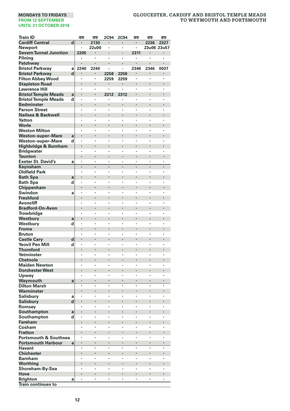| <b>Train ID</b>                                    |             | <b>m</b> | 罒       | 2C94      | 2C94      | <b>P</b> | Ø           | 罒       |
|----------------------------------------------------|-------------|----------|---------|-----------|-----------|----------|-------------|---------|
| <b>Cardiff Central</b>                             | d           |          | 2130    |           |           |          | 2236        | 2327    |
| Newport                                            |             | $\cdot$  | 22u00   | ٠         | ٠         | ٠        | 23u06 23u57 |         |
| <b>Severn Tunnel Junction</b>                      |             | 2205     |         |           | ł,        | 2311     |             |         |
| Pilning                                            |             | ٠        |         | ×         | ٠         | ٠        | $\cdot$     |         |
| Patchway                                           |             | l.       |         |           | ï         |          |             |         |
| <b>Bristol Parkway</b>                             | a           | 2240     | 2240    |           | ï         | 2346     | 2346        | 0037    |
| <b>Bristol Parkway</b>                             | $\mathbf d$ |          |         | 2258      | 2258      |          |             |         |
| <b>Filton Abbey Wood</b>                           |             |          | ٠       | 2259      | 2259      | ٠        | ×,          | $\cdot$ |
| <b>Stapleton Road</b>                              |             |          |         |           | ł         |          |             |         |
| <b>Lawrence Hill</b>                               |             |          |         | ٠         | ä,        | ï        | ï           | $\cdot$ |
| <b>Bristol Temple Meads</b>                        | a<br>d      | ,        | ,       | 2312<br>× | 2312<br>٠ | ,        | ٠           | $\cdot$ |
| <b>Bristol Temple Meads</b><br>Bedminster          |             |          |         |           |           |          |             |         |
| <b>Parson Street</b>                               |             |          |         | ï         | ï         | ï        | ï           |         |
| Nailsea & Backwell                                 |             |          |         | l,        |           | l,       | l.          |         |
| Yatton                                             |             |          |         |           | ï         |          | ï           |         |
| Worle                                              |             |          |         |           |           |          |             |         |
| <b>Weston Milton</b>                               |             |          | ٠       | ï         | ï         | ٠        | ٠           | $\cdot$ |
| <b>Weston-super-Mare</b>                           | a           |          |         | ï         | i,        |          |             |         |
| Weston-super-Mare                                  | d           | $\cdot$  | ,       | ×         | ٠         | ï        | ï           | $\cdot$ |
| Highbridge & Burnham                               |             |          |         |           | i,        |          |             |         |
| <b>Bridgwater</b>                                  |             | ,        |         | ×         | ٠         | ,        | ï           | ,       |
| Taunton                                            |             |          |         |           | ł         |          |             |         |
| <b>Exeter St. David's</b>                          | a           |          |         | ï         | ï         | ,        | ï           |         |
| Keynsham                                           |             |          |         | l,<br>ä,  | ï         | ï        | l,<br>ä,    |         |
| <b>Oldfield Park</b>                               |             |          |         |           | ï         |          |             |         |
| <b>Bath Spa</b><br><b>Bath Spa</b>                 | a<br>d      |          |         | ٠         | ٠         | ï        | ٠           | ٠       |
| Chippenham                                         |             |          |         |           | ı,        |          |             |         |
| Swindon                                            | a           |          | ٠       | ٠         | ł,        | ٠        | ٠           | $\cdot$ |
| <b>Freshford</b>                                   |             |          |         |           | ï         |          |             |         |
| Avoncliff                                          |             |          |         | ł,        | ł,        |          |             |         |
| <b>Bradford-On-Avon</b>                            |             |          |         |           | ×         |          |             |         |
| Trowbridge                                         |             |          |         |           | ï         |          |             |         |
| Westbury                                           | a           |          |         | ï         |           | l,       |             |         |
| Westbury                                           | d           |          | $\cdot$ | ï         | ł,        | ï        | ï           | $\cdot$ |
| <b>Frome</b>                                       |             |          |         |           |           |          |             |         |
| <b>Bruton</b>                                      |             | ,        | ,       | ×         | ٠         | ï        | ï           | $\cdot$ |
| <b>Castle Cary</b>                                 | d           |          |         |           | ł,        |          |             |         |
| <b>Yeovil Pen Mill</b>                             | d           | ,        | ,       |           | ł,<br>ï   | l,       | ï           |         |
| <b>Thornford</b><br>Yetminster                     |             |          |         |           | ï         |          |             |         |
| <b>Chetnole</b>                                    |             |          |         |           | ł.        |          |             |         |
| <b>Maiden Newton</b>                               |             |          |         | ï         | ï         | ï        | ï           |         |
| <b>Dorchester West</b>                             |             |          |         |           |           |          |             |         |
| Upwey                                              |             | $\cdot$  | $\cdot$ | ٠         | ×         | ï        | ï           | $\cdot$ |
| Weymouth                                           | a           |          |         |           |           |          |             |         |
| <b>Dilton Marsh</b>                                |             |          |         | ï         | ï         | ï        | ï           |         |
| Warminster                                         |             |          |         |           | ۰         |          |             |         |
| Salisbury                                          | a           |          |         |           | ł,        |          |             |         |
| <b>Salisbury</b>                                   | d           |          |         | ï         | ï         | ï        | l.          |         |
| Romsey                                             |             |          |         |           | ï         |          | ,           |         |
| Southampton                                        | a           |          |         |           |           |          |             |         |
| Southampton                                        | d           | ,        |         | ٠         | ٠         | ï        | ٠           |         |
| <b>Fareham</b>                                     |             |          |         |           | ï<br>×    | ï        |             |         |
| Cosham                                             |             |          | $\cdot$ | ×         |           |          | ï           |         |
| <b>Fratton</b><br><b>Portsmouth &amp; Southsea</b> |             |          |         |           | ł,        | ,        | ï           | $\cdot$ |
| <b>Portsmouth Harbour</b>                          | a           |          |         |           | ł         |          |             |         |
| <b>Havant</b>                                      |             |          |         | ï         | ï         |          | ï           |         |
| <b>Chichester</b>                                  |             |          |         | ï         | ï         |          |             |         |
| <b>Barnham</b>                                     |             |          |         | ï         | ï         | ï        | ï           |         |
| Worthing                                           |             |          |         |           |           |          |             |         |
| Shoreham-By-Sea                                    |             |          |         | ٠         | ×         | ٠        | ٠           | $\cdot$ |
| Hove                                               |             |          |         |           | ı,        | ï        |             |         |
| <b>Brighton</b>                                    | a           |          |         | ٠         | ï         | ï        | ï           |         |
| <b>Train continues to</b>                          |             |          |         |           |           |          |             |         |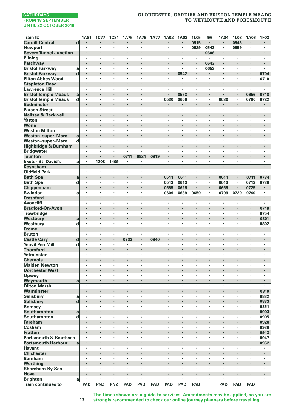# **GLOUCESTER, CARDIFF AND BRISTOL TEMPLE MEADS TO WEYMOUTH AND PORTSMOUTH**

| <b>Train ID</b>                   |                         | 1A81           | <b>1C77</b>          | <b>1C81</b> | <b>1A75</b>        | 1A76 | <b>1A77</b> | 1A02   | 1A03                 | 1L05           | 罒                    | 1A04                            | 1L08 | 1A06   | 1F03                 |
|-----------------------------------|-------------------------|----------------|----------------------|-------------|--------------------|------|-------------|--------|----------------------|----------------|----------------------|---------------------------------|------|--------|----------------------|
| <b>Cardiff Central</b>            | $\overline{\mathbf{d}}$ | $\blacksquare$ | ×                    | $\cdot$     |                    | ł.   |             | ٠      | $\cdot$              | 0515           | $\cdot$              | $\cdot$                         | 0545 | ٠      | $\blacksquare$       |
| <b>Newport</b>                    |                         | ×              | ٠                    | $\cdot$     | $\cdot$            | ٠    | ٠           | ٠      | ٠                    | 0529           | 0543                 | $\cdot$                         | 0559 | ٠      | ×,                   |
| <b>Severn Tunnel Junction</b>     |                         |                |                      |             |                    | ï    |             | i,     |                      | ٠              | 0608                 |                                 | ٠    |        | l,                   |
| Pilnina                           |                         | ٠              | ï                    |             | $\cdot$            | ×    | ×           | ï      |                      | ٠              | ٠                    | $\cdot$                         | ٠    | ×      | ×                    |
| Patchway                          |                         | ٠              | ٠                    |             | $\cdot$            | ï    |             | ٠      | $\ddot{\phantom{0}}$ |                | 0643                 | $\cdot$                         |      | ł      | ł                    |
| <b>Bristol Parkway</b>            | a                       | ×              |                      |             | $\cdot$            |      | ×           | ٠      | ٠                    | ٠              | 0653                 | $\cdot$                         | ×    | ٠      | ×.                   |
| <b>Bristol Parkway</b>            | $\mathbf d$             | ï              | $\ddot{\phantom{0}}$ |             | $\cdot$            | ï    | ï           | i,     | 0542                 |                |                      | $\cdot$                         | l,   | i,     | 0704                 |
| <b>Filton Abbey Wood</b>          |                         | ٠              | ٠                    |             | $\cdot$            | ï    | ٠           | ×.     |                      | ×              | $\cdot$              |                                 | ×    | ٠      | 0710                 |
| <b>Stapleton Road</b>             |                         |                |                      |             |                    |      |             | ł.     |                      | ×              |                      |                                 | ł.   | ٠      | ٠                    |
| <b>Lawrence Hill</b>              |                         | $\bullet$      | ٠                    | ٠           | $\cdot$            | ٠    | ٠           | ٠      | ٠                    | ٠              | $\cdot$              | $\cdot$                         | ٠    | ٠      | $\ddot{\phantom{a}}$ |
| <b>Bristol Temple Meads</b>       | a                       |                |                      |             |                    |      |             | ł.     | 0553                 |                |                      |                                 |      | 0656   | 0718                 |
| <b>Bristol Temple Meads</b>       | d                       | ÷,             | ×                    | $\cdot$     | $\cdot$            | ٠    | ×           | 0530   | 0600                 | ×              | $\cdot$              | 0630                            | ×    | 0700   | 0722                 |
| <b>Bedminster</b>                 |                         |                |                      |             |                    | ï    |             | ٠      |                      | ٠              |                      |                                 | ł    |        |                      |
| <b>Parson Street</b>              |                         | ٠              |                      |             | $\cdot$            | ×    | ×           | ł,     |                      | ٠              |                      |                                 | ٠    | ٠      | ł,                   |
| Nailsea & Backwell                |                         | ٠              |                      |             |                    |      |             | ×      |                      | ٠              |                      | $\cdot$                         | ×    | ×      |                      |
| Yatton                            |                         | ٠              |                      |             | $\cdot$            | ×    | ×           | ł,     | ٠                    | ï              |                      |                                 | ٠    | ٠      | ٠                    |
| Worle                             |                         |                |                      |             |                    | ï    |             | l,     |                      | ٠              |                      | $\cdot$                         | l,   | ï      | l,                   |
| <b>Weston Milton</b>              |                         | ٠              | ×                    |             | $\cdot$            | ï    | ٠           | ×.     | ×                    | ×              | $\cdot$              |                                 | ٠    | ٠      | ٠                    |
| <b>Weston-super-Mare</b>          | a                       |                |                      |             |                    |      |             |        |                      |                |                      |                                 |      | ×      |                      |
| <b>Weston-super-Mare</b>          | d                       | ٠              | ٠                    | ,           | $\cdot$            | ٠    | ٠           | ٠      | ٠                    | ٠              | $\cdot$              | $\cdot$                         | ٠    | ٠      | ٠                    |
| Highbridge & Burnham              |                         |                |                      |             |                    |      |             | ł.     |                      |                |                      | $\cdot$                         | ł.   |        |                      |
| <b>Bridgwater</b>                 |                         | ł,             | ٠                    |             |                    | ï    |             | ٠      | ٠                    | ٠              | $\cdot$              | $\cdot$                         | ł,   | ×      | ×                    |
| Taunton                           |                         |                |                      |             | 0711               | 0824 | 0919        | ٠      | $\ddot{\phantom{0}}$ | ٠              |                      | $\cdot$                         | ï    | ï      | ä,                   |
| <b>Exeter St. David's</b>         | a                       | ٠              | 1208                 | 1409        |                    |      |             | ٠      |                      |                |                      |                                 |      |        |                      |
| Keynsham                          |                         | ٠              |                      |             | $\cdot$            |      | ٠           | ۰      | ٠                    | $\blacksquare$ | $\blacksquare$       | $\cdot$                         |      | ٠      | ٠                    |
| <b>Oldfield Park</b>              |                         | ,              | ,                    |             | $\cdot$            | ×    | ×           | ٠      | ٠                    | ٠              | $\cdot$              |                                 | ٠    | ł,     | ٠                    |
| <b>Bath Spa</b>                   | a                       |                |                      |             |                    | ï    | l,          | 0541   | 0611                 |                |                      | 0641                            | l,   | 0711   | 0734                 |
| <b>Bath Spa</b>                   | d                       | ×              | ×                    |             | $\cdot$            | ï    | ٠           | 0543   | 0613                 | $\cdot$        | $\cdot$              | 0643                            | ×    | 0713   | 0736                 |
| Chippenham                        |                         |                |                      |             |                    |      |             | 0555   | 0625                 |                |                      | 0655                            | i,   | 0725   |                      |
| Swindon                           | a                       | ٠              | ٠                    | $\cdot$     | $\cdot$            | ٠    | ٠           | 0609   | 0639                 | 0650           | $\cdot$              | 0709                            | 0720 | 0740   | ٠                    |
| <b>Freshford</b>                  |                         |                |                      |             |                    |      |             |        |                      |                |                      |                                 |      |        | ×,                   |
| <b>Avoncliff</b>                  |                         | ٠              | ٠                    |             | $\cdot$            | ×    | ٠           | ٠      | ٠                    | ٠              | $\cdot$              | $\cdot$                         | ×    | ×,     |                      |
| <b>Bradford-On-Avon</b>           |                         | ï              | $\ddot{\phantom{0}}$ |             | $\cdot$            | ï    |             | ×      |                      | ٠              |                      | $\cdot$                         | ï    | ٠      | 0748                 |
| <b>Trowbridge</b>                 |                         |                |                      |             |                    | ï    |             | ï      |                      | ï              |                      |                                 |      | ł,     | 0754                 |
| Westbury                          | a                       | ×              |                      |             |                    |      |             | ł,     |                      | ٠              |                      | $\cdot$                         | ×    | ٠      | 0801                 |
| Westbury                          | d                       | ٠              | ٠                    |             | $\cdot$            | ×    | ٠           | ï      | ×                    | ï              | $\cdot$              | $\cdot$                         | ٠    | ł,     | 0802                 |
| <b>Frome</b>                      |                         | ï              |                      |             |                    |      |             |        |                      |                |                      | $\cdot$                         | ï    | ł.     |                      |
| <b>Bruton</b>                     |                         | ×              | ×                    | $\cdot$     | $\cdot$            | ٠    | ×           | ×.     | ×                    | ×              | $\cdot$              | $\cdot$                         | ٠    | ٠      | ×.                   |
| <b>Castle Cary</b>                | d                       |                |                      |             | 0733               |      | 0940        |        |                      |                |                      |                                 | ï    |        |                      |
| <b>Yeovil Pen Mill</b>            | d                       | ٠              | ٠                    | $\cdot$     | ٠                  | ٠    | ٠           | ٠      | ٠                    | ٠              | $\cdot$              | $\cdot$                         | ٠    | ٠      | ٠                    |
| <b>Thornford</b>                  |                         |                |                      |             |                    | ł    |             | ł      |                      |                |                      | $\cdot$                         | ł    |        | ł                    |
| Yetminster                        |                         | ٠              | ٠                    |             | $\cdot$            | ×    |             | ٠      | ٠                    | ٠              | ٠                    |                                 | ٠    | ï      | ï                    |
| <b>Chetnole</b>                   |                         |                |                      |             | $\cdot$            | ï    |             | ٠      |                      |                |                      | $\cdot$                         | ï    |        | ï                    |
| <b>Maiden Newton</b>              |                         |                |                      |             |                    | ï    |             | ï      |                      | ï              |                      |                                 | ï    |        |                      |
|                                   |                         | ٠              |                      |             | $\cdot$            |      |             | ł,     |                      |                |                      | $\cdot$                         | ×    | ×      |                      |
| <b>Dorchester West</b>            |                         | ٠              | ٠                    | $\cdot$     | $\cdot$            | ٠    | ٠           | ×      | ٠                    | ٠              | $\ddot{\phantom{0}}$ | $\cdot$                         | ٠    | ٠      | ٠                    |
| Upwey                             |                         |                | ï                    |             | $\cdot$            | ï    | i,          | i,     |                      |                |                      |                                 | l,   | i,     | ä,                   |
| Weymouth                          | a                       | ×              | ×                    | $\cdot$     | $\cdot$            | ٠    | ×           | ٠      | ×                    | ×              | $\cdot$              | $\cdot$                         | ٠    | ٠      |                      |
| <b>Dilton Marsh</b><br>Warminster |                         |                |                      |             | $\cdot$            |      |             |        |                      |                |                      |                                 | ï    | ł,     | 0810                 |
| <b>Salisbury</b>                  |                         | ٠              | ٠                    | $\cdot$     | $\cdot$            | ٠    | ٠           | ٠      | ٠                    | ٠              | $\cdot$              | $\cdot$                         | ٠    | ٠      | 0832                 |
|                                   | a                       |                |                      |             |                    |      |             | ł,     |                      | ×              |                      | $\centering \label{eq:reduced}$ |      |        |                      |
| Salisbury                         | d                       | ٠<br>ł,        | ï                    |             | $\cdot$            | ×    |             |        | ٠                    | ٠              | ٠                    |                                 | ł,   | ٠<br>ï | 0833                 |
| Romsey                            |                         | l,             | l,                   |             | $\cdot$            | ï    |             | ٠      | l,                   |                |                      | $\cdot$                         | ï    |        | 0851<br>0903         |
| Southampton                       | a                       |                | ,                    |             |                    |      |             |        |                      | ï              |                      |                                 |      | ×,     | 0905                 |
| Southampton<br><b>Fareham</b>     | d                       | ×              |                      |             |                    |      |             |        |                      |                |                      | $\cdot$                         | ï    | ٠      |                      |
| Cosham                            |                         | ٠              | ٠                    | $\cdot$     | $\cdot$            | ٠    | ٠           | ٠      | ٠                    | ٠              | $\cdot$              | $\cdot$                         | ٠    | ٠      | 0928                 |
|                                   |                         |                |                      | ï           |                    |      |             |        |                      |                |                      |                                 | ï    | ï      | 0936                 |
| <b>Fratton</b>                    |                         | ×              | ٠                    |             |                    | ï    | ٠           | ×,     | ł,                   | ٠              |                      |                                 | ×    | ×      | 0943                 |
| <b>Portsmouth &amp; Southsea</b>  |                         |                |                      |             |                    |      | ł.          |        |                      |                |                      |                                 |      |        | 0947                 |
| <b>Portsmouth Harbour</b>         | $\mathbf{a}$            | ÷,             | l,                   |             | $\cdot$<br>$\cdot$ | ï    | ł,          | ï      | ÷,                   | l,             |                      |                                 | ł,   | ł,     | 0952<br>٠            |
| <b>Havant</b>                     |                         |                |                      |             |                    |      |             |        |                      |                |                      |                                 |      |        |                      |
| <b>Chichester</b>                 |                         | ٠              | ٠<br>ï               |             | ٠                  | ï    |             | ï      | ł,                   | ï              |                      |                                 | ï    | ï      | ٠<br>ï               |
| <b>Barnham</b>                    |                         |                |                      |             |                    |      |             |        |                      |                |                      |                                 |      |        | ï                    |
| <b>Worthing</b>                   |                         |                |                      |             | $\cdot$            |      |             | ×      |                      | ×,             |                      | $\cdot$                         |      |        |                      |
| Shoreham-By-Sea                   |                         |                |                      |             |                    | ï    |             | ï      |                      | ï              |                      |                                 | ï    |        |                      |
| Hove                              |                         |                |                      |             |                    | ٠    | ٠           | ٠<br>٠ |                      | ٠              |                      | $\cdot$                         |      |        |                      |
| <b>Brighton</b>                   | a                       | ٠              | ٠                    |             | $\cdot$            | ٠    |             |        | ٠                    | ٠              | $\blacksquare$       | $\cdot$                         | ٠    | ٠      | ٠                    |
| <b>Train continues to</b>         |                         | PAD            | PNZ                  | PNZ         | PAD                | PAD  | PAD         | PAD    | PAD                  | PAD            |                      | PAD                             | PAD  | PAD    |                      |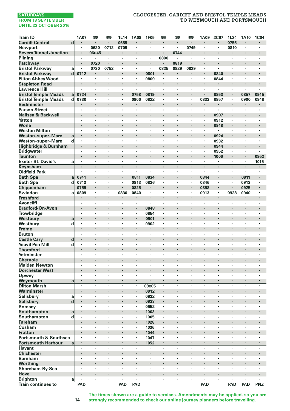# **GLOUCESTER, CARDIFF AND BRISTOL TEMPLE MEADS TO WEYMOUTH AND PORTSMOUTH**

| <b>Train ID</b>                     |                | 1A07                            | <b>P</b> | œ       | 1L14   | <b>1A08</b>         | <b>1F05</b>          | <b>m</b>       | œ              | <b>m</b> | 1A09       | 2C67           | 1L24                 | 1A10                 | 1C04           |
|-------------------------------------|----------------|---------------------------------|----------|---------|--------|---------------------|----------------------|----------------|----------------|----------|------------|----------------|----------------------|----------------------|----------------|
| <b>Cardiff Central</b>              | $\overline{d}$ | $\blacksquare$                  | $\cdot$  | ٠       | 0655   | $\blacksquare$      | $\blacksquare$       | $\blacksquare$ | $\blacksquare$ | $\cdot$  | ٠          | ٠              | 0755                 | ٠                    | $\blacksquare$ |
| Newport                             |                | $\cdot$                         | 0620     | 0712    | 0709   | ٠                   | $\blacksquare$       | $\cdot$        | $\cdot$        | 0749     | ٠          | ٠              | 0810                 | $\cdot$              |                |
| <b>Severn Tunnel Junction</b>       |                | $\cdot$                         | 06u45    |         |        | ×                   |                      |                | 0744           |          | ×          |                |                      |                      |                |
| Pilning                             |                | $\cdot$                         | ٠        | ×       | ×      | $\cdot$             | ×,                   | 0800           | $\cdot$        | $\cdot$  | ×          | ×              | ×                    | ×                    |                |
| Patchway                            |                |                                 | 0720     |         |        |                     |                      |                | 0819           |          |            |                |                      |                      |                |
| <b>Bristol Parkway</b>              | a              | $\cdot$                         | 0730     | 0752    | ٠      | ٠                   | $\blacksquare$       | 0825           | 0829           | 0829     | ٠          | $\blacksquare$ | ٠                    | ٠                    |                |
| <b>Bristol Parkway</b>              | $\mathbf d$    | 0712                            |          |         |        | $\blacksquare$      | 0801                 |                |                |          | ٠          | 0840           | $\blacksquare$       |                      |                |
| <b>Filton Abbey Wood</b>            |                | $\cdot$                         |          | ٠       | ٠      | $\cdot$             | 0809                 | $\cdot$        |                |          | ٠          | 0844           | $\cdot$              | ٠                    |                |
| <b>Stapleton Road</b>               |                | $\cdot$                         |          | ×       | l,     |                     | $\blacksquare$       |                |                |          |            |                |                      | l,                   |                |
| <b>Lawrence Hill</b>                |                |                                 |          | ٠       | ×,     | ٠                   | ٠                    |                | $\cdot$        |          | ×          | ٠              | ٠                    |                      |                |
| <b>Bristol Temple Meads</b>         | a              | 0724                            |          |         | ł.     | 0758                | 0819                 |                |                |          | ł.         | 0853           | $\cdot$              | 0857                 | 0915           |
| <b>Bristol Temple Meads</b>         | d              | 0730                            | $\cdot$  | ٠       | ٠      | 0800                | 0822                 | $\cdot$        | $\cdot$        | $\cdot$  | 0833       | 0857           | $\cdot$              | 0900                 | 0918           |
| <b>Bedminster</b>                   |                |                                 |          |         | ï      |                     |                      |                |                |          |            | i,             |                      |                      |                |
| <b>Parson Street</b>                |                | $\cdot$                         | $\cdot$  | ٠       | ٠      | ×,                  | ×                    |                | $\cdot$        |          | ×,         | $\blacksquare$ | ٠                    | $\cdot$              |                |
| Nailsea & Backwell                  |                |                                 |          |         | ï      |                     |                      |                |                |          | ł.         | 0907           |                      |                      |                |
| Yatton                              |                | ٠                               | $\cdot$  | ٠       | ×      | ٠                   | ٠                    |                | ٠              | $\cdot$  | ٠          | 0912           | ٠                    | ٠                    | $\cdot$        |
| Worle                               |                | $\centering \label{eq:reduced}$ |          | ٠       | ×      | ٠                   |                      | ï              |                |          | ٠          | 0918           | $\blacksquare$       |                      |                |
| <b>Weston Milton</b>                |                |                                 |          | ×       |        | ٠                   |                      |                |                |          | ×          | ٠              | ٠                    | ٠                    |                |
| <b>Weston-super-Mare</b>            | a              | $\cdot$                         |          | ×       | ï      | $\cdot$             |                      | ł.             |                |          | l,         | 0924           |                      |                      |                |
| <b>Weston-super-Mare</b>            | d              | $\cdot$                         | i.       | ٠       | ï      | ï                   | $\ddot{\phantom{0}}$ | l.             | $\cdot$        | i.       | ٠          | 0932           | ï                    | $\ddot{\phantom{0}}$ |                |
| Highbridge & Burnham                |                |                                 |          |         |        | ٠                   |                      |                |                |          |            | 0944           | $\blacksquare$       |                      |                |
| <b>Bridgwater</b>                   |                | ٠                               | $\cdot$  | ٠       | ٠      | ٠                   | ٠                    | $\cdot$        | ٠              | ,        | ٠          | 0952           | ٠                    | ٠                    | ٠              |
| <b>Taunton</b>                      |                |                                 |          |         | ł.     |                     |                      |                |                |          |            | 1006           | $\blacksquare$       |                      | 0952           |
| <b>Exeter St. David's</b>           | a              | $\cdot$                         | $\cdot$  | ×       | ×      |                     | ÷,                   |                | $\cdot$        | $\cdot$  |            | ٠              | ×                    | ÷,                   | 1015           |
| Keynsham                            |                | $\cdot$                         | $\cdot$  | $\cdot$ | ÷      | ×,                  | $\cdot$              | $\cdot$        | $\cdot$        | $\cdot$  | ÷.         | ÷.             | $\cdot$              |                      |                |
| <b>Oldfield Park</b>                |                |                                 |          |         |        | ï                   |                      |                |                |          | ł,         | ł,             | ,                    | $\cdot$              |                |
| <b>Bath Spa</b>                     | a              | 0741                            | $\cdot$  |         | ٠      | 0811                | 0834                 |                |                |          | 0844       | ٠              | $\blacksquare$       | 0911                 | $\blacksquare$ |
| <b>Bath Spa</b>                     | d              | 0743                            | $\cdot$  | ٠       | ٠      | 0813                | 0836                 | $\cdot$        | ÷,             |          | 0846       | ٠              | $\cdot$              | 0913                 |                |
| Chippenham                          |                | 0755                            |          | ٠       |        | 0825                |                      |                |                |          | 0858       |                |                      | 0925                 |                |
| Swindon                             | a              | 0809                            | $\cdot$  | ×       | 0830   | 0840                | $\cdot$              | $\cdot$        | $\cdot$        | $\cdot$  | 0913       | $\bullet$      | 0928                 | 0940                 |                |
| <b>Freshford</b>                    |                |                                 |          |         |        |                     |                      |                |                |          |            | ï              |                      |                      |                |
| <b>Avoncliff</b>                    |                | $\cdot$                         | $\cdot$  | ٠       | ٠      | ٠                   | $\cdot$              | $\cdot$        | $\cdot$        | ٠        | ٠          | ٠              | ٠                    | ٠                    | $\cdot$        |
| <b>Bradford-On-Avon</b>             |                | ٠                               |          | ï       | ×<br>ï | $\blacksquare$<br>ï | 0848                 |                |                |          | ×          | ï              | ï                    | ï                    |                |
| Trowbridge                          |                |                                 |          |         | ï      | l,                  | 0854                 |                |                |          | ×          |                | $\blacksquare$       |                      |                |
| Westbury                            | a              |                                 |          | ٠       | ×,     | ٠                   | 0901                 |                | $\cdot$        |          | ٠          | ٠              | $\cdot$              | ï                    |                |
| Westbury                            | d              |                                 |          |         |        |                     | 0902                 |                |                |          |            |                |                      |                      |                |
| <b>Frome</b>                        |                | $\cdot$                         | $\cdot$  | ٠       | ٠      | ٠<br>×              | ٠                    | $\cdot$        | $\cdot$        | $\cdot$  | ٠          | ٠              | ٠                    | ٠                    |                |
| <b>Bruton</b><br><b>Castle Cary</b> | d              |                                 |          |         | ï      |                     |                      |                |                |          |            | ï              |                      |                      |                |
| <b>Yeovil Pen Mill</b>              | d              | $\cdot$                         | $\cdot$  | ٠       | ٠      | ٠                   | ×                    | $\cdot$        | $\cdot$        |          | ٠          | ٠              | ٠                    | ٠                    |                |
| <b>Thornford</b>                    |                |                                 |          |         | ï      |                     |                      |                |                |          |            | ï              |                      |                      |                |
| Yetminster                          |                | ٠                               | ٠        | ٠       | ×      | ٠                   | ٠                    |                | ٠              |          | ٠          | ×              | ٠                    | ٠                    | $\cdot$        |
| <b>Chetnole</b>                     |                |                                 | ٠        |         | ٠      |                     |                      | ٠              |                | ٠        |            | ٠              | ٠                    | ٠                    |                |
| <b>Maiden Newton</b>                |                |                                 |          | ٠       | ×,     |                     | ,                    |                |                |          |            |                |                      | ٠                    |                |
| <b>Dorchester West</b>              |                |                                 |          |         | ï      |                     | l,                   | ï              |                |          | ï          | ï              | $\ddot{\phantom{0}}$ |                      |                |
| Upwey                               |                | $\cdot$                         | $\cdot$  | ×       | ٠      | $\cdot$             | ٠                    | $\cdot$        | $\cdot$        | $\cdot$  | ٠          | ×              | ×                    | ×                    |                |
| Weymouth                            | a              | $\cdot$                         |          |         | ×      | $\cdot$             | ï                    |                |                |          |            |                | $\cdot$              |                      |                |
| <b>Dilton Marsh</b>                 |                | $\cdot$                         | $\cdot$  | ٠       | ٠      | ٠                   | 09x05                | $\cdot$        | $\cdot$        | $\cdot$  | ٠          | ٠              | ٠                    | ٠                    | ٠              |
| Warminster                          |                | $\cdot$                         |          |         |        | $\blacksquare$      | 0912                 |                |                |          |            |                | $\cdot$              |                      |                |
| Salisbury                           | a              | $\cdot$                         | $\cdot$  | ٠       | ٠      | $\cdot$             | 0932                 | $\cdot$        | ٠              |          | ٠          | ٠              | ٠                    | ٠                    |                |
| Salisbury                           | d              |                                 |          | ×       | ï      | $\cdot$             | 0933                 |                |                |          | ×          | ï              | $\cdot$              | ï                    |                |
| Romsey                              |                |                                 |          |         | ï      |                     | 0952                 |                |                |          |            | ï              | ï                    | ï                    |                |
| Southampton                         | a              | $\cdot$                         |          |         |        | $\blacksquare$      | 1003                 |                |                |          |            |                |                      |                      |                |
| Southampton                         | d              | $\cdot$                         | $\cdot$  | ٠       | ٠      | ٠                   | 1005                 | $\blacksquare$ | ٠              | ,        | ٠          | ٠              | ٠                    | ٠                    |                |
| <b>Fareham</b>                      |                |                                 |          |         | ï      |                     | 1028                 |                |                |          |            |                |                      |                      |                |
| Cosham                              |                | $\ddot{\phantom{0}}$            | $\cdot$  | ×       | ×      | ×                   | 1036                 | $\cdot$        | $\cdot$        | $\cdot$  | ×          | ×              | ×                    | ×                    | $\cdot$        |
| <b>Fratton</b>                      |                |                                 |          |         |        |                     | 1044                 |                |                |          |            | ï              |                      |                      |                |
| <b>Portsmouth &amp; Southsea</b>    |                | $\cdot$                         | $\cdot$  | ٠       | ×      | ٠                   | 1047                 | $\blacksquare$ |                | ٠        | ٠          | ×              | ٠                    | ٠                    |                |
| <b>Portsmouth Harbour</b>           | a              | $\cdot$                         | $\cdot$  | ٠       | ×      | $\blacksquare$      | 1052                 | $\cdot$        |                |          | ٠          | ٠              | $\blacksquare$       | ×                    |                |
| <b>Havant</b>                       |                |                                 |          |         |        | ï                   |                      |                |                |          | ł,         | ÷,             | ï                    | l,                   |                |
| <b>Chichester</b>                   |                | $\cdot$                         |          | ٠       | ł.     | ×                   | ï                    |                |                |          | ×          |                | $\cdot$              |                      |                |
| <b>Barnham</b>                      |                |                                 |          | ٠       | ٠      | ٠                   | ï                    | $\cdot$        | $\cdot$        |          | ٠          | ٠              | ×                    | ×                    |                |
| Worthing                            |                |                                 |          |         |        | ٠                   |                      | ٠              |                |          |            |                |                      |                      |                |
| Shoreham-By-Sea                     |                | $\cdot$                         | $\cdot$  | ٠       | ×      | $\cdot$             | $\cdot$              | $\cdot$        | $\cdot$        | ٠        | ٠          | ٠              | ٠                    | ٠                    | $\cdot$        |
| Hove                                |                |                                 |          |         | ï      | $\cdot$             |                      |                |                |          |            |                |                      |                      |                |
| <b>Brighton</b>                     | a              | $\cdot$                         | $\cdot$  | ٠       | ×      |                     | ×,                   |                | $\cdot$        |          | ٠          | ï              | ٠                    | ×                    | $\cdot$        |
| <b>Train continues to</b>           |                | PAD                             |          |         | PAD    | PAD                 |                      |                |                |          | <b>PAD</b> |                | PAD                  | PAD                  | PNZ            |

**The times shown are a guide to services. Amendments may be applied, so you are strongly recommended to check our online journey planners before travelling.**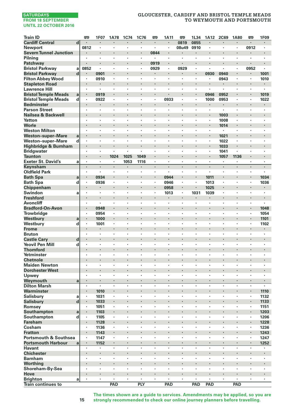# **GLOUCESTER, CARDIFF AND BRISTOL TEMPLE MEADS TO WEYMOUTH AND PORTSMOUTH**

| <b>Train ID</b>                  |                | O                    | 1F07    | <b>1A78</b>                     | 1C74                            | 1C76 | œ       | 1A11           | œ                    | 1L34    | 1A12      | <b>2C69</b>    | <b>1A80</b> | œ              | 1F09           |
|----------------------------------|----------------|----------------------|---------|---------------------------------|---------------------------------|------|---------|----------------|----------------------|---------|-----------|----------------|-------------|----------------|----------------|
| <b>Cardiff Central</b>           | $\overline{d}$ | $\blacksquare$       | ×,      |                                 | $\centering \label{eq:reduced}$ | ٠    | ٠       | $\blacksquare$ | 0819                 | 0855    | $\cdot$   | $\blacksquare$ |             | ×              | ×,             |
| <b>Newport</b>                   |                | 0812                 | ٠       |                                 |                                 | ٠    |         | ï              | 08u49                | 0910    |           |                | ٠           | 0912           | ٠              |
| <b>Severn Tunnel Junction</b>    |                |                      |         |                                 |                                 | l,   | 0844    | ×,             |                      | ٠       |           | $\cdot$        | ł.          | ×              | l,             |
| Pilnina                          |                |                      | ï       |                                 |                                 |      |         | ï              |                      |         |           |                |             |                | ٠              |
| Patchway                         |                |                      | ×       |                                 | $\cdot$                         | ł.   | 0919    | ٠              | ×                    | ×       | $\cdot$   | $\cdot$        | ٠           | ٠              | ×              |
| <b>Bristol Parkway</b>           | a              | 0852                 |         | $\cdot$                         |                                 | ٠    | 0929    | $\blacksquare$ | 0929                 |         | $\cdot$   | $\cdot$        | ٠           | 0952           | ×.             |
| <b>Bristol Parkway</b>           | d              |                      | 0901    |                                 |                                 | ï    |         | ï              |                      |         | 0930      | 0940           | i,          |                | 1001           |
| <b>Filton Abbey Wood</b>         |                | $\cdot$              | 0910    | $\cdot$                         |                                 | ×    | ٠       | ٠              | ×                    | ×       | $\cdot$   | 0943           | ×           | ÷              | 1010           |
| <b>Stapleton Road</b>            |                |                      |         |                                 |                                 |      |         |                |                      |         |           |                |             |                | ×,             |
| <b>Lawrence Hill</b>             |                | ٠                    | $\cdot$ | $\cdot$                         | $\cdot$                         | ٠    | ٠       | ٠              | ٠                    | ٠       | $\cdot$   | $\cdot$        | ٠           | ٠              | $\blacksquare$ |
| <b>Bristol Temple Meads</b>      | a              | $\blacksquare$       | 0919    | $\cdot$                         |                                 | ï    |         | ï              |                      |         | 0946      | 0952           | ×,          | ٠              | 1019           |
| <b>Bristol Temple Meads</b>      | d              | ×                    | 0922    | $\cdot$                         |                                 | ×    | ٠       | 0933           | $\cdot$              | ٠       | 1000      | 0953           | ٠           | ٠              | 1022           |
| <b>Bedminster</b>                |                |                      |         | $\cdot$                         | $\cdot$                         | ï    | ٠       |                |                      |         | $\bullet$ | $\cdot$        | ł.          | ×              | ×              |
| <b>Parson Street</b>             |                |                      |         |                                 |                                 | ł,   |         | ï              |                      | ,       |           |                |             | ï              | ï              |
| Nailsea & Backwell               |                | ×                    | ×       | $\cdot$                         | $\cdot$                         |      |         |                |                      |         | $\bullet$ | 1003           | ٠           | ×              | ×              |
| Yatton                           |                | ٠                    | ٠       |                                 |                                 | ×    | ٠       | ï              | ٠                    | ٠       | $\cdot$   | 1008           | ٠           | ×              | ٠              |
| Worle                            |                |                      |         |                                 |                                 | ï    |         |                |                      |         |           | 1014           | l,          | ł,             | l,             |
| <b>Weston Milton</b>             |                | ٠                    | ×       | $\cdot$                         |                                 | ٠    | ٠       | ٠              | ×                    | ×       | $\cdot$   | $\cdot$        | ×           | ٠              | ٠              |
| <b>Weston-super-Mare</b>         | a              | ï                    |         |                                 |                                 |      |         |                |                      |         |           | 1021           |             |                |                |
| Weston-super-Mare                | d              | ٠                    | ٠       | $\cdot$                         | ,                               | ٠    | ٠       | ×              | ٠                    | ٠       | $\cdot$   | 1022           | ٠           | ٠              | ٠              |
| Highbridge & Burnham             |                | ×                    |         |                                 |                                 | ï    |         |                |                      |         |           | 1033           | ł.          |                |                |
| <b>Bridgwater</b>                |                | ł,                   | ï       |                                 |                                 | ï    | ï       | ٠              | ٠                    | ٠       | $\cdot$   | 1041           | ï           | ٠              | ٠              |
| Taunton                          |                | ï                    |         | 1024                            | 1025                            | 1049 | ٠       | ï              | $\cdot$              | ٠       | $\cdot$   | 1057           | 1136        |                |                |
| <b>Exeter St. David's</b>        | a              |                      | ٠       | $\cdot$                         | 1053                            | 1116 | ٠       | ï              |                      |         |           | ٠              |             | ï              | ٠              |
| Keynsham                         |                | $\blacksquare$       | $\cdot$ | $\centering \label{eq:reduced}$ | $\centering \label{eq:reduced}$ | ٠    | ٠       | ٠              | $\blacksquare$       | ٠       | $\cdot$   | $\cdot$        |             | ٠              | ×,             |
| <b>Oldfield Park</b>             |                |                      | ٠       |                                 |                                 | ٠    | ٠       | ٠              | ,                    | ,       |           |                | ٠           | ٠              | ×.             |
|                                  |                |                      |         |                                 |                                 |      | $\cdot$ |                |                      |         |           |                | l,          |                |                |
| <b>Bath Spa</b>                  | a              | $\cdot$              | 0934    |                                 |                                 | ٠    | ٠       | 0944           | ×,                   | $\cdot$ | 1011      |                | ×           |                | 1034           |
| <b>Bath Spa</b>                  | d              |                      | 0936    | $\cdot$                         |                                 |      |         | 0946           |                      |         | 1013      |                |             | ٠              | 1036           |
| Chippenham                       |                |                      | ٠       |                                 |                                 |      | ٠       | 0958           |                      |         | 1025      |                |             |                |                |
| Swindon                          | a              | ٠                    | ٠       | $\cdot$                         | $\cdot$                         | ٠    | ٠       | 1013           | ٠                    | 1031    | 1039      | $\cdot$        | ٠           | ٠              | ٠              |
| <b>Freshford</b>                 |                |                      |         | $\cdot$                         |                                 |      |         |                |                      |         |           |                | ł.          |                | ٠              |
| <b>Avoncliff</b>                 |                | ÷,                   | ï       | $\cdot$                         | $\cdot$                         | ٠    | ×       | ٠              | ٠                    | ×       | $\cdot$   | $\cdot$        | ×           | ï              | ä,             |
| <b>Bradford-On-Avon</b>          |                | ۰                    | 0948    |                                 | $\cdot$                         |      |         |                |                      | ×       |           | $\cdot$        | ٠           |                | 1048           |
| Trowbridge                       |                |                      | 0954    |                                 |                                 | ×    | ×       | ï              |                      | ٠       | ٠         |                | ×           | ï              | 1054           |
| Westbury                         | a              |                      | 1000    |                                 |                                 | ï    |         | ٠              |                      | ٠       |           |                | ×           | ٠              | 1101           |
| Westbury                         | d              | ×                    | 1001    |                                 |                                 |      | ٠       |                | ٠                    |         | ٠         |                | ٠           | ٠              | 1102           |
| Frome                            |                | l,                   | ٠       |                                 |                                 | ï    |         | ï              |                      |         |           | $\cdot$        | l,          | l,             |                |
| <b>Bruton</b>                    |                | $\ddot{\phantom{0}}$ | ï       |                                 |                                 | ï    | ٠       | ï              | $\ddot{\phantom{a}}$ | i.      | l.        |                | ٠           | ï              | ä,             |
| <b>Castle Cary</b>               | d              | ٠                    |         |                                 | ٠                               |      |         |                |                      |         |           | ٠              | ×           | ٠              |                |
| <b>Yeovil Pen Mill</b>           | d              | ٠                    | ×       | $\cdot$                         |                                 | ٠    | ٠       | ٠              | ٠                    | ×       | $\cdot$   | $\cdot$        | ×           | ٠              | ٠              |
| <b>Thornford</b>                 |                |                      |         |                                 |                                 |      |         |                |                      |         |           |                | ł.          |                | ×              |
| Yetminster                       |                | ×                    | ٠       | $\cdot$                         |                                 | ٠    | ٠       | ٠              | ٠                    | ٠       | $\cdot$   |                | ×           | ٠              | ٠              |
| <b>Chetnole</b>                  |                |                      |         |                                 |                                 | ï    |         | ï              |                      |         |           | $\cdot$        |             |                | ä,             |
| <b>Maiden Newton</b>             |                |                      | ٠       |                                 | $\cdot$                         | ×    | ×       |                | ٠                    | ٠       | ٠         | ,              | ٠           | ٠              | ×              |
| <b>Dorchester West</b>           |                |                      | ×       | $\cdot$                         |                                 | ł,   | ٠       |                |                      |         |           | $\cdot$        | ×           | ł,             | ×              |
| Upwey                            |                | ٠                    | ,       |                                 |                                 |      | ٠       | ï              |                      |         | ٠         |                | ٠           |                | ×,             |
| Weymouth                         | a              | l,                   |         |                                 | $\cdot$                         | ï    | ×       | ï              |                      |         | $\cdot$   | $\cdot$        |             |                | ä,             |
| <b>Dilton Marsh</b>              |                | ×                    | ÷,      | $\cdot$                         |                                 | ÷,   | ÷       | ï              | ×                    | l,      | $\cdot$   |                | ÷,          | ï              | ä,             |
| Warminster                       |                |                      | 1010    |                                 |                                 |      |         |                |                      |         |           |                |             | ٠              | 1110           |
| <b>Salisbury</b>                 | a              | ٠                    | 1031    | $\cdot$                         | $\cdot$                         | ٠    | ٠       | ٠              | ٠                    | ٠       | $\cdot$   | $\cdot$        | ٠           | ٠              | 1132           |
| <b>Salisbury</b>                 | $\mathbf d$    |                      | 1033    |                                 |                                 | ï    |         |                |                      |         |           |                | l,          |                | 1133           |
| Romsey                           |                | ×                    | 1051    | $\cdot$                         |                                 | ×    | ٠       | ٠              | ٠                    | ٠       | $\cdot$   |                | ٠           | ٠              | 1151           |
| Southampton                      | a              |                      | 1103    |                                 |                                 | ï    |         | ï              |                      |         |           |                |             | i,             | 1203           |
| Southampton                      | d              | ٠                    | 1105    | $\cdot$                         | ,                               | ×    | ٠       | ×              |                      | ٠       |           |                | ٠           | ٠              | 1206           |
| Fareham                          |                | ٠                    | 1128    |                                 | $\cdot$                         | ï    |         |                |                      |         |           | $\cdot$        | ×           |                | 1228           |
| Cosham                           |                |                      | 1136    |                                 |                                 |      | ł,      | ï              |                      |         |           |                | ł,          | ł,             | 1236           |
| <b>Fratton</b>                   |                |                      | 1143    |                                 |                                 | ï    |         |                |                      |         |           |                | ï           | i,             | 1243           |
| <b>Portsmouth &amp; Southsea</b> |                |                      | 1147    |                                 |                                 |      | ٠       | ٠              | ï                    | ٠       | ٠         |                | ٠           | ×,             | 1247           |
| <b>Portsmouth Harbour</b>        | a              | ٠                    | 1152    | $\blacksquare$                  | $\bullet$                       | ٠    | ٠       |                |                      | ٠       | $\cdot$   | $\blacksquare$ |             | ٠              | 1252           |
| <b>Havant</b>                    |                | ٠                    | ٠       | $\cdot$                         | $\cdot$                         | ×    | ٠       | ٠              | ٠                    | ×       | $\cdot$   |                | ٠           | ×              | ٠              |
| <b>Chichester</b>                |                |                      | ï       |                                 |                                 | ï    |         | ï              |                      |         |           |                |             | ï              | i,             |
| <b>Barnham</b>                   |                | ×                    | ٠       | $\cdot$                         | $\cdot$                         | ×    | ٠       | ٠              | ٠                    | ٠       | $\cdot$   |                | ٠           | ٠              | ٠              |
| Worthing                         |                |                      |         |                                 |                                 | ï    |         | ï              |                      |         |           |                |             |                | ï              |
| Shoreham-By-Sea                  |                | $\bullet$            | ٠       | ٠                               | ٠                               | ٠    | ٠       | ٠              | ٠                    | ٠       |           | ٠              | ٠           | ٠              | ٠              |
| Hove                             |                |                      | ×       | $\bullet$                       |                                 |      | ٠       |                |                      |         | $\cdot$   |                | ٠           |                |                |
| <b>Brighton</b>                  | a              | ×                    | ×       |                                 | $\cdot$                         | ×    | ï       | ï              | ï                    | ï       |           |                | ï           | $\blacksquare$ | ×              |
| <b>Train continues to</b>        |                |                      |         | PAD                             |                                 | PLY  |         | PAD            |                      | PAD     | PAD       |                | PAD         |                |                |
|                                  |                |                      |         |                                 |                                 |      |         |                |                      |         |           |                |             |                |                |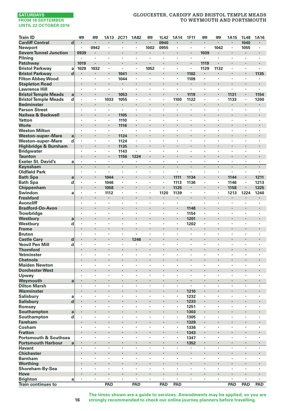# **GLOUCESTER, CARDIFF AND BRISTOL TEMPLE MEADS TO WEYMOUTH AND PORTSMOUTH**

| <b>Train ID</b>                                            |             | <b>PER</b>          | <b>PER</b>         | 1A13      | <b>2C71</b> | 1A82                 | œ              | 1L42           | 1A14               | 1F11               | 罒                    | <b>m</b> | 1A15                 | 1L48                 | 1A16       |
|------------------------------------------------------------|-------------|---------------------|--------------------|-----------|-------------|----------------------|----------------|----------------|--------------------|--------------------|----------------------|----------|----------------------|----------------------|------------|
| <b>Cardiff Central</b>                                     | d           | $\cdot$             | $\blacksquare$     | ٠         | ٠           | $\cdot$              | $\blacksquare$ | 0940           | $\cdot$            | $\cdot$            | $\cdot$              | ٠        | $\blacksquare$       | 1040                 | $\cdot$    |
| <b>Newport</b>                                             |             | $\cdot$             | 0942               | $\cdot$   | ä,          | $\blacksquare$       | 1002           | 0955           | $\cdot$            | $\cdot$            | $\cdot$              | 1042     | $\blacksquare$       | 1055                 | $\cdot$    |
| <b>Severn Tunnel Junction</b>                              |             | 0939                |                    | ٠         |             |                      |                | $\blacksquare$ | $\cdot$            |                    | 1039                 |          |                      |                      |            |
| Pilning                                                    |             |                     |                    | ï         | ï           | ï                    |                |                |                    |                    | ×                    |          | ï                    |                      |            |
| Patchway                                                   |             | 1019                | $\cdot$            | ٠         | ٠           |                      | ٠              |                | $\cdot$            | $\blacksquare$     | 1119                 | ×        | ٠                    | ٠                    |            |
| <b>Bristol Parkway</b>                                     | a           | 1029                | 1032               | ٠         | ×           | ٠                    | 1052           | $\cdot$        | $\cdot$            | $\cdot$            | 1129                 | 1132     | ×                    | ×                    |            |
| <b>Bristol Parkway</b>                                     | d           |                     | $\cdot$            | ä,        | 1041        |                      |                | $\cdot$        | $\cdot$            | 1102               | $\ddot{\phantom{a}}$ |          | ×,                   |                      | 1135       |
| <b>Filton Abbey Wood</b>                                   |             | $\cdot$             |                    | ٠         | 1044        | $\cdot$              | ×              |                | $\cdot$            | 1109               |                      | ٠        | $\ddot{\phantom{0}}$ | ×                    | ٠          |
| <b>Stapleton Road</b>                                      |             |                     |                    |           | ä,          | ×                    |                |                | $\cdot$            | $\cdot$<br>$\cdot$ | ×                    |          | ×                    | ×                    |            |
| <b>Lawrence Hill</b>                                       |             | ٠<br>$\blacksquare$ | $\cdot$<br>$\cdot$ | ٠<br>٠    | 1053        |                      | ٠<br>٠         | $\cdot$        | $\cdot$            | 1119               |                      | ٠<br>×   | 1131                 | ٠                    | ٠<br>1154  |
| <b>Bristol Temple Meads</b><br><b>Bristol Temple Meads</b> | a<br>d      |                     |                    | 1033      | 1055        | ï                    |                |                | 1100               | 1122               | ł,                   | ł,       | 1133                 |                      | 1200       |
| <b>Bedminster</b>                                          |             |                     | $\cdot$            | ٠         | ٠           |                      |                |                |                    |                    | i,                   | i,       |                      | $\ddot{\phantom{0}}$ |            |
| <b>Parson Street</b>                                       |             | $\cdot$             | $\cdot$            | ï         | ×,          | ï                    | ×              |                |                    | $\cdot$            | ÷,                   | ٠        | ä,                   | ,                    |            |
| Nailsea & Backwell                                         |             | $\bullet$           |                    | ٠         | 1105        |                      |                |                | $\bullet$          |                    |                      |          |                      |                      |            |
| Yatton                                                     |             | ٠                   | $\cdot$            | ٠         | 1110        | $\ddot{\phantom{a}}$ | ×              | $\cdot$        | $\cdot$            | $\cdot$            | ×                    | ×        | ×                    | ×                    | $\cdot$    |
| Worle                                                      |             |                     | $\cdot$            | ٠         | 1116        |                      |                |                |                    |                    | ×                    | ×        | ×,                   |                      |            |
| <b>Weston Milton</b>                                       |             | $\cdot$             | $\cdot$            | ä,        | ×           | ×                    | ×              |                | $\cdot$            | $\cdot$            | ×                    | ×        | ×                    | ×                    | $\cdot$    |
| <b>Weston-super-Mare</b>                                   | a           |                     |                    | ×,        | 1124        |                      |                |                |                    | ٠                  | ×                    | ٠        | ×,                   | $\ddot{\phantom{0}}$ |            |
| Weston-super-Mare                                          | d           |                     |                    | ł,        | 1124        | ï                    |                |                |                    |                    | ï                    |          | ï                    | ,                    |            |
| Highbridge & Burnham                                       |             | $\cdot$             | $\cdot$            | ٠         | 1135        | ×                    | ٠              |                | $\cdot$            |                    | ×                    | ×        | ×                    | ٠                    |            |
| <b>Bridgwater</b>                                          |             |                     | $\cdot$            | ٠         | 1143        | ٠                    | $\cdot$        | $\cdot$        | $\cdot$            | $\cdot$            | ×                    | ٠        | $\cdot$              | ٠                    | $\cdot$    |
| <b>Taunton</b>                                             |             |                     |                    | i,        | 1156        | 1224                 |                |                | $\cdot$            |                    | ł.                   | ï        |                      |                      |            |
| <b>Exeter St. David's</b>                                  | a           | $\cdot$             | $\cdot$            | $\bullet$ | ٠           | ٠                    | ×              | $\cdot$        | $\cdot$            | $\cdot$            | ×                    | ٠        | $\cdot$              | ×                    | $\cdot$    |
| Keynsham                                                   |             |                     | $\cdot$            | ×,        |             |                      |                |                | $\cdot$            | $\cdot$            |                      |          |                      |                      |            |
| <b>Oldfield Park</b>                                       |             | $\cdot$             | $\cdot$            | ٠         | ٠           | ٠                    | ٠              | $\cdot$        | $\cdot$            | $\cdot$            | ٠                    | ٠        | ×,                   | ٠                    | $\cdot$    |
| <b>Bath Spa</b>                                            | a           |                     | $\bullet$          | 1044      | ٠           |                      | ٠              | $\cdot$        | 1111               | 1134               | ٠                    | ٠        | 1144                 | ٠                    | 1211       |
| <b>Bath Spa</b>                                            | d           |                     |                    | 1046      | l,          | ï                    | ï              | ,              | 1113               | 1136               | ï                    | ï        | 1146                 | ï                    | 1213       |
| Chippenham                                                 |             |                     | $\blacksquare$     | 1058      | ł.          |                      |                |                | 1125               | $\blacksquare$     | i,                   | i,       | 1158                 |                      | 1225       |
| Swindon                                                    | a           |                     | $\cdot$            | 1112      | ٠           | ٠                    | ٠              | 1120           | 1139               | $\cdot$            | ï                    | ×        | 1213                 | 1224                 | 1240       |
| <b>Freshford</b>                                           |             |                     |                    | ٠         | ×           |                      |                |                | $\bullet$          |                    | ×                    |          |                      |                      |            |
| Avoncliff                                                  |             | $\cdot$             | $\cdot$            | $\bullet$ | ٠           | ×                    | ٠              | $\cdot$        | $\cdot$            | $\cdot$            | ×                    | ٠        | ×                    | ×                    | $\cdot$    |
| <b>Bradford-On-Avon</b>                                    |             | $\cdot$             |                    | ł,        | ł.          |                      |                |                | $\cdot$            | 1148               |                      | ł.       |                      |                      |            |
| Trowbridge                                                 |             | $\cdot$             |                    | ×         | ×           | ï                    | ï              | ٠              | $\cdot$            | 1154               | ï                    |          | ×,                   | ×                    | $\cdot$    |
| Westbury                                                   | a           | $\cdot$             |                    | ×         |             |                      |                |                | $\cdot$            | 1201               | ×                    |          |                      |                      |            |
| Westbury                                                   | d           | $\cdot$             |                    | ï         | ï           | ï                    |                |                |                    | 1202               | ï                    | ï        | ï                    | ٠                    |            |
| Frome                                                      |             | $\bullet$           | $\cdot$            | ٠         | ×           |                      | ٠              |                | $\cdot$            |                    | ٠                    | ٠        | ٠                    | ٠                    |            |
| <b>Bruton</b>                                              |             |                     | $\cdot$            | ٠         | ٠           | ï                    | ٠              | ٠              | $\cdot$            |                    | ٠                    | ×        | ٠                    | ٠                    |            |
| <b>Castle Cary</b>                                         | d           |                     |                    | ×         | i,          | 1246                 |                |                | $\cdot$            |                    | ×                    | i,       | ×,                   |                      |            |
| <b>Yeovil Pen Mill</b>                                     | d           | $\cdot$             | $\cdot$            | ٠         | ×           |                      | ×              | $\cdot$        | $\cdot$            | $\cdot$            | ×                    | ٠        | ×                    | ×                    | $\cdot$    |
| <b>Thornford</b>                                           |             |                     |                    |           |             |                      |                |                |                    |                    |                      | ï        | ×,                   |                      |            |
| Yetminster                                                 |             | $\cdot$             | $\cdot$            | ٠         | ٠           | ٠                    | ٠              | ٠              | $\cdot$            | $\cdot$            | ٠                    | ٠        | ٠                    | ٠                    | $\cdot$    |
| <b>Chetnole</b>                                            |             | $\cdot$             | $\cdot$            | ×         |             |                      | ٠              |                | $\cdot$            |                    | ×                    |          | ×                    |                      |            |
| <b>Maiden Newton</b>                                       |             | $\cdot$             |                    | ï         | ï           | ï                    | ï              |                |                    |                    | ï                    | ï        | ï                    | ï                    |            |
| <b>Dorchester West</b>                                     |             |                     |                    | i,        | ï           | ï                    |                |                | $\cdot$            |                    | ×                    | l,       |                      |                      |            |
| Upwey                                                      |             |                     | $\cdot$            | ×.        | ٠           | ٠                    | ٠              |                | $\cdot$            | $\cdot$            | ٠                    | ٠        | ٠                    | ٠                    |            |
| Weymouth                                                   | $\mathbf a$ |                     | $\blacksquare$     | ٠         | ٠           | ٠                    | ٠              |                |                    | ٠                  | ٠                    | ٠        | ٠                    | $\blacksquare$       |            |
| <b>Dilton Marsh</b>                                        |             | $\cdot$             | $\cdot$            | ×         | ×           | ×                    | $\cdot$        | $\cdot$        | $\cdot$            | $\cdot$            | ×                    | ٠        | ×                    | ×                    | $\cdot$    |
| Warminster                                                 |             | $\cdot$             | $\cdot$<br>$\cdot$ | ×         | ł<br>×      | $\cdot$              | ٠              | $\cdot$        | $\cdot$<br>$\cdot$ | 1210               | ï                    | ï<br>٠   | ×                    |                      | $\cdot$    |
| Salisbury                                                  | a           | $\cdot$             |                    | ×         | ł.          |                      |                |                | $\cdot$            | 1232               | ï                    | ٠        | ×,                   | ٠                    |            |
| Salisbury                                                  | d           | $\cdot$             | $\cdot$            | ï         | ×           | ï                    | ٠              |                |                    | 1233<br>1251       | ï                    |          | ï                    | ٠                    |            |
| Romsey<br>Southampton                                      |             | $\cdot$             |                    | ×         | ×           |                      | ٠              |                | $\cdot$            | 1303               | ٠                    |          |                      |                      |            |
| Southampton                                                | a<br>d      |                     | $\cdot$            | ٠         | ٠           | ٠                    |                | ٠              |                    | 1305               | ٠                    | ٠        | ٠                    | ٠                    |            |
| <b>Fareham</b>                                             |             | $\cdot$             |                    | ł.        |             | ï                    | ×              |                | $\cdot$            | 1328               | ï                    |          |                      |                      |            |
| Cosham                                                     |             | $\cdot$             | $\cdot$            | ×.        | ×           | ٠                    | ×              | $\cdot$        | $\cdot$            | 1336               | ×,                   | ×        | ×.                   | ×                    | $\cdot$    |
| <b>Fratton</b>                                             |             |                     |                    |           |             |                      |                |                |                    | 1343               |                      |          |                      |                      |            |
| <b>Portsmouth &amp; Southsea</b>                           |             | $\cdot$             | $\cdot$            | ٠         | ٠           | ï                    | ٠              | ٠              | $\cdot$            | 1347               | ٠                    | ٠        | ٠                    | ٠                    | $\cdot$    |
| <b>Portsmouth Harbour</b>                                  | $\mathbf a$ | $\cdot$             | $\cdot$            | ×,        | ٠           | ×                    | ٠              | $\cdot$        | $\cdot$            | 1352               | ٠                    | ٠        | ٠                    | ٠                    |            |
| <b>Havant</b>                                              |             |                     |                    | ï         |             | ï                    | ï              |                |                    |                    | ï                    | ï        | ï                    | ï                    |            |
| <b>Chichester</b>                                          |             |                     |                    | ×         | ł.          |                      | ×              |                | $\cdot$            |                    | ×                    | ï        |                      | ×                    |            |
| <b>Barnham</b>                                             |             |                     |                    | ٠         | ٠           |                      |                |                |                    |                    | ٠                    | ٠        | ٠                    | ٠                    |            |
| Worthing                                                   |             |                     |                    |           |             |                      |                |                | $\bullet$          |                    | ٠                    |          |                      |                      |            |
| Shoreham-By-Sea                                            |             | $\cdot$             | $\cdot$            | ٠         | ٠           | $\cdot$              | $\cdot$        | $\cdot$        | $\cdot$            | $\cdot$            | ٠                    | ٠        | ٠                    | ٠                    | $\cdot$    |
| Hove                                                       |             |                     |                    | ×         |             |                      | ×              |                |                    |                    | ×                    |          |                      |                      |            |
| <b>Brighton</b>                                            | a           | $\cdot$             | $\cdot$            | ×         | ×           | ×,                   | ×,             | $\cdot$        | $\cdot$            | $\cdot$            | ٠                    | ×        | $\ddot{\phantom{0}}$ | ×                    | $\cdot$    |
| <b>Train continues to</b>                                  |             |                     |                    | PAD       |             | PAD                  |                | PAD            | PAD                |                    |                      |          | PAD                  | PAD                  | <b>PAD</b> |

**The times shown are a guide to services. Amendments may be applied, so you are strongly recommended to check our online journey planners before travelling.**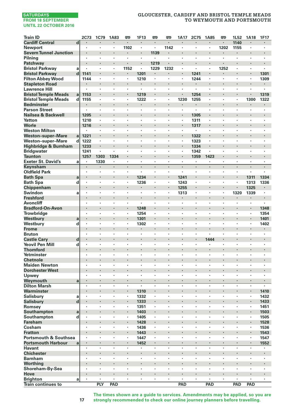# **GLOUCESTER, CARDIFF AND BRISTOL TEMPLE MEADS TO WEYMOUTH AND PORTSMOUTH**

| <b>Train ID</b>                                  |                         | 2C73                 | 1C79                 | 1A83    | 罒                  | 1F13                     | 罒    | 罒       | 1A17                 | <b>2C75</b>          | 1A85               | <b>P</b> | 1L52    | 1A18           | 1F17                     |
|--------------------------------------------------|-------------------------|----------------------|----------------------|---------|--------------------|--------------------------|------|---------|----------------------|----------------------|--------------------|----------|---------|----------------|--------------------------|
| <b>Cardiff Central</b>                           | $\overline{\mathbf{d}}$ |                      |                      |         | $\blacksquare$     |                          | ×,   |         |                      |                      |                    |          | 1140    |                |                          |
| <b>Newport</b>                                   |                         | ٠                    | ٠                    | $\cdot$ | 1102               | ٠                        | ٠    | 1142    | ٠                    | ٠                    | $\cdot$            | 1202     | 1155    | ٠              | ٠                        |
| <b>Severn Tunnel Junction</b>                    |                         |                      |                      |         |                    | ł                        | 1139 | ł.      |                      |                      |                    |          |         |                | ł.                       |
| Pilning                                          |                         | ٠                    | ٠                    | $\cdot$ | ï                  | ÷,                       | ٠    | ä,      | $\cdot$              | $\cdot$              | $\cdot$            | ï        | ï       | ٠              | ×,                       |
| Patchway                                         |                         |                      | $\ddot{\phantom{0}}$ |         | $\cdot$            | ï                        | 1219 | i,      | ٠                    |                      | $\cdot$            |          |         | ï              | ä,                       |
| <b>Bristol Parkway</b>                           | a                       |                      | ,                    |         | 1152               | $\blacksquare$           | 1229 | 1232    | ,                    | ٠                    | $\cdot$            | 1252     |         | ï              | ٠                        |
| <b>Bristol Parkway</b>                           | d                       | 1141                 | ٠                    | ٠       | $\bullet$          | 1201                     | ٠    | ٠       | ٠                    | 1241                 | ٠                  |          | ٠       | ٠              | 1301                     |
| <b>Filton Abbey Wood</b>                         |                         | 1144                 | ٠                    | $\cdot$ | $\cdot$            | 1210                     | ٠    | ٠       | ٠                    | 1244                 | $\cdot$            | $\cdot$  | ٠       | ٠              | 1309                     |
| <b>Stapleton Road</b>                            |                         |                      |                      |         |                    |                          | i,   |         | ï                    |                      | $\cdot$            |          | ×       | ï              | ٠                        |
| <b>Lawrence Hill</b>                             |                         |                      | ×                    | $\cdot$ | $\cdot$            | $\overline{\phantom{a}}$ | ٠    | ٠       | ×                    | $\ddot{\phantom{a}}$ | $\cdot$            | $\cdot$  | ×       | ٠              | $\overline{\phantom{a}}$ |
| <b>Bristol Temple Meads</b>                      | a                       | 1153                 | ٠                    | $\cdot$ | $\cdot$            | 1219                     | ٠    | ×<br>٠  | 1230                 | 1254<br>1255         | $\cdot$            | $\cdot$  | ł<br>٠  | ł,<br>1300     | 1319<br>1322             |
| <b>Bristol Temple Meads</b><br><b>Bedminster</b> | d                       | 1155                 |                      |         | $\cdot$            | 1222<br>۰                |      | ł,      |                      | $\blacksquare$       |                    |          | ٠       |                |                          |
| <b>Parson Street</b>                             |                         | ï                    | ٠                    |         |                    | ×                        | ï    | ï       | ï                    | ×                    | $\cdot$            |          | l,      | ï              | ï                        |
| Nailsea & Backwell                               |                         | 1205                 |                      |         |                    | ï                        | ï    | ï       |                      | 1305                 |                    |          | l,      | ï              | l,                       |
| Yatton                                           |                         | 1210                 |                      |         |                    | ï                        | ×    | ٠       | $\cdot$              | 1311                 | $\cdot$            |          | ×       | ×,             | ٠                        |
| Worle                                            |                         | 1216                 | ٠                    |         |                    |                          |      | ł       | ٠                    | 1317                 | $\bullet$          |          |         |                |                          |
| <b>Weston Milton</b>                             |                         | ٠                    | ٠                    | $\cdot$ | $\cdot$            | ٠                        | ٠    | ٠       | ٠                    | ٠                    | $\cdot$            | $\cdot$  | ٠       | ٠              | ٠                        |
| <b>Weston-super-Mare</b>                         | a                       | 1221                 |                      |         |                    |                          |      | ï       |                      | 1322                 |                    |          |         |                |                          |
| <b>Weston-super-Mare</b>                         | d                       | 1222                 | ٠                    | $\cdot$ | $\cdot$            | ٠                        | ٠    | ٠       | ٠                    | 1323                 | $\cdot$            | $\cdot$  | ٠       | ٠              | ٠                        |
| Highbridge & Burnham                             |                         | 1233                 |                      |         |                    | ï                        |      | i,      |                      | 1334                 |                    |          |         |                |                          |
| <b>Bridgwater</b>                                |                         | 1241                 | ٠                    |         | $\cdot$            | ٠                        | ٠    | ł       | ٠                    | 1342                 | $\cdot$            | $\cdot$  | ٠       | ٠              | ٠                        |
| Taunton                                          |                         | 1257                 | 1303                 | 1334    | $\cdot$            | ł.                       |      | ł,      | ٠                    | 1359                 | 1423               |          | ٠       | ï              |                          |
| <b>Exeter St. David's</b>                        | a                       | ï                    | 1330                 |         |                    | ł,                       | l,   | ï       | ï                    | ï                    |                    |          |         | ł,             | ï                        |
| Keynsham                                         |                         |                      | ×                    |         | $\cdot$            | ä,                       | l,   |         |                      |                      | $\cdot$            |          | l,      | ,              | l,                       |
| <b>Oldfield Park</b>                             |                         | ×.                   |                      |         | $\cdot$            | ä,                       | ×    | ä,      | $\ddot{\phantom{a}}$ | ×                    | $\cdot$            |          | ٠       | ä,             | $\overline{\phantom{a}}$ |
| <b>Bath Spa</b>                                  | a                       |                      | ٠                    |         | $\cdot$            | 1234                     |      |         | 1241                 | ٠                    |                    |          |         | 1311           | 1334                     |
| <b>Bath Spa</b>                                  | d                       | ×                    | ٠                    | $\cdot$ | $\cdot$            | 1236                     | ٠    | ï       | 1243                 | $\ddot{\phantom{a}}$ | $\cdot$            | $\cdot$  | ×       | 1313           | 1336                     |
| Chippenham                                       |                         |                      | ×                    |         | $\cdot$            |                          | ×    |         | 1255                 |                      | $\cdot$            |          |         | 1325           |                          |
| Swindon                                          | a                       | ×                    | ×                    | $\cdot$ | $\cdot$            | $\bullet$                | ٠    | ×,      | 1313                 | $\ddot{\phantom{a}}$ | $\cdot$            | $\cdot$  | 1320    | 1339           | ×.                       |
| <b>Freshford</b>                                 |                         | ×,                   | ٠                    |         | $\cdot$<br>$\cdot$ | ×                        | ×    | ×<br>ï  |                      | ×,<br>٠              | $\cdot$<br>$\cdot$ |          | ×       | ٠<br>×         | ä,                       |
| <b>Avoncliff</b><br><b>Bradford-On-Avon</b>      |                         | ï<br>٠               |                      |         | $\cdot$            | 1248                     | ٠    | ł,      | ٠                    | ×                    |                    |          | ٠       | ٠              | 1348                     |
| <b>Trowbridge</b>                                |                         | ï                    | ٠                    |         | $\cdot$            | 1254                     | ٠    | ï       | ٠                    | ,                    | $\cdot$            |          | ٠       | $\blacksquare$ | 1354                     |
| Westbury                                         | a                       |                      |                      |         | $\cdot$            | 1301                     | l,   | l,      |                      |                      |                    |          | l,      | ï              | 1401                     |
| Westbury                                         | d                       | ×,                   | ×                    |         | $\cdot$            | 1302                     | ×,   | ٠       | ×                    | ×                    | $\cdot$            |          | ٠       | ×,             | 1402                     |
| <b>Frome</b>                                     |                         |                      |                      |         |                    |                          |      |         |                      |                      |                    |          |         |                |                          |
| <b>Bruton</b>                                    |                         | ٠                    | ٠                    | $\cdot$ | $\cdot$            | ٠                        | ٠    | ٠       | ٠                    | ٠                    | $\cdot$            | $\cdot$  | ٠       | ٠              | ٠                        |
| <b>Castle Cary</b>                               | d                       |                      |                      |         |                    | ł.                       |      | ł.      |                      | ×,                   | 1444               |          |         | ï              | ٠                        |
| <b>Yeovil Pen Mill</b>                           | d                       | $\cdot$              | ٠                    | $\cdot$ | $\cdot$            | ٠                        | ٠    | ٠       | ٠                    | ٠                    |                    | $\cdot$  | ×       | ×              | ٠                        |
| <b>Thornford</b>                                 |                         | ٠                    | $\ddot{\phantom{0}}$ |         |                    | ï                        |      | ×       | ٠                    | ٠                    | $\cdot$            |          | ×       |                |                          |
| Yetminster                                       |                         |                      |                      |         |                    | ï                        |      | ï       |                      | ï                    |                    |          |         |                |                          |
| <b>Chetnole</b>                                  |                         | ٠                    | ٠                    |         | $\cdot$            | ×                        |      | ł,      |                      |                      | $\bullet$          |          |         |                |                          |
| <b>Maiden Newton</b>                             |                         | ×                    | ,                    |         | $\cdot$            | ×                        | ٠    | ï       | ×                    | ×                    | $\cdot$            |          |         |                | ×                        |
| <b>Dorchester West</b>                           |                         |                      |                      |         |                    | ï                        |      | ł,      |                      |                      |                    |          |         |                |                          |
| Upwey                                            |                         | $\ddot{\phantom{a}}$ | ×                    | $\cdot$ | $\cdot$            | ×                        | ×    | ٠       | ×                    | ×                    | $\cdot$            | $\cdot$  | ×       | ×.             | ٠                        |
| Weymouth                                         | a                       | ٠                    |                      |         |                    | ٠                        |      | ł       |                      |                      |                    |          |         | ł,             |                          |
| <b>Dilton Marsh</b>                              |                         | l,                   | l,                   |         | $\cdot$            | ×                        | ł,   | ï       | ×                    |                      | $\cdot$            |          | ł,      | ł,             |                          |
| Warminster                                       |                         | ï                    | ٠<br>ï               |         | $\blacksquare$     | 1310                     | ï    | ł       |                      |                      |                    |          |         | ×              | 1410                     |
| <b>Salisbury</b>                                 | a                       | ï                    |                      |         | $\cdot$            | 1332                     | ï    | ï<br>i, | ٠                    | $\cdot$              | $\cdot$            |          | ×<br>l, | ï              | 1432                     |
| <b>Salisbury</b><br>Romsev                       | d                       | ï                    | ٠                    |         | $\cdot$            | 1333<br>1351             | ٠    | ï       |                      | ٠                    | $\cdot$            |          |         | ×,             | 1433<br>1451             |
| Southampton                                      | a                       |                      | ٠                    |         | $\cdot$            | 1403                     | ٠    |         |                      |                      |                    |          |         | ٠              | 1503                     |
| Southampton                                      | d                       | ٠                    | ٠                    | $\cdot$ | $\cdot$            | 1405                     | ٠    | ٠       | ٠                    | ٠                    | $\cdot$            | $\cdot$  | ٠       | $\blacksquare$ | 1505                     |
| <b>Fareham</b>                                   |                         |                      |                      |         | $\cdot$            | 1428                     | i,   |         |                      |                      |                    |          |         | ï              | 1528                     |
| Cosham                                           |                         | ٠                    | ٠                    | $\cdot$ | $\cdot$            | 1436                     | ×.   | ٠       | ٠                    | ٠                    | $\cdot$            |          | ٠       | ×              | 1536                     |
| <b>Fratton</b>                                   |                         |                      |                      |         |                    | 1443                     | i,   | ł.      |                      |                      |                    |          |         | ä,             | 1543                     |
| <b>Portsmouth &amp; Southsea</b>                 |                         | ٠                    | ٠                    | $\cdot$ | ٠                  | 1447                     | ٠    | ×       | ٠                    | ٠                    | $\cdot$            | $\cdot$  | ٠       | ٠              | 1547                     |
| <b>Portsmouth Harbour</b>                        | a                       | $\blacksquare$       | ٠                    | $\cdot$ | $\cdot$            | 1452                     | ٠    | ł.      | ٠                    | $\ddot{\phantom{0}}$ | $\cdot$            |          | ٠       | ×              | 1552                     |
| <b>Havant</b>                                    |                         | ×                    | ï                    |         |                    |                          | ï    | ï       | i.                   | ï                    |                    |          | ï       | ×              |                          |
| <b>Chichester</b>                                |                         |                      |                      | $\cdot$ | $\cdot$            | ï                        | ×    | ł.      |                      |                      | $\cdot$            |          | ×       | ï              | ï                        |
| <b>Barnham</b>                                   |                         | ï                    | ×                    |         | $\cdot$            | ٠                        | ×    | ï       | $\ddot{\phantom{a}}$ | $\ddot{\phantom{a}}$ | $\cdot$            | $\cdot$  | ٠       | ï              | ×                        |
| Worthing                                         |                         |                      |                      |         |                    |                          |      |         |                      |                      |                    |          |         |                |                          |
| Shoreham-By-Sea                                  |                         | ٠                    | ٠                    | $\cdot$ | $\cdot$            | ×                        | ٠    | ٠       | ٠                    | ٠                    | $\cdot$            | $\cdot$  | ٠       | ×              | ٠                        |
| Hove                                             |                         |                      |                      |         | $\cdot$            | ł.                       |      | ł.      |                      |                      |                    |          |         |                | ł.                       |
| <b>Brighton</b>                                  | a                       | ×                    | ×                    | $\cdot$ | $\cdot$            | ×                        | ×,   | ×       | $\ddot{\phantom{0}}$ | ï                    | $\cdot$            | $\cdot$  | ×       | ٠              | ä,                       |
| <b>Train continues to</b>                        |                         |                      | PLY                  | PAD     |                    |                          |      |         | <b>PAD</b>           |                      | PAD                |          | PAD     | PAD            |                          |

**The times shown are a guide to services. Amendments may be applied, so you are strongly recommended to check our online journey planners before travelling.**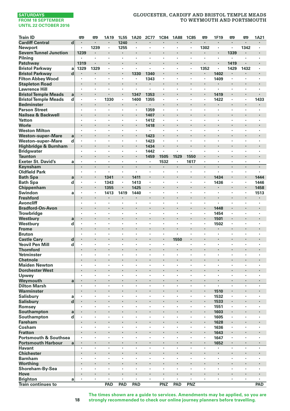# **GLOUCESTER, CARDIFF AND BRISTOL TEMPLE MEADS TO WEYMOUTH AND PORTSMOUTH**

| <b>Train ID</b>                  |              | <b>emp</b> | œ                  | 1A19            | 1L55 | 1A20                 | 2C77    | <b>1C84</b>    | <b>1A88</b>          | <b>1C85</b> | œ    | 1F19                   | <b>P</b> | œ                    | 1A21    |
|----------------------------------|--------------|------------|--------------------|-----------------|------|----------------------|---------|----------------|----------------------|-------------|------|------------------------|----------|----------------------|---------|
| <b>Cardiff Central</b>           | d            |            | $\cdot$            | ł.              | 1240 |                      |         |                |                      |             |      | ł,                     | ×,       |                      |         |
| Newport                          |              |            | 1239               | ٠               | 1255 | ٠                    | ٠       | $\cdot$        | $\cdot$              | $\cdot$     | 1302 | ٠                      | ٠        | 1342                 |         |
| <b>Severn Tunnel Junction</b>    |              | 1239       | $\cdot$            | ٠               | ٠    | ×                    | ٠       |                | $\cdot$              |             |      | ł                      | 1339     | ×                    |         |
| Pilning                          |              |            |                    | ł,              | ł,   | ï                    |         |                |                      |             | ï    |                        | ï        | ï                    |         |
| Patchway                         |              | 1319       | $\cdot$            |                 | ï    | ï                    |         |                |                      |             |      | ï                      | 1419     |                      |         |
| <b>Bristol Parkway</b>           | a            | 1329       | 1329               | ä,              | ÷,   | ä,                   | ٠       | ٠              | $\blacksquare$       |             | 1352 | $\blacksquare$         | 1429     | 1432                 |         |
| <b>Bristol Parkway</b>           | d            |            |                    | ٠               |      | 1330                 | 1340    |                |                      |             | ٠    | 1402                   | ٠        |                      |         |
| <b>Filton Abbey Wood</b>         |              |            | $\cdot$            | ×               | ×    | $\cdot$              | 1343    | $\cdot$        | $\cdot$              | $\cdot$     | ٠    | 1409                   | $\cdot$  | $\ddot{\phantom{a}}$ |         |
| <b>Stapleton Road</b>            |              |            | $\cdot$            | ï               | ٠    |                      |         |                |                      |             |      |                        |          |                      |         |
| <b>Lawrence Hill</b>             |              | $\cdot$    | $\cdot$            | ÷,              | ×    |                      | ×       | $\cdot$        | $\cdot$              | $\cdot$     | ٠    | ×                      | ٠        | ×                    | $\cdot$ |
| <b>Bristol Temple Meads</b>      | $\mathbf{a}$ |            |                    | ı,              |      | 1347                 | 1353    |                |                      |             | ٠    | 1419                   |          |                      |         |
| <b>Bristol Temple Meads</b>      | d            |            | $\cdot$            | 1330            | ٠    | 1400                 | 1355    | $\cdot$        |                      |             |      | 1422                   | $\cdot$  | ł,                   | 1433    |
| <b>Bedminster</b>                |              |            | $\cdot$            | ٠               | ٠    |                      | ٠       |                |                      | ,           | ×    | ٠                      | ×        |                      |         |
| <b>Parson Street</b>             |              |            | $\cdot$            | ٠               |      | ٠                    | 1359    | $\blacksquare$ |                      |             | ٠    |                        |          | ٠                    |         |
| Nailsea & Backwell               |              |            | $\cdot$            | ï               | l,   |                      | 1407    |                |                      |             | ï    | ï                      |          |                      |         |
| Yatton                           |              | $\cdot$    | $\cdot$            | ×.              | ×    | $\cdot$              | 1412    |                | $\cdot$              |             | ٠    | ×                      | ×        | ×                    | $\cdot$ |
| Worle                            |              |            |                    |                 |      | ×,                   | 1418    |                |                      |             |      |                        |          |                      |         |
| <b>Weston Milton</b>             |              |            | $\cdot$            | ٠               | ٠    | ٠                    | ٠       | $\cdot$        | $\cdot$              | $\cdot$     | ٠    | ٠                      | ٠        | ٠                    | $\cdot$ |
| <b>Weston-super-Mare</b>         | a            |            | $\cdot$            | ×               |      | ٠                    | 1423    | $\cdot$        |                      |             | ×    |                        |          |                      |         |
| Weston-super-Mare                | d            |            | $\cdot$            | ٠               | ×    | ٠                    | 1423    | ï              | $\cdot$              |             | ٠    | ٠                      | ٠        | ٠                    |         |
| Highbridge & Burnham             |              |            | $\cdot$            | ï               | l,   | ä,                   | 1434    |                | $\cdot$              |             | ä,   | ï                      | ٠        | ï                    |         |
| <b>Bridgwater</b>                |              |            |                    | ï               |      | ï                    | 1442    |                |                      |             | ï    | ï                      | ï        |                      |         |
| <b>Taunton</b>                   |              |            | $\cdot$            |                 | ×    |                      | 1459    | 1505           | 1529                 | 1550        | ٠    |                        | ٠        | ×                    |         |
| <b>Exeter St. David's</b>        | a            |            | $\cdot$            | ٠               | ٠    | ٠                    |         | 1532           |                      | 1617        | ٠    | ٠                      | ×        | $\cdot$              | $\cdot$ |
|                                  |              |            | $\cdot$            | ×               | ł.   | ×,                   | ×,      |                |                      |             | ×    | ×                      |          |                      |         |
| Keynsham<br><b>Oldfield Park</b> |              | $\cdot$    | $\cdot$            | ٠               | ×    | $\cdot$              | ×       | $\cdot$        | $\cdot$              | $\cdot$     | ×.   | ٠                      | ×        | ×                    | $\cdot$ |
|                                  |              |            |                    |                 |      |                      |         |                |                      |             |      |                        |          |                      |         |
| <b>Bath Spa</b>                  | a            |            |                    | 1341            |      | 1411                 |         |                |                      |             |      | 1434                   |          |                      | 1444    |
| <b>Bath Spa</b>                  | d            |            | $\cdot$            | 1343            | ٠    | 1413                 | $\cdot$ | $\cdot$        | $\cdot$              |             | ٠    | 1436                   | ٠        | ٠                    | 1446    |
| Chippenham                       |              |            | $\blacksquare$     | 1355            |      | 1425                 | ٠       |                |                      |             | ٠    | ٠                      |          | $\blacksquare$       | 1458    |
| Swindon                          | a            |            |                    | 1413            | 1419 | 1440                 | ï       | ,              |                      |             | ٠    | ï                      | ٠        | ٠                    | 1513    |
| <b>Freshford</b>                 |              |            |                    |                 | ×    |                      | l,      |                | $\cdot$              |             | l,   |                        | l,       | l,                   |         |
| Avoncliff                        |              |            |                    | ×,              | ×    |                      |         |                |                      |             | ٠    |                        | ٠        | ٠                    |         |
| <b>Bradford-On-Avon</b>          |              |            |                    |                 | ٠    |                      |         | ٠              |                      |             | ٠    | 1448                   |          |                      |         |
| <b>Trowbridge</b>                |              | $\cdot$    | $\cdot$            | ٠               | ٠    | $\cdot$              | $\cdot$ | $\cdot$        | $\cdot$              | ٠           | ٠    | 1454                   | ٠        | ٠                    |         |
| Westbury                         | a            |            |                    |                 |      |                      | ï       |                |                      |             | i,   | 1501                   |          |                      |         |
| Westbury                         | d            |            | $\cdot$            | ×,              | ٠    | $\cdot$              | $\cdot$ | $\cdot$        |                      |             | ×,   | 1502                   | ٠        | ٠                    |         |
| <b>Frome</b>                     |              |            |                    | ï               |      |                      |         |                |                      |             | i,   | ï                      |          |                      |         |
| <b>Bruton</b>                    |              | ٠          | $\cdot$            | ٠               | ٠    | ٠                    | ٠       | ٠              |                      | $\cdot$     | ٠    | ٠                      | ٠        | ٠                    | ٠       |
| <b>Castle Cary</b>               | d            |            | $\cdot$            | ×               |      |                      | ٠       |                | 1550                 |             | ٠    |                        |          |                      |         |
| <b>Yeovil Pen Mill</b>           | d            |            |                    | ï               |      | ï                    |         |                |                      |             | ï    |                        | ï        | ï                    |         |
| <b>Thornford</b>                 |              |            |                    | ï               | l,   |                      | ×       |                |                      |             | i,   | ï                      |          | ï                    |         |
| Yetminster                       |              |            |                    | ٠               | ×    | ٠                    | ×       | $\cdot$        | $\cdot$              |             | ٠    | ×.                     | ٠        | ×                    |         |
| <b>Chetnole</b>                  |              |            |                    |                 |      |                      |         |                |                      |             |      |                        | ×        |                      |         |
| <b>Maiden Newton</b>             |              | $\cdot$    | $\cdot$            | ×               | ٠    | ×                    | $\cdot$ | $\cdot$        | $\cdot$              | ٠           | ï    | ٠                      | ×        | ٠                    | $\cdot$ |
| <b>Dorchester West</b>           |              |            |                    | ï               |      |                      |         |                |                      |             | ł.   |                        |          |                      |         |
| Upwey                            |              |            |                    | $\epsilon$      | ï    | ×,                   | ï       |                |                      |             | ×,   | ×                      | $\cdot$  | ł,                   |         |
| Weymouth                         | a            |            | $\cdot$            | ÷               | ×    |                      | ×       |                | $\cdot$              |             | ٠    |                        | ٠        |                      |         |
| <b>Dilton Marsh</b>              |              |            |                    | ï               | l,   | ï                    | ï       |                |                      |             | ï    | $\epsilon$             | ï        |                      |         |
| Warminster                       |              |            | $\bullet$          | ٠               | ٠    |                      | ٠       |                | ٠                    |             | ٠    | 1510                   | ٠        | ٠                    |         |
| Salisbury                        | a            |            | $\cdot$            | ×,              | ×    | ï                    |         |                |                      |             | ×,   | 1532                   | ٠        | ٠                    |         |
| <b>Salisbury</b>                 | $\mathbf d$  |            |                    |                 | l,   |                      |         | ï              |                      |             | ï    | 1533                   | ï        |                      |         |
| Romsey                           |              |            | $\cdot$            | ٠               | ×    | $\cdot$              | ×       | $\cdot$        | $\cdot$              |             | ٠    | 1551                   | $\cdot$  | $\ddot{\phantom{a}}$ |         |
| Southampton                      | a            |            |                    |                 |      |                      |         |                |                      |             |      | 1603                   |          |                      |         |
| Southampton                      | d            | $\cdot$    | $\cdot$            | ٠               | ٠    | ٠                    | ٠       | $\cdot$        | $\cdot$              | ,           | ٠    | 1605                   | ٠        | ٠                    | $\cdot$ |
| <b>Fareham</b>                   |              |            |                    |                 |      |                      |         |                |                      |             | ×    | 1628                   |          |                      |         |
| Cosham                           |              |            | ï                  | ٠               | ٠    | ï                    | ï       | ï              |                      | ï           | ò,   | 1636                   | $\cdot$  | ٠                    |         |
| <b>Fratton</b>                   |              |            |                    | ï               |      |                      |         |                |                      |             | ä,   | 1643                   |          |                      |         |
| <b>Portsmouth &amp; Southsea</b> |              |            |                    | ï               | ï    |                      |         |                |                      |             | ï    | 1647                   | ï        | ,                    |         |
| <b>Portsmouth Harbour</b>        |              |            | $\cdot$            | ٠               | ٠    | ×                    | ٠       | $\cdot$        | $\bullet$            |             | ٠    |                        | ٠        | ×                    |         |
| <b>Havant</b>                    | a            | $\cdot$    | $\cdot$            | $\bullet$       | ×    | $\ddot{\phantom{a}}$ | ÷,      | $\cdot$        | $\cdot$              | $\cdot$     | ä,   | 1652<br>$\blacksquare$ | ×        | $\ddot{\phantom{a}}$ | $\cdot$ |
| <b>Chichester</b>                |              |            |                    |                 | ł.   |                      |         |                |                      |             | ×    | ï                      |          |                      |         |
| <b>Barnham</b>                   |              | $\cdot$    | $\cdot$            | ×               | ×    | ×                    | ×       | $\cdot$        | $\cdot$              | $\cdot$     | ٠    | ×                      | ×        | ×                    | $\cdot$ |
|                                  |              |            |                    |                 |      |                      |         |                |                      |             |      |                        |          |                      |         |
| Worthing                         |              | $\cdot$    | $\cdot$            | ٠               | ٠    | ٠                    | ٠       | $\cdot$        | $\cdot$              | $\cdot$     | ×    | ٠                      | ٠        | ٠                    | ٠       |
| Shoreham-By-Sea                  |              |            |                    |                 |      |                      |         |                |                      |             |      |                        |          |                      |         |
| Hove                             |              |            | $\cdot$<br>$\cdot$ | ٠<br>$\epsilon$ | ï    | ï                    | ٠<br>×  | $\cdot$        | $\bullet$<br>$\cdot$ | $\cdot$     | ×    | ×                      | ï        | ł,                   |         |
| <b>Brighton</b>                  | a            |            |                    |                 |      |                      |         |                |                      |             |      |                        |          |                      |         |
| <b>Train continues to</b>        |              |            |                    | PAD             | PAD  | PAD                  |         | PNZ            | PAD                  | PNZ         |      |                        |          |                      | PAD     |

**The times shown are a guide to services. Amendments may be applied, so you are strongly recommended to check our online journey planners before travelling.**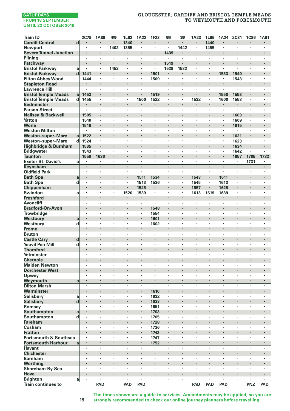# **GLOUCESTER, CARDIFF AND BRISTOL TEMPLE MEADS TO WEYMOUTH AND PORTSMOUTH**

| <b>Train ID</b>                           |                | 2C79                 | 1A89           | 罒       | 1L62    | 1A22    | 1F23           | 罒              | 罒       | 1A23                      | 1L66                 | 1A24                            | <b>2C81</b> | <b>1C86</b> | 1A91         |
|-------------------------------------------|----------------|----------------------|----------------|---------|---------|---------|----------------|----------------|---------|---------------------------|----------------------|---------------------------------|-------------|-------------|--------------|
| <b>Cardiff Central</b>                    | $\overline{d}$ | $\blacksquare$       | $\blacksquare$ | $\cdot$ | 1340    | ٠       | $\blacksquare$ | ٠              | ٠       | $\cdot$                   | 1440                 | $\cdot$                         | ٠           | ٠           | ٠            |
| <b>Newport</b>                            |                | ï                    | ï              | 1402    | 1355    | ï       | ×              | $\epsilon$     | 1442    | ł,                        | 1455                 |                                 | ï           | ï           | ï            |
| <b>Severn Tunnel Junction</b>             |                | ï                    | ×,             |         |         | i,      | i,             | 1439           |         |                           |                      | ×                               | ï           | ï           | ł.           |
| Pilning                                   |                |                      | $\cdot$        | $\cdot$ |         | ٠       | ٠              | ×              | ٠       | $\cdot$                   | $\cdot$              |                                 | ×           | ï           | ×            |
| Patchway                                  |                | ٠                    |                | $\cdot$ |         | ×       | ٠              | 1519           |         |                           |                      | $\bullet$                       | ٠           | ٠           |              |
| <b>Bristol Parkway</b>                    | a              | $\ddot{\phantom{a}}$ | ×              | 1452    | $\cdot$ | ×       | $\bullet$      | 1529           | 1532    | ٠                         | $\cdot$              | $\cdot$                         | ×           | ٠           | ٠            |
| <b>Bristol Parkway</b>                    | $\mathbf d$    | 1441                 |                |         |         | ٠       | 1501           |                |         |                           | $\cdot$              | 1533                            | 1540        |             | ł.           |
| <b>Filton Abbey Wood</b>                  |                | 1444                 | ×              | $\cdot$ | $\cdot$ | ٠       | 1509           | ×.             | ×,      | ٠                         | $\cdot$              | $\cdot$                         | 1543        | ٠           | ×            |
| <b>Stapleton Road</b>                     |                |                      | ٠              |         |         | ï       | ٠              | ×              |         | ×                         |                      |                                 | ٠           |             | ×            |
| <b>Lawrence Hill</b>                      |                |                      | ٠              | ٠       |         |         | ×              | ï              |         | ï                         | $\cdot$              |                                 | ï           | ٠           | ٠            |
| <b>Bristol Temple Meads</b>               | a              | 1453                 | ٠              | $\cdot$ |         | ٠       | 1519           | ٠              |         |                           | $\cdot$              | 1550                            | 1553        | ٠           | ٠            |
| <b>Bristol Temple Meads</b>               | d              | 1455                 | ٠              | $\cdot$ |         | 1500    | 1522           | ٠<br>ł.        | ٠       | 1532                      | $\cdot$              | 1600                            | 1553        | ٠<br>ł.     | ٠<br>l,      |
| <b>Bedminster</b><br><b>Parson Street</b> |                | ×,                   | ×              | $\cdot$ |         | ×       | ٠              | ٠              | ×.      | ×                         | $\cdot$              | $\bullet$<br>$\cdot$            | ×,          | ×           | ×            |
| Nailsea & Backwell                        |                | 1505                 |                |         |         | i,      |                | ï              |         |                           |                      |                                 | 1603        |             | i,           |
| Yatton                                    |                | 1510                 | ٠              | $\cdot$ | $\cdot$ | ٠       | ٠              | ٠              | ٠       | ٠                         | ٠                    | $\cdot$                         | 1609        | ٠           | ٠            |
| Worle                                     |                | 1516                 |                |         |         |         |                |                |         | ٠                         |                      | $\bullet$                       | 1615        | ٠           | ٠            |
| <b>Weston Milton</b>                      |                |                      | ٠              | ٠       |         | ×       | ł,             |                | ï       | ٠                         | $\cdot$              | $\cdot$                         |             | ٠           | ٠            |
| <b>Weston-super-Mare</b>                  | a              | 1522                 | l,             |         |         | ï       | ï              | ٠              | ï       |                           |                      |                                 | 1621        | ï           | l,           |
| Weston-super-Mare                         | d              | 1524                 | ٠              |         |         | ٠       | ï              | ٠              | ï       | ٠                         |                      |                                 | 1623        | ×,          | ï            |
| Highbridge & Burnham                      |                | 1535                 | ٠              |         |         |         | ï              |                |         |                           | ٠                    | $\bullet$                       | 1634        | ٠           |              |
| <b>Bridgwater</b>                         |                | 1543                 | $\cdot$        | $\cdot$ |         | ٠       | ×              | ٠              | ٠       | ٠                         | ٠                    | $\cdot$                         | 1642        | ٠           | ٠            |
| <b>Taunton</b>                            |                | 1559                 | 1636           |         |         | l,      |                | l,             |         |                           |                      |                                 | 1657        | 1705        | 1732         |
| <b>Exeter St. David's</b>                 | a              |                      | ٠              | $\cdot$ |         | ٠       | ٠              | ٠              | ×,      | ٠                         | $\cdot$              | $\cdot$                         | ٠           | 1731        | ٠            |
| Keynsham                                  |                | ×,                   | $\cdot$        | $\cdot$ | $\cdot$ | $\cdot$ | ÷              | $\cdot$        | ×,      |                           | $\cdot$              | $\cdot$                         | ÷.          | ×,          | ÷.           |
| <b>Oldfield Park</b>                      |                | ٠                    | ٠              | $\cdot$ | $\cdot$ | ï       | ×              | ٠              | ٠       | $\cdot$                   | $\cdot$              | $\cdot$                         | ٠           | ٠           | ٠            |
| <b>Bath Spa</b>                           | a              | $\cdot$              |                | $\cdot$ | $\cdot$ | 1511    | 1534           | ٠              |         | 1543                      | $\cdot$              | 1611                            | ٠           |             | ٠            |
| <b>Bath Spa</b>                           | d              |                      | ï              |         |         | 1513    | 1536           | ×              | ï       | 1545                      | $\cdot$              | 1613                            | ٠           | ï           | ٠            |
| Chippenham                                |                | l,                   |                |         |         | 1525    | ٠              | i,             | ï       | 1557                      |                      | 1625                            | ł.          | i,          |              |
| Swindon                                   | a              | ×                    | $\cdot$        | $\cdot$ | 1520    | 1539    | ٠              | ×              | $\cdot$ | 1613                      | 1619                 | 1639                            | ٠           | ٠           | ×            |
| <b>Freshford</b>                          |                |                      |                |         |         |         | ï              |                |         |                           |                      |                                 |             | ł,          |              |
| <b>Avoncliff</b>                          |                | ٠                    | ٠              | $\cdot$ |         | ٠       | ٠              | ٠              | ï       | ٠                         | ٠                    | $\cdot$                         | ٠           | ٠           | ٠            |
| <b>Bradford-On-Avon</b>                   |                |                      |                |         |         | ×       | 1548           | ł.             |         |                           |                      |                                 |             | ł.          | ×            |
| Trowbridge                                |                | ٠                    | $\cdot$        | $\cdot$ | ï       | ï       | 1554           | ×,<br>÷        | $\cdot$ | ٠                         | $\cdot$              | $\cdot$                         | ٠           | ï           | ï<br>$\cdot$ |
| Westbury                                  | a              | ï                    | ٠              |         |         | ٠       | 1601           | ٠              | ï       | $\ddot{\phantom{0}}$<br>٠ |                      | $\cdot$                         | ï<br>٠      | ٠<br>ï      | ×            |
| Westbury<br><b>Frome</b>                  | d              | ×                    | ×              |         |         | ٠       | 1602<br>٠      | ×              |         |                           |                      | $\bullet$                       | ×           | ٠           | ٠            |
| <b>Bruton</b>                             |                | ٠                    | ٠              | $\cdot$ | $\cdot$ | ٠       | ٠              | ٠              | ٠       | ٠                         | $\cdot$              | $\cdot$                         | ٠           | ٠           | ٠            |
| <b>Castle Cary</b>                        | d              |                      | ï              |         |         |         |                |                |         |                           |                      | $\cdot$                         | ï           | ï           | l,           |
| <b>Yeovil Pen Mill</b>                    | d              | $\cdot$              | ٠              | $\cdot$ |         | ٠       | ٠              | ٠              | ٠       | ٠                         | ٠                    | $\cdot$                         | ٠           | ٠           | ٠            |
| <b>Thornford</b>                          |                |                      |                |         |         |         |                |                | ï       |                           |                      |                                 | ï           | ×           | ï            |
| Yetminster                                |                | ٠                    | ٠              | $\cdot$ | $\cdot$ | ٠       | ٠              | ٠              | ï       | ٠                         | $\cdot$              | $\cdot$                         | ٠           | ٠           | ٠            |
| <b>Chetnole</b>                           |                | ×                    | ×              | $\cdot$ |         |         | ł,             |                |         |                           |                      | $\cdot$                         | ×           | ×           | ٠            |
| <b>Maiden Newton</b>                      |                | ï                    |                |         |         |         |                | l,             | ï       |                           |                      |                                 | ï           | ł,          | ł,           |
| <b>Dorchester West</b>                    |                | ï                    |                |         |         | l,      | l,             | ï              |         | $\ddot{\phantom{0}}$      |                      | $\cdot$                         | ï           | ï           | l,           |
| Upwey                                     |                | ×,                   | ï              |         |         | ٠       | ä,             | ٠              | ï       | $\ddot{\phantom{0}}$      | $\ddot{\phantom{0}}$ | ÷,                              | ï           | ï           | ٠            |
| Weymouth                                  | a              | $\blacksquare$       |                |         |         | ٠       | ٠              | ł              |         |                           |                      | $\centering \label{eq:reduced}$ | ٠           | ٠           | ٠            |
| <b>Dilton Marsh</b>                       |                | $\ddot{\phantom{a}}$ | ×              | $\cdot$ | $\cdot$ | ×       | ÷              | ×              | ×       | ×                         | $\cdot$              | $\cdot$                         | ×           | ×           | ×            |
| Warminster                                |                |                      |                |         |         | ٠       | 1610           | ×              |         |                           |                      | $\cdot$                         | ï           | ł           |              |
| <b>Salisbury</b>                          | a              |                      |                | $\cdot$ |         | ×       | 1632           | ä,             | ×       | ×                         | $\cdot$              | $\cdot$                         | ×           | ÷,          | ÷,           |
| Salisbury                                 | d              |                      |                |         |         | ł.      | 1633           |                |         | $\ddot{\phantom{0}}$      |                      | $\cdot$                         | ×           | ×           | i,           |
| Romsey                                    |                |                      |                |         |         |         | 1651           | ł,             |         |                           |                      |                                 |             | ï           |              |
| Southampton                               | a              | ×                    | ×              |         |         | ٠       | 1703           | ٠              |         |                           |                      | $\cdot$                         | ×           | ×           | ×            |
| Southampton                               | d              | ٠<br>ï               | $\cdot$        | $\cdot$ |         | ٠<br>l, | 1705           | ٠<br>i,        | ï       | ٠                         | $\cdot$              |                                 | ×<br>ï      | ٠<br>ï      | ٠<br>l,      |
| <b>Fareham</b>                            |                | ×                    | ×              | $\cdot$ | $\cdot$ | ×       | 1728           | $\blacksquare$ | ٠       | ×                         | $\cdot$              | $\cdot$<br>$\cdot$              | ×           | ×           | ×            |
| Cosham<br><b>Fratton</b>                  |                |                      |                |         |         | ï       | 1736<br>1743   | ł,             |         |                           |                      |                                 |             |             |              |
| <b>Portsmouth &amp; Southsea</b>          |                | ٠                    | ٠              | $\cdot$ | $\cdot$ | ٠       | 1747           | ٠              | ٠       | ٠                         | $\cdot$              | $\cdot$                         | ٠           | ٠           | ٠            |
| <b>Portsmouth Harbour</b>                 | a              | $\blacksquare$       | $\cdot$        | $\cdot$ |         | ٠       | 1752           | ٠              | ×       | ٠                         | $\cdot$              | $\cdot$                         | ٠           | ٠           | ٠            |
| <b>Havant</b>                             |                |                      | ï              |         |         |         |                | ÷,             | ï       | ï                         |                      |                                 |             | ï           | ï            |
| <b>Chichester</b>                         |                |                      |                |         |         | ł.      | ï              | ×              |         | ×                         |                      | $\cdot$                         | i,          | ł.          | i,           |
| <b>Barnham</b>                            |                |                      | ٠              | $\cdot$ |         | ٠       | ï              | ٠              | ï       | ×                         | $\cdot$              | $\cdot$                         | ×           | ï           |              |
| Worthing                                  |                |                      | ٠              |         |         |         |                |                |         |                           |                      |                                 |             | ×           |              |
| Shoreham-By-Sea                           |                | ٠                    | $\cdot$        | $\cdot$ |         | ٠       | ×              | ٠              | ٠       | ٠                         | $\cdot$              | $\cdot$                         | ٠           | ٠           | ٠            |
| Hove                                      |                |                      |                |         |         | ł.      | ł,             |                |         |                           |                      |                                 |             | ł.          | ł.           |
| <b>Brighton</b>                           | a              | ×                    | ×,             | $\cdot$ |         | ä,      | $\epsilon$     | ×,             | ×       | ×                         | $\cdot$              | $\cdot$                         | ï           | ×           | ×            |
| <b>Train continues to</b>                 |                |                      | PAD            |         | PAD     | PAD     |                |                |         | PAD                       | PAD                  | PAD                             |             | PNZ         | PAD          |

**The times shown are a guide to services. Amendments may be applied, so you are strongly recommended to check our online journey planners before travelling.**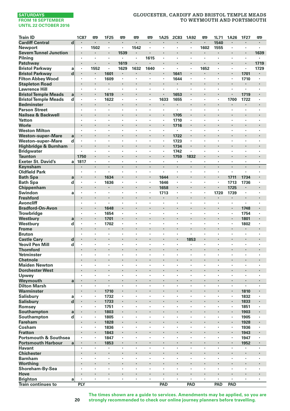# **GLOUCESTER, CARDIFF AND BRISTOL TEMPLE MEADS TO WEYMOUTH AND PORTSMOUTH**

| <b>Train ID</b>                  |             | <b>1C87</b>    | ⊞              | 1F25 | œ       | <b>m</b> | 罒              | 1A25           | <b>2C83</b>    | 1A92                            | ⊞      | 1L71 | 1A26                 | 1F27    | 罒                    |
|----------------------------------|-------------|----------------|----------------|------|---------|----------|----------------|----------------|----------------|---------------------------------|--------|------|----------------------|---------|----------------------|
| <b>Cardiff Central</b>           | d           |                | $\cdot$        | ł    | ł       | ×,       |                |                |                |                                 | ×      | 1540 |                      |         |                      |
| <b>Newport</b>                   |             | $\cdot$        | 1502           | ٠    | ٠       | 1542     | ٠              | $\cdot$        | $\cdot$        |                                 | 1602   | 1555 | ٠                    | ٠       |                      |
| <b>Severn Tunnel Junction</b>    |             | $\cdot$        | $\cdot$        | ×    | 1539    |          |                | $\cdot$        | $\cdot$        | $\cdot$                         |        |      |                      |         | 1639                 |
| Pilning                          |             | ï              | ÷,             | ٠    | ×       | ,        | 1615           |                | $\cdot$        |                                 | ٠      | ×,   | $\cdot$              | $\cdot$ |                      |
| Patchway                         |             | $\cdot$        |                |      | 1619    |          | ٠              | $\cdot$        |                | $\cdot$                         |        |      | $\cdot$              |         | 1719                 |
| <b>Bristol Parkway</b>           | a           |                | 1552           | ٠    | 1629    | 1632     | 1640           |                | $\blacksquare$ |                                 | 1652   | ×,   |                      | ٠       | 1729                 |
| <b>Bristol Parkway</b>           | $\mathbf d$ | $\blacksquare$ | $\blacksquare$ | 1601 | ٠       | ٠        | ٠              | $\cdot$        | 1641           | $\blacksquare$                  | ٠      | ٠    | $\blacksquare$       | 1701    | $\bullet$            |
| <b>Filton Abbey Wood</b>         |             |                | $\blacksquare$ | 1609 | ٠       | ٠        | ٠              | $\cdot$        | 1644           | $\cdot$                         | ٠      | ٠    | ٠                    | 1710    |                      |
| <b>Stapleton Road</b>            |             |                |                | ٠    | ł.      |          |                | $\cdot$        |                | $\cdot$                         |        | ×    |                      |         |                      |
| <b>Lawrence Hill</b>             |             | $\cdot$        | $\cdot$        | ٠    | ×       | ٠        | ×              | $\cdot$        | $\cdot$        | $\cdot$                         | ×.     | ٠    | ×                    | ä,      | $\cdot$              |
| <b>Bristol Temple Meads</b>      | a           |                |                | 1619 |         |          |                |                | 1653           |                                 |        |      | $\blacksquare$       | 1719    |                      |
| <b>Bristol Temple Meads</b>      | d           |                | $\cdot$        | 1622 | ٠       | ٠        | ٠              | 1633           | 1655           |                                 | ٠      | ٠    | 1700                 | 1722    | $\cdot$              |
| <b>Bedminster</b>                |             | $\cdot$        | $\cdot$        | ٠    |         |          | ٠              |                | $\blacksquare$ | $\centering \label{eq:reduced}$ |        | ×    |                      |         |                      |
| <b>Parson Street</b>             |             |                |                | ï    | l,      | ï        | ł,             |                | $\cdot$        |                                 | ×      | ï    | ï                    | ï       |                      |
| Nailsea & Backwell               |             | ۷              |                | ٠    | l,      |          |                | $\cdot$        | 1705           |                                 | ï      | i,   | $\ddot{\phantom{0}}$ | ï       | $\ddot{\phantom{0}}$ |
| Yatton                           |             |                |                | ×,   | ï       | ï        | ٠              |                | 1710           |                                 | ٠      | ٠    | ٠                    | ï       |                      |
| Worle                            |             |                |                |      | ł       |          |                | $\blacksquare$ | 1716           | $\blacksquare$                  |        |      |                      |         |                      |
| <b>Weston Milton</b>             |             | $\cdot$        | $\cdot$        | ٠    | ٠       | ٠        | ٠              | $\cdot$        | $\cdot$        | $\cdot$                         | ٠      | ٠    | ٠                    | ٠       | $\cdot$              |
| <b>Weston-super-Mare</b>         | a           |                |                |      | ï       | ï        |                |                | 1722           | $\cdot$                         | i,     |      |                      |         |                      |
| Weston-super-Mare                | d           |                | $\cdot$        | ٠    | ٠       | ٠        | ×              |                | 1723           |                                 | ٠      | ×,   | ٠                    | ٠       | $\cdot$              |
| Highbridge & Burnham             |             |                |                |      | ï       |          | ï              | $\cdot$        | 1734           |                                 | ٠      | i,   |                      |         |                      |
| <b>Bridgwater</b>                |             |                | $\cdot$        | ٠    | ٠       | ï        | ٠              |                | 1742           |                                 | ٠      | ٠    | ٠                    | ٠       |                      |
| <b>Taunton</b>                   |             | 1750           | $\cdot$        | ٠    | ł,<br>ï | ×        | ×              | $\cdot$        | 1759           | 1832                            | ٠<br>ï | ٠    | ٠<br>ï               |         |                      |
| <b>Exeter St. David's</b>        | a           | 1817           | $\cdot$        | ł,   | l,      | ï<br>l,  |                |                | $\cdot$        |                                 | l,     | ï    |                      | ï       | $\cdot$              |
| Keynsham<br><b>Oldfield Park</b> |             | $\cdot$        | $\cdot$        | ä,   | ٠       | ٠        | ×              | $\cdot$        | $\cdot$        | $\cdot$                         | ×.     | ä,   |                      | ×       |                      |
|                                  |             |                |                |      |         |          |                |                | $\cdot$        |                                 |        | ٠    |                      |         |                      |
| <b>Bath Spa</b>                  | a           | $\bullet$<br>٠ | $\cdot$        | 1634 | ٠<br>٠  | ٠        | ×              | 1644           | $\cdot$        | $\cdot$                         | ٠      | ٠    | 1711                 | 1734    | ٠                    |
| <b>Bath Spa</b><br>Chippenham    | d           |                | $\cdot$        | 1636 | ł       |          | $\blacksquare$ | 1646<br>1658   | $\cdot$        | $\cdot$                         | ×      |      | 1713<br>1725         | 1736    |                      |
| Swindon                          | a           |                | $\cdot$        | ×,   | ×       | ٠        | ×              | 1713           | $\cdot$        |                                 | ٠      | 1720 | 1739                 | ï       | $\cdot$              |
| <b>Freshford</b>                 |             | $\cdot$        |                | ٠    | l,      |          |                | $\blacksquare$ |                | $\cdot$                         | ï      | ٠    |                      |         |                      |
| Avoncliff                        |             |                | $\cdot$        | ٠    | ×       | ï        | ٠              | $\cdot$        |                | ,                               |        | ï    | $\cdot$              | ٠       | ٠                    |
| <b>Bradford-On-Avon</b>          |             |                | $\cdot$        | 1648 |         | ×        |                | $\cdot$        |                | ٠                               |        | ×    | $\blacksquare$       | 1748    | $\bullet$            |
| <b>Trowbridge</b>                |             |                | $\blacksquare$ | 1654 | ٠       |          | ×              |                |                |                                 | ×      | ٠    | ٠                    | 1754    |                      |
| Westbury                         | a           | $\cdot$        | $\cdot$        | 1701 | l,      |          |                |                |                | $\cdot$                         | l,     | l,   |                      | 1801    |                      |
| Westbury                         | d           |                | $\cdot$        | 1702 | ٠       | ٠        | ×              | $\cdot$        | $\cdot$        | $\cdot$                         | ×      | ×.   | $\cdot$              | 1802    | $\cdot$              |
| <b>Frome</b>                     |             |                |                |      |         |          |                |                |                |                                 |        |      |                      |         |                      |
| <b>Bruton</b>                    |             | ٠              | $\cdot$        | ٠    | ٠       | ٠        | ٠              | $\cdot$        | $\cdot$        |                                 | ٠      | ٠    | ٠                    | ٠       | ٠                    |
| <b>Castle Cary</b>               | d           |                | $\cdot$        |      | ł.      |          |                |                |                | 1853                            | ×      | ×    | ×                    |         | $\cdot$              |
| <b>Yeovil Pen Mill</b>           | d           |                | $\cdot$        | ٠    | ×       | ï        | ٠              |                | $\cdot$        |                                 | ٠      | ٠    | ٠                    | ٠       |                      |
| <b>Thornford</b>                 |             | $\cdot$        | $\cdot$        | ٠    | ï       | ٠        |                |                |                | $\cdot$                         |        | ٠    | $\ddot{\phantom{0}}$ |         |                      |
| Yetminster                       |             |                |                | ï    | ï       | ï        | ï              |                |                |                                 |        | ï    |                      | ,       |                      |
| <b>Chetnole</b>                  |             |                |                | ٠    | ł,      | ×        | ×              | $\cdot$        |                | $\cdot$                         |        | ×    | ٠                    |         |                      |
| <b>Maiden Newton</b>             |             | $\cdot$        | $\cdot$        | ×,   | ٠       |          | ×              | $\cdot$        | $\cdot$        | $\cdot$                         | ٠      | ٠    | ×                    | ٠       |                      |
| <b>Dorchester West</b>           |             | $\cdot$        |                |      | ï       |          |                | ł,             |                | $\cdot$                         |        | ł,   |                      |         |                      |
| Upwey                            |             | $\cdot$        | $\cdot$        | ٠    | ×       | ٠        | ×              | $\cdot$        | $\cdot$        | $\cdot$                         | ×      | ×.   | ×                    | ×       | $\cdot$              |
| Weymouth                         | a           |                |                |      |         |          |                |                |                |                                 |        |      | $\blacksquare$       |         |                      |
| <b>Dilton Marsh</b>              |             |                |                |      | ï       |          | l,             |                |                |                                 | ٠      | ï    | ×                    | ï       |                      |
| Warminster                       |             |                | $\blacksquare$ | 1710 |         |          |                |                |                | $\bullet$                       |        | ٠    | $\blacksquare$       | 1810    |                      |
| Salisbury                        | a           |                |                | 1732 | ł,      | ï        | ł,             |                |                |                                 | ×      | ï    | $\cdot$              | 1832    |                      |
| <b>Salisbury</b>                 | $\mathbf d$ |                |                | 1733 | ï       |          | ï              | $\cdot$        |                |                                 | ï      | i,   |                      | 1833    |                      |
| Romsey                           |             |                |                | 1751 | ï       | ï        | ٠              |                | $\cdot$        |                                 |        | ٠    | ٠                    | 1851    |                      |
| Southampton                      | a           |                | $\bullet$      | 1803 | ٠       |          |                |                |                |                                 |        |      | $\blacksquare$       | 1903    |                      |
| Southampton                      | d           | $\cdot$        | $\blacksquare$ | 1805 | ٠       | $\cdot$  | ٠              | $\cdot$        | $\cdot$        | $\cdot$                         | ٠      | ٠    | ٠                    | 1905    | $\cdot$              |
| <b>Fareham</b>                   |             |                |                | 1828 | ï       | ï        |                |                |                |                                 |        |      |                      | 1928    |                      |
| Cosham                           |             |                | $\cdot$        | 1836 | ٠       | ٠        | ٠              |                |                |                                 | ٠      | ×,   | $\cdot$              | 1936    | $\cdot$              |
| <b>Fratton</b>                   |             |                |                | 1843 |         |          |                |                |                | $\cdot$                         |        | ٠    |                      | 1943    |                      |
| <b>Portsmouth &amp; Southsea</b> |             | ٠              | $\blacksquare$ | 1847 | ٠       | ï        | ٠              | $\cdot$        | ,              | $\cdot$                         | ٠      | ٠    | ٠                    | 1947    | ٠                    |
| <b>Portsmouth Harbour</b>        | a           | $\blacksquare$ | $\cdot$        | 1853 | ٠       | ×        |                |                |                | $\cdot$                         | ٠      | ٠    | $\blacksquare$       | 1952    | $\blacksquare$       |
| <b>Havant</b>                    |             | $\cdot$        | $\cdot$        | ł,   | ï       | ï        | ł,             |                | l.             |                                 | l.     | ï    | ï                    | ï       |                      |
| <b>Chichester</b>                |             | $\cdot$        | $\cdot$        | i,   | ï       |          |                | $\cdot$        |                | $\cdot$                         | ł.     | ×    |                      |         |                      |
| <b>Barnham</b>                   |             |                | $\cdot$        | ×,   | ٠       |          | ×              | $\cdot$        |                | $\cdot$                         | ä,     | ä,   | ×                    | ï       | $\cdot$              |
| Worthing                         |             |                |                |      |         | ٠        |                | $\cdot$        |                |                                 |        |      |                      | ٠       |                      |
| Shoreham-By-Sea                  |             | $\cdot$        | $\cdot$        | ×    | ٠       | $\cdot$  | ٠              | $\cdot$        | $\cdot$        | $\cdot$                         | ٠      | ٠    | ٠                    | ×       | $\cdot$              |
| Hove                             |             |                |                |      | ł.      | ×,       | ï              |                |                | $\cdot$                         |        | ł.   | ×,                   |         | $\cdot$              |
| <b>Brighton</b>                  | a           | $\cdot$        | $\cdot$        | ×,   | ï       | ï        | ×              | $\cdot$        |                | $\cdot$                         | ×      | ٠    | ×                    | ï       |                      |
| <b>Train continues to</b>        |             | PLY            |                |      |         |          |                | PAD            |                | PAD                             |        | PAD  | PAD                  |         |                      |

**The times shown are a guide to services. Amendments may be applied, so you are strongly recommended to check our online journey planners before travelling.**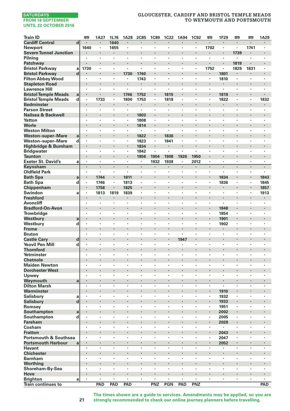# **GLOUCESTER, CARDIFF AND BRISTOL TEMPLE MEADS TO WEYMOUTH AND PORTSMOUTH**

| <b>Train ID</b>                  |                             | 罒              | 1A27                 | 1L76      | 1A28           | <b>2C85</b> | <b>1C89</b>    | <b>1C22</b> | 1A94                 | <b>1C92</b>              | 罒              | 1F29                 | 罒    | 罒       | 1A29 |
|----------------------------------|-----------------------------|----------------|----------------------|-----------|----------------|-------------|----------------|-------------|----------------------|--------------------------|----------------|----------------------|------|---------|------|
| <b>Cardiff Central</b>           | $\mathbf d$                 |                |                      | 1640      |                |             |                |             |                      |                          | $\cdot$        |                      | ł.   | ٠       |      |
| <b>Newport</b>                   |                             | 1640           | ï                    | 1655      |                |             |                | ł,          | ï                    | ï                        | 1702           |                      | ï    | 1741    | ٠    |
| <b>Severn Tunnel Junction</b>    |                             |                | ×                    |           |                | ٠           |                | ×           |                      | ×                        |                | $\bullet$            | 1739 | ٠       | ×    |
| Pilning                          |                             | ٠              | ٠                    |           |                | ×           | ×              | ٠           | ×                    | ٠                        |                | $\cdot$              |      | ٠       | ï    |
| Patchway                         |                             |                |                      |           |                |             | ï              |             |                      | ï                        |                |                      | 1819 |         |      |
| <b>Bristol Parkway</b>           | a                           | 1730           | ×.                   | $\cdot$   | $\cdot$        | ×           | ï              | ×           | ×                    | $\ddot{\phantom{a}}$     | 1752           |                      | 1829 | 1831    | ×    |
| <b>Bristol Parkway</b>           | $\mathbf d$                 |                |                      |           | 1730           | 1740        |                | ï           |                      |                          |                | 1801                 |      |         |      |
| <b>Filton Abbey Wood</b>         |                             | ٠              | ٠                    |           | $\cdot$        | 1743        | ٠              | ٠           | ٠                    | ٠                        | $\cdot$        | 1810                 | ٠    | ٠       | ٠    |
| <b>Stapleton Road</b>            |                             |                | ۰                    |           | $\cdot$        |             | ł              |             |                      |                          |                |                      | ł    | ł       | ł    |
| <b>Lawrence Hill</b>             |                             | ٠              | ï                    |           |                | ï           | ٠              |             | $\cdot$              | ٠                        |                |                      | ٠    | ٠       | ï    |
| <b>Bristol Temple Meads</b>      | a                           |                |                      | $\cdot$   | 1746           | 1752        | ł,             | 1815        |                      |                          |                | 1819                 | ×,   | i,      |      |
| <b>Bristol Temple Meads</b>      | d                           | ٠              | 1733                 |           | 1800           | 1753        | ٠              | 1818        |                      | ï                        |                | 1822                 | ×,   | ٠       | 1832 |
| <b>Bedminster</b>                |                             | ٠              | ٠                    | $\cdot$   | ٠              | ٠           | ×,             | ٠           | ×                    |                          |                |                      | ٠    | ٠       |      |
| <b>Parson Street</b>             |                             | ٠              | ٠                    |           |                | ٠           | ٠              | ٠           | ٠                    | $\overline{\phantom{a}}$ | ,              | $\cdot$              | ٠    | ٠       | ï    |
| Nailsea & Backwell               |                             |                |                      |           |                | 1803        | ï              |             |                      |                          |                |                      | ï    | ï       | ł.   |
| Yatton                           |                             | ×              | ٠                    | $\cdot$   | $\cdot$        | 1808        | ä,             | ٠           | ×                    | ×                        | $\cdot$        | $\cdot$              | ٠    | ×       | ×    |
| Worle                            |                             |                | ×,                   |           |                | 1814        | ä,             | ı,          | ×,                   |                          |                |                      |      |         |      |
| <b>Weston Milton</b>             |                             | ٠              | ٠                    | $\cdot$   | $\cdot$        | ٠           | ٠              | ×           | ٠                    | ٠                        | $\cdot$        | $\cdot$              | ٠    | ٠       | ٠    |
| <b>Weston-super-Mare</b>         | a                           |                | ۰                    |           | $\blacksquare$ | 1822        | ٠              | 1836        |                      | ×                        |                |                      |      |         |      |
| <b>Weston-super-Mare</b>         | d                           | ٠              | ï                    |           |                | 1823        | $\blacksquare$ | 1841        | ï                    | ٠                        |                | ٠                    | ï    | ×       | ×    |
| Highbridge & Burnham             |                             | $\cdot$        |                      | $\cdot$   |                | 1834        | ×.             | ٠           |                      | l,                       |                |                      |      | ï       | ÷,   |
| <b>Bridgwater</b>                |                             |                |                      |           |                | 1842        | ٠              | ٠           | ٠                    | ï                        |                |                      | ï    |         |      |
| <b>Taunton</b>                   |                             | ×              | ×                    | $\cdot$   |                | 1856        | 1904           | 1908        | 1926                 | 1950                     |                |                      | ×    |         | ٠    |
| <b>Exeter St. David's</b>        |                             | ٠              | ٠                    |           |                | ٠           | 1932           | 1938        | ٠                    | 2012                     | $\blacksquare$ | $\cdot$              | ×,   | ٠       | ٠    |
| Keynsham                         | a                           | ×,             | ×,                   | $\cdot$   | $\cdot$        | ×,          | ł.             | ×           | ×,                   |                          | $\cdot$        | $\cdot$              | ä,   | ł.      | ×    |
| <b>Oldfield Park</b>             |                             | ٠              | ×,                   |           | $\cdot$        | ٠           | $\blacksquare$ | ×           | ٠                    | ł,                       |                | $\cdot$              | ٠    | ï       | ٠    |
|                                  |                             |                |                      |           |                |             |                |             |                      |                          |                |                      |      | ı,      |      |
| <b>Bath Spa</b>                  | a                           |                | 1744                 | $\cdot$   | 1811           | ٠           | $\cdot$        |             |                      |                          | $\cdot$        | 1834                 | ٠    |         | 1843 |
| <b>Bath Spa</b>                  | d                           | ٠              | 1746                 |           | 1813           |             |                | ٠           | ٠                    | $\bullet$                |                | 1836                 |      | ٠       | 1845 |
| Chippenham                       |                             | $\blacksquare$ | 1758                 |           | 1825           | ٠           |                |             | ×                    | ×                        |                |                      |      | ٠       | 1857 |
| Swindon                          | a                           | ٠<br>l,        | 1813                 | 1819      | 1839           | ï<br>l,     | ï              |             | ï                    |                          |                |                      | l,   | ï<br>l, | 1913 |
| <b>Freshford</b>                 |                             |                | ×                    | $\cdot$   |                |             | ï              | ï           | ×,                   |                          |                |                      |      |         | ٠    |
| <b>Avoncliff</b>                 |                             |                |                      |           |                | ×           |                | ï           | ï                    | ï                        |                |                      | ï    | ٠       |      |
| <b>Bradford-On-Avon</b>          |                             |                |                      |           |                |             |                |             |                      |                          |                | 1848                 | ٠    | ï       | ٠    |
| <b>Trowbridge</b>                |                             | ٠              | ٠                    | $\cdot$   |                | ٠           | ٠              | ٠           | ٠                    | ٠                        |                | 1854                 | ٠    | ٠       | ٠    |
| Westbury                         | a                           |                |                      |           |                |             |                |             |                      |                          |                | 1901                 |      | ï       |      |
| Westbury                         | d                           | ٠              | ×,                   |           |                | ٠           |                | ٠           | $\cdot$              | ٠                        | $\cdot$        | 1902                 | ×.   | ٠       | ٠    |
| <b>Frome</b>                     |                             |                | ٠                    |           |                |             |                | ï           |                      |                          |                |                      |      |         |      |
| <b>Bruton</b>                    |                             | ٠              | ٠                    | $\cdot$   | $\cdot$        | ٠           | ٠              | ٠           | ï                    | ٠                        | $\cdot$        | $\cdot$              | ٠    | ٠       | ٠    |
| <b>Castle Cary</b>               | d                           | $\blacksquare$ | ×                    |           |                |             |                |             | 1947                 | ٠                        |                |                      |      |         | ×    |
| <b>Yeovil Pen Mill</b>           | d                           |                | ï                    |           |                |             | ï              |             |                      |                          |                |                      | ï    |         | ï    |
| <b>Thornford</b>                 |                             | $\cdot$        | ٠                    | $\cdot$   |                | ×           | l,             | ï           | ٠                    |                          |                |                      | ×    | ï       | ٠    |
| Yetminster                       |                             |                | ٠                    |           |                | ×           | ï              | ä,          | ï                    | ÷,                       | $\cdot$        | $\cdot$              | ٠    |         |      |
| <b>Chetnole</b>                  |                             |                |                      |           |                |             |                |             |                      |                          |                |                      | ×    |         |      |
| <b>Maiden Newton</b>             |                             | ٠              | ٠                    | $\cdot$   |                | ٠           | ٠              | ٠           | ٠                    | ٠                        | ٠              | $\cdot$              | ٠    | ٠       | ٠    |
| <b>Dorchester West</b>           |                             |                |                      |           |                |             | ï              |             | l,                   |                          |                |                      | ï    | ï       |      |
| Upwey                            |                             | ٠              | ×,                   |           |                | ٠           | ٠              | ٠           | $\cdot$              | ٠                        |                | $\cdot$              | ×.   | ï       | ٠    |
| Weymouth                         | a                           |                | ä,                   | $\cdot$   |                | ï           | ï              |             |                      |                          | $\overline{a}$ |                      | ÷    |         |      |
| <b>Dilton Marsh</b>              |                             | ٠              | ï                    | $\cdot$   |                | ٠           | ï              | ×           | ٠                    | ٠                        | ,              |                      | ł    | ٠       | ٠    |
| Warminster                       |                             | ٠              |                      | $\bullet$ |                | ٠           |                |             |                      |                          |                | 1910                 | ٠    |         |      |
| Salisbury                        | a                           |                | ï                    |           |                |             | ï              | ï           | ï                    | ï                        |                | 1932                 | ï    |         |      |
| <b>Salisbury</b>                 | $\operatorname{\mathbf{d}}$ |                |                      |           |                | ×           | ï              | ï           | ٠                    | ï                        |                | 1933                 | ä,   | i,      | ï    |
| Romsey                           |                             |                | ٠                    | $\cdot$   |                | ٠           | ï              | ä,          | ٠                    | ÷,                       | $\cdot$        | 1951                 | ×,   | ×.      | ä,   |
| Southampton                      | a                           |                | ×                    |           |                |             |                |             |                      |                          |                | 2002                 | ٠    |         |      |
| Southampton                      | d                           | ٠              | ×                    | $\cdot$   | $\cdot$        | ٠           | ٠              | ٠           | ٠                    | ٠                        | $\cdot$        | 2005                 | ٠    | ×       | ٠    |
| <b>Fareham</b>                   |                             |                |                      |           |                |             | ï              |             |                      |                          |                | 2028                 | ł    |         |      |
| Cosham                           |                             | ٠              | ٠                    | $\cdot$   |                | ×           | ٠              | ×           | $\cdot$              | ×                        | $\cdot$        | $\cdot$              | ٠    | ٠       | ×    |
| <b>Fratton</b>                   |                             |                | ×.                   |           |                |             | l,             |             | ٠                    |                          |                | 2043                 |      | i.      |      |
| <b>Portsmouth &amp; Southsea</b> |                             | ٠              | ٠                    |           |                | ٠           | ï              |             | ï                    | ٠                        |                | 2047                 | ٠    | ٠       | ٠    |
| <b>Portsmouth Harbour</b>        | a                           | ٠              | ×.                   | $\cdot$   | $\cdot$        | ٠           | ł.             |             |                      | ٠                        | $\cdot$        | 2052                 | ٠    | ٠       | ٠    |
| <b>Havant</b>                    |                             | $\cdot$        | $\cdot$              |           | $\cdot$        | ×           | ×              | ×           | $\cdot$              | ×                        | $\cdot$        | $\cdot$              | ٠    | ٠       | ٠    |
| <b>Chichester</b>                |                             |                |                      |           |                | ł.          | ï              |             |                      |                          |                |                      | i,   | ï       |      |
| <b>Barnham</b>                   |                             | ٠              | ٠                    | $\cdot$   |                | ٠           | ٠              | ٠           | $\ddot{\phantom{a}}$ | $\overline{\phantom{a}}$ | i.             | $\ddot{\phantom{0}}$ | ٠    | ٠       |      |
| Worthing                         |                             |                |                      |           |                |             |                |             |                      |                          |                |                      |      |         |      |
| Shoreham-By-Sea                  |                             | ٠              | ×                    | ٠         | $\cdot$        | ×           | ٠              | ٠           | ٠                    | $\bullet$                |                | $\cdot$              | ٠    | ×       | ٠    |
| Hove                             |                             |                |                      |           |                |             | ï              | ï           | ×,                   |                          |                |                      | ł.   |         |      |
| <b>Brighton</b>                  | a                           | ×,             | $\ddot{\phantom{0}}$ | $\cdot$   |                | ×           | ×              | ×.          | ×                    | $\ddot{\phantom{a}}$     | $\cdot$        | $\cdot$              | ä,   | ï       | ٠    |
| <b>Train continues to</b>        |                             |                | PAD                  | PAD       | PAD            |             | PNZ            | PGN         | PAD                  | PNZ                      |                |                      |      |         | PAD  |
|                                  |                             |                |                      |           |                |             |                |             |                      |                          |                |                      |      |         |      |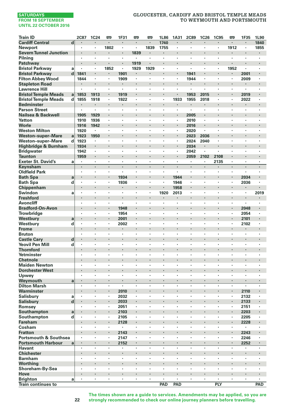# **GLOUCESTER, CARDIFF AND BRISTOL TEMPLE MEADS TO WEYMOUTH AND PORTSMOUTH**

| <b>Train ID</b>                           |        | 2C87           | 1C24            | 罒       | 1F31           | 罒              | <b>m</b>             | 1L86                            | 1A31    | <b>2C89</b>  | 1C26         | <b>1C95</b> | <b>m</b>             | 1F35           | 1L90                            |
|-------------------------------------------|--------|----------------|-----------------|---------|----------------|----------------|----------------------|---------------------------------|---------|--------------|--------------|-------------|----------------------|----------------|---------------------------------|
| <b>Cardiff Central</b>                    | d      | $\cdot$        | $\cdot$         | ٠       | ٠              | $\blacksquare$ | $\cdot$              | 1740                            | $\cdot$ | $\cdot$      | ٠            | ٠           | $\cdot$              | $\blacksquare$ | 1840                            |
| Newport                                   |        | $\cdot$        | $\cdot$         | 1802    | $\blacksquare$ | ×,             | 1839                 | 1755                            | $\cdot$ | $\cdot$      | ÷,           | ł,          | 1912                 | $\blacksquare$ | 1855                            |
| <b>Severn Tunnel Junction</b>             |        | ۰              |                 |         | ä,             | 1839           | ×                    | $\blacksquare$                  |         | $\cdot$      |              | ×           |                      |                |                                 |
| Pilning                                   |        |                |                 |         | ï              | ï              |                      |                                 |         |              | ł,           | ï           |                      |                |                                 |
| Patchway                                  |        | $\bullet$      |                 | ٠       | ٠              | 1919           |                      | $\cdot$                         |         | $\bullet$    | ×            | ٠           | ٠                    |                | $\cdot$                         |
| <b>Bristol Parkway</b>                    | a      | $\cdot$        | $\cdot$         | 1852    | ٠              | 1929           | 1929                 | $\cdot$                         | ÷,      | $\cdot$      | $\cdot$      | ×           | 1952                 | ×              | $\cdot$                         |
| <b>Bristol Parkway</b>                    | d      | 1841           |                 | ٠       | 1901           |                |                      | $\cdot$                         |         | 1941         | i,           | ×           | ٠                    | 2001           |                                 |
| <b>Filton Abbey Wood</b>                  |        | 1844           | $\cdot$         | ×.      | 1909           | ×              | $\ddot{\phantom{a}}$ | $\cdot$                         | $\cdot$ | 1944         | $\cdot$      | ×           | $\ddot{\phantom{0}}$ | 2009           | $\cdot$                         |
| <b>Stapleton Road</b>                     |        |                |                 |         | ×,             |                |                      |                                 |         |              | ï            | ×           |                      |                |                                 |
| <b>Lawrence Hill</b>                      |        |                | $\cdot$         | ٠       | $\blacksquare$ | ×              | ×                    |                                 | $\cdot$ | ٠            | ×            | ٠           | ×                    | ×              | ٠                               |
| <b>Bristol Temple Meads</b>               | a      | 1853           | 1913            | ٠       | 1919           |                |                      |                                 |         | 1953         | 2015         | ٠           | $\blacksquare$       | 2019           | $\cdot$                         |
| <b>Bristol Temple Meads</b>               | d      | 1855           | 1918            | ł,      | 1922           |                |                      |                                 | 1933    | 1955         | 2018         | ł,          | ï                    | 2022           |                                 |
| <b>Bedminster</b>                         |        |                |                 |         |                |                |                      |                                 |         | $\bullet$    | ٠            | ٠           |                      |                | $\cdot$                         |
| <b>Parson Street</b>                      |        | $\cdot$        |                 | ٠       | ï              | ×              | ï                    | $\cdot$                         | $\cdot$ | $\cdot$      | $\cdot$      |             |                      | ï              | $\cdot$                         |
| Nailsea & Backwell                        |        | 1905           | 1929            | ×       | ٠              | ×              | ٠                    | ٠<br>$\cdot$                    | $\cdot$ | 2005         | $\cdot$      | ×           |                      | ×              |                                 |
| Yatton                                    |        | 1910           | 1936            |         |                |                |                      |                                 |         | 2010         |              |             | ٠                    |                | ٠                               |
| Worle                                     |        | 1916           | 1942            | ł.<br>× | ï<br>×         | ×              | ×                    |                                 | $\cdot$ | 2016         | ٠<br>÷,      | ×<br>×      | ×<br>×               | ×              | $\cdot$                         |
| <b>Weston Milton</b>                      |        | 1920           |                 | i,      |                |                |                      | ٠                               |         | 2020         |              | ×           | $\cdot$              | ٠              | $\cdot$                         |
| <b>Weston-super-Mare</b>                  | a<br>d | 1923<br>1923   | 1950<br>$\cdot$ |         | ï              |                | ,                    |                                 |         | 2023<br>2024 | 2036<br>2040 | ł,          |                      |                |                                 |
| Weston-super-Mare                         |        |                |                 | ×       |                | ٠              |                      | $\cdot$                         |         |              | ٠            | ٠           | ٠                    | ×              |                                 |
| Highbridge & Burnham<br><b>Bridgwater</b> |        | 1934<br>1942   | $\cdot$         | ×       | ٠              | ٠              | ٠                    | $\cdot$                         | $\cdot$ | 2034<br>2042 | ×            | ٠           | $\cdot$              | $\cdot$        |                                 |
| <b>Taunton</b>                            |        | 1959           |                 |         | ï              |                |                      |                                 |         | 2059         | 2102         | 2108        |                      | ï              |                                 |
| <b>Exeter St. David's</b>                 | a      |                | $\cdot$         | ٠       | ٠              | ×              | ×                    | $\cdot$                         | $\cdot$ | $\cdot$      | $\cdot$      |             | ×                    | ×              | $\cdot$                         |
| Keynsham                                  |        |                | $\cdot$         | ł       | ×,             | ×              |                      |                                 |         |              |              | 2135        |                      |                | $\cdot$                         |
| <b>Oldfield Park</b>                      |        | $\cdot$        |                 | ٠       | ×              | ٠              | ٠                    | $\cdot$                         | $\cdot$ | $\cdot$      | ٠            | ٠           | ٠                    | $\cdot$        | ٠                               |
| <b>Bath Spa</b>                           | a      | $\cdot$        |                 | ٠       | 1934           | ٠              |                      | $\centering \label{eq:reduced}$ | 1944    |              | ٠            |             | $\blacksquare$       | 2034           | $\centering \label{eq:reduced}$ |
| <b>Bath Spa</b>                           | d      |                |                 | l,      | 1936           | ï              | ï                    |                                 | 1946    |              |              | l,          | ï                    | 2036           |                                 |
| Chippenham                                |        |                |                 | ł.      | ٠              |                |                      | $\cdot$                         | 1958    | $\cdot$      | i,           | ×           |                      | ٠              | $\cdot$                         |
| Swindon                                   | a      | $\cdot$        | $\cdot$         | ٠       | ×,             | ٠              | ï                    | 1920                            | 2013    |              | ×.           | ×           | ×                    | ï              | 2019                            |
| <b>Freshford</b>                          |        |                |                 |         |                |                |                      |                                 |         |              |              |             | ×                    |                |                                 |
| Avoncliff                                 |        | $\cdot$        | $\cdot$         | ٠       | ×              | ×              | ×                    | $\cdot$                         | $\cdot$ | $\cdot$      | ٠            | ٠           | ×                    | ×              | $\cdot$                         |
| <b>Bradford-On-Avon</b>                   |        |                |                 | ł.      | 1948           | ×              |                      |                                 |         |              | ï            | ł.          | $\cdot$              | 2048           | $\cdot$                         |
| Trowbridge                                |        | $\cdot$        |                 |         | 1954           | ï              | ÷,                   | $\cdot$                         | $\cdot$ |              | $\cdot$      | ×           |                      | 2054           | $\cdot$                         |
| Westbury                                  | a      |                |                 |         | 2001           |                |                      |                                 |         | $\cdot$      | ï            | ٠           | $\cdot$              | 2101           |                                 |
| Westbury                                  | d      |                |                 | l,      | 2002           | ٠              | ï                    |                                 |         |              | l,           | ï           | ï                    | 2102           | $\cdot$                         |
| Frome                                     |        |                | ٠               | ٠       | ٠              |                | ٠                    | ٠                               |         | ٠            | ٠            | ٠           | ٠                    | ٠              | $\bullet$                       |
| <b>Bruton</b>                             |        |                |                 | ×       | ٠              | ٠              |                      |                                 |         | $\cdot$      | $\cdot$      | ×           | ×                    | ٠              |                                 |
| <b>Castle Cary</b>                        | d      | $\cdot$        |                 | ï       |                | ×              |                      |                                 |         | $\cdot$      | ł.           | ×           |                      |                |                                 |
| <b>Yeovil Pen Mill</b>                    | d      | $\cdot$        | $\cdot$         | ×       | ×              | ×              | ×                    | $\cdot$                         | $\cdot$ | $\cdot$      | $\cdot$      | ×           | ×                    | ×              | $\cdot$                         |
| <b>Thornford</b>                          |        |                |                 |         |                |                |                      |                                 |         |              | ï            |             |                      |                |                                 |
| Yetminster                                |        | $\cdot$        | $\cdot$         | ٠       | ٠              | ٠              | ٠                    | ٠                               | $\cdot$ | ٠            | ٠            | ٠           | ٠                    | ٠              | $\cdot$                         |
| <b>Chetnole</b>                           |        |                |                 |         |                |                |                      |                                 |         | $\cdot$      | ×            | ×           |                      |                |                                 |
| <b>Maiden Newton</b>                      |        |                |                 | l,      | ï              | ï              | ł,                   |                                 |         |              | ł,           | ï           | ï                    | ï              |                                 |
| <b>Dorchester West</b>                    |        |                |                 | ł.      | ï              |                |                      |                                 |         | $\cdot$      | ï            | ï           |                      |                | $\cdot$                         |
| Upwey                                     |        |                |                 | ٠       |                |                | ï                    | $\cdot$                         |         |              | ٠            | ٠           | ×                    | ï              |                                 |
| Weymouth                                  | a      | $\blacksquare$ |                 | ٠       | ۰              | ٠              |                      | $\bullet$                       |         | $\bullet$    | ٠            | ٠           | $\blacksquare$       | $\blacksquare$ | $\cdot$                         |
| <b>Dilton Marsh</b>                       |        | $\cdot$        | $\cdot$         | ×       | ٠              | ٠              | ×                    | $\cdot$                         | $\cdot$ | $\cdot$      | $\cdot$      | ×           | ×                    | ٠              | $\cdot$                         |
| Warminster                                |        |                |                 | ٠       | 2010           |                |                      |                                 |         |              | ï            |             | $\blacksquare$       | 2110           | $\cdot$                         |
| Salisbury                                 | a      | $\cdot$        |                 | ×       | 2032           | $\cdot$        | ×                    | $\cdot$                         | $\cdot$ | $\cdot$      | $\cdot$      | ٠           | ×                    | 2132           |                                 |
| Salisbury                                 | d      |                |                 | ٠       | 2033           |                |                      |                                 |         | $\cdot$      | ï            | ×           | $\cdot$              | 2133           |                                 |
| Romsey                                    |        |                |                 | ×       | 2051           | ٠              | ï                    |                                 |         |              |              | ï           | ï                    | 2151           | $\cdot$                         |
| Southampton                               | a      |                |                 | ×       | 2103           | ٠              |                      |                                 |         |              |              | ×           | $\blacksquare$       | 2203           | $\bullet$                       |
| Southampton                               | d      | $\cdot$        |                 | ٠       | 2105           | ٠              | ٠                    |                                 |         |              | ×            | ٠           | $\cdot$              | 2205           |                                 |
| Fareham                                   |        |                |                 | ï       | 2128           |                |                      |                                 |         |              |              | ×           | ï                    | 2228           |                                 |
| Cosham                                    |        | $\cdot$        | $\cdot$         | ×       | ٠              | ×              | ×                    | $\cdot$                         | $\cdot$ | $\cdot$      | $\cdot$      | ×           | ×                    | ٠              |                                 |
| <b>Fratton</b>                            |        |                |                 |         | 2143           |                |                      |                                 |         |              | ï            |             | ï                    | 2243           |                                 |
| <b>Portsmouth &amp; Southsea</b>          |        | $\cdot$        |                 | ٠       | 2147           | ٠              | ٠                    | $\cdot$                         | ٠       | $\cdot$      | ٠            | ٠           | ٠                    | 2246           |                                 |
| <b>Portsmouth Harbour</b>                 | a      | $\blacksquare$ | $\cdot$         | ٠       | 2152           | ٠              |                      |                                 |         | $\cdot$      | ٠            | ×           | $\blacksquare$       | 2252           | $\blacksquare$                  |
| <b>Havant</b>                             |        |                |                 | ï       |                | ï              | ï                    |                                 |         |              | ×            | ï           | ï                    |                |                                 |
| <b>Chichester</b>                         |        |                |                 | ï       | ï              | ×              |                      |                                 |         | $\cdot$      | ï            | ×           | $\cdot$              | ×,             |                                 |
| <b>Barnham</b>                            |        |                |                 | ×       | ï              | ٠              | ï                    |                                 |         |              | ٠            | ٠           | ×                    | ï              |                                 |
| Worthing                                  |        |                |                 |         |                |                |                      |                                 |         |              |              |             |                      |                |                                 |
| Shoreham-By-Sea                           |        | $\cdot$        | $\cdot$         | ٠       | ٠              | $\cdot$        | ٠                    | $\cdot$                         | $\cdot$ | ٠            | ٠            | ٠           | ٠                    | $\cdot$        | $\cdot$                         |
| Hove                                      |        |                |                 |         |                |                |                      |                                 |         |              |              |             |                      |                |                                 |
| <b>Brighton</b>                           | a      | $\cdot$        |                 | ÷,      | ï              | $\cdot$        | ×                    | $\cdot$                         | $\cdot$ |              | ×            | ×           | ï                    | ï              | $\cdot$                         |
| <b>Train continues to</b>                 |        |                |                 |         |                |                |                      | PAD                             | PAD     |              |              | PLY         |                      |                | PAD                             |

**The times shown are a guide to services. Amendments may be applied, so you are strongly recommended to check our online journey planners before travelling.**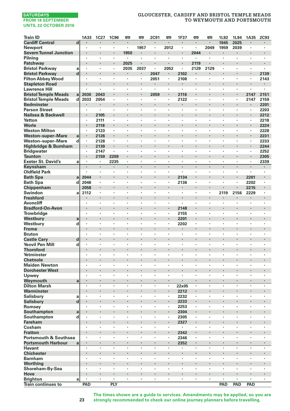# **GLOUCESTER, CARDIFF AND BRISTOL TEMPLE MEADS TO WEYMOUTH AND PORTSMOUTH**

| <b>Train ID</b>                     |                         | 1A33                 | <b>1C27</b> | <b>1C96</b> | 罒              | 罒    | 2C91      | œ              | 1F37           | 罒                    | 罒                               | 1L92       | 1L94 | 1A35 | <b>2C93</b>    |
|-------------------------------------|-------------------------|----------------------|-------------|-------------|----------------|------|-----------|----------------|----------------|----------------------|---------------------------------|------------|------|------|----------------|
| <b>Cardiff Central</b>              | $\overline{\mathsf{d}}$ |                      |             |             | $\cdot$        | ×    |           |                | ×              | $\cdot$              | $\cdot$                         | 1945       | 2025 |      |                |
| <b>Newport</b>                      |                         |                      | ×           | $\cdot$     |                | 1957 | ×,        | 2012           | ×              | $\ddot{\phantom{0}}$ | 2049                            | 1959       | 2039 | ٠    | ×              |
| <b>Severn Tunnel Junction</b>       |                         |                      | ×           | $\bullet$   | 1950           |      | ٠         |                | ٠              | 2044                 |                                 | $\bullet$  |      |      |                |
| Pilning                             |                         | ٠                    | ٠           | $\cdot$     | $\cdot$        | ×    | ×         | ٠              | ×              | ٠                    | $\cdot$                         | $\cdot$    | ٠    | ٠    | ٠              |
| Patchway                            |                         |                      |             |             | 2025           |      |           |                |                | 2119                 |                                 |            |      |      | i,             |
| <b>Bristol Parkway</b>              | a                       | $\cdot$              | $\cdot$     | $\cdot$     | 2035           | 2037 | $\bullet$ | 2052           | $\cdot$        | 2129                 | 2129                            |            | ٠    | ٠    | ٠              |
| <b>Bristol Parkway</b>              | d                       |                      |             |             |                |      | 2047      |                | 2102           |                      |                                 |            | ï    |      | 2139           |
| <b>Filton Abbey Wood</b>            |                         | ٠                    | ٠           | $\cdot$     | $\blacksquare$ | ٠    | 2051      | $\blacksquare$ | 2108           | ×,                   | $\cdot$                         | ٠          | ٠    | ٠    | 2143           |
| <b>Stapleton Road</b>               |                         | ٠                    | ٠           |             |                | ٠    | ۰         | ×              | ٠              | ٠                    |                                 | $\cdot$    |      | ٠    | ٠              |
| <b>Lawrence Hill</b>                |                         |                      |             |             |                |      |           | ï              |                |                      |                                 |            |      |      | ł,             |
| <b>Bristol Temple Meads</b>         | a                       | 2030                 | 2043        | $\cdot$     |                | ł.   | 2059      | ł,             | 2116           |                      | $\cdot$                         | $\cdot$    | i,   | 2147 | 2151           |
| <b>Bristol Temple Meads</b>         | d                       | 2033                 | 2054        | $\cdot$     |                | ×    |           | ٠              | 2122           | $\cdot$              | $\cdot$                         |            | ٠    | 2147 | 2159           |
| <b>Bedminster</b>                   |                         |                      | ٠           |             |                |      |           |                |                |                      |                                 |            |      | ٠    | 2201           |
| <b>Parson Street</b>                |                         | ٠                    | $\cdot$     | $\cdot$     |                | ×    | ٠         | ٠              | ×              | ٠                    | $\cdot$                         | $\cdot$    | ٠    | ×,   | 2203           |
| Nailsea & Backwell                  |                         |                      | 2105        |             |                | l,   |           |                |                |                      |                                 |            |      |      | 2212           |
| Yatton                              |                         | $\cdot$              | 2111        | $\cdot$     |                | ٠    | ٠         | ٠              | ٠              | $\cdot$              |                                 |            | ٠    | ×,   | 2218           |
| Worle                               |                         |                      | 2118        |             |                |      |           | ï              |                |                      |                                 |            | ï    | ×,   | 2224           |
| <b>Weston Milton</b>                |                         | ٠                    | 2123        | $\cdot$     | $\cdot$        | ٠    | ٠         | ٠              | ٠              | ٠                    | $\cdot$                         | $\cdot$    | ٠    | ٠    | 2228           |
| <b>Weston-super-Mare</b>            | a                       | $\blacksquare$       | 2126        | $\cdot$     |                | ٠    |           |                |                |                      |                                 |            |      | ٠    | 2231           |
| Weston-super-Mare                   | d                       | ł,                   | 2128        |             |                | ł,   | ï         |                | ï              |                      |                                 |            | ï    | ï    | 2233           |
| Highbridge & Burnham                |                         | ×,                   | 2139        |             |                | ×    | ï         | ×              |                |                      | $\cdot$                         | $\cdot$    | i,   | ł.   | 2244           |
| <b>Bridgwater</b>                   |                         |                      | 2147        |             |                | ×    | ٠         | ٠              | ٠              | ×                    |                                 |            | ٠    | ٠    | 2252           |
| <b>Taunton</b>                      |                         | ٠                    | 2159        | 2209        |                |      |           | ×              |                | ٠                    |                                 | $\bullet$  |      | ٠    | 2305           |
| <b>Exeter St. David's</b>           | a                       | ٠                    | $\cdot$     | 2235        | $\blacksquare$ | ٠    | ٠         | ٠              | ٠              | ٠                    | $\cdot$                         |            | ٠    | ٠    | 2339           |
| Keynsham                            |                         | $\blacksquare$       | ×           |             | $\cdot$        | ł.   | ł.        | ł.             | ×,             |                      | $\cdot$                         | $\cdot$    | ×    | ×,   | ł.             |
| <b>Oldfield Park</b>                |                         | $\blacksquare$       | ٠           | $\cdot$     |                | ٠    | ٠         | ٠              | $\blacksquare$ | ٠                    |                                 |            | ٠    | ×.   | $\blacksquare$ |
| <b>Bath Spa</b>                     | a                       | 2044                 |             |             |                |      |           | ä,             | 2134           |                      |                                 |            | ï    | 2201 | i,             |
| <b>Bath Spa</b>                     | d                       | 2046                 | ٠           | $\cdot$     | $\cdot$        | ٠    | ٠         | ٠              | 2136           | ٠                    | $\cdot$                         | $\cdot$    | ٠    | 2202 | ٠              |
| Chippenham                          |                         | 2058                 | ٠           |             |                |      |           |                |                | ٠                    | $\centering \label{eq:reduced}$ |            |      | 2215 |                |
| Swindon                             | a                       | 2112                 | ï           | ,           |                | ł,   | ï         |                | ï              | ï                    |                                 | 2119       | 2156 | 2229 | ł,             |
| <b>Freshford</b>                    |                         |                      | l,          |             |                | ×    |           | l,             |                | l,                   |                                 |            | ٠    |      | ł.             |
| <b>Avoncliff</b>                    |                         |                      | ï           | ٠           |                | ×    | ï         | ٠              | ï              | $\cdot$              |                                 |            | ×,   | ٠    | ï              |
| <b>Bradford-On-Avon</b>             |                         |                      | ٠           |             |                |      |           |                | 2148           |                      |                                 |            |      |      | ٠              |
| Trowbridge                          |                         | ٠                    | ٠           | $\cdot$     |                | ×    | ٠         | ٠              | 2155           | ٠                    | $\cdot$                         | $\cdot$    | ٠    | ٠    | ٠              |
| Westbury                            | a                       |                      |             |             |                |      |           | i,             | 2201           |                      |                                 |            | ï    |      | ï              |
| Westbury                            | d                       | $\cdot$              | $\cdot$     | $\cdot$     |                | ×    | ٠         | ٠              | 2202           | ×,                   |                                 |            | ٠    | ٠    | ٠              |
| <b>Frome</b>                        |                         |                      |             |             |                |      |           | ×              |                |                      |                                 |            |      |      |                |
| <b>Bruton</b>                       |                         | $\bullet$            | ×           | $\cdot$     | $\cdot$        | ٠    | ٠         | ×              | ٠              | ٠                    |                                 |            | ٠    | ٠    | ٠              |
| <b>Castle Cary</b>                  | d                       | ٠                    |             |             |                |      |           |                |                | ٠                    |                                 |            |      | ٠    |                |
| <b>Yeovil Pen Mill</b>              | d                       | ł,                   | ï           |             |                | ł,   | ï         |                | ï              | ٠                    |                                 |            | ×    | ×    | ×              |
| <b>Thornford</b>                    |                         | ×                    |             |             |                | ×    |           | ×              | ٠              | l,                   |                                 | $\cdot$    | l,   | ٠    | l,             |
| Yetminster                          |                         |                      | ï           | ٠           |                |      | ٠         | ï              | ï              | ٠                    |                                 |            | ×,   |      |                |
| <b>Chetnole</b>                     |                         |                      | ٠           |             |                |      | ٠         |                | ٠              |                      |                                 |            | ٠    |      | ٠              |
| <b>Maiden Newton</b>                |                         | ٠                    | ٠           | ٠           | $\cdot$        | ٠    | ٠         | ٠              | ٠              | ٠                    | $\cdot$                         | $\cdot$    | ٠    | ٠    | ٠              |
| <b>Dorchester West</b>              |                         |                      | ï           |             |                |      |           |                |                |                      |                                 |            |      |      | ï              |
| Upwey                               |                         | $\ddot{\phantom{a}}$ | ï           | $\cdot$     |                | ٠    | ٠         | ٠              | ï              | ٠                    |                                 |            | ï    | ٠    | ×              |
| Weymouth                            | a                       |                      | ٠           |             |                | ł    | ı,        | ×              |                |                      |                                 |            |      |      | ï              |
| <b>Dilton Marsh</b>                 |                         | ÷,                   | l,          |             |                | ł,   | ï         | ÷,             | $22\times05$   |                      |                                 | $\cdot$    | ٠    | ÷,   | ł,             |
| Warminster                          |                         | ٠                    |             |             |                |      |           | ٠              | 2212           | $\blacksquare$       |                                 |            |      |      |                |
| <b>Salisbury</b>                    | a                       | ł,                   | ł,          |             |                | ï    | ï         | ×              | 2232           | ï                    |                                 |            | ×    | ٠    | ٠              |
| <b>Salisbury</b>                    | $\mathbf d$             |                      | ï           |             |                | ï    |           | ï              | 2233           | ï                    |                                 | $\cdot$    | ï    | ł.   | ï              |
| Romsey                              |                         |                      | ï           | ٠           |                |      |           | ٠              | 2253           | ٠                    |                                 |            | ×,   | ٠    |                |
| Southampton                         | a                       | ×                    | ×           | $\cdot$     |                |      |           | ×              | 2304           | ٠                    |                                 |            |      | ٠    |                |
| Southampton                         | d                       | ٠                    | ٠           | ٠           | $\cdot$        | ٠    | ٠         | ٠              | 2305           | ٠                    | $\cdot$                         | $\cdot$    | ٠    | ٠    | ٠              |
| <b>Fareham</b>                      |                         |                      |             |             |                |      |           | ä,             | 2327           |                      |                                 |            | ï    |      | ł,             |
| Cosham                              |                         | ٠                    | ٠           | $\cdot$     |                | ٠    | ٠         | ٠              | $\cdot$        | ٠                    | $\cdot$                         | $\cdot$    |      | ٠    | ÷,             |
| <b>Fratton</b>                      |                         |                      |             |             |                |      |           | ł,             | 2342           |                      |                                 |            |      |      |                |
| <b>Portsmouth &amp; Southsea</b>    |                         | ٠                    | ٠           | $\cdot$     | $\cdot$        | ٠    | ٠         | ٠              | 2346           | ٠                    | $\cdot$                         |            | ٠    | ٠    | ٠              |
|                                     |                         | $\blacksquare$       | $\cdot$     | $\cdot$     | $\cdot$        | ٠    | ł.        | ×              |                | $\blacksquare$       | $\cdot$                         | $\cdot$    | ٠    | ٠    | ٠              |
| <b>Portsmouth Harbour</b><br>Havant | a                       | ł,                   | ï           |             |                | ï    | ï         |                | 2352           | ï                    |                                 |            | ï    | ï    | ï              |
|                                     |                         |                      |             |             |                | ï    | ï         | ٠              |                | $\cdot$              |                                 | $\cdot$    | l,   |      | ï              |
| <b>Chichester</b><br><b>Barnham</b> |                         |                      |             | $\cdot$     |                |      | ×,        | ×              |                |                      |                                 |            | ï    |      |                |
|                                     |                         |                      | ×           | $\cdot$     |                | ٠    |           | ×              |                |                      |                                 |            |      |      |                |
| Worthing<br>Shoreham-By-Sea         |                         | ٠                    | ٠           | $\cdot$     | $\cdot$        | ٠    | ٠         | ٠              | ٠              | ٠                    | $\cdot$                         | $\cdot$    | ٠    | ٠    | ٠              |
| Hove                                |                         |                      |             |             |                |      |           |                |                |                      |                                 |            | ï    |      | ï              |
| <b>Brighton</b>                     |                         | $\cdot$              | $\cdot$     | $\cdot$     | $\cdot$        | ×    | ×.        | ٠              | ٠              | $\ddot{\phantom{0}}$ | $\cdot$                         | $\cdot$    | ×    | ×    | ÷,             |
| <b>Train continues to</b>           | a                       | PAD                  |             | PLY         |                |      |           |                |                |                      |                                 | <b>PAD</b> | PAD  | PAD  |                |
|                                     |                         |                      |             |             |                |      |           |                |                |                      |                                 |            |      |      |                |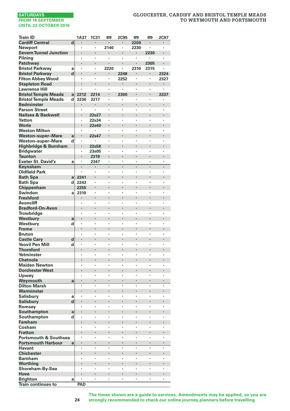### **GLOUCESTER, CARDIFF AND BRISTOL TEMPLE MEADS TO WEYMOUTH AND PORTSMOUTH**

| <b>Cardiff Central</b><br>$\overline{\mathbf{d}}$<br>2200<br>2140<br>2230<br>Newport<br>$\cdot$<br>$\cdot$<br>×<br>٠<br>$\cdot$<br><b>Severn Tunnel Junction</b><br>2230<br>×,<br>Pilning<br>ï<br>ï<br>$\cdot$<br>ï<br>2305<br>Patchway<br><b>Bristol Parkway</b><br>2220<br>2310<br>2315<br>a<br>d<br><b>Bristol Parkway</b><br>2248<br>2324<br>×<br>٠<br>٠<br><b>Filton Abbey Wood</b><br>2252<br>2327<br>٠<br>٠<br>٠<br>٠<br>$\cdot$<br><b>Stapleton Road</b><br>ï<br><b>Lawrence Hill</b><br>٠<br>×<br>٠<br>٠<br>ï<br>$\cdot$<br><b>Bristol Temple Meads</b><br>a<br>2212<br>2214<br>2300<br>ł,<br>2337<br><b>Bristol Temple Meads</b><br>d<br>2230<br>2217<br>٠<br>ï<br>٠<br>٠<br><b>Bedminster</b><br>l,<br>$\blacksquare$<br><b>Parson Street</b><br>ł<br>ï<br>Nailsea & Backwell<br>l<br>l,<br>22s27<br>l,<br>Yatton<br>$\cdot$<br>22s34<br>ï<br>ï<br>ï<br>ï<br>$\cdot$<br>Worle<br>22s40<br><b>Weston Milton</b><br>$\cdot$<br>×<br>×<br>٠<br>٠<br>٠<br>٠<br><b>Weston-super-Mare</b><br>22s47<br>a<br>$\cdot$<br>Weston-super-Mare<br>d<br>ï<br>ï<br>ł<br>ï<br>,<br>l<br>$\overline{a}$<br>Highbridge & Burnham<br>22s58<br><b>Bridgwater</b><br>23s05<br>,<br>ï<br><b>Taunton</b><br>2319<br>$\cdot$<br>ï<br>ł,<br><b>Exeter St. David's</b><br>2347<br>a<br>٠<br>٠<br>ï<br>٠<br>$\cdot$<br>Keynsham<br>ï<br>ï<br>ï<br>ï<br><b>Oldfield Park</b><br>$\ddot{\phantom{0}}$<br>$\cdot$<br>×<br>×<br>٠<br>٠<br>$\cdot$<br>2241<br><b>Bath Spa</b><br>a<br><b>Bath Spa</b><br>d<br>2243<br>ï<br>ï<br>ï<br>ï<br>٠<br>Chippenham<br>2255<br>Swindon<br>2310<br>,<br>a<br><b>Freshford</b><br>ï<br>ï<br>Avoncliff<br>ï<br>ï<br>ï<br>ï<br><b>Bradford-On-Avon</b><br>ł,<br><b>Trowbridge</b><br>ï<br>ï<br>×<br>Westbury<br>ï<br>a<br>ï<br>Westbury<br>d<br>ï<br>ł,<br>ï<br>ï<br>l,<br><b>Frome</b><br><b>Bruton</b><br>ï<br>ï<br>ï<br><b>Castle Cary</b><br>d<br>ł,<br>×<br><b>Yeovil Pen Mill</b><br>d<br>ï<br>ï<br>ï<br>ï<br><b>Thornford</b><br>ï<br>ï<br>ï<br>ï<br>Yetminster<br>$\cdot$<br>ï<br>ï<br>ï<br>ï<br><b>Chetnole</b><br><b>Maiden Newton</b><br>,<br>,<br>×<br>ł<br>٠<br>٠<br>,<br><b>Dorchester West</b><br>ł,<br>Upwey<br>ï<br>ï<br>ï<br>ï<br>$\cdot$<br>l,<br>ï<br>$\ddot{\phantom{0}}$<br>Weymouth<br>a<br><b>Dilton Marsh</b><br>ï<br>ï<br>ł,<br>ï<br>Warminster<br>Salisbury<br>ï<br>ï<br>a<br>٠<br>٠<br>٠<br>d<br><b>Salisbury</b><br>ï<br>ï<br>Romsey<br>$\cdot$<br>$\cdot$<br>×<br>ł<br>ï<br>ï<br>,<br>ï<br>Southampton<br>a<br>Southampton<br>d<br>ï<br>ï<br>ï<br>,<br>Fareham<br>l,<br>ï<br>Cosham<br>ï<br>ï<br><b>Fratton</b><br>l,<br>ï<br>ï<br><b>Portsmouth &amp; Southsea</b><br>$\cdot$<br>$\cdot$<br>ï<br>ï<br>ï<br>٠<br><b>Portsmouth Harbour</b><br>a<br><b>Havant</b><br>$\cdot$<br>$\cdot$<br>×<br>ï<br>ï<br>,<br><b>Chichester</b><br>ł<br><b>Barnham</b><br>ï<br>ï<br>ï<br>ï<br>l,<br>ï<br>Worthing<br>Shoreham-By-Sea<br>Hove<br>ł,<br>ï<br><b>Brighton</b><br>a<br>٠<br>٠<br>٠<br>PAD | <b>Train ID</b>           | 1A37 | <b>1C31</b> | œ | <b>2C95</b> | œ | <b>m</b> | 2C97 |
|----------------------------------------------------------------------------------------------------------------------------------------------------------------------------------------------------------------------------------------------------------------------------------------------------------------------------------------------------------------------------------------------------------------------------------------------------------------------------------------------------------------------------------------------------------------------------------------------------------------------------------------------------------------------------------------------------------------------------------------------------------------------------------------------------------------------------------------------------------------------------------------------------------------------------------------------------------------------------------------------------------------------------------------------------------------------------------------------------------------------------------------------------------------------------------------------------------------------------------------------------------------------------------------------------------------------------------------------------------------------------------------------------------------------------------------------------------------------------------------------------------------------------------------------------------------------------------------------------------------------------------------------------------------------------------------------------------------------------------------------------------------------------------------------------------------------------------------------------------------------------------------------------------------------------------------------------------------------------------------------------------------------------------------------------------------------------------------------------------------------------------------------------------------------------------------------------------------------------------------------------------------------------------------------------------------------------------------------------------------------------------------------------------------------------------------------------------------------------------------------------------------------------------------------------------------------------------------------------------------------------------------------------------------------------------------------------------------------------------------------------------------------------------------------------------------------------------------------------------------------------------------------------------------------------------|---------------------------|------|-------------|---|-------------|---|----------|------|
|                                                                                                                                                                                                                                                                                                                                                                                                                                                                                                                                                                                                                                                                                                                                                                                                                                                                                                                                                                                                                                                                                                                                                                                                                                                                                                                                                                                                                                                                                                                                                                                                                                                                                                                                                                                                                                                                                                                                                                                                                                                                                                                                                                                                                                                                                                                                                                                                                                                                                                                                                                                                                                                                                                                                                                                                                                                                                                                                  |                           |      |             |   |             |   |          |      |
|                                                                                                                                                                                                                                                                                                                                                                                                                                                                                                                                                                                                                                                                                                                                                                                                                                                                                                                                                                                                                                                                                                                                                                                                                                                                                                                                                                                                                                                                                                                                                                                                                                                                                                                                                                                                                                                                                                                                                                                                                                                                                                                                                                                                                                                                                                                                                                                                                                                                                                                                                                                                                                                                                                                                                                                                                                                                                                                                  |                           |      |             |   |             |   |          |      |
|                                                                                                                                                                                                                                                                                                                                                                                                                                                                                                                                                                                                                                                                                                                                                                                                                                                                                                                                                                                                                                                                                                                                                                                                                                                                                                                                                                                                                                                                                                                                                                                                                                                                                                                                                                                                                                                                                                                                                                                                                                                                                                                                                                                                                                                                                                                                                                                                                                                                                                                                                                                                                                                                                                                                                                                                                                                                                                                                  |                           |      |             |   |             |   |          |      |
|                                                                                                                                                                                                                                                                                                                                                                                                                                                                                                                                                                                                                                                                                                                                                                                                                                                                                                                                                                                                                                                                                                                                                                                                                                                                                                                                                                                                                                                                                                                                                                                                                                                                                                                                                                                                                                                                                                                                                                                                                                                                                                                                                                                                                                                                                                                                                                                                                                                                                                                                                                                                                                                                                                                                                                                                                                                                                                                                  |                           |      |             |   |             |   |          |      |
|                                                                                                                                                                                                                                                                                                                                                                                                                                                                                                                                                                                                                                                                                                                                                                                                                                                                                                                                                                                                                                                                                                                                                                                                                                                                                                                                                                                                                                                                                                                                                                                                                                                                                                                                                                                                                                                                                                                                                                                                                                                                                                                                                                                                                                                                                                                                                                                                                                                                                                                                                                                                                                                                                                                                                                                                                                                                                                                                  |                           |      |             |   |             |   |          |      |
|                                                                                                                                                                                                                                                                                                                                                                                                                                                                                                                                                                                                                                                                                                                                                                                                                                                                                                                                                                                                                                                                                                                                                                                                                                                                                                                                                                                                                                                                                                                                                                                                                                                                                                                                                                                                                                                                                                                                                                                                                                                                                                                                                                                                                                                                                                                                                                                                                                                                                                                                                                                                                                                                                                                                                                                                                                                                                                                                  |                           |      |             |   |             |   |          |      |
|                                                                                                                                                                                                                                                                                                                                                                                                                                                                                                                                                                                                                                                                                                                                                                                                                                                                                                                                                                                                                                                                                                                                                                                                                                                                                                                                                                                                                                                                                                                                                                                                                                                                                                                                                                                                                                                                                                                                                                                                                                                                                                                                                                                                                                                                                                                                                                                                                                                                                                                                                                                                                                                                                                                                                                                                                                                                                                                                  |                           |      |             |   |             |   |          |      |
|                                                                                                                                                                                                                                                                                                                                                                                                                                                                                                                                                                                                                                                                                                                                                                                                                                                                                                                                                                                                                                                                                                                                                                                                                                                                                                                                                                                                                                                                                                                                                                                                                                                                                                                                                                                                                                                                                                                                                                                                                                                                                                                                                                                                                                                                                                                                                                                                                                                                                                                                                                                                                                                                                                                                                                                                                                                                                                                                  |                           |      |             |   |             |   |          |      |
|                                                                                                                                                                                                                                                                                                                                                                                                                                                                                                                                                                                                                                                                                                                                                                                                                                                                                                                                                                                                                                                                                                                                                                                                                                                                                                                                                                                                                                                                                                                                                                                                                                                                                                                                                                                                                                                                                                                                                                                                                                                                                                                                                                                                                                                                                                                                                                                                                                                                                                                                                                                                                                                                                                                                                                                                                                                                                                                                  |                           |      |             |   |             |   |          |      |
|                                                                                                                                                                                                                                                                                                                                                                                                                                                                                                                                                                                                                                                                                                                                                                                                                                                                                                                                                                                                                                                                                                                                                                                                                                                                                                                                                                                                                                                                                                                                                                                                                                                                                                                                                                                                                                                                                                                                                                                                                                                                                                                                                                                                                                                                                                                                                                                                                                                                                                                                                                                                                                                                                                                                                                                                                                                                                                                                  |                           |      |             |   |             |   |          |      |
|                                                                                                                                                                                                                                                                                                                                                                                                                                                                                                                                                                                                                                                                                                                                                                                                                                                                                                                                                                                                                                                                                                                                                                                                                                                                                                                                                                                                                                                                                                                                                                                                                                                                                                                                                                                                                                                                                                                                                                                                                                                                                                                                                                                                                                                                                                                                                                                                                                                                                                                                                                                                                                                                                                                                                                                                                                                                                                                                  |                           |      |             |   |             |   |          |      |
|                                                                                                                                                                                                                                                                                                                                                                                                                                                                                                                                                                                                                                                                                                                                                                                                                                                                                                                                                                                                                                                                                                                                                                                                                                                                                                                                                                                                                                                                                                                                                                                                                                                                                                                                                                                                                                                                                                                                                                                                                                                                                                                                                                                                                                                                                                                                                                                                                                                                                                                                                                                                                                                                                                                                                                                                                                                                                                                                  |                           |      |             |   |             |   |          |      |
|                                                                                                                                                                                                                                                                                                                                                                                                                                                                                                                                                                                                                                                                                                                                                                                                                                                                                                                                                                                                                                                                                                                                                                                                                                                                                                                                                                                                                                                                                                                                                                                                                                                                                                                                                                                                                                                                                                                                                                                                                                                                                                                                                                                                                                                                                                                                                                                                                                                                                                                                                                                                                                                                                                                                                                                                                                                                                                                                  |                           |      |             |   |             |   |          |      |
|                                                                                                                                                                                                                                                                                                                                                                                                                                                                                                                                                                                                                                                                                                                                                                                                                                                                                                                                                                                                                                                                                                                                                                                                                                                                                                                                                                                                                                                                                                                                                                                                                                                                                                                                                                                                                                                                                                                                                                                                                                                                                                                                                                                                                                                                                                                                                                                                                                                                                                                                                                                                                                                                                                                                                                                                                                                                                                                                  |                           |      |             |   |             |   |          |      |
|                                                                                                                                                                                                                                                                                                                                                                                                                                                                                                                                                                                                                                                                                                                                                                                                                                                                                                                                                                                                                                                                                                                                                                                                                                                                                                                                                                                                                                                                                                                                                                                                                                                                                                                                                                                                                                                                                                                                                                                                                                                                                                                                                                                                                                                                                                                                                                                                                                                                                                                                                                                                                                                                                                                                                                                                                                                                                                                                  |                           |      |             |   |             |   |          |      |
|                                                                                                                                                                                                                                                                                                                                                                                                                                                                                                                                                                                                                                                                                                                                                                                                                                                                                                                                                                                                                                                                                                                                                                                                                                                                                                                                                                                                                                                                                                                                                                                                                                                                                                                                                                                                                                                                                                                                                                                                                                                                                                                                                                                                                                                                                                                                                                                                                                                                                                                                                                                                                                                                                                                                                                                                                                                                                                                                  |                           |      |             |   |             |   |          |      |
|                                                                                                                                                                                                                                                                                                                                                                                                                                                                                                                                                                                                                                                                                                                                                                                                                                                                                                                                                                                                                                                                                                                                                                                                                                                                                                                                                                                                                                                                                                                                                                                                                                                                                                                                                                                                                                                                                                                                                                                                                                                                                                                                                                                                                                                                                                                                                                                                                                                                                                                                                                                                                                                                                                                                                                                                                                                                                                                                  |                           |      |             |   |             |   |          |      |
|                                                                                                                                                                                                                                                                                                                                                                                                                                                                                                                                                                                                                                                                                                                                                                                                                                                                                                                                                                                                                                                                                                                                                                                                                                                                                                                                                                                                                                                                                                                                                                                                                                                                                                                                                                                                                                                                                                                                                                                                                                                                                                                                                                                                                                                                                                                                                                                                                                                                                                                                                                                                                                                                                                                                                                                                                                                                                                                                  |                           |      |             |   |             |   |          |      |
|                                                                                                                                                                                                                                                                                                                                                                                                                                                                                                                                                                                                                                                                                                                                                                                                                                                                                                                                                                                                                                                                                                                                                                                                                                                                                                                                                                                                                                                                                                                                                                                                                                                                                                                                                                                                                                                                                                                                                                                                                                                                                                                                                                                                                                                                                                                                                                                                                                                                                                                                                                                                                                                                                                                                                                                                                                                                                                                                  |                           |      |             |   |             |   |          |      |
|                                                                                                                                                                                                                                                                                                                                                                                                                                                                                                                                                                                                                                                                                                                                                                                                                                                                                                                                                                                                                                                                                                                                                                                                                                                                                                                                                                                                                                                                                                                                                                                                                                                                                                                                                                                                                                                                                                                                                                                                                                                                                                                                                                                                                                                                                                                                                                                                                                                                                                                                                                                                                                                                                                                                                                                                                                                                                                                                  |                           |      |             |   |             |   |          |      |
|                                                                                                                                                                                                                                                                                                                                                                                                                                                                                                                                                                                                                                                                                                                                                                                                                                                                                                                                                                                                                                                                                                                                                                                                                                                                                                                                                                                                                                                                                                                                                                                                                                                                                                                                                                                                                                                                                                                                                                                                                                                                                                                                                                                                                                                                                                                                                                                                                                                                                                                                                                                                                                                                                                                                                                                                                                                                                                                                  |                           |      |             |   |             |   |          |      |
|                                                                                                                                                                                                                                                                                                                                                                                                                                                                                                                                                                                                                                                                                                                                                                                                                                                                                                                                                                                                                                                                                                                                                                                                                                                                                                                                                                                                                                                                                                                                                                                                                                                                                                                                                                                                                                                                                                                                                                                                                                                                                                                                                                                                                                                                                                                                                                                                                                                                                                                                                                                                                                                                                                                                                                                                                                                                                                                                  |                           |      |             |   |             |   |          |      |
|                                                                                                                                                                                                                                                                                                                                                                                                                                                                                                                                                                                                                                                                                                                                                                                                                                                                                                                                                                                                                                                                                                                                                                                                                                                                                                                                                                                                                                                                                                                                                                                                                                                                                                                                                                                                                                                                                                                                                                                                                                                                                                                                                                                                                                                                                                                                                                                                                                                                                                                                                                                                                                                                                                                                                                                                                                                                                                                                  |                           |      |             |   |             |   |          |      |
|                                                                                                                                                                                                                                                                                                                                                                                                                                                                                                                                                                                                                                                                                                                                                                                                                                                                                                                                                                                                                                                                                                                                                                                                                                                                                                                                                                                                                                                                                                                                                                                                                                                                                                                                                                                                                                                                                                                                                                                                                                                                                                                                                                                                                                                                                                                                                                                                                                                                                                                                                                                                                                                                                                                                                                                                                                                                                                                                  |                           |      |             |   |             |   |          |      |
|                                                                                                                                                                                                                                                                                                                                                                                                                                                                                                                                                                                                                                                                                                                                                                                                                                                                                                                                                                                                                                                                                                                                                                                                                                                                                                                                                                                                                                                                                                                                                                                                                                                                                                                                                                                                                                                                                                                                                                                                                                                                                                                                                                                                                                                                                                                                                                                                                                                                                                                                                                                                                                                                                                                                                                                                                                                                                                                                  |                           |      |             |   |             |   |          |      |
|                                                                                                                                                                                                                                                                                                                                                                                                                                                                                                                                                                                                                                                                                                                                                                                                                                                                                                                                                                                                                                                                                                                                                                                                                                                                                                                                                                                                                                                                                                                                                                                                                                                                                                                                                                                                                                                                                                                                                                                                                                                                                                                                                                                                                                                                                                                                                                                                                                                                                                                                                                                                                                                                                                                                                                                                                                                                                                                                  |                           |      |             |   |             |   |          |      |
|                                                                                                                                                                                                                                                                                                                                                                                                                                                                                                                                                                                                                                                                                                                                                                                                                                                                                                                                                                                                                                                                                                                                                                                                                                                                                                                                                                                                                                                                                                                                                                                                                                                                                                                                                                                                                                                                                                                                                                                                                                                                                                                                                                                                                                                                                                                                                                                                                                                                                                                                                                                                                                                                                                                                                                                                                                                                                                                                  |                           |      |             |   |             |   |          |      |
|                                                                                                                                                                                                                                                                                                                                                                                                                                                                                                                                                                                                                                                                                                                                                                                                                                                                                                                                                                                                                                                                                                                                                                                                                                                                                                                                                                                                                                                                                                                                                                                                                                                                                                                                                                                                                                                                                                                                                                                                                                                                                                                                                                                                                                                                                                                                                                                                                                                                                                                                                                                                                                                                                                                                                                                                                                                                                                                                  |                           |      |             |   |             |   |          |      |
|                                                                                                                                                                                                                                                                                                                                                                                                                                                                                                                                                                                                                                                                                                                                                                                                                                                                                                                                                                                                                                                                                                                                                                                                                                                                                                                                                                                                                                                                                                                                                                                                                                                                                                                                                                                                                                                                                                                                                                                                                                                                                                                                                                                                                                                                                                                                                                                                                                                                                                                                                                                                                                                                                                                                                                                                                                                                                                                                  |                           |      |             |   |             |   |          |      |
|                                                                                                                                                                                                                                                                                                                                                                                                                                                                                                                                                                                                                                                                                                                                                                                                                                                                                                                                                                                                                                                                                                                                                                                                                                                                                                                                                                                                                                                                                                                                                                                                                                                                                                                                                                                                                                                                                                                                                                                                                                                                                                                                                                                                                                                                                                                                                                                                                                                                                                                                                                                                                                                                                                                                                                                                                                                                                                                                  |                           |      |             |   |             |   |          |      |
|                                                                                                                                                                                                                                                                                                                                                                                                                                                                                                                                                                                                                                                                                                                                                                                                                                                                                                                                                                                                                                                                                                                                                                                                                                                                                                                                                                                                                                                                                                                                                                                                                                                                                                                                                                                                                                                                                                                                                                                                                                                                                                                                                                                                                                                                                                                                                                                                                                                                                                                                                                                                                                                                                                                                                                                                                                                                                                                                  |                           |      |             |   |             |   |          |      |
|                                                                                                                                                                                                                                                                                                                                                                                                                                                                                                                                                                                                                                                                                                                                                                                                                                                                                                                                                                                                                                                                                                                                                                                                                                                                                                                                                                                                                                                                                                                                                                                                                                                                                                                                                                                                                                                                                                                                                                                                                                                                                                                                                                                                                                                                                                                                                                                                                                                                                                                                                                                                                                                                                                                                                                                                                                                                                                                                  |                           |      |             |   |             |   |          |      |
|                                                                                                                                                                                                                                                                                                                                                                                                                                                                                                                                                                                                                                                                                                                                                                                                                                                                                                                                                                                                                                                                                                                                                                                                                                                                                                                                                                                                                                                                                                                                                                                                                                                                                                                                                                                                                                                                                                                                                                                                                                                                                                                                                                                                                                                                                                                                                                                                                                                                                                                                                                                                                                                                                                                                                                                                                                                                                                                                  |                           |      |             |   |             |   |          |      |
|                                                                                                                                                                                                                                                                                                                                                                                                                                                                                                                                                                                                                                                                                                                                                                                                                                                                                                                                                                                                                                                                                                                                                                                                                                                                                                                                                                                                                                                                                                                                                                                                                                                                                                                                                                                                                                                                                                                                                                                                                                                                                                                                                                                                                                                                                                                                                                                                                                                                                                                                                                                                                                                                                                                                                                                                                                                                                                                                  |                           |      |             |   |             |   |          |      |
|                                                                                                                                                                                                                                                                                                                                                                                                                                                                                                                                                                                                                                                                                                                                                                                                                                                                                                                                                                                                                                                                                                                                                                                                                                                                                                                                                                                                                                                                                                                                                                                                                                                                                                                                                                                                                                                                                                                                                                                                                                                                                                                                                                                                                                                                                                                                                                                                                                                                                                                                                                                                                                                                                                                                                                                                                                                                                                                                  |                           |      |             |   |             |   |          |      |
|                                                                                                                                                                                                                                                                                                                                                                                                                                                                                                                                                                                                                                                                                                                                                                                                                                                                                                                                                                                                                                                                                                                                                                                                                                                                                                                                                                                                                                                                                                                                                                                                                                                                                                                                                                                                                                                                                                                                                                                                                                                                                                                                                                                                                                                                                                                                                                                                                                                                                                                                                                                                                                                                                                                                                                                                                                                                                                                                  |                           |      |             |   |             |   |          |      |
|                                                                                                                                                                                                                                                                                                                                                                                                                                                                                                                                                                                                                                                                                                                                                                                                                                                                                                                                                                                                                                                                                                                                                                                                                                                                                                                                                                                                                                                                                                                                                                                                                                                                                                                                                                                                                                                                                                                                                                                                                                                                                                                                                                                                                                                                                                                                                                                                                                                                                                                                                                                                                                                                                                                                                                                                                                                                                                                                  |                           |      |             |   |             |   |          |      |
|                                                                                                                                                                                                                                                                                                                                                                                                                                                                                                                                                                                                                                                                                                                                                                                                                                                                                                                                                                                                                                                                                                                                                                                                                                                                                                                                                                                                                                                                                                                                                                                                                                                                                                                                                                                                                                                                                                                                                                                                                                                                                                                                                                                                                                                                                                                                                                                                                                                                                                                                                                                                                                                                                                                                                                                                                                                                                                                                  |                           |      |             |   |             |   |          |      |
|                                                                                                                                                                                                                                                                                                                                                                                                                                                                                                                                                                                                                                                                                                                                                                                                                                                                                                                                                                                                                                                                                                                                                                                                                                                                                                                                                                                                                                                                                                                                                                                                                                                                                                                                                                                                                                                                                                                                                                                                                                                                                                                                                                                                                                                                                                                                                                                                                                                                                                                                                                                                                                                                                                                                                                                                                                                                                                                                  |                           |      |             |   |             |   |          |      |
|                                                                                                                                                                                                                                                                                                                                                                                                                                                                                                                                                                                                                                                                                                                                                                                                                                                                                                                                                                                                                                                                                                                                                                                                                                                                                                                                                                                                                                                                                                                                                                                                                                                                                                                                                                                                                                                                                                                                                                                                                                                                                                                                                                                                                                                                                                                                                                                                                                                                                                                                                                                                                                                                                                                                                                                                                                                                                                                                  |                           |      |             |   |             |   |          |      |
|                                                                                                                                                                                                                                                                                                                                                                                                                                                                                                                                                                                                                                                                                                                                                                                                                                                                                                                                                                                                                                                                                                                                                                                                                                                                                                                                                                                                                                                                                                                                                                                                                                                                                                                                                                                                                                                                                                                                                                                                                                                                                                                                                                                                                                                                                                                                                                                                                                                                                                                                                                                                                                                                                                                                                                                                                                                                                                                                  |                           |      |             |   |             |   |          |      |
|                                                                                                                                                                                                                                                                                                                                                                                                                                                                                                                                                                                                                                                                                                                                                                                                                                                                                                                                                                                                                                                                                                                                                                                                                                                                                                                                                                                                                                                                                                                                                                                                                                                                                                                                                                                                                                                                                                                                                                                                                                                                                                                                                                                                                                                                                                                                                                                                                                                                                                                                                                                                                                                                                                                                                                                                                                                                                                                                  |                           |      |             |   |             |   |          |      |
|                                                                                                                                                                                                                                                                                                                                                                                                                                                                                                                                                                                                                                                                                                                                                                                                                                                                                                                                                                                                                                                                                                                                                                                                                                                                                                                                                                                                                                                                                                                                                                                                                                                                                                                                                                                                                                                                                                                                                                                                                                                                                                                                                                                                                                                                                                                                                                                                                                                                                                                                                                                                                                                                                                                                                                                                                                                                                                                                  |                           |      |             |   |             |   |          |      |
|                                                                                                                                                                                                                                                                                                                                                                                                                                                                                                                                                                                                                                                                                                                                                                                                                                                                                                                                                                                                                                                                                                                                                                                                                                                                                                                                                                                                                                                                                                                                                                                                                                                                                                                                                                                                                                                                                                                                                                                                                                                                                                                                                                                                                                                                                                                                                                                                                                                                                                                                                                                                                                                                                                                                                                                                                                                                                                                                  |                           |      |             |   |             |   |          |      |
|                                                                                                                                                                                                                                                                                                                                                                                                                                                                                                                                                                                                                                                                                                                                                                                                                                                                                                                                                                                                                                                                                                                                                                                                                                                                                                                                                                                                                                                                                                                                                                                                                                                                                                                                                                                                                                                                                                                                                                                                                                                                                                                                                                                                                                                                                                                                                                                                                                                                                                                                                                                                                                                                                                                                                                                                                                                                                                                                  |                           |      |             |   |             |   |          |      |
|                                                                                                                                                                                                                                                                                                                                                                                                                                                                                                                                                                                                                                                                                                                                                                                                                                                                                                                                                                                                                                                                                                                                                                                                                                                                                                                                                                                                                                                                                                                                                                                                                                                                                                                                                                                                                                                                                                                                                                                                                                                                                                                                                                                                                                                                                                                                                                                                                                                                                                                                                                                                                                                                                                                                                                                                                                                                                                                                  |                           |      |             |   |             |   |          |      |
|                                                                                                                                                                                                                                                                                                                                                                                                                                                                                                                                                                                                                                                                                                                                                                                                                                                                                                                                                                                                                                                                                                                                                                                                                                                                                                                                                                                                                                                                                                                                                                                                                                                                                                                                                                                                                                                                                                                                                                                                                                                                                                                                                                                                                                                                                                                                                                                                                                                                                                                                                                                                                                                                                                                                                                                                                                                                                                                                  |                           |      |             |   |             |   |          |      |
|                                                                                                                                                                                                                                                                                                                                                                                                                                                                                                                                                                                                                                                                                                                                                                                                                                                                                                                                                                                                                                                                                                                                                                                                                                                                                                                                                                                                                                                                                                                                                                                                                                                                                                                                                                                                                                                                                                                                                                                                                                                                                                                                                                                                                                                                                                                                                                                                                                                                                                                                                                                                                                                                                                                                                                                                                                                                                                                                  |                           |      |             |   |             |   |          |      |
|                                                                                                                                                                                                                                                                                                                                                                                                                                                                                                                                                                                                                                                                                                                                                                                                                                                                                                                                                                                                                                                                                                                                                                                                                                                                                                                                                                                                                                                                                                                                                                                                                                                                                                                                                                                                                                                                                                                                                                                                                                                                                                                                                                                                                                                                                                                                                                                                                                                                                                                                                                                                                                                                                                                                                                                                                                                                                                                                  |                           |      |             |   |             |   |          |      |
|                                                                                                                                                                                                                                                                                                                                                                                                                                                                                                                                                                                                                                                                                                                                                                                                                                                                                                                                                                                                                                                                                                                                                                                                                                                                                                                                                                                                                                                                                                                                                                                                                                                                                                                                                                                                                                                                                                                                                                                                                                                                                                                                                                                                                                                                                                                                                                                                                                                                                                                                                                                                                                                                                                                                                                                                                                                                                                                                  |                           |      |             |   |             |   |          |      |
|                                                                                                                                                                                                                                                                                                                                                                                                                                                                                                                                                                                                                                                                                                                                                                                                                                                                                                                                                                                                                                                                                                                                                                                                                                                                                                                                                                                                                                                                                                                                                                                                                                                                                                                                                                                                                                                                                                                                                                                                                                                                                                                                                                                                                                                                                                                                                                                                                                                                                                                                                                                                                                                                                                                                                                                                                                                                                                                                  |                           |      |             |   |             |   |          |      |
|                                                                                                                                                                                                                                                                                                                                                                                                                                                                                                                                                                                                                                                                                                                                                                                                                                                                                                                                                                                                                                                                                                                                                                                                                                                                                                                                                                                                                                                                                                                                                                                                                                                                                                                                                                                                                                                                                                                                                                                                                                                                                                                                                                                                                                                                                                                                                                                                                                                                                                                                                                                                                                                                                                                                                                                                                                                                                                                                  |                           |      |             |   |             |   |          |      |
|                                                                                                                                                                                                                                                                                                                                                                                                                                                                                                                                                                                                                                                                                                                                                                                                                                                                                                                                                                                                                                                                                                                                                                                                                                                                                                                                                                                                                                                                                                                                                                                                                                                                                                                                                                                                                                                                                                                                                                                                                                                                                                                                                                                                                                                                                                                                                                                                                                                                                                                                                                                                                                                                                                                                                                                                                                                                                                                                  |                           |      |             |   |             |   |          |      |
|                                                                                                                                                                                                                                                                                                                                                                                                                                                                                                                                                                                                                                                                                                                                                                                                                                                                                                                                                                                                                                                                                                                                                                                                                                                                                                                                                                                                                                                                                                                                                                                                                                                                                                                                                                                                                                                                                                                                                                                                                                                                                                                                                                                                                                                                                                                                                                                                                                                                                                                                                                                                                                                                                                                                                                                                                                                                                                                                  |                           |      |             |   |             |   |          |      |
|                                                                                                                                                                                                                                                                                                                                                                                                                                                                                                                                                                                                                                                                                                                                                                                                                                                                                                                                                                                                                                                                                                                                                                                                                                                                                                                                                                                                                                                                                                                                                                                                                                                                                                                                                                                                                                                                                                                                                                                                                                                                                                                                                                                                                                                                                                                                                                                                                                                                                                                                                                                                                                                                                                                                                                                                                                                                                                                                  |                           |      |             |   |             |   |          |      |
|                                                                                                                                                                                                                                                                                                                                                                                                                                                                                                                                                                                                                                                                                                                                                                                                                                                                                                                                                                                                                                                                                                                                                                                                                                                                                                                                                                                                                                                                                                                                                                                                                                                                                                                                                                                                                                                                                                                                                                                                                                                                                                                                                                                                                                                                                                                                                                                                                                                                                                                                                                                                                                                                                                                                                                                                                                                                                                                                  |                           |      |             |   |             |   |          |      |
|                                                                                                                                                                                                                                                                                                                                                                                                                                                                                                                                                                                                                                                                                                                                                                                                                                                                                                                                                                                                                                                                                                                                                                                                                                                                                                                                                                                                                                                                                                                                                                                                                                                                                                                                                                                                                                                                                                                                                                                                                                                                                                                                                                                                                                                                                                                                                                                                                                                                                                                                                                                                                                                                                                                                                                                                                                                                                                                                  |                           |      |             |   |             |   |          |      |
|                                                                                                                                                                                                                                                                                                                                                                                                                                                                                                                                                                                                                                                                                                                                                                                                                                                                                                                                                                                                                                                                                                                                                                                                                                                                                                                                                                                                                                                                                                                                                                                                                                                                                                                                                                                                                                                                                                                                                                                                                                                                                                                                                                                                                                                                                                                                                                                                                                                                                                                                                                                                                                                                                                                                                                                                                                                                                                                                  |                           |      |             |   |             |   |          |      |
|                                                                                                                                                                                                                                                                                                                                                                                                                                                                                                                                                                                                                                                                                                                                                                                                                                                                                                                                                                                                                                                                                                                                                                                                                                                                                                                                                                                                                                                                                                                                                                                                                                                                                                                                                                                                                                                                                                                                                                                                                                                                                                                                                                                                                                                                                                                                                                                                                                                                                                                                                                                                                                                                                                                                                                                                                                                                                                                                  |                           |      |             |   |             |   |          |      |
|                                                                                                                                                                                                                                                                                                                                                                                                                                                                                                                                                                                                                                                                                                                                                                                                                                                                                                                                                                                                                                                                                                                                                                                                                                                                                                                                                                                                                                                                                                                                                                                                                                                                                                                                                                                                                                                                                                                                                                                                                                                                                                                                                                                                                                                                                                                                                                                                                                                                                                                                                                                                                                                                                                                                                                                                                                                                                                                                  |                           |      |             |   |             |   |          |      |
|                                                                                                                                                                                                                                                                                                                                                                                                                                                                                                                                                                                                                                                                                                                                                                                                                                                                                                                                                                                                                                                                                                                                                                                                                                                                                                                                                                                                                                                                                                                                                                                                                                                                                                                                                                                                                                                                                                                                                                                                                                                                                                                                                                                                                                                                                                                                                                                                                                                                                                                                                                                                                                                                                                                                                                                                                                                                                                                                  |                           |      |             |   |             |   |          |      |
|                                                                                                                                                                                                                                                                                                                                                                                                                                                                                                                                                                                                                                                                                                                                                                                                                                                                                                                                                                                                                                                                                                                                                                                                                                                                                                                                                                                                                                                                                                                                                                                                                                                                                                                                                                                                                                                                                                                                                                                                                                                                                                                                                                                                                                                                                                                                                                                                                                                                                                                                                                                                                                                                                                                                                                                                                                                                                                                                  |                           |      |             |   |             |   |          |      |
|                                                                                                                                                                                                                                                                                                                                                                                                                                                                                                                                                                                                                                                                                                                                                                                                                                                                                                                                                                                                                                                                                                                                                                                                                                                                                                                                                                                                                                                                                                                                                                                                                                                                                                                                                                                                                                                                                                                                                                                                                                                                                                                                                                                                                                                                                                                                                                                                                                                                                                                                                                                                                                                                                                                                                                                                                                                                                                                                  | <b>Train continues to</b> |      |             |   |             |   |          |      |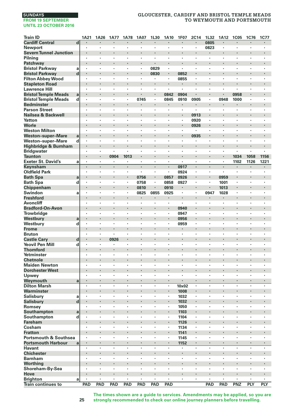# **SUNDAYS**

#### **FROM 19 SEPTEMBER UNTIL 23 OCTOBER 2016**

# **GLOUCESTER, CARDIFF AND BRISTOL TEMPLE MEADS TO WEYMOUTH AND PORTSMOUTH**

| <b>Train ID</b>                   |                  | 1A21                 | 1A26                 | <b>1A77</b>                     | <b>1A78</b>        | <b>1A07</b> | 1L30   | 1A10      | <b>1F07</b>          | <b>2C14</b>          | 1L32    | 1A12                 | <b>1C05</b> | <b>1C76</b> | <b>1C77</b> |
|-----------------------------------|------------------|----------------------|----------------------|---------------------------------|--------------------|-------------|--------|-----------|----------------------|----------------------|---------|----------------------|-------------|-------------|-------------|
| <b>Cardiff Central</b>            | $\mathbf d$      |                      | ٠                    | $\cdot$                         | $\cdot$            | ٠           | ٠      | ×         | $\blacksquare$       | $\cdot$              | 0805    | $\cdot$              | ٠           | ×           | ٠           |
| <b>Newport</b>                    |                  |                      | ÷,                   | $\cdot$                         | $\cdot$            | ÷,          | ×,     | ÷,        | $\cdot$              |                      | 0823    | $\cdot$              | ÷,          | ä,          | ٠           |
| <b>Severn Tunnel Junction</b>     |                  | ×                    |                      | $\cdot$                         |                    |             | ×      |           |                      | $\cdot$              |         | $\cdot$              |             |             |             |
| Pilning                           |                  |                      |                      |                                 |                    | ï           | ï      | ł         | ï                    |                      |         |                      |             |             |             |
| Patchway                          |                  | ٠                    | ×                    | $\cdot$                         | ٠                  | ٠           | ٠      | ×         | ×                    | ٠                    |         | $\bullet$            | ×           | ٠           | ×           |
| <b>Bristol Parkway</b>            | a                | ٠                    | ×                    | $\cdot$                         | $\cdot$            | ×           | 0829   | ×         | ×                    | ÷,                   | ï       |                      | ×.          | ä,          | ٠           |
| <b>Bristol Parkway</b>            | d                |                      | ï                    | $\cdot$                         |                    | i,          | 0830   |           | 0852                 |                      |         |                      |             |             | ï           |
| <b>Filton Abbey Wood</b>          |                  | ×                    | ×                    | $\cdot$                         | $\cdot$            | $\cdot$     | ٠      | $\bullet$ | 0855                 | ×                    | $\cdot$ | $\cdot$              | ×           | ٠           | ٠           |
| <b>Stapleton Road</b>             |                  |                      | ï                    |                                 |                    | ï           |        | i,        | $\blacksquare$       |                      |         |                      | i,          | ï           |             |
| <b>Lawrence Hill</b>              |                  | ٠                    | ×                    | ٠                               | $\cdot$            | ×           | ٠      | ٠         | $\ddot{\phantom{a}}$ |                      |         | ٠                    | ٠           | ×           | ٠           |
| <b>Bristol Temple Meads</b>       | a                |                      | ×                    | $\cdot$                         | $\cdot$            |             | ٠      | 0842      | 0904                 |                      |         | $\cdot$              | 0958        |             |             |
| <b>Bristol Temple Meads</b>       | d                |                      |                      |                                 |                    | 0745        | ł,     | 0845      | 0910                 | 0905                 | $\cdot$ | 0948                 | 1000        | ï           |             |
| <b>Bedminster</b>                 |                  | $\cdot$              | ï                    | $\cdot$                         |                    |             |        |           | ٠                    | ٠                    |         |                      | ×           | ï           | ٠           |
| <b>Parson Street</b>              |                  |                      | ÷,                   | $\cdot$                         | $\cdot$            | ï           | ×,     | ٠         | ä,                   | ٠                    |         | $\cdot$              | ×           | ï           | ł.          |
| Nailsea & Backwell                |                  |                      |                      | $\bullet$                       |                    |             | ٠      |           |                      | 0913                 |         |                      |             |             |             |
| Yatton                            |                  | ٠                    | ×                    | $\cdot$                         |                    | ×           | ٠      | ٠         | $\ddot{\phantom{a}}$ | 0920                 | $\cdot$ | $\cdot$              | ×           | ٠           | ×           |
| Worle                             |                  |                      |                      |                                 |                    |             | ł.     | ł.        |                      | 0926                 |         |                      | ×           |             | ł.          |
| <b>Weston Milton</b>              |                  | ×                    | ÷,                   | $\cdot$                         | $\cdot$            | $\cdot$     | ٠      | ÷,        | ×                    |                      | $\cdot$ | $\cdot$              | ×           | ×           | ×           |
| <b>Weston-super-Mare</b>          | a                |                      | ï                    | $\cdot$                         |                    | ï           | ×      |           | ٠                    | 0935                 |         | $\cdot$              |             | ï           | ×           |
| <b>Weston-super-Mare</b>          | d                |                      |                      |                                 |                    |             | ï      | ł         |                      |                      |         |                      |             | ï           |             |
| Highbridge & Burnham              |                  | ٠                    | ×                    | $\cdot$                         | $\cdot$            | ×           | ٠      | ł.        | ×                    | ٠                    |         | $\cdot$              | ł.          |             |             |
| <b>Bridgwater</b>                 |                  | ٠                    | ٠                    |                                 | $\cdot$            | ٠           | ٠      | ٠         | ٠                    | $\cdot$              | $\cdot$ |                      | ٠           | ٠           | ٠           |
| <b>Taunton</b>                    |                  |                      | ï                    | 0904                            | 1013               | ï           | ł.     | ï         |                      |                      |         |                      | 1034        | 1058        | 1156        |
| <b>Exeter St. David's</b>         | a                | $\ddot{\phantom{0}}$ | ÷,                   | $\cdot$                         | $\cdot$            | $\bullet$   | ٠      | ÷,        | ä,                   | $\ddot{\phantom{0}}$ | $\cdot$ | $\cdot$              | 1102        | 1126        | 1221        |
| Keynsham                          |                  | ×                    |                      |                                 |                    | ł,          |        | ×,        | 0917                 | ×,                   |         |                      | ٠           |             |             |
| <b>Oldfield Park</b>              |                  | ٠                    | ٠                    |                                 | $\cdot$            | ٠           | ٠      | ٠         | 0924                 | ٠                    | $\cdot$ | $\cdot$              | ٠           | ٠           | ٠           |
| <b>Bath Spa</b>                   | a                | $\blacksquare$       | ٠                    | $\centering \label{eq:reduced}$ | $\blacksquare$     | 0756        | ×,     | 0857      | 0926                 | ٠                    |         | 0959                 | ٠           |             |             |
| <b>Bath Spa</b>                   | d                | ï                    | ł,                   |                                 | ,                  | 0758        | ï      | 0858      | 0927                 | ï                    |         | 1001                 | l,          | ï           | ï           |
| Chippenham                        |                  |                      | ï                    | $\cdot$                         | $\cdot$            | 0810        | ä,     | 0910      | ٠                    |                      |         | 1013                 | ä,          | ï           | ł.          |
| Swindon                           | a                |                      | ×                    | $\cdot$                         | $\cdot$            | 0825        | 0855   | 0925      | ×,                   | $\cdot$              | 0947    | 1028                 | ٠           | ٠           | ×           |
| <b>Freshford</b>                  |                  |                      |                      | $\bullet$                       |                    |             |        |           |                      | ٠                    |         |                      |             |             |             |
| <b>Avoncliff</b>                  |                  | ٠                    | ×                    | $\cdot$                         | $\cdot$            | ×           | ٠      | ×         | $\blacksquare$       | ٠                    | $\cdot$ | $\cdot$              | ٠           | ٠           | ٠           |
| <b>Bradford-On-Avon</b>           |                  |                      |                      | $\cdot$                         |                    |             | ł.     | i,        | 0940                 | $\cdot$              |         |                      | ł.          | ï           |             |
| Trowbridge                        |                  | ×                    | ×                    |                                 | $\cdot$            | ×           | ï      | ×         | 0947                 | ä,                   |         | $\cdot$              | ×           | ٠           | ×           |
| Westbury                          | a                |                      |                      |                                 |                    | ï           | ×      | ł.        | 0956                 | ×,                   |         | $\cdot$              | ï           |             |             |
| Westbury                          | d                | ٠                    | ł,                   |                                 |                    | ï           | ï      | ł,        | 0959                 | ï                    |         |                      | ï           | ï           |             |
| Frome                             |                  | ٠                    | ×                    | $\blacksquare$                  | ٠                  | ٠           | ٠      | ł,        | ٠                    | ٠                    |         | $\bullet$            | ٠           | ۰           | ٠           |
| <b>Bruton</b>                     |                  | ٠                    | ٠                    |                                 | $\cdot$            | ٠           | ٠      | ×         | ٠                    | ×                    |         | $\cdot$              | ×           | ٠           | ٠           |
| <b>Castle Cary</b>                | $\mathbf d$      |                      |                      | 0926                            |                    | ł.          | ł.     | ł,        |                      |                      |         | $\cdot$              | ï           |             | l,          |
| <b>Yeovil Pen Mill</b>            | d                | ×                    | ×                    | ٠                               | $\cdot$            | $\cdot$     | ٠      | ٠         | ×                    | ×                    | $\cdot$ | $\cdot$              | ×           | ٠           | ×           |
| <b>Thornford</b>                  |                  |                      |                      |                                 |                    |             |        | ï         |                      |                      |         |                      |             |             |             |
| Yetminster                        |                  | ٠                    | ٠                    | $\cdot$                         | $\cdot$            | ٠           | ٠      | ٠         | ٠                    | ٠                    | $\cdot$ | $\cdot$              | ٠           | ٠           | ٠           |
| <b>Chetnole</b>                   |                  |                      | ×                    | $\cdot$                         |                    | ×           | ×      | ł,        | ×                    |                      |         | $\cdot$              |             |             |             |
| <b>Maiden Newton</b>              |                  | ٠                    | ł,                   |                                 |                    | ï           | ï      | ł,        | ï                    | ï                    |         |                      | ï<br>l,     | ï           | ï           |
| <b>Dorchester West</b>            |                  |                      | ï                    | $\cdot$                         |                    | ï           | ×      | ï<br>ï    | ٠                    | ×                    |         | $\cdot$<br>$\cdot$   | ٠           | ï           | ٠           |
| Upwey                             |                  |                      | $\cdot$              |                                 | $\cdot$            | ٠           | ٠      |           |                      |                      |         |                      |             | ٠           |             |
| Weymouth                          | a                | ٠<br>$\cdot$         | ×,<br>$\cdot$        | $\cdot$                         | $\cdot$<br>$\cdot$ | ٠<br>×      | ٠<br>٠ | $\cdot$   |                      | $\blacksquare$<br>×  | $\cdot$ | $\bullet$<br>$\cdot$ | ٠<br>×      | ٠<br>×      | ۰<br>٠      |
| <b>Dilton Marsh</b><br>Warminster |                  |                      |                      | $\cdot$                         |                    | ł           |        | ٠         | 10x02<br>1008        |                      |         |                      | ï           | ï           |             |
|                                   |                  | ×,                   | ×                    |                                 | $\cdot$            | ×           | ٠      | ٠         |                      | $\cdot$              | $\cdot$ | $\cdot$              | ×           | ٠           | ٠           |
| <b>Salisbury</b>                  | a<br>$\mathbf d$ | $\blacksquare$       | ï                    | $\cdot$                         |                    |             | ×      | ł.        | 1032                 | ۰                    |         | $\cdot$              | ï           | ï           |             |
| Salisbury                         |                  |                      | ٠                    |                                 | ٠                  | ×           |        | ٠         | 1032<br>1050         | ï                    |         |                      |             | ï           | ×           |
| Romsey                            |                  |                      | ×                    | $\cdot$                         | $\cdot$            |             | ×      | ×         | 1103                 | $\blacksquare$       |         | $\bullet$            |             |             |             |
| Southampton<br>Southampton        | a<br>d           | ٠                    | ٠                    |                                 | $\cdot$            | ٠           | ×,     | ×         | 1104                 | $\cdot$              |         |                      | ٠           | ٠           | ×           |
| Fareham                           |                  | ×                    |                      | $\cdot$                         |                    |             | ł.     | ï         | 1126                 | ï                    |         | $\cdot$              | ł.          | ï           |             |
| Cosham                            |                  | ٠                    | $\ddot{\phantom{a}}$ | $\cdot$                         | $\cdot$            | ×           | ٠      | $\cdot$   | 1134                 | $\blacksquare$       | $\cdot$ | $\cdot$              | ×           | ٠           | ×           |
| <b>Fratton</b>                    |                  |                      |                      |                                 |                    |             |        | ï         | 1141                 | ï                    |         |                      |             |             |             |
| <b>Portsmouth &amp; Southsea</b>  |                  | ٠                    | ٠                    |                                 | $\cdot$            | ٠           | ٠      | ٠         | 1145                 | ٠                    | $\cdot$ | $\cdot$              | ٠           | ٠           | ٠           |
| <b>Portsmouth Harbour</b>         | a                | ٠                    | $\blacksquare$       | $\cdot$                         | $\cdot$            | ٠           | ٠      |           | 1152                 | $\blacksquare$       |         | $\cdot$              | ٠           | ٠           | ٠           |
| <b>Havant</b>                     |                  | ï                    | ł,                   |                                 |                    | ï           | ï      | l,        |                      |                      |         |                      | ï           | ï           | ×           |
| Chichester                        |                  | ï                    | ï                    | $\cdot$                         |                    |             | ×      |           |                      | $\cdot$              |         | $\cdot$              | ï           |             | ٠           |
| <b>Barnham</b>                    |                  |                      | ï                    |                                 | $\cdot$            | ٠           | ×,     | ï         | ٠                    | ×                    |         |                      | ٠           | ٠           | ×           |
| Worthing                          |                  |                      |                      | $\bullet$                       |                    |             | ٠      |           |                      |                      |         |                      |             |             |             |
| Shoreham-By-Sea                   |                  | ٠                    | ٠                    |                                 | $\cdot$            | ×           | ٠      | ×         | ×                    | ٠                    | $\cdot$ | $\cdot$              | ٠           | ٠           | ٠           |
| Hove                              |                  |                      |                      | $\cdot$                         |                    | ï           | ×      | ï         |                      |                      |         |                      |             | ï           |             |
| <b>Brighton</b>                   | a                | $\ddot{\phantom{0}}$ |                      | $\cdot$                         | $\cdot$            | $\cdot$     | ×.     | ÷,        | ï                    | ×,                   | $\cdot$ | $\cdot$              | ٠           | ٠           | ×           |
| <b>Train continues to</b>         |                  | PAD                  | PAD                  | PAD                             | <b>PAD</b>         | PAD         | PAD    | PAD       |                      |                      | PAD     | PAD                  | PNZ         | PLY         | <b>PLY</b>  |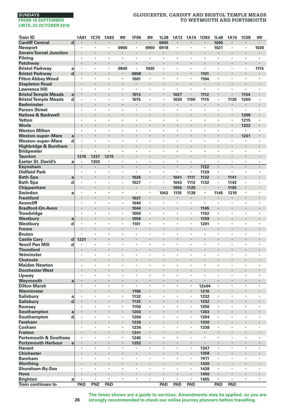# **GLOUCESTER, CARDIFF AND BRISTOL TEMPLE MEADS TO WEYMOUTH AND PORTSMOUTH**

| <b>Train ID</b>                                  |              | 1A81    | 1C79                            | <b>1A83</b> | œ       | <b>1F09</b>    | œ                    | 1L38    | 1A13      | 1A14    | 1093         | 1L46           | 1A15                 | <b>1C09</b> | <b>emp</b>     |
|--------------------------------------------------|--------------|---------|---------------------------------|-------------|---------|----------------|----------------------|---------|-----------|---------|--------------|----------------|----------------------|-------------|----------------|
| <b>Cardiff Central</b>                           | d            |         |                                 |             | ٠       |                | $\cdot$              | 0905    | $\cdot$   |         |              | 1005           |                      |             | $\blacksquare$ |
| Newport                                          |              | ٠       | $\cdot$                         | ٠           | 0900    | $\cdot$        | 0950                 | 0918    | $\cdot$   | $\cdot$ | ٠            | 1021           | ٠                    | $\cdot$     | 1030           |
| <b>Severn Tunnel Junction</b>                    |              |         |                                 | ×           |         | ×              |                      |         | $\cdot$   |         | ×            |                |                      |             |                |
| Pilning                                          |              |         |                                 |             | ł,      |                | ï                    |         |           |         | ï            |                | ï                    |             |                |
| Patchway                                         |              |         |                                 | ï           | ï       |                |                      |         |           |         | i,           |                |                      | ï           |                |
| <b>Bristol Parkway</b>                           | a            |         | $\cdot$                         | ×,          | 0940    | $\blacksquare$ | 1035                 |         | $\cdot$   |         | ä,           | ٠              |                      | $\cdot$     | 1115           |
| <b>Bristol Parkway</b>                           | d            |         |                                 |             | ٠       | 0958           |                      |         | $\cdot$   |         | 1101         |                | ٠                    |             | ٠              |
| <b>Filton Abbey Wood</b>                         |              | $\cdot$ | $\cdot$                         | $\cdot$     | ٠       | 1001           | $\cdot$              | $\cdot$ | $\cdot$   | $\cdot$ | 1104         | $\cdot$        | ×                    | ×           | $\cdot$        |
| <b>Stapleton Road</b>                            |              |         | $\cdot$                         | ı,          |         |                |                      |         |           |         |              | ×,             |                      |             |                |
| <b>Lawrence Hill</b>                             |              | $\cdot$ | $\cdot$                         | ×           | ٠       | $\cdot$        | ×                    | $\cdot$ | $\cdot$   |         | ×            | $\bullet$      | ٠                    | ×           | $\cdot$        |
| <b>Bristol Temple Meads</b>                      | $\mathbf{a}$ |         |                                 | ï           |         | 1013           |                      | ÷       | 1027      |         | 1112         | ä,             |                      | 1154        |                |
| <b>Bristol Temple Meads</b>                      | d            | $\cdot$ | $\cdot$                         | ×           | ٠       | 1015           | ٠                    | $\cdot$ | 1030      | 1100    | 1115         | $\blacksquare$ | 1130                 | 1200        |                |
| <b>Bedminster</b>                                |              | ٠       |                                 | ï           | ٠       |                | $\ddot{\phantom{0}}$ |         |           | ٠       | ٠            |                | ٠                    |             | ٠              |
| <b>Parson Street</b>                             |              |         | $\cdot$<br>$\cdot$              | ï           | l,      |                |                      |         |           |         | ×,           | ï              |                      |             |                |
| Nailsea & Backwell                               |              |         | $\cdot$                         | ×           | ×       | $\cdot$        | ٠                    | $\cdot$ | $\cdot$   |         | ٠<br>٠       | ×              | ٠<br>$\cdot$         | 1209        |                |
| Yatton<br>Worle                                  |              |         |                                 |             |         |                |                      | ï       |           |         |              |                |                      | 1215        |                |
|                                                  |              |         | $\cdot$                         | ٠           | ٠       | ٠              | ٠                    | ٠       | $\cdot$   | $\cdot$ | ٠            | ٠              | ٠                    | 1222        | ٠              |
| <b>Weston Milton</b><br><b>Weston-super-Mare</b> |              | ٠       | $\cdot$                         |             |         |                |                      |         |           |         | ×            |                |                      | 1231        |                |
|                                                  | a            | $\cdot$ | $\cdot$                         | ÷,          | ×       | ×              | ×                    | $\cdot$ | ٠         | $\cdot$ | ٠            | ×              | ×                    |             | $\cdot$        |
| Weston-super-Mare<br>Highbridge & Burnham        | d            |         |                                 |             |         |                |                      |         |           |         | ×            | ï              | ×,                   |             |                |
| <b>Bridgwater</b>                                |              |         |                                 |             | ×       | ٠              | ٠                    |         |           |         | ï            | ×              | ï                    | ٠           |                |
| Taunton                                          |              | 1210    | 1237                            | 1315        | ٠       |                | ٠                    |         | $\cdot$   |         | ×            |                | ×                    |             |                |
| <b>Exeter St. David's</b>                        | a            |         | 1303                            |             | ٠       | $\cdot$        | $\cdot$              | $\cdot$ |           |         | ٠            | ×              | $\cdot$              | ٠           |                |
| Keynsham                                         |              |         |                                 | ï           | l,      | l,             |                      |         |           |         | 1122         | ä,             | l,                   |             |                |
| <b>Oldfield Park</b>                             |              |         | $\cdot$                         | ×           | ×       | $\cdot$        | ×                    | $\cdot$ | $\cdot$   | $\cdot$ | 1129         | ×.             | $\ddot{\phantom{0}}$ | ×           |                |
| <b>Bath Spa</b>                                  | a            |         |                                 |             |         | 1026           |                      |         | 1041      | 1111    | 1132         | i,             | 1141                 |             |                |
| <b>Bath Spa</b>                                  | d            | $\cdot$ | $\cdot$                         | ٠           | ٠       | 1027           | ٠                    | $\cdot$ | 1043      | 1113    | 1132         | ٠              | 1143                 | ٠           | $\cdot$        |
| Chippenham                                       |              |         | $\cdot$                         | ï           | ٠       |                | $\cdot$              |         | 1055      | 1125    | ٠            |                | 1155                 | ł           |                |
| Swindon                                          | a            |         | $\cdot$                         | ×           | ٠       | ×,             | $\cdot$              | 1043    | 1110      | 1139    | ٠            | 1145           | 1210                 | ٠           |                |
| <b>Freshford</b>                                 |              |         | $\cdot$                         | ï           | ä,      | 1037           |                      |         | $\bullet$ |         | ۰            |                |                      | ï           |                |
| <b>Avoncliff</b>                                 |              |         |                                 | ï           |         | 1040           |                      |         |           |         | ï            |                | ï                    |             |                |
| <b>Bradford-On-Avon</b>                          |              |         |                                 |             | ٠       | 1044           | ٠                    |         | $\bullet$ |         | 1145         |                | ×                    | ×           |                |
| <b>Trowbridge</b>                                |              | $\cdot$ | $\cdot$                         |             | ٠       | 1050           |                      | $\cdot$ |           |         | 1152         | ٠              |                      | ×           |                |
| Westbury                                         | a            |         |                                 | ï           | ï       | 1058           |                      | ï       |           |         | 1159         | ï              |                      |             |                |
| Westbury                                         | d            | $\cdot$ | $\cdot$                         | ×           | ٠       | 1101           | ×                    | $\cdot$ | $\cdot$   | $\cdot$ | 1201         | $\bullet$      | ×                    | ×           | $\cdot$        |
| <b>Frome</b>                                     |              |         |                                 |             |         |                |                      |         |           |         |              |                |                      |             |                |
| <b>Bruton</b>                                    |              | $\cdot$ | $\cdot$                         | ٠           | ٠       | ٠              | ٠                    | ٠       | $\cdot$   |         | ٠            | ٠              | ٠                    | ٠           | $\cdot$        |
| <b>Castle Cary</b>                               | d            | 1231    | $\bullet$                       |             |         |                |                      |         |           |         |              |                |                      |             |                |
| <b>Yeovil Pen Mill</b>                           | d            |         |                                 | ×           | ×       | ٠              | ٠                    | ٠       |           |         | ï            | ×              | ٠                    | ٠           |                |
| <b>Thornford</b>                                 |              |         |                                 | ï           | l,      |                |                      |         |           |         |              | ï              |                      | l,          |                |
| Yetminster                                       |              |         |                                 | ï           | ×       | ï              | ٠                    |         |           |         | ï            |                | ï                    | ï           |                |
| <b>Chetnole</b>                                  |              |         |                                 | l,          | ×       |                |                      |         |           |         | ×            |                | ×                    |             |                |
| <b>Maiden Newton</b>                             |              | $\cdot$ | $\cdot$                         | ٠           | ٠       | ٠              | ٠                    | $\cdot$ | $\cdot$   | $\cdot$ | ٠            | ٠              | ٠                    | ٠           | $\cdot$        |
| <b>Dorchester West</b>                           |              |         |                                 |             |         |                |                      | ï       |           |         |              |                | ï                    |             |                |
| Upwey                                            |              |         |                                 | ×,          | ٠       | $\cdot$        | $\cdot$              | $\cdot$ |           |         | ٠            | ٠              | ٠                    | ٠           |                |
| Weymouth                                         | a            |         |                                 | ä,<br>l,    | ł,      | ı,             | l,                   |         |           |         |              | ł,             | l,                   | l,          |                |
| <b>Dilton Marsh</b>                              |              |         |                                 |             |         |                |                      |         |           |         | $12\times04$ |                |                      |             |                |
| Warminster                                       | a            |         | $\centering \label{eq:reduced}$ | ٠<br>l,     | ٠<br>l, | 1108<br>1132   | ٠<br>ï               | ,       |           |         | 1210<br>1232 | ٠<br>ï         | ï                    | ï           |                |
| Salisbury                                        |              |         |                                 | i,          | ×       |                |                      |         |           |         |              | i,             |                      | ï           |                |
| Salisbury<br>Romsey                              | d            |         | $\cdot$                         | ï           | ٠       | 1132<br>1150   |                      |         |           |         | 1232<br>1250 | ٠              | ï                    | ٠           |                |
| Southampton                                      | a            |         |                                 |             | ٠       | 1203           | ×                    |         |           |         | 1303         |                | ٠                    |             |                |
| Southampton                                      | d            | $\cdot$ | $\cdot$                         | ٠           | ٠       | 1204           | ٠                    | $\cdot$ | $\cdot$   | $\cdot$ | 1304         | ٠              | ٠                    | ٠           | $\cdot$        |
| <b>Fareham</b>                                   |              |         |                                 |             | ï       | 1226           |                      |         |           |         | 1330         |                |                      |             |                |
| Cosham                                           |              |         | $\cdot$                         | ٠           | ×,      | 1234           | ×,                   | $\cdot$ |           |         | 1338         | ×,             | ٠                    | ٠           |                |
| <b>Fratton</b>                                   |              |         |                                 | ï           |         | 1241           |                      |         |           |         | ×            |                |                      |             |                |
| Portsmouth & Southsea                            |              | $\cdot$ | $\cdot$                         | ٠           | ٠       | 1245           | $\cdot$              |         | $\cdot$   |         | ٠            | ٠              | ٠                    | ï           | ٠              |
| <b>Portsmouth Harbour</b>                        | $\mathbf a$  |         | $\cdot$                         | ٠           | ٠       | 1252           | $\blacksquare$       |         |           |         | ×            | ٠              | ٠                    | ٠           |                |
| <b>Havant</b>                                    |              | $\cdot$ | $\cdot$                         | ×           | ٠       | $\cdot$        | $\cdot$              | $\cdot$ |           | $\cdot$ | 1347         | ٠              | $\cdot$              | ٠           |                |
| <b>Chichester</b>                                |              |         |                                 | ï           | i,      |                |                      |         |           |         | 1358         | i,             | ×,                   | ï           |                |
| <b>Barnham</b>                                   |              |         | $\cdot$                         | ٠           | ٠       | ٠              | ٠                    | $\cdot$ | $\cdot$   |         | 1411         | ٠              | ٠                    | ٠           |                |
| Worthing                                         |              |         |                                 |             |         |                |                      |         |           |         | 1430         |                | ٠                    |             |                |
| Shoreham-By-Sea                                  |              | ٠       | $\cdot$                         | $\cdot$     | ٠       | $\cdot$        | $\cdot$              | $\cdot$ | $\cdot$   | $\cdot$ | 1438         | ×              | ×                    | ٠           | $\cdot$        |
| Hove                                             |              |         | $\cdot$                         | ×           |         |                |                      |         |           |         | 1450         |                | ٠                    |             |                |
| <b>Brighton</b>                                  | a            | $\cdot$ | $\cdot$                         | ä,          | ×       | ï              | ×,                   | $\cdot$ | $\cdot$   | $\cdot$ | 1455         | ä,             | $\ddot{\phantom{0}}$ | ï           |                |
| <b>Train continues to</b>                        |              | PAD     | <b>PNZ</b>                      | PAD         |         |                |                      | PAD     | PAD       | PAD     |              | PAD            | PAD                  |             |                |

**The times shown are a guide to services. Amendments may be applied, so you are strongly recommended to check our online journey planners before travelling.**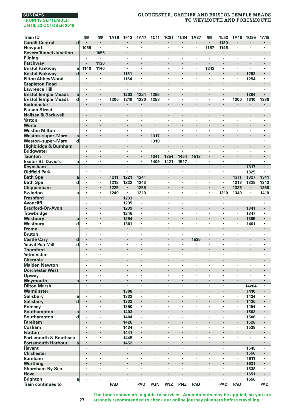### **SUNDAYS FROM 19 SEPTEMBER**

# **UNTIL 23 OCTOBER 2016**

# **GLOUCESTER, CARDIFF AND BRISTOL TEMPLE MEADS TO WEYMOUTH AND PORTSMOUTH**

| <b>Train ID</b>                                               |                         | 罒                    | 罒                    | 1A16                 | 1F13                   | 1A17         | <b>1C11</b> | <b>1C81</b> | <b>1C84</b>          | 1A87                 | 罒                    | 1L53                 | 1A18         | 1095      | 1A19         |
|---------------------------------------------------------------|-------------------------|----------------------|----------------------|----------------------|------------------------|--------------|-------------|-------------|----------------------|----------------------|----------------------|----------------------|--------------|-----------|--------------|
| <b>Cardiff Central</b>                                        | $\overline{\mathbf{d}}$ |                      |                      |                      |                        |              | ï           |             | l,                   |                      | $\cdot$              | 1130                 | l,           | l,        |              |
| <b>Newport</b>                                                |                         | 1055                 | ×                    | $\cdot$              |                        | ٠            | ×,          | ×,          | $\blacksquare$       | ×,                   | 1157                 | 1146                 | ٠            | ٠         | ×,           |
| <b>Severn Tunnel Junction</b>                                 |                         | ł                    | 1055                 |                      |                        |              |             |             |                      |                      |                      |                      |              |           |              |
| Pilning                                                       |                         | ٠                    | $\cdot$              | $\cdot$              | $\cdot$                | ٠            | ٠           | ×           | ٠                    | ٠                    | $\cdot$              | $\cdot$              | ٠            | ٠         | ٠            |
| Patchway                                                      |                         |                      | 1130                 | $\cdot$              | $\cdot$                |              | ł,          |             |                      | ł                    |                      |                      | ٠            | ł         |              |
| <b>Bristol Parkway</b>                                        | a                       | 1140                 | 1140                 | $\cdot$              |                        | ٠            | ×           | ï           | ï                    | ٠                    | 1242                 | $\cdot$              | ٠            |           | ٠            |
| <b>Bristol Parkway</b>                                        | $\mathbf d$             |                      |                      | $\cdot$              | 1151                   |              | l,          | ٠           | l,                   | ٠                    | $\cdot$              |                      |              | 1252      |              |
| <b>Filton Abbey Wood</b>                                      |                         |                      |                      | $\cdot$              | 1154                   | ٠            | ï           | ٠           | ï                    |                      |                      |                      | ٠            | 1254      | ×,           |
| <b>Stapleton Road</b>                                         |                         |                      |                      | $\bullet$            |                        |              | l,          |             |                      |                      |                      |                      |              | ٠         | ٠            |
| <b>Lawrence Hill</b>                                          |                         | ٠                    | ٠                    | $\cdot$              |                        | ٠            | ×           | ×           | ٠                    | ٠                    | $\cdot$              | $\cdot$              | ٠            | ٠         | ٠            |
| <b>Bristol Temple Meads</b>                                   | a                       |                      |                      |                      | 1203                   | 1224         | 1255        |             |                      |                      |                      |                      |              | 1304      |              |
| <b>Bristol Temple Meads</b>                                   | d                       | $\cdot$              | $\cdot$              | 1200                 | 1210                   | 1230         | 1258        | ×,          | ×                    | $\cdot$<br>×         | $\cdot$              | $\cdot$<br>l.        | 1300         | 1310      | 1330         |
| <b>Bedminster</b><br><b>Parson Street</b>                     |                         |                      | ٠                    | $\cdot$              | $\cdot$                | ٠            | ٠           | ٠           | ï                    | ï                    | ٠                    |                      | ٠            | ٠         | ٠            |
| Nailsea & Backwell                                            |                         | ٠                    | ٠                    | $\bullet$            | $\bullet$              | ٠            |             | ٠           | ٠                    | ٠                    | ٠                    | ٠                    | ٠            | ٠         | ٠            |
| Yatton                                                        |                         |                      | ï                    | $\cdot$              |                        | ٠            | ï           | ï           | ï                    | ï                    | $\cdot$              |                      | ٠            | ï         | ٠            |
| Worle                                                         |                         |                      | ï                    |                      |                        | ł.           | ï           |             | ï                    | ï                    |                      |                      | ł.           | ï         | i,           |
| <b>Weston Milton</b>                                          |                         | ×                    | ×                    | $\cdot$              | $\cdot$                | ٠            | ×           | ٠           | ×                    | ×                    | $\cdot$              | $\cdot$              | ×            | $\cdot$   | ٠            |
| <b>Weston-super-Mare</b>                                      | a                       |                      |                      |                      |                        |              | 1317        |             |                      |                      |                      |                      |              |           |              |
| <b>Weston-super-Mare</b>                                      | d                       | ٠                    | ٠                    | $\cdot$              | $\cdot$                | ٠            | 1318        | ٠           | ٠                    | ٠                    | $\cdot$              | $\cdot$              | ٠            | ٠         | ٠            |
| Highbridge & Burnham                                          |                         | ٠                    | ×                    |                      |                        | ٠            | ٠           | ٠           |                      |                      |                      |                      | ٠            |           |              |
| <b>Bridgwater</b>                                             |                         | ł,                   | ï                    |                      |                        | ï            | $\epsilon$  | ï           | ï                    | ï                    |                      |                      | ï            | ï         | ï            |
| <b>Taunton</b>                                                |                         |                      |                      | $\cdot$              |                        | l,           | 1341        | 1354        | 1454                 | 1513                 |                      |                      | ٠            | l,        | l,           |
| <b>Exeter St. David's</b>                                     | a                       |                      |                      | $\cdot$              |                        | ٠            | 1409        | 1421        | 1517                 | ï                    | $\cdot$              | $\cdot$              |              | ï         | ٠            |
| Keynsham                                                      |                         |                      |                      |                      |                        | ٠            | ٠           | ٠           | ٠                    |                      |                      |                      | ٠            | 1317      | ٠            |
| <b>Oldfield Park</b>                                          |                         | ٠                    | ٠                    | $\cdot$              | $\cdot$                | ×            | ٠           | ×           | ٠                    | ×                    | $\cdot$              | $\cdot$              | ×            | 1325      | ٠            |
| <b>Bath Spa</b>                                               | a                       | $\blacksquare$<br>÷, | ×                    | 1211                 | 1221                   | 1241         | ł<br>÷,     | ٠           | ×                    | ×                    | $\cdot$              | $\cdot$              | 1311         | 1327      | 1341         |
| <b>Bath Spa</b><br>Chippenham                                 | d                       |                      | ٠                    | 1213<br>1225         | 1222<br>$\blacksquare$ | 1243<br>1255 | i,          |             |                      | ٠                    | $\cdot$              |                      | 1313<br>1325 | 1328<br>٠ | 1343<br>1355 |
| Swindon                                                       | a                       |                      |                      | 1240                 | $\cdot$                | 1310         |             | ï           |                      | ,                    |                      | 1310                 | 1340         | ł,        | 1410         |
| <b>Freshford</b>                                              |                         |                      | ×                    | $\bullet$            | 1233                   | ٠            | ×           |             |                      |                      |                      | ٠                    |              |           |              |
| <b>Avoncliff</b>                                              |                         | ×                    |                      | $\cdot$              | 1235                   | ٠            | ×           | ï           | ×                    | ï                    | $\cdot$              |                      | ٠            | ٠         | ٠            |
| <b>Bradford-On-Avon</b>                                       |                         |                      |                      |                      | 1239                   | ł.           | ł,          |             |                      |                      |                      |                      | ٠            | 1341      |              |
| Trowbridge                                                    |                         | ÷,                   | ×                    | $\cdot$              | 1246                   | ä,           | ł,          | ٠           | ×                    | ×                    | $\cdot$              | $\cdot$              | ×            | 1347      | ٠            |
| Westbury                                                      | a                       |                      |                      |                      | 1254                   |              |             |             |                      |                      |                      |                      |              | 1355      |              |
| Westbury                                                      | d                       | $\bullet$            | ×                    | $\cdot$              | 1301                   | ٠            | ٠           | ï           | ×                    | ï                    | $\cdot$              | $\cdot$              | ٠            | 1401      | ٠            |
| Frome                                                         |                         |                      |                      |                      |                        | ٠            | ł,          | ł,          |                      |                      |                      |                      | ٠            |           | ٠            |
| <b>Bruton</b>                                                 |                         | ï                    |                      |                      |                        |              | ï           | ï           | ï                    | ï                    |                      |                      | ł,           | ł,        | ï            |
| <b>Castle Cary</b>                                            | d                       |                      | ï                    | $\cdot$              |                        | ٠            | ł,          |             | ï                    | 1535                 |                      |                      | ł.           | ł.        | i,           |
| <b>Yeovil Pen Mill</b>                                        | d                       | $\ddot{\phantom{0}}$ | $\ddot{\phantom{0}}$ | $\ddot{\phantom{0}}$ |                        | ٠            | ٠           | ٠           | $\ddot{\phantom{0}}$ |                      | $\ddot{\phantom{0}}$ | $\ddot{\phantom{0}}$ | ł.           | ï         | ٠            |
| <b>Thornford</b>                                              |                         |                      |                      |                      |                        |              |             |             |                      |                      |                      |                      |              |           |              |
| Yetminster                                                    |                         | ٠                    | ٠                    | ٠                    | $\cdot$                | ٠            | ٠           | ٠           | ï                    | ٠                    | ٠                    | $\cdot$              | ٠            | ٠         | ٠            |
| <b>Chetnole</b><br><b>Maiden Newton</b>                       |                         | ٠                    | ٠                    | $\cdot$              | $\cdot$                | ٠            | ł.<br>l,    | ٠           | ٠                    | $\cdot$              | $\cdot$              | $\cdot$              | ٠            | ×         | ٠            |
| <b>Dorchester West</b>                                        |                         |                      |                      |                      |                        |              | ł.          |             |                      |                      |                      |                      |              | ï         | ×            |
| Upwey                                                         |                         |                      | ï                    | $\cdot$              |                        |              | ł,          | ł,          | ï                    | ï                    |                      |                      | ٠            |           |              |
| Weymouth                                                      | a                       | $\blacksquare$       | ٠                    | $\cdot$              | $\bullet$              | ٠            | ٠           | ٠           |                      | ٠                    |                      |                      |              |           | ٠            |
| <b>Dilton Marsh</b>                                           |                         | ٠                    | $\cdot$              | $\cdot$              | $\cdot$                | ٠            | ×           | ٠           | $\bullet$            | ٠                    | $\cdot$              | $\cdot$              | ٠            | 14x04     | ×,           |
| Warminster                                                    |                         | ï                    | ï                    |                      | 1308                   | ł.           | ł,          |             |                      |                      |                      |                      | ł.           | 1410      | i,           |
| Salisbury                                                     | a                       | $\cdot$              | $\cdot$              | $\cdot$              | 1332                   | ×,           | ٠           | ٠           | ٠                    | ٠                    | $\cdot$              | $\cdot$              | ٠            | 1434      | ×,           |
| Salisbury                                                     | d                       | ï                    | ï                    |                      | 1332                   |              | l,          |             |                      |                      |                      |                      | ł.           | 1436      |              |
| Romsey                                                        |                         | ٠                    | ٠                    | $\cdot$              | 1350                   | ٠            | ×           |             |                      | ,                    |                      |                      | ٠            | 1454      | ٠            |
| Southampton                                                   | a                       | ×                    | ×                    | $\blacksquare$       | 1403                   | ٠            | l,          | ł.          |                      |                      |                      |                      | ×,           | 1503      | ×            |
| Southampton                                                   | d                       |                      | ,                    | $\cdot$              | 1404                   | ٠            |             | ï           | ï                    | ï                    | ٠                    |                      | ٠            | 1506      | ×,           |
| Fareham                                                       |                         |                      |                      | $\cdot$              | 1426                   |              | l,          |             |                      |                      |                      |                      | $\cdot$      | 1528      |              |
| Cosham                                                        |                         | ٠                    | $\cdot$              | $\cdot$              | 1434                   | ×,           | ٠           | ٠           | ×                    | ٠                    | $\cdot$              | $\cdot$              | ٠            | 1538      | ٠            |
| <b>Fratton</b>                                                |                         | ٠                    | ٠                    | $\cdot$              | 1441                   | ٠            | ٠           | ×           | ٠                    | ٠                    | $\cdot$              | $\cdot$              | ٠            | ٠         | ٠            |
| <b>Portsmouth &amp; Southsea</b><br><b>Portsmouth Harbour</b> | a                       | $\blacksquare$       |                      | $\cdot$              | 1445<br>1452           | ٠            | ï           | ÷,          | ÷,                   | ٠                    | $\cdot$              | $\cdot$              | $\cdot$      | l,        | ÷            |
| <b>Havant</b>                                                 |                         | ł,                   | ï                    |                      |                        | ï            | ï           | ï           |                      | ï                    |                      |                      | ï            | 1545      | ٠            |
| <b>Chichester</b>                                             |                         | l,                   |                      | $\cdot$              |                        | $\cdot$      | l,          |             |                      |                      |                      |                      | $\cdot$      | 1558      | ٠            |
| <b>Barnham</b>                                                |                         |                      | ï                    | $\cdot$              |                        | ٠            | ï           | ٠           | ï                    | ï                    |                      |                      | ٠            | 1611      |              |
| Worthing                                                      |                         |                      |                      |                      |                        | ٠            | ł           |             |                      | ٠                    |                      |                      | ٠            | 1631      |              |
| Shoreham-By-Sea                                               |                         | ٠                    | ٠                    | $\cdot$              | $\cdot$                | ٠            | ×           | ٠           | ٠                    | ٠                    | $\cdot$              | $\cdot$              | ٠            | 1638      | ٠            |
| Hove                                                          |                         |                      |                      |                      |                        |              | ï           |             | ï                    |                      |                      |                      | ł.           | 1651      |              |
| <b>Brighton</b>                                               | a                       | $\cdot$              | ï                    | $\cdot$              | $\cdot$                | ×            | ×           | ٠           | $\ddot{\phantom{0}}$ | $\ddot{\phantom{0}}$ | $\cdot$              | $\cdot$              | ×,           | 1656      |              |
| <b>Train continues to</b>                                     |                         |                      |                      | PAD                  |                        | PAD          | <b>PGN</b>  | PNZ         | <b>PNZ</b>           | PAD                  |                      | PAD                  | PAD          |           | PAD          |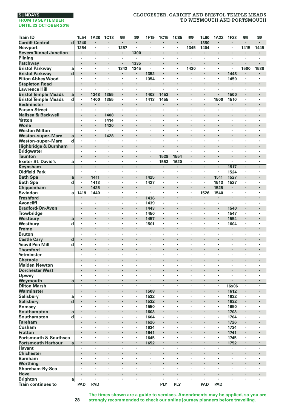# **GLOUCESTER, CARDIFF AND BRISTOL TEMPLE MEADS TO WEYMOUTH AND PORTSMOUTH**

| <b>Train ID</b>                  |                         | 1L54           | 1A20                            | <b>1C13</b>    | 罒    | 罒                    | 1F19           | <b>1C15</b>                     | <b>1C85</b>    | 罒                               | 1L60           | 1A22 | 1F23  | 罒                    | 罒       |
|----------------------------------|-------------------------|----------------|---------------------------------|----------------|------|----------------------|----------------|---------------------------------|----------------|---------------------------------|----------------|------|-------|----------------------|---------|
| <b>Cardiff Central</b>           | $\overline{\mathbf{d}}$ | 1240           |                                 |                | ×    | ×                    |                |                                 |                |                                 | 1350           |      |       |                      | $\cdot$ |
| Newport                          |                         | 1254           |                                 |                | 1257 |                      |                |                                 |                | 1345                            | 1404           | ï    |       | 1415                 | 1445    |
| <b>Severn Tunnel Junction</b>    |                         |                |                                 |                | ٠    | 1300                 |                | $\cdot$                         |                |                                 | ٠              |      | ×     |                      | ٠       |
| Pilning                          |                         | $\cdot$        |                                 |                | ï    |                      |                |                                 |                | $\cdot$                         | ٠              | ٠    | ×     |                      | $\cdot$ |
| Patchway                         |                         |                |                                 |                | ï    | 1335                 |                |                                 |                |                                 |                | ×    | ï     |                      |         |
| <b>Bristol Parkway</b>           | a                       | $\cdot$        | $\cdot$                         | ٠              | 1342 | 1345                 | $\cdot$        | $\cdot$                         | $\cdot$        | 1430                            | $\cdot$        | ×.   | ×     | 1500                 | 1530    |
| <b>Bristol Parkway</b>           | d                       |                |                                 |                |      |                      | 1352           |                                 |                |                                 |                |      | 1448  |                      |         |
| <b>Filton Abbey Wood</b>         |                         | $\cdot$        | $\cdot$                         | ٠              | ٠    | ٠                    | 1354           | $\cdot$                         | $\cdot$        |                                 | ٠              | ×,   | 1450  | ٠                    | $\cdot$ |
| <b>Stapleton Road</b>            |                         | $\bullet$      |                                 | ٠              |      | ٠                    | ٠              |                                 |                |                                 |                | ٠    |       |                      |         |
| <b>Lawrence Hill</b>             |                         | $\cdot$        |                                 | ×              | ×    | ٠                    | ł,             |                                 |                | ,                               | ×              |      |       | ٠                    | $\cdot$ |
| <b>Bristol Temple Meads</b>      | a                       | $\cdot$        | 1348                            | 1355           | ï    |                      | 1403           | 1453                            |                | $\cdot$                         | l,             | ٠    | 1500  |                      | $\cdot$ |
| <b>Bristol Temple Meads</b>      | d                       | $\cdot$        | 1400                            | 1355           | ×,   | ,                    | 1413           | 1455                            |                |                                 |                | 1500 | 1510  | ,                    |         |
| <b>Bedminster</b>                |                         | $\cdot$        |                                 | ٠              |      | ٠                    | ٠              | ٠                               |                |                                 | l,             |      | ٠     | $\blacksquare$       |         |
| <b>Parson Street</b>             |                         | $\cdot$        | $\cdot$                         | ٠              | ٠    | ٠                    | $\cdot$        | $\cdot$                         | $\cdot$        | $\cdot$                         | ٠              | ٠    | ٠     | ٠                    | $\cdot$ |
| Nailsea & Backwell               |                         |                |                                 | 1408           | ï    |                      |                |                                 |                |                                 |                |      |       | ×                    |         |
| <b>Yatton</b>                    |                         | $\cdot$        | $\cdot$                         | 1414           | ×    | ï                    | ï              |                                 |                | $\cdot$                         | ï              | ٠    | ï     | ٠                    |         |
| Worle                            |                         |                |                                 | 1420           |      |                      |                |                                 |                |                                 |                |      |       |                      |         |
| <b>Weston Milton</b>             |                         | $\cdot$        | ٠                               | $\blacksquare$ | ٠    | ٠                    | ×              | ٠                               | ٠              | ٠                               | ٠              | ٠    | ٠     | ٠                    | $\cdot$ |
| <b>Weston-super-Mare</b>         | a                       | $\blacksquare$ | $\cdot$                         | 1428           |      |                      |                |                                 |                |                                 |                | ٠    |       | ٠                    |         |
| <b>Weston-super-Mare</b>         | d                       |                |                                 | ×              | ï    |                      | ï              |                                 |                |                                 | ï              |      |       | ٠                    |         |
| Highbridge & Burnham             |                         | $\cdot$        |                                 | ł.             | ï    | ×                    |                | $\cdot$                         |                |                                 | ï              | ×    | ï     | $\cdot$              |         |
| <b>Bridgwater</b>                |                         |                |                                 |                | ٠    | ٠                    | ٠              | $\cdot$                         |                |                                 | ï              | ٠    | ٠     | ٠                    |         |
| <b>Taunton</b>                   |                         |                |                                 | ٠              |      | ٠                    |                | 1529                            | 1554           | $\bullet$                       |                | ٠    |       | ٠                    |         |
| <b>Exeter St. David's</b>        | a                       | $\blacksquare$ | $\cdot$                         | ٠              | ٠    | $\blacksquare$       | $\cdot$        | 1553                            | 1620           |                                 | ٠              | ×,   | ٠     |                      | $\cdot$ |
| Keynsham                         |                         | $\blacksquare$ | $\cdot$                         | ÷.             |      | $\blacksquare$       | $\blacksquare$ |                                 | $\cdot$        |                                 | $\blacksquare$ | ×    | 1517  |                      | $\cdot$ |
| <b>Oldfield Park</b>             |                         | $\cdot$        |                                 | ٠              | ٠    | $\cdot$              | $\blacksquare$ | $\cdot$                         |                |                                 | ٠              | ×,   |       | $\cdot$              | $\cdot$ |
|                                  |                         |                |                                 |                |      |                      |                |                                 |                |                                 | ï              |      | 1524  |                      |         |
| <b>Bath Spa</b>                  | a                       | $\cdot$        | 1411                            | ٠              | ×    |                      | 1425           | $\cdot$                         |                |                                 | ×              | 1511 | 1527  |                      |         |
| <b>Bath Spa</b>                  | d                       | $\cdot$        | 1413                            |                |      | ٠                    | 1427           |                                 | $\cdot$        | $\cdot$                         |                | 1513 | 1527  | ٠                    | ٠       |
| Chippenham                       |                         |                | 1425                            | ٠              |      | ٠                    | ٠              | $\bullet$                       |                | $\cdot$                         | ×              | 1525 | ٠     |                      |         |
| Swindon                          | a                       | 1419           | 1440                            |                | ï    |                      | $\blacksquare$ |                                 |                |                                 | 1526           | 1540 | ٠     |                      |         |
| <b>Freshford</b>                 |                         |                |                                 | l,             | ï    |                      | 1436           |                                 |                | $\cdot$                         | ×              | ٠    | ï     |                      |         |
| <b>Avoncliff</b>                 |                         |                | $\cdot$                         | ٠              | ï    | ,                    | 1439           |                                 | $\overline{a}$ |                                 | ï              | ٠    |       | ٠                    |         |
| <b>Bradford-On-Avon</b>          |                         |                |                                 |                | ۰    |                      | 1443           | $\bullet$                       |                |                                 |                | ٠    | 1540  | ٠                    |         |
| Trowbridge                       |                         | $\cdot$        | $\cdot$                         | ٠              | ï    | $\cdot$              | 1450           | $\cdot$                         | ٠              | $\cdot$                         | ٠              | ×    | 1547  | $\cdot$              | $\cdot$ |
| Westbury                         | a                       |                |                                 |                |      | ×                    | 1457           | $\cdot$                         |                |                                 |                |      | 1554  | ×                    |         |
| Westbury                         | d                       | $\cdot$        | $\cdot$                         | ٠              | ï    | $\cdot$              | 1501           |                                 |                |                                 | ×              | ×,   | 1604  | $\cdot$              | $\cdot$ |
| Frome                            |                         |                |                                 |                |      |                      |                |                                 |                |                                 |                | ×    |       |                      |         |
| <b>Bruton</b>                    |                         |                | $\cdot$                         | ×              | ï    | ٠                    | $\cdot$        |                                 |                | $\cdot$                         | ×              | ٠    | ٠     | ٠                    | ٠       |
| <b>Castle Cary</b>               | d                       | $\bullet$      |                                 |                |      | ٠                    |                | ٠                               | ٠              |                                 | ٠              | ٠    |       | ٠                    |         |
| <b>Yeovil Pen Mill</b>           | d                       | $\cdot$        |                                 | ×              |      | ٠                    |                |                                 |                |                                 | ï              | ٠    | ï     | ٠                    |         |
| <b>Thornford</b>                 |                         | $\cdot$        |                                 | l,             | ï    | $\ddot{\phantom{0}}$ |                |                                 |                | $\cdot$                         | l,             |      | ï     | $\ddot{\phantom{0}}$ |         |
| Yetminster                       |                         |                | $\cdot$                         | ٠              | ٠    | ٠                    | ×              | $\cdot$                         | $\cdot$        | $\cdot$                         | ×              | ٠    | ×     | ٠                    | $\cdot$ |
| <b>Chetnole</b>                  |                         |                |                                 |                |      |                      |                |                                 |                |                                 |                |      |       |                      |         |
| <b>Maiden Newton</b>             |                         | ٠              | $\cdot$                         | ٠              | ×    | ٠                    | ٠              | $\cdot$                         | ,              | ٠                               | ٠              | ٠    | ٠     | ٠                    | $\cdot$ |
| <b>Dorchester West</b>           |                         |                |                                 |                |      |                      |                |                                 |                |                                 | ł.             |      |       | ×                    |         |
| Upwey                            |                         | $\cdot$        | $\cdot$                         | ÷,             |      | ï                    |                |                                 | $\cdot$        |                                 | ÷,             | ä,   | l,    | ï                    | $\cdot$ |
| Weymouth                         | a                       | $\cdot$        | $\cdot$                         | ×              | ï    | ×                    |                | $\cdot$                         |                | $\cdot$                         | ï              | ٠    |       |                      | $\cdot$ |
| <b>Dilton Marsh</b>              |                         |                |                                 | ï              | ï    | ï                    | ×              |                                 |                |                                 | ï              | ï    | 16x06 | ï                    |         |
| Warminster                       |                         | $\bullet$      | ٠                               | ٠              |      | ٠                    | 1508           | $\bullet$                       | ,              |                                 | ٠              | ٠    | 1612  | ٠                    |         |
| Salisbury                        | a                       | $\cdot$        |                                 | ×              |      | ٠                    | 1532           |                                 |                |                                 | ٠              | ٠    | 1632  | $\cdot$              | $\cdot$ |
| <b>Salisbury</b>                 | $\mathbf d$             |                |                                 | ×              |      |                      | 1532           |                                 |                |                                 | ł.             |      | 1632  | $\blacksquare$       | $\cdot$ |
| Romsey                           |                         | $\cdot$        | $\cdot$                         | ٠              | ×    | ×                    | 1550           | $\cdot$                         | $\cdot$        | $\cdot$                         | ×              | ×,   | 1650  | $\cdot$              | $\cdot$ |
| Southampton                      | a                       |                |                                 |                |      |                      | 1603           |                                 |                |                                 |                |      | 1703  |                      |         |
| Southampton                      | d                       | $\cdot$        | $\cdot$                         | ٠              | ×    | ٠                    | 1604           | $\cdot$                         | ,              | $\cdot$                         | ٠              | ×,   | 1704  | ٠                    | $\cdot$ |
| <b>Fareham</b>                   |                         |                |                                 |                |      | ×                    | 1626           | $\cdot$                         | ï              |                                 | ï              | ×    | 1726  | ×                    |         |
| Cosham                           |                         | $\cdot$        |                                 | ×              | ï    | ï                    | 1634           | $\cdot$                         |                |                                 | ł,             | ×    | 1734  | ï                    |         |
| <b>Fratton</b>                   |                         | $\cdot$        |                                 |                |      |                      | 1641           | $\cdot$                         |                |                                 | ï              | ٠    | 1741  |                      |         |
| <b>Portsmouth &amp; Southsea</b> |                         |                |                                 |                | ï    |                      | 1645           |                                 |                |                                 | ł,             | ×,   | 1745  | ٠                    |         |
| <b>Portsmouth Harbour</b>        | a                       | $\bullet$      |                                 |                | ×    | ٠                    | 1652           | $\bullet$                       |                |                                 |                | ٠    | 1752  |                      | $\cdot$ |
| <b>Havant</b>                    |                         | $\cdot$        | $\cdot$                         | ×              | ×    | ×                    | $\cdot$        | $\cdot$                         |                | $\cdot$                         | $\mathbf{r}$   | ×    | ٠     | ٠                    | $\cdot$ |
| <b>Chichester</b>                |                         | $\cdot$        |                                 | ×              |      | ×                    |                |                                 |                | $\cdot$                         | ł.             | ×    |       | ×                    |         |
| <b>Barnham</b>                   |                         | $\cdot$        | $\cdot$                         | ×              | ×    | ×                    | ×              | $\cdot$                         | $\cdot$        | $\cdot$                         | $\cdot$        | ×.   | ×     | ×                    | $\cdot$ |
| Worthing                         |                         |                |                                 |                |      |                      |                |                                 |                |                                 |                |      |       |                      |         |
| Shoreham-By-Sea                  |                         | ٠              | $\cdot$                         | ٠              | ٠    | ٠                    | ٠              | $\cdot$                         | ٠              | $\cdot$                         | ٠              | ٠    | ٠     | ٠                    | $\cdot$ |
| Hove                             |                         |                | $\centering \label{eq:reduced}$ |                |      | ٠                    |                | $\centering \label{eq:reduced}$ |                | $\centering \label{eq:reduced}$ |                | ٠    |       | ٠                    |         |
| <b>Brighton</b>                  | a                       | $\cdot$        |                                 | ×              | ï    | ł,                   | ×              |                                 | $\cdot$        | $\cdot$                         | ×              | ×    | ï     | ï                    |         |
| <b>Train continues to</b>        |                         | PAD            | PAD                             |                |      |                      |                | PLY                             | PLY            |                                 | PAD            | PAD  |       |                      |         |
|                                  |                         |                |                                 |                |      |                      |                |                                 |                |                                 |                |      |       |                      |         |

**The times shown are a guide to services. Amendments may be applied, so you are strongly recommended to check our online journey planners before travelling.**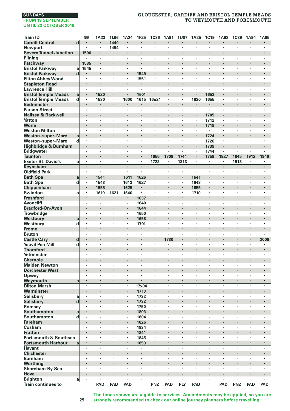# **SUNDAYS**

#### **FROM 19 SEPTEMBER UNTIL 23 OCTOBER 2016**

# **GLOUCESTER, CARDIFF AND BRISTOL TEMPLE MEADS TO WEYMOUTH AND PORTSMOUTH**

| <b>Train ID</b>                  |                         | 罒                    | 1A23                 | 1L66           | 1A24      | 1F25    | <b>1C86</b> | 1A91 | <b>1U87</b>          | 1A25                 | 1C19           | 1A92                 | <b>1C89</b> | 1A94    | 1A95                 |
|----------------------------------|-------------------------|----------------------|----------------------|----------------|-----------|---------|-------------|------|----------------------|----------------------|----------------|----------------------|-------------|---------|----------------------|
| <b>Cardiff Central</b>           | $\overline{\mathbf{d}}$ | $\cdot$              | ٠                    | 1440           | $\cdot$   | ٠       | ٠           | ٠    | $\blacksquare$       | $\cdot$              | $\blacksquare$ | $\cdot$              | ٠           | ٠       | $\blacksquare$       |
| <b>Newport</b>                   |                         |                      | ï                    | 1454           |           | ł,      | ï           | ł,   | ×                    | ï                    |                |                      | ł,          | ï       | ï                    |
| <b>Severn Tunnel Junction</b>    |                         | 1500                 |                      |                | $\cdot$   | ï       | ł.          | ï    |                      | ٠                    |                |                      | ï           |         | ï                    |
| Pilning                          |                         |                      | $\cdot$              |                |           | ٠       | ł,          | ٠    | ٠                    | $\ddot{\phantom{0}}$ | $\cdot$        | $\cdot$              | ï           | ï       | ï                    |
| Patchway                         |                         | 1535                 |                      |                | $\bullet$ | ٠       | ٠           |      | ٠                    |                      |                |                      |             |         |                      |
| <b>Bristol Parkway</b>           | a                       | 1545                 | ٠                    | $\cdot$        | $\cdot$   | $\cdot$ | ٠           | ٠    | ×                    | $\ddot{\phantom{0}}$ | $\cdot$        | $\cdot$              | ٠           | ٠       | ٠                    |
| <b>Bristol Parkway</b>           | d                       |                      | $\cdot$              |                | $\cdot$   | 1549    | ł           | ł.   |                      |                      |                |                      |             | ł.      |                      |
| <b>Filton Abbey Wood</b>         |                         | ï                    |                      | $\cdot$        |           | 1551    | ٠           | ٠    | $\ddot{\phantom{a}}$ | ٠                    | $\cdot$        |                      | ٠           | ٠       | $\cdot$              |
| <b>Stapleton Road</b>            |                         |                      |                      |                | $\cdot$   | ٠       |             | ï    |                      | ٠                    |                | $\cdot$              |             | ×       | ï                    |
| <b>Lawrence Hill</b>             |                         | ٠                    |                      | $\cdot$        |           | ł,      | ł,          | ×    | ï                    |                      |                |                      | ł,          | ×       | ×                    |
| <b>Bristol Temple Meads</b>      | a                       | ٠                    | 1520                 |                | $\cdot$   | 1601    | ×           | ×    |                      | ٠                    | 1653           | $\cdot$              |             | ٠       |                      |
| <b>Bristol Temple Meads</b>      | d                       | ٠                    | 1530                 | $\blacksquare$ | 1600      | 1615    | 16u21       | ×    | $\cdot$              | 1630                 | 1655           |                      | ×           |         | ×                    |
| <b>Bedminster</b>                |                         | l,                   |                      |                |           |         |             |      |                      |                      |                |                      | ï           | ×       |                      |
| <b>Parson Street</b>             |                         | ×                    | ×                    | $\cdot$        |           | ×       | ٠           | ٠    | ×                    | $\ddot{\phantom{0}}$ | $\cdot$        | $\cdot$              | $\cdot$     | ×       | ٠                    |
| Nailsea & Backwell               |                         |                      |                      |                |           |         |             |      |                      |                      | 1705           |                      |             |         |                      |
| Yatton                           |                         | ٠                    | ٠                    | $\cdot$        | $\cdot$   | ٠       | ٠           | ٠    | ٠                    | ٠                    | 1712           |                      | ٠           | ٠       | ٠                    |
| Worle                            |                         | ٠                    | $\blacksquare$       |                | $\bullet$ |         |             |      |                      | $\blacksquare$       | 1718           | $\bullet$            |             |         |                      |
| <b>Weston Milton</b>             |                         | ٠                    | $\cdot$              | $\cdot$        |           | ٠       |             | ٠    | ٠                    |                      |                |                      | ٠           | ×       | ×                    |
| <b>Weston-super-Mare</b>         | a                       |                      | l,                   |                |           | l,      | i,          | l,   | ×                    | l,                   | 1724           |                      | l,          | i,      | ï                    |
| Weston-super-Mare                | d                       | ï                    | $\cdot$              |                |           | ×       | ï           | ×    | $\cdot$              | $\cdot$              | 1726           |                      | ï           | ï       | ï                    |
| Highbridge & Burnham             |                         |                      |                      | ٠              |           |         | ٠           | ï    | ٠                    |                      | 1739           | $\cdot$              |             | ٠       |                      |
| <b>Bridgwater</b>                |                         | ٠                    | ٠                    | $\cdot$        | $\cdot$   | ٠       | ٠           | ٠    | $\ddot{\phantom{a}}$ | ٠                    | 1744           |                      | ٠           | ٠       |                      |
| <b>Taunton</b>                   |                         |                      |                      |                |           | i,      | 1655        | 1708 | 1744                 | $\blacksquare$       | 1759           | 1827                 | 1845        | 1912    | 1946                 |
| <b>Exeter St. David's</b>        | a                       | $\cdot$              | ×,                   | $\cdot$        | $\cdot$   | $\cdot$ | 1722        | ٠    | 1813                 | ×.                   | $\cdot$        |                      | 1913        | ×       |                      |
| Keynsham                         |                         | ÷.                   |                      | $\cdot$        | $\cdot$   | $\cdot$ |             | J.   | $\cdot$              | ×.                   | $\cdot$        | $\cdot$              | i,          | $\cdot$ | $\ddot{\phantom{0}}$ |
| <b>Oldfield Park</b>             |                         | ٠                    | $\cdot$              | $\cdot$        | $\cdot$   | ٠       | ٠           | ٠    | ٠                    | ×,                   | $\cdot$        |                      | ٠           | ٠       | ٠                    |
| <b>Bath Spa</b>                  | a                       | ٠                    | 1541                 |                | 1611      | 1626    |             | ×    | ٠                    | 1641                 |                | $\cdot$              |             | ×       |                      |
| <b>Bath Spa</b>                  | d                       | ٠                    | 1543                 | $\blacksquare$ | 1613      | 1627    | ï           | ×    |                      | 1643                 |                |                      | ï           | ï       | ï                    |
| Chippenham                       |                         | l,                   | 1555                 |                | 1625      | ٠       | i,          | l,   | ï                    | 1655                 |                | $\cdot$              | ï           |         | ï                    |
| Swindon                          | a                       | ٠                    | 1610                 | 1621           | 1640      | ٠       | ٠           | ٠    | ×                    | 1710                 |                | $\cdot$              | ×           | ×       | $\bullet$            |
| <b>Freshford</b>                 |                         |                      |                      |                |           | 1637    | ł.          |      |                      |                      |                |                      |             |         |                      |
| <b>Avoncliff</b>                 |                         | ٠                    | ٠                    | $\cdot$        | $\cdot$   | 1640    | ٠           | ٠    | ٠                    | ٠                    | $\cdot$        |                      | ٠           | ٠       | ٠                    |
| <b>Bradford-On-Avon</b>          |                         | ×,                   |                      |                |           | 1644    | ł.          | ï    |                      |                      |                |                      | ï           | ł.      |                      |
| Trowbridge                       |                         | $\cdot$              | $\cdot$              | $\cdot$        | $\cdot$   | 1650    | ï           | l,   | ï                    | $\cdot$              |                |                      | ٠           | ×       | ×                    |
| Westbury                         | a                       |                      | $\ddot{\phantom{0}}$ |                | $\cdot$   | 1658    | ٠           | ï    |                      |                      |                |                      | ï           | ï       | ï                    |
| Westbury                         | d                       | ï                    | $\cdot$              |                |           | 1701    | ï           |      | ï                    | $\cdot$              |                |                      |             | ï       |                      |
| <b>Frome</b>                     |                         | ٠                    | ٠                    | ٠              |           |         | ×           | ×    |                      |                      |                |                      |             | ×       |                      |
| <b>Bruton</b>                    |                         | ٠                    | ٠                    | $\cdot$        | $\cdot$   | ٠       | ٠           | ٠    | ٠                    | ٠                    | $\cdot$        | $\cdot$              | ٠           | ٠       |                      |
| <b>Castle Cary</b>               | d                       |                      |                      |                |           | ï       | i,          | 1730 |                      |                      |                |                      | ï           | ï       | 2008                 |
| <b>Yeovil Pen Mill</b>           | d                       | ٠                    | ٠                    | $\cdot$        | $\cdot$   | ٠       | ٠           |      | ٠                    | ٠                    |                |                      | ٠           | ٠       |                      |
| <b>Thornford</b>                 |                         |                      |                      |                |           | ï       |             |      |                      |                      |                |                      | ï           |         | ï                    |
| Yetminster                       |                         | ٠                    | ٠                    | ٠              | ٠         | ٠       | ٠           | ٠    | ٠                    | ٠                    | ,              | ٠                    | ٠           | ٠       | ٠                    |
| <b>Chetnole</b>                  |                         | ×                    |                      |                | $\cdot$   | ł,      | ×           | ×    |                      |                      |                |                      |             | ×       |                      |
| <b>Maiden Newton</b>             |                         |                      |                      |                |           |         | ï           | ł,   | ï                    | ï                    |                |                      |             | ï       | l,                   |
| <b>Dorchester West</b>           |                         |                      |                      |                |           | ï       | ï           | l,   |                      |                      |                |                      | ï           | ٠       | ï                    |
| Upwey                            |                         | $\ddot{\phantom{0}}$ | $\ddot{\phantom{0}}$ |                | $\cdot$   | ٠       | ï           | ٠    | $\blacksquare$       | $\ddot{\phantom{0}}$ |                | $\ddot{\phantom{0}}$ | ٠           | ٠       | ٠                    |
| Weymouth                         | a                       |                      |                      |                | $\cdot$   | i,      |             |      |                      |                      |                |                      |             | ٠       |                      |
| <b>Dilton Marsh</b>              |                         | ×                    | ×                    | $\cdot$        | $\cdot$   | 17x04   | ×           | ٠    | $\ddot{\phantom{a}}$ | ×                    | $\cdot$        | $\cdot$              | $\cdot$     | ×       | ×                    |
| Warminster                       |                         |                      | $\cdot$              |                | $\cdot$   | 1710    | ł           | ł.   |                      |                      |                |                      |             | ×       | ı,                   |
| <b>Salisbury</b>                 | a                       | ï                    |                      | $\cdot$        | $\cdot$   | 1732    |             | ÷,   | ×                    | ×                    | $\cdot$        | $\cdot$              | ٠           | ×       | $\cdot$              |
| Salisbury                        | d                       |                      | $\ddot{\phantom{0}}$ |                | $\cdot$   | 1732    |             | ï    |                      |                      |                | $\cdot$              |             | ×       | ï                    |
| Romsey                           |                         |                      |                      |                |           | 1750    |             |      | ,                    |                      |                |                      |             | ï       |                      |
| Southampton                      | a                       | ×                    |                      |                | $\cdot$   | 1803    | ٠           | ×    |                      |                      |                |                      |             | ×       |                      |
| Southampton                      | d                       | $\cdot$              | $\cdot$              |                |           | 1804    | ٠           | ٠    | $\cdot$              | ×                    | $\cdot$        |                      | ٠           | ×       | ٠                    |
| <b>Fareham</b>                   |                         | ×,                   |                      |                | $\cdot$   | 1826    | ï           | ï    |                      |                      |                |                      | ï           | ł,      |                      |
| Cosham                           |                         | ×                    | ×                    | $\cdot$        | $\cdot$   | 1834    | ×           | ٠    | ×                    | ×                    | $\cdot$        | $\cdot$              | $\cdot$     | ×       | ٠                    |
| <b>Fratton</b>                   |                         |                      |                      |                |           | 1841    |             |      |                      | ï                    |                |                      |             |         |                      |
| <b>Portsmouth &amp; Southsea</b> |                         | ٠                    | ٠                    | $\cdot$        |           | 1845    | ٠           | ٠    | ٠                    | ٠                    | $\cdot$        | $\cdot$              | ٠           | ٠       | ٠                    |
| <b>Portsmouth Harbour</b>        | a                       | ٠                    | $\cdot$              | $\cdot$        | $\cdot$   | 1853    | ٠           | ٠    |                      |                      |                | $\cdot$              | ٠           | ٠       | ٠                    |
| <b>Havant</b>                    |                         | ×                    | ï                    |                |           | ł,      | ï           | ï    | ï                    |                      |                |                      | ï           | ï       | ×                    |
| <b>Chichester</b>                |                         | ä,                   |                      |                | $\cdot$   | i,      | ł.          | ł.   |                      | ×                    |                | $\cdot$              | ï           | ł.      | ï                    |
| <b>Barnham</b>                   |                         |                      | $\cdot$              |                |           | ×       |             | ٠    | $\cdot$              | ×                    |                |                      | ï           | ï       | ï                    |
| Worthing                         |                         |                      |                      |                |           |         | ٠           |      | ٠                    |                      |                |                      |             |         |                      |
| Shoreham-By-Sea                  |                         | ٠                    | ٠                    | $\cdot$        | $\cdot$   | ٠       | ٠           | ٠    | $\ddot{\phantom{a}}$ | ٠                    | ٠              | $\cdot$              | ٠           | ٠       | ٠                    |
| Hove                             |                         |                      | ×                    |                |           |         | ł.          | ï    |                      | ï                    |                |                      |             |         |                      |
| Brighton                         | a                       | ×,                   | ä,                   | $\cdot$        | $\cdot$   | ï       | ×           | ÷,   | $\ddot{\phantom{a}}$ | ×                    |                | $\cdot$              | ×           | ×       | ٠                    |
| <b>Train continues to</b>        |                         |                      | PAD                  | PAD            | PAD       |         | PNZ         | PAD  | PLY                  | PAD                  |                | PAD                  | <b>PNZ</b>  | PAD     | PAD                  |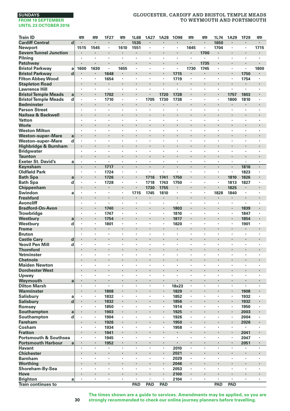# **GLOUCESTER, CARDIFF AND BRISTOL TEMPLE MEADS TO WEYMOUTH AND PORTSMOUTH**

| <b>Train ID</b>                    |        | 罒                               | 罒              | 1F27         | œ    | 1L68           | 1A27                 | 1A28                 | 1098                 | œ              | 罒                        | 1L74           | 1A29                 | 1F29         | œ       |
|------------------------------------|--------|---------------------------------|----------------|--------------|------|----------------|----------------------|----------------------|----------------------|----------------|--------------------------|----------------|----------------------|--------------|---------|
| <b>Cardiff Central</b>             | d      |                                 |                | ×            | ÷,   | 1535           |                      |                      |                      |                | ł.                       | 1650           |                      |              |         |
| Newport                            |        | 1515                            | 1545           | ×,           | 1610 | 1551           | $\ddot{\phantom{0}}$ | $\ddot{\phantom{a}}$ | $\cdot$              | 1645           | $\overline{\phantom{a}}$ | 1704           | ×                    |              | 1715    |
| <b>Severn Tunnel Junction</b>      |        |                                 |                | ٠            |      | ٠              |                      |                      |                      | ٠              | 1700                     | ×              |                      |              |         |
| Pilning                            |        | $\cdot$                         | $\cdot$        | ×            | ٠    | ×              | ×                    | $\cdot$              | $\cdot$              | $\cdot$        | ٠                        | $\cdot$        | ×                    | ٠            | $\cdot$ |
| Patchway                           |        |                                 |                | ł.           | ï    |                |                      |                      |                      |                | 1735                     | ł.             |                      |              |         |
| <b>Bristol Parkway</b>             | a      | 1600                            | 1630           | ×            | 1655 | ï              | ł,                   | $\cdot$              | $\cdot$              | 1730           | 1745                     | ٠              | $\cdot$              | ×            | 1800    |
| <b>Bristol Parkway</b>             | d      |                                 |                | 1648         |      |                | ×                    |                      | 1715                 |                | ٠                        | ï              |                      | 1750         |         |
| <b>Filton Abbey Wood</b>           |        |                                 | $\cdot$        | 1654         | ٠    | ٠              | ٠                    |                      | 1719                 | $\cdot$        | ٠                        | ٠              | ï                    | 1754         |         |
| <b>Stapleton Road</b>              |        | $\bullet$                       |                | ٠            | ٠    | ٠              | ٠                    | $\cdot$              | $\bullet$            |                | ٠                        | ٠              |                      | ٠            |         |
| <b>Lawrence Hill</b>               |        |                                 |                | ٠            | ×    | ï              | ٠                    |                      | $\cdot$              |                | ٠                        | ٠              | ٠                    | ٠            |         |
| <b>Bristol Temple Meads</b>        | a      |                                 |                | 1702         | l,   |                |                      | 1720                 | 1728                 |                | $\cdot$                  |                | 1757                 | 1803         |         |
| <b>Bristol Temple Meads</b>        | d      |                                 | $\cdot$        | 1710         | ×    | $\cdot$        | 1705                 | 1730                 | 1738                 | $\cdot$        | ×                        | ×              | 1800                 | 1810         |         |
| <b>Bedminster</b>                  |        |                                 |                | ł.           |      |                |                      |                      |                      |                |                          |                |                      |              |         |
| <b>Parson Street</b>               |        | $\cdot$                         | $\cdot$        | ٠            | ٠    | ٠              | ٠                    | $\cdot$              | $\cdot$              | $\cdot$        | ٠                        | ٠              | ٠                    | ٠            | $\cdot$ |
| Nailsea & Backwell                 |        |                                 |                |              |      |                |                      |                      |                      |                |                          | ï              |                      |              | ï       |
| Yatton                             |        |                                 | $\cdot$        | ×            | ٠    | ٠              | ٠                    | $\cdot$              | $\cdot$              |                | ٠                        | ×              | $\cdot$              | ٠            |         |
| Worle                              |        | $\cdot$                         |                | ï            | ï    |                |                      |                      |                      |                |                          | ï              | ٠                    |              |         |
| <b>Weston Milton</b>               |        |                                 |                | ï            |      | ï              | ï                    |                      |                      |                |                          | ï              | ï                    | ,            |         |
| <b>Weston-super-Mare</b>           | a      | $\centering \label{eq:reduced}$ |                | ٠            |      | ×              | ٠                    |                      |                      |                |                          | ۰              | ٠                    | ٠            |         |
| Weston-super-Mare                  | d      |                                 | $\cdot$        | ï            | ł.   | ï              | ×                    |                      | $\ddot{\phantom{0}}$ |                | ×                        | ٠              | ä,                   | ÷,           |         |
| Highbridge & Burnham               |        |                                 |                | ł.           | ł.   |                |                      |                      |                      |                | ٠                        |                |                      | ï            |         |
| <b>Bridgwater</b>                  |        | $\cdot$                         | $\cdot$        | ×            | ٠    | ×              | ×                    | $\cdot$              | $\cdot$              | $\cdot$        | ×                        | ×              | ×                    | ×            | $\cdot$ |
| <b>Taunton</b>                     |        |                                 |                |              | ï    |                | ï                    |                      |                      |                |                          | ï              |                      |              |         |
| <b>Exeter St. David's</b>          | a      | $\cdot$                         | $\cdot$        | ٠            | ٠    | ٠              | ٠                    | $\cdot$              | $\cdot$              | $\cdot$        | ٠                        | ٠              | ٠                    | ٠            |         |
| Keynsham                           |        | $\cdot$                         | $\cdot$        | 1717         | ٠    | $\blacksquare$ | ٠                    | $\cdot$              | $\cdot$              | $\blacksquare$ | ٠                        | $\blacksquare$ | $\blacksquare$       | 1816         |         |
| <b>Oldfield Park</b>               |        |                                 | $\cdot$        | 1724         | ł,   | ï              | ł,                   |                      | $\cdot$              |                | ٠                        | ï              | ï                    | 1823         |         |
| <b>Bath Spa</b>                    | a      |                                 |                | 1726         | ï    |                | 1716                 | 1741                 | 1750                 |                | ٠                        | l,             | 1810                 | 1826         |         |
| <b>Bath Spa</b>                    | d      |                                 |                | 1728         |      | ï              | 1718                 | 1743                 | 1750                 |                | ٠                        | ×,             | 1813                 | 1827         |         |
| Chippenham                         |        |                                 |                | ٠            | ٠    |                | 1730                 | 1755                 | $\blacksquare$       |                |                          | i,             | 1825                 | ٠            |         |
| Swindon                            | a      | $\cdot$                         | $\cdot$        | ٠            | ٠    | 1715           | 1745                 | 1810                 | $\cdot$              | $\cdot$        | ٠                        | 1828           | 1840                 | ٠            |         |
| <b>Freshford</b>                   |        |                                 |                |              |      |                |                      |                      |                      |                |                          | ł.             | ٠                    |              |         |
| <b>Avoncliff</b>                   |        | $\cdot$                         | $\cdot$        | ٠            | ٠    | $\cdot$        | $\cdot$              |                      | $\cdot$              | $\cdot$        | ٠                        | ×,             | ٠                    | ٠            |         |
| <b>Bradford-On-Avon</b>            |        |                                 |                | 1740         | ï    |                |                      |                      | 1803                 |                |                          |                |                      | 1839         |         |
| Trowbridge                         |        | ٠                               | $\cdot$        | 1747         | ٠    | ٠              | ٠                    | $\cdot$              | 1810                 | $\cdot$        | ٠                        | ٠              | $\cdot$              | 1847         | $\cdot$ |
| Westbury                           | a      | $\centering \label{eq:reduced}$ |                | 1754         | ٠    | ×              | ×                    | $\cdot$              | 1817                 |                |                          | ł,             |                      | 1854         |         |
| Westbury                           | d      |                                 |                | 1801         | ł,   | ï              |                      |                      | 1820                 |                |                          |                | ï                    | 1901         |         |
| Frome                              |        |                                 |                | ×            | ï    | ï              |                      |                      |                      |                |                          | ï              |                      |              |         |
| <b>Bruton</b>                      |        | $\cdot$                         | $\cdot$        | ×            | ٠    | l,             | $\ddot{\phantom{0}}$ | $\cdot$              | $\cdot$              | $\cdot$        | ×                        | ٠              |                      | ï            |         |
| <b>Castle Cary</b>                 | d      | $\bullet$                       |                | ٠            |      |                |                      |                      |                      |                |                          |                |                      |              | ٠       |
| <b>Yeovil Pen Mill</b>             | d      | $\cdot$                         | $\cdot$        | ٠            | ٠    | ×              | ٠                    | $\cdot$              | $\cdot$              | $\cdot$        | ٠                        | ٠              | ٠                    | ٠            |         |
| <b>Thornford</b>                   |        |                                 |                | ł.           |      |                |                      |                      |                      |                |                          |                | ٠                    |              |         |
| Yetminster                         |        | $\cdot$                         | $\cdot$        | ٠            | ٠    | ×              | ×                    | $\cdot$              | $\cdot$              | $\cdot$        | ٠                        | ٠              | ٠                    | ×            | $\cdot$ |
| <b>Chetnole</b>                    |        |                                 |                |              |      |                |                      |                      |                      |                | ×,                       |                |                      |              |         |
| <b>Maiden Newton</b>               |        | ٠                               | ٠              | ×            | ×    | ٠              | ٠                    | $\cdot$              | $\cdot$              |                | ٠                        | ×              | ٠                    | ٠            |         |
| <b>Dorchester West</b>             |        |                                 |                | ٠            | ٠    | ×              | ٠                    |                      |                      |                | ٠                        | ×              | ٠                    | ٠            |         |
| Upwey                              |        |                                 |                |              | ×    | ï              | ٠                    |                      | $\cdot$              |                | ٠                        | ï              |                      | ï            |         |
| Weymouth                           | a      |                                 |                | l,           | l,   | l,             | l,                   |                      |                      |                | l,                       | l,             | ï                    | l,           |         |
| <b>Dilton Marsh</b>                |        |                                 | $\cdot$        | ×            | ٠    | ٠              | ×                    | $\cdot$              | 18x23                | $\cdot$        | ×                        | ×              | ×                    | ï            |         |
| Warminster                         |        |                                 |                | 1808         |      |                |                      |                      | 1829                 |                |                          |                | ×,                   | 1908         |         |
| Salisbury                          | a      |                                 | $\cdot$        | 1832         | ٠    | ٠              | ٠                    | $\cdot$              | 1852                 | $\cdot$        | ٠                        | ٠              | ٠                    | 1932         | $\cdot$ |
| <b>Salisbury</b>                   | d      |                                 |                | 1832         | ×    |                |                      | $\cdot$              | 1856                 |                |                          |                |                      | 1932         |         |
|                                    |        |                                 | $\cdot$        |              | ٠    | ٠              | ٠                    | $\cdot$              |                      | $\cdot$        | ٠                        | ×              | $\cdot$              |              |         |
| Romsey                             |        |                                 |                | 1850<br>1903 | i,   | ï              |                      |                      | 1914<br>1925         |                | ×                        | ï              | ä,                   | 1950<br>2003 |         |
| Southampton<br>Southampton         | a<br>d |                                 |                | 1904         | ł,   | ï              | ï                    |                      | 1926                 |                |                          | ï              | ï                    | 2004         |         |
| Fareham                            |        | $\cdot$                         |                | 1926         | ×    | ×              | ٠                    | $\cdot$              |                      |                |                          |                | ٠                    | 2026         |         |
| Cosham                             |        |                                 | $\cdot$        | 1934         | ×    | ,              | ×                    | $\blacksquare$       | 1950<br>1958         |                | ٠                        | ٠              | ٠                    |              |         |
| <b>Fratton</b>                     |        |                                 |                | 1941         | ï    |                |                      |                      |                      |                |                          | ï              | ×,                   | 2041         |         |
| <b>Portsmouth &amp; Southsea</b>   |        | $\cdot$                         | $\cdot$        | 1945         | ٠    | ×              | ×                    | $\cdot$              | $\cdot$              | $\cdot$        | ×                        | ٠              | $\ddot{\phantom{0}}$ | 2047         |         |
| <b>Portsmouth Harbour</b>          |        |                                 | $\cdot$        | 1952         | ٠    |                |                      |                      | $\cdot$              |                |                          |                |                      | 2051         |         |
|                                    | a      |                                 | ٠              | ٠            | ٠    | ï              | ×                    | $\cdot$              | 2010                 |                | ٠                        | ×              | ٠                    | ٠            |         |
| <b>Havant</b><br><b>Chichester</b> |        |                                 |                |              |      |                |                      | $\blacksquare$       |                      |                |                          |                |                      |              |         |
|                                    |        |                                 |                | ï            | ł,   | ٠              | ٠                    | $\cdot$              | 2021                 |                | ٠                        | ×              | ٠<br>٠               | ٠            |         |
| <b>Barnham</b>                     |        |                                 |                | i,           | ï    | ï              | ×                    |                      | 2029                 |                | ï                        | ï              |                      | ï            |         |
| Worthing                           |        |                                 |                | ï            | ï    | ï              | ٠                    |                      | 2046                 |                |                          | ï              | ï                    | ï            |         |
| Shoreham-By-Sea                    |        |                                 |                |              |      |                |                      |                      | 2053                 |                |                          |                |                      |              |         |
| Hove                               |        | $\blacksquare$                  | $\blacksquare$ | ٠            | ٠    | ٠              | ٠                    | $\cdot$              | 2100                 | $\blacksquare$ | ٠                        | ٠<br>٠         | ٠                    | ٠            |         |
| Brighton                           | a      |                                 |                |              |      | PAD            | PAD                  | PAD                  | 2104                 |                |                          | PAD            | PAD                  |              |         |
| <b>Train continues to</b>          |        |                                 |                |              |      |                |                      |                      |                      |                |                          |                |                      |              |         |

**The times shown are a guide to services. Amendments may be applied, so you are strongly recommended to check our online journey planners before travelling.**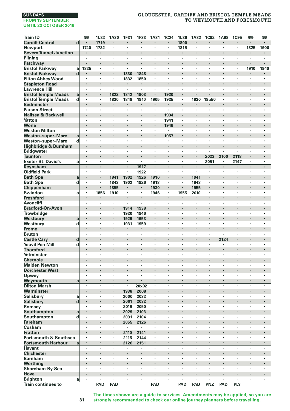# **SUNDAYS**

#### **FROM 19 SEPTEMBER UNTIL 23 OCTOBER 2016**

# **GLOUCESTER, CARDIFF AND BRISTOL TEMPLE MEADS TO WEYMOUTH AND PORTSMOUTH**

| <b>Train ID</b>                  |                             | œ       | 1L82    | 1A30                            | 1F31    | 1F33   | 1A31   | 1C24 | 1L86    | 1A32           | <b>1C92</b>          | <b>1A98</b> | <b>1C95</b> | œ       | 罒    |
|----------------------------------|-----------------------------|---------|---------|---------------------------------|---------|--------|--------|------|---------|----------------|----------------------|-------------|-------------|---------|------|
| <b>Cardiff Central</b>           | d                           |         | 1719    |                                 |         |        |        |      | 1800    |                |                      |             | i,          | ł.      | ï    |
| <b>Newport</b>                   |                             | 1740    | 1732    |                                 | $\cdot$ | ×,     | ×,     | ٠    | 1815    | $\blacksquare$ | $\cdot$              | $\cdot$     | ×,          | 1825    | 1900 |
| <b>Severn Tunnel Junction</b>    |                             |         | ł       |                                 |         | ×      |        |      |         |                |                      |             | ł.          |         | ٠    |
| Pilning                          |                             | ٠       | $\cdot$ |                                 |         | ï      | ٠      | ٠    | ٠       | ٠              | ٠                    | $\cdot$     | ٠           | ٠       | ٠    |
| Patchway                         |                             |         |         | $\bullet$                       | $\cdot$ | ٠      | ٠      | ł    |         |                | $\bullet$            | ٠           | ٠           |         |      |
| <b>Bristol Parkwav</b>           | a                           | 1825    | ٠       |                                 |         | ٠      | ×      | ï    | ٠       |                |                      |             | ٠           | 1910    | 1940 |
| <b>Bristol Parkway</b>           | $\mathbf d$                 |         | ï       |                                 | 1830    | 1848   | l,     | ï    |         |                |                      |             | i,          |         |      |
| <b>Filton Abbey Wood</b>         |                             | ٠       | ×       |                                 | 1832    | 1850   | ×      | ×    | ×       | ×              | $\cdot$              | $\cdot$     | ٠           | ×       | ×.   |
| <b>Stapleton Road</b>            |                             |         |         |                                 |         | i,     |        |      |         |                |                      |             |             |         |      |
| <b>Lawrence Hill</b>             |                             | ٠       | ٠       |                                 | $\cdot$ | ٠      | ٠      | ×    | ٠       | ٠              | $\cdot$              | $\cdot$     | ٠           | ٠       | ×,   |
| <b>Bristol Temple Meads</b>      | $\mathbf a$                 |         |         | 1822                            | 1842    | 1903   |        | 1920 | ٠       |                |                      |             |             |         |      |
| <b>Bristol Temple Meads</b>      | d                           | ٠       | ł,      | 1830                            | 1848    | 1910   | 1905   | 1925 | ï       | 1930           | 19u50                |             | ï           | ï       | ï    |
| <b>Bedminster</b>                |                             |         | ï       | $\cdot$                         |         | ×      |        | ۰    | $\cdot$ |                |                      |             | ï           | ٠       |      |
| <b>Parson Street</b>             |                             |         | $\cdot$ |                                 | $\cdot$ | ä,     | ٠      | ×.   | $\cdot$ | ٠              |                      | $\cdot$     | ٠           | ٠       | ï    |
| Nailsea & Backwell               |                             |         |         | $\bullet$                       |         | ٠      |        | 1934 |         |                |                      |             |             |         | ۰    |
| Yatton                           |                             | ٠       | ×       | $\cdot$                         | $\cdot$ | ٠      | ×      | 1941 | ×       | ٠              | $\cdot$              | $\cdot$     | ٠           | ٠       | ٠    |
| Worle                            |                             |         |         |                                 |         | ł      |        | 1946 |         |                | $\cdot$              |             | ×           | ł.      |      |
| <b>Weston Milton</b>             |                             | ٠       | ł,      |                                 | $\cdot$ | ٠      | ٠      |      | ٠       | ٠              |                      | $\cdot$     | ٠           | ٠       | ٠    |
| <b>Weston-super-Mare</b>         | a                           |         | ï       | $\cdot$                         |         | ×      |        | 1957 | ×       | ï              | $\cdot$              |             | ٠           | ï       | ï    |
| <b>Weston-super-Mare</b>         | d                           |         | ï       |                                 |         | ï      | ï      | ٠    |         | ï              |                      |             | ï           |         |      |
| Highbridge & Burnham             |                             | ٠       | ×       | $\cdot$                         |         | ×      | ٠      | ×    |         |                | $\cdot$              |             | ×           |         |      |
| Bridgwater                       |                             | ٠       | ٠       | $\cdot$                         | $\cdot$ | ٠      | ٠      | ٠    | ٠       | ٠              | $\cdot$              | $\cdot$     | ٠           | ٠       | ٠    |
| <b>Taunton</b>                   |                             |         |         |                                 |         | ł,     | ï      | ï    |         | ä,             | 2023                 | 2100        | 2118        |         | ï    |
| <b>Exeter St. David's</b>        | a                           | ٠       | $\cdot$ |                                 | $\cdot$ | ä,     | ×,     | ٠    | ٠       | $\blacksquare$ | 2051                 | $\cdot$     | 2147        | ٠       | ×.   |
| Keynsham                         |                             | $\cdot$ | ×,      | $\cdot$                         | $\cdot$ | 1917   |        | ä,   |         | $\blacksquare$ |                      | $\cdot$     | ł.          | $\cdot$ | ä,   |
| <b>Oldfield Park</b>             |                             | ٠       | ٠       |                                 | $\cdot$ | 1922   | ٠      | ×    | ٠       | $\cdot$        | ٠                    | $\cdot$     | ٠           | ٠       | ٠    |
| <b>Bath Spa</b>                  | a                           | ٠       | $\cdot$ | 1841                            | 1902    | 1926   | 1916   | ł,   | ٠       | 1941           | $\cdot$              |             | ł           | ٠       |      |
| <b>Bath Spa</b>                  | d                           |         | $\cdot$ | 1843                            | 1902    | 1926   | 1918   |      | ٠       | 1943           |                      |             | ï           | ï       |      |
| Chippenham                       |                             |         |         | 1855                            | $\cdot$ | ٠      | 1930   | i,   |         | 1955           |                      |             | i,          | ï       | ï    |
| Swindon                          | a                           | $\cdot$ | 1856    | 1910                            | $\cdot$ | ×,     | 1946   | ×,   | 1955    | 2010           | $\cdot$              | $\cdot$     | ٠           | ×       | ×.   |
| <b>Freshford</b>                 |                             |         |         |                                 |         |        |        |      |         |                |                      |             |             |         |      |
| <b>Avoncliff</b>                 |                             | ٠       | ٠       |                                 | $\cdot$ | ×.     | ٠      | ٠    | ٠       | ٠              | $\cdot$              | $\cdot$     | ٠           | ٠       | ٠    |
| <b>Bradford-On-Avon</b>          |                             |         | ×<br>ł, | $\blacksquare$                  | 1914    | 1938   | ٠<br>ï | ï    | ï       | ï              | $\cdot$              |             | ł,<br>ï     | ï       | ï    |
| Trowbridge                       |                             | ٠       | ï       | $\cdot$                         | 1920    | 1946   | i,     | ï    |         |                |                      |             |             |         |      |
| Westbury                         | a                           | ×       |         |                                 | 1929    | 1953   |        | ï    | ×       | ٠              | $\cdot$<br>$\cdot$   | $\cdot$     | ٠<br>٠      | ٠<br>٠  | ï    |
| Westbury                         | d                           |         | $\cdot$ |                                 | 1931    | 1959   | ٠      |      |         |                |                      |             |             |         |      |
| <b>Frome</b>                     |                             |         | ×       | $\cdot$                         | $\cdot$ | ٠<br>٠ | ×      | ٠    |         |                | $\bullet$<br>$\cdot$ | $\cdot$     | ٠           |         | ٠    |
| <b>Bruton</b>                    |                             | ٠       |         | $\cdot$                         |         |        |        | ï    | ٠       | ٠              |                      |             |             | ٠       | ٠    |
| <b>Castle Cary</b>               | d                           | ٠       | ł,      |                                 | $\cdot$ | ł<br>٠ | ×      | ×    |         | ٠              | $\cdot$              | 2124        | ٠           | ٠       | ٠    |
| Yeovil Pen Mill                  | d                           |         |         |                                 |         | ×      |        |      | ٠       |                | $\cdot$              |             | ٠           |         | ï    |
| <b>Thornford</b><br>Yetminster   |                             |         |         |                                 |         | ï      |        | ï    | ï       | ï              |                      |             | ï           |         |      |
| <b>Chetnole</b>                  |                             |         |         | $\cdot$                         |         | ×      |        |      |         |                |                      |             | ł,          |         |      |
| <b>Maiden Newton</b>             |                             | ٠       | ٠       | $\cdot$                         | $\cdot$ | ٠      | ٠      | ٠    | ٠       | ٠              | $\cdot$              | $\cdot$     | ٠           | ٠       | ٠    |
| <b>Dorchester West</b>           |                             |         |         |                                 |         |        |        |      |         |                |                      |             |             |         |      |
| Upwey                            |                             | ٠       | ÷,      |                                 | $\cdot$ | ٠      | ٠      | ٠    | ٠       | $\cdot$        | $\cdot$              | $\cdot$     | ×,          | ٠       | ×.   |
| Weymouth                         | a                           |         | ÷.      | $\cdot$                         | $\cdot$ |        | ä,     | ï    | ÷,      |                | $\ddot{\phantom{0}}$ | $\cdot$     | ä,          | ä,      | ÷.   |
| <b>Dilton Marsh</b>              |                             | ٠       | ٠       |                                 |         | 20x02  | ×      | ï    | ٠       | ï              | $\cdot$              | ,           | ï           |         |      |
| Warminster                       |                             | ٠       |         | ٠                               | 1938    | 2008   | ٠      |      |         |                | $\bullet$            |             | ٠           | ٠       | ۰    |
| Salisbury                        | a                           | ,       | ,       |                                 | 2000    | 2032   | ×      | ï    | ٠       |                |                      |             | ٠           | ×       | ï    |
| <b>Salisbury</b>                 | $\operatorname{\mathbf{d}}$ |         | ï       |                                 | 2001    | 2032   | ï      |      |         |                |                      |             | i,          | ï       | i,   |
| Romsey                           |                             | ×       | ×       | $\cdot$                         | 2019    | 2050   | ×      | ï    | ٠       | ×              | $\cdot$              | $\cdot$     | ٠           | ×       | ×.   |
| Southampton                      | a                           |         |         |                                 | 2029    | 2103   |        |      |         |                |                      |             |             |         |      |
| Southampton                      | d                           | ٠       | ٠       |                                 | 2031    | 2104   | ٠      | ٠    | ٠       | ٠              | $\cdot$              | $\cdot$     | ×           | ٠       | ٠    |
| Fareham                          |                             | ٠       | ×       | $\centering \label{eq:reduced}$ | 2055    | 2126   | ٠      |      |         |                |                      |             | ł,          |         |      |
| Cosham                           |                             | ٠       | ł,      |                                 | $\cdot$ | ×      | ï      | ï    | ï       | ï              |                      |             | ï           | ï       | ï    |
| <b>Fratton</b>                   |                             |         | ï       | $\cdot$                         | 2110    | 2141   | l,     | ï    |         |                | $\cdot$              |             | ł.          |         |      |
| <b>Portsmouth &amp; Southsea</b> |                             |         | $\cdot$ |                                 | 2115    | 2144   | ٠      | ï    | ×       | ٠              | $\cdot$              | $\cdot$     | ٠           | ï       | ï    |
| <b>Portsmouth Harbour</b>        | a                           | ٠       |         |                                 | 2126    | 2151   | ٠      |      |         |                | $\bullet$            |             |             |         | ٠    |
| Havant                           |                             | $\cdot$ | ×       | $\cdot$                         | ٠       | ٠      | ×      | ×    | ×       | ï              | $\cdot$              | $\cdot$     | ٠           | ×       | ٠    |
| <b>Chichester</b>                |                             |         |         | $\cdot$                         |         | ł      |        | ï    |         |                |                      |             |             | ł.      | ı,   |
| <b>Barnham</b>                   |                             | ٠       | ł,      |                                 | $\cdot$ | ٠      | ×      | ×    | ٠       | ٠              |                      | $\cdot$     | ٠           | ٠       | ٠    |
| Worthing                         |                             |         | ï       |                                 |         | ×      |        |      |         |                | $\cdot$              |             | ٠           |         | ï    |
| Shoreham-By-Sea                  |                             |         |         |                                 |         | ï      |        | ï    |         | ï              |                      |             | ï           |         |      |
| Hove                             |                             |         | ×       | $\cdot$                         |         | ×      | ×      |      |         | ×              | $\cdot$              |             | ٠           |         |      |
| Brighton                         | a                           | $\cdot$ | $\cdot$ |                                 | $\cdot$ | ٠      | ٠      | ٠    | ٠       | ٠              | $\cdot$              | $\cdot$     | ×,          | ٠       | ٠    |
| <b>Train continues to</b>        |                             |         | PAD     | PAD                             |         |        | PAD    |      | PAD     | PAD            | PNZ                  | PAD         | PLY         |         |      |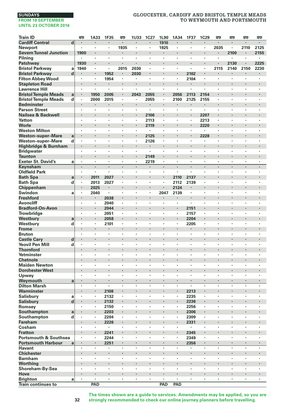# **GLOUCESTER, CARDIFF AND BRISTOL TEMPLE MEADS TO WEYMOUTH AND PORTSMOUTH**

| <b>Train ID</b>                  |              | <b>P</b>       | 1A33           | 1F35           | œ       | <b>1U33</b>          | 1C27                 | 1L90                      | 1A34               | 1F37                 | 1C29    | œ         | <b>P</b>       | œ                    | <b>emp</b> |
|----------------------------------|--------------|----------------|----------------|----------------|---------|----------------------|----------------------|---------------------------|--------------------|----------------------|---------|-----------|----------------|----------------------|------------|
| <b>Cardiff Central</b>           | d            |                |                | ł.             | ٠       |                      |                      | 1910                      | $\cdot$            |                      |         | ×         |                | ×                    | $\cdot$    |
| Newport                          |              |                | $\cdot$        | ٠              | 1935    | $\cdot$              |                      | 1925                      | $\cdot$            | $\cdot$              | ٠       | 2035      | ٠              | 2110                 | 2125       |
| <b>Severn Tunnel Junction</b>    |              | 1900           | $\cdot$        | ×              |         |                      | ٠                    |                           | $\cdot$            |                      | ×       |           | 2100           | ×                    | 2155       |
| Pilning                          |              |                |                | ł,             |         | ï                    |                      | $\cdot$                   |                    |                      | ï       |           |                | ï                    |            |
| Patchway                         |              | 1930           | $\cdot$        | ï              |         |                      |                      |                           |                    |                      | i,      | ï         | 2130           |                      | 2225       |
| <b>Bristol Parkway</b>           | a            | 1940           | $\cdot$        | ×,             | 2015    | 2030                 | ٠                    | $\cdot$                   | $\cdot$            | $\cdot$              | ×,      | 2115      | 2140           | 2150                 | 2230       |
| <b>Bristol Parkway</b>           | d            |                |                | 1952           |         | 2030                 |                      |                           | $\bullet$          | 2102                 | ٠       |           | ٠              |                      |            |
| <b>Filton Abbey Wood</b>         |              | $\cdot$        | $\cdot$        | 1954           | $\cdot$ | $\ddot{\phantom{a}}$ | ٠                    | $\cdot$                   | $\cdot$            | 2104                 | ٠       | $\bullet$ | ×              | ×                    | $\cdot$    |
| <b>Stapleton Road</b>            |              |                |                |                | ×       |                      |                      |                           | $\cdot$            |                      |         |           |                |                      |            |
| <b>Lawrence Hill</b>             |              | $\cdot$        | $\cdot$        |                | ×       | ï                    | ×                    | $\cdot$                   | $\cdot$            |                      | ï       | $\cdot$   | ٠              | ×                    | $\cdot$    |
| <b>Bristol Temple Meads</b>      | $\mathbf{a}$ |                | 1950           | 2005           | ٠       | 2043                 | 2055                 |                           | 2056               | 2113                 | 2154    | ı,        | ٠              |                      |            |
| <b>Bristol Temple Meads</b>      | d            | $\blacksquare$ | 2000           | 2015           | ×       | $\cdot$              | 2055                 |                           | 2100               | 2125                 | 2155    | ٠         | ٠              | ٠                    |            |
| <b>Bedminster</b>                |              |                |                | ۰              | ٠       |                      | ٠                    |                           |                    | ٠                    | ٠       |           | ×              |                      |            |
| <b>Parson Street</b>             |              |                | $\cdot$        | ×,             |         |                      | ٠                    | $\blacksquare$            |                    |                      | ×,      | ×         | ï              | ٠                    |            |
| Nailsea & Backwell               |              |                |                | ï              | l,      |                      | 2106                 |                           |                    |                      | 2207    | l,        |                | l,                   |            |
| Yatton                           |              |                | $\cdot$        | ×.             | ×       | $\cdot$              | 2113                 | $\cdot$                   | $\cdot$            |                      | 2213    | ٠         | ×              | ×                    |            |
| Worle                            |              |                |                |                |         |                      | 2119                 |                           |                    |                      | 2220    |           |                |                      |            |
| <b>Weston Milton</b>             |              |                | $\cdot$        | ٠              | ٠       | ٠                    | ٠                    | $\cdot$                   | $\cdot$            | $\cdot$              | ٠       | ٠         | ٠              | ٠                    | $\cdot$    |
| <b>Weston-super-Mare</b>         | a            |                | $\cdot$        | ï              |         |                      | 2125                 |                           |                    |                      | 2228    | ı,        |                |                      |            |
| Weston-super-Mare                | d            |                | $\cdot$        | ×              | ×       | ٠                    | 2126                 | $\cdot$                   | $\cdot$            |                      |         | ٠         | ٠              | ٠                    |            |
|                                  |              |                | $\cdot$        | ï              |         | ï                    |                      |                           |                    |                      |         | ï         | ٠              |                      |            |
| Highbridge & Burnham             |              |                |                | ï              |         | ï                    |                      |                           |                    |                      |         | ï         | ï              | ï                    |            |
| <b>Bridgwater</b>                |              |                |                |                |         |                      |                      |                           |                    |                      |         |           |                |                      |            |
| <b>Taunton</b>                   |              |                | $\cdot$        |                | ×       |                      | 2149                 |                           | $\cdot$            |                      | ٠       |           | ×              | ×                    |            |
| <b>Exeter St. David's</b>        | a            |                | $\blacksquare$ | ٠<br>×         | ٠<br>ł. | ä,                   | 2219                 | $\blacksquare$<br>$\cdot$ | $\cdot$<br>$\cdot$ |                      | ٠<br>ł. | ٠<br>ł.   | ×              | ×                    | $\cdot$    |
| Keynsham                         |              |                | $\cdot$        |                |         |                      |                      |                           |                    |                      |         |           |                |                      |            |
| <b>Oldfield Park</b>             |              |                | $\cdot$        | ٠              | ٠       | ٠                    | ×                    | $\cdot$                   | $\cdot$            | $\ddot{\phantom{a}}$ | ٠       | ٠         | ×              | ×                    | $\cdot$    |
| <b>Bath Spa</b>                  | a            |                | 2011           | 2027           |         |                      |                      |                           | 2110               | 2137                 |         |           |                |                      |            |
| <b>Bath Spa</b>                  | d            |                | 2013           | 2027           | ٠       | ٠                    | ٠                    | $\cdot$                   | 2112               | 2139                 | ٠       | ٠         | ٠              | ٠                    | $\cdot$    |
| Chippenham                       |              |                | 2025           | ٠              |         |                      | ٠                    |                           | 2124               |                      | ٠       |           |                |                      |            |
| Swindon                          | a            |                | 2040           | ï              | ×       | ï                    | ٠                    | 2047                      | 2139               |                      | ٠       | ×         | ï              |                      |            |
| <b>Freshford</b>                 |              |                |                | 2038           | l,      | ï                    |                      |                           | $\bullet$          |                      | l,      | ï         |                |                      |            |
| Avoncliff                        |              |                |                | 2040           |         | ï                    |                      |                           |                    |                      | ٠       | ï         | ï              | ï                    |            |
| <b>Bradford-On-Avon</b>          |              |                |                | 2044           | ٠       |                      |                      |                           | $\bullet$          | 2151                 | ٠       |           |                |                      | ٠          |
| <b>Trowbridge</b>                |              | $\cdot$        | $\blacksquare$ | 2051           | ٠       | ï                    | ٠                    | $\cdot$                   | $\cdot$            | 2157                 | ٠       | ٠         | ٠              | ٠                    | $\cdot$    |
| Westbury                         | a            |                |                | 2058           |         |                      |                      |                           |                    | 2204                 | i,      |           |                |                      |            |
| Westbury                         | d            |                |                | 2101           | ٠       | $\cdot$              | $\cdot$              | $\cdot$                   |                    | 2205                 | ×,      | ٠         | ٠              | ٠                    |            |
| <b>Frome</b>                     |              |                |                | ä,             |         |                      |                      |                           |                    |                      |         |           |                |                      |            |
| <b>Bruton</b>                    |              | ٠              | $\cdot$        | ٠              | ٠       | ٠                    | ٠                    | ٠                         | $\cdot$            |                      | ٠       | ٠         | ٠              | ٠                    |            |
| <b>Castle Cary</b>               | d            |                | $\blacksquare$ |                |         |                      | ٠                    | ï                         |                    | ï                    |         |           |                |                      |            |
| <b>Yeovil Pen Mill</b>           | d            |                |                | ï              |         |                      |                      |                           |                    |                      | ï       | ï         | ï              | ï                    |            |
| <b>Thornford</b>                 |              |                |                | i,             | l,      |                      | $\ddot{\phantom{0}}$ |                           |                    |                      | i,      | ï         | ×,             | ï                    |            |
| Yetminster                       |              |                |                | ٠              | ٠       | ٠                    | ×                    | $\cdot$                   |                    |                      | ä,      | ä,        | ä,             | ÷,                   |            |
| <b>Chetnole</b>                  |              |                |                |                |         |                      |                      |                           |                    |                      |         |           |                |                      |            |
| <b>Maiden Newton</b>             |              | ٠              | $\cdot$        | ×              | ٠       | ×                    | ٠                    | $\cdot$                   | $\cdot$            | $\cdot$              | ٠       | ٠         | ×              | ٠                    | $\cdot$    |
| <b>Dorchester West</b>           |              |                |                |                |         |                      |                      |                           |                    |                      |         |           |                |                      |            |
| Upwey                            |              | $\cdot$        |                | $\blacksquare$ | ×       | ×,                   | ï                    |                           | $\cdot$            |                      | ×,      | ×         | $\cdot$        | ł,                   |            |
| Weymouth                         | a            |                | $\cdot$        |                |         |                      | ×                    |                           | $\cdot$            |                      | ×       | ï         | ٠              |                      |            |
| <b>Dilton Marsh</b>              |              |                |                | ¥              |         | ï                    | ï                    |                           |                    |                      | ï       | ï         | ï              | ï                    |            |
| Warminster                       |              |                | $\blacksquare$ | 2108           | ٠       |                      |                      | ł                         | $\bullet$          | 2213                 | ٠       |           |                |                      |            |
| Salisbury                        | a            |                | $\cdot$        | 2132           |         | ï                    | ٠                    |                           |                    | 2235                 | ×,      | ï         | ï              | ٠                    |            |
| <b>Salisbury</b>                 | d            |                |                | 2132           | $\cdot$ |                      |                      | ï                         | $\cdot$            | 2236                 | ï       | ï         |                |                      |            |
| Romsey                           |              |                | $\cdot$        | 2150           | ٠       | $\cdot$              | ×                    | $\cdot$                   | $\cdot$            | 2256                 | ×,      | ×         | ×              | ×                    |            |
| Southampton                      | a            |                |                | 2203           |         |                      |                      |                           |                    | 2306                 |         |           |                |                      |            |
|                                  | d            | $\cdot$        | $\cdot$        | 2204           | ٠       | ٠                    | ٠                    | $\cdot$                   |                    | 2309                 | ٠       | ٠         | ٠              | ٠                    | $\cdot$    |
| Southampton<br><b>Fareham</b>    |              |                | $\cdot$        | 2226           | ł.      |                      |                      |                           |                    | 2331                 | ×       | ï         |                |                      |            |
|                                  |              |                |                |                | ٠       | $\cdot$              | ï                    | ï                         |                    |                      | ٠       | ٠         | $\cdot$        | ٠                    |            |
| Cosham                           |              |                |                | ٠              |         |                      |                      |                           | $\cdot$            | ٠                    |         | ï         | ٠              |                      |            |
| <b>Fratton</b>                   |              |                |                | 2241           |         |                      |                      |                           |                    | 2345                 | ï       | ,         | ï              |                      |            |
| <b>Portsmouth &amp; Southsea</b> |              |                |                | 2244           |         |                      |                      |                           |                    | 2349                 |         |           |                |                      |            |
| <b>Portsmouth Harbour</b>        | a            |                | $\bullet$      | 2251           | ٠       | ×                    | ٠                    |                           | $\cdot$            | 2356                 | ٠       | ×,        | $\blacksquare$ | ×                    |            |
| <b>Havant</b>                    |              | $\cdot$        | $\cdot$        | $\blacksquare$ | ×       | $\cdot$              | $\ddot{\phantom{a}}$ | $\cdot$                   | $\cdot$            | $\cdot$              | ä,      | $\bullet$ | ×              | $\ddot{\phantom{a}}$ | $\cdot$    |
| <b>Chichester</b>                |              |                |                | ï              | ï       |                      |                      | ï                         |                    |                      |         |           |                |                      |            |
| <b>Barnham</b>                   |              | $\cdot$        | $\cdot$        | ×              | ×       | ×                    | ×                    | $\cdot$                   | $\cdot$            | $\cdot$              | ٠       | $\cdot$   | ×              | ×                    | $\cdot$    |
| Worthing                         |              |                |                |                |         |                      |                      |                           |                    |                      |         |           |                |                      |            |
| Shoreham-By-Sea                  |              | $\cdot$        | $\cdot$        | ٠              | ٠       | ٠                    | ٠                    | $\cdot$                   | $\cdot$            | $\cdot$              | ×       | ٠         | ٠              | ٠                    | $\cdot$    |
| Hove                             |              |                | $\cdot$        |                |         |                      | ٠                    | $\cdot$                   | $\cdot$            |                      |         |           | ×              |                      |            |
| <b>Brighton</b>                  | a            | $\cdot$        | $\cdot$        | ×              | ï       | ï                    | ×                    | $\cdot$                   | $\cdot$            |                      | ×       | ×         | ï              | ï                    |            |
| Train continues to               |              |                | PAD            |                |         |                      |                      | PAD                       | PAD                |                      |         |           |                |                      |            |

**The times shown are a guide to services. Amendments may be applied, so you are strongly recommended to check our online journey planners before travelling.**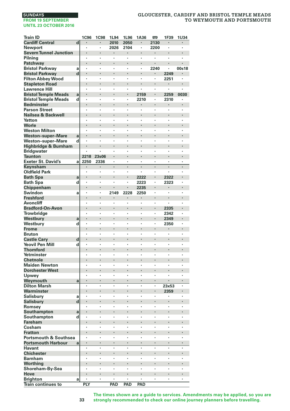# **GLOUCESTER, CARDIFF AND BRISTOL TEMPLE MEADS TO WEYMOUTH AND PORTSMOUTH**

| <b>Train ID</b>                  |             | 1C96                 | <b>1C98</b> | 1L94           | 1L96    | 1A36 | œ    | 1F39  | 1U34  |
|----------------------------------|-------------|----------------------|-------------|----------------|---------|------|------|-------|-------|
| <b>Cardiff Central</b>           | d           |                      |             | 2010           | 2050    |      | 2130 |       | ٠     |
| <b>Newport</b>                   |             |                      | ï           | 2026           | 2104    | ï    | 2200 | ï     |       |
| <b>Severn Tunnel Junction</b>    |             | l,                   | l,          |                |         | l,   | ï    | ï     |       |
| Pilning                          |             |                      | ï           |                |         | ï    | ×,   |       |       |
| Patchway                         |             |                      |             |                |         | ł.   |      | ï     |       |
| <b>Bristol Parkway</b>           | a           | $\ddot{\phantom{0}}$ | ï           | ,              | ,       | ٠    | 2240 |       | 00s18 |
| <b>Bristol Parkway</b>           | $\mathbf d$ |                      |             |                |         | ï    |      | 2249  |       |
| <b>Filton Abbey Wood</b>         |             | ×                    | ٠           | $\cdot$        |         | ł,   | ï    | 2251  | ï     |
| <b>Stapleton Road</b>            |             |                      |             |                |         |      |      |       |       |
| <b>Lawrence Hill</b>             |             | ×                    | ï           |                |         | ï    | ٠    | ٠     | ٠     |
| <b>Bristol Temple Meads</b>      | a           |                      |             | $\blacksquare$ |         | 2159 |      | 2259  | 0030  |
| <b>Bristol Temple Meads</b>      | d           |                      |             |                |         | 2210 | ï    | 2310  |       |
| <b>Bedminster</b>                |             | l,                   | l,          |                |         | ï    | l,   | ï     | l,    |
| <b>Parson Street</b>             |             |                      | ï           |                |         | ï    | ï    |       |       |
| Nailsea & Backwell               |             |                      |             |                |         | l,   |      |       |       |
| Yatton                           |             | ٠                    | ï           | ,              | ,       | ٠    | ×    | ×     | ,     |
| Worle                            |             |                      |             |                |         |      | ł,   | ï     |       |
| <b>Weston Milton</b>             |             | ٠                    | ٠           |                |         | ł,   | ï    | ï     | ٠     |
| <b>Weston-super-Mare</b>         | a           |                      |             |                |         | ï    |      |       |       |
| <b>Weston-super-Mare</b>         | d           | ×                    | ï           |                |         | ٠    | ï    | ï     | ٠     |
| Highbridge & Burnham             |             |                      |             |                |         | ×    |      |       |       |
| <b>Bridgwater</b>                |             |                      |             |                |         | ł,   | ï    | ï     |       |
| <b>Taunton</b>                   |             | 2218                 | 23s06       |                |         | l,   | ï    | ï     | l,    |
| <b>Exeter St. David's</b>        | a           | 2250                 | 2336        |                |         | ï    | ï    | ï     |       |
| Keynsham                         |             | ٠                    |             |                |         | ï    | ï    | ï     |       |
| <b>Oldfield Park</b>             |             | ٠                    | ï           | $\cdot$        | $\cdot$ | ٠    | ×    |       | ,     |
| <b>Bath Spa</b>                  | a           |                      | ï           |                |         | 2222 | ï    | 2322  |       |
| <b>Bath Spa</b>                  | d           | ٠                    | ï           |                |         | 2223 | ×    | 2323  |       |
| Chippenham                       |             |                      | ł,          |                |         | 2235 |      |       |       |
| Swindon                          | a           | ×                    | ï           | 2149           | 2228    | 2250 | ï    | ×     | ٠     |
| <b>Freshford</b>                 |             |                      |             |                |         |      | ł,   |       |       |
| <b>Avoncliff</b>                 |             |                      | ï           |                |         |      | ï    |       |       |
| <b>Bradford-On-Avon</b>          |             | ï                    |             |                |         | ï    | ï    | 2335  | l,    |
| <b>Trowbridge</b>                |             |                      | ï           |                |         | ï    | ł    | 2342  |       |
| Westbury                         | a           |                      |             |                |         | ł,   | ł.   | 2349  |       |
| Westbury                         | d           | ٠                    | ï           |                | ,       | ×    | ×    | 2350  |       |
| <b>Frome</b>                     |             |                      |             |                |         | ï    |      |       |       |
| <b>Bruton</b>                    |             | ï                    | ï           |                |         | ï    | ï    | ï     |       |
| <b>Castle Cary</b>               | d           |                      |             |                |         | Ç    |      |       |       |
| <b>Yeovil Pen Mill</b>           | d           | ×                    | ï           |                |         | ٠    | ï    | ï     | ٠     |
| <b>Thornford</b>                 |             |                      |             | $\bullet$      |         | ×    |      |       |       |
| Yetminster                       |             |                      |             |                |         | ï    | ï    | ï     |       |
| <b>Chetnole</b>                  |             | l,                   |             |                |         | ï    | ï    | ï     |       |
| <b>Maiden Newton</b>             |             |                      | ï           |                |         | ï    | ï    |       |       |
| <b>Dorchester West</b>           |             |                      |             |                |         | ï    | l,   |       |       |
| Upwey                            |             | ×                    | ï           |                |         | ×    | ×    | ×     | ,     |
| Weymouth                         | a           |                      |             |                |         | ï    | ï    | ï     |       |
| <b>Dilton Marsh</b>              |             | ٠                    | ï           |                |         | ×    | ï    | 23x53 |       |
| Warminster                       |             |                      |             |                |         | ï    |      | 2359  |       |
| Salisbury                        | a           | ×                    | ï           |                |         | ٠    | ï    | ٠     | ٠     |
| Salisbury                        | d           |                      |             | $\cdot$        |         | ×    | ł,   |       |       |
| Romsey                           |             | ï                    | ï           |                |         | ï    | ï    | ï     |       |
| Southampton                      | a           |                      |             |                |         | ï    | ï    | ï     |       |
| Southampton                      | d           |                      | ï           |                |         | ï    | ï    | ï     |       |
| <b>Fareham</b>                   |             |                      | l,          |                |         | ï    | ł,   |       |       |
| Cosham                           |             | ٠                    | ï           |                |         | ×    | ×    | ï     |       |
| <b>Fratton</b>                   |             |                      | ï           |                |         | ï    | ł,   | ï     |       |
| <b>Portsmouth &amp; Southsea</b> |             | ٠                    | ٠           |                | ï       | ×    | ï    | ï     |       |
| <b>Portsmouth Harbour</b>        | a           |                      |             |                |         |      |      |       |       |
| <b>Havant</b>                    |             | l,                   | ï           |                |         | l,   | l,   | ï     | ï     |
| <b>Chichester</b>                |             |                      |             |                |         |      | ł    |       |       |
| <b>Barnham</b>                   |             |                      |             |                |         | ï    | ï    | ï     |       |
| Worthing                         |             | ï                    |             |                |         | ï    | l,   | ï     |       |
| Shoreham-By-Sea                  |             |                      | ï           |                |         | ï    | ï    | ï     |       |
| Hove                             |             |                      |             |                |         | é    |      |       |       |
| <b>Brighton</b>                  | a           | ٠                    | ï           | $\cdot$        |         | ٠    | ٠    | ×,    | ,     |
| <b>Train continues to</b>        |             | PLY                  |             | PAD            | PAD     | PAD  |      |       |       |
|                                  |             |                      |             |                |         |      |      |       |       |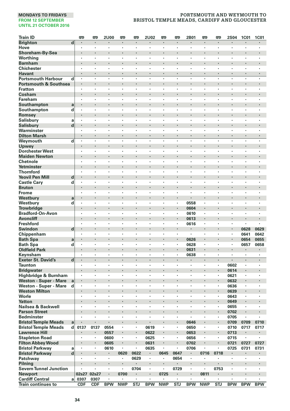| <b>Train ID</b>                                   | 罒                         | 罒                         | <b>2U00</b>  | 罒          | 罒                      | 2U02                 | œ                    | œ                      | 2B01            | 罒        | œ                    | <b>2S04</b>          | <b>1C01</b>              | <b>1C01</b>  |
|---------------------------------------------------|---------------------------|---------------------------|--------------|------------|------------------------|----------------------|----------------------|------------------------|-----------------|----------|----------------------|----------------------|--------------------------|--------------|
| <b>Brighton</b><br>$\overline{\mathbf{d}}$        | $\cdot$                   | $\cdot$                   | ٠            | ٠          | $\blacksquare$         | $\blacksquare$       | $\blacksquare$       | $\blacksquare$         | $\cdot$         | ٠        | ٠                    | $\blacksquare$       | $\blacksquare$           |              |
| Hove                                              | $\blacksquare$            |                           | ٠            | ٠          | ٠                      | $\blacksquare$       | $\blacksquare$       | $\cdot$                | $\cdot$         | ×        | ٠                    | $\cdot$              | ×                        |              |
| Shoreham-By-Sea                                   |                           | $\cdot$                   |              | ï          |                        |                      |                      |                        |                 | ł.       | ï                    |                      |                          |              |
| Worthing                                          | $\cdot$                   |                           | ٠            | ï          | ï                      | ł,                   |                      | $\cdot$                |                 | ï        | ł,                   | ٠                    | $\overline{\phantom{a}}$ |              |
| <b>Barnham</b>                                    |                           |                           |              | ï          |                        | ï                    |                      |                        |                 | ×        | ï                    | ×,                   |                          |              |
| <b>Chichester</b>                                 | ٠                         |                           | ٠            | ï          | ٠                      | ٠                    |                      | $\cdot$                |                 | ×        | ×                    | $\cdot$              | ٠                        | $\cdot$      |
| <b>Havant</b>                                     | $\cdot$                   | $\cdot$                   | ×            | ×          | $\cdot$                | $\ddot{\phantom{0}}$ |                      |                        | $\cdot$         | ×        | ×                    | $\cdot$              | $\ddot{\phantom{0}}$     | $\cdot$      |
| <b>Portsmouth Harbour</b><br>d                    | $\cdot$                   | $\cdot$                   | ٠            | ×          | $\cdot$                | $\cdot$              | $\cdot$              | $\cdot$                | $\cdot$         | ٠        | ×                    | $\cdot$              | ×                        |              |
| <b>Portsmouth &amp; Southsea</b>                  | $\cdot$                   |                           | l,           | ï          | $\cdot$                | ï                    |                      | $\cdot$                |                 | ú.       | ï                    | ï                    |                          |              |
| <b>Fratton</b>                                    | $\cdot$                   | $\cdot$                   | ×            | ٠          | $\cdot$                | ×                    | $\cdot$              | $\cdot$                | $\cdot$         | ٠        | $\cdot$              | ×                    | ×                        | $\cdot$      |
| Cosham                                            |                           |                           |              |            |                        |                      |                      |                        |                 |          | ï                    |                      |                          |              |
| Fareham                                           | $\cdot$<br>$\blacksquare$ | $\cdot$<br>$\blacksquare$ | ٠            | ٠          | ٠<br>٠                 | ٠                    | $\cdot$              | $\cdot$                | $\cdot$         | ×        | ٠                    | ٠<br>×               | ٠                        | $\cdot$      |
| Southampton<br>a<br>Southampton<br>d              |                           |                           | ï            | ï          | ï                      | ł,                   |                      |                        |                 | ï        | ł,                   | ï                    | ï                        |              |
| Romsey                                            |                           | $\cdot$                   | ï            | ï          | $\cdot$                |                      |                      | $\cdot$                |                 | ×        | ï                    |                      | $\ddot{\phantom{0}}$     |              |
| Salisbury<br>a                                    |                           |                           | ٠            | ï          | $\cdot$                | ï                    | $\cdot$              | $\cdot$                |                 | ٠        | ٠                    | ï                    | ×                        |              |
| <b>Salisbury</b><br>d                             |                           | $\bullet$                 |              |            | ٠                      |                      |                      |                        |                 |          |                      |                      |                          |              |
| Warminster                                        | $\cdot$                   | $\cdot$                   | ٠            | ï          | ×                      | ×                    |                      | $\cdot$                | $\cdot$         | ٠        | ٠                    | ×                    | ٠                        | ٠            |
| <b>Dilton Marsh</b>                               | $\cdot$                   | $\cdot$                   | ×            | ł.         | $\cdot$                |                      |                      | $\ddot{\phantom{0}}$   | $\cdot$         | ×        | ÷.                   | $\cdot$              | $\cdot$                  |              |
| Weymouth<br>d                                     | l,                        |                           | ł,           | l,         | l,                     | l,                   |                      | $\cdot$                | l,              | ï        | l,                   | l,                   | ł.                       | l,           |
| Upwey                                             |                           | $\cdot$                   |              |            | ٠                      |                      |                      |                        |                 | ٠        | ï                    |                      |                          |              |
| <b>Dorchester West</b>                            |                           |                           |              | ï          |                        |                      |                      |                        |                 | ï        | ï                    | ï                    | ï                        |              |
| <b>Maiden Newton</b>                              |                           | $\cdot$                   |              |            | $\blacksquare$         |                      |                      |                        |                 | ×        |                      | ×                    |                          |              |
| Chetnole                                          | $\cdot$                   | $\cdot$                   | ٠            | ٠          | ٠                      | ٠                    | $\cdot$              | $\cdot$                | $\cdot$         | ٠        | ٠                    | ٠                    | ٠                        | $\cdot$      |
| Yetminster                                        |                           |                           |              | ï          |                        |                      |                      |                        |                 |          | ï                    |                      |                          |              |
| <b>Thornford</b>                                  | $\cdot$                   |                           | ٠            | ٠          | $\cdot$                | ł,                   |                      | $\cdot$                |                 | ٠        | ×                    | $\cdot$              | ٠                        |              |
| <b>Yeovil Pen Mill</b><br>d                       |                           |                           |              |            |                        |                      |                      |                        |                 | ٠        | ï                    |                      |                          |              |
| <b>Castle Cary</b><br>d                           | $\cdot$                   |                           | ×            | ï          | $\cdot$                | ٠                    |                      | $\cdot$                |                 | ٠        | ×                    | $\cdot$              | ٠                        |              |
| <b>Bruton</b>                                     |                           | $\bullet$                 |              |            | ٠                      |                      |                      | $\bullet$              |                 | ٠        | ۰                    | ٠                    | ٠                        |              |
| Frome                                             | $\cdot$                   |                           | ×            | ï          | $\cdot$                | ٠                    |                      | $\cdot$                |                 | ٠        | ×                    | ٠                    | ٠                        |              |
| Westbury<br>a                                     |                           |                           | l,           | ï          |                        |                      |                      |                        |                 | ï        | ï                    |                      | l,                       |              |
| Westbury<br>d                                     | $\cdot$                   | $\cdot$                   | ×            | ×          | ×                      | ×                    | $\cdot$              | $\cdot$                | 0558            | ×,       | $\cdot$              | ×                    | ×                        | $\cdot$      |
| <b>Trowbridge</b>                                 |                           |                           |              |            |                        |                      |                      |                        | 0604            |          | ï                    | ٠                    |                          |              |
| Bradford-On-Avon                                  | $\cdot$                   | $\cdot$                   | ٠            | ٠          | ٠                      | ×                    | $\cdot$              | $\cdot$                | 0610            | ٠        | ٠                    | $\ddot{\phantom{a}}$ | ٠                        | $\cdot$      |
| <b>Avoncliff</b>                                  |                           | $\cdot$                   |              |            | ٠                      |                      |                      | $\cdot$                | 0613            |          |                      | ٠                    |                          |              |
| <b>Freshford</b>                                  |                           |                           | ï            | ï          | ï<br>×                 |                      |                      |                        | 0616<br>$\cdot$ | ł,<br>l, | ł,<br>ï              | ï                    | 0628                     |              |
| Swindon<br>d                                      | $\ddot{\phantom{0}}$      |                           | ٠            | ï          | ٠                      | $\ddot{\phantom{0}}$ | $\ddot{\phantom{0}}$ | $\cdot$                | $\cdot$         | ×        | $\ddot{\phantom{a}}$ | ï                    |                          | 0629         |
| Chippenham<br><b>Bath Spa</b><br>a                | $\cdot$                   |                           |              |            |                        |                      |                      | $\cdot$                | 0626            | ø        |                      | ٠                    | 0641<br>0654             | 0642<br>0655 |
| <b>Bath Spa</b><br>d                              | $\cdot$                   | $\cdot$                   | ٠            | ٠          | ٠                      | ٠                    | ٠                    | $\cdot$                | 0628            | ٠        | ٠                    | ٠                    | 0657                     | 0658         |
| <b>Oldfield Park</b>                              | $\blacksquare$            | $\cdot$                   | ×            | ł.         | $\blacksquare$         |                      |                      | $\cdot$                | 0631            | ٠        | ×                    | ×,                   |                          |              |
| Keynsham                                          | $\cdot$                   | $\cdot$                   | ×            | ×          | $\cdot$                | ٠                    |                      | $\cdot$                | 0638            | ×,       | ÷,                   | ÷,                   | ×,                       |              |
| <b>Exeter St. David's</b><br>d                    | $\cdot$                   | $\cdot$                   | J.           |            | $\cdot$                |                      | $\cdot$              | $\cdot$                |                 | ÷.       | $\cdot$              | L.                   | $\cdot$                  | $\cdot$      |
| <b>Taunton</b>                                    |                           |                           |              | ï          |                        | ٠                    |                      | $\cdot$                |                 | ï        | ×                    | 0602                 | ٠                        |              |
| <b>Bridgwater</b>                                 | ٠                         | $\cdot$                   |              |            | ٠                      | l,                   | ٠                    |                        |                 | ٠        | i,                   | 0614                 | ٠                        |              |
| Highbridge & Burnham                              | $\cdot$                   | $\cdot$                   | ٠            | ٠          | $\cdot$                | ٠                    | $\cdot$              | $\cdot$                | $\cdot$         | ٠        | ٠                    | 0621                 | ٠                        | $\cdot$      |
| <b>Weston - Super - Mare</b><br>a                 |                           |                           |              | ï          |                        | ï                    |                      |                        |                 |          | ï                    | 0632                 | ï                        |              |
| Weston - Super - Mare<br>d                        | $\cdot$                   |                           | ×            | ï          | $\cdot$                | ł,                   |                      | $\cdot$                |                 | ٠        | $\epsilon$           | 0636                 | $\cdot$                  | $\cdot$      |
| <b>Weston Milton</b>                              |                           |                           |              |            |                        |                      |                      |                        |                 | ٠        | ,                    | 0639                 |                          |              |
| Worle                                             | ٠                         |                           | ×            | ï          | ٠                      | ï                    |                      |                        |                 | ï        | ×                    | 0643                 | $\cdot$                  |              |
| <b>Yatton</b>                                     | ٠                         | $\bullet$                 | ٠            | ۰          | ٠                      |                      |                      |                        |                 | ×        | ٠                    | 0649                 | ٠                        |              |
| Nailsea & Backwell                                | $\cdot$                   |                           | ٠            | ï          | ×                      | ×                    |                      | $\ddot{\phantom{0}}$   | $\cdot$         | ٠        | ×                    | 0655                 | $\cdot$                  |              |
| <b>Parson Street</b>                              |                           | $\cdot$                   |              |            | $\cdot$                |                      |                      |                        |                 | i,       | i,                   | 0702                 |                          |              |
| <b>Bedminster</b>                                 | $\ddot{\phantom{0}}$      | $\cdot$                   | ×            | $\cdot$    | ×                      | ÷,                   | $\cdot$              | $\cdot$                |                 | ٠        | $\ddot{\phantom{a}}$ | 0705                 |                          |              |
| <b>Bristol Temple Meads</b><br>a                  |                           | $\cdot$                   | ł,           | ï          | $\blacksquare$         |                      |                      |                        | 0646            |          | ï                    | 0709                 | 0709                     | 0710         |
| <b>Bristol Temple Meads</b><br>d                  | 0137                      | 0137                      | 0554         | ٠          | ٠                      | 0619                 |                      | $\cdot$                | 0650            | ٠<br>×   | ł,                   | 0710                 | 0717                     | 0717         |
| <b>Lawrence Hill</b>                              |                           | $\cdot$                   | 0557         | ł          | $\blacksquare$         | 0622                 |                      | $\blacksquare$         | 0653            |          |                      | 0713                 | ٠                        |              |
| <b>Stapleton Road</b><br><b>Filton Abbey Wood</b> | $\cdot$                   | $\cdot$                   | 0600<br>0605 | ٠<br>ï     | ٠                      | 0625<br>0631         | $\blacksquare$       | $\cdot$                | 0656<br>0702    | ٠<br>ï   | ٠<br>ï               | 0715                 | 0727                     | 0727         |
| <b>Bristol Parkway</b><br>a                       | $\cdot$                   |                           | 0610         | ٠          | ٠                      | 0635                 |                      |                        | 0706            | ×,       | ×,                   | 0721<br>0725         | 0731                     | 0731         |
| <b>Bristol Parkway</b><br>d                       |                           |                           |              | 0620       | 0622                   |                      | 0645                 | 0647                   |                 | 0716     | 0718                 |                      |                          |              |
| Patchway                                          | $\cdot$                   | $\cdot$                   | ٠            | ٠          | 0629                   | ٠                    | $\cdot$              | 0654                   | $\cdot$         | ٠        | ٠                    | ٠                    | ٠                        | $\cdot$      |
| Pilning                                           |                           |                           |              |            |                        |                      |                      |                        |                 |          |                      |                      |                          |              |
|                                                   |                           | $\cdot$                   |              |            |                        | $\cdot$              |                      |                        |                 | ٠        |                      |                      |                          |              |
|                                                   |                           |                           | ×            | ï          |                        | ×                    |                      |                        |                 | ×        |                      | $\cdot$              | ٠                        |              |
| <b>Severn Tunnel Junction</b><br><b>Newport</b>   | 02s27                     | 02s27                     |              | 0700       | 0704<br>$\blacksquare$ | ï                    | 0725                 | 0729<br>$\blacksquare$ |                 | 0811     | 0753                 | ï                    | ï                        |              |
| <b>Cardiff Central</b><br>a                       | 0307                      | 0307                      |              | <b>NWP</b> |                        | <b>BPW</b>           |                      |                        | $\cdot$         |          | ٠                    | ٠                    |                          |              |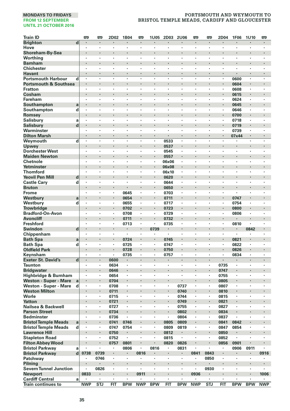| <b>Train ID</b>                                               |   | <b>m</b>     | <b>m</b>                  | 2D02         | 1B04       | 罒                        | 1U05                | 2D03         | 2U06           | <b>m</b>             | Ð            | 2D04         | <b>1F06</b>          | 1U10       | 罒                    |
|---------------------------------------------------------------|---|--------------|---------------------------|--------------|------------|--------------------------|---------------------|--------------|----------------|----------------------|--------------|--------------|----------------------|------------|----------------------|
| <b>Brighton</b>                                               | d |              |                           |              |            |                          |                     |              |                |                      |              |              |                      |            |                      |
| Hove                                                          |   | $\cdot$      | $\cdot$                   | ٠            | ٠          | ٠                        | ٠                   | ٠            | $\cdot$        | $\cdot$              | ٠            | ٠            | ٠                    | ٠          | ٠                    |
| Shoreham-By-Sea                                               |   |              | $\cdot$                   | ×            |            | ٠                        |                     |              |                |                      |              | ×            |                      |            |                      |
| Worthing                                                      |   | $\cdot$      |                           | l,           | l,         | ł,                       | ï                   |              |                |                      | ٠            | l,           |                      | ï          | ï                    |
| <b>Barnham</b>                                                |   |              | $\ddot{\phantom{0}}$      | ï            | ï          | ÷                        | ï                   | l,           |                | $\ddot{\phantom{0}}$ | ï            | ×            | Ĭ.                   | ł.         | ÷,                   |
| <b>Chichester</b>                                             |   |              |                           | ×            | ï          | ×                        | ٠                   | ×            |                |                      | ï            | ٠            | ×<br>×               | ï          |                      |
| Havant                                                        |   | ٠<br>$\cdot$ | $\blacksquare$<br>$\cdot$ | ٠<br>٠       | ٠<br>×     | $\ddot{\phantom{a}}$     | $\blacksquare$<br>× | ٠<br>×       | $\cdot$        | $\bullet$<br>$\cdot$ | ٠<br>$\cdot$ | ٠<br>×       |                      | ×          | $\blacksquare$<br>×  |
| <b>Portsmouth Harbour</b><br><b>Portsmouth &amp; Southsea</b> | d |              | $\cdot$                   | ł            | ł          | ×                        |                     |              |                |                      |              |              | 0600<br>0604         |            |                      |
| <b>Fratton</b>                                                |   | $\cdot$      | $\cdot$                   | ٠            | ٠          | $\ddot{\phantom{a}}$     | ×                   | ٠            | $\cdot$        | $\cdot$              | ٠            | ٠            | 0608                 | ×          | ٠                    |
| Cosham                                                        |   | ۰            | $\cdot$                   | l,           | ł          | $\ddot{\phantom{0}}$     |                     |              |                |                      |              | ٠            | 0615                 |            |                      |
| <b>Fareham</b>                                                |   |              |                           | ×            | ï          |                          | ï                   |              |                |                      |              | ï            | 0624                 | ٠          |                      |
| Southampton                                                   | a |              |                           |              | ×          | ٠                        |                     |              |                |                      |              | ٠            | 0645                 |            | ٠                    |
| Southampton                                                   | d | $\cdot$      |                           | ×            | ٠          | $\cdot$                  | $\cdot$             | ×            |                |                      | ٠            | ٠            | 0646                 | ٠          | $\cdot$              |
| Romsey                                                        |   |              |                           |              | ł.         |                          |                     |              |                |                      | ï            | ×            | 0700                 |            |                      |
| Salisbury                                                     | a | $\cdot$      | $\cdot$                   | ٠            | ×          | $\ddot{\phantom{a}}$     | ×                   | ×            | $\cdot$        | $\cdot$              | $\cdot$      | ٠            | 0718                 | ×          | ×                    |
| <b>Salisbury</b>                                              | d |              |                           |              |            |                          | ٠                   | ٠            |                |                      |              |              | 0719                 |            |                      |
| Warminster                                                    |   | $\cdot$      | $\cdot$                   | ٠            | ٠          | ٠                        | ×                   | ٠            | $\cdot$        | $\cdot$              | ٠            | ٠            | 0739                 | ٠          | ٠                    |
| <b>Dilton Marsh</b>                                           |   |              | $\cdot$                   | ٠            | ×          | ٠                        | ٠                   |              | $\cdot$        | $\cdot$              | ٠            | ٠            | 07x44                | ٠          | $\blacksquare$       |
| Weymouth                                                      | d | $\cdot$      |                           | ł,           | ł,         | ÷,                       |                     | 0533         | $\cdot$        |                      | ł,           |              |                      | l,         |                      |
| Upwey                                                         |   |              | $\cdot$                   | ï            | ł.         | $\ddot{\phantom{0}}$     | ×,                  | 0537         | $\cdot$        |                      | ï            | ł.           | ï                    |            |                      |
| <b>Dorchester West</b>                                        |   | Ĭ.           | $\cdot$                   | ٠            |            | $\overline{\phantom{a}}$ | ×                   | 0545         |                | $\cdot$              | ł.           | ä,           | ×                    | ×          | $\ddot{\phantom{a}}$ |
| <b>Maiden Newton</b>                                          |   |              |                           |              | ×          |                          |                     | 0557         |                |                      |              |              |                      |            |                      |
| Chetnole                                                      |   | ٠            | $\cdot$                   | ٠            | ٠          | $\cdot$                  | $\cdot$             | 06x06        | $\cdot$        |                      | ٠            | ×            | ٠                    | ٠          | ٠                    |
| Yetminster                                                    |   |              |                           |              | ł.         | $\ddot{\phantom{0}}$     | $\blacksquare$      | 06x08        |                |                      |              | ł.           |                      |            |                      |
| <b>Thornford</b>                                              |   |              |                           | ł,           | ï<br>ï     | ×                        | ï<br>٠              | 06x10        |                |                      | ł,<br>ï      | ï            | ł,                   | ï          | ï                    |
| <b>Yeovil Pen Mill</b>                                        | d |              |                           |              | ï          | ï                        | ï                   | 0620<br>0644 |                |                      | ï            | ï            | ï                    |            |                      |
| <b>Castle Cary</b><br><b>Bruton</b>                           | d |              | $\bullet$                 | ×            | ٠          | ٠                        | $\blacksquare$      |              | $\bullet$      |                      |              | ٠            | ×                    | ٠          | ٠                    |
| <b>Frome</b>                                                  |   | $\cdot$      | $\cdot$                   | ٠            | 0645       | ٠                        | ٠                   | 0650<br>0703 |                | $\ddot{\phantom{0}}$ | ٠            | ٠            | $\ddot{\phantom{0}}$ | ٠          | $\ddot{\phantom{0}}$ |
| Westbury                                                      | a |              |                           | i,           | 0654       |                          |                     | 0711         |                |                      |              | i,           | 0747                 | ï          |                      |
| Westbury                                                      | d | $\cdot$      | $\cdot$                   | ٠            | 0655       | $\cdot$                  | ٠                   | 0717         |                |                      | ٠            | ٠            | 0754                 | ٠          | ٠                    |
| <b>Trowbridge</b>                                             |   |              |                           | ï            | 0702       |                          | ٠                   | 0723         |                |                      | ï            | i,           | 0800                 |            |                      |
| <b>Bradford-On-Avon</b>                                       |   | ٠            | ,                         | ٠            | 0708       | $\cdot$                  | ٠                   | 0729         | $\cdot$        | ٠                    | ٠            | ٠            | 0806                 | ٠          | ٠                    |
| <b>Avoncliff</b>                                              |   |              | $\cdot$                   | ×            | 0711       | ٠                        | $\cdot$             | 0732         |                |                      | l,           | ٠            |                      |            |                      |
| <b>Freshford</b>                                              |   |              |                           |              | 0713       | $\cdot$                  | ٠                   | 0735         |                |                      | ×            | ٠            | 0810                 | ï          | ٠                    |
| <b>Swindon</b>                                                | d |              |                           | ï            |            |                          | 0739                |              |                |                      | ï            | i,           |                      | 0842       |                      |
| Chippenham                                                    |   | $\cdot$      |                           | ٠            | ٠          | $\ddot{\phantom{a}}$     | ٠                   | ×,           |                | $\cdot$              | ×            | ×            | $\cdot$              |            |                      |
| <b>Bath Spa</b>                                               | a |              |                           |              | 0724       |                          |                     | 0745         |                |                      |              |              | 0821                 |            |                      |
| <b>Bath Spa</b>                                               | d | $\cdot$      | $\cdot$                   | ٠            | 0725       | ٠                        | ٠                   | 0747         | $\cdot$        | $\cdot$              | ٠            | ٠            | 0822                 | ٠          | ٠                    |
| <b>Oldfield Park</b>                                          |   |              | $\cdot$                   | ×,           | 0728       | $\cdot$                  | $\cdot$             | 0750         | $\blacksquare$ | $\cdot$              | ×            | ×            | 0826                 | ł          | ×                    |
| Keynsham                                                      |   | $\cdot$      | $\cdot$                   | ٠            | 0735       | ×                        | $\cdot$             | 0757         |                |                      | ×            | ï            | 0834                 | ٠          | ٠                    |
| <b>Exeter St. David's</b>                                     | d | $\cdot$      | $\cdot$                   | 0600         |            | $\cdot$                  |                     |              | $\cdot$        | $\cdot$              | ÷.           | ä,           |                      | $\cdot$    | $\cdot$              |
| <b>Taunton</b>                                                |   |              |                           | 0634         |            | $\cdot$                  | ٠                   | ٠            |                |                      |              | 0735         | ×                    | ï          |                      |
| <b>Bridgwater</b>                                             |   | ٠            | $\bullet$                 | 0646         | ٠          |                          | ٠                   | ٠            |                |                      | ł            | 0747         |                      | ٠          |                      |
| Highbridge & Burnham                                          |   | $\cdot$      | $\cdot$                   | 0654         | ٠<br>i,    | ٠                        | ٠                   | ٠            | $\cdot$        | $\cdot$              | ٠<br>i,      | 0755         | ٠                    | ٠          | ٠                    |
| <b>Weston - Super - Mare</b>                                  | a | $\cdot$      |                           | 0704         | ٠          | $\cdot$                  | $\cdot$             | ×.           |                |                      | $\epsilon$   | 0805<br>0807 | $\cdot$              | ٠          | ×                    |
| Weston - Super - Mare<br><b>Weston Milton</b>                 | d |              |                           | 0708<br>0711 |            |                          | ×,                  | ×,           | 0737<br>0740   |                      | i,           | 0810         |                      |            |                      |
| Worle                                                         |   | ٠            | $\cdot$                   | 0715         | ٠          | ٠                        | $\cdot$             | $\cdot$      | 0744           |                      | ٠            | 0815         | ٠                    | ٠          |                      |
| <b>Yatton</b>                                                 |   | ٠            | $\bullet$                 | 0721         | ٠          | ٠                        | ٠                   | ٠            | 0749           | $\bullet$            | ٠            | 0821         | ٠                    | ٠          | ٠                    |
| Nailsea & Backwell                                            |   |              |                           | 0727         |            | ٠                        | ï                   | $\cdot$      | 0755           |                      | ٠            | 0827         | ٠                    | ï          | ٠                    |
| <b>Parson Street</b>                                          |   |              |                           | 0734         | ï          |                          |                     |              | 0802           |                      | ï            | 0834         |                      | ï          |                      |
| <b>Bedminster</b>                                             |   | $\cdot$      | $\cdot$                   | 0736         | ï          | $\ddot{\phantom{a}}$     | ×                   | ×            | 0804           |                      | $\bullet$    | 0837         |                      | ×          | ×                    |
| <b>Bristol Temple Meads</b>                                   | a |              |                           | 0741         | 0746       |                          |                     | 0805         | 0809           |                      | ï            | 0841         | 0842                 |            |                      |
| <b>Bristol Temple Meads</b>                                   | d | $\cdot$      | $\cdot$                   | 0747         | 0754       | ٠                        | ٠                   | 0809         | 0819           | $\cdot$              | ٠            | 0847         | 0854                 | ٠          | ٠                    |
| <b>Lawrence Hill</b>                                          |   |              | $\blacksquare$            | 0750         | ٠          |                          | ×                   | 0812         |                |                      |              | 0850         |                      |            |                      |
| <b>Stapleton Road</b>                                         |   |              |                           | 0752         | ×          | ×                        | ï                   | 0815         |                |                      | ł,           | 0852         | ï                    | ï          | ï                    |
| <b>Filton Abbey Wood</b>                                      |   |              |                           | 0757         | 0801       | l,                       | ٠                   | 0820         | 0826           |                      | ï            | 0856         | 0901                 | ×          |                      |
| <b>Bristol Parkway</b>                                        | a |              |                           |              | 0806       | ٠                        | 0816                | ٠            | 0831           |                      | ٠            | ٠            | 0906                 | 0911       |                      |
| <b>Bristol Parkway</b>                                        | d | 0738         | 0739                      | ٠            | ٠          | 0816                     |                     | ٠            |                | 0841                 | 0843         | ٠            |                      |            | 0916                 |
| Patchway                                                      |   | $\cdot$      | 0746                      | $\cdot$      | ٠          | $\cdot$                  | ×                   | ٠            | $\cdot$        | $\cdot$              | 0850         | ×            | ٠                    | ٠          | ٠                    |
| Pilning                                                       |   |              |                           | ł            |            | $\cdot$                  |                     |              | $\cdot$        |                      |              | ×            |                      |            |                      |
| <b>Severn Tunnel Junction</b>                                 |   |              | 0826                      | ٠            | ×          |                          | ×                   | ٠            | $\cdot$        | $\cdot$              | 0930         | ٠            | ×                    | ×          |                      |
| <b>Newport</b>                                                |   | 0833         | $\blacksquare$            | ł            |            | 0911                     | ×,                  |              |                | 0936                 | ٠            |              |                      |            | 1006                 |
| <b>Cardiff Central</b>                                        | a |              |                           |              |            |                          |                     |              |                |                      |              | ×            |                      |            |                      |
| <b>Train continues to</b>                                     |   | <b>NWP</b>   | <b>STJ</b>                | FIT          | <b>BPW</b> | <b>NWP</b>               | <b>BPW</b>          | FIT          | <b>BPW</b>     | <b>NWP</b>           | <b>STJ</b>   | FIT          | <b>BPW</b>           | <b>BPW</b> | <b>NWP</b>           |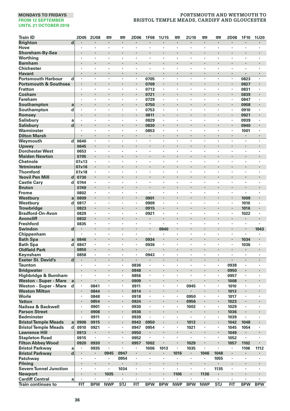| <b>Train ID</b>                                               |                         | <b>2D05</b>          | <b>2U08</b>          | <b>m</b>   | <b>P</b>   | 2D06                 | <b>1F08</b>          | 1U15                 | P)         | 2U10                 | 罒          | 罒          | 2D08                 | 1F10         | <b>1U20</b>               |
|---------------------------------------------------------------|-------------------------|----------------------|----------------------|------------|------------|----------------------|----------------------|----------------------|------------|----------------------|------------|------------|----------------------|--------------|---------------------------|
| <b>Brighton</b>                                               | $\overline{\mathbf{d}}$ |                      |                      |            |            |                      |                      |                      |            |                      |            |            |                      |              |                           |
| Hove                                                          |                         | $\cdot$              | $\cdot$              | ٠          | ٠          | ٠                    | $\cdot$              | $\cdot$              | $\cdot$    | $\cdot$              | ٠          | ٠          | ٠                    | ٠            |                           |
| Shoreham-By-Sea                                               |                         |                      |                      | ٠          |            | ٠                    | ×                    |                      |            | $\cdot$              |            |            |                      |              | $\cdot$                   |
| Worthing                                                      |                         |                      |                      | ï          | ï          | ï                    | ł,                   |                      |            |                      | ×          | ×          | ٠                    | ٠            |                           |
| <b>Barnham</b>                                                |                         |                      |                      | l,         | ï          | ÷,                   |                      | $\cdot$              |            | $\cdot$              | l,         | ï          | ÷,                   | ï            |                           |
| <b>Chichester</b>                                             |                         |                      |                      | ٠          | ٠          | ٠                    | ï<br>×,              | $\cdot$              | $\cdot$    |                      | ï          | ٠          | ٠                    | ï            | $\cdot$                   |
| Havant                                                        |                         | $\bullet$<br>$\cdot$ | $\bullet$<br>$\cdot$ | ٠<br>×     | ٠<br>٠     | ٠<br>×               |                      | $\bullet$<br>$\cdot$ | $\cdot$    | $\bullet$<br>$\cdot$ | ×          | ×          | ٠<br>×               |              | $\blacksquare$<br>$\cdot$ |
| <b>Portsmouth Harbour</b><br><b>Portsmouth &amp; Southsea</b> | d                       | $\cdot$              | $\cdot$              | ł          | ł          | $\blacksquare$       | 0705<br>0709         | $\cdot$              |            | $\cdot$              |            |            | $\blacksquare$       | 0823<br>0827 | $\cdot$                   |
| <b>Fratton</b>                                                |                         | $\cdot$              | $\cdot$              | ×          | ٠          | ×                    | 0713                 | $\cdot$              | $\cdot$    | $\cdot$              | ٠          | ٠          | ٠                    | 0831         | $\cdot$                   |
| Cosham                                                        |                         |                      | $\cdot$              | l,         | ł.         | ×                    | 0721                 | $\cdot$              |            | $\cdot$              |            | ï          | $\cdot$              | 0839         | $\cdot$                   |
| <b>Fareham</b>                                                |                         |                      |                      |            | ł,         | ٠                    | 0729                 |                      |            | ł                    |            |            | ï                    | 0847         |                           |
| Southampton                                                   | a                       |                      | $\cdot$              | ٠          | ł,         | ٠                    | 0750                 | $\cdot$              |            |                      |            |            | ٠                    | 0908         | $\cdot$                   |
| Southampton                                                   | d                       | $\cdot$              |                      | ×          | ٠          | $\cdot$              | 0753                 | $\cdot$              | $\cdot$    | $\cdot$              | ×          | ï          | ٠                    | 0910         |                           |
| Romsey                                                        |                         |                      | $\cdot$              |            | ł,         |                      | 0811                 |                      |            |                      |            |            |                      | 0921         |                           |
| Salisbury                                                     | a                       | $\cdot$              | $\cdot$              | ×          | ٠          | ×                    | 0829                 | $\cdot$              | $\cdot$    | $\cdot$              | ×          | ٠          | ×                    | 0939         | $\cdot$                   |
| <b>Salisbury</b>                                              | d                       |                      |                      |            |            |                      | 0830                 |                      |            |                      |            |            |                      | 0940         |                           |
| Warminster                                                    |                         | $\cdot$              | $\cdot$              | ٠          | ï          | ٠                    | 0853                 | $\cdot$              | $\cdot$    | $\cdot$              | ٠          | ×          | ×                    | 1001         | $\cdot$                   |
| <b>Dilton Marsh</b>                                           |                         |                      | $\cdot$              | ٠          | ×          | ٠                    | $\sim$               | $\cdot$              |            | $\cdot$              | ٠          | ٠          | ٠                    |              | $\cdot$                   |
| Weymouth                                                      | d                       | 0640                 |                      |            | ï          | l,                   |                      | $\cdot$              |            |                      | J.         | ï          | l,                   |              | $\cdot$                   |
| Upwey                                                         |                         | 0645                 | $\cdot$              | ×          | ł,         | $\ddot{\phantom{0}}$ |                      | $\cdot$              |            | $\cdot$              | ï          | ï          | ×                    |              | $\cdot$                   |
| <b>Dorchester West</b>                                        |                         | 0653                 | $\cdot$              | ×.         | ï          | ×                    | ×                    | $\cdot$              |            | $\ddot{\phantom{a}}$ | ×.         | ä,         | ÷,                   | ×            | $\cdot$                   |
| <b>Maiden Newton</b>                                          |                         | 0705                 | $\bullet$            |            |            |                      |                      |                      |            |                      |            |            |                      |              |                           |
| Chetnole<br>Yetminster                                        |                         | 07x13<br>07x16       | ٠<br>$\cdot$         | ٠<br>ł.    | ł,<br>ł,   | ٠                    | ٠                    | $\cdot$              | $\cdot$    |                      | ٠          | ٠          | ٠                    | ٠            |                           |
| <b>Thornford</b>                                              |                         | 07x18                |                      | ï          | ï          | ï                    | ł,                   |                      |            |                      | ï          | ï          | ï                    | ï            |                           |
| <b>Yeovil Pen Mill</b>                                        | d                       | 0730                 |                      |            | ï          |                      |                      |                      |            | $\cdot$              |            |            |                      |              | $\cdot$                   |
| <b>Castle Cary</b>                                            | d                       | 0744                 |                      | l,         | ï          |                      | ï                    |                      |            |                      |            | ï          |                      | ï            |                           |
| <b>Bruton</b>                                                 |                         | 0749                 | $\bullet$            |            | ł,         | ٠                    | ×                    | $\cdot$              |            | ٠                    |            |            | ٠                    | ×            | $\cdot$                   |
| <b>Frome</b>                                                  |                         | 0802                 | $\ddot{\phantom{0}}$ | ٠          | ×          | ٠                    | ٠                    | $\ddot{\phantom{0}}$ | ٠          | $\ddot{\phantom{0}}$ | ٠          | ٠          | $\ddot{\phantom{0}}$ | ×,           | $\ddot{\phantom{0}}$      |
| Westbury                                                      | a                       | 0809                 | $\cdot$              |            | ł,         |                      | 0901                 |                      |            |                      |            |            |                      | 1009         |                           |
| Westbury                                                      | d                       | 0817                 | $\cdot$              | ٠          | ٠          | ٠                    | 0909                 | $\cdot$              | $\cdot$    |                      | ٠          | ٠          | ٠                    | 1010         |                           |
| <b>Trowbridge</b>                                             |                         | 0823                 |                      |            | ł.         |                      | 0915                 |                      |            | $\cdot$              |            | ï          |                      | 1016         |                           |
| <b>Bradford-On-Avon</b>                                       |                         | 0829                 | $\cdot$              | ٠          | ×          | ٠                    | 0921                 | $\cdot$              | ,          | ,                    | ٠          | ٠          | ٠                    | 1022         | $\cdot$                   |
| <b>Avoncliff</b>                                              |                         | 0832                 | $\cdot$              |            | ł,         | ٠                    |                      | $\cdot$              |            |                      |            |            | ٠                    |              | $\cdot$                   |
| <b>Freshford</b>                                              |                         | 0835                 |                      | ×          | ×,         |                      | $\cdot$              |                      |            |                      | ×          | ï          |                      | ٠            |                           |
| <b>Swindon</b>                                                | d                       |                      | $\cdot$              | l,         | l,         |                      |                      | 0940                 |            | $\cdot$              | ï          | ï          |                      | ï            | 1043                      |
| Chippenham                                                    |                         | $\cdot$              | $\cdot$              | ×          | ٠          | ٠                    | ٠                    |                      | $\cdot$    | $\cdot$              | ×          | ×.         | ×                    | ×            |                           |
| <b>Bath Spa</b><br><b>Bath Spa</b>                            | a<br>d                  | 0846<br>0847         | $\cdot$              | ٠          | ٠          | ٠                    | 0934<br>0936         | $\cdot$              | $\cdot$    | $\cdot$              | ٠          | ٠          | ٠                    | 1034<br>1036 |                           |
| <b>Oldfield Park</b>                                          |                         | 0850                 | $\cdot$              | ×          | ×          | ×                    |                      | $\cdot$              |            | $\cdot$              | ł.         | ×          | ×                    |              |                           |
| Keynsham                                                      |                         | 0858                 | $\cdot$              | ×          | ٠          | $\cdot$              | 0943                 | $\cdot$              |            |                      | ٠          | ٠          | ł,                   | $\cdot$      |                           |
| <b>Exeter St. David's</b>                                     | d                       |                      | $\cdot$              | J.         | ä,         |                      |                      | $\cdot$              | $\cdot$    | $\cdot$              | J.         | ÷.         | ÷.                   |              | $\cdot$                   |
| <b>Taunton</b>                                                |                         |                      |                      | ×          | ï          | 0836                 |                      |                      |            |                      |            | ٠          | 0938                 |              |                           |
| <b>Bridgwater</b>                                             |                         |                      |                      |            | ٠          | 0848                 |                      |                      |            | ٠                    |            |            | 0950                 |              |                           |
| Highbridge & Burnham                                          |                         | $\cdot$              | $\cdot$              | ٠          | ٠          | 0856                 | ٠                    | $\cdot$              | $\cdot$    | $\cdot$              | ٠          | ٠          | 0957                 | ٠            | $\cdot$                   |
| <b>Weston - Super - Mare</b>                                  | a                       |                      |                      |            | i,         | 0909                 |                      |                      |            |                      |            | i,         | 1008                 |              |                           |
| Weston - Super - Mare                                         | d                       | $\cdot$              | 0841                 | ٠          | ×,         | 0911                 | ×                    |                      |            | 0945                 | ×,         | ٠          | 1010                 | $\cdot$      | $\cdot$                   |
| <b>Weston Milton</b>                                          |                         |                      | 0844                 |            |            | 0914                 | ï                    |                      |            | $\cdot$              |            |            | 1013                 |              |                           |
| Worle                                                         |                         | ٠                    | 0848                 | ٠          | ٠          | 0918                 | ٠                    | $\cdot$              |            | 0950                 | ٠          | ٠          | 1017                 | ٠            |                           |
| <b>Yatton</b>                                                 |                         | $\bullet$            | 0854                 | ٠          | ٠          | 0924                 |                      | $\bullet$            |            | 0956                 | ٠          | ٠          | 1023                 |              | $\bullet$                 |
| Nailsea & Backwell                                            |                         | $\cdot$              | 0901                 | ×<br>ï     | ٠<br>ï     | 0930                 | $\cdot$              |                      |            | 1002                 | ٠<br>ï     | ×,<br>ï    | 1029                 | ٠            |                           |
| <b>Parson Street</b>                                          |                         |                      | 0908                 | ×          | ٠          | 0936                 | ï                    | $\cdot$              | $\cdot$    |                      | ×          | ٠          | 1036                 |              | $\cdot$                   |
| <b>Bedminster</b><br><b>Bristol Temple Meads</b>              | a                       | 0906                 | 0911<br>0915         |            |            | 0939<br>0943         | 0950                 |                      | ï          | 1013                 |            | i,         | 1039<br>1042         | 1048         |                           |
| <b>Bristol Temple Meads</b>                                   | d                       | 0910                 | 0921                 | ٠          | ٠          | 0947                 | 0954                 | $\cdot$              | $\cdot$    | 1021                 | ٠          | ٠          | 1045                 | 1054         | $\cdot$                   |
| <b>Lawrence Hill</b>                                          |                         | 0913                 |                      |            |            | 0950                 | ٠                    |                      |            | $\cdot$              |            |            | 1049                 |              |                           |
| <b>Stapleton Road</b>                                         |                         | 0915                 | $\cdot$              | l,         | ï          | 0952                 | $\cdot$              |                      |            | $\cdot$              | l,         | ï          | 1052                 | ï            |                           |
| <b>Filton Abbey Wood</b>                                      |                         | 0920                 | 0930                 | ï          | ï          | 0957                 | 1002                 |                      |            | 1029                 | ï          |            | 1057                 | 1102         | $\cdot$                   |
| <b>Bristol Parkway</b>                                        | a                       |                      | 0935                 | ٠          | ٠          |                      | 1006                 | 1013                 | $\cdot$    | 1035                 | ٠          | ×,         |                      | 1106         | 1112                      |
| <b>Bristol Parkway</b>                                        | $\mathbf d$             |                      | $\bullet$            | 0945       | 0947       |                      |                      | $\bullet$            | 1016       | $\bullet$            | 1046       | 1048       | ٠                    |              |                           |
| Patchway                                                      |                         | $\cdot$              | $\cdot$              | ×          | 0954       | ×                    | $\bullet$            | $\cdot$              | $\cdot$    | $\cdot$              | ٠          | 1055       | ×                    | ٠            | $\cdot$                   |
| Pilnina                                                       |                         |                      | $\cdot$              | ł.         |            |                      |                      | $\cdot$              |            | $\cdot$              |            |            | ×                    |              | $\cdot$                   |
| <b>Severn Tunnel Junction</b>                                 |                         | $\cdot$              | $\cdot$              | ×          | 1034       | ×                    | $\ddot{\phantom{a}}$ | $\cdot$              |            | $\cdot$              | ٠          | 1135       | ٠                    | ×            | $\cdot$                   |
| Newport                                                       |                         |                      | $\cdot$              | 1035       | ٠          | ×                    |                      | $\cdot$              | 1106       | $\cdot$              | 1136       | ٠          |                      |              |                           |
| <b>Cardiff Central</b>                                        | a                       |                      |                      |            |            |                      |                      |                      |            |                      |            |            | ٠                    |              |                           |
| <b>Train continues to</b>                                     |                         | FIT                  | <b>BPW</b>           | <b>NWP</b> | <b>STJ</b> | $\overline{FIT}$     | <b>BPW</b>           | <b>BPW</b>           | <b>NWP</b> | <b>BPW</b>           | <b>NWP</b> | <b>STJ</b> | <b>FIT</b>           | <b>BPW</b>   | <b>BPW</b>                |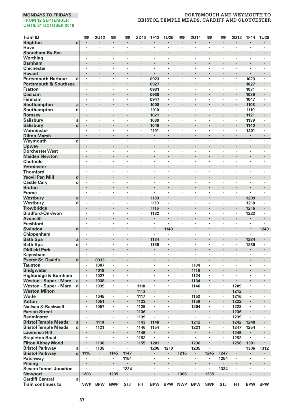| <b>Train ID</b><br>吧<br>2U12<br>罒<br>罒<br>2D10<br>1F12<br><b>1U25</b><br>罒<br>2U14<br>罒<br>罒<br>2D12                                                                                       | 1F14         | <b>1U28</b>          |
|--------------------------------------------------------------------------------------------------------------------------------------------------------------------------------------------|--------------|----------------------|
| <b>Brighton</b><br>d<br>$\blacksquare$<br>$\cdot$<br>×,<br>$\cdot$<br>×<br>$\blacksquare$<br>$\cdot$<br>$\cdot$<br>$\cdot$<br>$\cdot$<br>$\cdot$<br>٠                                      | ×            | $\blacksquare$       |
| Hove<br>$\cdot$<br>$\cdot$<br>×<br>×<br>$\cdot$<br>$\cdot$<br>$\cdot$<br>$\cdot$<br>$\cdot$<br>٠<br>×<br>٠                                                                                 | $\cdot$      | $\cdot$              |
| Shoreham-By-Sea<br>ï<br>ï<br>ï                                                                                                                                                             |              |                      |
| Worthina<br>ï<br>٠<br>٠<br>٠<br>٠                                                                                                                                                          |              |                      |
| <b>Barnham</b><br>$\ddot{\phantom{0}}$<br>$\bullet$<br>٠<br>٠                                                                                                                              |              | $\ddot{\phantom{0}}$ |
| <b>Chichester</b><br>×<br>$\cdot$<br>$\cdot$<br>٠<br>٠<br>$\bullet$<br>٠<br>٠<br>$\cdot$<br>$\cdot$<br>٠<br>٠                                                                              | ٠            | ٠                    |
| ä,<br><b>Havant</b><br>$\cdot$<br>ł.<br>×<br>$\cdot$<br>ł.<br>×<br>l,<br>l,<br>l,                                                                                                          | ï            |                      |
| <b>Portsmouth Harbour</b><br>0923<br>d<br>÷,<br>ł,<br>ł,<br>÷,                                                                                                                             | 1023         | l,                   |
| <b>Portsmouth &amp; Southsea</b><br>$\cdot$<br>ł<br>$\blacksquare$<br>0927<br>$\blacksquare$<br>$\cdot$<br>ł<br>$\blacksquare$<br>ï<br>ï<br>ï<br>ï<br>ï<br>ł,<br>٠                         | 1027         |                      |
| <b>Fratton</b><br>0931<br>,<br>Cosham<br>$\cdot$<br>$\cdot$<br>×<br>×<br>$\blacksquare$<br>×<br>٠                                                                                          | 1031<br>1039 | ٠                    |
| 0939<br>Fareham<br>0947<br>$\cdot$<br>٠<br>٠<br>$\cdot$<br>٠<br>$\cdot$<br>$\cdot$<br>٠<br>٠<br>×                                                                                          | 1047         | ٠                    |
| Southampton<br>ï<br>ï<br>1008<br>a                                                                                                                                                         | 1108         |                      |
| Southampton<br>d<br>$\cdot$<br>ł,<br>ï<br>×<br>1010<br>×,<br>×<br>×<br>٠                                                                                                                   | 1110         | i.                   |
| Romsey<br>ï<br>1021<br>ï<br>×,                                                                                                                                                             | 1121         |                      |
| <b>Salisbury</b><br>1039<br>$\cdot$<br>×<br>×<br>$\cdot$<br>×<br>٠<br>$\cdot$<br>a<br>$\cdot$<br>٠<br>$\cdot$                                                                              | 1139         | ٠                    |
| d<br><b>Salisbury</b><br>1040<br>$\cdot$<br>×<br>×<br>٠<br>$\cdot$<br>×<br>٠                                                                                                               | 1140         | $\blacksquare$       |
| Warminster<br>1101<br>×<br>ï<br>$\cdot$<br>$\cdot$<br>×<br>ï<br>×                                                                                                                          | 1201         | ٠                    |
| <b>Dilton Marsh</b><br>$\cdot$<br>$\cdot$<br>l,<br>l,<br>$\cdot$<br>÷.<br>$\cdot$<br>$\cdot$<br>÷.<br>l,<br>$\cdot$<br>$\cdot$                                                             |              |                      |
| Weymouth<br>d<br>×<br>×<br>$\cdot$<br>٠<br>×<br>٠<br>٠<br>$\cdot$<br>٠                                                                                                                     | ٠            | ٠                    |
| l,<br>Upwey<br>ï                                                                                                                                                                           |              |                      |
| <b>Dorchester West</b><br>$\cdot$<br>$\cdot$<br>$\cdot$<br>$\cdot$<br>٠<br>٠<br>٠<br>$\cdot$<br>$\cdot$<br>٠<br>٠<br>٠                                                                     | ٠            | ٠                    |
| <b>Maiden Newton</b><br>$\cdot$<br>٠<br>×<br>$\cdot$<br>٠                                                                                                                                  |              |                      |
| Chetnole<br>ł,<br>ï<br>×<br>ï<br>ï<br>ł,<br>l,<br>ł,                                                                                                                                       | ï            | ï                    |
| Yetminster<br>ï<br>ï<br>ï<br>$\cdot$<br>ï<br>$\cdot$<br>$\cdot$<br>ï                                                                                                                       | ï            |                      |
| <b>Thornford</b><br>ł,<br>$\cdot$<br>$\overline{a}$<br>$\cdot$<br>٠<br>$\ddot{\phantom{a}}$<br>$\ddot{\phantom{a}}$<br>$\cdot$<br>×.<br>×                                                  | l,           | ÷,                   |
| <b>Yeovil Pen Mill</b><br>d<br>٠<br>٠                                                                                                                                                      | ٠            |                      |
| <b>Castle Cary</b><br>d<br>$\cdot$<br>$\cdot$<br>٠<br>٠<br>٠<br>٠<br>$\cdot$<br>٠<br>٠<br>٠<br>٠<br>٠                                                                                      | ٠            | ٠                    |
| <b>Bruton</b><br>$\cdot$<br>ł.<br>ł<br>×<br>٠<br>×<br>×<br>×                                                                                                                               |              | ×                    |
| <b>Frome</b><br>$\cdot$<br>٠<br>×<br>$\cdot$<br>$\cdot$<br>$\cdot$<br>×<br>×<br>٠<br>$\cdot$                                                                                               |              | $\cdot$              |
| l,<br>Westbury<br>$\cdot$<br>i,<br>$\ddot{\phantom{0}}$<br>1109<br>$\cdot$<br>ï<br>a                                                                                                       | 1209         | $\ddot{\phantom{0}}$ |
| Westbury<br>d<br>1110<br>×<br>ï<br>$\cdot$<br>$\cdot$<br>ł,<br>٠                                                                                                                           | 1210         |                      |
| <b>Trowbridge</b><br>1116<br>$\blacksquare$<br>٠<br>٠<br>$\cdot$<br>$\cdot$<br>٠<br>$\cdot$<br>$\cdot$<br>٠                                                                                | 1216         | ٠<br>٠               |
| <b>Bradford-On-Avon</b><br>1122<br>$\cdot$<br>٠<br>٠<br>٠<br><b>Avoncliff</b><br>l,<br>ï<br>i,<br>ï<br>ï                                                                                   | 1222         |                      |
| Freshford<br>÷,<br>ï<br>×,<br>$\cdot$<br>×<br>$\cdot$<br>×<br>٠                                                                                                                            | ï            | ×                    |
| <b>Swindon</b><br>1140<br>d<br>ł.<br>$\cdot$<br>٠                                                                                                                                          |              | 1243                 |
| Chippenham<br>ï<br>ï<br>ł,<br>ï<br>ï<br>ï<br>ł,<br>$\cdot$<br>,                                                                                                                            | ï            |                      |
| <b>Bath Spa</b><br>1134<br>a<br>×<br>٠<br>٠<br>×<br>٠<br>$\bullet$<br>٠                                                                                                                    | 1234         | $\blacksquare$       |
| <b>Bath Spa</b><br>d<br>1136<br>$\cdot$<br>٠<br>ï<br>$\cdot$<br>×<br>$\cdot$<br>$\cdot$<br>٠<br>ï<br>×                                                                                     | 1236         | ٠                    |
| <b>Oldfield Park</b><br>ï<br>ï<br>i,<br>×                                                                                                                                                  | ×            |                      |
| Keynsham<br>$\ddot{\phantom{a}}$<br>ï<br>$\blacksquare$<br>$\cdot$<br>$\overline{\phantom{a}}$<br>٠<br>٠<br>٠<br>٠<br>٠                                                                    | ï            | ٠                    |
| <b>Exeter St. David's</b><br>d<br>0933<br>$\cdot$<br>i,<br>i,<br>$\cdot$<br>ł.<br>ł.<br>ł.                                                                                                 |              |                      |
| <b>Taunton</b><br>1007<br>1104<br>٠<br>٠<br>٠<br>٠<br>٠<br>$\cdot$<br>٠<br>٠<br>٠<br>٠                                                                                                     | ٠            | ٠                    |
| <b>Bridgwater</b><br>1019<br>1116<br>×<br>ł.<br>$\ddot{\phantom{0}}$<br>$\cdot$<br>ł.<br>×<br>٠<br>٠                                                                                       |              | ٠                    |
| Highbridge & Burnham<br>1027<br>1124<br>$\blacksquare$<br>×,<br>$\cdot$<br>٠<br>٠<br>٠<br>٠<br>٠                                                                                           |              | $\cdot$              |
| <b>Weston - Super - Mare</b><br>1038<br>l,<br>1134<br>l,<br>l,<br>l,<br>l,<br>a                                                                                                            |              |                      |
| Weston - Super - Mare<br>1110<br>1209<br>d<br>1039<br>×<br>٠<br>×,<br>×<br>1146<br>٠<br>٠                                                                                                  | ٠            | ×                    |
| <b>Weston Milton</b><br>1113<br>1212                                                                                                                                                       |              |                      |
| Worle<br>1045<br>1152<br>1216<br>×<br>1117<br>$\cdot$<br>٠<br>٠<br>٠<br>٠<br>٠<br>٠                                                                                                        | ٠            | ٠                    |
| <b>Yatton</b><br>1051<br>1123<br>1158<br>1222<br>٠<br>٠<br>٠<br>$\blacksquare$<br>$\centering \label{eq:reduced}$<br>٠<br>٠                                                                |              | ٠                    |
| Nailsea & Backwell<br>1057<br>ł,<br>1129<br>ï<br>1204<br>ï<br>ï<br>1228<br>×                                                                                                               | ï            |                      |
| <b>Parson Street</b><br>ï<br>i,<br>ä,<br>$\cdot$<br>i,<br>ä,<br>1236<br>1136<br>$\blacksquare$                                                                                             |              |                      |
| <b>Bedminster</b><br>1139<br>1239<br>٠<br>ï<br>ä,<br>×<br>$\cdot$<br>×<br>×                                                                                                                |              |                      |
| <b>Bristol Temple Meads</b><br>1110<br>1143<br>1148<br>1212<br>1242<br>a<br>ł                                                                                                              | 1248         |                      |
| <b>Bristol Temple Meads</b><br>d<br>1121<br>1146<br>1154<br>1221<br>1247<br>$\cdot$<br>٠<br>٠<br>٠<br>$\cdot$<br>٠<br>٠<br>ï                                                               | 1254         | ٠                    |
| <b>Lawrence Hill</b><br>1149<br>1249<br>ł.<br>٠<br>×<br><b>Stapleton Road</b><br>$\cdot$<br>ï<br>ä,<br>÷,<br>ï<br>1252<br>×<br>1152<br>$\cdot$                                             | ÷,           | $\cdot$              |
| 1130<br>1201<br>÷<br>1230<br>1256<br>ï<br>i,<br>ï<br>×                                                                                                                                     |              |                      |
| <b>Filton Abbey Wood</b><br>1155<br><b>Bristol Parkway</b><br>1135<br>1206<br>1210<br>1235<br>a<br>٠<br>٠<br>$\blacksquare$<br>×,<br>×,<br>×                                               | 1301<br>1306 | 1312                 |
| <b>Bristol Parkway</b><br>d<br>1216<br>1245<br>1116<br>1145<br>1147<br>1247<br>$\blacksquare$<br>$\bullet$<br>٠<br>٠<br>$\bullet$<br>٠                                                     | ٠            |                      |
| 1254<br>Patchway<br>1154<br>$\cdot$<br>$\blacksquare$<br>$\cdot$<br>٠<br>٠<br>٠<br>$\cdot$<br>٠<br>٠                                                                                       | ٠            | ٠                    |
| Pilning<br>i,                                                                                                                                                                              |              |                      |
| <b>Severn Tunnel Junction</b><br>1234<br>1334<br>٠<br>$\cdot$<br>×<br>×<br>٠<br>$\cdot$<br>٠                                                                                               | ٠            | ×                    |
| ¥<br><b>Newport</b><br>1206<br>1235<br>٠<br>1306<br>1335<br>٠<br>٠                                                                                                                         |              |                      |
| <b>Cardiff Central</b><br>a<br>×                                                                                                                                                           |              |                      |
| <b>NWP</b><br><b>BPW</b><br><b>NWP</b><br><b>STJ</b><br><b>FIT</b><br><b>BPW</b><br><b>BPW</b><br><b>NWP</b><br><b>BPW</b><br><b>NWP</b><br><b>STJ</b><br>FIT<br><b>Train continues to</b> | <b>BPW</b>   | <b>BPW</b>           |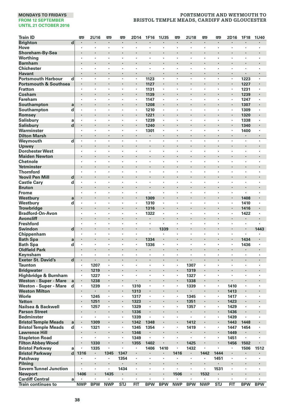| <b>Train ID</b>                            |                         | ¢                    | 2U16                 | ₩            | ¢            | 2D14                      | 1F16                 | 1U35       | œ                    | <b>2U18</b>    | ₩          | ₩          | 2D16                      | 1F18           | <b>1U40</b>    |
|--------------------------------------------|-------------------------|----------------------|----------------------|--------------|--------------|---------------------------|----------------------|------------|----------------------|----------------|------------|------------|---------------------------|----------------|----------------|
| <b>Brighton</b>                            | d                       | $\blacksquare$       |                      | ٠            |              |                           |                      |            | $\cdot$              |                | ٠          |            |                           |                |                |
| Hove                                       |                         | $\cdot$              | $\cdot$              | ×            | ×            | $\cdot$                   | $\cdot$              | $\cdot$    | $\cdot$              | $\cdot$        | ×          | ×          | $\ddot{\phantom{a}}$      | ٠              | $\cdot$        |
| Shoreham-By-Sea                            |                         | $\cdot$              | $\cdot$              | ł.           | ł.           | $\blacksquare$            |                      |            |                      |                |            |            |                           |                |                |
| Worthing                                   |                         | $\cdot$              | $\cdot$              | ×            | ï            | ï                         |                      | $\cdot$    | $\cdot$              | $\cdot$        | ٠          | $\cdot$    | ×                         | ×              |                |
| <b>Barnham</b>                             |                         |                      | $\cdot$              |              |              | $\cdot$                   |                      |            | $\cdot$              |                | ó          | ï          | ٠                         |                |                |
| <b>Chichester</b>                          |                         | $\cdot$              |                      | ×            | ï            | ٠                         | $\ddot{\phantom{0}}$ |            |                      |                | ï          | ï          | ï                         |                |                |
| <b>Havant</b><br><b>Portsmouth Harbour</b> | d                       | ٠<br>$\cdot$         | $\cdot$<br>$\cdot$   | ٠<br>$\cdot$ | ٠<br>$\cdot$ | $\blacksquare$<br>$\cdot$ | 1123                 | $\cdot$    | $\cdot$              | $\cdot$        | ٠<br>ä,    | $\bullet$  | ٠<br>$\ddot{\phantom{a}}$ | 1223           | ٠<br>$\cdot$   |
| <b>Portsmouth &amp; Southsea</b>           |                         | $\cdot$              | $\cdot$              | ł.           |              | $\blacksquare$            | 1127                 |            |                      |                | ×          |            | ×,                        | 1227           |                |
| <b>Fratton</b>                             |                         | $\cdot$              | $\cdot$              | ×            | ×            | ×                         | 1131                 | $\cdot$    | $\cdot$              | $\cdot$        | ٠          | $\cdot$    | ×                         | 1231           | $\cdot$        |
| Cosham                                     |                         |                      |                      |              |              | $\blacksquare$            | 1139                 |            |                      |                |            | ï          |                           | 1239           |                |
| <b>Fareham</b>                             |                         | $\cdot$              | $\cdot$              | ٠            | ٠            | ٠                         | 1147                 | $\cdot$    | $\cdot$              |                | ٠          | ٠          | $\blacksquare$            | 1247           | $\blacksquare$ |
| Southampton                                | a                       | $\bullet$            | $\cdot$              |              |              | $\blacksquare$            | 1208                 | $\cdot$    |                      |                |            |            |                           | 1307           |                |
| Southampton                                | d                       |                      |                      |              |              | ï                         | 1210                 | $\cdot$    |                      |                | ï          |            | $\cdot$                   | 1309           |                |
| Romsey                                     |                         |                      |                      | ï            | ï            |                           | 1221                 |            | $\cdot$              |                | ×          | ï          |                           | 1320           |                |
| <b>Salisbury</b>                           | a                       | $\cdot$              | $\cdot$              | ×            | ï            | ٠                         | 1239                 | $\cdot$    | $\ddot{\phantom{0}}$ | $\cdot$        | ٠          | l.         |                           | 1338           |                |
| <b>Salisbury</b>                           | d                       |                      |                      |              |              | ٠                         | 1240                 |            |                      |                |            |            |                           | 1340           |                |
| Warminster                                 |                         | $\cdot$              |                      | ٠            | ï            | $\cdot$                   | 1301                 | $\cdot$    | $\blacksquare$       |                | ٠          | ٠          | $\cdot$                   | 1400           | ٠              |
| <b>Dilton Marsh</b>                        |                         | $\cdot$              | $\cdot$              | ×            | ï            | $\cdot$                   | ٠                    | $\cdot$    | $\ddot{\phantom{0}}$ | $\cdot$        | ÷          | ٠          | $\cdot$                   | $\blacksquare$ |                |
| Weymouth                                   | d                       | ï                    |                      | ï            | ï            | ï                         | ï                    | ï          |                      | ï              | ï          | ï          | ï                         | ï              | ï              |
| Upwey                                      |                         |                      | $\cdot$              |              |              | $\cdot$                   | ï                    |            |                      |                | ×          | ï          | ٠                         |                |                |
| <b>Dorchester West</b>                     |                         |                      |                      |              | ï            |                           |                      |            |                      |                | ï          | ï          | ï                         |                |                |
| <b>Maiden Newton</b>                       |                         |                      | $\cdot$              |              |              | $\blacksquare$            |                      |            |                      |                | ×          |            | ×                         | ٠              |                |
| Chetnole                                   |                         | $\cdot$              | $\cdot$              | ٠            | ٠            | ٠                         | ٠                    | $\cdot$    | $\cdot$              | $\cdot$        | ٠          | ٠          | ٠                         | ٠              | $\cdot$        |
| Yetminster                                 |                         |                      |                      |              | ï            |                           | ï                    |            |                      |                |            | ï          |                           |                |                |
| <b>Thornford</b>                           |                         | $\cdot$              |                      | ٠            | ٠            | $\cdot$                   | ÷,                   |            | $\cdot$              |                | ٠          | ×          | $\cdot$                   | ٠              |                |
| <b>Yeovil Pen Mill</b>                     | d                       |                      |                      |              |              |                           | ï                    |            |                      |                |            | ï          |                           |                |                |
| <b>Castle Cary</b>                         | d                       | $\cdot$              |                      | ٠            | ×            | ٠                         | ٠                    |            | $\cdot$              | $\cdot$        | ×          | ٠          | $\cdot$                   | ٠              | ٠              |
| <b>Bruton</b>                              |                         | $\bullet$            | $\cdot$              |              |              | $\blacksquare$            | ٠                    |            |                      |                | ×          |            | ٠                         | ٠              |                |
| <b>Frome</b>                               |                         | $\cdot$              | $\cdot$              | ×<br>l,      | ł,<br>ï      |                           | ï                    |            | $\cdot$              |                | ł,<br>i,   | ł,<br>ï    | $\cdot$                   |                |                |
| Westbury                                   | a                       | $\cdot$              | $\cdot$              | ٠            | ٠            | $\cdot$                   | 1309<br>1310         |            | $\cdot$              | $\cdot$        | ٠          | ×          | ×                         | 1408<br>1410   | $\cdot$        |
| Westbury<br><b>Trowbridge</b>              | d                       |                      |                      |              |              | ×                         | 1316                 |            |                      |                |            |            |                           | 1416           |                |
| <b>Bradford-On-Avon</b>                    |                         | $\cdot$              | $\cdot$              | ٠            | ٠            | ٠                         | 1322                 | $\cdot$    | $\cdot$              | $\cdot$        | ×          | ٠          | ٠                         | 1422           | $\cdot$        |
| <b>Avoncliff</b>                           |                         |                      | $\cdot$              |              |              | $\cdot$                   |                      |            |                      |                |            | ï          | ٠                         |                |                |
| <b>Freshford</b>                           |                         | $\cdot$              |                      | ×            | l,           | $\cdot$                   | ×                    | $\cdot$    | $\cdot$              |                | ٠          | ł,         | ×                         | ï              |                |
| Swindon                                    | $\mathbf d$             |                      | $\cdot$              | ÷,           | ï            | $\cdot$                   | l,                   | 1339       | $\cdot$              |                | ٠          | ï          | l,                        | $\cdot$        | 1443           |
| Chippenham                                 |                         |                      |                      | ×            | ï            | ٠                         | ٠                    |            |                      |                | ٠          | ł,         | $\cdot$                   | $\cdot$        |                |
| <b>Bath Spa</b>                            | a                       | $\cdot$              | $\cdot$              |              |              | ٠                         | 1334                 |            |                      |                | ٠          |            | ٠                         | 1434           |                |
| <b>Bath Spa</b>                            | d                       | $\cdot$              | $\cdot$              | ٠            | ٠            | ٠                         | 1336                 | $\cdot$    | $\cdot$              | $\cdot$        | ٠          | ٠          | ٠                         | 1436           | $\cdot$        |
| <b>Oldfield Park</b>                       |                         |                      |                      | l,           |              |                           |                      |            | $\cdot$              |                |            |            |                           |                |                |
| Keynsham                                   |                         | $\cdot$              | $\cdot$              | ٠            | ٠            | ٠                         | $\ddot{\phantom{a}}$ | $\cdot$    | $\cdot$              | $\cdot$        | ×,         | ×          | ٠                         | ×,             | $\cdot$        |
| <b>Exeter St. David's</b>                  | $\overline{\mathbf{d}}$ | $\ddot{\phantom{0}}$ | $\ddot{\phantom{0}}$ | J.           | ä,           |                           |                      | $\cdot$    | $\ddot{\phantom{0}}$ | $\cdot$        | ×          | ÷.         |                           |                | $\cdot$        |
| <b>Taunton</b>                             |                         | $\cdot$              | 1207                 | ٠            | ×            | $\cdot$                   | ٠                    | $\cdot$    | $\cdot$              | 1307           | ٠          | ٠          | $\cdot$                   | ٠              | $\cdot$        |
| <b>Bridgwater</b>                          |                         | $\cdot$              | 1219                 | ٠            |              | $\blacksquare$            |                      |            | $\cdot$              | 1319           | ٠          | ×          | ×                         | ٠              |                |
| Highbridge & Burnham                       |                         | $\blacksquare$       | 1227                 |              | ï            | $\cdot$                   | ٠                    |            | $\cdot$              | 1327           | ×,         | ٠          | $\cdot$                   | ٠              |                |
| <b>Weston - Super - Mare</b>               | a                       | $\cdot$              | 1238                 | ï            | ï            |                           | ï                    |            |                      | 1338           | ï          | ï          |                           |                |                |
| Weston - Super - Mare                      | d                       |                      | 1239                 | ٠            | ٠            | 1310                      | ×                    | $\cdot$    | $\cdot$              | 1339           | ×,         | $\bullet$  | 1410                      | ×              | $\cdot$        |
| <b>Weston Milton</b>                       |                         |                      | $\cdot$              |              |              | 1313                      | ï                    |            |                      |                |            | ï          | 1413                      |                |                |
| Worle                                      |                         | $\cdot$              | 1245                 | ٠            | ٠            | 1317                      | $\cdot$              | $\cdot$    | $\cdot$              | 1345           | ٠          | ٠          | 1417                      | ٠              | $\cdot$        |
| <b>Yatton</b><br>Nailsea & Backwell        |                         | $\bullet$<br>$\cdot$ | 1251<br>1257         | ٠<br>×       | ٠<br>×       | 1323<br>1329              | ٠<br>×               |            | $\blacksquare$       | 1351<br>1357   | ٠<br>ï     | ٠<br>ï     | 1423<br>1429              | ٠<br>ï         |                |
| <b>Parson Street</b>                       |                         | $\cdot$              | $\blacksquare$       | ï            | ï            | 1336                      |                      |            |                      | $\blacksquare$ | ,          | ,          | 1436                      | ï              |                |
| <b>Bedminster</b>                          |                         | $\cdot$              |                      | ×            | ł,           | 1339                      |                      |            | $\cdot$              |                | ٠          | ï          | 1439                      |                |                |
| <b>Bristol Temple Meads</b>                | a                       | $\cdot$              | 1309                 |              |              | 1342                      | 1348                 |            |                      | 1412           |            |            | 1443                      | 1448           |                |
| <b>Bristol Temple Meads</b>                | d                       | $\cdot$              | 1321                 | ٠            | ٠            | 1345                      | 1354                 | $\cdot$    | $\cdot$              | 1419           | ٠          | ×          | 1447                      | 1454           | $\cdot$        |
| <b>Lawrence Hill</b>                       |                         | $\cdot$              | $\cdot$              |              |              | 1346                      | ×,                   |            |                      |                |            | ï          | 1449                      |                |                |
| <b>Stapleton Road</b>                      |                         |                      |                      | ×            | ×            | 1349                      | ×,                   | $\cdot$    | $\cdot$              | $\cdot$        | ×          | ×          | 1451                      | ä,             |                |
| <b>Filton Abbey Wood</b>                   |                         |                      | 1330                 |              | ï            | 1355                      | 1402                 |            |                      | 1425           | ٠          |            | 1456                      | 1502           |                |
| <b>Bristol Parkway</b>                     | a                       | $\cdot$              | 1335                 | ï            | ï            | $\cdot$                   | 1406                 | 1410       | $\cdot$              | 1432           | ï          | ï          | ×                         | 1506           | 1512           |
| <b>Bristol Parkway</b>                     | d                       | 1316                 | $\blacksquare$       | 1345         | 1347         | $\blacksquare$            |                      |            | 1416                 | $\blacksquare$ | 1442       | 1444       | $\blacksquare$            | ٠              |                |
| Patchway                                   |                         | $\blacksquare$       |                      | ×,           | 1354         | ٠                         | $\cdot$              |            | $\cdot$              |                | ×,         | 1451       | ٠                         | ٠              |                |
| Pilning                                    |                         |                      | $\cdot$              |              |              |                           | ï                    |            |                      |                | ł.         |            | ×,                        |                |                |
| <b>Severn Tunnel Junction</b>              |                         |                      | $\cdot$              |              | 1434         | ×                         | $\ddot{\phantom{a}}$ | $\cdot$    |                      | $\cdot$        | ä,         | 1531       | $\ddot{\phantom{a}}$      | ×              | $\cdot$        |
| <b>Newport</b>                             |                         | 1406                 | $\cdot$              | 1435         | ł            |                           |                      |            | 1506                 |                | 1532       |            |                           |                |                |
| <b>Cardiff Central</b>                     | a                       |                      |                      |              |              | ٠                         |                      |            |                      |                |            | ٠          | ٠                         |                |                |
| <b>Train continues to</b>                  |                         | <b>NWP</b>           | <b>BPW</b>           | <b>NWP</b>   | STJ          | <b>FIT</b>                | <b>BPW</b>           | <b>BPW</b> | <b>NWP</b>           | <b>BPW</b>     | <b>NWP</b> | <b>STJ</b> | <b>FIT</b>                | <b>BPW</b>     | <b>BPW</b>     |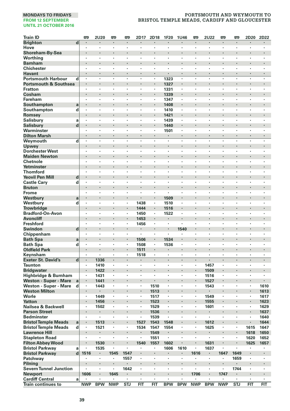| <b>Brighton</b><br>d<br>$\cdot$<br>$\blacksquare$<br>$\cdot$<br>$\cdot$<br>$\cdot$<br>$\blacksquare$<br>٠<br>$\cdot$<br>$\cdot$<br>$\cdot$<br>$\cdot$<br>×<br>×<br>$\blacksquare$<br>Hove<br>$\cdot$<br>$\cdot$<br>×,<br>٠<br>$\cdot$<br>$\blacksquare$<br>$\cdot$<br>$\cdot$<br>٠<br>٠<br>$\cdot$<br>$\cdot$<br>×,<br>Shoreham-By-Sea<br>$\cdot$<br>$\cdot$<br>ï<br>Worthina<br>٠<br>×,<br>ï<br>٠<br>ł,<br>٠<br>ï<br><b>Barnham</b><br>$\bullet$<br>٠<br>٠<br>٠<br>$\bullet$<br>٠<br><b>Chichester</b><br>$\cdot$<br>٠<br>×<br>$\cdot$<br>٠<br>٠<br>٠<br>٠<br>$\cdot$<br>$\cdot$<br>٠<br>٠<br>٠<br>٠<br><b>Havant</b><br>$\blacksquare$<br>ł.<br>$\cdot$<br>×<br>ä,<br><b>Portsmouth Harbour</b><br>l,<br>ï<br>l,<br>1323<br>l,<br>l,<br>l,<br>l,<br>d<br>l,<br>ł,<br>ł,<br>l,<br><b>Portsmouth &amp; Southsea</b><br>$\cdot$<br>٠<br>1327<br>ł.<br>$\blacksquare$<br>$\cdot$<br>٠<br><b>Fratton</b><br>ï<br>ï<br>ł,<br>1331<br>ï<br>ï<br>ï<br>٠<br>٠<br>٠<br>Cosham<br>1339<br>$\cdot$<br>٠<br>×<br>٠<br>$\cdot$<br>$\cdot$<br>٠<br>Fareham<br>1347<br>$\cdot$<br>$\cdot$<br>٠<br>×,<br>$\cdot$<br>$\blacksquare$<br>$\cdot$<br>٠<br>٠<br>×<br>×<br>Southampton<br>ł,<br>ï<br>1408<br>a<br>$\cdot$<br>×<br>Southampton<br>$\cdot$<br>d<br>$\cdot$<br>ï<br>ä,<br>ï<br>×<br>1410<br>ï<br>ï<br>ï<br>٠<br>٠<br>Romsey<br>1421<br>×<br>$\cdot$<br>ï<br><b>Salisbury</b><br>1439<br>٠<br>٠<br>٠<br>$\cdot$<br>٠<br>٠<br>a<br>$\cdot$<br>$\cdot$<br>٠<br>$\cdot$<br>٠<br>٠<br>٠<br>d<br><b>Salisbury</b><br>$\cdot$<br>1440<br>$\cdot$<br>$\cdot$<br>٠<br>ł,<br>٠<br>$\cdot$<br>٠<br>٠<br>$\blacksquare$<br>Warminster<br>1501<br>×<br>ł,<br>٠<br>٠<br>ł,<br>٠<br>ï<br>$\cdot$<br><b>Dilton Marsh</b><br>$\cdot$<br>$\cdot$<br>l,<br>l,<br>l,<br>$\cdot$<br>$\cdot$<br>÷.<br>ä,<br>l,<br>l,<br>$\ddot{\phantom{0}}$<br>Weymouth<br>d<br>$\cdot$<br>٠<br>$\cdot$<br>$\cdot$<br>ï<br>×<br>٠<br>٠<br>٠<br>٠<br>٠<br>٠<br>Upwey<br><b>Dorchester West</b><br>٠<br>٠<br>$\cdot$<br>٠<br>٠<br>٠<br>٠<br>$\cdot$<br>$\cdot$<br>٠<br>٠<br>٠<br>٠<br>٠<br><b>Maiden Newton</b><br>$\cdot$<br>$\bullet$<br>٠<br>٠<br>$\cdot$<br>٠<br>٠<br>Chetnole<br>ï<br>ï<br>ï<br>ł,<br>ï<br>l,<br>l,<br>ï<br>ï<br>ï<br>Yetminster<br>ï<br>ï<br>ï<br>$\cdot$<br>$\ddot{\phantom{0}}$<br>$\cdot$<br>ï<br>ï<br>$\ddot{\phantom{0}}$<br>$\cdot$<br><b>Thornford</b><br>ï<br>ï<br>$\cdot$<br>×<br>×<br>٠<br>×<br>$\cdot$<br>$\cdot$<br>×.<br>×<br>×<br>÷,<br><b>Yeovil Pen Mill</b><br>d<br>$\centering \label{eq:reduced}$<br>$\bullet$<br>٠<br><b>Castle Cary</b><br>d<br>$\cdot$<br>$\cdot$<br>٠<br>٠<br>٠<br>٠<br>٠<br>$\cdot$<br>٠<br>٠<br>٠<br>٠<br>٠<br><b>Bruton</b><br>$\cdot$<br>×<br>×<br>$\cdot$<br>ł.<br>×<br>×<br><b>Frome</b><br>٠<br>$\cdot$<br>٠<br>٠<br>٠<br>٠<br>٠<br>×<br>٠<br>$\cdot$<br>٠<br>٠<br>Westbury<br>$\cdot$<br>$\cdot$<br>ä,<br>$\cdot$<br>1509<br>$\cdot$<br>ï<br>$\cdot$<br>a<br>Westbury<br>d<br>1438<br>1510<br>×<br>×,<br>$\cdot$<br>ł,<br>ł,<br>٠<br>ï<br>٠<br><b>Trowbridge</b><br>1444<br>1516<br>٠<br>$\cdot$<br>$\cdot$<br>٠<br>٠<br><b>Bradford-On-Avon</b><br>٠<br>1450<br>$\cdot$<br>1522<br>$\cdot$<br>$\cdot$<br>٠<br>$\cdot$<br>$\cdot$<br>٠<br>٠<br>٠<br>٠<br>٠<br><b>Avoncliff</b><br>ï<br>1453<br>ï<br>Freshford<br>1456<br>$\blacksquare$<br>$\cdot$<br>$\cdot$<br>$\cdot$<br>×<br>×,<br>$\blacksquare$<br>٠<br>×<br>٠<br>٠<br>$\cdot$<br><b>Swindon</b><br>1540<br>d<br>×<br>$\cdot$<br>ï<br>ï<br>٠<br>Chippenham<br>l,<br>×<br>ł,<br>ł,<br>l,<br>ï<br>٠<br>٠<br>,<br>٠<br><b>Bath Spa</b><br>1506<br>1534<br>a<br>٠<br>$\blacksquare$<br>$\bullet$<br>$\cdot$<br>$\blacksquare$<br>$\bullet$<br>٠<br>٠<br>٠<br><b>Bath Spa</b><br>d<br>1508<br>1536<br>$\cdot$<br>$\cdot$<br>٠<br>٠<br>$\cdot$<br>$\cdot$<br>$\cdot$<br>×<br>ï<br>×<br>×<br>×<br><b>Oldfield Park</b><br>$\cdot$<br>l,<br>i,<br>1511<br>$\cdot$<br>$\cdot$<br>i,<br>ï<br>ï<br>÷,<br>Keynsham<br>1518<br>×<br>$\cdot$<br>×<br>٠<br>×,<br>٠<br>٠<br>٠<br>٠<br>٠<br><b>Exeter St. David's</b><br>$\mathbf d$<br>1336<br>$\cdot$<br>$\blacksquare$<br>$\cdot$<br>ł.<br>ł.<br>$\cdot$<br><b>Taunton</b><br>1410<br>1457<br>$\cdot$<br>٠<br>٠<br>$\cdot$<br>٠<br>$\cdot$<br>$\cdot$<br>٠<br>٠<br>٠<br>٠<br>٠<br><b>Bridgwater</b><br>1422<br>1509<br>ł.<br>×<br>$\cdot$<br>×<br>٠<br>٠<br>٠<br>٠<br>Highbridge & Burnham<br>1431<br>$\cdot$<br>٠<br>×,<br>,<br>,<br>1516<br>٠<br>,<br>,<br>$\cdot$<br><b>Weston - Super - Mare</b><br>1441<br>l,<br>1527<br>l,<br>l,<br>ï<br>a<br>Weston - Super - Mare<br>1510<br>1610<br>d<br>1443<br>٠<br>×,<br>$\cdot$<br>×,<br>$\cdot$<br>1543<br>٠<br>٠<br>$\cdot$<br><b>Weston Milton</b><br>1513<br>1613<br>Worle<br>1449<br>1549<br>×,<br>1517<br>1617<br>$\cdot$<br>٠<br>٠<br>٠<br>$\cdot$<br>٠<br>٠<br>٠<br>٠<br><b>Yatton</b><br>1456<br>1523<br>1555<br>1623<br>$\blacksquare$<br>٠<br>٠<br>$\blacksquare$<br>٠<br>$\blacksquare$<br>٠<br>٠<br>$\blacksquare$<br>Nailsea & Backwell<br>٠<br>1502<br>ï<br>1529<br>ł,<br>1601<br>ł,<br>ï<br>ï<br>1629<br>٠<br><b>Parson Street</b><br>$\cdot$<br>ł.<br>i,<br>×,<br>i,<br>1536<br>1637<br>$\centering \label{eq:reduced}$<br><b>Bedminster</b><br>1539<br>1640<br>ï<br>×<br>٠<br>$\cdot$<br>$\cdot$<br>×<br>×<br>×<br><b>Bristol Temple Meads</b><br>a<br>1513<br>1527<br>1543<br>1548<br>1612<br>1644<br>٠<br>ı,<br>٠<br><b>Bristol Temple Meads</b><br>1554<br>1615<br>d<br>1521<br>1534<br>1547<br>1625<br>1647<br>$\cdot$<br>٠<br>٠<br>$\cdot$<br>٠<br>٠<br><b>Lawrence Hill</b><br>1549<br>1618<br>1650<br>ï<br>ł.<br>$\cdot$<br>ï<br>×<br><b>Stapleton Road</b><br>÷,<br>ï<br>÷,<br>÷,<br>ï<br>ï<br>÷,<br>÷,<br>1620<br>٠<br>1551<br>1652<br><b>Filton Abbey Wood</b><br>1530<br>i,<br>i,<br>1540<br>1557<br>1602<br>$\cdot$<br>1631<br>ï<br>1625<br>1657<br><b>Bristol Parkway</b><br>1535<br>1606<br>1610<br>1637<br>a<br>٠<br>ï<br>$\cdot$<br>×,<br><b>Bristol Parkway</b><br>$\mathbf d$<br>1516<br>1545<br>1547<br>1616<br>1647<br>1649<br>٠<br>٠<br>٠<br>٠<br>٠<br>٠<br>1659<br>Patchway<br>1557<br>٠<br>$\blacksquare$<br>$\cdot$<br>٠<br>٠<br>٠<br>$\cdot$<br>$\cdot$<br>٠<br>٠<br>٠<br>ï<br>Pilning | <b>Train ID</b> | 吧 | <b>2U20</b> | 罒 | 罒 | 2D17 | 2D18 | 1F20 | 1U46 | 罒 | <b>2U22</b> | 罒 | 罒 | 2D20 | 2D22 |
|----------------------------------------------------------------------------------------------------------------------------------------------------------------------------------------------------------------------------------------------------------------------------------------------------------------------------------------------------------------------------------------------------------------------------------------------------------------------------------------------------------------------------------------------------------------------------------------------------------------------------------------------------------------------------------------------------------------------------------------------------------------------------------------------------------------------------------------------------------------------------------------------------------------------------------------------------------------------------------------------------------------------------------------------------------------------------------------------------------------------------------------------------------------------------------------------------------------------------------------------------------------------------------------------------------------------------------------------------------------------------------------------------------------------------------------------------------------------------------------------------------------------------------------------------------------------------------------------------------------------------------------------------------------------------------------------------------------------------------------------------------------------------------------------------------------------------------------------------------------------------------------------------------------------------------------------------------------------------------------------------------------------------------------------------------------------------------------------------------------------------------------------------------------------------------------------------------------------------------------------------------------------------------------------------------------------------------------------------------------------------------------------------------------------------------------------------------------------------------------------------------------------------------------------------------------------------------------------------------------------------------------------------------------------------------------------------------------------------------------------------------------------------------------------------------------------------------------------------------------------------------------------------------------------------------------------------------------------------------------------------------------------------------------------------------------------------------------------------------------------------------------------------------------------------------------------------------------------------------------------------------------------------------------------------------------------------------------------------------------------------------------------------------------------------------------------------------------------------------------------------------------------------------------------------------------------------------------------------------------------------------------------------------------------------------------------------------------------------------------------------------------------------------------------------------------------------------------------------------------------------------------------------------------------------------------------------------------------------------------------------------------------------------------------------------------------------------------------------------------------------------------------------------------------------------------------------------------------------------------------------------------------------------------------------------------------------------------------------------------------------------------------------------------------------------------------------------------------------------------------------------------------------------------------------------------------------------------------------------------------------------------------------------------------------------------------------------------------------------------------------------------------------------------------------------------------------------------------------------------------------------------------------------------------------------------------------------------------------------------------------------------------------------------------------------------------------------------------------------------------------------------------------------------------------------------------------------------------------------------------------------------------------------------------------------------------------------------------------------------------------------------------------------------------------------------------------------------------------------------------------------------------------------------------------------------------------------------------------------------------------------------------------------------------------------------------------------------------------------------------------------------------------------------------------------------------------------------------------------------------------------------------------------------------------------------------------------------------------------------------------------------------------------------------------------------------------------------------|-----------------|---|-------------|---|---|------|------|------|------|---|-------------|---|---|------|------|
|                                                                                                                                                                                                                                                                                                                                                                                                                                                                                                                                                                                                                                                                                                                                                                                                                                                                                                                                                                                                                                                                                                                                                                                                                                                                                                                                                                                                                                                                                                                                                                                                                                                                                                                                                                                                                                                                                                                                                                                                                                                                                                                                                                                                                                                                                                                                                                                                                                                                                                                                                                                                                                                                                                                                                                                                                                                                                                                                                                                                                                                                                                                                                                                                                                                                                                                                                                                                                                                                                                                                                                                                                                                                                                                                                                                                                                                                                                                                                                                                                                                                                                                                                                                                                                                                                                                                                                                                                                                                                                                                                                                                                                                                                                                                                                                                                                                                                                                                                                                                                                                                                                                                                                                                                                                                                                                                                                                                                                                                                                                                                                                                                                                                                                                                                                                                                                                                                                                                                                                                                                                                                              |                 |   |             |   |   |      |      |      |      |   |             |   |   |      |      |
|                                                                                                                                                                                                                                                                                                                                                                                                                                                                                                                                                                                                                                                                                                                                                                                                                                                                                                                                                                                                                                                                                                                                                                                                                                                                                                                                                                                                                                                                                                                                                                                                                                                                                                                                                                                                                                                                                                                                                                                                                                                                                                                                                                                                                                                                                                                                                                                                                                                                                                                                                                                                                                                                                                                                                                                                                                                                                                                                                                                                                                                                                                                                                                                                                                                                                                                                                                                                                                                                                                                                                                                                                                                                                                                                                                                                                                                                                                                                                                                                                                                                                                                                                                                                                                                                                                                                                                                                                                                                                                                                                                                                                                                                                                                                                                                                                                                                                                                                                                                                                                                                                                                                                                                                                                                                                                                                                                                                                                                                                                                                                                                                                                                                                                                                                                                                                                                                                                                                                                                                                                                                                              |                 |   |             |   |   |      |      |      |      |   |             |   |   |      |      |
|                                                                                                                                                                                                                                                                                                                                                                                                                                                                                                                                                                                                                                                                                                                                                                                                                                                                                                                                                                                                                                                                                                                                                                                                                                                                                                                                                                                                                                                                                                                                                                                                                                                                                                                                                                                                                                                                                                                                                                                                                                                                                                                                                                                                                                                                                                                                                                                                                                                                                                                                                                                                                                                                                                                                                                                                                                                                                                                                                                                                                                                                                                                                                                                                                                                                                                                                                                                                                                                                                                                                                                                                                                                                                                                                                                                                                                                                                                                                                                                                                                                                                                                                                                                                                                                                                                                                                                                                                                                                                                                                                                                                                                                                                                                                                                                                                                                                                                                                                                                                                                                                                                                                                                                                                                                                                                                                                                                                                                                                                                                                                                                                                                                                                                                                                                                                                                                                                                                                                                                                                                                                                              |                 |   |             |   |   |      |      |      |      |   |             |   |   |      |      |
|                                                                                                                                                                                                                                                                                                                                                                                                                                                                                                                                                                                                                                                                                                                                                                                                                                                                                                                                                                                                                                                                                                                                                                                                                                                                                                                                                                                                                                                                                                                                                                                                                                                                                                                                                                                                                                                                                                                                                                                                                                                                                                                                                                                                                                                                                                                                                                                                                                                                                                                                                                                                                                                                                                                                                                                                                                                                                                                                                                                                                                                                                                                                                                                                                                                                                                                                                                                                                                                                                                                                                                                                                                                                                                                                                                                                                                                                                                                                                                                                                                                                                                                                                                                                                                                                                                                                                                                                                                                                                                                                                                                                                                                                                                                                                                                                                                                                                                                                                                                                                                                                                                                                                                                                                                                                                                                                                                                                                                                                                                                                                                                                                                                                                                                                                                                                                                                                                                                                                                                                                                                                                              |                 |   |             |   |   |      |      |      |      |   |             |   |   |      |      |
|                                                                                                                                                                                                                                                                                                                                                                                                                                                                                                                                                                                                                                                                                                                                                                                                                                                                                                                                                                                                                                                                                                                                                                                                                                                                                                                                                                                                                                                                                                                                                                                                                                                                                                                                                                                                                                                                                                                                                                                                                                                                                                                                                                                                                                                                                                                                                                                                                                                                                                                                                                                                                                                                                                                                                                                                                                                                                                                                                                                                                                                                                                                                                                                                                                                                                                                                                                                                                                                                                                                                                                                                                                                                                                                                                                                                                                                                                                                                                                                                                                                                                                                                                                                                                                                                                                                                                                                                                                                                                                                                                                                                                                                                                                                                                                                                                                                                                                                                                                                                                                                                                                                                                                                                                                                                                                                                                                                                                                                                                                                                                                                                                                                                                                                                                                                                                                                                                                                                                                                                                                                                                              |                 |   |             |   |   |      |      |      |      |   |             |   |   |      |      |
|                                                                                                                                                                                                                                                                                                                                                                                                                                                                                                                                                                                                                                                                                                                                                                                                                                                                                                                                                                                                                                                                                                                                                                                                                                                                                                                                                                                                                                                                                                                                                                                                                                                                                                                                                                                                                                                                                                                                                                                                                                                                                                                                                                                                                                                                                                                                                                                                                                                                                                                                                                                                                                                                                                                                                                                                                                                                                                                                                                                                                                                                                                                                                                                                                                                                                                                                                                                                                                                                                                                                                                                                                                                                                                                                                                                                                                                                                                                                                                                                                                                                                                                                                                                                                                                                                                                                                                                                                                                                                                                                                                                                                                                                                                                                                                                                                                                                                                                                                                                                                                                                                                                                                                                                                                                                                                                                                                                                                                                                                                                                                                                                                                                                                                                                                                                                                                                                                                                                                                                                                                                                                              |                 |   |             |   |   |      |      |      |      |   |             |   |   |      |      |
|                                                                                                                                                                                                                                                                                                                                                                                                                                                                                                                                                                                                                                                                                                                                                                                                                                                                                                                                                                                                                                                                                                                                                                                                                                                                                                                                                                                                                                                                                                                                                                                                                                                                                                                                                                                                                                                                                                                                                                                                                                                                                                                                                                                                                                                                                                                                                                                                                                                                                                                                                                                                                                                                                                                                                                                                                                                                                                                                                                                                                                                                                                                                                                                                                                                                                                                                                                                                                                                                                                                                                                                                                                                                                                                                                                                                                                                                                                                                                                                                                                                                                                                                                                                                                                                                                                                                                                                                                                                                                                                                                                                                                                                                                                                                                                                                                                                                                                                                                                                                                                                                                                                                                                                                                                                                                                                                                                                                                                                                                                                                                                                                                                                                                                                                                                                                                                                                                                                                                                                                                                                                                              |                 |   |             |   |   |      |      |      |      |   |             |   |   |      |      |
|                                                                                                                                                                                                                                                                                                                                                                                                                                                                                                                                                                                                                                                                                                                                                                                                                                                                                                                                                                                                                                                                                                                                                                                                                                                                                                                                                                                                                                                                                                                                                                                                                                                                                                                                                                                                                                                                                                                                                                                                                                                                                                                                                                                                                                                                                                                                                                                                                                                                                                                                                                                                                                                                                                                                                                                                                                                                                                                                                                                                                                                                                                                                                                                                                                                                                                                                                                                                                                                                                                                                                                                                                                                                                                                                                                                                                                                                                                                                                                                                                                                                                                                                                                                                                                                                                                                                                                                                                                                                                                                                                                                                                                                                                                                                                                                                                                                                                                                                                                                                                                                                                                                                                                                                                                                                                                                                                                                                                                                                                                                                                                                                                                                                                                                                                                                                                                                                                                                                                                                                                                                                                              |                 |   |             |   |   |      |      |      |      |   |             |   |   |      |      |
|                                                                                                                                                                                                                                                                                                                                                                                                                                                                                                                                                                                                                                                                                                                                                                                                                                                                                                                                                                                                                                                                                                                                                                                                                                                                                                                                                                                                                                                                                                                                                                                                                                                                                                                                                                                                                                                                                                                                                                                                                                                                                                                                                                                                                                                                                                                                                                                                                                                                                                                                                                                                                                                                                                                                                                                                                                                                                                                                                                                                                                                                                                                                                                                                                                                                                                                                                                                                                                                                                                                                                                                                                                                                                                                                                                                                                                                                                                                                                                                                                                                                                                                                                                                                                                                                                                                                                                                                                                                                                                                                                                                                                                                                                                                                                                                                                                                                                                                                                                                                                                                                                                                                                                                                                                                                                                                                                                                                                                                                                                                                                                                                                                                                                                                                                                                                                                                                                                                                                                                                                                                                                              |                 |   |             |   |   |      |      |      |      |   |             |   |   |      |      |
|                                                                                                                                                                                                                                                                                                                                                                                                                                                                                                                                                                                                                                                                                                                                                                                                                                                                                                                                                                                                                                                                                                                                                                                                                                                                                                                                                                                                                                                                                                                                                                                                                                                                                                                                                                                                                                                                                                                                                                                                                                                                                                                                                                                                                                                                                                                                                                                                                                                                                                                                                                                                                                                                                                                                                                                                                                                                                                                                                                                                                                                                                                                                                                                                                                                                                                                                                                                                                                                                                                                                                                                                                                                                                                                                                                                                                                                                                                                                                                                                                                                                                                                                                                                                                                                                                                                                                                                                                                                                                                                                                                                                                                                                                                                                                                                                                                                                                                                                                                                                                                                                                                                                                                                                                                                                                                                                                                                                                                                                                                                                                                                                                                                                                                                                                                                                                                                                                                                                                                                                                                                                                              |                 |   |             |   |   |      |      |      |      |   |             |   |   |      |      |
|                                                                                                                                                                                                                                                                                                                                                                                                                                                                                                                                                                                                                                                                                                                                                                                                                                                                                                                                                                                                                                                                                                                                                                                                                                                                                                                                                                                                                                                                                                                                                                                                                                                                                                                                                                                                                                                                                                                                                                                                                                                                                                                                                                                                                                                                                                                                                                                                                                                                                                                                                                                                                                                                                                                                                                                                                                                                                                                                                                                                                                                                                                                                                                                                                                                                                                                                                                                                                                                                                                                                                                                                                                                                                                                                                                                                                                                                                                                                                                                                                                                                                                                                                                                                                                                                                                                                                                                                                                                                                                                                                                                                                                                                                                                                                                                                                                                                                                                                                                                                                                                                                                                                                                                                                                                                                                                                                                                                                                                                                                                                                                                                                                                                                                                                                                                                                                                                                                                                                                                                                                                                                              |                 |   |             |   |   |      |      |      |      |   |             |   |   |      |      |
|                                                                                                                                                                                                                                                                                                                                                                                                                                                                                                                                                                                                                                                                                                                                                                                                                                                                                                                                                                                                                                                                                                                                                                                                                                                                                                                                                                                                                                                                                                                                                                                                                                                                                                                                                                                                                                                                                                                                                                                                                                                                                                                                                                                                                                                                                                                                                                                                                                                                                                                                                                                                                                                                                                                                                                                                                                                                                                                                                                                                                                                                                                                                                                                                                                                                                                                                                                                                                                                                                                                                                                                                                                                                                                                                                                                                                                                                                                                                                                                                                                                                                                                                                                                                                                                                                                                                                                                                                                                                                                                                                                                                                                                                                                                                                                                                                                                                                                                                                                                                                                                                                                                                                                                                                                                                                                                                                                                                                                                                                                                                                                                                                                                                                                                                                                                                                                                                                                                                                                                                                                                                                              |                 |   |             |   |   |      |      |      |      |   |             |   |   |      |      |
|                                                                                                                                                                                                                                                                                                                                                                                                                                                                                                                                                                                                                                                                                                                                                                                                                                                                                                                                                                                                                                                                                                                                                                                                                                                                                                                                                                                                                                                                                                                                                                                                                                                                                                                                                                                                                                                                                                                                                                                                                                                                                                                                                                                                                                                                                                                                                                                                                                                                                                                                                                                                                                                                                                                                                                                                                                                                                                                                                                                                                                                                                                                                                                                                                                                                                                                                                                                                                                                                                                                                                                                                                                                                                                                                                                                                                                                                                                                                                                                                                                                                                                                                                                                                                                                                                                                                                                                                                                                                                                                                                                                                                                                                                                                                                                                                                                                                                                                                                                                                                                                                                                                                                                                                                                                                                                                                                                                                                                                                                                                                                                                                                                                                                                                                                                                                                                                                                                                                                                                                                                                                                              |                 |   |             |   |   |      |      |      |      |   |             |   |   |      |      |
|                                                                                                                                                                                                                                                                                                                                                                                                                                                                                                                                                                                                                                                                                                                                                                                                                                                                                                                                                                                                                                                                                                                                                                                                                                                                                                                                                                                                                                                                                                                                                                                                                                                                                                                                                                                                                                                                                                                                                                                                                                                                                                                                                                                                                                                                                                                                                                                                                                                                                                                                                                                                                                                                                                                                                                                                                                                                                                                                                                                                                                                                                                                                                                                                                                                                                                                                                                                                                                                                                                                                                                                                                                                                                                                                                                                                                                                                                                                                                                                                                                                                                                                                                                                                                                                                                                                                                                                                                                                                                                                                                                                                                                                                                                                                                                                                                                                                                                                                                                                                                                                                                                                                                                                                                                                                                                                                                                                                                                                                                                                                                                                                                                                                                                                                                                                                                                                                                                                                                                                                                                                                                              |                 |   |             |   |   |      |      |      |      |   |             |   |   |      |      |
|                                                                                                                                                                                                                                                                                                                                                                                                                                                                                                                                                                                                                                                                                                                                                                                                                                                                                                                                                                                                                                                                                                                                                                                                                                                                                                                                                                                                                                                                                                                                                                                                                                                                                                                                                                                                                                                                                                                                                                                                                                                                                                                                                                                                                                                                                                                                                                                                                                                                                                                                                                                                                                                                                                                                                                                                                                                                                                                                                                                                                                                                                                                                                                                                                                                                                                                                                                                                                                                                                                                                                                                                                                                                                                                                                                                                                                                                                                                                                                                                                                                                                                                                                                                                                                                                                                                                                                                                                                                                                                                                                                                                                                                                                                                                                                                                                                                                                                                                                                                                                                                                                                                                                                                                                                                                                                                                                                                                                                                                                                                                                                                                                                                                                                                                                                                                                                                                                                                                                                                                                                                                                              |                 |   |             |   |   |      |      |      |      |   |             |   |   |      |      |
|                                                                                                                                                                                                                                                                                                                                                                                                                                                                                                                                                                                                                                                                                                                                                                                                                                                                                                                                                                                                                                                                                                                                                                                                                                                                                                                                                                                                                                                                                                                                                                                                                                                                                                                                                                                                                                                                                                                                                                                                                                                                                                                                                                                                                                                                                                                                                                                                                                                                                                                                                                                                                                                                                                                                                                                                                                                                                                                                                                                                                                                                                                                                                                                                                                                                                                                                                                                                                                                                                                                                                                                                                                                                                                                                                                                                                                                                                                                                                                                                                                                                                                                                                                                                                                                                                                                                                                                                                                                                                                                                                                                                                                                                                                                                                                                                                                                                                                                                                                                                                                                                                                                                                                                                                                                                                                                                                                                                                                                                                                                                                                                                                                                                                                                                                                                                                                                                                                                                                                                                                                                                                              |                 |   |             |   |   |      |      |      |      |   |             |   |   |      |      |
|                                                                                                                                                                                                                                                                                                                                                                                                                                                                                                                                                                                                                                                                                                                                                                                                                                                                                                                                                                                                                                                                                                                                                                                                                                                                                                                                                                                                                                                                                                                                                                                                                                                                                                                                                                                                                                                                                                                                                                                                                                                                                                                                                                                                                                                                                                                                                                                                                                                                                                                                                                                                                                                                                                                                                                                                                                                                                                                                                                                                                                                                                                                                                                                                                                                                                                                                                                                                                                                                                                                                                                                                                                                                                                                                                                                                                                                                                                                                                                                                                                                                                                                                                                                                                                                                                                                                                                                                                                                                                                                                                                                                                                                                                                                                                                                                                                                                                                                                                                                                                                                                                                                                                                                                                                                                                                                                                                                                                                                                                                                                                                                                                                                                                                                                                                                                                                                                                                                                                                                                                                                                                              |                 |   |             |   |   |      |      |      |      |   |             |   |   |      |      |
|                                                                                                                                                                                                                                                                                                                                                                                                                                                                                                                                                                                                                                                                                                                                                                                                                                                                                                                                                                                                                                                                                                                                                                                                                                                                                                                                                                                                                                                                                                                                                                                                                                                                                                                                                                                                                                                                                                                                                                                                                                                                                                                                                                                                                                                                                                                                                                                                                                                                                                                                                                                                                                                                                                                                                                                                                                                                                                                                                                                                                                                                                                                                                                                                                                                                                                                                                                                                                                                                                                                                                                                                                                                                                                                                                                                                                                                                                                                                                                                                                                                                                                                                                                                                                                                                                                                                                                                                                                                                                                                                                                                                                                                                                                                                                                                                                                                                                                                                                                                                                                                                                                                                                                                                                                                                                                                                                                                                                                                                                                                                                                                                                                                                                                                                                                                                                                                                                                                                                                                                                                                                                              |                 |   |             |   |   |      |      |      |      |   |             |   |   |      |      |
|                                                                                                                                                                                                                                                                                                                                                                                                                                                                                                                                                                                                                                                                                                                                                                                                                                                                                                                                                                                                                                                                                                                                                                                                                                                                                                                                                                                                                                                                                                                                                                                                                                                                                                                                                                                                                                                                                                                                                                                                                                                                                                                                                                                                                                                                                                                                                                                                                                                                                                                                                                                                                                                                                                                                                                                                                                                                                                                                                                                                                                                                                                                                                                                                                                                                                                                                                                                                                                                                                                                                                                                                                                                                                                                                                                                                                                                                                                                                                                                                                                                                                                                                                                                                                                                                                                                                                                                                                                                                                                                                                                                                                                                                                                                                                                                                                                                                                                                                                                                                                                                                                                                                                                                                                                                                                                                                                                                                                                                                                                                                                                                                                                                                                                                                                                                                                                                                                                                                                                                                                                                                                              |                 |   |             |   |   |      |      |      |      |   |             |   |   |      |      |
|                                                                                                                                                                                                                                                                                                                                                                                                                                                                                                                                                                                                                                                                                                                                                                                                                                                                                                                                                                                                                                                                                                                                                                                                                                                                                                                                                                                                                                                                                                                                                                                                                                                                                                                                                                                                                                                                                                                                                                                                                                                                                                                                                                                                                                                                                                                                                                                                                                                                                                                                                                                                                                                                                                                                                                                                                                                                                                                                                                                                                                                                                                                                                                                                                                                                                                                                                                                                                                                                                                                                                                                                                                                                                                                                                                                                                                                                                                                                                                                                                                                                                                                                                                                                                                                                                                                                                                                                                                                                                                                                                                                                                                                                                                                                                                                                                                                                                                                                                                                                                                                                                                                                                                                                                                                                                                                                                                                                                                                                                                                                                                                                                                                                                                                                                                                                                                                                                                                                                                                                                                                                                              |                 |   |             |   |   |      |      |      |      |   |             |   |   |      |      |
|                                                                                                                                                                                                                                                                                                                                                                                                                                                                                                                                                                                                                                                                                                                                                                                                                                                                                                                                                                                                                                                                                                                                                                                                                                                                                                                                                                                                                                                                                                                                                                                                                                                                                                                                                                                                                                                                                                                                                                                                                                                                                                                                                                                                                                                                                                                                                                                                                                                                                                                                                                                                                                                                                                                                                                                                                                                                                                                                                                                                                                                                                                                                                                                                                                                                                                                                                                                                                                                                                                                                                                                                                                                                                                                                                                                                                                                                                                                                                                                                                                                                                                                                                                                                                                                                                                                                                                                                                                                                                                                                                                                                                                                                                                                                                                                                                                                                                                                                                                                                                                                                                                                                                                                                                                                                                                                                                                                                                                                                                                                                                                                                                                                                                                                                                                                                                                                                                                                                                                                                                                                                                              |                 |   |             |   |   |      |      |      |      |   |             |   |   |      |      |
|                                                                                                                                                                                                                                                                                                                                                                                                                                                                                                                                                                                                                                                                                                                                                                                                                                                                                                                                                                                                                                                                                                                                                                                                                                                                                                                                                                                                                                                                                                                                                                                                                                                                                                                                                                                                                                                                                                                                                                                                                                                                                                                                                                                                                                                                                                                                                                                                                                                                                                                                                                                                                                                                                                                                                                                                                                                                                                                                                                                                                                                                                                                                                                                                                                                                                                                                                                                                                                                                                                                                                                                                                                                                                                                                                                                                                                                                                                                                                                                                                                                                                                                                                                                                                                                                                                                                                                                                                                                                                                                                                                                                                                                                                                                                                                                                                                                                                                                                                                                                                                                                                                                                                                                                                                                                                                                                                                                                                                                                                                                                                                                                                                                                                                                                                                                                                                                                                                                                                                                                                                                                                              |                 |   |             |   |   |      |      |      |      |   |             |   |   |      |      |
|                                                                                                                                                                                                                                                                                                                                                                                                                                                                                                                                                                                                                                                                                                                                                                                                                                                                                                                                                                                                                                                                                                                                                                                                                                                                                                                                                                                                                                                                                                                                                                                                                                                                                                                                                                                                                                                                                                                                                                                                                                                                                                                                                                                                                                                                                                                                                                                                                                                                                                                                                                                                                                                                                                                                                                                                                                                                                                                                                                                                                                                                                                                                                                                                                                                                                                                                                                                                                                                                                                                                                                                                                                                                                                                                                                                                                                                                                                                                                                                                                                                                                                                                                                                                                                                                                                                                                                                                                                                                                                                                                                                                                                                                                                                                                                                                                                                                                                                                                                                                                                                                                                                                                                                                                                                                                                                                                                                                                                                                                                                                                                                                                                                                                                                                                                                                                                                                                                                                                                                                                                                                                              |                 |   |             |   |   |      |      |      |      |   |             |   |   |      |      |
|                                                                                                                                                                                                                                                                                                                                                                                                                                                                                                                                                                                                                                                                                                                                                                                                                                                                                                                                                                                                                                                                                                                                                                                                                                                                                                                                                                                                                                                                                                                                                                                                                                                                                                                                                                                                                                                                                                                                                                                                                                                                                                                                                                                                                                                                                                                                                                                                                                                                                                                                                                                                                                                                                                                                                                                                                                                                                                                                                                                                                                                                                                                                                                                                                                                                                                                                                                                                                                                                                                                                                                                                                                                                                                                                                                                                                                                                                                                                                                                                                                                                                                                                                                                                                                                                                                                                                                                                                                                                                                                                                                                                                                                                                                                                                                                                                                                                                                                                                                                                                                                                                                                                                                                                                                                                                                                                                                                                                                                                                                                                                                                                                                                                                                                                                                                                                                                                                                                                                                                                                                                                                              |                 |   |             |   |   |      |      |      |      |   |             |   |   |      |      |
|                                                                                                                                                                                                                                                                                                                                                                                                                                                                                                                                                                                                                                                                                                                                                                                                                                                                                                                                                                                                                                                                                                                                                                                                                                                                                                                                                                                                                                                                                                                                                                                                                                                                                                                                                                                                                                                                                                                                                                                                                                                                                                                                                                                                                                                                                                                                                                                                                                                                                                                                                                                                                                                                                                                                                                                                                                                                                                                                                                                                                                                                                                                                                                                                                                                                                                                                                                                                                                                                                                                                                                                                                                                                                                                                                                                                                                                                                                                                                                                                                                                                                                                                                                                                                                                                                                                                                                                                                                                                                                                                                                                                                                                                                                                                                                                                                                                                                                                                                                                                                                                                                                                                                                                                                                                                                                                                                                                                                                                                                                                                                                                                                                                                                                                                                                                                                                                                                                                                                                                                                                                                                              |                 |   |             |   |   |      |      |      |      |   |             |   |   |      |      |
|                                                                                                                                                                                                                                                                                                                                                                                                                                                                                                                                                                                                                                                                                                                                                                                                                                                                                                                                                                                                                                                                                                                                                                                                                                                                                                                                                                                                                                                                                                                                                                                                                                                                                                                                                                                                                                                                                                                                                                                                                                                                                                                                                                                                                                                                                                                                                                                                                                                                                                                                                                                                                                                                                                                                                                                                                                                                                                                                                                                                                                                                                                                                                                                                                                                                                                                                                                                                                                                                                                                                                                                                                                                                                                                                                                                                                                                                                                                                                                                                                                                                                                                                                                                                                                                                                                                                                                                                                                                                                                                                                                                                                                                                                                                                                                                                                                                                                                                                                                                                                                                                                                                                                                                                                                                                                                                                                                                                                                                                                                                                                                                                                                                                                                                                                                                                                                                                                                                                                                                                                                                                                              |                 |   |             |   |   |      |      |      |      |   |             |   |   |      |      |
|                                                                                                                                                                                                                                                                                                                                                                                                                                                                                                                                                                                                                                                                                                                                                                                                                                                                                                                                                                                                                                                                                                                                                                                                                                                                                                                                                                                                                                                                                                                                                                                                                                                                                                                                                                                                                                                                                                                                                                                                                                                                                                                                                                                                                                                                                                                                                                                                                                                                                                                                                                                                                                                                                                                                                                                                                                                                                                                                                                                                                                                                                                                                                                                                                                                                                                                                                                                                                                                                                                                                                                                                                                                                                                                                                                                                                                                                                                                                                                                                                                                                                                                                                                                                                                                                                                                                                                                                                                                                                                                                                                                                                                                                                                                                                                                                                                                                                                                                                                                                                                                                                                                                                                                                                                                                                                                                                                                                                                                                                                                                                                                                                                                                                                                                                                                                                                                                                                                                                                                                                                                                                              |                 |   |             |   |   |      |      |      |      |   |             |   |   |      |      |
|                                                                                                                                                                                                                                                                                                                                                                                                                                                                                                                                                                                                                                                                                                                                                                                                                                                                                                                                                                                                                                                                                                                                                                                                                                                                                                                                                                                                                                                                                                                                                                                                                                                                                                                                                                                                                                                                                                                                                                                                                                                                                                                                                                                                                                                                                                                                                                                                                                                                                                                                                                                                                                                                                                                                                                                                                                                                                                                                                                                                                                                                                                                                                                                                                                                                                                                                                                                                                                                                                                                                                                                                                                                                                                                                                                                                                                                                                                                                                                                                                                                                                                                                                                                                                                                                                                                                                                                                                                                                                                                                                                                                                                                                                                                                                                                                                                                                                                                                                                                                                                                                                                                                                                                                                                                                                                                                                                                                                                                                                                                                                                                                                                                                                                                                                                                                                                                                                                                                                                                                                                                                                              |                 |   |             |   |   |      |      |      |      |   |             |   |   |      |      |
|                                                                                                                                                                                                                                                                                                                                                                                                                                                                                                                                                                                                                                                                                                                                                                                                                                                                                                                                                                                                                                                                                                                                                                                                                                                                                                                                                                                                                                                                                                                                                                                                                                                                                                                                                                                                                                                                                                                                                                                                                                                                                                                                                                                                                                                                                                                                                                                                                                                                                                                                                                                                                                                                                                                                                                                                                                                                                                                                                                                                                                                                                                                                                                                                                                                                                                                                                                                                                                                                                                                                                                                                                                                                                                                                                                                                                                                                                                                                                                                                                                                                                                                                                                                                                                                                                                                                                                                                                                                                                                                                                                                                                                                                                                                                                                                                                                                                                                                                                                                                                                                                                                                                                                                                                                                                                                                                                                                                                                                                                                                                                                                                                                                                                                                                                                                                                                                                                                                                                                                                                                                                                              |                 |   |             |   |   |      |      |      |      |   |             |   |   |      |      |
|                                                                                                                                                                                                                                                                                                                                                                                                                                                                                                                                                                                                                                                                                                                                                                                                                                                                                                                                                                                                                                                                                                                                                                                                                                                                                                                                                                                                                                                                                                                                                                                                                                                                                                                                                                                                                                                                                                                                                                                                                                                                                                                                                                                                                                                                                                                                                                                                                                                                                                                                                                                                                                                                                                                                                                                                                                                                                                                                                                                                                                                                                                                                                                                                                                                                                                                                                                                                                                                                                                                                                                                                                                                                                                                                                                                                                                                                                                                                                                                                                                                                                                                                                                                                                                                                                                                                                                                                                                                                                                                                                                                                                                                                                                                                                                                                                                                                                                                                                                                                                                                                                                                                                                                                                                                                                                                                                                                                                                                                                                                                                                                                                                                                                                                                                                                                                                                                                                                                                                                                                                                                                              |                 |   |             |   |   |      |      |      |      |   |             |   |   |      |      |
|                                                                                                                                                                                                                                                                                                                                                                                                                                                                                                                                                                                                                                                                                                                                                                                                                                                                                                                                                                                                                                                                                                                                                                                                                                                                                                                                                                                                                                                                                                                                                                                                                                                                                                                                                                                                                                                                                                                                                                                                                                                                                                                                                                                                                                                                                                                                                                                                                                                                                                                                                                                                                                                                                                                                                                                                                                                                                                                                                                                                                                                                                                                                                                                                                                                                                                                                                                                                                                                                                                                                                                                                                                                                                                                                                                                                                                                                                                                                                                                                                                                                                                                                                                                                                                                                                                                                                                                                                                                                                                                                                                                                                                                                                                                                                                                                                                                                                                                                                                                                                                                                                                                                                                                                                                                                                                                                                                                                                                                                                                                                                                                                                                                                                                                                                                                                                                                                                                                                                                                                                                                                                              |                 |   |             |   |   |      |      |      |      |   |             |   |   |      |      |
|                                                                                                                                                                                                                                                                                                                                                                                                                                                                                                                                                                                                                                                                                                                                                                                                                                                                                                                                                                                                                                                                                                                                                                                                                                                                                                                                                                                                                                                                                                                                                                                                                                                                                                                                                                                                                                                                                                                                                                                                                                                                                                                                                                                                                                                                                                                                                                                                                                                                                                                                                                                                                                                                                                                                                                                                                                                                                                                                                                                                                                                                                                                                                                                                                                                                                                                                                                                                                                                                                                                                                                                                                                                                                                                                                                                                                                                                                                                                                                                                                                                                                                                                                                                                                                                                                                                                                                                                                                                                                                                                                                                                                                                                                                                                                                                                                                                                                                                                                                                                                                                                                                                                                                                                                                                                                                                                                                                                                                                                                                                                                                                                                                                                                                                                                                                                                                                                                                                                                                                                                                                                                              |                 |   |             |   |   |      |      |      |      |   |             |   |   |      |      |
|                                                                                                                                                                                                                                                                                                                                                                                                                                                                                                                                                                                                                                                                                                                                                                                                                                                                                                                                                                                                                                                                                                                                                                                                                                                                                                                                                                                                                                                                                                                                                                                                                                                                                                                                                                                                                                                                                                                                                                                                                                                                                                                                                                                                                                                                                                                                                                                                                                                                                                                                                                                                                                                                                                                                                                                                                                                                                                                                                                                                                                                                                                                                                                                                                                                                                                                                                                                                                                                                                                                                                                                                                                                                                                                                                                                                                                                                                                                                                                                                                                                                                                                                                                                                                                                                                                                                                                                                                                                                                                                                                                                                                                                                                                                                                                                                                                                                                                                                                                                                                                                                                                                                                                                                                                                                                                                                                                                                                                                                                                                                                                                                                                                                                                                                                                                                                                                                                                                                                                                                                                                                                              |                 |   |             |   |   |      |      |      |      |   |             |   |   |      |      |
|                                                                                                                                                                                                                                                                                                                                                                                                                                                                                                                                                                                                                                                                                                                                                                                                                                                                                                                                                                                                                                                                                                                                                                                                                                                                                                                                                                                                                                                                                                                                                                                                                                                                                                                                                                                                                                                                                                                                                                                                                                                                                                                                                                                                                                                                                                                                                                                                                                                                                                                                                                                                                                                                                                                                                                                                                                                                                                                                                                                                                                                                                                                                                                                                                                                                                                                                                                                                                                                                                                                                                                                                                                                                                                                                                                                                                                                                                                                                                                                                                                                                                                                                                                                                                                                                                                                                                                                                                                                                                                                                                                                                                                                                                                                                                                                                                                                                                                                                                                                                                                                                                                                                                                                                                                                                                                                                                                                                                                                                                                                                                                                                                                                                                                                                                                                                                                                                                                                                                                                                                                                                                              |                 |   |             |   |   |      |      |      |      |   |             |   |   |      |      |
|                                                                                                                                                                                                                                                                                                                                                                                                                                                                                                                                                                                                                                                                                                                                                                                                                                                                                                                                                                                                                                                                                                                                                                                                                                                                                                                                                                                                                                                                                                                                                                                                                                                                                                                                                                                                                                                                                                                                                                                                                                                                                                                                                                                                                                                                                                                                                                                                                                                                                                                                                                                                                                                                                                                                                                                                                                                                                                                                                                                                                                                                                                                                                                                                                                                                                                                                                                                                                                                                                                                                                                                                                                                                                                                                                                                                                                                                                                                                                                                                                                                                                                                                                                                                                                                                                                                                                                                                                                                                                                                                                                                                                                                                                                                                                                                                                                                                                                                                                                                                                                                                                                                                                                                                                                                                                                                                                                                                                                                                                                                                                                                                                                                                                                                                                                                                                                                                                                                                                                                                                                                                                              |                 |   |             |   |   |      |      |      |      |   |             |   |   |      |      |
|                                                                                                                                                                                                                                                                                                                                                                                                                                                                                                                                                                                                                                                                                                                                                                                                                                                                                                                                                                                                                                                                                                                                                                                                                                                                                                                                                                                                                                                                                                                                                                                                                                                                                                                                                                                                                                                                                                                                                                                                                                                                                                                                                                                                                                                                                                                                                                                                                                                                                                                                                                                                                                                                                                                                                                                                                                                                                                                                                                                                                                                                                                                                                                                                                                                                                                                                                                                                                                                                                                                                                                                                                                                                                                                                                                                                                                                                                                                                                                                                                                                                                                                                                                                                                                                                                                                                                                                                                                                                                                                                                                                                                                                                                                                                                                                                                                                                                                                                                                                                                                                                                                                                                                                                                                                                                                                                                                                                                                                                                                                                                                                                                                                                                                                                                                                                                                                                                                                                                                                                                                                                                              |                 |   |             |   |   |      |      |      |      |   |             |   |   |      |      |
|                                                                                                                                                                                                                                                                                                                                                                                                                                                                                                                                                                                                                                                                                                                                                                                                                                                                                                                                                                                                                                                                                                                                                                                                                                                                                                                                                                                                                                                                                                                                                                                                                                                                                                                                                                                                                                                                                                                                                                                                                                                                                                                                                                                                                                                                                                                                                                                                                                                                                                                                                                                                                                                                                                                                                                                                                                                                                                                                                                                                                                                                                                                                                                                                                                                                                                                                                                                                                                                                                                                                                                                                                                                                                                                                                                                                                                                                                                                                                                                                                                                                                                                                                                                                                                                                                                                                                                                                                                                                                                                                                                                                                                                                                                                                                                                                                                                                                                                                                                                                                                                                                                                                                                                                                                                                                                                                                                                                                                                                                                                                                                                                                                                                                                                                                                                                                                                                                                                                                                                                                                                                                              |                 |   |             |   |   |      |      |      |      |   |             |   |   |      |      |
|                                                                                                                                                                                                                                                                                                                                                                                                                                                                                                                                                                                                                                                                                                                                                                                                                                                                                                                                                                                                                                                                                                                                                                                                                                                                                                                                                                                                                                                                                                                                                                                                                                                                                                                                                                                                                                                                                                                                                                                                                                                                                                                                                                                                                                                                                                                                                                                                                                                                                                                                                                                                                                                                                                                                                                                                                                                                                                                                                                                                                                                                                                                                                                                                                                                                                                                                                                                                                                                                                                                                                                                                                                                                                                                                                                                                                                                                                                                                                                                                                                                                                                                                                                                                                                                                                                                                                                                                                                                                                                                                                                                                                                                                                                                                                                                                                                                                                                                                                                                                                                                                                                                                                                                                                                                                                                                                                                                                                                                                                                                                                                                                                                                                                                                                                                                                                                                                                                                                                                                                                                                                                              |                 |   |             |   |   |      |      |      |      |   |             |   |   |      |      |
|                                                                                                                                                                                                                                                                                                                                                                                                                                                                                                                                                                                                                                                                                                                                                                                                                                                                                                                                                                                                                                                                                                                                                                                                                                                                                                                                                                                                                                                                                                                                                                                                                                                                                                                                                                                                                                                                                                                                                                                                                                                                                                                                                                                                                                                                                                                                                                                                                                                                                                                                                                                                                                                                                                                                                                                                                                                                                                                                                                                                                                                                                                                                                                                                                                                                                                                                                                                                                                                                                                                                                                                                                                                                                                                                                                                                                                                                                                                                                                                                                                                                                                                                                                                                                                                                                                                                                                                                                                                                                                                                                                                                                                                                                                                                                                                                                                                                                                                                                                                                                                                                                                                                                                                                                                                                                                                                                                                                                                                                                                                                                                                                                                                                                                                                                                                                                                                                                                                                                                                                                                                                                              |                 |   |             |   |   |      |      |      |      |   |             |   |   |      |      |
|                                                                                                                                                                                                                                                                                                                                                                                                                                                                                                                                                                                                                                                                                                                                                                                                                                                                                                                                                                                                                                                                                                                                                                                                                                                                                                                                                                                                                                                                                                                                                                                                                                                                                                                                                                                                                                                                                                                                                                                                                                                                                                                                                                                                                                                                                                                                                                                                                                                                                                                                                                                                                                                                                                                                                                                                                                                                                                                                                                                                                                                                                                                                                                                                                                                                                                                                                                                                                                                                                                                                                                                                                                                                                                                                                                                                                                                                                                                                                                                                                                                                                                                                                                                                                                                                                                                                                                                                                                                                                                                                                                                                                                                                                                                                                                                                                                                                                                                                                                                                                                                                                                                                                                                                                                                                                                                                                                                                                                                                                                                                                                                                                                                                                                                                                                                                                                                                                                                                                                                                                                                                                              |                 |   |             |   |   |      |      |      |      |   |             |   |   |      |      |
|                                                                                                                                                                                                                                                                                                                                                                                                                                                                                                                                                                                                                                                                                                                                                                                                                                                                                                                                                                                                                                                                                                                                                                                                                                                                                                                                                                                                                                                                                                                                                                                                                                                                                                                                                                                                                                                                                                                                                                                                                                                                                                                                                                                                                                                                                                                                                                                                                                                                                                                                                                                                                                                                                                                                                                                                                                                                                                                                                                                                                                                                                                                                                                                                                                                                                                                                                                                                                                                                                                                                                                                                                                                                                                                                                                                                                                                                                                                                                                                                                                                                                                                                                                                                                                                                                                                                                                                                                                                                                                                                                                                                                                                                                                                                                                                                                                                                                                                                                                                                                                                                                                                                                                                                                                                                                                                                                                                                                                                                                                                                                                                                                                                                                                                                                                                                                                                                                                                                                                                                                                                                                              |                 |   |             |   |   |      |      |      |      |   |             |   |   |      |      |
|                                                                                                                                                                                                                                                                                                                                                                                                                                                                                                                                                                                                                                                                                                                                                                                                                                                                                                                                                                                                                                                                                                                                                                                                                                                                                                                                                                                                                                                                                                                                                                                                                                                                                                                                                                                                                                                                                                                                                                                                                                                                                                                                                                                                                                                                                                                                                                                                                                                                                                                                                                                                                                                                                                                                                                                                                                                                                                                                                                                                                                                                                                                                                                                                                                                                                                                                                                                                                                                                                                                                                                                                                                                                                                                                                                                                                                                                                                                                                                                                                                                                                                                                                                                                                                                                                                                                                                                                                                                                                                                                                                                                                                                                                                                                                                                                                                                                                                                                                                                                                                                                                                                                                                                                                                                                                                                                                                                                                                                                                                                                                                                                                                                                                                                                                                                                                                                                                                                                                                                                                                                                                              |                 |   |             |   |   |      |      |      |      |   |             |   |   |      |      |
|                                                                                                                                                                                                                                                                                                                                                                                                                                                                                                                                                                                                                                                                                                                                                                                                                                                                                                                                                                                                                                                                                                                                                                                                                                                                                                                                                                                                                                                                                                                                                                                                                                                                                                                                                                                                                                                                                                                                                                                                                                                                                                                                                                                                                                                                                                                                                                                                                                                                                                                                                                                                                                                                                                                                                                                                                                                                                                                                                                                                                                                                                                                                                                                                                                                                                                                                                                                                                                                                                                                                                                                                                                                                                                                                                                                                                                                                                                                                                                                                                                                                                                                                                                                                                                                                                                                                                                                                                                                                                                                                                                                                                                                                                                                                                                                                                                                                                                                                                                                                                                                                                                                                                                                                                                                                                                                                                                                                                                                                                                                                                                                                                                                                                                                                                                                                                                                                                                                                                                                                                                                                                              |                 |   |             |   |   |      |      |      |      |   |             |   |   |      |      |
|                                                                                                                                                                                                                                                                                                                                                                                                                                                                                                                                                                                                                                                                                                                                                                                                                                                                                                                                                                                                                                                                                                                                                                                                                                                                                                                                                                                                                                                                                                                                                                                                                                                                                                                                                                                                                                                                                                                                                                                                                                                                                                                                                                                                                                                                                                                                                                                                                                                                                                                                                                                                                                                                                                                                                                                                                                                                                                                                                                                                                                                                                                                                                                                                                                                                                                                                                                                                                                                                                                                                                                                                                                                                                                                                                                                                                                                                                                                                                                                                                                                                                                                                                                                                                                                                                                                                                                                                                                                                                                                                                                                                                                                                                                                                                                                                                                                                                                                                                                                                                                                                                                                                                                                                                                                                                                                                                                                                                                                                                                                                                                                                                                                                                                                                                                                                                                                                                                                                                                                                                                                                                              |                 |   |             |   |   |      |      |      |      |   |             |   |   |      |      |
|                                                                                                                                                                                                                                                                                                                                                                                                                                                                                                                                                                                                                                                                                                                                                                                                                                                                                                                                                                                                                                                                                                                                                                                                                                                                                                                                                                                                                                                                                                                                                                                                                                                                                                                                                                                                                                                                                                                                                                                                                                                                                                                                                                                                                                                                                                                                                                                                                                                                                                                                                                                                                                                                                                                                                                                                                                                                                                                                                                                                                                                                                                                                                                                                                                                                                                                                                                                                                                                                                                                                                                                                                                                                                                                                                                                                                                                                                                                                                                                                                                                                                                                                                                                                                                                                                                                                                                                                                                                                                                                                                                                                                                                                                                                                                                                                                                                                                                                                                                                                                                                                                                                                                                                                                                                                                                                                                                                                                                                                                                                                                                                                                                                                                                                                                                                                                                                                                                                                                                                                                                                                                              |                 |   |             |   |   |      |      |      |      |   |             |   |   |      |      |
|                                                                                                                                                                                                                                                                                                                                                                                                                                                                                                                                                                                                                                                                                                                                                                                                                                                                                                                                                                                                                                                                                                                                                                                                                                                                                                                                                                                                                                                                                                                                                                                                                                                                                                                                                                                                                                                                                                                                                                                                                                                                                                                                                                                                                                                                                                                                                                                                                                                                                                                                                                                                                                                                                                                                                                                                                                                                                                                                                                                                                                                                                                                                                                                                                                                                                                                                                                                                                                                                                                                                                                                                                                                                                                                                                                                                                                                                                                                                                                                                                                                                                                                                                                                                                                                                                                                                                                                                                                                                                                                                                                                                                                                                                                                                                                                                                                                                                                                                                                                                                                                                                                                                                                                                                                                                                                                                                                                                                                                                                                                                                                                                                                                                                                                                                                                                                                                                                                                                                                                                                                                                                              |                 |   |             |   |   |      |      |      |      |   |             |   |   |      |      |
|                                                                                                                                                                                                                                                                                                                                                                                                                                                                                                                                                                                                                                                                                                                                                                                                                                                                                                                                                                                                                                                                                                                                                                                                                                                                                                                                                                                                                                                                                                                                                                                                                                                                                                                                                                                                                                                                                                                                                                                                                                                                                                                                                                                                                                                                                                                                                                                                                                                                                                                                                                                                                                                                                                                                                                                                                                                                                                                                                                                                                                                                                                                                                                                                                                                                                                                                                                                                                                                                                                                                                                                                                                                                                                                                                                                                                                                                                                                                                                                                                                                                                                                                                                                                                                                                                                                                                                                                                                                                                                                                                                                                                                                                                                                                                                                                                                                                                                                                                                                                                                                                                                                                                                                                                                                                                                                                                                                                                                                                                                                                                                                                                                                                                                                                                                                                                                                                                                                                                                                                                                                                                              |                 |   |             |   |   |      |      |      |      |   |             |   |   |      |      |
|                                                                                                                                                                                                                                                                                                                                                                                                                                                                                                                                                                                                                                                                                                                                                                                                                                                                                                                                                                                                                                                                                                                                                                                                                                                                                                                                                                                                                                                                                                                                                                                                                                                                                                                                                                                                                                                                                                                                                                                                                                                                                                                                                                                                                                                                                                                                                                                                                                                                                                                                                                                                                                                                                                                                                                                                                                                                                                                                                                                                                                                                                                                                                                                                                                                                                                                                                                                                                                                                                                                                                                                                                                                                                                                                                                                                                                                                                                                                                                                                                                                                                                                                                                                                                                                                                                                                                                                                                                                                                                                                                                                                                                                                                                                                                                                                                                                                                                                                                                                                                                                                                                                                                                                                                                                                                                                                                                                                                                                                                                                                                                                                                                                                                                                                                                                                                                                                                                                                                                                                                                                                                              |                 |   |             |   |   |      |      |      |      |   |             |   |   |      |      |
|                                                                                                                                                                                                                                                                                                                                                                                                                                                                                                                                                                                                                                                                                                                                                                                                                                                                                                                                                                                                                                                                                                                                                                                                                                                                                                                                                                                                                                                                                                                                                                                                                                                                                                                                                                                                                                                                                                                                                                                                                                                                                                                                                                                                                                                                                                                                                                                                                                                                                                                                                                                                                                                                                                                                                                                                                                                                                                                                                                                                                                                                                                                                                                                                                                                                                                                                                                                                                                                                                                                                                                                                                                                                                                                                                                                                                                                                                                                                                                                                                                                                                                                                                                                                                                                                                                                                                                                                                                                                                                                                                                                                                                                                                                                                                                                                                                                                                                                                                                                                                                                                                                                                                                                                                                                                                                                                                                                                                                                                                                                                                                                                                                                                                                                                                                                                                                                                                                                                                                                                                                                                                              |                 |   |             |   |   |      |      |      |      |   |             |   |   |      |      |
|                                                                                                                                                                                                                                                                                                                                                                                                                                                                                                                                                                                                                                                                                                                                                                                                                                                                                                                                                                                                                                                                                                                                                                                                                                                                                                                                                                                                                                                                                                                                                                                                                                                                                                                                                                                                                                                                                                                                                                                                                                                                                                                                                                                                                                                                                                                                                                                                                                                                                                                                                                                                                                                                                                                                                                                                                                                                                                                                                                                                                                                                                                                                                                                                                                                                                                                                                                                                                                                                                                                                                                                                                                                                                                                                                                                                                                                                                                                                                                                                                                                                                                                                                                                                                                                                                                                                                                                                                                                                                                                                                                                                                                                                                                                                                                                                                                                                                                                                                                                                                                                                                                                                                                                                                                                                                                                                                                                                                                                                                                                                                                                                                                                                                                                                                                                                                                                                                                                                                                                                                                                                                              |                 |   |             |   |   |      |      |      |      |   |             |   |   |      |      |
|                                                                                                                                                                                                                                                                                                                                                                                                                                                                                                                                                                                                                                                                                                                                                                                                                                                                                                                                                                                                                                                                                                                                                                                                                                                                                                                                                                                                                                                                                                                                                                                                                                                                                                                                                                                                                                                                                                                                                                                                                                                                                                                                                                                                                                                                                                                                                                                                                                                                                                                                                                                                                                                                                                                                                                                                                                                                                                                                                                                                                                                                                                                                                                                                                                                                                                                                                                                                                                                                                                                                                                                                                                                                                                                                                                                                                                                                                                                                                                                                                                                                                                                                                                                                                                                                                                                                                                                                                                                                                                                                                                                                                                                                                                                                                                                                                                                                                                                                                                                                                                                                                                                                                                                                                                                                                                                                                                                                                                                                                                                                                                                                                                                                                                                                                                                                                                                                                                                                                                                                                                                                                              |                 |   |             |   |   |      |      |      |      |   |             |   |   |      |      |
|                                                                                                                                                                                                                                                                                                                                                                                                                                                                                                                                                                                                                                                                                                                                                                                                                                                                                                                                                                                                                                                                                                                                                                                                                                                                                                                                                                                                                                                                                                                                                                                                                                                                                                                                                                                                                                                                                                                                                                                                                                                                                                                                                                                                                                                                                                                                                                                                                                                                                                                                                                                                                                                                                                                                                                                                                                                                                                                                                                                                                                                                                                                                                                                                                                                                                                                                                                                                                                                                                                                                                                                                                                                                                                                                                                                                                                                                                                                                                                                                                                                                                                                                                                                                                                                                                                                                                                                                                                                                                                                                                                                                                                                                                                                                                                                                                                                                                                                                                                                                                                                                                                                                                                                                                                                                                                                                                                                                                                                                                                                                                                                                                                                                                                                                                                                                                                                                                                                                                                                                                                                                                              |                 |   |             |   |   |      |      |      |      |   |             |   |   |      |      |
|                                                                                                                                                                                                                                                                                                                                                                                                                                                                                                                                                                                                                                                                                                                                                                                                                                                                                                                                                                                                                                                                                                                                                                                                                                                                                                                                                                                                                                                                                                                                                                                                                                                                                                                                                                                                                                                                                                                                                                                                                                                                                                                                                                                                                                                                                                                                                                                                                                                                                                                                                                                                                                                                                                                                                                                                                                                                                                                                                                                                                                                                                                                                                                                                                                                                                                                                                                                                                                                                                                                                                                                                                                                                                                                                                                                                                                                                                                                                                                                                                                                                                                                                                                                                                                                                                                                                                                                                                                                                                                                                                                                                                                                                                                                                                                                                                                                                                                                                                                                                                                                                                                                                                                                                                                                                                                                                                                                                                                                                                                                                                                                                                                                                                                                                                                                                                                                                                                                                                                                                                                                                                              |                 |   |             |   |   |      |      |      |      |   |             |   |   |      |      |
|                                                                                                                                                                                                                                                                                                                                                                                                                                                                                                                                                                                                                                                                                                                                                                                                                                                                                                                                                                                                                                                                                                                                                                                                                                                                                                                                                                                                                                                                                                                                                                                                                                                                                                                                                                                                                                                                                                                                                                                                                                                                                                                                                                                                                                                                                                                                                                                                                                                                                                                                                                                                                                                                                                                                                                                                                                                                                                                                                                                                                                                                                                                                                                                                                                                                                                                                                                                                                                                                                                                                                                                                                                                                                                                                                                                                                                                                                                                                                                                                                                                                                                                                                                                                                                                                                                                                                                                                                                                                                                                                                                                                                                                                                                                                                                                                                                                                                                                                                                                                                                                                                                                                                                                                                                                                                                                                                                                                                                                                                                                                                                                                                                                                                                                                                                                                                                                                                                                                                                                                                                                                                              |                 |   |             |   |   |      |      |      |      |   |             |   |   |      |      |
|                                                                                                                                                                                                                                                                                                                                                                                                                                                                                                                                                                                                                                                                                                                                                                                                                                                                                                                                                                                                                                                                                                                                                                                                                                                                                                                                                                                                                                                                                                                                                                                                                                                                                                                                                                                                                                                                                                                                                                                                                                                                                                                                                                                                                                                                                                                                                                                                                                                                                                                                                                                                                                                                                                                                                                                                                                                                                                                                                                                                                                                                                                                                                                                                                                                                                                                                                                                                                                                                                                                                                                                                                                                                                                                                                                                                                                                                                                                                                                                                                                                                                                                                                                                                                                                                                                                                                                                                                                                                                                                                                                                                                                                                                                                                                                                                                                                                                                                                                                                                                                                                                                                                                                                                                                                                                                                                                                                                                                                                                                                                                                                                                                                                                                                                                                                                                                                                                                                                                                                                                                                                                              |                 |   |             |   |   |      |      |      |      |   |             |   |   |      |      |
|                                                                                                                                                                                                                                                                                                                                                                                                                                                                                                                                                                                                                                                                                                                                                                                                                                                                                                                                                                                                                                                                                                                                                                                                                                                                                                                                                                                                                                                                                                                                                                                                                                                                                                                                                                                                                                                                                                                                                                                                                                                                                                                                                                                                                                                                                                                                                                                                                                                                                                                                                                                                                                                                                                                                                                                                                                                                                                                                                                                                                                                                                                                                                                                                                                                                                                                                                                                                                                                                                                                                                                                                                                                                                                                                                                                                                                                                                                                                                                                                                                                                                                                                                                                                                                                                                                                                                                                                                                                                                                                                                                                                                                                                                                                                                                                                                                                                                                                                                                                                                                                                                                                                                                                                                                                                                                                                                                                                                                                                                                                                                                                                                                                                                                                                                                                                                                                                                                                                                                                                                                                                                              |                 |   |             |   |   |      |      |      |      |   |             |   |   |      |      |
|                                                                                                                                                                                                                                                                                                                                                                                                                                                                                                                                                                                                                                                                                                                                                                                                                                                                                                                                                                                                                                                                                                                                                                                                                                                                                                                                                                                                                                                                                                                                                                                                                                                                                                                                                                                                                                                                                                                                                                                                                                                                                                                                                                                                                                                                                                                                                                                                                                                                                                                                                                                                                                                                                                                                                                                                                                                                                                                                                                                                                                                                                                                                                                                                                                                                                                                                                                                                                                                                                                                                                                                                                                                                                                                                                                                                                                                                                                                                                                                                                                                                                                                                                                                                                                                                                                                                                                                                                                                                                                                                                                                                                                                                                                                                                                                                                                                                                                                                                                                                                                                                                                                                                                                                                                                                                                                                                                                                                                                                                                                                                                                                                                                                                                                                                                                                                                                                                                                                                                                                                                                                                              |                 |   |             |   |   |      |      |      |      |   |             |   |   |      |      |
|                                                                                                                                                                                                                                                                                                                                                                                                                                                                                                                                                                                                                                                                                                                                                                                                                                                                                                                                                                                                                                                                                                                                                                                                                                                                                                                                                                                                                                                                                                                                                                                                                                                                                                                                                                                                                                                                                                                                                                                                                                                                                                                                                                                                                                                                                                                                                                                                                                                                                                                                                                                                                                                                                                                                                                                                                                                                                                                                                                                                                                                                                                                                                                                                                                                                                                                                                                                                                                                                                                                                                                                                                                                                                                                                                                                                                                                                                                                                                                                                                                                                                                                                                                                                                                                                                                                                                                                                                                                                                                                                                                                                                                                                                                                                                                                                                                                                                                                                                                                                                                                                                                                                                                                                                                                                                                                                                                                                                                                                                                                                                                                                                                                                                                                                                                                                                                                                                                                                                                                                                                                                                              |                 |   |             |   |   |      |      |      |      |   |             |   |   |      |      |
|                                                                                                                                                                                                                                                                                                                                                                                                                                                                                                                                                                                                                                                                                                                                                                                                                                                                                                                                                                                                                                                                                                                                                                                                                                                                                                                                                                                                                                                                                                                                                                                                                                                                                                                                                                                                                                                                                                                                                                                                                                                                                                                                                                                                                                                                                                                                                                                                                                                                                                                                                                                                                                                                                                                                                                                                                                                                                                                                                                                                                                                                                                                                                                                                                                                                                                                                                                                                                                                                                                                                                                                                                                                                                                                                                                                                                                                                                                                                                                                                                                                                                                                                                                                                                                                                                                                                                                                                                                                                                                                                                                                                                                                                                                                                                                                                                                                                                                                                                                                                                                                                                                                                                                                                                                                                                                                                                                                                                                                                                                                                                                                                                                                                                                                                                                                                                                                                                                                                                                                                                                                                                              |                 |   |             |   |   |      |      |      |      |   |             |   |   |      |      |
|                                                                                                                                                                                                                                                                                                                                                                                                                                                                                                                                                                                                                                                                                                                                                                                                                                                                                                                                                                                                                                                                                                                                                                                                                                                                                                                                                                                                                                                                                                                                                                                                                                                                                                                                                                                                                                                                                                                                                                                                                                                                                                                                                                                                                                                                                                                                                                                                                                                                                                                                                                                                                                                                                                                                                                                                                                                                                                                                                                                                                                                                                                                                                                                                                                                                                                                                                                                                                                                                                                                                                                                                                                                                                                                                                                                                                                                                                                                                                                                                                                                                                                                                                                                                                                                                                                                                                                                                                                                                                                                                                                                                                                                                                                                                                                                                                                                                                                                                                                                                                                                                                                                                                                                                                                                                                                                                                                                                                                                                                                                                                                                                                                                                                                                                                                                                                                                                                                                                                                                                                                                                                              |                 |   |             |   |   |      |      |      |      |   |             |   |   |      |      |
|                                                                                                                                                                                                                                                                                                                                                                                                                                                                                                                                                                                                                                                                                                                                                                                                                                                                                                                                                                                                                                                                                                                                                                                                                                                                                                                                                                                                                                                                                                                                                                                                                                                                                                                                                                                                                                                                                                                                                                                                                                                                                                                                                                                                                                                                                                                                                                                                                                                                                                                                                                                                                                                                                                                                                                                                                                                                                                                                                                                                                                                                                                                                                                                                                                                                                                                                                                                                                                                                                                                                                                                                                                                                                                                                                                                                                                                                                                                                                                                                                                                                                                                                                                                                                                                                                                                                                                                                                                                                                                                                                                                                                                                                                                                                                                                                                                                                                                                                                                                                                                                                                                                                                                                                                                                                                                                                                                                                                                                                                                                                                                                                                                                                                                                                                                                                                                                                                                                                                                                                                                                                                              |                 |   |             |   |   |      |      |      |      |   |             |   |   |      |      |
|                                                                                                                                                                                                                                                                                                                                                                                                                                                                                                                                                                                                                                                                                                                                                                                                                                                                                                                                                                                                                                                                                                                                                                                                                                                                                                                                                                                                                                                                                                                                                                                                                                                                                                                                                                                                                                                                                                                                                                                                                                                                                                                                                                                                                                                                                                                                                                                                                                                                                                                                                                                                                                                                                                                                                                                                                                                                                                                                                                                                                                                                                                                                                                                                                                                                                                                                                                                                                                                                                                                                                                                                                                                                                                                                                                                                                                                                                                                                                                                                                                                                                                                                                                                                                                                                                                                                                                                                                                                                                                                                                                                                                                                                                                                                                                                                                                                                                                                                                                                                                                                                                                                                                                                                                                                                                                                                                                                                                                                                                                                                                                                                                                                                                                                                                                                                                                                                                                                                                                                                                                                                                              |                 |   |             |   |   |      |      |      |      |   |             |   |   |      |      |
| <b>Severn Tunnel Junction</b><br>1642<br>1744<br>$\cdot$<br>$\cdot$<br>$\cdot$<br>$\cdot$<br>×,<br>ï<br>$\cdot$<br>$\cdot$<br>٠<br>٠                                                                                                                                                                                                                                                                                                                                                                                                                                                                                                                                                                                                                                                                                                                                                                                                                                                                                                                                                                                                                                                                                                                                                                                                                                                                                                                                                                                                                                                                                                                                                                                                                                                                                                                                                                                                                                                                                                                                                                                                                                                                                                                                                                                                                                                                                                                                                                                                                                                                                                                                                                                                                                                                                                                                                                                                                                                                                                                                                                                                                                                                                                                                                                                                                                                                                                                                                                                                                                                                                                                                                                                                                                                                                                                                                                                                                                                                                                                                                                                                                                                                                                                                                                                                                                                                                                                                                                                                                                                                                                                                                                                                                                                                                                                                                                                                                                                                                                                                                                                                                                                                                                                                                                                                                                                                                                                                                                                                                                                                                                                                                                                                                                                                                                                                                                                                                                                                                                                                                         |                 |   |             |   |   |      |      |      |      |   |             |   |   |      |      |
| 1747<br><b>Newport</b><br>1606<br>$\cdot$<br>1645<br>۰<br>1706<br>$\blacksquare$<br>٠                                                                                                                                                                                                                                                                                                                                                                                                                                                                                                                                                                                                                                                                                                                                                                                                                                                                                                                                                                                                                                                                                                                                                                                                                                                                                                                                                                                                                                                                                                                                                                                                                                                                                                                                                                                                                                                                                                                                                                                                                                                                                                                                                                                                                                                                                                                                                                                                                                                                                                                                                                                                                                                                                                                                                                                                                                                                                                                                                                                                                                                                                                                                                                                                                                                                                                                                                                                                                                                                                                                                                                                                                                                                                                                                                                                                                                                                                                                                                                                                                                                                                                                                                                                                                                                                                                                                                                                                                                                                                                                                                                                                                                                                                                                                                                                                                                                                                                                                                                                                                                                                                                                                                                                                                                                                                                                                                                                                                                                                                                                                                                                                                                                                                                                                                                                                                                                                                                                                                                                                        |                 |   |             |   |   |      |      |      |      |   |             |   |   |      |      |
| <b>Cardiff Central</b><br>a                                                                                                                                                                                                                                                                                                                                                                                                                                                                                                                                                                                                                                                                                                                                                                                                                                                                                                                                                                                                                                                                                                                                                                                                                                                                                                                                                                                                                                                                                                                                                                                                                                                                                                                                                                                                                                                                                                                                                                                                                                                                                                                                                                                                                                                                                                                                                                                                                                                                                                                                                                                                                                                                                                                                                                                                                                                                                                                                                                                                                                                                                                                                                                                                                                                                                                                                                                                                                                                                                                                                                                                                                                                                                                                                                                                                                                                                                                                                                                                                                                                                                                                                                                                                                                                                                                                                                                                                                                                                                                                                                                                                                                                                                                                                                                                                                                                                                                                                                                                                                                                                                                                                                                                                                                                                                                                                                                                                                                                                                                                                                                                                                                                                                                                                                                                                                                                                                                                                                                                                                                                                  |                 |   |             |   |   |      |      |      |      |   |             |   |   |      |      |
| <b>NWP</b><br><b>BPW</b><br><b>NWP</b><br><b>STJ</b><br><b>FIT</b><br>FIT<br><b>BPW</b><br><b>BPW</b><br><b>NWP</b><br><b>BPW</b><br><b>NWP</b><br>$\overline{\text{STJ}}$<br>$\overline{FIT}$<br>FIT<br><b>Train continues to</b>                                                                                                                                                                                                                                                                                                                                                                                                                                                                                                                                                                                                                                                                                                                                                                                                                                                                                                                                                                                                                                                                                                                                                                                                                                                                                                                                                                                                                                                                                                                                                                                                                                                                                                                                                                                                                                                                                                                                                                                                                                                                                                                                                                                                                                                                                                                                                                                                                                                                                                                                                                                                                                                                                                                                                                                                                                                                                                                                                                                                                                                                                                                                                                                                                                                                                                                                                                                                                                                                                                                                                                                                                                                                                                                                                                                                                                                                                                                                                                                                                                                                                                                                                                                                                                                                                                                                                                                                                                                                                                                                                                                                                                                                                                                                                                                                                                                                                                                                                                                                                                                                                                                                                                                                                                                                                                                                                                                                                                                                                                                                                                                                                                                                                                                                                                                                                                                           |                 |   |             |   |   |      |      |      |      |   |             |   |   |      |      |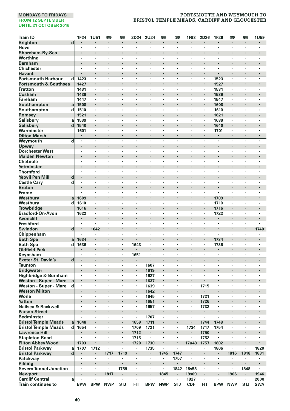| <b>Brighton</b><br>$\overline{\mathbf{d}}$<br>$\cdot$<br>$\cdot$<br>×<br>×<br>×<br>ł.<br>Hove<br>٠<br>×<br>٠<br>$\cdot$<br>$\cdot$<br>×<br>٠<br>٠<br>$\cdot$<br>٠<br>٠<br>٠<br>Shoreham-By-Sea<br>×<br>ł.<br>$\cdot$<br>$\cdot$<br>$\cdot$<br>٠<br>٠<br>Worthing<br>$\cdot$<br>×<br>×,<br>,<br>,<br>×<br>ï<br>٠<br>٠<br><b>Barnham</b><br>l,<br>l,<br>$\cdot$<br>l,<br>$\cdot$<br>$\cdot$<br>ï<br><b>Chichester</b><br>$\cdot$<br>×<br>٠<br>×<br>$\cdot$<br>$\cdot$<br>$\cdot$<br>×<br>×<br>×<br>×<br>$\cdot$<br>$\cdot$<br>٠<br><b>Havant</b><br>$\cdot$<br>ł.<br>i,<br>i,<br>i,<br>$\cdot$<br>$\cdot$<br><b>Portsmouth Harbour</b><br>1523<br>d<br>1423<br>÷,<br>×<br>٠<br>×<br>$\cdot$<br>$\cdot$<br>٠<br>٠<br>٠<br>$\cdot$<br><b>Portsmouth &amp; Southsea</b><br>1427<br>1527<br>$\cdot$<br>×<br>ł<br>ł,<br>٠<br>$\cdot$<br>ł,<br>$\cdot$<br><b>Fratton</b><br>1431<br>1531<br>$\cdot$<br>×<br>×<br>٠<br>٠<br>٠<br>٠<br>٠<br>Cosham<br>l,<br>l,<br>1439<br>$\cdot$<br>l,<br>$\cdot$<br>1539<br>$\cdot$<br>$\cdot$<br>Fareham<br>1447<br>1547<br>×<br>ï<br>٠<br>ï<br>٠<br>,<br>٠<br>Southampton<br>1508<br>1608<br>a<br>$\cdot$<br>٠<br>ł,<br>٠<br>×<br>$\cdot$<br>d<br>Southampton<br>1510<br>1610<br>$\cdot$<br>٠<br>٠<br>٠<br>٠<br>$\cdot$<br>٠<br>٠<br>٠<br>٠<br>٠<br>$\cdot$<br>Romsey<br>1521<br>ł,<br>ï<br>1621<br>Salisbury<br>1539<br>1639<br>$\cdot$<br>٠<br>٠<br>$\cdot$<br>٠<br>×,<br>٠<br>٠<br>a<br>$\cdot$<br><b>Salisbury</b><br>d<br>1540<br>1640<br>ï<br>$\cdot$<br>Warminster<br>1601<br>1701<br>×<br>ï<br>٠<br>٠<br>$\cdot$<br>٠<br>٠<br>٠<br>٠<br><b>Dilton Marsh</b><br>$\bullet$<br>$\cdot$<br>×<br>٠<br>$\ddot{\phantom{0}}$<br>$\ddot{\phantom{0}}$<br>$\cdot$<br>٠<br>$\sim$<br>$\cdot$<br>$\cdot$<br>$\cdot$<br>٠<br>Weymouth<br>d<br>$\cdot$<br>$\cdot$<br>×<br>٠<br>٠<br>٠<br>$\cdot$<br>$\cdot$<br>٠<br>٠<br>٠<br>$\cdot$<br>Upwey<br>l,<br>$\cdot$<br>ł,<br>ï<br>$\cdot$<br>$\cdot$<br>٠<br><b>Dorchester West</b><br>$\cdot$<br>×<br>٠<br>×<br>×<br>$\cdot$<br>$\cdot$<br>$\cdot$<br>×<br>×<br>×<br>$\cdot$<br>٠<br>٠<br><b>Maiden Newton</b><br>Chetnole<br>$\cdot$<br>٠<br>×<br>٠<br>٠<br>$\cdot$<br>$\cdot$<br>,<br>٠<br>٠<br>٠<br>٠<br>$\cdot$<br>٠<br>Yetminster<br>ł,<br>×<br><b>Thornford</b><br>l,<br>٠<br>$\cdot$<br>٠<br>٠<br>٠<br>$\cdot$<br>٠<br>٠<br>٠<br>٠<br><b>Yeovil Pen Mill</b><br>d<br>$\cdot$<br>ï<br>ï<br>÷,<br>$\cdot$<br>$\cdot$<br>ï<br>ï<br>$\cdot$<br><b>Castle Cary</b><br>d<br>×<br>ï<br>ï<br>ï<br><b>Bruton</b><br>ł,<br>×<br>$\cdot$<br>$\cdot$<br>٠<br>٠<br>Frome<br>٠<br>٠<br>$\cdot$<br>٠<br>٠<br>٠<br>٠<br>$\cdot$<br>٠<br>$\cdot$<br>٠<br>٠<br>٠<br>$\cdot$<br>1609<br>Westbury<br>ł,<br>i,<br>1709<br>ï<br>a<br>1610<br>1710<br>Westbury<br>d<br>$\cdot$<br>٠<br>٠<br>٠<br>٠<br>$\cdot$<br>$\cdot$<br>٠<br>٠<br>٠<br><b>Trowbridge</b><br>1616<br>1716<br>ł.<br>$\cdot$<br><b>Bradford-On-Avon</b><br>1622<br>1722<br>$\cdot$<br>٠<br>×<br>٠<br>٠<br>$\cdot$<br>,<br>,<br>٠<br>٠<br>٠<br>,<br><b>Avoncliff</b><br>$\cdot$<br>ł,<br>٠<br>٠<br>$\cdot$<br><b>Freshford</b><br>$\cdot$<br>×,<br>×<br><b>Swindon</b><br>d<br>1740<br>$\cdot$<br>1642<br>l,<br>ï<br>$\cdot$<br>ï<br>ï<br>$\ddot{\phantom{0}}$<br>$\cdot$<br>Chippenham<br>×<br>ł,<br>×<br>$\cdot$<br>×<br>٠<br>×<br>×<br>,<br>٠<br>$\cdot$<br>$\cdot$<br>1734<br><b>Bath Spa</b><br>1634<br>a<br>$\bullet$<br><b>Bath Spa</b><br>1636<br>1643<br>1736<br>d<br>$\cdot$<br>٠<br>×<br>٠<br>$\cdot$<br>٠<br>$\cdot$<br>٠<br>٠<br>٠<br>$\cdot$<br><b>Oldfield Park</b><br>$\cdot$<br>×<br>×<br>$\cdot$<br>$\cdot$<br>ł.<br>ł<br>×<br>$\cdot$<br>Keynsham<br>$\cdot$<br>$\cdot$<br>1651<br>$\cdot$<br>$\cdot$<br>٠<br>×<br>٠<br>٠<br>٠<br>٠<br>$\cdot$<br><b>Exeter St. David's</b><br>$\mathbf d$<br>$\cdot$<br>$\cdot$<br>J.<br>÷<br>ä,<br>$\cdot$<br>$\cdot$<br>$\cdot$<br>÷.<br>$\cdot$<br>$\cdot$<br>$\cdot$<br>$\cdot$<br><b>Taunton</b><br>1607<br>×<br>ł<br>$\cdot$<br>ł,<br><b>Bridgwater</b><br>1619<br>$\cdot$<br>×<br>ł,<br>٠<br>$\cdot$<br>$\cdot$<br>$\cdot$<br>Highbridge & Burnham<br>1627<br>٠<br>$\cdot$<br>٠<br>٠<br>٠<br>$\cdot$<br>$\ddot{\phantom{0}}$<br>$\ddot{\phantom{0}}$<br>٠<br>٠<br>٠<br>٠<br>$\ddot{\phantom{0}}$<br><b>Weston - Super - Mare</b><br>ł,<br>1637<br>a<br>Weston - Super - Mare<br>1715<br>$\cdot$<br>ï<br>1639<br>$\cdot$<br>×<br>d<br>$\cdot$<br>٠<br>٠<br>٠<br>٠<br><b>Weston Milton</b><br>1642<br>$\cdot$<br>Worle<br>1721<br>1645<br>×<br>$\cdot$<br>٠<br>٠<br>$\cdot$<br>$\cdot$<br>٠<br>٠<br>٠<br>٠<br><b>Yatton</b><br>1726<br>1651<br>$\bullet$<br>$\bullet$<br>٠<br>$\bullet$<br>$\bullet$<br>٠<br>٠<br>$\bullet$<br>Nailsea & Backwell<br>ï<br>ï<br>1657<br>1732<br>ł,<br>ï<br>ï<br><b>Parson Street</b><br>$\cdot$<br>$\cdot$<br>i,<br>$\cdot$<br>ï<br>ï<br>$\cdot$<br>٠<br><b>Bedminster</b><br>ï<br>1707<br>÷,<br>$\ddot{\phantom{0}}$<br>٠<br>$\ddot{\phantom{0}}$<br>$\cdot$<br>$\ddot{\phantom{0}}$<br>$\ddot{\phantom{0}}$<br><b>Bristol Temple Meads</b><br>1748<br>1648<br>1659<br>1711<br>1744<br>a<br>ł,<br>$\cdot$<br>$\cdot$<br>$\cdot$<br><b>Bristol Temple Meads</b><br>1654<br>1734<br>1754<br>d<br>1709<br>1721<br>1747<br>$\cdot$<br>٠<br>٠<br>$\cdot$<br>$\cdot$<br>٠<br>٠<br>$\cdot$<br><b>Lawrence Hill</b><br>1712<br>1750<br>ï<br>ł.<br><b>Stapleton Road</b><br>÷,<br>1715<br>$\epsilon$<br>1752<br>×<br>ï<br>ï<br>$\cdot$<br>ł,<br>ï<br><b>Filton Abbey Wood</b><br>1730<br>1703<br>1720<br>$\cdot$<br>17u43<br>1757<br>1802<br>$\cdot$<br>×<br><b>Bristol Parkway</b><br>1712<br>1735<br>1806<br>1820<br>1707<br>ł,<br>ï<br>a<br>٠<br>٠<br>d<br>1831<br><b>Bristol Parkway</b><br>1717<br>1719<br>1745<br>1747<br>1816<br>1818<br>$\bullet$<br>٠<br>$\blacksquare$<br>×<br>٠<br>Patchway<br>1757<br>$\blacksquare$<br>$\blacksquare$<br>٠<br>٠<br>٠<br>٠<br>٠<br>٠<br>٠<br>٠<br>$\cdot$<br>Pilning<br>ł.<br>ł,<br>ï<br>ł.<br>ï<br>$\cdot$<br>$\cdot$<br><b>Severn Tunnel Junction</b><br>1759<br>1842<br><b>18s58</b><br>1848<br>$\ddot{\phantom{0}}$<br>$\cdot$<br>٠<br>٠<br>٠<br>$\cdot$<br>٠<br>٠<br>$\ddot{\phantom{0}}$<br>٠<br><b>Newport</b><br>1817<br>1845<br><b>19s09</b><br>i,<br>1906<br>1946<br><b>Cardiff Central</b><br>1927<br>2000<br>a<br>٠<br>٠<br>٠<br>٠<br><b>BPW</b><br><b>BPW</b><br><b>NWP</b><br><b>STJ</b><br>FIT<br><b>BPW</b><br><b>NWP</b><br><b>STJ</b><br>CDF<br><b>FIT</b><br><b>BPW</b><br><b>NWP</b><br><b>STJ</b><br><b>SWA</b><br><b>Train continues to</b> | <b>Train ID</b> | 1F24 | 1U51 | œ | <b>m</b> | 2D24 | <b>2U24</b> | <b>emp</b> | <b>emp</b> | 1F98 | 2D26 | 1F26 | œ | <b>emp</b> | 1U59 |
|-----------------------------------------------------------------------------------------------------------------------------------------------------------------------------------------------------------------------------------------------------------------------------------------------------------------------------------------------------------------------------------------------------------------------------------------------------------------------------------------------------------------------------------------------------------------------------------------------------------------------------------------------------------------------------------------------------------------------------------------------------------------------------------------------------------------------------------------------------------------------------------------------------------------------------------------------------------------------------------------------------------------------------------------------------------------------------------------------------------------------------------------------------------------------------------------------------------------------------------------------------------------------------------------------------------------------------------------------------------------------------------------------------------------------------------------------------------------------------------------------------------------------------------------------------------------------------------------------------------------------------------------------------------------------------------------------------------------------------------------------------------------------------------------------------------------------------------------------------------------------------------------------------------------------------------------------------------------------------------------------------------------------------------------------------------------------------------------------------------------------------------------------------------------------------------------------------------------------------------------------------------------------------------------------------------------------------------------------------------------------------------------------------------------------------------------------------------------------------------------------------------------------------------------------------------------------------------------------------------------------------------------------------------------------------------------------------------------------------------------------------------------------------------------------------------------------------------------------------------------------------------------------------------------------------------------------------------------------------------------------------------------------------------------------------------------------------------------------------------------------------------------------------------------------------------------------------------------------------------------------------------------------------------------------------------------------------------------------------------------------------------------------------------------------------------------------------------------------------------------------------------------------------------------------------------------------------------------------------------------------------------------------------------------------------------------------------------------------------------------------------------------------------------------------------------------------------------------------------------------------------------------------------------------------------------------------------------------------------------------------------------------------------------------------------------------------------------------------------------------------------------------------------------------------------------------------------------------------------------------------------------------------------------------------------------------------------------------------------------------------------------------------------------------------------------------------------------------------------------------------------------------------------------------------------------------------------------------------------------------------------------------------------------------------------------------------------------------------------------------------------------------------------------------------------------------------------------------------------------------------------------------------------------------------------------------------------------------------------------------------------------------------------------------------------------------------------------------------------------------------------------------------------------------------------------------------------------------------------------------------------------------------------------------------------------------------------------------------------------------------------------------------------------------------------------------------------------------------------------------------------------------------------------------------------------------------------------------------------------------------------------------------------------------------------------------------------------------------------------------------------------------------------------------------------------------------------------------------------------------------------------------------------------------------------------------------------------------------------------------------------------------------------------------------------------------------------------------------------------------------------------------------------------------------------------------------------------------------------------------------------------------------------------------------------------------------------------------------------------------------------------------------------------------|-----------------|------|------|---|----------|------|-------------|------------|------------|------|------|------|---|------------|------|
|                                                                                                                                                                                                                                                                                                                                                                                                                                                                                                                                                                                                                                                                                                                                                                                                                                                                                                                                                                                                                                                                                                                                                                                                                                                                                                                                                                                                                                                                                                                                                                                                                                                                                                                                                                                                                                                                                                                                                                                                                                                                                                                                                                                                                                                                                                                                                                                                                                                                                                                                                                                                                                                                                                                                                                                                                                                                                                                                                                                                                                                                                                                                                                                                                                                                                                                                                                                                                                                                                                                                                                                                                                                                                                                                                                                                                                                                                                                                                                                                                                                                                                                                                                                                                                                                                                                                                                                                                                                                                                                                                                                                                                                                                                                                                                                                                                                                                                                                                                                                                                                                                                                                                                                                                                                                                                                                                                                                                                                                                                                                                                                                                                                                                                                                                                                                                                                                                                                                                                                                                                                                                                                                                                                                                                                                                                                                                                                                                 |                 |      |      |   |          |      |             |            |            |      |      |      |   |            |      |
|                                                                                                                                                                                                                                                                                                                                                                                                                                                                                                                                                                                                                                                                                                                                                                                                                                                                                                                                                                                                                                                                                                                                                                                                                                                                                                                                                                                                                                                                                                                                                                                                                                                                                                                                                                                                                                                                                                                                                                                                                                                                                                                                                                                                                                                                                                                                                                                                                                                                                                                                                                                                                                                                                                                                                                                                                                                                                                                                                                                                                                                                                                                                                                                                                                                                                                                                                                                                                                                                                                                                                                                                                                                                                                                                                                                                                                                                                                                                                                                                                                                                                                                                                                                                                                                                                                                                                                                                                                                                                                                                                                                                                                                                                                                                                                                                                                                                                                                                                                                                                                                                                                                                                                                                                                                                                                                                                                                                                                                                                                                                                                                                                                                                                                                                                                                                                                                                                                                                                                                                                                                                                                                                                                                                                                                                                                                                                                                                                 |                 |      |      |   |          |      |             |            |            |      |      |      |   |            |      |
|                                                                                                                                                                                                                                                                                                                                                                                                                                                                                                                                                                                                                                                                                                                                                                                                                                                                                                                                                                                                                                                                                                                                                                                                                                                                                                                                                                                                                                                                                                                                                                                                                                                                                                                                                                                                                                                                                                                                                                                                                                                                                                                                                                                                                                                                                                                                                                                                                                                                                                                                                                                                                                                                                                                                                                                                                                                                                                                                                                                                                                                                                                                                                                                                                                                                                                                                                                                                                                                                                                                                                                                                                                                                                                                                                                                                                                                                                                                                                                                                                                                                                                                                                                                                                                                                                                                                                                                                                                                                                                                                                                                                                                                                                                                                                                                                                                                                                                                                                                                                                                                                                                                                                                                                                                                                                                                                                                                                                                                                                                                                                                                                                                                                                                                                                                                                                                                                                                                                                                                                                                                                                                                                                                                                                                                                                                                                                                                                                 |                 |      |      |   |          |      |             |            |            |      |      |      |   |            |      |
|                                                                                                                                                                                                                                                                                                                                                                                                                                                                                                                                                                                                                                                                                                                                                                                                                                                                                                                                                                                                                                                                                                                                                                                                                                                                                                                                                                                                                                                                                                                                                                                                                                                                                                                                                                                                                                                                                                                                                                                                                                                                                                                                                                                                                                                                                                                                                                                                                                                                                                                                                                                                                                                                                                                                                                                                                                                                                                                                                                                                                                                                                                                                                                                                                                                                                                                                                                                                                                                                                                                                                                                                                                                                                                                                                                                                                                                                                                                                                                                                                                                                                                                                                                                                                                                                                                                                                                                                                                                                                                                                                                                                                                                                                                                                                                                                                                                                                                                                                                                                                                                                                                                                                                                                                                                                                                                                                                                                                                                                                                                                                                                                                                                                                                                                                                                                                                                                                                                                                                                                                                                                                                                                                                                                                                                                                                                                                                                                                 |                 |      |      |   |          |      |             |            |            |      |      |      |   |            |      |
|                                                                                                                                                                                                                                                                                                                                                                                                                                                                                                                                                                                                                                                                                                                                                                                                                                                                                                                                                                                                                                                                                                                                                                                                                                                                                                                                                                                                                                                                                                                                                                                                                                                                                                                                                                                                                                                                                                                                                                                                                                                                                                                                                                                                                                                                                                                                                                                                                                                                                                                                                                                                                                                                                                                                                                                                                                                                                                                                                                                                                                                                                                                                                                                                                                                                                                                                                                                                                                                                                                                                                                                                                                                                                                                                                                                                                                                                                                                                                                                                                                                                                                                                                                                                                                                                                                                                                                                                                                                                                                                                                                                                                                                                                                                                                                                                                                                                                                                                                                                                                                                                                                                                                                                                                                                                                                                                                                                                                                                                                                                                                                                                                                                                                                                                                                                                                                                                                                                                                                                                                                                                                                                                                                                                                                                                                                                                                                                                                 |                 |      |      |   |          |      |             |            |            |      |      |      |   |            |      |
|                                                                                                                                                                                                                                                                                                                                                                                                                                                                                                                                                                                                                                                                                                                                                                                                                                                                                                                                                                                                                                                                                                                                                                                                                                                                                                                                                                                                                                                                                                                                                                                                                                                                                                                                                                                                                                                                                                                                                                                                                                                                                                                                                                                                                                                                                                                                                                                                                                                                                                                                                                                                                                                                                                                                                                                                                                                                                                                                                                                                                                                                                                                                                                                                                                                                                                                                                                                                                                                                                                                                                                                                                                                                                                                                                                                                                                                                                                                                                                                                                                                                                                                                                                                                                                                                                                                                                                                                                                                                                                                                                                                                                                                                                                                                                                                                                                                                                                                                                                                                                                                                                                                                                                                                                                                                                                                                                                                                                                                                                                                                                                                                                                                                                                                                                                                                                                                                                                                                                                                                                                                                                                                                                                                                                                                                                                                                                                                                                 |                 |      |      |   |          |      |             |            |            |      |      |      |   |            |      |
|                                                                                                                                                                                                                                                                                                                                                                                                                                                                                                                                                                                                                                                                                                                                                                                                                                                                                                                                                                                                                                                                                                                                                                                                                                                                                                                                                                                                                                                                                                                                                                                                                                                                                                                                                                                                                                                                                                                                                                                                                                                                                                                                                                                                                                                                                                                                                                                                                                                                                                                                                                                                                                                                                                                                                                                                                                                                                                                                                                                                                                                                                                                                                                                                                                                                                                                                                                                                                                                                                                                                                                                                                                                                                                                                                                                                                                                                                                                                                                                                                                                                                                                                                                                                                                                                                                                                                                                                                                                                                                                                                                                                                                                                                                                                                                                                                                                                                                                                                                                                                                                                                                                                                                                                                                                                                                                                                                                                                                                                                                                                                                                                                                                                                                                                                                                                                                                                                                                                                                                                                                                                                                                                                                                                                                                                                                                                                                                                                 |                 |      |      |   |          |      |             |            |            |      |      |      |   |            |      |
|                                                                                                                                                                                                                                                                                                                                                                                                                                                                                                                                                                                                                                                                                                                                                                                                                                                                                                                                                                                                                                                                                                                                                                                                                                                                                                                                                                                                                                                                                                                                                                                                                                                                                                                                                                                                                                                                                                                                                                                                                                                                                                                                                                                                                                                                                                                                                                                                                                                                                                                                                                                                                                                                                                                                                                                                                                                                                                                                                                                                                                                                                                                                                                                                                                                                                                                                                                                                                                                                                                                                                                                                                                                                                                                                                                                                                                                                                                                                                                                                                                                                                                                                                                                                                                                                                                                                                                                                                                                                                                                                                                                                                                                                                                                                                                                                                                                                                                                                                                                                                                                                                                                                                                                                                                                                                                                                                                                                                                                                                                                                                                                                                                                                                                                                                                                                                                                                                                                                                                                                                                                                                                                                                                                                                                                                                                                                                                                                                 |                 |      |      |   |          |      |             |            |            |      |      |      |   |            |      |
|                                                                                                                                                                                                                                                                                                                                                                                                                                                                                                                                                                                                                                                                                                                                                                                                                                                                                                                                                                                                                                                                                                                                                                                                                                                                                                                                                                                                                                                                                                                                                                                                                                                                                                                                                                                                                                                                                                                                                                                                                                                                                                                                                                                                                                                                                                                                                                                                                                                                                                                                                                                                                                                                                                                                                                                                                                                                                                                                                                                                                                                                                                                                                                                                                                                                                                                                                                                                                                                                                                                                                                                                                                                                                                                                                                                                                                                                                                                                                                                                                                                                                                                                                                                                                                                                                                                                                                                                                                                                                                                                                                                                                                                                                                                                                                                                                                                                                                                                                                                                                                                                                                                                                                                                                                                                                                                                                                                                                                                                                                                                                                                                                                                                                                                                                                                                                                                                                                                                                                                                                                                                                                                                                                                                                                                                                                                                                                                                                 |                 |      |      |   |          |      |             |            |            |      |      |      |   |            |      |
|                                                                                                                                                                                                                                                                                                                                                                                                                                                                                                                                                                                                                                                                                                                                                                                                                                                                                                                                                                                                                                                                                                                                                                                                                                                                                                                                                                                                                                                                                                                                                                                                                                                                                                                                                                                                                                                                                                                                                                                                                                                                                                                                                                                                                                                                                                                                                                                                                                                                                                                                                                                                                                                                                                                                                                                                                                                                                                                                                                                                                                                                                                                                                                                                                                                                                                                                                                                                                                                                                                                                                                                                                                                                                                                                                                                                                                                                                                                                                                                                                                                                                                                                                                                                                                                                                                                                                                                                                                                                                                                                                                                                                                                                                                                                                                                                                                                                                                                                                                                                                                                                                                                                                                                                                                                                                                                                                                                                                                                                                                                                                                                                                                                                                                                                                                                                                                                                                                                                                                                                                                                                                                                                                                                                                                                                                                                                                                                                                 |                 |      |      |   |          |      |             |            |            |      |      |      |   |            |      |
|                                                                                                                                                                                                                                                                                                                                                                                                                                                                                                                                                                                                                                                                                                                                                                                                                                                                                                                                                                                                                                                                                                                                                                                                                                                                                                                                                                                                                                                                                                                                                                                                                                                                                                                                                                                                                                                                                                                                                                                                                                                                                                                                                                                                                                                                                                                                                                                                                                                                                                                                                                                                                                                                                                                                                                                                                                                                                                                                                                                                                                                                                                                                                                                                                                                                                                                                                                                                                                                                                                                                                                                                                                                                                                                                                                                                                                                                                                                                                                                                                                                                                                                                                                                                                                                                                                                                                                                                                                                                                                                                                                                                                                                                                                                                                                                                                                                                                                                                                                                                                                                                                                                                                                                                                                                                                                                                                                                                                                                                                                                                                                                                                                                                                                                                                                                                                                                                                                                                                                                                                                                                                                                                                                                                                                                                                                                                                                                                                 |                 |      |      |   |          |      |             |            |            |      |      |      |   |            |      |
|                                                                                                                                                                                                                                                                                                                                                                                                                                                                                                                                                                                                                                                                                                                                                                                                                                                                                                                                                                                                                                                                                                                                                                                                                                                                                                                                                                                                                                                                                                                                                                                                                                                                                                                                                                                                                                                                                                                                                                                                                                                                                                                                                                                                                                                                                                                                                                                                                                                                                                                                                                                                                                                                                                                                                                                                                                                                                                                                                                                                                                                                                                                                                                                                                                                                                                                                                                                                                                                                                                                                                                                                                                                                                                                                                                                                                                                                                                                                                                                                                                                                                                                                                                                                                                                                                                                                                                                                                                                                                                                                                                                                                                                                                                                                                                                                                                                                                                                                                                                                                                                                                                                                                                                                                                                                                                                                                                                                                                                                                                                                                                                                                                                                                                                                                                                                                                                                                                                                                                                                                                                                                                                                                                                                                                                                                                                                                                                                                 |                 |      |      |   |          |      |             |            |            |      |      |      |   |            |      |
|                                                                                                                                                                                                                                                                                                                                                                                                                                                                                                                                                                                                                                                                                                                                                                                                                                                                                                                                                                                                                                                                                                                                                                                                                                                                                                                                                                                                                                                                                                                                                                                                                                                                                                                                                                                                                                                                                                                                                                                                                                                                                                                                                                                                                                                                                                                                                                                                                                                                                                                                                                                                                                                                                                                                                                                                                                                                                                                                                                                                                                                                                                                                                                                                                                                                                                                                                                                                                                                                                                                                                                                                                                                                                                                                                                                                                                                                                                                                                                                                                                                                                                                                                                                                                                                                                                                                                                                                                                                                                                                                                                                                                                                                                                                                                                                                                                                                                                                                                                                                                                                                                                                                                                                                                                                                                                                                                                                                                                                                                                                                                                                                                                                                                                                                                                                                                                                                                                                                                                                                                                                                                                                                                                                                                                                                                                                                                                                                                 |                 |      |      |   |          |      |             |            |            |      |      |      |   |            |      |
|                                                                                                                                                                                                                                                                                                                                                                                                                                                                                                                                                                                                                                                                                                                                                                                                                                                                                                                                                                                                                                                                                                                                                                                                                                                                                                                                                                                                                                                                                                                                                                                                                                                                                                                                                                                                                                                                                                                                                                                                                                                                                                                                                                                                                                                                                                                                                                                                                                                                                                                                                                                                                                                                                                                                                                                                                                                                                                                                                                                                                                                                                                                                                                                                                                                                                                                                                                                                                                                                                                                                                                                                                                                                                                                                                                                                                                                                                                                                                                                                                                                                                                                                                                                                                                                                                                                                                                                                                                                                                                                                                                                                                                                                                                                                                                                                                                                                                                                                                                                                                                                                                                                                                                                                                                                                                                                                                                                                                                                                                                                                                                                                                                                                                                                                                                                                                                                                                                                                                                                                                                                                                                                                                                                                                                                                                                                                                                                                                 |                 |      |      |   |          |      |             |            |            |      |      |      |   |            |      |
|                                                                                                                                                                                                                                                                                                                                                                                                                                                                                                                                                                                                                                                                                                                                                                                                                                                                                                                                                                                                                                                                                                                                                                                                                                                                                                                                                                                                                                                                                                                                                                                                                                                                                                                                                                                                                                                                                                                                                                                                                                                                                                                                                                                                                                                                                                                                                                                                                                                                                                                                                                                                                                                                                                                                                                                                                                                                                                                                                                                                                                                                                                                                                                                                                                                                                                                                                                                                                                                                                                                                                                                                                                                                                                                                                                                                                                                                                                                                                                                                                                                                                                                                                                                                                                                                                                                                                                                                                                                                                                                                                                                                                                                                                                                                                                                                                                                                                                                                                                                                                                                                                                                                                                                                                                                                                                                                                                                                                                                                                                                                                                                                                                                                                                                                                                                                                                                                                                                                                                                                                                                                                                                                                                                                                                                                                                                                                                                                                 |                 |      |      |   |          |      |             |            |            |      |      |      |   |            |      |
|                                                                                                                                                                                                                                                                                                                                                                                                                                                                                                                                                                                                                                                                                                                                                                                                                                                                                                                                                                                                                                                                                                                                                                                                                                                                                                                                                                                                                                                                                                                                                                                                                                                                                                                                                                                                                                                                                                                                                                                                                                                                                                                                                                                                                                                                                                                                                                                                                                                                                                                                                                                                                                                                                                                                                                                                                                                                                                                                                                                                                                                                                                                                                                                                                                                                                                                                                                                                                                                                                                                                                                                                                                                                                                                                                                                                                                                                                                                                                                                                                                                                                                                                                                                                                                                                                                                                                                                                                                                                                                                                                                                                                                                                                                                                                                                                                                                                                                                                                                                                                                                                                                                                                                                                                                                                                                                                                                                                                                                                                                                                                                                                                                                                                                                                                                                                                                                                                                                                                                                                                                                                                                                                                                                                                                                                                                                                                                                                                 |                 |      |      |   |          |      |             |            |            |      |      |      |   |            |      |
|                                                                                                                                                                                                                                                                                                                                                                                                                                                                                                                                                                                                                                                                                                                                                                                                                                                                                                                                                                                                                                                                                                                                                                                                                                                                                                                                                                                                                                                                                                                                                                                                                                                                                                                                                                                                                                                                                                                                                                                                                                                                                                                                                                                                                                                                                                                                                                                                                                                                                                                                                                                                                                                                                                                                                                                                                                                                                                                                                                                                                                                                                                                                                                                                                                                                                                                                                                                                                                                                                                                                                                                                                                                                                                                                                                                                                                                                                                                                                                                                                                                                                                                                                                                                                                                                                                                                                                                                                                                                                                                                                                                                                                                                                                                                                                                                                                                                                                                                                                                                                                                                                                                                                                                                                                                                                                                                                                                                                                                                                                                                                                                                                                                                                                                                                                                                                                                                                                                                                                                                                                                                                                                                                                                                                                                                                                                                                                                                                 |                 |      |      |   |          |      |             |            |            |      |      |      |   |            |      |
|                                                                                                                                                                                                                                                                                                                                                                                                                                                                                                                                                                                                                                                                                                                                                                                                                                                                                                                                                                                                                                                                                                                                                                                                                                                                                                                                                                                                                                                                                                                                                                                                                                                                                                                                                                                                                                                                                                                                                                                                                                                                                                                                                                                                                                                                                                                                                                                                                                                                                                                                                                                                                                                                                                                                                                                                                                                                                                                                                                                                                                                                                                                                                                                                                                                                                                                                                                                                                                                                                                                                                                                                                                                                                                                                                                                                                                                                                                                                                                                                                                                                                                                                                                                                                                                                                                                                                                                                                                                                                                                                                                                                                                                                                                                                                                                                                                                                                                                                                                                                                                                                                                                                                                                                                                                                                                                                                                                                                                                                                                                                                                                                                                                                                                                                                                                                                                                                                                                                                                                                                                                                                                                                                                                                                                                                                                                                                                                                                 |                 |      |      |   |          |      |             |            |            |      |      |      |   |            |      |
|                                                                                                                                                                                                                                                                                                                                                                                                                                                                                                                                                                                                                                                                                                                                                                                                                                                                                                                                                                                                                                                                                                                                                                                                                                                                                                                                                                                                                                                                                                                                                                                                                                                                                                                                                                                                                                                                                                                                                                                                                                                                                                                                                                                                                                                                                                                                                                                                                                                                                                                                                                                                                                                                                                                                                                                                                                                                                                                                                                                                                                                                                                                                                                                                                                                                                                                                                                                                                                                                                                                                                                                                                                                                                                                                                                                                                                                                                                                                                                                                                                                                                                                                                                                                                                                                                                                                                                                                                                                                                                                                                                                                                                                                                                                                                                                                                                                                                                                                                                                                                                                                                                                                                                                                                                                                                                                                                                                                                                                                                                                                                                                                                                                                                                                                                                                                                                                                                                                                                                                                                                                                                                                                                                                                                                                                                                                                                                                                                 |                 |      |      |   |          |      |             |            |            |      |      |      |   |            |      |
|                                                                                                                                                                                                                                                                                                                                                                                                                                                                                                                                                                                                                                                                                                                                                                                                                                                                                                                                                                                                                                                                                                                                                                                                                                                                                                                                                                                                                                                                                                                                                                                                                                                                                                                                                                                                                                                                                                                                                                                                                                                                                                                                                                                                                                                                                                                                                                                                                                                                                                                                                                                                                                                                                                                                                                                                                                                                                                                                                                                                                                                                                                                                                                                                                                                                                                                                                                                                                                                                                                                                                                                                                                                                                                                                                                                                                                                                                                                                                                                                                                                                                                                                                                                                                                                                                                                                                                                                                                                                                                                                                                                                                                                                                                                                                                                                                                                                                                                                                                                                                                                                                                                                                                                                                                                                                                                                                                                                                                                                                                                                                                                                                                                                                                                                                                                                                                                                                                                                                                                                                                                                                                                                                                                                                                                                                                                                                                                                                 |                 |      |      |   |          |      |             |            |            |      |      |      |   |            |      |
|                                                                                                                                                                                                                                                                                                                                                                                                                                                                                                                                                                                                                                                                                                                                                                                                                                                                                                                                                                                                                                                                                                                                                                                                                                                                                                                                                                                                                                                                                                                                                                                                                                                                                                                                                                                                                                                                                                                                                                                                                                                                                                                                                                                                                                                                                                                                                                                                                                                                                                                                                                                                                                                                                                                                                                                                                                                                                                                                                                                                                                                                                                                                                                                                                                                                                                                                                                                                                                                                                                                                                                                                                                                                                                                                                                                                                                                                                                                                                                                                                                                                                                                                                                                                                                                                                                                                                                                                                                                                                                                                                                                                                                                                                                                                                                                                                                                                                                                                                                                                                                                                                                                                                                                                                                                                                                                                                                                                                                                                                                                                                                                                                                                                                                                                                                                                                                                                                                                                                                                                                                                                                                                                                                                                                                                                                                                                                                                                                 |                 |      |      |   |          |      |             |            |            |      |      |      |   |            |      |
|                                                                                                                                                                                                                                                                                                                                                                                                                                                                                                                                                                                                                                                                                                                                                                                                                                                                                                                                                                                                                                                                                                                                                                                                                                                                                                                                                                                                                                                                                                                                                                                                                                                                                                                                                                                                                                                                                                                                                                                                                                                                                                                                                                                                                                                                                                                                                                                                                                                                                                                                                                                                                                                                                                                                                                                                                                                                                                                                                                                                                                                                                                                                                                                                                                                                                                                                                                                                                                                                                                                                                                                                                                                                                                                                                                                                                                                                                                                                                                                                                                                                                                                                                                                                                                                                                                                                                                                                                                                                                                                                                                                                                                                                                                                                                                                                                                                                                                                                                                                                                                                                                                                                                                                                                                                                                                                                                                                                                                                                                                                                                                                                                                                                                                                                                                                                                                                                                                                                                                                                                                                                                                                                                                                                                                                                                                                                                                                                                 |                 |      |      |   |          |      |             |            |            |      |      |      |   |            |      |
|                                                                                                                                                                                                                                                                                                                                                                                                                                                                                                                                                                                                                                                                                                                                                                                                                                                                                                                                                                                                                                                                                                                                                                                                                                                                                                                                                                                                                                                                                                                                                                                                                                                                                                                                                                                                                                                                                                                                                                                                                                                                                                                                                                                                                                                                                                                                                                                                                                                                                                                                                                                                                                                                                                                                                                                                                                                                                                                                                                                                                                                                                                                                                                                                                                                                                                                                                                                                                                                                                                                                                                                                                                                                                                                                                                                                                                                                                                                                                                                                                                                                                                                                                                                                                                                                                                                                                                                                                                                                                                                                                                                                                                                                                                                                                                                                                                                                                                                                                                                                                                                                                                                                                                                                                                                                                                                                                                                                                                                                                                                                                                                                                                                                                                                                                                                                                                                                                                                                                                                                                                                                                                                                                                                                                                                                                                                                                                                                                 |                 |      |      |   |          |      |             |            |            |      |      |      |   |            |      |
|                                                                                                                                                                                                                                                                                                                                                                                                                                                                                                                                                                                                                                                                                                                                                                                                                                                                                                                                                                                                                                                                                                                                                                                                                                                                                                                                                                                                                                                                                                                                                                                                                                                                                                                                                                                                                                                                                                                                                                                                                                                                                                                                                                                                                                                                                                                                                                                                                                                                                                                                                                                                                                                                                                                                                                                                                                                                                                                                                                                                                                                                                                                                                                                                                                                                                                                                                                                                                                                                                                                                                                                                                                                                                                                                                                                                                                                                                                                                                                                                                                                                                                                                                                                                                                                                                                                                                                                                                                                                                                                                                                                                                                                                                                                                                                                                                                                                                                                                                                                                                                                                                                                                                                                                                                                                                                                                                                                                                                                                                                                                                                                                                                                                                                                                                                                                                                                                                                                                                                                                                                                                                                                                                                                                                                                                                                                                                                                                                 |                 |      |      |   |          |      |             |            |            |      |      |      |   |            |      |
|                                                                                                                                                                                                                                                                                                                                                                                                                                                                                                                                                                                                                                                                                                                                                                                                                                                                                                                                                                                                                                                                                                                                                                                                                                                                                                                                                                                                                                                                                                                                                                                                                                                                                                                                                                                                                                                                                                                                                                                                                                                                                                                                                                                                                                                                                                                                                                                                                                                                                                                                                                                                                                                                                                                                                                                                                                                                                                                                                                                                                                                                                                                                                                                                                                                                                                                                                                                                                                                                                                                                                                                                                                                                                                                                                                                                                                                                                                                                                                                                                                                                                                                                                                                                                                                                                                                                                                                                                                                                                                                                                                                                                                                                                                                                                                                                                                                                                                                                                                                                                                                                                                                                                                                                                                                                                                                                                                                                                                                                                                                                                                                                                                                                                                                                                                                                                                                                                                                                                                                                                                                                                                                                                                                                                                                                                                                                                                                                                 |                 |      |      |   |          |      |             |            |            |      |      |      |   |            |      |
|                                                                                                                                                                                                                                                                                                                                                                                                                                                                                                                                                                                                                                                                                                                                                                                                                                                                                                                                                                                                                                                                                                                                                                                                                                                                                                                                                                                                                                                                                                                                                                                                                                                                                                                                                                                                                                                                                                                                                                                                                                                                                                                                                                                                                                                                                                                                                                                                                                                                                                                                                                                                                                                                                                                                                                                                                                                                                                                                                                                                                                                                                                                                                                                                                                                                                                                                                                                                                                                                                                                                                                                                                                                                                                                                                                                                                                                                                                                                                                                                                                                                                                                                                                                                                                                                                                                                                                                                                                                                                                                                                                                                                                                                                                                                                                                                                                                                                                                                                                                                                                                                                                                                                                                                                                                                                                                                                                                                                                                                                                                                                                                                                                                                                                                                                                                                                                                                                                                                                                                                                                                                                                                                                                                                                                                                                                                                                                                                                 |                 |      |      |   |          |      |             |            |            |      |      |      |   |            |      |
|                                                                                                                                                                                                                                                                                                                                                                                                                                                                                                                                                                                                                                                                                                                                                                                                                                                                                                                                                                                                                                                                                                                                                                                                                                                                                                                                                                                                                                                                                                                                                                                                                                                                                                                                                                                                                                                                                                                                                                                                                                                                                                                                                                                                                                                                                                                                                                                                                                                                                                                                                                                                                                                                                                                                                                                                                                                                                                                                                                                                                                                                                                                                                                                                                                                                                                                                                                                                                                                                                                                                                                                                                                                                                                                                                                                                                                                                                                                                                                                                                                                                                                                                                                                                                                                                                                                                                                                                                                                                                                                                                                                                                                                                                                                                                                                                                                                                                                                                                                                                                                                                                                                                                                                                                                                                                                                                                                                                                                                                                                                                                                                                                                                                                                                                                                                                                                                                                                                                                                                                                                                                                                                                                                                                                                                                                                                                                                                                                 |                 |      |      |   |          |      |             |            |            |      |      |      |   |            |      |
|                                                                                                                                                                                                                                                                                                                                                                                                                                                                                                                                                                                                                                                                                                                                                                                                                                                                                                                                                                                                                                                                                                                                                                                                                                                                                                                                                                                                                                                                                                                                                                                                                                                                                                                                                                                                                                                                                                                                                                                                                                                                                                                                                                                                                                                                                                                                                                                                                                                                                                                                                                                                                                                                                                                                                                                                                                                                                                                                                                                                                                                                                                                                                                                                                                                                                                                                                                                                                                                                                                                                                                                                                                                                                                                                                                                                                                                                                                                                                                                                                                                                                                                                                                                                                                                                                                                                                                                                                                                                                                                                                                                                                                                                                                                                                                                                                                                                                                                                                                                                                                                                                                                                                                                                                                                                                                                                                                                                                                                                                                                                                                                                                                                                                                                                                                                                                                                                                                                                                                                                                                                                                                                                                                                                                                                                                                                                                                                                                 |                 |      |      |   |          |      |             |            |            |      |      |      |   |            |      |
|                                                                                                                                                                                                                                                                                                                                                                                                                                                                                                                                                                                                                                                                                                                                                                                                                                                                                                                                                                                                                                                                                                                                                                                                                                                                                                                                                                                                                                                                                                                                                                                                                                                                                                                                                                                                                                                                                                                                                                                                                                                                                                                                                                                                                                                                                                                                                                                                                                                                                                                                                                                                                                                                                                                                                                                                                                                                                                                                                                                                                                                                                                                                                                                                                                                                                                                                                                                                                                                                                                                                                                                                                                                                                                                                                                                                                                                                                                                                                                                                                                                                                                                                                                                                                                                                                                                                                                                                                                                                                                                                                                                                                                                                                                                                                                                                                                                                                                                                                                                                                                                                                                                                                                                                                                                                                                                                                                                                                                                                                                                                                                                                                                                                                                                                                                                                                                                                                                                                                                                                                                                                                                                                                                                                                                                                                                                                                                                                                 |                 |      |      |   |          |      |             |            |            |      |      |      |   |            |      |
|                                                                                                                                                                                                                                                                                                                                                                                                                                                                                                                                                                                                                                                                                                                                                                                                                                                                                                                                                                                                                                                                                                                                                                                                                                                                                                                                                                                                                                                                                                                                                                                                                                                                                                                                                                                                                                                                                                                                                                                                                                                                                                                                                                                                                                                                                                                                                                                                                                                                                                                                                                                                                                                                                                                                                                                                                                                                                                                                                                                                                                                                                                                                                                                                                                                                                                                                                                                                                                                                                                                                                                                                                                                                                                                                                                                                                                                                                                                                                                                                                                                                                                                                                                                                                                                                                                                                                                                                                                                                                                                                                                                                                                                                                                                                                                                                                                                                                                                                                                                                                                                                                                                                                                                                                                                                                                                                                                                                                                                                                                                                                                                                                                                                                                                                                                                                                                                                                                                                                                                                                                                                                                                                                                                                                                                                                                                                                                                                                 |                 |      |      |   |          |      |             |            |            |      |      |      |   |            |      |
|                                                                                                                                                                                                                                                                                                                                                                                                                                                                                                                                                                                                                                                                                                                                                                                                                                                                                                                                                                                                                                                                                                                                                                                                                                                                                                                                                                                                                                                                                                                                                                                                                                                                                                                                                                                                                                                                                                                                                                                                                                                                                                                                                                                                                                                                                                                                                                                                                                                                                                                                                                                                                                                                                                                                                                                                                                                                                                                                                                                                                                                                                                                                                                                                                                                                                                                                                                                                                                                                                                                                                                                                                                                                                                                                                                                                                                                                                                                                                                                                                                                                                                                                                                                                                                                                                                                                                                                                                                                                                                                                                                                                                                                                                                                                                                                                                                                                                                                                                                                                                                                                                                                                                                                                                                                                                                                                                                                                                                                                                                                                                                                                                                                                                                                                                                                                                                                                                                                                                                                                                                                                                                                                                                                                                                                                                                                                                                                                                 |                 |      |      |   |          |      |             |            |            |      |      |      |   |            |      |
|                                                                                                                                                                                                                                                                                                                                                                                                                                                                                                                                                                                                                                                                                                                                                                                                                                                                                                                                                                                                                                                                                                                                                                                                                                                                                                                                                                                                                                                                                                                                                                                                                                                                                                                                                                                                                                                                                                                                                                                                                                                                                                                                                                                                                                                                                                                                                                                                                                                                                                                                                                                                                                                                                                                                                                                                                                                                                                                                                                                                                                                                                                                                                                                                                                                                                                                                                                                                                                                                                                                                                                                                                                                                                                                                                                                                                                                                                                                                                                                                                                                                                                                                                                                                                                                                                                                                                                                                                                                                                                                                                                                                                                                                                                                                                                                                                                                                                                                                                                                                                                                                                                                                                                                                                                                                                                                                                                                                                                                                                                                                                                                                                                                                                                                                                                                                                                                                                                                                                                                                                                                                                                                                                                                                                                                                                                                                                                                                                 |                 |      |      |   |          |      |             |            |            |      |      |      |   |            |      |
|                                                                                                                                                                                                                                                                                                                                                                                                                                                                                                                                                                                                                                                                                                                                                                                                                                                                                                                                                                                                                                                                                                                                                                                                                                                                                                                                                                                                                                                                                                                                                                                                                                                                                                                                                                                                                                                                                                                                                                                                                                                                                                                                                                                                                                                                                                                                                                                                                                                                                                                                                                                                                                                                                                                                                                                                                                                                                                                                                                                                                                                                                                                                                                                                                                                                                                                                                                                                                                                                                                                                                                                                                                                                                                                                                                                                                                                                                                                                                                                                                                                                                                                                                                                                                                                                                                                                                                                                                                                                                                                                                                                                                                                                                                                                                                                                                                                                                                                                                                                                                                                                                                                                                                                                                                                                                                                                                                                                                                                                                                                                                                                                                                                                                                                                                                                                                                                                                                                                                                                                                                                                                                                                                                                                                                                                                                                                                                                                                 |                 |      |      |   |          |      |             |            |            |      |      |      |   |            |      |
|                                                                                                                                                                                                                                                                                                                                                                                                                                                                                                                                                                                                                                                                                                                                                                                                                                                                                                                                                                                                                                                                                                                                                                                                                                                                                                                                                                                                                                                                                                                                                                                                                                                                                                                                                                                                                                                                                                                                                                                                                                                                                                                                                                                                                                                                                                                                                                                                                                                                                                                                                                                                                                                                                                                                                                                                                                                                                                                                                                                                                                                                                                                                                                                                                                                                                                                                                                                                                                                                                                                                                                                                                                                                                                                                                                                                                                                                                                                                                                                                                                                                                                                                                                                                                                                                                                                                                                                                                                                                                                                                                                                                                                                                                                                                                                                                                                                                                                                                                                                                                                                                                                                                                                                                                                                                                                                                                                                                                                                                                                                                                                                                                                                                                                                                                                                                                                                                                                                                                                                                                                                                                                                                                                                                                                                                                                                                                                                                                 |                 |      |      |   |          |      |             |            |            |      |      |      |   |            |      |
|                                                                                                                                                                                                                                                                                                                                                                                                                                                                                                                                                                                                                                                                                                                                                                                                                                                                                                                                                                                                                                                                                                                                                                                                                                                                                                                                                                                                                                                                                                                                                                                                                                                                                                                                                                                                                                                                                                                                                                                                                                                                                                                                                                                                                                                                                                                                                                                                                                                                                                                                                                                                                                                                                                                                                                                                                                                                                                                                                                                                                                                                                                                                                                                                                                                                                                                                                                                                                                                                                                                                                                                                                                                                                                                                                                                                                                                                                                                                                                                                                                                                                                                                                                                                                                                                                                                                                                                                                                                                                                                                                                                                                                                                                                                                                                                                                                                                                                                                                                                                                                                                                                                                                                                                                                                                                                                                                                                                                                                                                                                                                                                                                                                                                                                                                                                                                                                                                                                                                                                                                                                                                                                                                                                                                                                                                                                                                                                                                 |                 |      |      |   |          |      |             |            |            |      |      |      |   |            |      |
|                                                                                                                                                                                                                                                                                                                                                                                                                                                                                                                                                                                                                                                                                                                                                                                                                                                                                                                                                                                                                                                                                                                                                                                                                                                                                                                                                                                                                                                                                                                                                                                                                                                                                                                                                                                                                                                                                                                                                                                                                                                                                                                                                                                                                                                                                                                                                                                                                                                                                                                                                                                                                                                                                                                                                                                                                                                                                                                                                                                                                                                                                                                                                                                                                                                                                                                                                                                                                                                                                                                                                                                                                                                                                                                                                                                                                                                                                                                                                                                                                                                                                                                                                                                                                                                                                                                                                                                                                                                                                                                                                                                                                                                                                                                                                                                                                                                                                                                                                                                                                                                                                                                                                                                                                                                                                                                                                                                                                                                                                                                                                                                                                                                                                                                                                                                                                                                                                                                                                                                                                                                                                                                                                                                                                                                                                                                                                                                                                 |                 |      |      |   |          |      |             |            |            |      |      |      |   |            |      |
|                                                                                                                                                                                                                                                                                                                                                                                                                                                                                                                                                                                                                                                                                                                                                                                                                                                                                                                                                                                                                                                                                                                                                                                                                                                                                                                                                                                                                                                                                                                                                                                                                                                                                                                                                                                                                                                                                                                                                                                                                                                                                                                                                                                                                                                                                                                                                                                                                                                                                                                                                                                                                                                                                                                                                                                                                                                                                                                                                                                                                                                                                                                                                                                                                                                                                                                                                                                                                                                                                                                                                                                                                                                                                                                                                                                                                                                                                                                                                                                                                                                                                                                                                                                                                                                                                                                                                                                                                                                                                                                                                                                                                                                                                                                                                                                                                                                                                                                                                                                                                                                                                                                                                                                                                                                                                                                                                                                                                                                                                                                                                                                                                                                                                                                                                                                                                                                                                                                                                                                                                                                                                                                                                                                                                                                                                                                                                                                                                 |                 |      |      |   |          |      |             |            |            |      |      |      |   |            |      |
|                                                                                                                                                                                                                                                                                                                                                                                                                                                                                                                                                                                                                                                                                                                                                                                                                                                                                                                                                                                                                                                                                                                                                                                                                                                                                                                                                                                                                                                                                                                                                                                                                                                                                                                                                                                                                                                                                                                                                                                                                                                                                                                                                                                                                                                                                                                                                                                                                                                                                                                                                                                                                                                                                                                                                                                                                                                                                                                                                                                                                                                                                                                                                                                                                                                                                                                                                                                                                                                                                                                                                                                                                                                                                                                                                                                                                                                                                                                                                                                                                                                                                                                                                                                                                                                                                                                                                                                                                                                                                                                                                                                                                                                                                                                                                                                                                                                                                                                                                                                                                                                                                                                                                                                                                                                                                                                                                                                                                                                                                                                                                                                                                                                                                                                                                                                                                                                                                                                                                                                                                                                                                                                                                                                                                                                                                                                                                                                                                 |                 |      |      |   |          |      |             |            |            |      |      |      |   |            |      |
|                                                                                                                                                                                                                                                                                                                                                                                                                                                                                                                                                                                                                                                                                                                                                                                                                                                                                                                                                                                                                                                                                                                                                                                                                                                                                                                                                                                                                                                                                                                                                                                                                                                                                                                                                                                                                                                                                                                                                                                                                                                                                                                                                                                                                                                                                                                                                                                                                                                                                                                                                                                                                                                                                                                                                                                                                                                                                                                                                                                                                                                                                                                                                                                                                                                                                                                                                                                                                                                                                                                                                                                                                                                                                                                                                                                                                                                                                                                                                                                                                                                                                                                                                                                                                                                                                                                                                                                                                                                                                                                                                                                                                                                                                                                                                                                                                                                                                                                                                                                                                                                                                                                                                                                                                                                                                                                                                                                                                                                                                                                                                                                                                                                                                                                                                                                                                                                                                                                                                                                                                                                                                                                                                                                                                                                                                                                                                                                                                 |                 |      |      |   |          |      |             |            |            |      |      |      |   |            |      |
|                                                                                                                                                                                                                                                                                                                                                                                                                                                                                                                                                                                                                                                                                                                                                                                                                                                                                                                                                                                                                                                                                                                                                                                                                                                                                                                                                                                                                                                                                                                                                                                                                                                                                                                                                                                                                                                                                                                                                                                                                                                                                                                                                                                                                                                                                                                                                                                                                                                                                                                                                                                                                                                                                                                                                                                                                                                                                                                                                                                                                                                                                                                                                                                                                                                                                                                                                                                                                                                                                                                                                                                                                                                                                                                                                                                                                                                                                                                                                                                                                                                                                                                                                                                                                                                                                                                                                                                                                                                                                                                                                                                                                                                                                                                                                                                                                                                                                                                                                                                                                                                                                                                                                                                                                                                                                                                                                                                                                                                                                                                                                                                                                                                                                                                                                                                                                                                                                                                                                                                                                                                                                                                                                                                                                                                                                                                                                                                                                 |                 |      |      |   |          |      |             |            |            |      |      |      |   |            |      |
|                                                                                                                                                                                                                                                                                                                                                                                                                                                                                                                                                                                                                                                                                                                                                                                                                                                                                                                                                                                                                                                                                                                                                                                                                                                                                                                                                                                                                                                                                                                                                                                                                                                                                                                                                                                                                                                                                                                                                                                                                                                                                                                                                                                                                                                                                                                                                                                                                                                                                                                                                                                                                                                                                                                                                                                                                                                                                                                                                                                                                                                                                                                                                                                                                                                                                                                                                                                                                                                                                                                                                                                                                                                                                                                                                                                                                                                                                                                                                                                                                                                                                                                                                                                                                                                                                                                                                                                                                                                                                                                                                                                                                                                                                                                                                                                                                                                                                                                                                                                                                                                                                                                                                                                                                                                                                                                                                                                                                                                                                                                                                                                                                                                                                                                                                                                                                                                                                                                                                                                                                                                                                                                                                                                                                                                                                                                                                                                                                 |                 |      |      |   |          |      |             |            |            |      |      |      |   |            |      |
|                                                                                                                                                                                                                                                                                                                                                                                                                                                                                                                                                                                                                                                                                                                                                                                                                                                                                                                                                                                                                                                                                                                                                                                                                                                                                                                                                                                                                                                                                                                                                                                                                                                                                                                                                                                                                                                                                                                                                                                                                                                                                                                                                                                                                                                                                                                                                                                                                                                                                                                                                                                                                                                                                                                                                                                                                                                                                                                                                                                                                                                                                                                                                                                                                                                                                                                                                                                                                                                                                                                                                                                                                                                                                                                                                                                                                                                                                                                                                                                                                                                                                                                                                                                                                                                                                                                                                                                                                                                                                                                                                                                                                                                                                                                                                                                                                                                                                                                                                                                                                                                                                                                                                                                                                                                                                                                                                                                                                                                                                                                                                                                                                                                                                                                                                                                                                                                                                                                                                                                                                                                                                                                                                                                                                                                                                                                                                                                                                 |                 |      |      |   |          |      |             |            |            |      |      |      |   |            |      |
|                                                                                                                                                                                                                                                                                                                                                                                                                                                                                                                                                                                                                                                                                                                                                                                                                                                                                                                                                                                                                                                                                                                                                                                                                                                                                                                                                                                                                                                                                                                                                                                                                                                                                                                                                                                                                                                                                                                                                                                                                                                                                                                                                                                                                                                                                                                                                                                                                                                                                                                                                                                                                                                                                                                                                                                                                                                                                                                                                                                                                                                                                                                                                                                                                                                                                                                                                                                                                                                                                                                                                                                                                                                                                                                                                                                                                                                                                                                                                                                                                                                                                                                                                                                                                                                                                                                                                                                                                                                                                                                                                                                                                                                                                                                                                                                                                                                                                                                                                                                                                                                                                                                                                                                                                                                                                                                                                                                                                                                                                                                                                                                                                                                                                                                                                                                                                                                                                                                                                                                                                                                                                                                                                                                                                                                                                                                                                                                                                 |                 |      |      |   |          |      |             |            |            |      |      |      |   |            |      |
|                                                                                                                                                                                                                                                                                                                                                                                                                                                                                                                                                                                                                                                                                                                                                                                                                                                                                                                                                                                                                                                                                                                                                                                                                                                                                                                                                                                                                                                                                                                                                                                                                                                                                                                                                                                                                                                                                                                                                                                                                                                                                                                                                                                                                                                                                                                                                                                                                                                                                                                                                                                                                                                                                                                                                                                                                                                                                                                                                                                                                                                                                                                                                                                                                                                                                                                                                                                                                                                                                                                                                                                                                                                                                                                                                                                                                                                                                                                                                                                                                                                                                                                                                                                                                                                                                                                                                                                                                                                                                                                                                                                                                                                                                                                                                                                                                                                                                                                                                                                                                                                                                                                                                                                                                                                                                                                                                                                                                                                                                                                                                                                                                                                                                                                                                                                                                                                                                                                                                                                                                                                                                                                                                                                                                                                                                                                                                                                                                 |                 |      |      |   |          |      |             |            |            |      |      |      |   |            |      |
|                                                                                                                                                                                                                                                                                                                                                                                                                                                                                                                                                                                                                                                                                                                                                                                                                                                                                                                                                                                                                                                                                                                                                                                                                                                                                                                                                                                                                                                                                                                                                                                                                                                                                                                                                                                                                                                                                                                                                                                                                                                                                                                                                                                                                                                                                                                                                                                                                                                                                                                                                                                                                                                                                                                                                                                                                                                                                                                                                                                                                                                                                                                                                                                                                                                                                                                                                                                                                                                                                                                                                                                                                                                                                                                                                                                                                                                                                                                                                                                                                                                                                                                                                                                                                                                                                                                                                                                                                                                                                                                                                                                                                                                                                                                                                                                                                                                                                                                                                                                                                                                                                                                                                                                                                                                                                                                                                                                                                                                                                                                                                                                                                                                                                                                                                                                                                                                                                                                                                                                                                                                                                                                                                                                                                                                                                                                                                                                                                 |                 |      |      |   |          |      |             |            |            |      |      |      |   |            |      |
|                                                                                                                                                                                                                                                                                                                                                                                                                                                                                                                                                                                                                                                                                                                                                                                                                                                                                                                                                                                                                                                                                                                                                                                                                                                                                                                                                                                                                                                                                                                                                                                                                                                                                                                                                                                                                                                                                                                                                                                                                                                                                                                                                                                                                                                                                                                                                                                                                                                                                                                                                                                                                                                                                                                                                                                                                                                                                                                                                                                                                                                                                                                                                                                                                                                                                                                                                                                                                                                                                                                                                                                                                                                                                                                                                                                                                                                                                                                                                                                                                                                                                                                                                                                                                                                                                                                                                                                                                                                                                                                                                                                                                                                                                                                                                                                                                                                                                                                                                                                                                                                                                                                                                                                                                                                                                                                                                                                                                                                                                                                                                                                                                                                                                                                                                                                                                                                                                                                                                                                                                                                                                                                                                                                                                                                                                                                                                                                                                 |                 |      |      |   |          |      |             |            |            |      |      |      |   |            |      |
|                                                                                                                                                                                                                                                                                                                                                                                                                                                                                                                                                                                                                                                                                                                                                                                                                                                                                                                                                                                                                                                                                                                                                                                                                                                                                                                                                                                                                                                                                                                                                                                                                                                                                                                                                                                                                                                                                                                                                                                                                                                                                                                                                                                                                                                                                                                                                                                                                                                                                                                                                                                                                                                                                                                                                                                                                                                                                                                                                                                                                                                                                                                                                                                                                                                                                                                                                                                                                                                                                                                                                                                                                                                                                                                                                                                                                                                                                                                                                                                                                                                                                                                                                                                                                                                                                                                                                                                                                                                                                                                                                                                                                                                                                                                                                                                                                                                                                                                                                                                                                                                                                                                                                                                                                                                                                                                                                                                                                                                                                                                                                                                                                                                                                                                                                                                                                                                                                                                                                                                                                                                                                                                                                                                                                                                                                                                                                                                                                 |                 |      |      |   |          |      |             |            |            |      |      |      |   |            |      |
|                                                                                                                                                                                                                                                                                                                                                                                                                                                                                                                                                                                                                                                                                                                                                                                                                                                                                                                                                                                                                                                                                                                                                                                                                                                                                                                                                                                                                                                                                                                                                                                                                                                                                                                                                                                                                                                                                                                                                                                                                                                                                                                                                                                                                                                                                                                                                                                                                                                                                                                                                                                                                                                                                                                                                                                                                                                                                                                                                                                                                                                                                                                                                                                                                                                                                                                                                                                                                                                                                                                                                                                                                                                                                                                                                                                                                                                                                                                                                                                                                                                                                                                                                                                                                                                                                                                                                                                                                                                                                                                                                                                                                                                                                                                                                                                                                                                                                                                                                                                                                                                                                                                                                                                                                                                                                                                                                                                                                                                                                                                                                                                                                                                                                                                                                                                                                                                                                                                                                                                                                                                                                                                                                                                                                                                                                                                                                                                                                 |                 |      |      |   |          |      |             |            |            |      |      |      |   |            |      |
|                                                                                                                                                                                                                                                                                                                                                                                                                                                                                                                                                                                                                                                                                                                                                                                                                                                                                                                                                                                                                                                                                                                                                                                                                                                                                                                                                                                                                                                                                                                                                                                                                                                                                                                                                                                                                                                                                                                                                                                                                                                                                                                                                                                                                                                                                                                                                                                                                                                                                                                                                                                                                                                                                                                                                                                                                                                                                                                                                                                                                                                                                                                                                                                                                                                                                                                                                                                                                                                                                                                                                                                                                                                                                                                                                                                                                                                                                                                                                                                                                                                                                                                                                                                                                                                                                                                                                                                                                                                                                                                                                                                                                                                                                                                                                                                                                                                                                                                                                                                                                                                                                                                                                                                                                                                                                                                                                                                                                                                                                                                                                                                                                                                                                                                                                                                                                                                                                                                                                                                                                                                                                                                                                                                                                                                                                                                                                                                                                 |                 |      |      |   |          |      |             |            |            |      |      |      |   |            |      |
|                                                                                                                                                                                                                                                                                                                                                                                                                                                                                                                                                                                                                                                                                                                                                                                                                                                                                                                                                                                                                                                                                                                                                                                                                                                                                                                                                                                                                                                                                                                                                                                                                                                                                                                                                                                                                                                                                                                                                                                                                                                                                                                                                                                                                                                                                                                                                                                                                                                                                                                                                                                                                                                                                                                                                                                                                                                                                                                                                                                                                                                                                                                                                                                                                                                                                                                                                                                                                                                                                                                                                                                                                                                                                                                                                                                                                                                                                                                                                                                                                                                                                                                                                                                                                                                                                                                                                                                                                                                                                                                                                                                                                                                                                                                                                                                                                                                                                                                                                                                                                                                                                                                                                                                                                                                                                                                                                                                                                                                                                                                                                                                                                                                                                                                                                                                                                                                                                                                                                                                                                                                                                                                                                                                                                                                                                                                                                                                                                 |                 |      |      |   |          |      |             |            |            |      |      |      |   |            |      |
|                                                                                                                                                                                                                                                                                                                                                                                                                                                                                                                                                                                                                                                                                                                                                                                                                                                                                                                                                                                                                                                                                                                                                                                                                                                                                                                                                                                                                                                                                                                                                                                                                                                                                                                                                                                                                                                                                                                                                                                                                                                                                                                                                                                                                                                                                                                                                                                                                                                                                                                                                                                                                                                                                                                                                                                                                                                                                                                                                                                                                                                                                                                                                                                                                                                                                                                                                                                                                                                                                                                                                                                                                                                                                                                                                                                                                                                                                                                                                                                                                                                                                                                                                                                                                                                                                                                                                                                                                                                                                                                                                                                                                                                                                                                                                                                                                                                                                                                                                                                                                                                                                                                                                                                                                                                                                                                                                                                                                                                                                                                                                                                                                                                                                                                                                                                                                                                                                                                                                                                                                                                                                                                                                                                                                                                                                                                                                                                                                 |                 |      |      |   |          |      |             |            |            |      |      |      |   |            |      |
|                                                                                                                                                                                                                                                                                                                                                                                                                                                                                                                                                                                                                                                                                                                                                                                                                                                                                                                                                                                                                                                                                                                                                                                                                                                                                                                                                                                                                                                                                                                                                                                                                                                                                                                                                                                                                                                                                                                                                                                                                                                                                                                                                                                                                                                                                                                                                                                                                                                                                                                                                                                                                                                                                                                                                                                                                                                                                                                                                                                                                                                                                                                                                                                                                                                                                                                                                                                                                                                                                                                                                                                                                                                                                                                                                                                                                                                                                                                                                                                                                                                                                                                                                                                                                                                                                                                                                                                                                                                                                                                                                                                                                                                                                                                                                                                                                                                                                                                                                                                                                                                                                                                                                                                                                                                                                                                                                                                                                                                                                                                                                                                                                                                                                                                                                                                                                                                                                                                                                                                                                                                                                                                                                                                                                                                                                                                                                                                                                 |                 |      |      |   |          |      |             |            |            |      |      |      |   |            |      |
|                                                                                                                                                                                                                                                                                                                                                                                                                                                                                                                                                                                                                                                                                                                                                                                                                                                                                                                                                                                                                                                                                                                                                                                                                                                                                                                                                                                                                                                                                                                                                                                                                                                                                                                                                                                                                                                                                                                                                                                                                                                                                                                                                                                                                                                                                                                                                                                                                                                                                                                                                                                                                                                                                                                                                                                                                                                                                                                                                                                                                                                                                                                                                                                                                                                                                                                                                                                                                                                                                                                                                                                                                                                                                                                                                                                                                                                                                                                                                                                                                                                                                                                                                                                                                                                                                                                                                                                                                                                                                                                                                                                                                                                                                                                                                                                                                                                                                                                                                                                                                                                                                                                                                                                                                                                                                                                                                                                                                                                                                                                                                                                                                                                                                                                                                                                                                                                                                                                                                                                                                                                                                                                                                                                                                                                                                                                                                                                                                 |                 |      |      |   |          |      |             |            |            |      |      |      |   |            |      |
|                                                                                                                                                                                                                                                                                                                                                                                                                                                                                                                                                                                                                                                                                                                                                                                                                                                                                                                                                                                                                                                                                                                                                                                                                                                                                                                                                                                                                                                                                                                                                                                                                                                                                                                                                                                                                                                                                                                                                                                                                                                                                                                                                                                                                                                                                                                                                                                                                                                                                                                                                                                                                                                                                                                                                                                                                                                                                                                                                                                                                                                                                                                                                                                                                                                                                                                                                                                                                                                                                                                                                                                                                                                                                                                                                                                                                                                                                                                                                                                                                                                                                                                                                                                                                                                                                                                                                                                                                                                                                                                                                                                                                                                                                                                                                                                                                                                                                                                                                                                                                                                                                                                                                                                                                                                                                                                                                                                                                                                                                                                                                                                                                                                                                                                                                                                                                                                                                                                                                                                                                                                                                                                                                                                                                                                                                                                                                                                                                 |                 |      |      |   |          |      |             |            |            |      |      |      |   |            |      |
|                                                                                                                                                                                                                                                                                                                                                                                                                                                                                                                                                                                                                                                                                                                                                                                                                                                                                                                                                                                                                                                                                                                                                                                                                                                                                                                                                                                                                                                                                                                                                                                                                                                                                                                                                                                                                                                                                                                                                                                                                                                                                                                                                                                                                                                                                                                                                                                                                                                                                                                                                                                                                                                                                                                                                                                                                                                                                                                                                                                                                                                                                                                                                                                                                                                                                                                                                                                                                                                                                                                                                                                                                                                                                                                                                                                                                                                                                                                                                                                                                                                                                                                                                                                                                                                                                                                                                                                                                                                                                                                                                                                                                                                                                                                                                                                                                                                                                                                                                                                                                                                                                                                                                                                                                                                                                                                                                                                                                                                                                                                                                                                                                                                                                                                                                                                                                                                                                                                                                                                                                                                                                                                                                                                                                                                                                                                                                                                                                 |                 |      |      |   |          |      |             |            |            |      |      |      |   |            |      |
|                                                                                                                                                                                                                                                                                                                                                                                                                                                                                                                                                                                                                                                                                                                                                                                                                                                                                                                                                                                                                                                                                                                                                                                                                                                                                                                                                                                                                                                                                                                                                                                                                                                                                                                                                                                                                                                                                                                                                                                                                                                                                                                                                                                                                                                                                                                                                                                                                                                                                                                                                                                                                                                                                                                                                                                                                                                                                                                                                                                                                                                                                                                                                                                                                                                                                                                                                                                                                                                                                                                                                                                                                                                                                                                                                                                                                                                                                                                                                                                                                                                                                                                                                                                                                                                                                                                                                                                                                                                                                                                                                                                                                                                                                                                                                                                                                                                                                                                                                                                                                                                                                                                                                                                                                                                                                                                                                                                                                                                                                                                                                                                                                                                                                                                                                                                                                                                                                                                                                                                                                                                                                                                                                                                                                                                                                                                                                                                                                 |                 |      |      |   |          |      |             |            |            |      |      |      |   |            |      |
|                                                                                                                                                                                                                                                                                                                                                                                                                                                                                                                                                                                                                                                                                                                                                                                                                                                                                                                                                                                                                                                                                                                                                                                                                                                                                                                                                                                                                                                                                                                                                                                                                                                                                                                                                                                                                                                                                                                                                                                                                                                                                                                                                                                                                                                                                                                                                                                                                                                                                                                                                                                                                                                                                                                                                                                                                                                                                                                                                                                                                                                                                                                                                                                                                                                                                                                                                                                                                                                                                                                                                                                                                                                                                                                                                                                                                                                                                                                                                                                                                                                                                                                                                                                                                                                                                                                                                                                                                                                                                                                                                                                                                                                                                                                                                                                                                                                                                                                                                                                                                                                                                                                                                                                                                                                                                                                                                                                                                                                                                                                                                                                                                                                                                                                                                                                                                                                                                                                                                                                                                                                                                                                                                                                                                                                                                                                                                                                                                 |                 |      |      |   |          |      |             |            |            |      |      |      |   |            |      |
|                                                                                                                                                                                                                                                                                                                                                                                                                                                                                                                                                                                                                                                                                                                                                                                                                                                                                                                                                                                                                                                                                                                                                                                                                                                                                                                                                                                                                                                                                                                                                                                                                                                                                                                                                                                                                                                                                                                                                                                                                                                                                                                                                                                                                                                                                                                                                                                                                                                                                                                                                                                                                                                                                                                                                                                                                                                                                                                                                                                                                                                                                                                                                                                                                                                                                                                                                                                                                                                                                                                                                                                                                                                                                                                                                                                                                                                                                                                                                                                                                                                                                                                                                                                                                                                                                                                                                                                                                                                                                                                                                                                                                                                                                                                                                                                                                                                                                                                                                                                                                                                                                                                                                                                                                                                                                                                                                                                                                                                                                                                                                                                                                                                                                                                                                                                                                                                                                                                                                                                                                                                                                                                                                                                                                                                                                                                                                                                                                 |                 |      |      |   |          |      |             |            |            |      |      |      |   |            |      |
|                                                                                                                                                                                                                                                                                                                                                                                                                                                                                                                                                                                                                                                                                                                                                                                                                                                                                                                                                                                                                                                                                                                                                                                                                                                                                                                                                                                                                                                                                                                                                                                                                                                                                                                                                                                                                                                                                                                                                                                                                                                                                                                                                                                                                                                                                                                                                                                                                                                                                                                                                                                                                                                                                                                                                                                                                                                                                                                                                                                                                                                                                                                                                                                                                                                                                                                                                                                                                                                                                                                                                                                                                                                                                                                                                                                                                                                                                                                                                                                                                                                                                                                                                                                                                                                                                                                                                                                                                                                                                                                                                                                                                                                                                                                                                                                                                                                                                                                                                                                                                                                                                                                                                                                                                                                                                                                                                                                                                                                                                                                                                                                                                                                                                                                                                                                                                                                                                                                                                                                                                                                                                                                                                                                                                                                                                                                                                                                                                 |                 |      |      |   |          |      |             |            |            |      |      |      |   |            |      |
|                                                                                                                                                                                                                                                                                                                                                                                                                                                                                                                                                                                                                                                                                                                                                                                                                                                                                                                                                                                                                                                                                                                                                                                                                                                                                                                                                                                                                                                                                                                                                                                                                                                                                                                                                                                                                                                                                                                                                                                                                                                                                                                                                                                                                                                                                                                                                                                                                                                                                                                                                                                                                                                                                                                                                                                                                                                                                                                                                                                                                                                                                                                                                                                                                                                                                                                                                                                                                                                                                                                                                                                                                                                                                                                                                                                                                                                                                                                                                                                                                                                                                                                                                                                                                                                                                                                                                                                                                                                                                                                                                                                                                                                                                                                                                                                                                                                                                                                                                                                                                                                                                                                                                                                                                                                                                                                                                                                                                                                                                                                                                                                                                                                                                                                                                                                                                                                                                                                                                                                                                                                                                                                                                                                                                                                                                                                                                                                                                 |                 |      |      |   |          |      |             |            |            |      |      |      |   |            |      |
|                                                                                                                                                                                                                                                                                                                                                                                                                                                                                                                                                                                                                                                                                                                                                                                                                                                                                                                                                                                                                                                                                                                                                                                                                                                                                                                                                                                                                                                                                                                                                                                                                                                                                                                                                                                                                                                                                                                                                                                                                                                                                                                                                                                                                                                                                                                                                                                                                                                                                                                                                                                                                                                                                                                                                                                                                                                                                                                                                                                                                                                                                                                                                                                                                                                                                                                                                                                                                                                                                                                                                                                                                                                                                                                                                                                                                                                                                                                                                                                                                                                                                                                                                                                                                                                                                                                                                                                                                                                                                                                                                                                                                                                                                                                                                                                                                                                                                                                                                                                                                                                                                                                                                                                                                                                                                                                                                                                                                                                                                                                                                                                                                                                                                                                                                                                                                                                                                                                                                                                                                                                                                                                                                                                                                                                                                                                                                                                                                 |                 |      |      |   |          |      |             |            |            |      |      |      |   |            |      |
|                                                                                                                                                                                                                                                                                                                                                                                                                                                                                                                                                                                                                                                                                                                                                                                                                                                                                                                                                                                                                                                                                                                                                                                                                                                                                                                                                                                                                                                                                                                                                                                                                                                                                                                                                                                                                                                                                                                                                                                                                                                                                                                                                                                                                                                                                                                                                                                                                                                                                                                                                                                                                                                                                                                                                                                                                                                                                                                                                                                                                                                                                                                                                                                                                                                                                                                                                                                                                                                                                                                                                                                                                                                                                                                                                                                                                                                                                                                                                                                                                                                                                                                                                                                                                                                                                                                                                                                                                                                                                                                                                                                                                                                                                                                                                                                                                                                                                                                                                                                                                                                                                                                                                                                                                                                                                                                                                                                                                                                                                                                                                                                                                                                                                                                                                                                                                                                                                                                                                                                                                                                                                                                                                                                                                                                                                                                                                                                                                 |                 |      |      |   |          |      |             |            |            |      |      |      |   |            |      |
|                                                                                                                                                                                                                                                                                                                                                                                                                                                                                                                                                                                                                                                                                                                                                                                                                                                                                                                                                                                                                                                                                                                                                                                                                                                                                                                                                                                                                                                                                                                                                                                                                                                                                                                                                                                                                                                                                                                                                                                                                                                                                                                                                                                                                                                                                                                                                                                                                                                                                                                                                                                                                                                                                                                                                                                                                                                                                                                                                                                                                                                                                                                                                                                                                                                                                                                                                                                                                                                                                                                                                                                                                                                                                                                                                                                                                                                                                                                                                                                                                                                                                                                                                                                                                                                                                                                                                                                                                                                                                                                                                                                                                                                                                                                                                                                                                                                                                                                                                                                                                                                                                                                                                                                                                                                                                                                                                                                                                                                                                                                                                                                                                                                                                                                                                                                                                                                                                                                                                                                                                                                                                                                                                                                                                                                                                                                                                                                                                 |                 |      |      |   |          |      |             |            |            |      |      |      |   |            |      |
|                                                                                                                                                                                                                                                                                                                                                                                                                                                                                                                                                                                                                                                                                                                                                                                                                                                                                                                                                                                                                                                                                                                                                                                                                                                                                                                                                                                                                                                                                                                                                                                                                                                                                                                                                                                                                                                                                                                                                                                                                                                                                                                                                                                                                                                                                                                                                                                                                                                                                                                                                                                                                                                                                                                                                                                                                                                                                                                                                                                                                                                                                                                                                                                                                                                                                                                                                                                                                                                                                                                                                                                                                                                                                                                                                                                                                                                                                                                                                                                                                                                                                                                                                                                                                                                                                                                                                                                                                                                                                                                                                                                                                                                                                                                                                                                                                                                                                                                                                                                                                                                                                                                                                                                                                                                                                                                                                                                                                                                                                                                                                                                                                                                                                                                                                                                                                                                                                                                                                                                                                                                                                                                                                                                                                                                                                                                                                                                                                 |                 |      |      |   |          |      |             |            |            |      |      |      |   |            |      |
|                                                                                                                                                                                                                                                                                                                                                                                                                                                                                                                                                                                                                                                                                                                                                                                                                                                                                                                                                                                                                                                                                                                                                                                                                                                                                                                                                                                                                                                                                                                                                                                                                                                                                                                                                                                                                                                                                                                                                                                                                                                                                                                                                                                                                                                                                                                                                                                                                                                                                                                                                                                                                                                                                                                                                                                                                                                                                                                                                                                                                                                                                                                                                                                                                                                                                                                                                                                                                                                                                                                                                                                                                                                                                                                                                                                                                                                                                                                                                                                                                                                                                                                                                                                                                                                                                                                                                                                                                                                                                                                                                                                                                                                                                                                                                                                                                                                                                                                                                                                                                                                                                                                                                                                                                                                                                                                                                                                                                                                                                                                                                                                                                                                                                                                                                                                                                                                                                                                                                                                                                                                                                                                                                                                                                                                                                                                                                                                                                 |                 |      |      |   |          |      |             |            |            |      |      |      |   |            |      |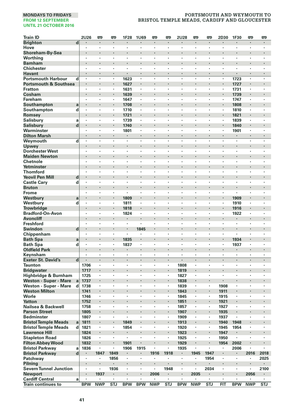| <b>Train ID</b>                  |             | <b>2U26</b>  | œ                    | 罒          | 1F28         | <b>1U69</b>          | Ţ                    | 罒                         | <b>2U28</b>  | œ              | 罒              | 2D30         | 1F30           | 罒          | 罒                    |
|----------------------------------|-------------|--------------|----------------------|------------|--------------|----------------------|----------------------|---------------------------|--------------|----------------|----------------|--------------|----------------|------------|----------------------|
| <b>Brighton</b>                  | d           | $\cdot$      | $\blacksquare$       | ٠          | ٠            | $\blacksquare$       | $\blacksquare$       | $\blacksquare$            | $\cdot$      | $\blacksquare$ | $\blacksquare$ | ٠            | $\blacksquare$ | $\cdot$    | $\blacksquare$       |
| Hove                             |             |              |                      | ×          | ł,           | $\cdot$              | ï                    | ï                         |              |                | ×              | ł,           |                |            | ï                    |
| Shoreham-By-Sea                  |             |              | $\cdot$              | ï          | ï            |                      | ï                    | $\cdot$                   |              | $\cdot$        | ï              | ٠            |                |            |                      |
| Worthing                         |             | $\cdot$      |                      | ×          | ٠            | ٠                    | ×                    | ٠                         | $\cdot$      | $\cdot$        | ×              | ٠            | ٠              | ٠          | ٠                    |
| <b>Barnham</b>                   |             |              |                      |            |              |                      |                      |                           |              |                |                |              |                |            |                      |
| <b>Chichester</b>                |             | $\cdot$      | $\cdot$              | ٠          | ٠            | ٠                    | ٠                    | ٠                         | $\cdot$      | $\cdot$        | ٠              | ٠            | ٠              | ٠          | ٠                    |
| <b>Havant</b>                    |             | $\cdot$      | $\cdot$              | ٠          | ٠            | ×                    |                      |                           | $\cdot$      | $\cdot$        | ÷              | ٠            |                |            | $\cdot$              |
| <b>Portsmouth Harbour</b>        | d           | $\cdot$      |                      | ×          | 1623         |                      | ٠                    |                           |              |                | ×              | ×            | 1723           |            | ٠                    |
| <b>Portsmouth &amp; Southsea</b> |             |              | $\cdot$              |            | 1627         | $\ddot{\phantom{0}}$ |                      | ٠                         |              | $\cdot$        | ï              |              | 1727           |            | $\ddot{\phantom{0}}$ |
| <b>Fratton</b>                   |             |              |                      | ×          | 1631         | ٠                    | $\cdot$              | ×                         |              |                | ï              | ٠            | 1731           |            |                      |
| Cosham                           |             |              |                      |            | 1639         |                      | ×                    |                           |              |                |                | ٠            | 1739           |            |                      |
| Fareham                          |             | $\cdot$      | $\cdot$              | ٠          | 1647<br>1708 | $\cdot$              |                      | ٠                         | ٠            | $\cdot$        | ٠<br>ï         | ٠            | 1747<br>1808   | ٠          | ٠<br>×               |
| Southampton                      | a           | $\cdot$      | $\cdot$              | ×          |              | ×                    |                      | ×                         | $\cdot$      |                | ÷,             | ×            | 1810           | ï          |                      |
| Southampton<br>Romsey            | d           |              |                      |            | 1710<br>1721 |                      |                      |                           |              |                |                | ×            | 1821           |            |                      |
| <b>Salisbury</b>                 | a           |              |                      |            | 1739         | $\cdot$              | ,                    |                           |              |                | ï              | ł,           | 1839           |            |                      |
| <b>Salisbury</b>                 | d           |              | $\bullet$            |            | 1740         | ٠                    |                      |                           |              |                |                | ٠            | 1840           |            | ٠                    |
| Warminster                       |             | $\cdot$      | $\cdot$              | ٠          | 1801         | $\cdot$              | ÷,                   | ÷,                        |              | $\cdot$        | ٠              | ×            | 1901           | ×          | ×                    |
| <b>Dilton Marsh</b>              |             |              | $\cdot$              | ä,         | ł.           | ×                    |                      |                           | $\cdot$      | $\cdot$        | ä,             | ä,           |                | ï          |                      |
| Weymouth                         | d           | l,           |                      | J.         | ï            | ÷.                   | ÷,                   | $\ddot{\phantom{0}}$      | l,           | ÷,             | J.             | ï            | ł,             | ÷,         | $\ddot{\phantom{0}}$ |
| Upwey                            |             |              |                      |            | ł            |                      |                      |                           |              |                | ï              | ×            |                |            |                      |
| <b>Dorchester West</b>           |             | ٠            | $\cdot$              | ٠          | ٠            | ٠                    | ٠                    | ٠                         | ,            | ,              | ٠              | ×            | ٠              | ٠          | ٠                    |
| <b>Maiden Newton</b>             |             |              |                      |            | ł            | $\ddot{\phantom{0}}$ |                      |                           |              |                |                | ×            | ٠              |            |                      |
| Chetnole                         |             |              |                      | ×          | ٠            | $\cdot$              | ٠                    | ٠                         |              |                | ×              | ï            | ٠              | ï          | $\cdot$              |
| Yetminster                       |             |              |                      | ï          | l,           |                      | l,                   |                           |              |                | ï              | ï            |                | l,         |                      |
| <b>Thornford</b>                 |             | $\cdot$      | $\cdot$              | ٠          | ٠            | $\ddot{\phantom{a}}$ | ×                    | ×                         | $\cdot$      | $\cdot$        | ×              | ×            | ×              | ×          | ×                    |
| <b>Yeovil Pen Mill</b>           | d           |              |                      |            |              |                      |                      |                           |              |                |                |              |                |            |                      |
| <b>Castle Cary</b>               | d           | $\cdot$      | $\cdot$              | ٠          | ٠            | ٠                    | ٠                    | ٠                         | $\cdot$      | $\cdot$        | ٠              | ٠            | ٠              | ٠          | ٠                    |
| <b>Bruton</b>                    |             |              | $\blacksquare$       |            |              | ٠                    |                      |                           |              |                |                | ٠            | ٠              |            | ٠                    |
| Frome                            |             | ٠            |                      | ï          |              |                      |                      |                           |              |                | ×              | ï            |                |            |                      |
| Westbury                         | a           |              |                      | l,         | 1809         | l,                   |                      | ×,                        |              | $\cdot$        | ï              | l,           | 1909           |            | l,                   |
| Westbury                         | d           |              |                      | ٠          | 1811         | $\cdot$              | ×                    | $\ddot{\phantom{0}}$      | $\cdot$      | $\cdot$        | ä,             | ٠            | 1910           |            | ÷,                   |
| <b>Trowbridge</b>                |             |              |                      |            | 1818         | ×                    |                      |                           |              |                |                | ×            | 1916           |            |                      |
| <b>Bradford-On-Avon</b>          |             | $\cdot$      | $\cdot$              | ٠          | 1824         | $\ddot{\phantom{a}}$ | ×                    | ٠                         |              | ٠              | ٠              | ×            | 1922           | ,          | ٠                    |
| <b>Avoncliff</b>                 |             |              |                      |            |              | $\ddot{\phantom{0}}$ |                      |                           |              |                | ï              | ł.           |                |            | $\ddot{\phantom{0}}$ |
| Freshford                        |             |              |                      | ï          | ,            | ×                    | ï                    | ï                         |              |                | ł,             | ï            | ł,             | ï          | ï                    |
| Swindon                          | d           |              |                      | ï          |              | 1845                 | ٠                    |                           |              |                | ï              | ×            |                |            | $\ddot{\phantom{0}}$ |
| Chippenham                       |             |              |                      | ï          | ï            |                      | ï                    | ٠                         |              |                |                | ×,           | ,              |            |                      |
| <b>Bath Spa</b>                  | a           |              | $\bullet$            | ×          | 1835         | ٠                    |                      |                           |              |                |                | ٠            | 1934           |            | ٠                    |
| <b>Bath Spa</b>                  | d           | $\cdot$      | $\cdot$              | ٠          | 1837         | ٠                    | ٠                    | ٠                         | $\cdot$      | $\cdot$        | ٠              | ٠            | 1937           | ٠          | ٠                    |
| <b>Oldfield Park</b>             |             |              |                      | ï          | ł.           |                      | ï                    |                           |              |                | i,             | i,           |                | ï          |                      |
| Keynsham                         |             | $\cdot$      | $\cdot$              | ٠          | ٠            | $\cdot$              | ٠                    | $\cdot$                   |              |                | ×              | ٠            | $\cdot$        | ٠          | ٠                    |
| <b>Exeter St. David's</b>        | $\mathbf d$ |              | $\ddot{\phantom{0}}$ | J.         |              | $\ddot{\phantom{0}}$ | ÷.                   | ÷.                        | $\cdot$      | $\cdot$        | $\cdot$        | $\cdot$      | $\cdot$        | $\cdot$    | ÷.                   |
| <b>Taunton</b>                   |             | 1706         | $\cdot$              | ٠          | ٠            | ٠                    | $\cdot$              | $\cdot$                   | 1808         |                | ٠              | ×            | ٠              | ٠          | ٠                    |
| <b>Bridgwater</b>                |             | 1717         | $\bullet$            |            |              | ٠                    | ×                    | $\blacksquare$            | 1819         | $\cdot$        |                | ٠            | ٠              |            | ٠                    |
| Highbridge & Burnham             |             | 1725         |                      | ×          | ٠            | $\cdot$              | $\cdot$              | $\cdot$                   | 1827         |                | ×              | ï            | ٠              |            | $\cdot$              |
| <b>Weston - Super - Mare</b>     | a           | 1737         |                      | ï          | ï            |                      |                      | l,                        | 1838         |                | ï              |              | ï              |            |                      |
| Weston - Super - Mare            | d           | 1738         | $\cdot$              | ٠          | ×            | $\ddot{\phantom{a}}$ | ×                    | $\ddot{\phantom{0}}$<br>¢ | 1839         |                | $\bullet$      | 1908         | ×              | ×          | ×                    |
| <b>Weston Milton</b>             |             | 1741         |                      |            |              |                      | ×,                   |                           | 1843         |                | i,             | 1911         |                |            |                      |
| Worle<br><b>Yatton</b>           |             | 1746         | $\cdot$<br>$\bullet$ | ٠          | ×            | ٠                    | ×                    | ٠<br>$\blacksquare$       | 1845         | $\bullet$      | ٠<br>٠         | 1915         | ٠<br>٠         | ٠          | ٠<br>٠               |
| Nailsea & Backwell               |             | 1752<br>1758 |                      |            | ï            | l,                   | ï                    |                           | 1851<br>1857 |                | ł,             | 1921<br>1927 |                |            |                      |
| <b>Parson Street</b>             |             | 1805         |                      | ï          | i,           |                      |                      | $\cdot$                   | 1907         | $\cdot$        | ï              | 1935         |                | ï          | $\cdot$              |
| <b>Bedminster</b>                |             | 1807         | $\cdot$              | ٠          |              | $\ddot{\phantom{a}}$ | $\ddot{\phantom{0}}$ | $\ddot{\phantom{0}}$      | 1909         |                | ٠              | 1937         |                | ٠          | $\ddot{\phantom{0}}$ |
| <b>Bristol Temple Meads</b>      | a           | 1811         |                      |            | 1849         |                      |                      |                           | 1913         |                | ï              | 1940         | 1948           |            |                      |
| <b>Bristol Temple Meads</b>      | d           | 1821         | $\cdot$              | ٠          | 1854         | ٠                    | ٠                    | ٠                         | 1920         | $\cdot$        | ٠              | 1945         | 1954           | ٠          | ٠                    |
| <b>Lawrence Hill</b>             |             | 1824         |                      |            | ł.           |                      |                      | $\cdot$                   | 1923         | $\cdot$        |                | 1947         |                |            |                      |
| <b>Stapleton Road</b>            |             | 1826         | $\cdot$              | ł,         | ×            | ×                    | ï                    | $\cdot$                   | 1925         | $\cdot$        | ×              | 1950         | $\cdot$        | ï          | $\cdot$              |
| <b>Filton Abbey Wood</b>         |             | 1832         |                      | ï          | 1901         |                      |                      |                           | 1929         |                | ï              | 1954         | 2002           |            |                      |
| <b>Bristol Parkway</b>           | a           | 1836         |                      | ٠          | 1906         | 1915                 | ٠                    | ٠                         | 1935         |                | ï              | ٠            | 2006           | ï          |                      |
| <b>Bristol Parkway</b>           | $\mathbf d$ | ٠            | 1847                 | 1849       | ٠            |                      | 1916                 | 1918                      | $\bullet$    | 1945           | 1947           | ٠            |                | 2016       | 2018                 |
| Patchway                         |             | $\cdot$      | $\blacksquare$       | 1856       | ٠            | $\bullet$            | ٠                    | ٠                         | ٠            |                | 1954           | ٠            | ٠              | ٠          | 2025                 |
| Pilning                          |             |              |                      |            |              |                      |                      |                           |              |                |                |              |                |            |                      |
| <b>Severn Tunnel Junction</b>    |             | $\cdot$      | $\cdot$              | 1936       | ٠            | $\cdot$              | ×                    | 1948                      |              | $\cdot$        | 2034           | ٠            | ٠              | ٠          | 2100                 |
| <b>Newport</b>                   |             |              | 1937                 | ٠          |              | $\blacksquare$       | 2006                 | $\blacksquare$            |              | 2035           |                |              |                | 2056       |                      |
| <b>Cardiff Central</b>           | a           |              |                      |            |              |                      |                      |                           |              |                |                | ×            |                |            |                      |
| <b>Train continues to</b>        |             | <b>BPW</b>   | <b>NWP</b>           | <b>STJ</b> | <b>BPW</b>   | <b>BPW</b>           | <b>NWP</b>           | <b>STJ</b>                | <b>BPW</b>   | <b>NWP</b>     | <b>STJ</b>     | FIT          | <b>BPW</b>     | <b>NWP</b> | <b>STJ</b>           |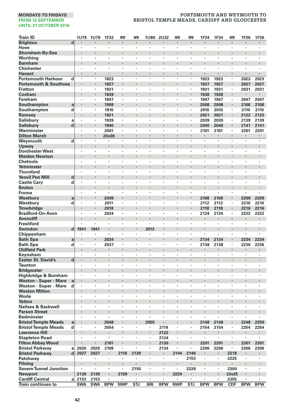| <b>Train ID</b>                  |                         | 1U79                            | 1U79           | 1F32       | 罒          | 罒                    | <b>1U80</b>          | 2U32                 | 罒                    | 罒                    | 1F34           | 1F34         | 罒                        | 1F36                 | 1F36           |
|----------------------------------|-------------------------|---------------------------------|----------------|------------|------------|----------------------|----------------------|----------------------|----------------------|----------------------|----------------|--------------|--------------------------|----------------------|----------------|
| <b>Brighton</b>                  | $\overline{\mathbf{d}}$ |                                 |                |            | ×          | $\cdot$              |                      |                      | $\cdot$              | $\cdot$              |                |              | $\cdot$                  |                      |                |
| Hove                             |                         |                                 |                |            |            |                      | ٠                    |                      | $\cdot$              |                      | ï              | ï            | ٠                        |                      |                |
| Shoreham-By-Sea                  |                         |                                 |                |            |            | $\blacksquare$       |                      |                      | $\cdot$              |                      | ×              |              | ٠                        |                      |                |
| Worthing                         |                         | $\cdot$                         | $\cdot$        | ٠          | ×          | ٠                    | ٠                    | ٠                    | $\ddot{\phantom{0}}$ | $\ddot{\phantom{0}}$ | ×              | ٠            | $\overline{\phantom{a}}$ | $\ddot{\phantom{0}}$ | ٠              |
| <b>Barnham</b>                   |                         |                                 |                |            |            | ×                    |                      |                      |                      |                      | ł.             |              |                          |                      |                |
| <b>Chichester</b>                |                         | $\cdot$                         | $\cdot$        | ×          | ×          | ×                    | l,                   | $\cdot$              | $\cdot$              | $\cdot$              | ٠              | ÷,           | ×                        | ×                    |                |
| <b>Havant</b>                    |                         |                                 | $\cdot$        | ł.         |            |                      | ï                    |                      | $\cdot$              |                      | ä,             | ï            |                          | $\cdot$              |                |
| <b>Portsmouth Harbour</b>        | d                       | $\cdot$                         |                | 1823       | ł,         | ł.                   | ł.                   |                      | $\cdot$              |                      | 1923           | 1923         | ÷,                       | 2023                 | 2023           |
| <b>Portsmouth &amp; Southsea</b> |                         | $\bullet$                       | $\blacksquare$ | 1827       |            | ٠                    |                      |                      |                      |                      | 1927           | 1927         | $\blacksquare$           | 2027                 | 2027           |
| <b>Fratton</b>                   |                         |                                 |                | 1831       | ï          | ï                    | ï                    |                      |                      |                      | 1931           | 1931         | ï                        | 2031                 | 2031           |
| Cosham                           |                         | $\cdot$                         | $\cdot$        | 1839       | l,         | $\cdot$              | ï                    |                      |                      |                      | 1938           | 1938         | l,                       |                      | ٠              |
| Fareham                          |                         |                                 |                | 1847       | ×,         | ٠                    | ï                    | $\cdot$              | $\cdot$              |                      | 1947           | 1947         | $\cdot$                  | 2047                 | 2047           |
| Southampton                      | a                       |                                 | $\bullet$      | 1908       |            | ٠                    |                      |                      |                      |                      | 2008           | 2008         |                          | 2108                 | 2108           |
| Southampton                      | d                       | $\cdot$                         |                | 1910       | ٠          | $\cdot$              | ×                    | ٠                    | $\cdot$              | $\cdot$              | 2010           | 2010         | $\cdot$                  | 2110                 | 2110           |
| Romsey                           |                         |                                 |                | 1921       |            |                      |                      |                      |                      |                      | 2021           | 2021         |                          | 2122                 | 2122           |
| Salisbury                        | a                       | $\cdot$                         |                | 1939       | ×          | $\cdot$              | ł.                   | $\cdot$              | $\cdot$              |                      | 2039           | 2039         | ×                        | 2139                 | 2139           |
| <b>Salisbury</b>                 | $\mathbf d$             |                                 | $\cdot$        | 1940       |            |                      |                      |                      |                      |                      | 2040           | 2040         |                          | 2141                 | 2141           |
| Warminster                       |                         | $\cdot$                         |                | 2001       | ×          | ٠                    |                      |                      |                      |                      | 2101           | 2101         | $\cdot$                  | 2201                 | 2201           |
| <b>Dilton Marsh</b>              |                         | $\cdot$                         | $\cdot$        | 20x06      | $\cdot$    | $\cdot$              | $\ddot{\phantom{0}}$ |                      |                      | $\cdot$              | $\mathbf{r}$ . | $\mathbf{r}$ | $\ddot{\phantom{0}}$     | ٠                    | $\epsilon$     |
| Weymouth                         | d                       | $\cdot$                         | $\cdot$        | ٠          | ×          | $\cdot$              | ٠                    | $\cdot$              | $\cdot$              |                      | ×,             | ٠            | $\cdot$                  | ×,                   | $\blacksquare$ |
| Upwey                            |                         | $\cdot$                         | $\cdot$        | l,         | ï          | ٠                    |                      |                      |                      |                      | ٠              | ï            |                          | ٠                    |                |
| <b>Dorchester West</b>           |                         | $\cdot$                         | $\cdot$        | ٠          | ٠          | $\cdot$              | ×                    | $\cdot$              | $\cdot$              | $\cdot$              | ٠              | ٠            | ×                        | ٠                    | $\cdot$        |
| <b>Maiden Newton</b>             |                         |                                 |                |            |            |                      |                      |                      |                      |                      |                |              |                          |                      |                |
| Chetnole                         |                         | $\cdot$                         | $\cdot$        | ٠          | ٠          | ٠                    | ٠                    | ٠                    | $\cdot$              | ,                    | ×              | ٠            | ٠                        | ٠                    | ٠              |
| Yetminster                       |                         |                                 |                |            |            | ×                    |                      |                      |                      |                      | ł.             |              | ٠                        |                      |                |
| <b>Thornford</b>                 |                         |                                 |                | l,         | l,         | ï                    | ł,                   |                      |                      |                      | ï              | ł,           | ï                        | ï                    |                |
| <b>Yeovil Pen Mill</b>           | d                       |                                 | $\cdot$        |            | ï          | $\ddot{\phantom{0}}$ |                      |                      |                      |                      | ٠              | ï            | ٠                        |                      |                |
| <b>Castle Cary</b>               | d                       |                                 |                |            | ï          | ,                    | ï                    |                      |                      |                      |                | ï            | ï                        |                      |                |
| <b>Bruton</b>                    |                         |                                 | $\cdot$        | ٠          | ٠          | ٠                    |                      |                      |                      |                      | ٠              |              | ٠                        | ٠                    |                |
| Frome                            |                         | $\cdot$                         |                |            | ï          | ×                    | ×                    |                      | $\ddot{\phantom{0}}$ | $\ddot{\phantom{a}}$ | ä,             | ٠            | ×                        | ÷,                   | ï              |
| Westbury                         | a                       |                                 | $\cdot$        | 2009       | ï          | ×                    |                      |                      |                      |                      | 2108           | 2108         |                          | 2209                 | 2209           |
| Westbury                         | d                       | $\cdot$                         | $\cdot$        | 2011       | $\cdot$    | ×                    | ×                    | $\cdot$              | $\cdot$              | $\cdot$              | 2112           | 2112         | ×                        | 2210                 | 2210           |
| <b>Trowbridge</b>                |                         |                                 |                | 2018       |            |                      |                      |                      |                      |                      | 2118           | 2118         |                          | 2216                 | 2216           |
| Bradford-On-Avon                 |                         | $\cdot$                         | $\cdot$        | 2024       | ٠          | ٠                    | ٠                    | $\cdot$              | $\cdot$              | $\cdot$              | 2124           | 2124         | $\cdot$                  | 2222                 | 2222           |
| <b>Avoncliff</b>                 |                         | $\bullet$                       | $\cdot$        |            |            | ٠                    |                      |                      |                      |                      |                |              | ٠                        |                      |                |
| <b>Freshford</b>                 |                         |                                 |                | ï          | ï          | ï                    | ï                    |                      |                      |                      | ï              | ł,           | ï                        | ï                    | $\cdot$        |
| <b>Swindon</b>                   | $\mathbf d$             | 1941                            | 1941           | ï          | ï          |                      | 2012                 |                      |                      |                      | l,             | ï            | l,                       |                      |                |
| Chippenham                       |                         |                                 |                | ٠          | ï          | ٠                    |                      |                      | $\cdot$              |                      | ×,             | ٠            | $\cdot$                  | ٠                    |                |
| <b>Bath Spa</b>                  | a                       | $\centering \label{eq:reduced}$ | $\bullet$      | 2034       |            | ٠                    |                      |                      |                      |                      | 2134           | 2134         | ٠                        | 2234                 | 2234           |
| <b>Bath Spa</b>                  | d                       | $\cdot$                         | $\cdot$        | 2037       | ٠          | ٠                    | ٠                    | ٠                    | $\cdot$              | $\cdot$              | 2138           | 2138         | ٠                        | 2236                 | 2236           |
| <b>Oldfield Park</b>             |                         |                                 |                |            |            |                      |                      |                      |                      |                      |                |              |                          |                      |                |
| Keynsham                         |                         | $\cdot$                         | $\cdot$        | ٠          | ٠          | ٠                    | ×                    | $\cdot$              | $\cdot$              | $\cdot$              | ×,             | ×            | $\cdot$                  | ٠                    |                |
| <b>Exeter St. David's</b>        | d                       | $\cdot$                         | $\cdot$        | J.         | l,         |                      | ÷,                   | $\cdot$              | $\ddot{\phantom{0}}$ | $\cdot$              |                | $\cdot$      | $\cdot$                  | $\cdot$              | $\cdot$        |
| <b>Taunton</b>                   |                         | ٠                               | $\cdot$        | ٠          | ٠          | ٠                    | ٠                    | ٠                    | $\cdot$              | ,                    | ×              | ٠            | $\cdot$                  | ٠                    | $\cdot$        |
| <b>Bridgwater</b>                |                         |                                 | $\cdot$        |            |            | ٠                    |                      |                      |                      |                      | ×              |              | ٠                        |                      |                |
| Highbridge & Burnham             |                         | $\cdot$                         |                |            | ï          | ٠                    | ٠                    |                      | $\cdot$              |                      | ï              | ×            | $\cdot$                  | ٠                    |                |
| <b>Weston - Super - Mare</b>     | a                       |                                 | $\cdot$        | ï          | ï          | $\ddot{\phantom{0}}$ | l,                   |                      |                      |                      | ï              | ï            |                          | $\ddot{\phantom{0}}$ |                |
| Weston - Super - Mare            | d                       | $\cdot$                         | l.             | ٠          | ï          | $\ddot{\phantom{0}}$ | $\ddot{\phantom{0}}$ | $\ddot{\phantom{0}}$ | $\ddot{\phantom{0}}$ | l.                   | ٠              | J.           | i.                       | $\ddot{\phantom{0}}$ | ÷,             |
| <b>Weston Milton</b>             |                         |                                 |                |            |            |                      |                      |                      |                      |                      |                |              |                          |                      |                |
| Worle                            |                         | ٠                               | $\cdot$        | ٠          | ×          | ٠                    | ٠                    | ,                    | ٠                    | $\cdot$              | ٠              | ٠            | ٠                        | ٠                    | $\cdot$        |
| <b>Yatton</b>                    |                         | $\cdot$                         | $\cdot$        |            |            | ×                    |                      |                      |                      |                      | ×              |              | ×,                       | ×                    |                |
| Nailsea & Backwell               |                         | $\cdot$                         |                | ×          | ٠          | ×                    | ÷,                   | $\cdot$              | $\cdot$              | $\cdot$              | ٠              | ÷,           | ×                        | ×                    | $\cdot$        |
| <b>Parson Street</b>             |                         |                                 | $\cdot$        |            | ï          | $\cdot$              |                      |                      |                      |                      | ×              | ï            | ٠                        |                      |                |
| <b>Bedminster</b>                |                         |                                 |                |            | ×          |                      |                      |                      |                      |                      |                |              | ï                        |                      |                |
| <b>Bristol Temple Meads</b>      | a                       | $\cdot$                         | $\cdot$        | 2048       |            | ٠                    | 2055                 |                      |                      |                      | 2148           | 2148         | ٠                        | 2248                 | 2250           |
| <b>Bristol Temple Meads</b>      | d                       | $\cdot$                         |                | 2054       | ٠          | $\cdot$              |                      | 2119                 | $\cdot$              |                      | 2154           | 2154         | $\cdot$                  | 2254                 | 2254           |
| <b>Lawrence Hill</b>             |                         |                                 | $\cdot$        |            | ï          | ×                    | ï                    | 2122                 |                      |                      |                |              | ï                        |                      |                |
| <b>Stapleton Road</b>            |                         | $\cdot$                         | $\cdot$        | ×          | ×          | ×                    | ×                    | 2124                 | $\cdot$              | $\cdot$              | $\blacksquare$ | $\bullet$    | ×                        | ×                    | $\cdot$        |
| <b>Filton Abbey Wood</b>         |                         |                                 | $\cdot$        | 2101       |            |                      |                      | 2130                 |                      |                      | 2201           | 2201         |                          | 2301                 | 2301           |
| <b>Bristol Parkway</b>           | a                       | 2020                            | 2020           | 2108       | ×          | $\cdot$              | ٠                    | 2134                 | $\cdot$              |                      | 2206           | 2206         | $\blacksquare$           | 2306                 | 2306           |
| <b>Bristol Parkway</b>           | d                       | 2027                            | 2027           | ٠          | 2118       | 2120                 |                      |                      | 2144                 | 2146                 | ٠              | ٠            | 2218                     | ٠                    |                |
| Patchway                         |                         |                                 |                | ٠          | ×          |                      | ł,                   | $\cdot$              |                      | 2153                 | ×,             | $\epsilon$   | 2225                     | ï                    |                |
| Pilning                          |                         |                                 | $\cdot$        |            | ï          | $\cdot$              |                      |                      | $\cdot$              |                      |                |              |                          | $\cdot$              |                |
| <b>Severn Tunnel Junction</b>    |                         |                                 |                | ×          |            | 2150                 | ï                    |                      |                      | 2228                 | ٠              | ×            | 2300                     |                      |                |
| <b>Newport</b>                   |                         | 2139                            | 2139           | ٠          | 2158       | ٠                    |                      |                      | 2224                 | ٠                    | ٠              | ï            | 23s25                    | ٠                    |                |
| <b>Cardiff Central</b>           | a                       | 2153                            | 2153           |            |            | ٠                    | ٠                    | $\cdot$              |                      | $\cdot$              | ٠              | ٠            | 2355                     |                      |                |
| <b>Train continues to</b>        |                         | <b>SWA</b>                      | <b>SWA</b>     | <b>BPW</b> | <b>NWP</b> | <b>STJ</b>           | <b>BRI</b>           | <b>BPW</b>           | <b>NWP</b>           | <b>STJ</b>           | <b>BPW</b>     | <b>BPW</b>   | <b>CDF</b>               | <b>BPW</b>           | <b>BPW</b>     |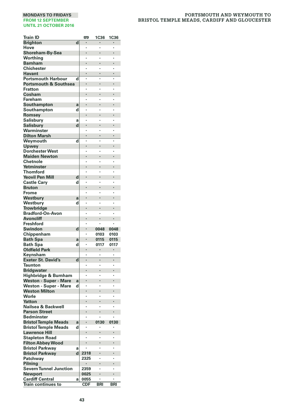| <b>Train ID</b>                                     |        | œ           | <b>1C36</b>  | <b>1C36</b>     |
|-----------------------------------------------------|--------|-------------|--------------|-----------------|
| <b>Brighton</b>                                     | d      |             |              | ۰               |
| Hove                                                |        |             |              | ï               |
| Shoreham-By-Sea                                     |        |             |              |                 |
| Worthing                                            |        |             |              | ï               |
| <b>Barnham</b>                                      |        |             |              |                 |
| Chichester<br><b>Havant</b>                         |        |             |              |                 |
| <b>Portsmouth Harbour</b>                           | d      |             |              |                 |
| <b>Portsmouth &amp; Southsea</b>                    |        |             |              |                 |
| Fratton                                             |        |             |              |                 |
| Cosham                                              |        |             |              | ï               |
| Fareham                                             |        |             |              |                 |
| Southampton                                         | a      |             |              | ï               |
| Southampton                                         | d      |             |              |                 |
| Romsey                                              |        |             |              |                 |
| Salisbury<br>Salisbury                              | a<br>d |             |              |                 |
| Warminster                                          |        |             |              |                 |
| <b>Dilton Marsh</b>                                 |        |             |              | l               |
| Weymouth                                            | d      | Ĭ.          | ï            | ï               |
| Upwey                                               |        |             |              |                 |
| <b>Dorchester West</b>                              |        |             |              |                 |
| <b>Maiden Newton</b>                                |        |             |              |                 |
| Chetnole                                            |        |             |              | ï               |
| Yetminster                                          |        |             |              |                 |
| <b>Thornford</b>                                    |        |             |              |                 |
| <b>Yeovil Pen Mill</b><br><b>Castle Cary</b>        | d<br>d |             |              | ï               |
| <b>Bruton</b>                                       |        |             |              |                 |
| Frome                                               |        |             |              | ï               |
| Westbury                                            | a      |             |              |                 |
| Westbury                                            | d      |             |              |                 |
| Trowbridge                                          |        |             |              |                 |
| Bradford-On-Avon                                    |        |             |              | ï               |
| <b>Avoncliff</b>                                    |        |             |              |                 |
| Freshford                                           |        |             |              |                 |
| Swindon                                             | d      |             | 0048<br>0103 | 0048<br>0103    |
| Chippenham<br><b>Bath Spa</b>                       | a      |             | 0115         | 0115            |
| <b>Bath Spa</b>                                     | d      |             | 0117         | 0117            |
| <b>Oldfield Park</b>                                |        |             |              |                 |
| Keynsham                                            |        |             |              |                 |
| <b>Exeter St. David's</b>                           | d      |             |              | ł               |
| Taunton                                             |        |             |              |                 |
| <b>Bridgwater</b>                                   |        |             |              | ï               |
| Highbridge & Burnham                                |        |             |              | ï               |
| Weston - Super - Mare<br>Weston - Super - Mare      | a<br>d |             |              |                 |
| <b>Weston Milton</b>                                |        |             |              |                 |
| Worle                                               |        |             |              |                 |
| Yatton                                              |        |             |              |                 |
| Nailsea & Backwell                                  |        |             |              |                 |
| <b>Parson Street</b>                                |        |             |              |                 |
| Bedminster                                          |        |             |              |                 |
| <b>Bristol Temple Meads</b>                         | a      |             | 0130         | 0130            |
| <b>Bristol Temple Meads</b>                         | d      |             |              |                 |
| <b>Lawrence Hill</b><br><b>Stapleton Road</b>       |        |             |              | ٠               |
| <b>Filton Abbey Wood</b>                            |        |             |              |                 |
| <b>Bristol Parkway</b>                              | a      |             |              |                 |
| <b>Bristol Parkway</b>                              | d      | 2318        |              |                 |
| Patchway                                            |        | 2325        |              |                 |
| Pilning                                             |        |             |              |                 |
| <b>Severn Tunnel Junction</b>                       |        | 2359        |              |                 |
| <b>Newport</b>                                      |        | 0025        |              |                 |
| <b>Cardiff Central</b><br><b>Train continues to</b> | a      | 0055<br>CDF | <b>BRI</b>   | ï<br><b>BRI</b> |
|                                                     |        |             |              |                 |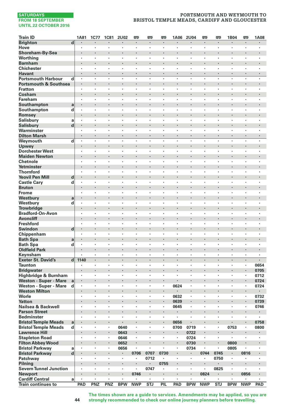# **PORTSMOUTH AND WEYMOUTH TO BRISTOL TEMPLE MEADS, CARDIFF AND GLOUCESTER**

| <b>Train ID</b>                            |                         | 1A81           | <b>1C77</b>          | <b>1C81</b> | <b>2U02</b> | œ                    | <b>emp</b>              | <b>emp</b>         | 1A06                 | <b>2U04</b>               | œ              | <b>P</b>       | 1B04                 | <b>emp</b>     | <b>1A08</b> |
|--------------------------------------------|-------------------------|----------------|----------------------|-------------|-------------|----------------------|-------------------------|--------------------|----------------------|---------------------------|----------------|----------------|----------------------|----------------|-------------|
| <b>Brighton</b>                            | $\overline{\mathbf{d}}$ |                |                      |             |             | $\cdot$              | ×,                      | $\cdot$            | $\cdot$              |                           | ٠              | $\blacksquare$ | ×                    | ×,             |             |
| Hove                                       |                         | ٠              | $\cdot$              | ٠           | ٠           | $\blacksquare$       | $\cdot$                 | $\cdot$            | $\cdot$              |                           | ٠              | ٠              | ×                    | $\cdot$        |             |
| Shoreham-By-Sea                            |                         | $\cdot$        | $\cdot$              | ٠           | ł,          | ×                    |                         | $\cdot$            | $\cdot$              |                           | ٠              | ł.             | ٠                    |                | $\cdot$     |
| Worthing                                   |                         |                |                      | ï           | ï           |                      |                         |                    |                      |                           |                | ï              |                      | ï              |             |
| <b>Barnham</b>                             |                         |                |                      | ł.          | ï           |                      | ï                       | $\cdot$            |                      | $\cdot$                   | ï              | ï              | $\ddot{\phantom{0}}$ |                | $\cdot$     |
| <b>Chichester</b>                          |                         | $\cdot$        | $\cdot$              |             | ï           | ×                    |                         | l.                 | i.                   | $\cdot$                   |                | ä,             | ł.                   |                | $\cdot$     |
| <b>Havant</b>                              |                         | $\blacksquare$ | $\blacksquare$       | ٠           | ٠           |                      |                         | $\bullet$          | $\cdot$              | $\blacksquare$            | ٠              | ٠              | $\blacksquare$       | $\blacksquare$ | $\cdot$     |
| <b>Portsmouth Harbour</b>                  | d                       | $\cdot$        | $\cdot$              | ×           | ×.          | $\ddot{\phantom{a}}$ | $\ddot{\phantom{a}}$    | $\cdot$            | $\cdot$              | $\cdot$                   | ×              | $\bullet$      | ×                    | ×              | $\cdot$     |
| <b>Portsmouth &amp; Southsea</b>           |                         | $\cdot$        | $\cdot$              | ٠           |             |                      |                         | $\cdot$            |                      | $\cdot$                   | ł.             | ı,             |                      |                | $\cdot$     |
| <b>Fratton</b>                             |                         | $\cdot$        | $\cdot$              | ٠           | ×,          | $\cdot$              | $\cdot$                 | $\cdot$            | $\cdot$              |                           | ٠              | ٠              | ٠                    | $\cdot$        |             |
| Cosham                                     |                         | ۰              |                      | l,          |             |                      |                         |                    |                      | $\cdot$                   | l,             | ï              |                      |                |             |
| Fareham                                    |                         | ٠              | $\cdot$              | ×           | ٠           | ٠                    | ٠                       | $\cdot$            |                      |                           | ×              | ×              | ٠                    | ٠              |             |
| Southampton                                | a                       |                | $\cdot$              | ×           | ï           | $\ddot{\phantom{0}}$ |                         |                    |                      | ٠                         |                | ï              | ٠                    |                |             |
| Southampton                                | d                       | $\cdot$        | $\cdot$              | ٠           | ×,          |                      |                         | $\cdot$            |                      |                           | ×              | ٠              |                      | ٠              |             |
| Romsey                                     |                         |                | $\cdot$              | l,          | l,          |                      |                         | $\cdot$            |                      | $\cdot$                   | l,             | ï              | $\ddot{\phantom{0}}$ |                |             |
| <b>Salisbury</b>                           | a                       | $\cdot$        | $\cdot$              | ×           | ٠           | ×                    | ×                       | $\cdot$            | $\cdot$              | $\cdot$                   | ×              | ×.             | ×                    | ×              | $\cdot$     |
| <b>Salisbury</b>                           | $\mathbf d$             |                | $\cdot$              |             |             |                      |                         | $\cdot$            |                      |                           |                |                |                      |                | $\cdot$     |
| Warminster                                 |                         | $\cdot$        | $\cdot$              | ٠           | ×           | ٠                    | ٠                       | $\cdot$            | $\ddot{\phantom{0}}$ |                           | ٠              | ٠              | ٠                    | ٠              |             |
| <b>Dilton Marsh</b>                        |                         | $\cdot$        | $\cdot$              | ×           | ×           | $\ddot{\phantom{0}}$ |                         | $\cdot$            | $\cdot$              | $\cdot$                   | ×              | ٠              | $\cdot$              | ٠              | $\cdot$     |
| Weymouth                                   | d                       | l,             | $\cdot$              | ł,          | ï           | l,                   | l,                      | l,                 | l,                   | l,                        | ł,             | ł,             | ł.                   | l,             |             |
| Upwey                                      |                         |                | $\cdot$              |             | ×           | ×                    |                         | $\cdot$            |                      | $\cdot$                   | ï              | ï              | ٠                    |                | $\cdot$     |
| <b>Dorchester West</b>                     |                         | ٠              | $\cdot$              | ï           | ï           | ٠                    | ł,                      |                    |                      |                           | ×              | ï              | ï                    | ٠              |             |
| <b>Maiden Newton</b>                       |                         |                | $\cdot$              | ٠           | ×           | ٠                    | ×                       | $\cdot$            |                      | $\cdot$                   | ×              |                | ٠                    | ×              | $\cdot$     |
| Chetnole                                   |                         | ٠              | $\cdot$              | ٠<br>ï      | ٠<br>l,     |                      | $\cdot$<br>ï            | $\cdot$            |                      |                           | ×<br>ï         | ٠<br>ï         | ٠                    | $\cdot$<br>ï   |             |
| Yetminster                                 |                         | $\cdot$        | $\cdot$              | ×           | ٠           | ×                    | ×                       | $\cdot$<br>$\cdot$ | $\cdot$              | $\cdot$                   | ×              | ×.             | ×                    | ×              | $\cdot$     |
| <b>Thornford</b><br><b>Yeovil Pen Mill</b> |                         |                |                      |             |             |                      |                         |                    |                      |                           |                |                |                      |                |             |
|                                            | d                       | $\cdot$        | $\cdot$              | ٠           | ٠           | ٠                    | ٠                       | $\cdot$            | $\cdot$              |                           | ٠              | ٠              | ٠                    | ٠              |             |
| <b>Castle Cary</b><br><b>Bruton</b>        | d                       |                | $\cdot$              | ×           | ł.          | ×                    |                         | $\cdot$            |                      | $\cdot$                   | ï              |                | ×                    |                | $\cdot$     |
| <b>Frome</b>                               |                         | $\cdot$        | $\cdot$              | ٠           | ٠           | ٠                    | ٠                       | $\cdot$            |                      |                           | ٠              | ٠              | ٠                    | ٠              |             |
| Westbury                                   | a                       |                | $\cdot$              | l,          | i,          |                      |                         | $\cdot$            |                      | $\cdot$                   |                | ï              |                      | ï              |             |
| Westbury                                   | d                       |                |                      | ï           | ï           |                      | ï                       |                    |                      |                           |                | ï              |                      | ï              |             |
| <b>Trowbridge</b>                          |                         |                | $\cdot$              | ٠           | ×           | ٠                    | ×                       | $\cdot$            |                      | $\cdot$                   |                |                | ٠                    | ×              | $\cdot$     |
| <b>Bradford-On-Avon</b>                    |                         | $\cdot$        | $\cdot$              | ×           | ×,          | ,                    | ×                       | $\cdot$            | $\cdot$              | $\cdot$                   | ٠              | ٠              | ×                    | ×              | $\cdot$     |
| <b>Avoncliff</b>                           |                         |                | $\cdot$              |             | ł,          |                      | ï                       |                    |                      |                           |                |                |                      |                |             |
| <b>Freshford</b>                           |                         | $\cdot$        | $\cdot$              | ×           | ٠           | ×                    | ×                       | $\cdot$            | $\cdot$              | $\cdot$                   | ×              | ٠              | ×                    | ×              | $\cdot$     |
| Swindon                                    | d                       |                |                      |             |             |                      |                         |                    |                      | $\cdot$                   |                |                |                      |                |             |
| Chippenham                                 |                         | $\cdot$        | $\cdot$              | ٠           | ٠           | ٠                    | ٠                       | $\cdot$            | $\cdot$              |                           | ٠              | ٠              | ٠                    | ٠              |             |
| <b>Bath Spa</b>                            | a                       | $\blacksquare$ | $\blacksquare$       | ٠           |             | ٠                    |                         | $\bullet$          |                      | $\bullet$                 |                |                | ٠                    |                | $\cdot$     |
| <b>Bath Spa</b>                            | d                       | ٠              | $\cdot$              | ×           |             | ٠                    | ł,                      | $\cdot$            |                      |                           | ×              | ×              | ٠                    | ٠              |             |
| <b>Oldfield Park</b>                       |                         |                |                      |             | ï           | l,                   | l,                      | $\cdot$            |                      | $\cdot$                   |                | ï              | l,                   |                |             |
| Keynsham                                   |                         |                |                      | ٠           | ٠           |                      | ï                       |                    |                      |                           | ï              | ٠              | ٠                    | ï              |             |
| <b>Exeter St. David's</b>                  | $\mathbf d$             | 1140           |                      | ł.          | ï           |                      | ï                       |                    |                      |                           | ï              | ï              | ×                    |                |             |
| <b>Taunton</b>                             |                         |                | $\cdot$              | ٠           | ٠           | $\cdot$              | ٠                       | $\cdot$            | $\cdot$              | $\cdot$                   | ٠              | ٠              | ٠                    | ٠              | 0654        |
| <b>Bridgwater</b>                          |                         |                |                      | ï           | ï           |                      |                         |                    |                      |                           | l,             |                |                      |                | 0705        |
| Highbridge & Burnham                       |                         | $\cdot$        | $\cdot$              | ٠           | ×,          | $\cdot$              | $\cdot$                 | $\cdot$            |                      |                           | ٠              | ٠              | ٠                    | $\cdot$        | 0712        |
| <b>Weston - Super - Mare</b>               | a                       |                |                      |             | ×           |                      |                         | $\cdot$            |                      |                           |                |                |                      |                | 0724        |
| Weston - Super - Mare                      | d                       | $\cdot$        | $\cdot$              | ×           | ×,          |                      | ÷,                      | $\blacksquare$     | 0624                 |                           | ٠              | ×              | ×                    | $\cdot$        | 0724        |
| <b>Weston Milton</b>                       |                         | $\bullet$      | $\bullet$            | ٠           |             | ٠                    |                         | $\bullet$          |                      | $\blacksquare$            | ×              | ×,             | ٠                    | $\blacksquare$ |             |
| Worle                                      |                         |                |                      | ï           | ï           | ï                    | ï                       |                    | 0632                 |                           | ï              | ï              | ï                    | ï              | 0732        |
| <b>Yatton</b>                              |                         |                |                      | ł.          | i,          |                      | ï                       |                    | 0639                 |                           | ł.             | ï              |                      |                | 0739        |
| Nailsea & Backwell                         |                         |                |                      | ٠           | ٠           | ٠                    | ï                       |                    | 0645                 |                           | ٠              | ٠              | ٠                    | $\cdot$        | 0746        |
| <b>Parson Street</b>                       |                         |                | $\bullet$            | ×           | ×           |                      |                         | $\bullet$          |                      | $\blacksquare$            |                |                |                      |                |             |
| <b>Bedminster</b>                          |                         | $\cdot$        | $\cdot$              | ٠           | ٠           | $\cdot$              | $\cdot$                 | $\cdot$            | $\cdot$              |                           | ٠              | ×              | ٠                    | $\cdot$        | $\cdot$     |
| <b>Bristol Temple Meads</b>                | a                       |                |                      |             |             |                      |                         |                    | 0656                 | $\cdot$                   | l,             |                |                      |                | 0758        |
| <b>Bristol Temple Meads</b>                | d                       | $\cdot$        | $\cdot$              | ×,          | 0640        | ×                    | ï                       | $\cdot$            | 0700                 | 0719                      | ×,             | ٠              | 0753                 | $\cdot$        | 0800        |
| <b>Lawrence Hill</b>                       |                         |                |                      |             | 0643        |                      |                         |                    |                      | 0722                      |                |                |                      |                | $\cdot$     |
| <b>Stapleton Road</b>                      |                         | ٠              | $\cdot$              | ٠           | 0646        | $\cdot$              | ٠                       | $\cdot$            | $\cdot$              | 0724                      | ٠              | $\epsilon$     | $\blacksquare$       | ٠              |             |
| <b>Filton Abbey Wood</b>                   |                         | $\blacksquare$ | $\blacksquare$       | ٠           | 0652        | ٠                    | ×                       | $\cdot$            | $\blacksquare$       | 0730                      | ٠              |                | 0800                 | ٠              | $\cdot$     |
| <b>Bristol Parkway</b>                     | a                       | $\cdot$        |                      | ٠           | 0656        | ٠                    | $\cdot$                 |                    |                      | 0734                      | ٠              | ×,             | 0805                 | ٠              |             |
| <b>Bristol Parkway</b>                     | d                       |                |                      | ł.          | ٠           | 0706                 | 0707                    | 0730               |                      | $\blacksquare$            | 0744           | 0745           | $\blacksquare$       | 0816           | $\cdot$     |
| Patchway                                   |                         | i.             | $\cdot$              |             | ٠           |                      | 0712                    |                    | $\cdot$              |                           |                | 0750           | $\cdot$              |                | $\cdot$     |
| Pilning                                    |                         |                | $\bullet$<br>$\cdot$ |             | ٠           |                      | $\blacksquare$          | 0755               | $\cdot$              | $\blacksquare$<br>$\cdot$ |                |                | ٠                    |                | $\cdot$     |
| <b>Severn Tunnel Junction</b>              |                         |                | $\cdot$              | ٠<br>×      | ٠           | $\cdot$              | 0747<br>۰               | ٠                  |                      |                           | $\blacksquare$ | 0825           | $\cdot$<br>×         | ٠              | $\cdot$     |
| <b>Newport</b>                             |                         | $\cdot$        | $\cdot$              | ×           | ٠           | 0746                 | $\cdot$                 | $\cdot$            | $\cdot$              | $\cdot$                   | 0824           | ä,             | ×                    | 0856           | $\cdot$     |
| <b>Cardiff Central</b>                     | a                       | PAD            | PNZ                  | PNZ         | <b>BPW</b>  | <b>NWP</b>           | $\overline{\text{STJ}}$ | PIL                | PAD                  | <b>BPW</b>                | <b>NWP</b>     | STJ            | <b>BPW</b>           | <b>NWP</b>     | PAD         |
| <b>Train continues to</b>                  |                         |                |                      |             |             |                      |                         |                    |                      |                           |                |                |                      |                |             |

**The times shown are a guide to services. Amendments may be applied, so you are strongly recommended to check our online journey planners before travelling.**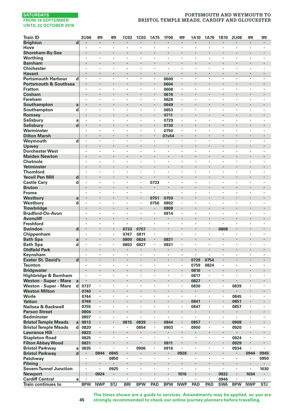# **PORTSMOUTH AND WEYMOUTH TO BRISTOL TEMPLE MEADS, CARDIFF AND GLOUCESTER**

| <b>Train ID</b>                                |                         | 2U06                | œ                    | <b>m</b>   | <b>1C02</b>  | <b>1C03</b>          | 1A75                      | <b>1F06</b>               | <b>m</b>                        | 1A10           | 1A76     | 1B10       | <b>2U08</b>               | <b>m</b>             | 罒                               |
|------------------------------------------------|-------------------------|---------------------|----------------------|------------|--------------|----------------------|---------------------------|---------------------------|---------------------------------|----------------|----------|------------|---------------------------|----------------------|---------------------------------|
| <b>Brighton</b>                                | $\overline{\mathbf{d}}$ | $\cdot$             | $\blacksquare$       | ٠          | ٠            | $\blacksquare$       | ٠                         | $\blacksquare$            | $\blacksquare$                  | $\cdot$        | ٠        | ×          | ٠                         | $\blacksquare$       | ٠                               |
| Hove                                           |                         | ٠                   | $\cdot$              | ٠          | ٠            |                      | $\cdot$                   | $\cdot$                   | $\cdot$                         |                | ٠        | ٠          | ٠                         | $\cdot$              | $\cdot$                         |
| Shoreham-By-Sea                                |                         |                     | $\cdot$              | l,         | ï            |                      |                           |                           |                                 | $\cdot$        |          |            |                           |                      | ×                               |
| Worthing                                       |                         | $\cdot$             | $\cdot$              | ×          | ٠            | ×                    | ×                         | ×                         | $\cdot$                         | $\cdot$        | ×        | ï          | ٠                         | ×                    | ×                               |
| <b>Barnham</b>                                 |                         |                     |                      |            |              |                      |                           |                           |                                 |                |          |            |                           |                      |                                 |
| <b>Chichester</b>                              |                         | $\cdot$             | $\cdot$<br>$\cdot$   | ٠<br>٠     | ٠<br>×       | ٠<br>٠               | ٠<br>٠                    | ٠                         | $\cdot$<br>$\cdot$              | $\cdot$        | ٠<br>٠   | ٠<br>٠     | ٠<br>٠                    | ٠<br>×               | ٠                               |
| <b>Havant</b><br><b>Portsmouth Harbour</b>     | d                       | $\blacksquare$<br>٠ |                      |            | ï            | ٠                    | ٠                         | 0600                      |                                 |                |          | ï          | ٠                         | ٠                    | $\blacksquare$<br>$\cdot$       |
| <b>Portsmouth &amp; Southsea</b>               |                         |                     |                      | l,         | i,           | ï                    |                           | 0604                      |                                 | $\cdot$        | i,       | ï          |                           | ï                    | l,                              |
| <b>Fratton</b>                                 |                         |                     |                      | ٠          | ×,           |                      | ï                         | 0608                      |                                 |                | ï        | ï          | ٠                         | ٠                    | ٠                               |
| Cosham                                         |                         |                     | $\bullet$            | ×          | ł            |                      |                           | 0619                      | $\centering \label{eq:reduced}$ |                |          |            |                           |                      | ٠                               |
| Fareham                                        |                         | $\cdot$             | $\cdot$              | ٠          | ٠            | ٠                    | $\cdot$                   | 0628                      | $\cdot$                         | $\cdot$        | ٠        | ٠          | ٠                         | ٠                    | $\cdot$                         |
| Southampton                                    | a                       |                     |                      | ï          | ï            |                      |                           | 0649                      |                                 |                |          | ï          |                           |                      |                                 |
| Southampton                                    | d                       | $\cdot$             | $\cdot$              | ×          | ٠            | $\cdot$              | $\blacksquare$            | 0653                      |                                 |                | ٠        | ٠          | ٠                         | ٠                    | $\cdot$                         |
| Romsey                                         |                         |                     |                      |            | l,           |                      |                           | 0711                      | ÷                               | $\cdot$        |          | ï          |                           |                      |                                 |
| Salisbury                                      | a                       | $\cdot$             | $\cdot$              | ×          | ï            | ٠                    | ٠                         | 0729                      | $\cdot$                         |                | ×        | ×          | ٠                         | ٠                    | ٠                               |
| <b>Salisbury</b>                               | d                       |                     | $\bullet$            | ٠          | ٠            | ٠                    |                           | 0730                      | $\cdot$                         | $\bullet$      | ٠        | ٠          | ٠                         |                      | ٠                               |
| Warminster                                     |                         |                     |                      | ×          | ï            | ٠                    | ,                         | 0750                      |                                 |                | ٠        | ï          | ٠                         | ï                    | $\cdot$                         |
| <b>Dilton Marsh</b>                            |                         | $\cdot$             | $\cdot$              |            | l,           | l,                   | l,                        | 07x54                     | $\cdot$                         | $\cdot$        |          | l,         | l,                        | l,                   |                                 |
| Weymouth                                       | d                       |                     | $\cdot$              | ٠          | ï            | ٠                    | ٠                         |                           | $\cdot$                         | $\cdot$        | ٠        | ï          | ×                         | ٠                    | ٠                               |
| Upwey                                          |                         | ٠                   | $\cdot$              | ٠          | ٠            | ٠                    | ٠                         | ٠                         | $\cdot$                         | $\cdot$        | ٠        | ٠          | ٠                         | ٠                    | ٠                               |
| <b>Dorchester West</b><br><b>Maiden Newton</b> |                         |                     | $\cdot$              | ï          | ł,           |                      |                           |                           |                                 |                |          |            | ×                         |                      | ×                               |
| Chetnole                                       |                         |                     | $\cdot$              | ٠          | ï            | ï                    | ł,                        | ٠                         |                                 |                | ٠        | ٠          | ٠                         | ٠                    | $\cdot$                         |
| Yetminster                                     |                         |                     | $\cdot$              | l,         | l,           |                      |                           | $\ddot{\phantom{0}}$      |                                 | $\cdot$        | ï        | ï          |                           |                      | $\cdot$                         |
| <b>Thornford</b>                               |                         |                     |                      | ٠          | ï            | ٠                    | ï                         | ٠                         |                                 |                | ï        | ï          | ٠                         | ï                    |                                 |
| <b>Yeovil Pen Mill</b>                         | d                       | $\blacksquare$      | $\cdot$              | ×          | ×            | ٠                    |                           | ٠                         |                                 | $\cdot$        |          |            |                           |                      | $\blacksquare$                  |
| <b>Castle Cary</b>                             | d                       | $\cdot$             | $\cdot$              | ٠          | ٠            | ٠                    | 0733                      | ٠                         | $\cdot$                         | $\cdot$        | ٠        | ٠          | ٠                         | ٠                    | ٠                               |
| <b>Bruton</b>                                  |                         |                     |                      | ï          | ł,           |                      |                           |                           |                                 |                |          |            |                           | ï                    |                                 |
| Frome                                          |                         | $\cdot$             | $\cdot$              | ٠          | ٠            | ٠                    | ٠                         | ٠                         | $\cdot$                         |                | ٠        | ٠          | ٠                         | ٠                    | ٠                               |
| Westbury                                       | a                       |                     |                      |            | i,           |                      | 0751                      | 0759                      |                                 | $\cdot$        |          | ï          |                           |                      |                                 |
| Westbury                                       | d                       | ٠                   | $\cdot$              | ٠          | ï            | ٠                    | 0756                      | 0802                      | $\cdot$                         | ,              | ٠        | ٠          | ٠                         | ٠                    | ٠                               |
| <b>Trowbridge</b>                              |                         |                     | $\cdot$              | ٠          | ł,           |                      |                           | 0808                      | $\cdot$                         | ł.             |          |            | ٠                         |                      | ٠                               |
| <b>Bradford-On-Avon</b>                        |                         |                     |                      | ï          | ï            |                      | $\cdot$                   | 0814                      |                                 |                |          | ï          |                           |                      | ï                               |
| <b>Avoncliff</b>                               |                         |                     | $\cdot$              | ł.<br>ł.   | l,<br>ï      | $\ddot{\phantom{a}}$ | ï<br>$\ddot{\phantom{a}}$ |                           | i.                              | $\cdot$        | i,<br>ł. | ï<br>ï     | $\ddot{\phantom{0}}$<br>ï | $\ddot{\phantom{0}}$ | $\cdot$<br>$\ddot{\phantom{0}}$ |
| Freshford                                      |                         |                     |                      |            |              |                      |                           | ٠                         |                                 |                |          |            |                           |                      |                                 |
| Swindon<br>Chippenham                          | d                       | $\cdot$             | $\bullet$<br>$\cdot$ | ٠<br>٠     | 0733<br>0747 | 0757<br>0811         | ٠                         | ٠<br>٠                    | $\cdot$                         | $\cdot$        | ٠        | 0808<br>٠  | ٠                         | ٠                    | ٠<br>٠                          |
| <b>Bath Spa</b>                                | a                       | $\cdot$             | $\cdot$              | ٠          | 0800         | 0824                 | $\blacksquare$            | 0831                      |                                 | $\cdot$        | ł.       |            |                           |                      |                                 |
| <b>Bath Spa</b>                                | d                       | ٠                   | $\cdot$              | ٠          | 0803         | 0827                 | $\cdot$                   | 0831                      | $\cdot$                         |                | ٠        | ٠          | ٠                         | ٠                    | ٠                               |
| <b>Oldfield Park</b>                           |                         |                     | $\cdot$              | ÷          | ٠            | $\blacksquare$       | ×,                        | $\blacksquare$            |                                 | $\cdot$        | $\cdot$  | ï          | $\ddot{\phantom{0}}$      |                      | $\cdot$                         |
| Keynsham                                       |                         |                     |                      | ł,         | ï            |                      | ï                         |                           | $\cdot$                         |                |          | ï          |                           |                      |                                 |
| <b>Exeter St. David's</b>                      | d                       | $\blacksquare$      | $\cdot$              | ٠          | ٠            | $\blacksquare$       |                           | ٠                         |                                 | 0729           | 0754     | ٠          | ٠                         |                      | $\blacksquare$                  |
| <b>Taunton</b>                                 |                         | $\cdot$             | $\cdot$              | ٠          | ×,           | ٠                    | ×                         | ,                         | $\cdot$                         | 0759           | 0824     | ٠          | ,                         | ,                    | ٠                               |
| <b>Bridgwater</b>                              |                         |                     | $\cdot$              |            | ł,           |                      |                           |                           |                                 | 0810           |          | ï          |                           |                      | ×                               |
| Highbridge & Burnham                           |                         | $\cdot$             | $\cdot$              | ×          | ï            | ×                    | ×                         | ×                         | $\cdot$                         | 0817           | ä,       | ×          | ×                         | ×                    | ×                               |
| Weston - Super - Mare                          | a                       |                     |                      |            |              |                      |                           |                           |                                 | 0827           |          |            |                           |                      |                                 |
| Weston - Super - Mare                          | d                       | 0737                | $\cdot$              | ×          | ٠            | ٠                    | ٠                         | ٠                         | $\cdot$                         | 0830           | ×,       | ٠          | 0839                      | ٠                    | ٠                               |
| <b>Weston Milton</b>                           |                         | 0740                | $\blacksquare$       | ٠          |              | ٠                    |                           |                           |                                 | $\blacksquare$ | ٠        | ٠          |                           |                      | ٠                               |
| Worle                                          |                         | 0744                |                      | ï          | ï            |                      | ï                         | ï                         |                                 |                | ï        | ï          | 0845                      | ï                    | ٠                               |
| <b>Yatton</b>                                  |                         | 0749                |                      | ł.<br>×    | i,<br>٠      | ٠                    | ï                         | $\ddot{\phantom{0}}$<br>× | $\cdot$                         | 0841           | ł.<br>٠  | ä,<br>٠    | 0851                      | $\cdot$              | ٠                               |
| Nailsea & Backwell<br><b>Parson Street</b>     |                         | 0755<br>0804        | $\bullet$            | ×          | ł,           |                      |                           |                           |                                 | 0847           |          |            | 0857                      |                      |                                 |
| <b>Bedminster</b>                              |                         | 0807                | $\cdot$              | ٠          | ï            | ٠                    | ×                         | ٠                         | $\cdot$                         | $\cdot$        | ×        | $\cdot$    | ٠                         | ٠                    | ×                               |
| <b>Bristol Temple Meads</b>                    | a                       | 0813                |                      | ×          | 0815         | 0839                 |                           | 0844                      |                                 | 0857           | ł.       | ı,         | 0908                      |                      | ×                               |
| <b>Bristol Temple Meads</b>                    | d                       | 0820                | $\cdot$              |            | ٠            | 0854                 | ×                         | 0903                      |                                 | 0900           | ×,       | $\epsilon$ | 0920                      | ï                    | $\cdot$                         |
| <b>Lawrence Hill</b>                           |                         | 0823                |                      |            | ×            | $\blacksquare$       |                           |                           |                                 | $\cdot$        |          | ï          | ٠                         |                      |                                 |
| <b>Stapleton Road</b>                          |                         | 0825                | $\cdot$              | ï          | ٠            | ٠                    | ×                         | ×                         |                                 |                | ï        | ×          | 0924                      | ٠                    | ٠                               |
| <b>Filton Abbey Wood</b>                       |                         | 0831                | $\bullet$            | ٠          | ٠            |                      | ٠                         | 0911                      | $\bullet$                       | $\bullet$      | ٠        | ٠          | 0929                      |                      | $\blacksquare$                  |
| <b>Bristol Parkway</b>                         | a                       | 0835                |                      | ٠          | ï            | 0906                 | ×                         | 0916                      | $\cdot$                         |                | ٠        | ٠          | 0934                      | ٠                    |                                 |
| <b>Bristol Parkway</b>                         | d                       |                     | 0844                 | 0845       | ï            |                      |                           | ٠                         | 0926                            |                | ï        | ×          | $\blacksquare$            | 0944                 | 0945                            |
| Patchway                                       |                         | $\cdot$             | ,                    | 0850       | ×,           | ×                    | $\ddot{\phantom{a}}$      | $\ddot{\phantom{a}}$      |                                 | $\cdot$        | ×        | ×          | $\blacksquare$            |                      | 0950                            |
| Pilning                                        |                         |                     |                      |            |              |                      |                           |                           |                                 |                | ï        |            |                           |                      |                                 |
| <b>Severn Tunnel Junction</b>                  |                         | $\cdot$             | $\cdot$              | 0925       | ٠            | ٠                    | ٠                         | ٠                         | $\cdot$                         | $\cdot$        | ٠        | ٠          | ٠                         | ٠                    | 1030                            |
| <b>Newport</b>                                 |                         |                     | 0924                 | ٠          |              | ٠                    | ×                         | ٠                         | 1016                            |                | ٠        | 0932       | ٠                         | 1034                 | $\blacksquare$                  |
| <b>Cardiff Central</b>                         | a                       | ٠                   |                      | ×          | ×            | $\cdot$              | ×                         | ٠                         |                                 |                | ×        | 0946       | $\cdot$                   |                      | ×,                              |
| Train continues to                             |                         | <b>BPW</b>          | <b>NWP</b>           | <b>STJ</b> | <b>BRI</b>   | <b>BPW</b>           | PAD                       | <b>BPW</b>                | <b>NWP</b>                      | PAD            | PAD      | <b>SWA</b> | <b>BPW</b>                | <b>NWP</b>           | <b>STJ</b>                      |

**The times shown are a guide to services. Amendments may be applied, so you are strongly recommended to check our online journey planners before travelling.**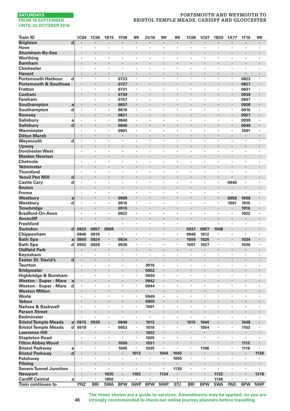# **PORTSMOUTH AND WEYMOUTH TO BRISTOL TEMPLE MEADS, CARDIFF AND GLOUCESTER**

| <b>Train ID</b>                                 | 1C04                                      | <b>1C05</b>                     | 1B15       | <b>1F08</b> | 罒                         | 2U10                      | 嘌              | 罒                       | <b>1C06</b>                     | 1C07           | 1B20           | <b>1A77</b>               | 1F10                      | 罒              |
|-------------------------------------------------|-------------------------------------------|---------------------------------|------------|-------------|---------------------------|---------------------------|----------------|-------------------------|---------------------------------|----------------|----------------|---------------------------|---------------------------|----------------|
| <b>Brighton</b>                                 | d                                         |                                 |            |             | ٠                         |                           |                | $\cdot$                 |                                 | ٠              | ٠              |                           |                           |                |
| Hove                                            | $\cdot$                                   | $\cdot$                         | ٠          | ٠           | $\cdot$                   | $\cdot$                   | $\cdot$        | $\cdot$                 | $\cdot$                         | ٠              | ٠              | $\ddot{\phantom{a}}$      | ٠                         | $\cdot$        |
| Shoreham-By-Sea                                 |                                           |                                 |            |             |                           |                           |                |                         |                                 |                | ï              |                           |                           |                |
| Worthing                                        | $\cdot$                                   |                                 | ×          | ï           | $\cdot$                   | ï                         |                | $\cdot$                 |                                 | ٠              | ٠              | ٠                         | ٠                         | $\cdot$        |
| <b>Barnham</b>                                  | $\cdot$                                   |                                 |            | ï           |                           |                           |                |                         |                                 |                | ï              | ٠                         |                           |                |
| <b>Chichester</b><br><b>Havant</b>              | $\cdot$<br>$\cdot$                        | $\cdot$                         | ×<br>٠     | ×<br>×      | ٠<br>٠                    | ٠<br>$\ddot{\phantom{0}}$ |                | $\cdot$                 | $\cdot$                         | ٠<br>٠         | ×<br>×         | $\cdot$<br>$\cdot$        |                           | $\cdot$        |
| <b>Portsmouth Harbour</b>                       | d<br>$\cdot$                              | $\cdot$                         | ٠          | 0723        | $\cdot$                   | $\cdot$                   | $\cdot$        | $\cdot$                 | $\cdot$                         | ×,             | ٠              | $\cdot$                   | 0823                      | $\cdot$        |
| <b>Portsmouth &amp; Southsea</b>                | $\cdot$                                   |                                 | ł.         | 0727        |                           | ï                         |                | $\cdot$                 |                                 | ×              | ï              |                           | 0827                      |                |
| <b>Fratton</b>                                  | $\cdot$                                   | $\cdot$                         | ٠          | 0731        |                           | ×                         | $\cdot$        | $\cdot$                 | $\cdot$                         | ٠              | $\cdot$        | ×                         | 0831                      | $\blacksquare$ |
| Cosham                                          |                                           | $\cdot$                         |            | 0739        | ٠                         |                           |                |                         |                                 |                |                | ×,                        | 0839                      |                |
| <b>Fareham</b>                                  | ٠                                         | $\cdot$                         | ٠          | 0747        | ٠                         | ٠                         | ٠              | $\cdot$                 | ,                               | ×              | ٠              | ٠                         | 0847                      | $\cdot$        |
| Southampton                                     | a<br>$\cdot$                              | $\cdot$                         |            | 0807        | $\cdot$                   |                           |                |                         |                                 |                |                | ×,                        | 0908                      |                |
| Southampton                                     | d<br>$\cdot$                              | $\cdot$                         |            | 0810        | ï                         | ÷,                        |                | $\cdot$                 | $\cdot$                         | ï              | ÷,             |                           | 0910                      | $\cdot$        |
| Romsey                                          |                                           | $\cdot$                         |            | 0821        |                           |                           |                |                         |                                 | ×              | ï              | ÷.                        | 0921                      |                |
| <b>Salisbury</b>                                | a<br>$\cdot$                              |                                 | ×          | 0840        | ï                         | ï                         |                |                         |                                 | ï              | ï              | ï                         | 0939                      |                |
| <b>Salisbury</b>                                | d<br>$\blacksquare$<br>$\cdot$            | $\cdot$                         | ٠<br>×     | 0840        | $\blacksquare$<br>$\cdot$ | ×                         |                | $\cdot$                 | $\cdot$                         | ×<br>٠         | ٠              | $\blacksquare$<br>$\cdot$ | 0940                      |                |
| Warminster                                      | $\cdot$                                   | $\cdot$                         | ×          | 0901<br>ł.  |                           | ï                         |                | $\cdot$                 | $\cdot$                         | ä,             | ×              | ×,                        | 1001<br>$\cdot$           |                |
| <b>Dilton Marsh</b><br>Weymouth                 | d                                         | $\cdot$                         | ٠          | ï           | ×                         | ï                         |                | $\cdot$                 | $\cdot$                         | ٠              | ٠              | ×                         | ×                         | $\cdot$        |
| Upwey                                           |                                           |                                 |            |             |                           |                           |                |                         |                                 |                |                | ×,                        |                           |                |
| <b>Dorchester West</b>                          | $\cdot$                                   | $\cdot$                         | ٠          | ٠           | ٠                         | ٠                         | $\cdot$        | $\cdot$                 | $\cdot$                         | ٠              | ٠              | ٠                         | ٠                         | $\cdot$        |
| <b>Maiden Newton</b>                            | $\cdot$                                   | $\cdot$                         |            |             | ٠                         |                           |                |                         |                                 |                |                | ٠                         |                           |                |
| Chetnole                                        | $\cdot$                                   |                                 | ×          | ï           | ï                         | ł,                        |                |                         |                                 | ï              | ł,             | ï                         | ï                         |                |
| Yetminster                                      | $\cdot$                                   | $\cdot$                         | ×          | l,          |                           | l,                        | ï              | $\ddot{\phantom{0}}$    |                                 |                | l,             | l,                        | ÷,                        |                |
| <b>Thornford</b>                                |                                           |                                 | ×          | ×,          | ٠                         | ï                         |                |                         |                                 | ٠              | ï              | ٠                         | ٠                         |                |
| <b>Yeovil Pen Mill</b>                          | d<br>$\bullet$                            |                                 |            |             | ٠                         | ٠                         | ٠              |                         |                                 |                |                | ٠                         |                           |                |
| <b>Castle Cary</b>                              | d<br>$\cdot$                              | $\cdot$                         | ٠          | ٠           | ٠                         | ٠                         | ٠              | $\cdot$                 | $\cdot$                         | ٠              | ٠              | 0940                      | ٠                         |                |
| <b>Bruton</b>                                   | $\cdot$                                   |                                 | ï          | ï           |                           |                           |                |                         |                                 |                | ï              |                           |                           |                |
| <b>Frome</b>                                    | $\cdot$                                   | $\cdot$                         | ٠          | ï<br>0909   | $\cdot$                   | ٠<br>l,                   | $\cdot$        | $\cdot$                 |                                 | ٠              | ×<br>ï         | ٠                         | ٠<br>1009                 | $\cdot$        |
| Westbury<br>Westbury                            | a<br>d<br>٠                               |                                 | ٠          | 0910        | $\cdot$                   | ٠                         |                | $\cdot$                 | ,                               | ×              | ٠              | 0958<br>1001              | 1010                      | $\cdot$        |
| <b>Trowbridge</b>                               | $\cdot$                                   | $\cdot$                         |            | 0916        |                           |                           |                |                         |                                 | ×              |                | ٠                         | 1016                      |                |
| <b>Bradford-On-Avon</b>                         |                                           |                                 |            | 0922        | ï                         |                           |                |                         |                                 | ï              | ł,             | $\cdot$                   | 1022                      |                |
| <b>Avoncliff</b>                                | $\cdot$                                   |                                 | l,         | ï           | $\cdot$                   | l,                        |                | $\cdot$                 |                                 | i,             | ï              |                           |                           |                |
| <b>Freshford</b>                                |                                           | i.                              |            | ł,          | ٠                         | ×,                        | ٠              | $\ddot{\phantom{0}}$    | $\cdot$                         | ä,             |                |                           | ٠                         |                |
| Swindon                                         | $\mathbf d$<br>0832                       | 0857                            | 0908       | ٠           | ٠                         |                           |                |                         | 0931                            | 0957           | 1008           |                           | $\blacksquare$            |                |
| Chippenham                                      | 0846                                      | 0910                            | ٠          | $\cdot$     | ×                         | ×                         |                | $\cdot$                 | 0946                            | 1012           | $\blacksquare$ | ×                         | ×                         | ٠              |
| <b>Bath Spa</b>                                 | 0900<br>a                                 | 0924                            | ٠          | 0934        | $\blacksquare$            |                           |                | $\cdot$                 | 1000                            | 1026           |                |                           | 1034                      |                |
| <b>Bath Spa</b>                                 | 0902<br>d                                 | 0926                            | ٠          | 0936        | ×                         | ×                         | $\cdot$        | $\cdot$                 | 1001                            | 1027           | ×              | ×                         | 1036                      | $\cdot$        |
| <b>Oldfield Park</b>                            | $\cdot$                                   |                                 | ×          | ٠           | $\cdot$<br>٠              |                           |                | $\cdot$                 | $\blacksquare$                  | ï              | i,<br>×        | ٠<br>$\cdot$              | $\blacksquare$<br>$\cdot$ |                |
| Keynsham<br><b>Exeter St. David's</b>           | $\overline{\mathbf{d}}$<br>$\blacksquare$ | $\cdot$                         | ٠          | ٠           | $\blacksquare$            | l,                        | $\cdot$        | $\cdot$                 | $\blacksquare$                  | ٠              | ×              | $\blacksquare$            | $\blacksquare$            |                |
| <b>Taunton</b>                                  | $\cdot$                                   |                                 | ×          | ×,          | ٠                         | 0910                      |                | $\cdot$                 |                                 | ٠              | ×              | $\cdot$                   | ٠                         |                |
| <b>Bridgwater</b>                               |                                           |                                 |            | ï           | l,                        | 0922                      |                |                         |                                 | i,             | ï              | ï                         |                           |                |
| Highbridge & Burnham                            | $\cdot$                                   | $\cdot$                         | ×          | ٠           | $\cdot$                   | 0930                      | $\cdot$        | $\cdot$                 | $\cdot$                         | ×.             | $\cdot$        | ×                         | ×                         |                |
| <b>Weston - Super - Mare</b>                    | a                                         |                                 |            |             |                           | 0942                      |                |                         |                                 |                |                |                           |                           |                |
| Weston - Super - Mare                           | d<br>$\cdot$                              |                                 | ٠          | ٠           | ٠                         | 0944                      | $\cdot$        | $\cdot$                 |                                 | ٠              | ٠              | ٠                         | ٠                         | $\cdot$        |
| <b>Weston Milton</b>                            | $\cdot$                                   | $\cdot$                         |            | ł           | $\blacksquare$            | ٠                         |                |                         |                                 |                | ï              | ٠                         | $\ddot{\phantom{0}}$      |                |
| Worle                                           | $\cdot$                                   |                                 | ×          | ×           | $\cdot$                   | 0949                      |                |                         |                                 | ٠              | ٠              | $\cdot$                   | ٠                         |                |
| <b>Yatton</b>                                   | $\cdot$                                   |                                 | l,         | ï           | $\cdot$                   | 0955                      |                |                         |                                 |                | ï              |                           | $\cdot$                   |                |
| Nailsea & Backwell<br><b>Parson Street</b>      | $\cdot$                                   | $\cdot$                         |            | ï           | $\blacksquare$            | 1001<br>٠                 |                | $\cdot$                 |                                 | ٠              | ï              | ٠<br>×                    | ٠                         |                |
| <b>Bedminster</b>                               | $\cdot$                                   | $\cdot$                         | ٠          | ٠           | ٠                         | ٠                         | $\cdot$        | $\cdot$                 | $\cdot$                         | ٠              | ٠              | ٠                         | ٠                         |                |
| <b>Bristol Temple Meads</b>                     | 0915<br>a                                 | 0939                            |            | 0948        |                           | 1013                      |                |                         | 1015                            | 1040           | ï              |                           | 1048                      |                |
| <b>Bristol Temple Meads</b>                     | 0918<br>d                                 |                                 | ٠          | 0953        | $\cdot$                   | 1019                      |                | $\cdot$                 | $\cdot$                         | 1054           | ×              | ×,                        | 1103                      | $\cdot$        |
| <b>Lawrence Hill</b>                            |                                           |                                 |            | ı,          |                           | 1022                      |                |                         |                                 | ×,             |                |                           |                           |                |
| <b>Stapleton Road</b>                           | ٠                                         |                                 | ٠          | ¥,          | ٠                         | 1025                      | $\cdot$        | $\cdot$                 | $\cdot$                         | ٠              | ٠              | ×                         | ä,                        | ٠              |
| <b>Filton Abbey Wood</b>                        | $\bullet$                                 | $\centering \label{eq:reduced}$ | ٠          | 1000        | $\blacksquare$            | 1031                      | $\blacksquare$ |                         | $\centering \label{eq:reduced}$ | ٠              | ٠              |                           | 1112                      |                |
| <b>Bristol Parkway</b>                          | a                                         |                                 |            | 1005        |                           | 1035                      |                |                         |                                 | 1106           | ł,             | ï                         | 1116                      |                |
| <b>Bristol Parkway</b>                          | d<br>$\cdot$                              | $\cdot$                         | ł.         | ×           | 1013                      | $\blacksquare$            | 1044           | 1045                    |                                 |                | ï              |                           | $\blacksquare$            | 1126           |
| Patchway                                        |                                           | $\cdot$                         | ×          | ٠           |                           | ×                         |                | 1055                    |                                 | ٠              | ï              | ×                         | $\cdot$                   |                |
| Pilning                                         | $\cdot$                                   | $\cdot$<br>$\cdot$              | ×<br>٠     | $\cdot$     | ٠<br>٠                    | $\ddot{\phantom{a}}$      | $\cdot$        |                         | $\cdot$                         | ٠<br>×         | $\cdot$        | $\ddot{\phantom{a}}$      | ٠<br>٠                    |                |
| <b>Severn Tunnel Junction</b><br><b>Newport</b> |                                           | $\cdot$                         | 1035       |             | 1103                      |                           | 1134           | 1135                    |                                 |                | 1132           | ٠                         | $\cdot$                   | 1216           |
| <b>Cardiff Central</b>                          | $\cdot$<br>a                              | $\cdot$                         | 1050       | ï           |                           | ×                         |                | $\cdot$                 | $\cdot$                         | $\blacksquare$ | 1146           |                           | ×                         |                |
| <b>Train continues to</b>                       | PNZ                                       | <b>BRI</b>                      | <b>SWA</b> | <b>BPW</b>  | <b>NWP</b>                | <b>BPW</b>                | <b>NWP</b>     | $\overline{\text{STJ}}$ | <b>BRI</b>                      | <b>BPW</b>     | <b>SWA</b>     | PAD                       | <b>BPW</b>                | <b>NWP</b>     |

**The times shown are a guide to services. Amendments may be applied, so you are strongly recommended to check our online journey planners before travelling.**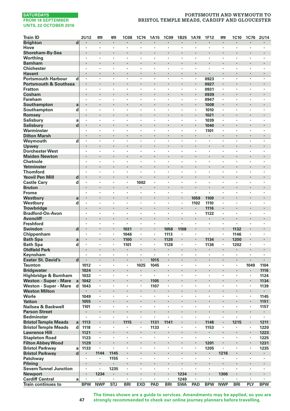# **PORTSMOUTH AND WEYMOUTH TO BRISTOL TEMPLE MEADS, CARDIFF AND GLOUCESTER**

| <b>Brighton</b><br>d<br>$\cdot$<br>$\cdot$<br>٠<br>٠<br>×,<br>$\blacksquare$<br>$\blacksquare$<br>$\cdot$<br>$\blacksquare$<br>٠<br>$\blacksquare$<br>$\blacksquare$<br>$\blacksquare$<br>$\blacksquare$<br>Hove<br>ï<br>×<br>ï<br>ł,<br>ï<br>l,<br>ï<br>ï<br>ł,<br>ï<br>Shoreham-By-Sea<br>$\cdot$<br>ï<br>ï<br>ï<br>٠<br>$\ddot{\phantom{0}}$<br>Worthing<br>٠<br>٠<br>$\cdot$<br>×<br>٠<br>$\cdot$<br>٠<br>٠<br>×<br>×<br>٠<br><b>Barnham</b><br>$\cdot$<br>٠<br>٠<br>٠<br><b>Chichester</b><br>$\cdot$<br>×<br>٠<br>×<br>×<br>×<br>$\cdot$<br>×<br>×<br>×<br>٠<br>$\cdot$<br>$\ddot{\phantom{0}}$<br>٠<br><b>Havant</b><br>$\cdot$<br>٠<br>٠<br>$\cdot$<br>×<br>×,<br>$\cdot$<br>$\cdot$<br>ï<br>٠<br>$\cdot$<br>$\cdot$<br>٠<br><b>Portsmouth Harbour</b><br>l,<br>l,<br>l,<br>l,<br>l,<br>l,<br>0923<br>l,<br>ï<br>d<br>$\cdot$<br>$\cdot$<br><b>Portsmouth &amp; Southsea</b><br>$\cdot$<br>$\blacksquare$<br>×,<br>0927<br>$\blacksquare$<br><b>Fratton</b><br>ï<br>ł,<br>ï<br>0931<br>٠<br>$\cdot$<br>٠<br>٠<br>$\cdot$<br>٠<br>٠<br>Cosham<br>0939<br>$\cdot$<br>×<br>٠<br>×<br>٠<br>$\blacksquare$<br>×<br>٠<br>Fareham<br>0947<br>$\cdot$<br>٠<br>٠<br>$\cdot$<br>٠<br>٠<br>٠<br>٠<br>$\cdot$<br>٠<br>٠<br>Southampton<br>ï<br>1008<br>a<br>×<br>ł.<br>$\cdot$<br>×<br>Southampton<br>d<br>$\cdot$<br>$\cdot$<br>×<br>٠<br>×<br>×<br>٠<br>$\cdot$<br>$\cdot$<br>1010<br>٠<br>×<br>×<br>٠<br>Romsey<br>1021<br>Salisbury<br>1039<br>a<br>$\cdot$<br>$\cdot$<br>٠<br>٠<br>٠<br>٠<br>٠<br>$\cdot$<br>٠<br>٠<br>٠<br>٠<br>$\mathbf d$<br><b>Salisbury</b><br>1040<br>$\bullet$<br>$\centering \label{eq:reduced}$<br>٠<br>٠<br>٠<br>$\blacksquare$<br>Warminster<br>ï<br>1101<br>٠<br>×<br>٠<br>ï<br>٠<br>$\cdot$<br>٠<br>ï<br>$\ddot{\phantom{0}}$<br>l.<br>l.<br>J.<br>L.<br>L.<br>l.<br>J.<br>L.<br>L.<br><b>Dilton Marsh</b><br>٠<br>Weymouth<br>d<br>٠<br>ï<br>×<br>ï<br>$\cdot$<br>٠<br>$\cdot$<br>٠<br>$\cdot$<br>$\cdot$<br><b>Upwey</b><br>٠<br>٠<br>٠<br>٠<br>٠<br><b>Dorchester West</b><br>$\cdot$<br>٠<br>×<br>$\cdot$<br>$\cdot$<br>٠<br>٠<br>$\cdot$<br>$\cdot$<br>٠<br>٠<br>٠<br>٠<br>٠<br><b>Maiden Newton</b><br>ï<br>Chetnole<br>÷,<br>$\cdot$<br>$\cdot$<br>٠<br>$\cdot$<br>$\cdot$<br>$\cdot$<br>٠<br>٠<br>٠<br>٠<br>٠<br>٠<br>Yetminster<br>i,<br>$\cdot$<br>ï<br>ï<br><b>Thornford</b><br>$\cdot$<br>٠<br>×<br>٠<br>٠<br>٠<br>٠<br>٠<br>٠<br>٠<br>٠<br>٠<br><b>Yeovil Pen Mill</b><br>d<br>$\cdot$<br>٠<br>×<br>٠<br>$\blacksquare$<br>×<br>٠<br><b>Castle Cary</b><br>d<br>1002<br>$\cdot$<br>٠<br>٠<br>٠<br>ï<br>×<br>٠<br>$\cdot$<br>٠<br>ï<br>$\cdot$<br><b>Bruton</b><br>$\cdot$<br>ï<br>ï<br>i,<br>$\cdot$<br>ï<br>Frome<br>$\cdot$<br>$\cdot$<br>×<br>٠<br>$\cdot$<br>×<br>$\cdot$<br>×<br>×<br>$\ddot{\phantom{a}}$<br>٠<br>٠<br>1059<br>1109<br>Westbury<br>a<br>Westbury<br>d<br>1102<br>1110<br>$\cdot$<br>$\cdot$<br>٠<br>٠<br>٠<br>٠<br>٠<br>$\cdot$<br>٠<br>٠<br>٠<br>٠<br><b>Trowbridge</b><br>1116<br>$\cdot$<br>ł.<br>×<br>×<br>×<br>Bradford-On-Avon<br>ï<br>ï<br>l,<br>ï<br>1122<br>÷,<br>$\cdot$<br>٠<br>$\cdot$<br>$\cdot$<br>$\cdot$<br>$\cdot$<br>٠<br>$\cdot$<br><b>Avoncliff</b><br>l,<br>$\cdot$<br>ï<br>$\cdot$<br>×<br>٠<br>٠<br><b>Freshford</b><br>٠<br>٠<br>ï<br>٠<br>$\cdot$<br>×,<br>٠<br><b>Swindon</b><br>1108<br>d<br>1031<br>1058<br>1132<br>$\cdot$<br>٠<br>$\blacksquare$<br>٠<br>٠<br>٠<br>٠<br>٠<br>Chippenham<br>1046<br>1113<br>1146<br>$\cdot$<br>$\cdot$<br>٠<br>٠<br>٠<br>$\cdot$<br>٠<br>٠<br>٠<br>٠<br><b>Bath Spa</b><br>ł.<br>1100<br>1126<br>1134<br>1200<br>a<br><b>Bath Spa</b><br>d<br>$\cdot$<br>1101<br>$\cdot$<br>1128<br>1136<br>1202<br>$\cdot$<br>٠<br>٠<br>٠<br>٠<br>٠<br><b>Oldfield Park</b><br>¢<br>i,<br>ï<br>ı,<br>Keynsham<br>ï<br>٠<br>٠<br>٠<br>$\cdot$<br>$\cdot$<br>٠<br>٠<br>٠<br>٠<br>٠<br>٠<br>٠<br>٠<br><b>Exeter St. David's</b><br>$\mathbf d$<br>$\cdot$<br>٠<br>1015<br>$\cdot$<br>$\cdot$<br>$\cdot$<br>٠<br>$\blacksquare$<br>٠<br>$\blacksquare$<br>$\cdot$<br>$\blacksquare$<br>٠<br>1012<br>1049<br>1104<br><b>Taunton</b><br>$\cdot$<br>ł,<br>ł,<br>1025<br>1045<br>ï<br>ł,<br>ï<br><b>Bridgwater</b><br>1024<br>$\cdot$<br>$\cdot$<br>i,<br>l,<br>ï<br>$\cdot$<br>1116<br>٠<br>Highbridge & Burnham<br>1032<br>ł,<br>$\blacksquare$<br>ä,<br>ł.<br>ï<br>ï<br>1124<br>٠<br>٠<br>$\ddot{\phantom{0}}$<br>٠<br><b>Weston - Super - Mare</b><br>1042<br>1105<br>1134<br>a<br>$\blacksquare$<br>٠<br>Weston - Super - Mare<br>1043<br>1107<br>1139<br>d<br>$\cdot$<br>×<br>×<br>×<br>×<br>$\cdot$<br>×<br>×<br>×<br>$\ddot{\phantom{a}}$<br>$\cdot$<br><b>Weston Milton</b><br>ł.<br>$\blacksquare$<br>٠<br>×<br>ï<br>$\cdot$<br>$\blacksquare$<br>Worle<br>1049<br>$\cdot$<br>1145<br>×<br>×<br>×<br>$\cdot$<br>$\cdot$<br>×<br>×<br>×<br><b>Yatton</b><br>ï<br>ï<br>l,<br>÷<br>1055<br>$\cdot$<br>$\cdot$<br>1151<br>Nailsea & Backwell<br>1101<br>ï<br>1157<br><b>Parson Street</b><br>$\blacksquare$<br>×<br>×<br>٠<br>٠<br>٠<br>٠<br><b>Bedminster</b><br>$\cdot$<br>٠<br>٠<br>$\cdot$<br>٠<br>×<br>$\cdot$<br>٠<br>٠<br>$\cdot$<br>$\cdot$<br>٠<br>1141<br><b>Bristol Temple Meads</b><br>a<br>1113<br>1115<br>1131<br>1148<br>i,<br>1215<br>1211<br><b>Bristol Temple Meads</b><br>d<br>1118<br>1133<br>1153<br>1220<br>$\cdot$<br>×<br>×<br>$\cdot$<br>$\cdot$<br>$\bullet$<br>$\ddot{\phantom{a}}$<br>٠<br>٠<br>٠<br><b>Lawrence Hill</b><br>1121<br>ï<br>1223<br><b>Stapleton Road</b><br>1123<br>1225<br>$\cdot$<br>٠<br>٠<br>$\cdot$<br>٠<br>٠<br>٠<br>٠<br>$\cdot$<br>٠<br>٠<br><b>Filton Abbey Wood</b><br>1129<br>1201<br>1231<br>$\blacksquare$<br>٠<br>٠<br>٠<br>$\blacksquare$<br>$\blacksquare$<br><b>Bristol Parkway</b><br>1133<br>ï<br>ï<br>ï<br>ï<br>1205<br>ï<br>ï<br>ł,<br>1235<br>a<br>×<br><b>Bristol Parkway</b><br>d<br>i,<br>ï<br>1144<br>1145<br>×,<br>1216<br>$\bullet$<br>٠<br>٠<br>Patchway<br>1155<br>٠<br>٠<br>٠<br>٠<br>$\cdot$<br>×<br>$\cdot$<br>٠<br>٠<br>Pilning<br>×<br>٠<br>٠<br><b>Severn Tunnel Junction</b><br>1235<br>$\cdot$<br>٠<br>$\cdot$<br>$\cdot$<br>×<br>$\cdot$<br>×<br>$\cdot$<br>$\cdot$<br>٠<br>٠<br>٠<br>٠<br>1234<br>ï<br>1234<br>1306<br><b>Newport</b><br>$\cdot$<br>×<br>$\cdot$<br>×,<br>×<br>٠<br><b>Cardiff Central</b><br>ä,<br>1249<br>$\cdot$<br>a<br>$\cdot$<br>٠<br>×<br>×<br>$\ddot{\phantom{0}}$<br>٠<br>×<br>٠<br>٠<br>٠<br><b>BPW</b><br><b>BPW</b><br><b>NWP</b><br>STJ<br><b>EXD</b><br><b>NWP</b><br>PLY<br><b>BRI</b><br><b>BRI</b><br>PAD<br><b>BPW</b><br><b>BRI</b> | <b>Train ID</b>           | 2U12 | 罒 | 罒 | <b>1C08</b> | 1C74 | 1A15 | <b>1C09</b> | 1B25       | 1A78 | 1F12 | 罒 | 1C10 | 1C76 | <b>2U14</b> |
|------------------------------------------------------------------------------------------------------------------------------------------------------------------------------------------------------------------------------------------------------------------------------------------------------------------------------------------------------------------------------------------------------------------------------------------------------------------------------------------------------------------------------------------------------------------------------------------------------------------------------------------------------------------------------------------------------------------------------------------------------------------------------------------------------------------------------------------------------------------------------------------------------------------------------------------------------------------------------------------------------------------------------------------------------------------------------------------------------------------------------------------------------------------------------------------------------------------------------------------------------------------------------------------------------------------------------------------------------------------------------------------------------------------------------------------------------------------------------------------------------------------------------------------------------------------------------------------------------------------------------------------------------------------------------------------------------------------------------------------------------------------------------------------------------------------------------------------------------------------------------------------------------------------------------------------------------------------------------------------------------------------------------------------------------------------------------------------------------------------------------------------------------------------------------------------------------------------------------------------------------------------------------------------------------------------------------------------------------------------------------------------------------------------------------------------------------------------------------------------------------------------------------------------------------------------------------------------------------------------------------------------------------------------------------------------------------------------------------------------------------------------------------------------------------------------------------------------------------------------------------------------------------------------------------------------------------------------------------------------------------------------------------------------------------------------------------------------------------------------------------------------------------------------------------------------------------------------------------------------------------------------------------------------------------------------------------------------------------------------------------------------------------------------------------------------------------------------------------------------------------------------------------------------------------------------------------------------------------------------------------------------------------------------------------------------------------------------------------------------------------------------------------------------------------------------------------------------------------------------------------------------------------------------------------------------------------------------------------------------------------------------------------------------------------------------------------------------------------------------------------------------------------------------------------------------------------------------------------------------------------------------------------------------------------------------------------------------------------------------------------------------------------------------------------------------------------------------------------------------------------------------------------------------------------------------------------------------------------------------------------------------------------------------------------------------------------------------------------------------------------------------------------------------------------------------------------------------------------------------------------------------------------------------------------------------------------------------------------------------------------------------------------------------------------------------------------------------------------------------------------------------------------------------------------------------------------------------------------------------------------------------------------------------------------------------------------------------------------------------------------------------------------------------------------------------------------------------------------------------------------------------------------------------------------------------------------------------------------------------------------------------------------------------------------------------------------------------------------------------------------------------------------------------------------------------------------------------------------------------------------------------------------------------------------------------------------------------------------------------------------------------------------------------------------------------------------------------------------------------------------------------------------------------------------------------------------------------------------------------------------------------------------------------------------------------------------------------------------------------------------------------------------------------------------------------------------------------------|---------------------------|------|---|---|-------------|------|------|-------------|------------|------|------|---|------|------|-------------|
|                                                                                                                                                                                                                                                                                                                                                                                                                                                                                                                                                                                                                                                                                                                                                                                                                                                                                                                                                                                                                                                                                                                                                                                                                                                                                                                                                                                                                                                                                                                                                                                                                                                                                                                                                                                                                                                                                                                                                                                                                                                                                                                                                                                                                                                                                                                                                                                                                                                                                                                                                                                                                                                                                                                                                                                                                                                                                                                                                                                                                                                                                                                                                                                                                                                                                                                                                                                                                                                                                                                                                                                                                                                                                                                                                                                                                                                                                                                                                                                                                                                                                                                                                                                                                                                                                                                                                                                                                                                                                                                                                                                                                                                                                                                                                                                                                                                                                                                                                                                                                                                                                                                                                                                                                                                                                                                                                                                                                                                                                                                                                                                                                                                                                                                                                                                                                                                                                                                                                                                                                                                                                                                                                                                                                                                                                                                                                                                                                                                                        |                           |      |   |   |             |      |      |             |            |      |      |   |      |      |             |
|                                                                                                                                                                                                                                                                                                                                                                                                                                                                                                                                                                                                                                                                                                                                                                                                                                                                                                                                                                                                                                                                                                                                                                                                                                                                                                                                                                                                                                                                                                                                                                                                                                                                                                                                                                                                                                                                                                                                                                                                                                                                                                                                                                                                                                                                                                                                                                                                                                                                                                                                                                                                                                                                                                                                                                                                                                                                                                                                                                                                                                                                                                                                                                                                                                                                                                                                                                                                                                                                                                                                                                                                                                                                                                                                                                                                                                                                                                                                                                                                                                                                                                                                                                                                                                                                                                                                                                                                                                                                                                                                                                                                                                                                                                                                                                                                                                                                                                                                                                                                                                                                                                                                                                                                                                                                                                                                                                                                                                                                                                                                                                                                                                                                                                                                                                                                                                                                                                                                                                                                                                                                                                                                                                                                                                                                                                                                                                                                                                                                        |                           |      |   |   |             |      |      |             |            |      |      |   |      |      |             |
|                                                                                                                                                                                                                                                                                                                                                                                                                                                                                                                                                                                                                                                                                                                                                                                                                                                                                                                                                                                                                                                                                                                                                                                                                                                                                                                                                                                                                                                                                                                                                                                                                                                                                                                                                                                                                                                                                                                                                                                                                                                                                                                                                                                                                                                                                                                                                                                                                                                                                                                                                                                                                                                                                                                                                                                                                                                                                                                                                                                                                                                                                                                                                                                                                                                                                                                                                                                                                                                                                                                                                                                                                                                                                                                                                                                                                                                                                                                                                                                                                                                                                                                                                                                                                                                                                                                                                                                                                                                                                                                                                                                                                                                                                                                                                                                                                                                                                                                                                                                                                                                                                                                                                                                                                                                                                                                                                                                                                                                                                                                                                                                                                                                                                                                                                                                                                                                                                                                                                                                                                                                                                                                                                                                                                                                                                                                                                                                                                                                                        |                           |      |   |   |             |      |      |             |            |      |      |   |      |      |             |
|                                                                                                                                                                                                                                                                                                                                                                                                                                                                                                                                                                                                                                                                                                                                                                                                                                                                                                                                                                                                                                                                                                                                                                                                                                                                                                                                                                                                                                                                                                                                                                                                                                                                                                                                                                                                                                                                                                                                                                                                                                                                                                                                                                                                                                                                                                                                                                                                                                                                                                                                                                                                                                                                                                                                                                                                                                                                                                                                                                                                                                                                                                                                                                                                                                                                                                                                                                                                                                                                                                                                                                                                                                                                                                                                                                                                                                                                                                                                                                                                                                                                                                                                                                                                                                                                                                                                                                                                                                                                                                                                                                                                                                                                                                                                                                                                                                                                                                                                                                                                                                                                                                                                                                                                                                                                                                                                                                                                                                                                                                                                                                                                                                                                                                                                                                                                                                                                                                                                                                                                                                                                                                                                                                                                                                                                                                                                                                                                                                                                        |                           |      |   |   |             |      |      |             |            |      |      |   |      |      |             |
|                                                                                                                                                                                                                                                                                                                                                                                                                                                                                                                                                                                                                                                                                                                                                                                                                                                                                                                                                                                                                                                                                                                                                                                                                                                                                                                                                                                                                                                                                                                                                                                                                                                                                                                                                                                                                                                                                                                                                                                                                                                                                                                                                                                                                                                                                                                                                                                                                                                                                                                                                                                                                                                                                                                                                                                                                                                                                                                                                                                                                                                                                                                                                                                                                                                                                                                                                                                                                                                                                                                                                                                                                                                                                                                                                                                                                                                                                                                                                                                                                                                                                                                                                                                                                                                                                                                                                                                                                                                                                                                                                                                                                                                                                                                                                                                                                                                                                                                                                                                                                                                                                                                                                                                                                                                                                                                                                                                                                                                                                                                                                                                                                                                                                                                                                                                                                                                                                                                                                                                                                                                                                                                                                                                                                                                                                                                                                                                                                                                                        |                           |      |   |   |             |      |      |             |            |      |      |   |      |      |             |
|                                                                                                                                                                                                                                                                                                                                                                                                                                                                                                                                                                                                                                                                                                                                                                                                                                                                                                                                                                                                                                                                                                                                                                                                                                                                                                                                                                                                                                                                                                                                                                                                                                                                                                                                                                                                                                                                                                                                                                                                                                                                                                                                                                                                                                                                                                                                                                                                                                                                                                                                                                                                                                                                                                                                                                                                                                                                                                                                                                                                                                                                                                                                                                                                                                                                                                                                                                                                                                                                                                                                                                                                                                                                                                                                                                                                                                                                                                                                                                                                                                                                                                                                                                                                                                                                                                                                                                                                                                                                                                                                                                                                                                                                                                                                                                                                                                                                                                                                                                                                                                                                                                                                                                                                                                                                                                                                                                                                                                                                                                                                                                                                                                                                                                                                                                                                                                                                                                                                                                                                                                                                                                                                                                                                                                                                                                                                                                                                                                                                        |                           |      |   |   |             |      |      |             |            |      |      |   |      |      |             |
|                                                                                                                                                                                                                                                                                                                                                                                                                                                                                                                                                                                                                                                                                                                                                                                                                                                                                                                                                                                                                                                                                                                                                                                                                                                                                                                                                                                                                                                                                                                                                                                                                                                                                                                                                                                                                                                                                                                                                                                                                                                                                                                                                                                                                                                                                                                                                                                                                                                                                                                                                                                                                                                                                                                                                                                                                                                                                                                                                                                                                                                                                                                                                                                                                                                                                                                                                                                                                                                                                                                                                                                                                                                                                                                                                                                                                                                                                                                                                                                                                                                                                                                                                                                                                                                                                                                                                                                                                                                                                                                                                                                                                                                                                                                                                                                                                                                                                                                                                                                                                                                                                                                                                                                                                                                                                                                                                                                                                                                                                                                                                                                                                                                                                                                                                                                                                                                                                                                                                                                                                                                                                                                                                                                                                                                                                                                                                                                                                                                                        |                           |      |   |   |             |      |      |             |            |      |      |   |      |      |             |
|                                                                                                                                                                                                                                                                                                                                                                                                                                                                                                                                                                                                                                                                                                                                                                                                                                                                                                                                                                                                                                                                                                                                                                                                                                                                                                                                                                                                                                                                                                                                                                                                                                                                                                                                                                                                                                                                                                                                                                                                                                                                                                                                                                                                                                                                                                                                                                                                                                                                                                                                                                                                                                                                                                                                                                                                                                                                                                                                                                                                                                                                                                                                                                                                                                                                                                                                                                                                                                                                                                                                                                                                                                                                                                                                                                                                                                                                                                                                                                                                                                                                                                                                                                                                                                                                                                                                                                                                                                                                                                                                                                                                                                                                                                                                                                                                                                                                                                                                                                                                                                                                                                                                                                                                                                                                                                                                                                                                                                                                                                                                                                                                                                                                                                                                                                                                                                                                                                                                                                                                                                                                                                                                                                                                                                                                                                                                                                                                                                                                        |                           |      |   |   |             |      |      |             |            |      |      |   |      |      |             |
|                                                                                                                                                                                                                                                                                                                                                                                                                                                                                                                                                                                                                                                                                                                                                                                                                                                                                                                                                                                                                                                                                                                                                                                                                                                                                                                                                                                                                                                                                                                                                                                                                                                                                                                                                                                                                                                                                                                                                                                                                                                                                                                                                                                                                                                                                                                                                                                                                                                                                                                                                                                                                                                                                                                                                                                                                                                                                                                                                                                                                                                                                                                                                                                                                                                                                                                                                                                                                                                                                                                                                                                                                                                                                                                                                                                                                                                                                                                                                                                                                                                                                                                                                                                                                                                                                                                                                                                                                                                                                                                                                                                                                                                                                                                                                                                                                                                                                                                                                                                                                                                                                                                                                                                                                                                                                                                                                                                                                                                                                                                                                                                                                                                                                                                                                                                                                                                                                                                                                                                                                                                                                                                                                                                                                                                                                                                                                                                                                                                                        |                           |      |   |   |             |      |      |             |            |      |      |   |      |      |             |
|                                                                                                                                                                                                                                                                                                                                                                                                                                                                                                                                                                                                                                                                                                                                                                                                                                                                                                                                                                                                                                                                                                                                                                                                                                                                                                                                                                                                                                                                                                                                                                                                                                                                                                                                                                                                                                                                                                                                                                                                                                                                                                                                                                                                                                                                                                                                                                                                                                                                                                                                                                                                                                                                                                                                                                                                                                                                                                                                                                                                                                                                                                                                                                                                                                                                                                                                                                                                                                                                                                                                                                                                                                                                                                                                                                                                                                                                                                                                                                                                                                                                                                                                                                                                                                                                                                                                                                                                                                                                                                                                                                                                                                                                                                                                                                                                                                                                                                                                                                                                                                                                                                                                                                                                                                                                                                                                                                                                                                                                                                                                                                                                                                                                                                                                                                                                                                                                                                                                                                                                                                                                                                                                                                                                                                                                                                                                                                                                                                                                        |                           |      |   |   |             |      |      |             |            |      |      |   |      |      |             |
|                                                                                                                                                                                                                                                                                                                                                                                                                                                                                                                                                                                                                                                                                                                                                                                                                                                                                                                                                                                                                                                                                                                                                                                                                                                                                                                                                                                                                                                                                                                                                                                                                                                                                                                                                                                                                                                                                                                                                                                                                                                                                                                                                                                                                                                                                                                                                                                                                                                                                                                                                                                                                                                                                                                                                                                                                                                                                                                                                                                                                                                                                                                                                                                                                                                                                                                                                                                                                                                                                                                                                                                                                                                                                                                                                                                                                                                                                                                                                                                                                                                                                                                                                                                                                                                                                                                                                                                                                                                                                                                                                                                                                                                                                                                                                                                                                                                                                                                                                                                                                                                                                                                                                                                                                                                                                                                                                                                                                                                                                                                                                                                                                                                                                                                                                                                                                                                                                                                                                                                                                                                                                                                                                                                                                                                                                                                                                                                                                                                                        |                           |      |   |   |             |      |      |             |            |      |      |   |      |      |             |
|                                                                                                                                                                                                                                                                                                                                                                                                                                                                                                                                                                                                                                                                                                                                                                                                                                                                                                                                                                                                                                                                                                                                                                                                                                                                                                                                                                                                                                                                                                                                                                                                                                                                                                                                                                                                                                                                                                                                                                                                                                                                                                                                                                                                                                                                                                                                                                                                                                                                                                                                                                                                                                                                                                                                                                                                                                                                                                                                                                                                                                                                                                                                                                                                                                                                                                                                                                                                                                                                                                                                                                                                                                                                                                                                                                                                                                                                                                                                                                                                                                                                                                                                                                                                                                                                                                                                                                                                                                                                                                                                                                                                                                                                                                                                                                                                                                                                                                                                                                                                                                                                                                                                                                                                                                                                                                                                                                                                                                                                                                                                                                                                                                                                                                                                                                                                                                                                                                                                                                                                                                                                                                                                                                                                                                                                                                                                                                                                                                                                        |                           |      |   |   |             |      |      |             |            |      |      |   |      |      |             |
|                                                                                                                                                                                                                                                                                                                                                                                                                                                                                                                                                                                                                                                                                                                                                                                                                                                                                                                                                                                                                                                                                                                                                                                                                                                                                                                                                                                                                                                                                                                                                                                                                                                                                                                                                                                                                                                                                                                                                                                                                                                                                                                                                                                                                                                                                                                                                                                                                                                                                                                                                                                                                                                                                                                                                                                                                                                                                                                                                                                                                                                                                                                                                                                                                                                                                                                                                                                                                                                                                                                                                                                                                                                                                                                                                                                                                                                                                                                                                                                                                                                                                                                                                                                                                                                                                                                                                                                                                                                                                                                                                                                                                                                                                                                                                                                                                                                                                                                                                                                                                                                                                                                                                                                                                                                                                                                                                                                                                                                                                                                                                                                                                                                                                                                                                                                                                                                                                                                                                                                                                                                                                                                                                                                                                                                                                                                                                                                                                                                                        |                           |      |   |   |             |      |      |             |            |      |      |   |      |      |             |
|                                                                                                                                                                                                                                                                                                                                                                                                                                                                                                                                                                                                                                                                                                                                                                                                                                                                                                                                                                                                                                                                                                                                                                                                                                                                                                                                                                                                                                                                                                                                                                                                                                                                                                                                                                                                                                                                                                                                                                                                                                                                                                                                                                                                                                                                                                                                                                                                                                                                                                                                                                                                                                                                                                                                                                                                                                                                                                                                                                                                                                                                                                                                                                                                                                                                                                                                                                                                                                                                                                                                                                                                                                                                                                                                                                                                                                                                                                                                                                                                                                                                                                                                                                                                                                                                                                                                                                                                                                                                                                                                                                                                                                                                                                                                                                                                                                                                                                                                                                                                                                                                                                                                                                                                                                                                                                                                                                                                                                                                                                                                                                                                                                                                                                                                                                                                                                                                                                                                                                                                                                                                                                                                                                                                                                                                                                                                                                                                                                                                        |                           |      |   |   |             |      |      |             |            |      |      |   |      |      |             |
|                                                                                                                                                                                                                                                                                                                                                                                                                                                                                                                                                                                                                                                                                                                                                                                                                                                                                                                                                                                                                                                                                                                                                                                                                                                                                                                                                                                                                                                                                                                                                                                                                                                                                                                                                                                                                                                                                                                                                                                                                                                                                                                                                                                                                                                                                                                                                                                                                                                                                                                                                                                                                                                                                                                                                                                                                                                                                                                                                                                                                                                                                                                                                                                                                                                                                                                                                                                                                                                                                                                                                                                                                                                                                                                                                                                                                                                                                                                                                                                                                                                                                                                                                                                                                                                                                                                                                                                                                                                                                                                                                                                                                                                                                                                                                                                                                                                                                                                                                                                                                                                                                                                                                                                                                                                                                                                                                                                                                                                                                                                                                                                                                                                                                                                                                                                                                                                                                                                                                                                                                                                                                                                                                                                                                                                                                                                                                                                                                                                                        |                           |      |   |   |             |      |      |             |            |      |      |   |      |      |             |
|                                                                                                                                                                                                                                                                                                                                                                                                                                                                                                                                                                                                                                                                                                                                                                                                                                                                                                                                                                                                                                                                                                                                                                                                                                                                                                                                                                                                                                                                                                                                                                                                                                                                                                                                                                                                                                                                                                                                                                                                                                                                                                                                                                                                                                                                                                                                                                                                                                                                                                                                                                                                                                                                                                                                                                                                                                                                                                                                                                                                                                                                                                                                                                                                                                                                                                                                                                                                                                                                                                                                                                                                                                                                                                                                                                                                                                                                                                                                                                                                                                                                                                                                                                                                                                                                                                                                                                                                                                                                                                                                                                                                                                                                                                                                                                                                                                                                                                                                                                                                                                                                                                                                                                                                                                                                                                                                                                                                                                                                                                                                                                                                                                                                                                                                                                                                                                                                                                                                                                                                                                                                                                                                                                                                                                                                                                                                                                                                                                                                        |                           |      |   |   |             |      |      |             |            |      |      |   |      |      |             |
|                                                                                                                                                                                                                                                                                                                                                                                                                                                                                                                                                                                                                                                                                                                                                                                                                                                                                                                                                                                                                                                                                                                                                                                                                                                                                                                                                                                                                                                                                                                                                                                                                                                                                                                                                                                                                                                                                                                                                                                                                                                                                                                                                                                                                                                                                                                                                                                                                                                                                                                                                                                                                                                                                                                                                                                                                                                                                                                                                                                                                                                                                                                                                                                                                                                                                                                                                                                                                                                                                                                                                                                                                                                                                                                                                                                                                                                                                                                                                                                                                                                                                                                                                                                                                                                                                                                                                                                                                                                                                                                                                                                                                                                                                                                                                                                                                                                                                                                                                                                                                                                                                                                                                                                                                                                                                                                                                                                                                                                                                                                                                                                                                                                                                                                                                                                                                                                                                                                                                                                                                                                                                                                                                                                                                                                                                                                                                                                                                                                                        |                           |      |   |   |             |      |      |             |            |      |      |   |      |      |             |
|                                                                                                                                                                                                                                                                                                                                                                                                                                                                                                                                                                                                                                                                                                                                                                                                                                                                                                                                                                                                                                                                                                                                                                                                                                                                                                                                                                                                                                                                                                                                                                                                                                                                                                                                                                                                                                                                                                                                                                                                                                                                                                                                                                                                                                                                                                                                                                                                                                                                                                                                                                                                                                                                                                                                                                                                                                                                                                                                                                                                                                                                                                                                                                                                                                                                                                                                                                                                                                                                                                                                                                                                                                                                                                                                                                                                                                                                                                                                                                                                                                                                                                                                                                                                                                                                                                                                                                                                                                                                                                                                                                                                                                                                                                                                                                                                                                                                                                                                                                                                                                                                                                                                                                                                                                                                                                                                                                                                                                                                                                                                                                                                                                                                                                                                                                                                                                                                                                                                                                                                                                                                                                                                                                                                                                                                                                                                                                                                                                                                        |                           |      |   |   |             |      |      |             |            |      |      |   |      |      |             |
|                                                                                                                                                                                                                                                                                                                                                                                                                                                                                                                                                                                                                                                                                                                                                                                                                                                                                                                                                                                                                                                                                                                                                                                                                                                                                                                                                                                                                                                                                                                                                                                                                                                                                                                                                                                                                                                                                                                                                                                                                                                                                                                                                                                                                                                                                                                                                                                                                                                                                                                                                                                                                                                                                                                                                                                                                                                                                                                                                                                                                                                                                                                                                                                                                                                                                                                                                                                                                                                                                                                                                                                                                                                                                                                                                                                                                                                                                                                                                                                                                                                                                                                                                                                                                                                                                                                                                                                                                                                                                                                                                                                                                                                                                                                                                                                                                                                                                                                                                                                                                                                                                                                                                                                                                                                                                                                                                                                                                                                                                                                                                                                                                                                                                                                                                                                                                                                                                                                                                                                                                                                                                                                                                                                                                                                                                                                                                                                                                                                                        |                           |      |   |   |             |      |      |             |            |      |      |   |      |      |             |
|                                                                                                                                                                                                                                                                                                                                                                                                                                                                                                                                                                                                                                                                                                                                                                                                                                                                                                                                                                                                                                                                                                                                                                                                                                                                                                                                                                                                                                                                                                                                                                                                                                                                                                                                                                                                                                                                                                                                                                                                                                                                                                                                                                                                                                                                                                                                                                                                                                                                                                                                                                                                                                                                                                                                                                                                                                                                                                                                                                                                                                                                                                                                                                                                                                                                                                                                                                                                                                                                                                                                                                                                                                                                                                                                                                                                                                                                                                                                                                                                                                                                                                                                                                                                                                                                                                                                                                                                                                                                                                                                                                                                                                                                                                                                                                                                                                                                                                                                                                                                                                                                                                                                                                                                                                                                                                                                                                                                                                                                                                                                                                                                                                                                                                                                                                                                                                                                                                                                                                                                                                                                                                                                                                                                                                                                                                                                                                                                                                                                        |                           |      |   |   |             |      |      |             |            |      |      |   |      |      |             |
|                                                                                                                                                                                                                                                                                                                                                                                                                                                                                                                                                                                                                                                                                                                                                                                                                                                                                                                                                                                                                                                                                                                                                                                                                                                                                                                                                                                                                                                                                                                                                                                                                                                                                                                                                                                                                                                                                                                                                                                                                                                                                                                                                                                                                                                                                                                                                                                                                                                                                                                                                                                                                                                                                                                                                                                                                                                                                                                                                                                                                                                                                                                                                                                                                                                                                                                                                                                                                                                                                                                                                                                                                                                                                                                                                                                                                                                                                                                                                                                                                                                                                                                                                                                                                                                                                                                                                                                                                                                                                                                                                                                                                                                                                                                                                                                                                                                                                                                                                                                                                                                                                                                                                                                                                                                                                                                                                                                                                                                                                                                                                                                                                                                                                                                                                                                                                                                                                                                                                                                                                                                                                                                                                                                                                                                                                                                                                                                                                                                                        |                           |      |   |   |             |      |      |             |            |      |      |   |      |      |             |
|                                                                                                                                                                                                                                                                                                                                                                                                                                                                                                                                                                                                                                                                                                                                                                                                                                                                                                                                                                                                                                                                                                                                                                                                                                                                                                                                                                                                                                                                                                                                                                                                                                                                                                                                                                                                                                                                                                                                                                                                                                                                                                                                                                                                                                                                                                                                                                                                                                                                                                                                                                                                                                                                                                                                                                                                                                                                                                                                                                                                                                                                                                                                                                                                                                                                                                                                                                                                                                                                                                                                                                                                                                                                                                                                                                                                                                                                                                                                                                                                                                                                                                                                                                                                                                                                                                                                                                                                                                                                                                                                                                                                                                                                                                                                                                                                                                                                                                                                                                                                                                                                                                                                                                                                                                                                                                                                                                                                                                                                                                                                                                                                                                                                                                                                                                                                                                                                                                                                                                                                                                                                                                                                                                                                                                                                                                                                                                                                                                                                        |                           |      |   |   |             |      |      |             |            |      |      |   |      |      |             |
|                                                                                                                                                                                                                                                                                                                                                                                                                                                                                                                                                                                                                                                                                                                                                                                                                                                                                                                                                                                                                                                                                                                                                                                                                                                                                                                                                                                                                                                                                                                                                                                                                                                                                                                                                                                                                                                                                                                                                                                                                                                                                                                                                                                                                                                                                                                                                                                                                                                                                                                                                                                                                                                                                                                                                                                                                                                                                                                                                                                                                                                                                                                                                                                                                                                                                                                                                                                                                                                                                                                                                                                                                                                                                                                                                                                                                                                                                                                                                                                                                                                                                                                                                                                                                                                                                                                                                                                                                                                                                                                                                                                                                                                                                                                                                                                                                                                                                                                                                                                                                                                                                                                                                                                                                                                                                                                                                                                                                                                                                                                                                                                                                                                                                                                                                                                                                                                                                                                                                                                                                                                                                                                                                                                                                                                                                                                                                                                                                                                                        |                           |      |   |   |             |      |      |             |            |      |      |   |      |      |             |
|                                                                                                                                                                                                                                                                                                                                                                                                                                                                                                                                                                                                                                                                                                                                                                                                                                                                                                                                                                                                                                                                                                                                                                                                                                                                                                                                                                                                                                                                                                                                                                                                                                                                                                                                                                                                                                                                                                                                                                                                                                                                                                                                                                                                                                                                                                                                                                                                                                                                                                                                                                                                                                                                                                                                                                                                                                                                                                                                                                                                                                                                                                                                                                                                                                                                                                                                                                                                                                                                                                                                                                                                                                                                                                                                                                                                                                                                                                                                                                                                                                                                                                                                                                                                                                                                                                                                                                                                                                                                                                                                                                                                                                                                                                                                                                                                                                                                                                                                                                                                                                                                                                                                                                                                                                                                                                                                                                                                                                                                                                                                                                                                                                                                                                                                                                                                                                                                                                                                                                                                                                                                                                                                                                                                                                                                                                                                                                                                                                                                        |                           |      |   |   |             |      |      |             |            |      |      |   |      |      |             |
|                                                                                                                                                                                                                                                                                                                                                                                                                                                                                                                                                                                                                                                                                                                                                                                                                                                                                                                                                                                                                                                                                                                                                                                                                                                                                                                                                                                                                                                                                                                                                                                                                                                                                                                                                                                                                                                                                                                                                                                                                                                                                                                                                                                                                                                                                                                                                                                                                                                                                                                                                                                                                                                                                                                                                                                                                                                                                                                                                                                                                                                                                                                                                                                                                                                                                                                                                                                                                                                                                                                                                                                                                                                                                                                                                                                                                                                                                                                                                                                                                                                                                                                                                                                                                                                                                                                                                                                                                                                                                                                                                                                                                                                                                                                                                                                                                                                                                                                                                                                                                                                                                                                                                                                                                                                                                                                                                                                                                                                                                                                                                                                                                                                                                                                                                                                                                                                                                                                                                                                                                                                                                                                                                                                                                                                                                                                                                                                                                                                                        |                           |      |   |   |             |      |      |             |            |      |      |   |      |      |             |
|                                                                                                                                                                                                                                                                                                                                                                                                                                                                                                                                                                                                                                                                                                                                                                                                                                                                                                                                                                                                                                                                                                                                                                                                                                                                                                                                                                                                                                                                                                                                                                                                                                                                                                                                                                                                                                                                                                                                                                                                                                                                                                                                                                                                                                                                                                                                                                                                                                                                                                                                                                                                                                                                                                                                                                                                                                                                                                                                                                                                                                                                                                                                                                                                                                                                                                                                                                                                                                                                                                                                                                                                                                                                                                                                                                                                                                                                                                                                                                                                                                                                                                                                                                                                                                                                                                                                                                                                                                                                                                                                                                                                                                                                                                                                                                                                                                                                                                                                                                                                                                                                                                                                                                                                                                                                                                                                                                                                                                                                                                                                                                                                                                                                                                                                                                                                                                                                                                                                                                                                                                                                                                                                                                                                                                                                                                                                                                                                                                                                        |                           |      |   |   |             |      |      |             |            |      |      |   |      |      |             |
|                                                                                                                                                                                                                                                                                                                                                                                                                                                                                                                                                                                                                                                                                                                                                                                                                                                                                                                                                                                                                                                                                                                                                                                                                                                                                                                                                                                                                                                                                                                                                                                                                                                                                                                                                                                                                                                                                                                                                                                                                                                                                                                                                                                                                                                                                                                                                                                                                                                                                                                                                                                                                                                                                                                                                                                                                                                                                                                                                                                                                                                                                                                                                                                                                                                                                                                                                                                                                                                                                                                                                                                                                                                                                                                                                                                                                                                                                                                                                                                                                                                                                                                                                                                                                                                                                                                                                                                                                                                                                                                                                                                                                                                                                                                                                                                                                                                                                                                                                                                                                                                                                                                                                                                                                                                                                                                                                                                                                                                                                                                                                                                                                                                                                                                                                                                                                                                                                                                                                                                                                                                                                                                                                                                                                                                                                                                                                                                                                                                                        |                           |      |   |   |             |      |      |             |            |      |      |   |      |      |             |
|                                                                                                                                                                                                                                                                                                                                                                                                                                                                                                                                                                                                                                                                                                                                                                                                                                                                                                                                                                                                                                                                                                                                                                                                                                                                                                                                                                                                                                                                                                                                                                                                                                                                                                                                                                                                                                                                                                                                                                                                                                                                                                                                                                                                                                                                                                                                                                                                                                                                                                                                                                                                                                                                                                                                                                                                                                                                                                                                                                                                                                                                                                                                                                                                                                                                                                                                                                                                                                                                                                                                                                                                                                                                                                                                                                                                                                                                                                                                                                                                                                                                                                                                                                                                                                                                                                                                                                                                                                                                                                                                                                                                                                                                                                                                                                                                                                                                                                                                                                                                                                                                                                                                                                                                                                                                                                                                                                                                                                                                                                                                                                                                                                                                                                                                                                                                                                                                                                                                                                                                                                                                                                                                                                                                                                                                                                                                                                                                                                                                        |                           |      |   |   |             |      |      |             |            |      |      |   |      |      |             |
|                                                                                                                                                                                                                                                                                                                                                                                                                                                                                                                                                                                                                                                                                                                                                                                                                                                                                                                                                                                                                                                                                                                                                                                                                                                                                                                                                                                                                                                                                                                                                                                                                                                                                                                                                                                                                                                                                                                                                                                                                                                                                                                                                                                                                                                                                                                                                                                                                                                                                                                                                                                                                                                                                                                                                                                                                                                                                                                                                                                                                                                                                                                                                                                                                                                                                                                                                                                                                                                                                                                                                                                                                                                                                                                                                                                                                                                                                                                                                                                                                                                                                                                                                                                                                                                                                                                                                                                                                                                                                                                                                                                                                                                                                                                                                                                                                                                                                                                                                                                                                                                                                                                                                                                                                                                                                                                                                                                                                                                                                                                                                                                                                                                                                                                                                                                                                                                                                                                                                                                                                                                                                                                                                                                                                                                                                                                                                                                                                                                                        |                           |      |   |   |             |      |      |             |            |      |      |   |      |      |             |
|                                                                                                                                                                                                                                                                                                                                                                                                                                                                                                                                                                                                                                                                                                                                                                                                                                                                                                                                                                                                                                                                                                                                                                                                                                                                                                                                                                                                                                                                                                                                                                                                                                                                                                                                                                                                                                                                                                                                                                                                                                                                                                                                                                                                                                                                                                                                                                                                                                                                                                                                                                                                                                                                                                                                                                                                                                                                                                                                                                                                                                                                                                                                                                                                                                                                                                                                                                                                                                                                                                                                                                                                                                                                                                                                                                                                                                                                                                                                                                                                                                                                                                                                                                                                                                                                                                                                                                                                                                                                                                                                                                                                                                                                                                                                                                                                                                                                                                                                                                                                                                                                                                                                                                                                                                                                                                                                                                                                                                                                                                                                                                                                                                                                                                                                                                                                                                                                                                                                                                                                                                                                                                                                                                                                                                                                                                                                                                                                                                                                        |                           |      |   |   |             |      |      |             |            |      |      |   |      |      |             |
|                                                                                                                                                                                                                                                                                                                                                                                                                                                                                                                                                                                                                                                                                                                                                                                                                                                                                                                                                                                                                                                                                                                                                                                                                                                                                                                                                                                                                                                                                                                                                                                                                                                                                                                                                                                                                                                                                                                                                                                                                                                                                                                                                                                                                                                                                                                                                                                                                                                                                                                                                                                                                                                                                                                                                                                                                                                                                                                                                                                                                                                                                                                                                                                                                                                                                                                                                                                                                                                                                                                                                                                                                                                                                                                                                                                                                                                                                                                                                                                                                                                                                                                                                                                                                                                                                                                                                                                                                                                                                                                                                                                                                                                                                                                                                                                                                                                                                                                                                                                                                                                                                                                                                                                                                                                                                                                                                                                                                                                                                                                                                                                                                                                                                                                                                                                                                                                                                                                                                                                                                                                                                                                                                                                                                                                                                                                                                                                                                                                                        |                           |      |   |   |             |      |      |             |            |      |      |   |      |      |             |
|                                                                                                                                                                                                                                                                                                                                                                                                                                                                                                                                                                                                                                                                                                                                                                                                                                                                                                                                                                                                                                                                                                                                                                                                                                                                                                                                                                                                                                                                                                                                                                                                                                                                                                                                                                                                                                                                                                                                                                                                                                                                                                                                                                                                                                                                                                                                                                                                                                                                                                                                                                                                                                                                                                                                                                                                                                                                                                                                                                                                                                                                                                                                                                                                                                                                                                                                                                                                                                                                                                                                                                                                                                                                                                                                                                                                                                                                                                                                                                                                                                                                                                                                                                                                                                                                                                                                                                                                                                                                                                                                                                                                                                                                                                                                                                                                                                                                                                                                                                                                                                                                                                                                                                                                                                                                                                                                                                                                                                                                                                                                                                                                                                                                                                                                                                                                                                                                                                                                                                                                                                                                                                                                                                                                                                                                                                                                                                                                                                                                        |                           |      |   |   |             |      |      |             |            |      |      |   |      |      |             |
|                                                                                                                                                                                                                                                                                                                                                                                                                                                                                                                                                                                                                                                                                                                                                                                                                                                                                                                                                                                                                                                                                                                                                                                                                                                                                                                                                                                                                                                                                                                                                                                                                                                                                                                                                                                                                                                                                                                                                                                                                                                                                                                                                                                                                                                                                                                                                                                                                                                                                                                                                                                                                                                                                                                                                                                                                                                                                                                                                                                                                                                                                                                                                                                                                                                                                                                                                                                                                                                                                                                                                                                                                                                                                                                                                                                                                                                                                                                                                                                                                                                                                                                                                                                                                                                                                                                                                                                                                                                                                                                                                                                                                                                                                                                                                                                                                                                                                                                                                                                                                                                                                                                                                                                                                                                                                                                                                                                                                                                                                                                                                                                                                                                                                                                                                                                                                                                                                                                                                                                                                                                                                                                                                                                                                                                                                                                                                                                                                                                                        |                           |      |   |   |             |      |      |             |            |      |      |   |      |      |             |
|                                                                                                                                                                                                                                                                                                                                                                                                                                                                                                                                                                                                                                                                                                                                                                                                                                                                                                                                                                                                                                                                                                                                                                                                                                                                                                                                                                                                                                                                                                                                                                                                                                                                                                                                                                                                                                                                                                                                                                                                                                                                                                                                                                                                                                                                                                                                                                                                                                                                                                                                                                                                                                                                                                                                                                                                                                                                                                                                                                                                                                                                                                                                                                                                                                                                                                                                                                                                                                                                                                                                                                                                                                                                                                                                                                                                                                                                                                                                                                                                                                                                                                                                                                                                                                                                                                                                                                                                                                                                                                                                                                                                                                                                                                                                                                                                                                                                                                                                                                                                                                                                                                                                                                                                                                                                                                                                                                                                                                                                                                                                                                                                                                                                                                                                                                                                                                                                                                                                                                                                                                                                                                                                                                                                                                                                                                                                                                                                                                                                        |                           |      |   |   |             |      |      |             |            |      |      |   |      |      |             |
|                                                                                                                                                                                                                                                                                                                                                                                                                                                                                                                                                                                                                                                                                                                                                                                                                                                                                                                                                                                                                                                                                                                                                                                                                                                                                                                                                                                                                                                                                                                                                                                                                                                                                                                                                                                                                                                                                                                                                                                                                                                                                                                                                                                                                                                                                                                                                                                                                                                                                                                                                                                                                                                                                                                                                                                                                                                                                                                                                                                                                                                                                                                                                                                                                                                                                                                                                                                                                                                                                                                                                                                                                                                                                                                                                                                                                                                                                                                                                                                                                                                                                                                                                                                                                                                                                                                                                                                                                                                                                                                                                                                                                                                                                                                                                                                                                                                                                                                                                                                                                                                                                                                                                                                                                                                                                                                                                                                                                                                                                                                                                                                                                                                                                                                                                                                                                                                                                                                                                                                                                                                                                                                                                                                                                                                                                                                                                                                                                                                                        |                           |      |   |   |             |      |      |             |            |      |      |   |      |      |             |
|                                                                                                                                                                                                                                                                                                                                                                                                                                                                                                                                                                                                                                                                                                                                                                                                                                                                                                                                                                                                                                                                                                                                                                                                                                                                                                                                                                                                                                                                                                                                                                                                                                                                                                                                                                                                                                                                                                                                                                                                                                                                                                                                                                                                                                                                                                                                                                                                                                                                                                                                                                                                                                                                                                                                                                                                                                                                                                                                                                                                                                                                                                                                                                                                                                                                                                                                                                                                                                                                                                                                                                                                                                                                                                                                                                                                                                                                                                                                                                                                                                                                                                                                                                                                                                                                                                                                                                                                                                                                                                                                                                                                                                                                                                                                                                                                                                                                                                                                                                                                                                                                                                                                                                                                                                                                                                                                                                                                                                                                                                                                                                                                                                                                                                                                                                                                                                                                                                                                                                                                                                                                                                                                                                                                                                                                                                                                                                                                                                                                        |                           |      |   |   |             |      |      |             |            |      |      |   |      |      |             |
|                                                                                                                                                                                                                                                                                                                                                                                                                                                                                                                                                                                                                                                                                                                                                                                                                                                                                                                                                                                                                                                                                                                                                                                                                                                                                                                                                                                                                                                                                                                                                                                                                                                                                                                                                                                                                                                                                                                                                                                                                                                                                                                                                                                                                                                                                                                                                                                                                                                                                                                                                                                                                                                                                                                                                                                                                                                                                                                                                                                                                                                                                                                                                                                                                                                                                                                                                                                                                                                                                                                                                                                                                                                                                                                                                                                                                                                                                                                                                                                                                                                                                                                                                                                                                                                                                                                                                                                                                                                                                                                                                                                                                                                                                                                                                                                                                                                                                                                                                                                                                                                                                                                                                                                                                                                                                                                                                                                                                                                                                                                                                                                                                                                                                                                                                                                                                                                                                                                                                                                                                                                                                                                                                                                                                                                                                                                                                                                                                                                                        |                           |      |   |   |             |      |      |             |            |      |      |   |      |      |             |
|                                                                                                                                                                                                                                                                                                                                                                                                                                                                                                                                                                                                                                                                                                                                                                                                                                                                                                                                                                                                                                                                                                                                                                                                                                                                                                                                                                                                                                                                                                                                                                                                                                                                                                                                                                                                                                                                                                                                                                                                                                                                                                                                                                                                                                                                                                                                                                                                                                                                                                                                                                                                                                                                                                                                                                                                                                                                                                                                                                                                                                                                                                                                                                                                                                                                                                                                                                                                                                                                                                                                                                                                                                                                                                                                                                                                                                                                                                                                                                                                                                                                                                                                                                                                                                                                                                                                                                                                                                                                                                                                                                                                                                                                                                                                                                                                                                                                                                                                                                                                                                                                                                                                                                                                                                                                                                                                                                                                                                                                                                                                                                                                                                                                                                                                                                                                                                                                                                                                                                                                                                                                                                                                                                                                                                                                                                                                                                                                                                                                        |                           |      |   |   |             |      |      |             |            |      |      |   |      |      |             |
|                                                                                                                                                                                                                                                                                                                                                                                                                                                                                                                                                                                                                                                                                                                                                                                                                                                                                                                                                                                                                                                                                                                                                                                                                                                                                                                                                                                                                                                                                                                                                                                                                                                                                                                                                                                                                                                                                                                                                                                                                                                                                                                                                                                                                                                                                                                                                                                                                                                                                                                                                                                                                                                                                                                                                                                                                                                                                                                                                                                                                                                                                                                                                                                                                                                                                                                                                                                                                                                                                                                                                                                                                                                                                                                                                                                                                                                                                                                                                                                                                                                                                                                                                                                                                                                                                                                                                                                                                                                                                                                                                                                                                                                                                                                                                                                                                                                                                                                                                                                                                                                                                                                                                                                                                                                                                                                                                                                                                                                                                                                                                                                                                                                                                                                                                                                                                                                                                                                                                                                                                                                                                                                                                                                                                                                                                                                                                                                                                                                                        |                           |      |   |   |             |      |      |             |            |      |      |   |      |      |             |
|                                                                                                                                                                                                                                                                                                                                                                                                                                                                                                                                                                                                                                                                                                                                                                                                                                                                                                                                                                                                                                                                                                                                                                                                                                                                                                                                                                                                                                                                                                                                                                                                                                                                                                                                                                                                                                                                                                                                                                                                                                                                                                                                                                                                                                                                                                                                                                                                                                                                                                                                                                                                                                                                                                                                                                                                                                                                                                                                                                                                                                                                                                                                                                                                                                                                                                                                                                                                                                                                                                                                                                                                                                                                                                                                                                                                                                                                                                                                                                                                                                                                                                                                                                                                                                                                                                                                                                                                                                                                                                                                                                                                                                                                                                                                                                                                                                                                                                                                                                                                                                                                                                                                                                                                                                                                                                                                                                                                                                                                                                                                                                                                                                                                                                                                                                                                                                                                                                                                                                                                                                                                                                                                                                                                                                                                                                                                                                                                                                                                        |                           |      |   |   |             |      |      |             |            |      |      |   |      |      |             |
|                                                                                                                                                                                                                                                                                                                                                                                                                                                                                                                                                                                                                                                                                                                                                                                                                                                                                                                                                                                                                                                                                                                                                                                                                                                                                                                                                                                                                                                                                                                                                                                                                                                                                                                                                                                                                                                                                                                                                                                                                                                                                                                                                                                                                                                                                                                                                                                                                                                                                                                                                                                                                                                                                                                                                                                                                                                                                                                                                                                                                                                                                                                                                                                                                                                                                                                                                                                                                                                                                                                                                                                                                                                                                                                                                                                                                                                                                                                                                                                                                                                                                                                                                                                                                                                                                                                                                                                                                                                                                                                                                                                                                                                                                                                                                                                                                                                                                                                                                                                                                                                                                                                                                                                                                                                                                                                                                                                                                                                                                                                                                                                                                                                                                                                                                                                                                                                                                                                                                                                                                                                                                                                                                                                                                                                                                                                                                                                                                                                                        |                           |      |   |   |             |      |      |             |            |      |      |   |      |      |             |
|                                                                                                                                                                                                                                                                                                                                                                                                                                                                                                                                                                                                                                                                                                                                                                                                                                                                                                                                                                                                                                                                                                                                                                                                                                                                                                                                                                                                                                                                                                                                                                                                                                                                                                                                                                                                                                                                                                                                                                                                                                                                                                                                                                                                                                                                                                                                                                                                                                                                                                                                                                                                                                                                                                                                                                                                                                                                                                                                                                                                                                                                                                                                                                                                                                                                                                                                                                                                                                                                                                                                                                                                                                                                                                                                                                                                                                                                                                                                                                                                                                                                                                                                                                                                                                                                                                                                                                                                                                                                                                                                                                                                                                                                                                                                                                                                                                                                                                                                                                                                                                                                                                                                                                                                                                                                                                                                                                                                                                                                                                                                                                                                                                                                                                                                                                                                                                                                                                                                                                                                                                                                                                                                                                                                                                                                                                                                                                                                                                                                        |                           |      |   |   |             |      |      |             |            |      |      |   |      |      |             |
|                                                                                                                                                                                                                                                                                                                                                                                                                                                                                                                                                                                                                                                                                                                                                                                                                                                                                                                                                                                                                                                                                                                                                                                                                                                                                                                                                                                                                                                                                                                                                                                                                                                                                                                                                                                                                                                                                                                                                                                                                                                                                                                                                                                                                                                                                                                                                                                                                                                                                                                                                                                                                                                                                                                                                                                                                                                                                                                                                                                                                                                                                                                                                                                                                                                                                                                                                                                                                                                                                                                                                                                                                                                                                                                                                                                                                                                                                                                                                                                                                                                                                                                                                                                                                                                                                                                                                                                                                                                                                                                                                                                                                                                                                                                                                                                                                                                                                                                                                                                                                                                                                                                                                                                                                                                                                                                                                                                                                                                                                                                                                                                                                                                                                                                                                                                                                                                                                                                                                                                                                                                                                                                                                                                                                                                                                                                                                                                                                                                                        |                           |      |   |   |             |      |      |             |            |      |      |   |      |      |             |
|                                                                                                                                                                                                                                                                                                                                                                                                                                                                                                                                                                                                                                                                                                                                                                                                                                                                                                                                                                                                                                                                                                                                                                                                                                                                                                                                                                                                                                                                                                                                                                                                                                                                                                                                                                                                                                                                                                                                                                                                                                                                                                                                                                                                                                                                                                                                                                                                                                                                                                                                                                                                                                                                                                                                                                                                                                                                                                                                                                                                                                                                                                                                                                                                                                                                                                                                                                                                                                                                                                                                                                                                                                                                                                                                                                                                                                                                                                                                                                                                                                                                                                                                                                                                                                                                                                                                                                                                                                                                                                                                                                                                                                                                                                                                                                                                                                                                                                                                                                                                                                                                                                                                                                                                                                                                                                                                                                                                                                                                                                                                                                                                                                                                                                                                                                                                                                                                                                                                                                                                                                                                                                                                                                                                                                                                                                                                                                                                                                                                        |                           |      |   |   |             |      |      |             |            |      |      |   |      |      |             |
|                                                                                                                                                                                                                                                                                                                                                                                                                                                                                                                                                                                                                                                                                                                                                                                                                                                                                                                                                                                                                                                                                                                                                                                                                                                                                                                                                                                                                                                                                                                                                                                                                                                                                                                                                                                                                                                                                                                                                                                                                                                                                                                                                                                                                                                                                                                                                                                                                                                                                                                                                                                                                                                                                                                                                                                                                                                                                                                                                                                                                                                                                                                                                                                                                                                                                                                                                                                                                                                                                                                                                                                                                                                                                                                                                                                                                                                                                                                                                                                                                                                                                                                                                                                                                                                                                                                                                                                                                                                                                                                                                                                                                                                                                                                                                                                                                                                                                                                                                                                                                                                                                                                                                                                                                                                                                                                                                                                                                                                                                                                                                                                                                                                                                                                                                                                                                                                                                                                                                                                                                                                                                                                                                                                                                                                                                                                                                                                                                                                                        |                           |      |   |   |             |      |      |             |            |      |      |   |      |      |             |
|                                                                                                                                                                                                                                                                                                                                                                                                                                                                                                                                                                                                                                                                                                                                                                                                                                                                                                                                                                                                                                                                                                                                                                                                                                                                                                                                                                                                                                                                                                                                                                                                                                                                                                                                                                                                                                                                                                                                                                                                                                                                                                                                                                                                                                                                                                                                                                                                                                                                                                                                                                                                                                                                                                                                                                                                                                                                                                                                                                                                                                                                                                                                                                                                                                                                                                                                                                                                                                                                                                                                                                                                                                                                                                                                                                                                                                                                                                                                                                                                                                                                                                                                                                                                                                                                                                                                                                                                                                                                                                                                                                                                                                                                                                                                                                                                                                                                                                                                                                                                                                                                                                                                                                                                                                                                                                                                                                                                                                                                                                                                                                                                                                                                                                                                                                                                                                                                                                                                                                                                                                                                                                                                                                                                                                                                                                                                                                                                                                                                        |                           |      |   |   |             |      |      |             |            |      |      |   |      |      |             |
|                                                                                                                                                                                                                                                                                                                                                                                                                                                                                                                                                                                                                                                                                                                                                                                                                                                                                                                                                                                                                                                                                                                                                                                                                                                                                                                                                                                                                                                                                                                                                                                                                                                                                                                                                                                                                                                                                                                                                                                                                                                                                                                                                                                                                                                                                                                                                                                                                                                                                                                                                                                                                                                                                                                                                                                                                                                                                                                                                                                                                                                                                                                                                                                                                                                                                                                                                                                                                                                                                                                                                                                                                                                                                                                                                                                                                                                                                                                                                                                                                                                                                                                                                                                                                                                                                                                                                                                                                                                                                                                                                                                                                                                                                                                                                                                                                                                                                                                                                                                                                                                                                                                                                                                                                                                                                                                                                                                                                                                                                                                                                                                                                                                                                                                                                                                                                                                                                                                                                                                                                                                                                                                                                                                                                                                                                                                                                                                                                                                                        |                           |      |   |   |             |      |      |             |            |      |      |   |      |      |             |
|                                                                                                                                                                                                                                                                                                                                                                                                                                                                                                                                                                                                                                                                                                                                                                                                                                                                                                                                                                                                                                                                                                                                                                                                                                                                                                                                                                                                                                                                                                                                                                                                                                                                                                                                                                                                                                                                                                                                                                                                                                                                                                                                                                                                                                                                                                                                                                                                                                                                                                                                                                                                                                                                                                                                                                                                                                                                                                                                                                                                                                                                                                                                                                                                                                                                                                                                                                                                                                                                                                                                                                                                                                                                                                                                                                                                                                                                                                                                                                                                                                                                                                                                                                                                                                                                                                                                                                                                                                                                                                                                                                                                                                                                                                                                                                                                                                                                                                                                                                                                                                                                                                                                                                                                                                                                                                                                                                                                                                                                                                                                                                                                                                                                                                                                                                                                                                                                                                                                                                                                                                                                                                                                                                                                                                                                                                                                                                                                                                                                        |                           |      |   |   |             |      |      |             |            |      |      |   |      |      |             |
|                                                                                                                                                                                                                                                                                                                                                                                                                                                                                                                                                                                                                                                                                                                                                                                                                                                                                                                                                                                                                                                                                                                                                                                                                                                                                                                                                                                                                                                                                                                                                                                                                                                                                                                                                                                                                                                                                                                                                                                                                                                                                                                                                                                                                                                                                                                                                                                                                                                                                                                                                                                                                                                                                                                                                                                                                                                                                                                                                                                                                                                                                                                                                                                                                                                                                                                                                                                                                                                                                                                                                                                                                                                                                                                                                                                                                                                                                                                                                                                                                                                                                                                                                                                                                                                                                                                                                                                                                                                                                                                                                                                                                                                                                                                                                                                                                                                                                                                                                                                                                                                                                                                                                                                                                                                                                                                                                                                                                                                                                                                                                                                                                                                                                                                                                                                                                                                                                                                                                                                                                                                                                                                                                                                                                                                                                                                                                                                                                                                                        |                           |      |   |   |             |      |      |             |            |      |      |   |      |      |             |
|                                                                                                                                                                                                                                                                                                                                                                                                                                                                                                                                                                                                                                                                                                                                                                                                                                                                                                                                                                                                                                                                                                                                                                                                                                                                                                                                                                                                                                                                                                                                                                                                                                                                                                                                                                                                                                                                                                                                                                                                                                                                                                                                                                                                                                                                                                                                                                                                                                                                                                                                                                                                                                                                                                                                                                                                                                                                                                                                                                                                                                                                                                                                                                                                                                                                                                                                                                                                                                                                                                                                                                                                                                                                                                                                                                                                                                                                                                                                                                                                                                                                                                                                                                                                                                                                                                                                                                                                                                                                                                                                                                                                                                                                                                                                                                                                                                                                                                                                                                                                                                                                                                                                                                                                                                                                                                                                                                                                                                                                                                                                                                                                                                                                                                                                                                                                                                                                                                                                                                                                                                                                                                                                                                                                                                                                                                                                                                                                                                                                        |                           |      |   |   |             |      |      |             |            |      |      |   |      |      |             |
|                                                                                                                                                                                                                                                                                                                                                                                                                                                                                                                                                                                                                                                                                                                                                                                                                                                                                                                                                                                                                                                                                                                                                                                                                                                                                                                                                                                                                                                                                                                                                                                                                                                                                                                                                                                                                                                                                                                                                                                                                                                                                                                                                                                                                                                                                                                                                                                                                                                                                                                                                                                                                                                                                                                                                                                                                                                                                                                                                                                                                                                                                                                                                                                                                                                                                                                                                                                                                                                                                                                                                                                                                                                                                                                                                                                                                                                                                                                                                                                                                                                                                                                                                                                                                                                                                                                                                                                                                                                                                                                                                                                                                                                                                                                                                                                                                                                                                                                                                                                                                                                                                                                                                                                                                                                                                                                                                                                                                                                                                                                                                                                                                                                                                                                                                                                                                                                                                                                                                                                                                                                                                                                                                                                                                                                                                                                                                                                                                                                                        |                           |      |   |   |             |      |      |             |            |      |      |   |      |      |             |
|                                                                                                                                                                                                                                                                                                                                                                                                                                                                                                                                                                                                                                                                                                                                                                                                                                                                                                                                                                                                                                                                                                                                                                                                                                                                                                                                                                                                                                                                                                                                                                                                                                                                                                                                                                                                                                                                                                                                                                                                                                                                                                                                                                                                                                                                                                                                                                                                                                                                                                                                                                                                                                                                                                                                                                                                                                                                                                                                                                                                                                                                                                                                                                                                                                                                                                                                                                                                                                                                                                                                                                                                                                                                                                                                                                                                                                                                                                                                                                                                                                                                                                                                                                                                                                                                                                                                                                                                                                                                                                                                                                                                                                                                                                                                                                                                                                                                                                                                                                                                                                                                                                                                                                                                                                                                                                                                                                                                                                                                                                                                                                                                                                                                                                                                                                                                                                                                                                                                                                                                                                                                                                                                                                                                                                                                                                                                                                                                                                                                        |                           |      |   |   |             |      |      |             |            |      |      |   |      |      |             |
|                                                                                                                                                                                                                                                                                                                                                                                                                                                                                                                                                                                                                                                                                                                                                                                                                                                                                                                                                                                                                                                                                                                                                                                                                                                                                                                                                                                                                                                                                                                                                                                                                                                                                                                                                                                                                                                                                                                                                                                                                                                                                                                                                                                                                                                                                                                                                                                                                                                                                                                                                                                                                                                                                                                                                                                                                                                                                                                                                                                                                                                                                                                                                                                                                                                                                                                                                                                                                                                                                                                                                                                                                                                                                                                                                                                                                                                                                                                                                                                                                                                                                                                                                                                                                                                                                                                                                                                                                                                                                                                                                                                                                                                                                                                                                                                                                                                                                                                                                                                                                                                                                                                                                                                                                                                                                                                                                                                                                                                                                                                                                                                                                                                                                                                                                                                                                                                                                                                                                                                                                                                                                                                                                                                                                                                                                                                                                                                                                                                                        |                           |      |   |   |             |      |      |             |            |      |      |   |      |      |             |
|                                                                                                                                                                                                                                                                                                                                                                                                                                                                                                                                                                                                                                                                                                                                                                                                                                                                                                                                                                                                                                                                                                                                                                                                                                                                                                                                                                                                                                                                                                                                                                                                                                                                                                                                                                                                                                                                                                                                                                                                                                                                                                                                                                                                                                                                                                                                                                                                                                                                                                                                                                                                                                                                                                                                                                                                                                                                                                                                                                                                                                                                                                                                                                                                                                                                                                                                                                                                                                                                                                                                                                                                                                                                                                                                                                                                                                                                                                                                                                                                                                                                                                                                                                                                                                                                                                                                                                                                                                                                                                                                                                                                                                                                                                                                                                                                                                                                                                                                                                                                                                                                                                                                                                                                                                                                                                                                                                                                                                                                                                                                                                                                                                                                                                                                                                                                                                                                                                                                                                                                                                                                                                                                                                                                                                                                                                                                                                                                                                                                        |                           |      |   |   |             |      |      |             |            |      |      |   |      |      |             |
|                                                                                                                                                                                                                                                                                                                                                                                                                                                                                                                                                                                                                                                                                                                                                                                                                                                                                                                                                                                                                                                                                                                                                                                                                                                                                                                                                                                                                                                                                                                                                                                                                                                                                                                                                                                                                                                                                                                                                                                                                                                                                                                                                                                                                                                                                                                                                                                                                                                                                                                                                                                                                                                                                                                                                                                                                                                                                                                                                                                                                                                                                                                                                                                                                                                                                                                                                                                                                                                                                                                                                                                                                                                                                                                                                                                                                                                                                                                                                                                                                                                                                                                                                                                                                                                                                                                                                                                                                                                                                                                                                                                                                                                                                                                                                                                                                                                                                                                                                                                                                                                                                                                                                                                                                                                                                                                                                                                                                                                                                                                                                                                                                                                                                                                                                                                                                                                                                                                                                                                                                                                                                                                                                                                                                                                                                                                                                                                                                                                                        |                           |      |   |   |             |      |      |             |            |      |      |   |      |      |             |
|                                                                                                                                                                                                                                                                                                                                                                                                                                                                                                                                                                                                                                                                                                                                                                                                                                                                                                                                                                                                                                                                                                                                                                                                                                                                                                                                                                                                                                                                                                                                                                                                                                                                                                                                                                                                                                                                                                                                                                                                                                                                                                                                                                                                                                                                                                                                                                                                                                                                                                                                                                                                                                                                                                                                                                                                                                                                                                                                                                                                                                                                                                                                                                                                                                                                                                                                                                                                                                                                                                                                                                                                                                                                                                                                                                                                                                                                                                                                                                                                                                                                                                                                                                                                                                                                                                                                                                                                                                                                                                                                                                                                                                                                                                                                                                                                                                                                                                                                                                                                                                                                                                                                                                                                                                                                                                                                                                                                                                                                                                                                                                                                                                                                                                                                                                                                                                                                                                                                                                                                                                                                                                                                                                                                                                                                                                                                                                                                                                                                        |                           |      |   |   |             |      |      |             |            |      |      |   |      |      |             |
|                                                                                                                                                                                                                                                                                                                                                                                                                                                                                                                                                                                                                                                                                                                                                                                                                                                                                                                                                                                                                                                                                                                                                                                                                                                                                                                                                                                                                                                                                                                                                                                                                                                                                                                                                                                                                                                                                                                                                                                                                                                                                                                                                                                                                                                                                                                                                                                                                                                                                                                                                                                                                                                                                                                                                                                                                                                                                                                                                                                                                                                                                                                                                                                                                                                                                                                                                                                                                                                                                                                                                                                                                                                                                                                                                                                                                                                                                                                                                                                                                                                                                                                                                                                                                                                                                                                                                                                                                                                                                                                                                                                                                                                                                                                                                                                                                                                                                                                                                                                                                                                                                                                                                                                                                                                                                                                                                                                                                                                                                                                                                                                                                                                                                                                                                                                                                                                                                                                                                                                                                                                                                                                                                                                                                                                                                                                                                                                                                                                                        |                           |      |   |   |             |      |      |             |            |      |      |   |      |      |             |
|                                                                                                                                                                                                                                                                                                                                                                                                                                                                                                                                                                                                                                                                                                                                                                                                                                                                                                                                                                                                                                                                                                                                                                                                                                                                                                                                                                                                                                                                                                                                                                                                                                                                                                                                                                                                                                                                                                                                                                                                                                                                                                                                                                                                                                                                                                                                                                                                                                                                                                                                                                                                                                                                                                                                                                                                                                                                                                                                                                                                                                                                                                                                                                                                                                                                                                                                                                                                                                                                                                                                                                                                                                                                                                                                                                                                                                                                                                                                                                                                                                                                                                                                                                                                                                                                                                                                                                                                                                                                                                                                                                                                                                                                                                                                                                                                                                                                                                                                                                                                                                                                                                                                                                                                                                                                                                                                                                                                                                                                                                                                                                                                                                                                                                                                                                                                                                                                                                                                                                                                                                                                                                                                                                                                                                                                                                                                                                                                                                                                        |                           |      |   |   |             |      |      |             |            |      |      |   |      |      |             |
|                                                                                                                                                                                                                                                                                                                                                                                                                                                                                                                                                                                                                                                                                                                                                                                                                                                                                                                                                                                                                                                                                                                                                                                                                                                                                                                                                                                                                                                                                                                                                                                                                                                                                                                                                                                                                                                                                                                                                                                                                                                                                                                                                                                                                                                                                                                                                                                                                                                                                                                                                                                                                                                                                                                                                                                                                                                                                                                                                                                                                                                                                                                                                                                                                                                                                                                                                                                                                                                                                                                                                                                                                                                                                                                                                                                                                                                                                                                                                                                                                                                                                                                                                                                                                                                                                                                                                                                                                                                                                                                                                                                                                                                                                                                                                                                                                                                                                                                                                                                                                                                                                                                                                                                                                                                                                                                                                                                                                                                                                                                                                                                                                                                                                                                                                                                                                                                                                                                                                                                                                                                                                                                                                                                                                                                                                                                                                                                                                                                                        |                           |      |   |   |             |      |      |             |            |      |      |   |      |      |             |
|                                                                                                                                                                                                                                                                                                                                                                                                                                                                                                                                                                                                                                                                                                                                                                                                                                                                                                                                                                                                                                                                                                                                                                                                                                                                                                                                                                                                                                                                                                                                                                                                                                                                                                                                                                                                                                                                                                                                                                                                                                                                                                                                                                                                                                                                                                                                                                                                                                                                                                                                                                                                                                                                                                                                                                                                                                                                                                                                                                                                                                                                                                                                                                                                                                                                                                                                                                                                                                                                                                                                                                                                                                                                                                                                                                                                                                                                                                                                                                                                                                                                                                                                                                                                                                                                                                                                                                                                                                                                                                                                                                                                                                                                                                                                                                                                                                                                                                                                                                                                                                                                                                                                                                                                                                                                                                                                                                                                                                                                                                                                                                                                                                                                                                                                                                                                                                                                                                                                                                                                                                                                                                                                                                                                                                                                                                                                                                                                                                                                        |                           |      |   |   |             |      |      |             |            |      |      |   |      |      |             |
|                                                                                                                                                                                                                                                                                                                                                                                                                                                                                                                                                                                                                                                                                                                                                                                                                                                                                                                                                                                                                                                                                                                                                                                                                                                                                                                                                                                                                                                                                                                                                                                                                                                                                                                                                                                                                                                                                                                                                                                                                                                                                                                                                                                                                                                                                                                                                                                                                                                                                                                                                                                                                                                                                                                                                                                                                                                                                                                                                                                                                                                                                                                                                                                                                                                                                                                                                                                                                                                                                                                                                                                                                                                                                                                                                                                                                                                                                                                                                                                                                                                                                                                                                                                                                                                                                                                                                                                                                                                                                                                                                                                                                                                                                                                                                                                                                                                                                                                                                                                                                                                                                                                                                                                                                                                                                                                                                                                                                                                                                                                                                                                                                                                                                                                                                                                                                                                                                                                                                                                                                                                                                                                                                                                                                                                                                                                                                                                                                                                                        |                           |      |   |   |             |      |      |             |            |      |      |   |      |      |             |
|                                                                                                                                                                                                                                                                                                                                                                                                                                                                                                                                                                                                                                                                                                                                                                                                                                                                                                                                                                                                                                                                                                                                                                                                                                                                                                                                                                                                                                                                                                                                                                                                                                                                                                                                                                                                                                                                                                                                                                                                                                                                                                                                                                                                                                                                                                                                                                                                                                                                                                                                                                                                                                                                                                                                                                                                                                                                                                                                                                                                                                                                                                                                                                                                                                                                                                                                                                                                                                                                                                                                                                                                                                                                                                                                                                                                                                                                                                                                                                                                                                                                                                                                                                                                                                                                                                                                                                                                                                                                                                                                                                                                                                                                                                                                                                                                                                                                                                                                                                                                                                                                                                                                                                                                                                                                                                                                                                                                                                                                                                                                                                                                                                                                                                                                                                                                                                                                                                                                                                                                                                                                                                                                                                                                                                                                                                                                                                                                                                                                        |                           |      |   |   |             |      |      |             |            |      |      |   |      |      |             |
|                                                                                                                                                                                                                                                                                                                                                                                                                                                                                                                                                                                                                                                                                                                                                                                                                                                                                                                                                                                                                                                                                                                                                                                                                                                                                                                                                                                                                                                                                                                                                                                                                                                                                                                                                                                                                                                                                                                                                                                                                                                                                                                                                                                                                                                                                                                                                                                                                                                                                                                                                                                                                                                                                                                                                                                                                                                                                                                                                                                                                                                                                                                                                                                                                                                                                                                                                                                                                                                                                                                                                                                                                                                                                                                                                                                                                                                                                                                                                                                                                                                                                                                                                                                                                                                                                                                                                                                                                                                                                                                                                                                                                                                                                                                                                                                                                                                                                                                                                                                                                                                                                                                                                                                                                                                                                                                                                                                                                                                                                                                                                                                                                                                                                                                                                                                                                                                                                                                                                                                                                                                                                                                                                                                                                                                                                                                                                                                                                                                                        |                           |      |   |   |             |      |      |             |            |      |      |   |      |      |             |
|                                                                                                                                                                                                                                                                                                                                                                                                                                                                                                                                                                                                                                                                                                                                                                                                                                                                                                                                                                                                                                                                                                                                                                                                                                                                                                                                                                                                                                                                                                                                                                                                                                                                                                                                                                                                                                                                                                                                                                                                                                                                                                                                                                                                                                                                                                                                                                                                                                                                                                                                                                                                                                                                                                                                                                                                                                                                                                                                                                                                                                                                                                                                                                                                                                                                                                                                                                                                                                                                                                                                                                                                                                                                                                                                                                                                                                                                                                                                                                                                                                                                                                                                                                                                                                                                                                                                                                                                                                                                                                                                                                                                                                                                                                                                                                                                                                                                                                                                                                                                                                                                                                                                                                                                                                                                                                                                                                                                                                                                                                                                                                                                                                                                                                                                                                                                                                                                                                                                                                                                                                                                                                                                                                                                                                                                                                                                                                                                                                                                        |                           |      |   |   |             |      |      |             |            |      |      |   |      |      |             |
|                                                                                                                                                                                                                                                                                                                                                                                                                                                                                                                                                                                                                                                                                                                                                                                                                                                                                                                                                                                                                                                                                                                                                                                                                                                                                                                                                                                                                                                                                                                                                                                                                                                                                                                                                                                                                                                                                                                                                                                                                                                                                                                                                                                                                                                                                                                                                                                                                                                                                                                                                                                                                                                                                                                                                                                                                                                                                                                                                                                                                                                                                                                                                                                                                                                                                                                                                                                                                                                                                                                                                                                                                                                                                                                                                                                                                                                                                                                                                                                                                                                                                                                                                                                                                                                                                                                                                                                                                                                                                                                                                                                                                                                                                                                                                                                                                                                                                                                                                                                                                                                                                                                                                                                                                                                                                                                                                                                                                                                                                                                                                                                                                                                                                                                                                                                                                                                                                                                                                                                                                                                                                                                                                                                                                                                                                                                                                                                                                                                                        | <b>Train continues to</b> |      |   |   |             |      | PAD  |             | <b>SWA</b> |      |      |   |      |      |             |

**The times shown are a guide to services. Amendments may be applied, so you are strongly recommended to check our online journey planners before travelling.**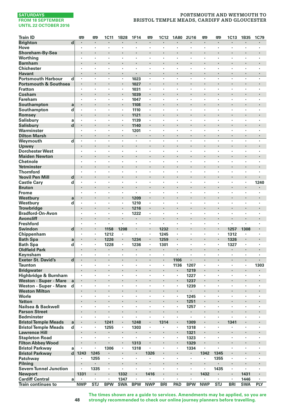# **PORTSMOUTH AND WEYMOUTH TO BRISTOL TEMPLE MEADS, CARDIFF AND GLOUCESTER**

| <b>Train ID</b>                                    |                         | <b>m</b>                  | 罒                               | <b>1C11</b> | 1B28       | 1F14           | 罒                    | 1C12                            | <b>1A80</b>                     | 2U16                            | 罒          | 罒       | <b>1C13</b>          | 1B35                 | 1C79                            |
|----------------------------------------------------|-------------------------|---------------------------|---------------------------------|-------------|------------|----------------|----------------------|---------------------------------|---------------------------------|---------------------------------|------------|---------|----------------------|----------------------|---------------------------------|
| <b>Brighton</b>                                    | d                       |                           |                                 |             |            |                | ×,                   |                                 |                                 |                                 |            | ł       |                      |                      |                                 |
| Hove                                               |                         | ٠                         | $\cdot$                         | ٠           | ٠          | ٠              | $\blacksquare$       | $\cdot$                         | $\cdot$                         |                                 | ٠          | ٠       | ٠                    | ٠                    |                                 |
| Shoreham-By-Sea                                    |                         | $\cdot$                   | $\cdot$                         | ×           | ł.         |                | ï                    | $\cdot$                         |                                 |                                 |            | ł.      |                      |                      | $\cdot$                         |
| Worthing                                           |                         | $\cdot$                   | $\cdot$                         | ٠           | ï          | ï              | l,                   | $\cdot$                         |                                 |                                 | ٠          | ×       | ٠                    | ٠                    | ï                               |
| <b>Barnham</b>                                     |                         |                           | $\cdot$                         |             |            | $\cdot$        |                      | $\cdot$                         |                                 | $\cdot$                         | ï          | ï       |                      |                      | $\cdot$                         |
| <b>Chichester</b>                                  |                         |                           |                                 | ٠           | ï          | ٠              | ï                    |                                 |                                 |                                 | ł,         | ł,      | ,                    | ï                    |                                 |
| Havant                                             |                         | $\bullet$                 | $\bullet$<br>$\cdot$            | ٠           | ٠<br>÷     |                | ٠<br>$\cdot$         | $\cdot$<br>$\cdot$              | $\cdot$                         | $\cdot$<br>$\cdot$              | ٠          | ٠       | ٠<br>÷,              | $\blacksquare$       | $\cdot$<br>$\cdot$              |
| <b>Portsmouth Harbour</b>                          | d                       | $\cdot$                   | $\cdot$                         | ٠<br>l,     | i,         | 1023           |                      | $\cdot$                         | $\cdot$                         | $\cdot$                         | ٠<br>ł.    | ٠       | ×                    | $\bullet$            |                                 |
| <b>Portsmouth &amp; Southsea</b><br><b>Fratton</b> |                         | $\cdot$                   | $\cdot$                         | ×           | ٠          | 1027           | ÷,                   | $\cdot$                         | $\cdot$                         | $\cdot$                         | ×          | $\cdot$ | ×                    | $\ddot{\phantom{a}}$ | $\cdot$                         |
| Cosham                                             |                         |                           |                                 | i,          |            | 1031<br>1039   |                      |                                 |                                 | $\cdot$                         | ï          | ï       |                      |                      |                                 |
| Fareham                                            |                         | $\cdot$                   | $\cdot$                         | ٠           | ٠          | 1047           | $\cdot$              | $\cdot$                         | $\cdot$                         | $\cdot$                         | ٠          | ٠       | ٠                    | ٠                    | $\cdot$                         |
| Southampton                                        | a                       |                           | $\centering \label{eq:reduced}$ | ٠           | ٠          | 1108           |                      | $\cdot$                         |                                 | $\cdot$                         |            |         | ٠                    |                      |                                 |
| Southampton                                        | d                       | ٠                         |                                 | ï           | ï          | 1110           | ×                    |                                 |                                 |                                 | l,         | ł,      | ï                    | ï                    |                                 |
| Romsey                                             |                         |                           |                                 | l,          | l,         | 1121           | l,                   | $\cdot$                         |                                 | $\cdot$                         | l,         | ï       |                      |                      | $\cdot$                         |
| <b>Salisbury</b>                                   | a                       |                           |                                 | ٠           | ×,         | 1139           | ٠                    |                                 |                                 |                                 | ٠          | ٠       |                      | ï                    |                                 |
| <b>Salisbury</b>                                   | $\mathbf d$             |                           | $\bullet$                       | ٠           | ٠          | 1140           |                      | $\cdot$                         |                                 | $\bullet$                       |            |         | ٠                    |                      | $\bullet$                       |
| Warminster                                         |                         | $\cdot$                   | $\cdot$                         | ٠           | ٠          | 1201           | $\ddot{\phantom{a}}$ | $\cdot$                         | $\cdot$                         | $\cdot$                         | ٠          | ×       | ×                    | ٠                    | $\cdot$                         |
| <b>Dilton Marsh</b>                                |                         | $\cdot$                   | $\cdot$                         | ×           | ä,         |                | ×,                   | $\cdot$                         | $\cdot$                         |                                 | ä,         | ä,      | ×                    |                      |                                 |
| Weymouth                                           | $\overline{\mathbf{d}}$ |                           | $\cdot$                         |             | ï          |                | l,                   |                                 |                                 |                                 |            | ł,      | l,                   | l,                   | $\cdot$                         |
| Upwey                                              |                         |                           |                                 |             |            | ï              | ï                    |                                 |                                 | $\cdot$                         | ï          | ï       |                      |                      | $\cdot$                         |
| <b>Dorchester West</b>                             |                         | ٠                         | $\cdot$                         | ٠           | ٠          | $\cdot$        | ٠                    | $\cdot$                         |                                 |                                 | ٠          | ٠       | ٠                    | ٠                    |                                 |
| <b>Maiden Newton</b>                               |                         | $\cdot$                   | $\cdot$                         | ٠           | ł.         | ×              |                      | $\cdot$                         |                                 | $\cdot$                         | ٠          | ×       | ٠                    |                      | $\cdot$                         |
| Chetnole                                           |                         |                           |                                 | ï           | ï          |                |                      |                                 |                                 |                                 |            |         |                      |                      |                                 |
| Yetminster                                         |                         |                           | $\cdot$                         |             | ï          |                |                      | $\cdot$                         |                                 | $\cdot$                         | l,         | ï       | $\ddot{\phantom{0}}$ | ï                    | $\cdot$                         |
| <b>Thornford</b>                                   |                         | ÷,                        |                                 |             | ï          | ×              |                      |                                 | i.                              | $\cdot$                         | ×.         | ä,      | l,                   | l,                   |                                 |
| <b>Yeovil Pen Mill</b>                             | d                       | $\blacksquare$<br>$\cdot$ | $\bullet$<br>$\cdot$            | ×           | ٠<br>٠     | ×              | ×                    | $\bullet$<br>$\cdot$            | ٠                               | $\cdot$                         | ٠          | $\cdot$ | ×                    | ×                    |                                 |
| <b>Castle Cary</b><br><b>Bruton</b>                | d                       |                           | $\cdot$                         | ٠           |            | ×              |                      | $\cdot$                         |                                 | $\cdot$                         | ł.         | ï       | ×                    |                      | 1240                            |
| Frome                                              |                         | $\cdot$                   | $\cdot$                         | ×           |            | ×              |                      | $\cdot$                         | $\cdot$                         |                                 | ٠          | $\cdot$ | ٠                    | $\cdot$              |                                 |
| Westbury                                           | a                       |                           |                                 | l,          | ٠          | 1209           | l,                   |                                 |                                 | $\cdot$                         | ï          | ï       | ×                    | l,                   | $\cdot$                         |
| Westbury                                           | d                       | ٠                         | $\cdot$                         | ï           | ł,         | 1210           | ł,                   | $\cdot$                         |                                 |                                 |            | ×       | ٠                    | ٠                    |                                 |
| <b>Trowbridge</b>                                  |                         |                           | $\cdot$                         | ٠           | ٠          | 1216           | ×                    | $\cdot$                         |                                 | $\cdot$                         |            |         | ٠                    |                      | $\cdot$                         |
| <b>Bradford-On-Avon</b>                            |                         | ٠                         |                                 | ٠           | ×,         | 1222           | $\cdot$              | $\cdot$                         |                                 |                                 | ×          | ٠       | ٠                    | $\cdot$              |                                 |
| <b>Avoncliff</b>                                   |                         |                           | $\cdot$                         | l,          | l,         |                | l,                   | $\cdot$                         |                                 | $\cdot$                         | l,         | ï       | $\ddot{\phantom{0}}$ |                      | $\cdot$                         |
| <b>Freshford</b>                                   |                         | $\cdot$                   | $\cdot$                         | ٠           | ٠          | $\cdot$        | $\ddot{\phantom{0}}$ | $\cdot$                         | $\cdot$                         | $\cdot$                         | ×          | ٠       | ×                    | ×                    | $\cdot$                         |
| <b>Swindon</b>                                     | $\mathbf d$             |                           | $\cdot$                         | 1158        | 1208       |                | ï                    | 1232                            |                                 |                                 |            | ï       | 1257                 | 1308                 | $\cdot$                         |
| Chippenham                                         |                         | $\cdot$                   | $\cdot$                         | 1212        | ٠          | ×.             | ٠                    | 1245                            | $\cdot$                         |                                 | ٠          | ٠       | 1312                 | ٠                    | $\cdot$                         |
| <b>Bath Spa</b>                                    | a                       | $\cdot$                   |                                 | 1226        | ٠          | 1234           |                      | 1259                            | $\cdot$                         | $\cdot$                         | ł.         |         | 1326                 |                      |                                 |
| <b>Bath Spa</b>                                    | d                       | $\cdot$                   | $\cdot$                         | 1228        | ٠          | 1236           | $\cdot$              | 1301                            | $\cdot$                         |                                 | ٠          | ٠       | 1327                 | $\cdot$              |                                 |
| <b>Oldfield Park</b>                               |                         |                           |                                 | ٠           | ä,         | $\blacksquare$ |                      | $\blacksquare$                  |                                 |                                 | $\cdot$    | ä,      | ٠                    |                      | $\cdot$                         |
| Keynsham                                           | d                       | $\cdot$                   | $\cdot$                         | ł,<br>٠     | ï<br>٠     | $\blacksquare$ | ï                    |                                 | 1106                            | $\cdot$                         | ٠          | ï       | ٠                    | ï                    |                                 |
| <b>Exeter St. David's</b><br><b>Taunton</b>        |                         | $\cdot$                   | $\cdot$                         | ٠           | ×,         | ٠              | $\cdot$              | $\cdot$<br>$\cdot$              | 1136                            | 1207                            | ٠          | ٠       | ,                    | $\blacksquare$<br>٠  | 1303                            |
| <b>Bridgwater</b>                                  |                         |                           | $\cdot$                         | ï           | ï          |                | ï                    |                                 |                                 | 1219                            | i,         |         | ×                    | ï                    |                                 |
| Highbridge & Burnham                               |                         | $\cdot$                   | $\cdot$                         | ٠           | ï          | ×              | $\ddot{\phantom{a}}$ | $\cdot$                         | $\cdot$                         | 1227                            | ٠          | ×       | ×                    | ×                    | $\cdot$                         |
| Weston - Super - Mare                              | a                       |                           |                                 |             |            |                |                      |                                 |                                 | 1237                            |            |         |                      |                      |                                 |
| Weston - Super - Mare                              | d                       | $\cdot$                   | $\cdot$                         | ٠           | ٠          | ٠              | ٠                    | $\cdot$                         | $\cdot$                         | 1239                            | ٠          | ٠       | ٠                    | ٠                    |                                 |
| <b>Weston Milton</b>                               |                         | $\blacksquare$            | $\bullet$                       | ٠           |            | ٠              |                      | $\cdot$                         | $\bullet$                       | $\blacksquare$                  | ٠          | ٠       | ٠                    |                      | $\blacksquare$                  |
| Worle                                              |                         |                           |                                 | ï           | ï          | ٠              | ł,                   |                                 |                                 | 1245                            | ï          | ×       | ٠                    | ٠                    |                                 |
| <b>Yatton</b>                                      |                         |                           |                                 | ï           | ï          |                | ï                    |                                 |                                 | 1251                            | ï          | ï       |                      | ï                    |                                 |
| Nailsea & Backwell                                 |                         |                           |                                 | ٠           | ×,         | ٠              | ï                    |                                 |                                 | 1257                            | ٠          | ٠       | ٠                    | ï                    |                                 |
| <b>Parson Street</b>                               |                         | ٠                         | $\bullet$                       | ï           | ł          |                |                      | $\cdot$                         |                                 |                                 |            |         |                      |                      |                                 |
| <b>Bedminster</b>                                  |                         | ٠                         | $\cdot$                         | ٠           | ٠          | ٠              | $\cdot$              | $\cdot$                         |                                 |                                 | ٠          | ٠       | ٠                    | ٠                    | $\cdot$                         |
| <b>Bristol Temple Meads</b>                        | a                       |                           |                                 | 1241        | i,         | 1248           | ï                    | 1314                            |                                 | 1309                            | ï          | ï       | 1341                 |                      |                                 |
| <b>Bristol Temple Meads</b>                        | d                       | $\cdot$                   | $\cdot$                         | 1255        | ٠          | 1303           | $\blacksquare$       | ٠                               |                                 | 1318                            | ×.         | ٠       | ٠                    | $\cdot$              |                                 |
| <b>Lawrence Hill</b>                               |                         |                           |                                 | ×           |            | $\cdot$        |                      |                                 |                                 | 1321                            |            | ï       |                      |                      |                                 |
| <b>Stapleton Road</b>                              |                         | ٠                         | $\cdot$                         | ×,          | ٠          | ٠              | $\cdot$              | $\cdot$                         | $\cdot$                         | 1323                            | ×,         | ×       | ×                    | ٠                    | ٠                               |
| <b>Filton Abbey Wood</b><br><b>Bristol Parkway</b> |                         |                           | $\centering \label{eq:reduced}$ | ٠<br>1306   | ٠<br>ł,    | 1313<br>1318   | $\blacksquare$       | $\centering \label{eq:reduced}$ | $\centering \label{eq:reduced}$ | 1329<br>1334                    | ٠<br>l,    | ï       | ٠                    |                      | $\centering \label{eq:reduced}$ |
| <b>Bristol Parkway</b>                             | a<br>d                  | 1243                      | 1245                            | ٠           | ä,         | $\cdot$        | 1326                 |                                 |                                 | $\blacksquare$                  | 1342       | 1345    |                      | ï                    | $\cdot$                         |
| Patchway                                           |                         |                           | 1255                            | ٠           | ×,         | ٠              | ï                    | $\cdot$                         | $\cdot$                         |                                 |            | 1355    | ٠                    | ï                    | $\cdot$                         |
| Pilning                                            |                         |                           |                                 | ٠           | ł          | ×              |                      | $\cdot$                         |                                 | $\centering \label{eq:reduced}$ |            |         | ٠                    |                      |                                 |
| <b>Severn Tunnel Junction</b>                      |                         | $\cdot$                   | 1335                            | ٠           | ×,         | $\cdot$        | $\ddot{\phantom{a}}$ | $\cdot$                         | $\cdot$                         | $\cdot$                         | ٠          | 1435    | ٠                    | ٠                    | $\cdot$                         |
| Newport                                            |                         | 1331                      |                                 | ٠           | 1332       |                | 1416                 | $\cdot$                         |                                 |                                 | 1432       |         |                      | 1431                 | $\cdot$                         |
| <b>Cardiff Central</b>                             | a                       | ٠                         | $\cdot$                         | ٠           | 1347       | ×              |                      | $\cdot$                         | $\cdot$                         | $\cdot$                         |            | $\cdot$ | $\ddot{\phantom{a}}$ | 1446                 | $\cdot$                         |
| <b>Train continues to</b>                          |                         | <b>NWP</b>                | STJ                             | <b>BPW</b>  | <b>SWA</b> | <b>BPW</b>     | <b>NWP</b>           | <b>BRI</b>                      | PAD                             | <b>BPW</b>                      | <b>NWP</b> | STJ     | <b>BRI</b>           | <b>SWA</b>           | <b>PLY</b>                      |

**The times shown are a guide to services. Amendments may be applied, so you are strongly recommended to check our online journey planners before travelling.**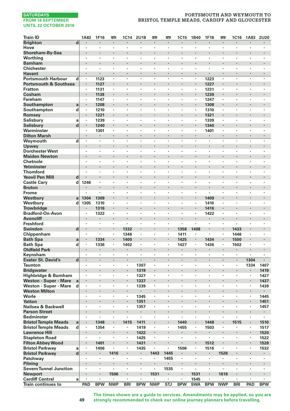# **PORTSMOUTH AND WEYMOUTH TO BRISTOL TEMPLE MEADS, CARDIFF AND GLOUCESTER**

| <b>Train ID</b>                     |                | 1A82               | 1F16           | <b>m</b>     | 1C14       | 2U18           | <b>m</b>             | <b>m</b>             | 1C15           | 1B40       | 1F18           | <b>P</b>             | <b>1C16</b>          | 1A83                 | 2U20       |
|-------------------------------------|----------------|--------------------|----------------|--------------|------------|----------------|----------------------|----------------------|----------------|------------|----------------|----------------------|----------------------|----------------------|------------|
| <b>Brighton</b>                     | $\overline{d}$ | $\cdot$            | $\cdot$        | ٠            | ٠          | $\blacksquare$ | $\blacksquare$       | $\blacksquare$       | $\blacksquare$ | $\cdot$    | ٠              | ٠                    | $\blacksquare$       | ٠                    | ٠          |
| Hove                                |                | $\cdot$            |                | ٠            | ٠          | ٠              | $\blacksquare$       | $\cdot$              | $\cdot$        |            | ٠              | ٠                    | ٠                    | $\cdot$              | ٠          |
| Shoreham-By-Sea                     |                |                    |                |              |            | ×              |                      |                      |                |            |                |                      |                      |                      |            |
| Worthing                            |                | $\cdot$            | $\cdot$        | ×            | ×          | ×              | ×                    | ٠                    | $\cdot$        | $\cdot$    | ×              | ×                    | ×                    | ×                    | ٠          |
| <b>Barnham</b>                      |                |                    |                |              |            |                |                      |                      |                |            |                |                      |                      |                      |            |
| <b>Chichester</b>                   |                | $\cdot$            | $\cdot$        | ٠            | ٠          | ٠              | ٠                    | ٠                    | $\cdot$        | $\cdot$    | ٠              | ٠                    | ٠                    | ٠                    | ٠          |
| <b>Havant</b>                       |                | $\blacksquare$     | $\cdot$        | ٠            | ٠          | $\blacksquare$ | ٠                    | ٠                    |                |            | ٠              | ٠                    | $\ddot{\phantom{0}}$ | ٠                    |            |
| <b>Portsmouth Harbour</b>           | d              | $\cdot$            | 1123           | ×            | ٠          | ٠              | ٠                    |                      |                |            | 1223           | ٠                    | ٠                    | ٠                    | ٠          |
| <b>Portsmouth &amp; Southsea</b>    |                | ۰                  | 1127           | $\cdot$      | l,         | $\cdot$        |                      | ٠                    |                |            | 1227           |                      | $\cdot$              |                      |            |
| <b>Fratton</b>                      |                |                    | 1131           | ٠            | ×,         |                | ï                    | ٠                    |                |            | 1231           | ٠                    | $\cdot$              | ٠                    |            |
| Cosham                              |                | $\cdot$            | 1139           |              | ۰          | ٠              |                      |                      |                |            | 1239           | ٠                    |                      | ٠                    | ٠          |
| Fareham                             |                | $\cdot$            | 1147           | ٠            | ٠          | $\cdot$        | ٠                    | ٠                    | $\cdot$        |            | 1247           | ٠                    | ٠                    | ٠                    | $\cdot$    |
| Southampton                         | a              |                    | 1208           |              | ï          |                |                      |                      |                |            | 1308           | ï                    |                      |                      | ï          |
| Southampton                         | d              |                    | 1210           | ٠            | ٠          | $\cdot$        | ï                    | $\cdot$              | $\cdot$        |            | 1310           | ×                    | ٠                    | ٠                    | ٠          |
| Romsey                              |                |                    | 1221           |              | ï          |                | ï                    |                      |                |            | 1321           |                      |                      |                      |            |
| <b>Salisbury</b>                    | a              | $\cdot$            | 1239           | ٠            | ٠          | ٠              | ٠                    | ٠                    | ٠              |            | 1339           | ×                    | ٠                    | ٠                    | ٠          |
| <b>Salisbury</b>                    | d              | $\blacksquare$     | 1240           | ٠            | ×<br>ï     | ٠              | ï                    | ï                    |                |            | 1340           | ٠                    | $\blacksquare$       | ٠                    | ï          |
| Warminster                          |                | $\cdot$<br>$\cdot$ | 1301           | ٠            |            |                | l,                   |                      |                |            | 1401           | ٠                    | ٠<br>$\cdot$         |                      | l,         |
| <b>Dilton Marsh</b>                 |                |                    | l,             | ł.           | ł.         | ÷,             | ÷,                   | i.                   | l.             |            | ï              | ÷.                   | i.                   | ÷,                   | ä,         |
| Weymouth<br>Upwey                   | d              |                    |                |              |            | ٠              |                      |                      |                |            |                |                      |                      |                      |            |
| <b>Dorchester West</b>              |                | ٠                  | ٠              | ٠            | ٠          | ٠              | ٠                    | ٠                    | ٠              | ,          | ٠              | ٠                    | ٠                    | ٠                    | ï          |
| <b>Maiden Newton</b>                |                |                    |                |              |            | ×              |                      |                      |                |            |                |                      | ×                    |                      |            |
| Chetnole                            |                | $\cdot$            | $\cdot$        |              |            |                | ÷,                   |                      | $\cdot$        | $\cdot$    |                |                      | ×                    | l,                   |            |
| Yetminster                          |                | $\cdot$            |                |              |            | ×              |                      |                      |                |            | ï              | ï                    |                      |                      | ٠          |
| <b>Thornford</b>                    |                |                    |                |              | ï          |                | ï                    | ï                    |                |            |                | ï                    |                      | ,                    |            |
| <b>Yeovil Pen Mill</b>              | d              |                    | ٠              |              | ۰          | ٠              |                      | ×                    |                |            |                | ۰                    | ٠                    | ٠                    | ٠          |
| <b>Castle Cary</b>                  | d              | 1246               | $\cdot$        | ×            | ×          | ×              | ×                    | ï                    | ÷              |            | ×              | ×                    | ×                    | ×                    | ٠          |
| <b>Bruton</b>                       |                |                    |                |              | ł.         | ×              |                      |                      |                |            | l,             | ×                    | $\cdot$              | ï                    |            |
| Frome                               |                |                    | ÷              | ×            | ×          | ×              | ×                    | ×                    | $\cdot$        | $\cdot$    |                | ×                    | ×                    | $\ddot{\phantom{a}}$ | ×          |
| Westburv                            | a              | 1304               | 1309           |              | ï          |                | ï                    |                      |                |            | 1409           | i,                   |                      |                      |            |
| Westbury                            | d              | 1305               | 1310           | ٠            | ٠          | ٠              | ٠                    | ٠                    | $\cdot$        | $\cdot$    | 1410           | ٠                    | ٠                    | ٠                    | ï          |
| <b>Trowbridge</b>                   |                |                    | 1316           | ٠            |            | ٠              |                      |                      |                |            | 1416           | ٠                    | ٠                    |                      |            |
| <b>Bradford-On-Avon</b>             |                | $\cdot$            | 1322           | ï            | ï          | ï              | ï                    | ï                    |                |            | 1422           | ×                    | ï                    | ï                    | ï          |
| <b>Avoncliff</b>                    |                | $\cdot$            |                | l,           | l,         | l,             | ï                    | ×,                   |                |            |                | l,                   | $\cdot$              |                      | ×,         |
| <b>Freshford</b>                    |                |                    |                | ٠            |            | ٠              | ï                    | ٠                    |                |            | ×              | ٠                    | $\cdot$              | ٠                    |            |
| <b>Swindon</b>                      | $\mathbf d$    | $\bullet$          | $\blacksquare$ | ٠            | 1332       | ٠              |                      | ٠                    | 1358           | 1408       | ٠              | ٠                    | 1433                 |                      | ٠          |
| Chippenham                          |                | $\cdot$            | $\cdot$        | ٠            | 1346       | ×              | ٠                    | ٠                    | 1411           | $\cdot$    | ٠              | ٠                    | 1446                 | ٠                    | ٠          |
| <b>Bath Spa</b>                     | a              | $\blacksquare$     | 1334           |              | 1400       |                | ï                    |                      | 1425           |            | 1434           |                      | 1500                 |                      |            |
| <b>Bath Spa</b>                     | d              |                    | 1336           | ٠            | 1402       | ٠              | ×                    | $\cdot$              | 1427           |            | 1436           | ×,                   | 1502                 | $\cdot$              | ٠          |
| <b>Oldfield Park</b>                |                | $\cdot$            | $\cdot$        |              |            | $\cdot$        |                      |                      |                |            |                |                      | $\blacksquare$       |                      |            |
| Keynsham                            |                |                    | $\cdot$        | ٠            | ٠          | ٠              | ٠                    | ٠                    | $\cdot$        |            | ٠              | ٠                    | ٠                    |                      | ï          |
| <b>Exeter St. David's</b>           | $\mathbf d$    | $\blacksquare$     | $\cdot$        | ٠            | ×,         | $\blacksquare$ | $\blacksquare$       | $\blacksquare$       | $\cdot$        | $\cdot$    | ٠              | ٠                    | $\blacksquare$       | 1304                 |            |
| <b>Taunton</b>                      |                | $\cdot$            | $\cdot$        | ٠            | ٠          | 1307           | ٠                    | ٠                    | $\cdot$        |            |                | ٠                    | ٠                    | 1334                 | 1407       |
| <b>Bridgwater</b>                   |                |                    |                |              |            | 1319           | l,                   |                      |                |            | l,             | ï                    | $\cdot$              |                      | 1419       |
| Highbridge & Burnham                |                | $\cdot$            | $\cdot$        | ٠            | ٠          | 1327           | ×,                   | ٠                    | $\cdot$        | $\cdot$    | ×              | ×                    | $\cdot$              | $\blacksquare$       | 1427       |
| <b>Weston - Super - Mare</b>        | a              |                    |                |              | ×,         | 1337           |                      |                      |                |            |                |                      |                      |                      | 1437       |
| Weston - Super - Mare               | d              | $\cdot$            | $\cdot$        | ٠            | ٠          | 1339           | ٠                    | ٠                    | $\cdot$        | $\cdot$    | ٠              | ٠                    | ٠                    | ٠                    | 1439       |
| <b>Weston Milton</b>                |                | $\cdot$            | $\cdot$        |              |            | $\cdot$        |                      |                      |                |            |                | ×                    | $\cdot$              | $\blacksquare$       |            |
| Worle                               |                | $\cdot$<br>$\cdot$ | $\cdot$        | ٠<br>$\cdot$ | ٠<br>i,    | 1345           | $\cdot$              | ٠<br>٠               | $\cdot$        |            | ٠<br>$\cdot$   | ٠                    | $\cdot$<br>$\cdot$   | $\cdot$              | 1445       |
| <b>Yatton</b><br>Nailsea & Backwell |                |                    |                | ł,           | ł,         | 1351           |                      | ï                    |                |            |                | ï                    | ï                    | ×,                   | 1451       |
| <b>Parson Street</b>                |                | $\cdot$            |                | ٠            |            | 1357<br>٠      |                      | ×                    |                |            |                | ×                    | ٠                    | ×                    | 1457<br>٠  |
| <b>Bedminster</b>                   |                | $\cdot$            | $\cdot$        | ٠            | ٠          | ٠              | ٠                    | ٠                    | $\cdot$        |            | ٠              | ٠                    | ٠                    | ٠                    | ٠          |
| <b>Bristol Temple Meads</b>         | a              |                    | 1348           | ł.           | 1415       | 1411           | ï                    | ï                    | 1440           |            | 1448           | i,                   | 1515                 |                      | 1510       |
| <b>Bristol Temple Meads</b>         | d              | $\cdot$            | 1354           | ×            | ٠          | 1419           | ä,                   | $\ddot{\phantom{0}}$ | 1455           | $\cdot$    | 1503           | $\ddot{\phantom{a}}$ | ×                    | ÷,                   | 1517       |
| <b>Lawrence Hill</b>                |                |                    | $\cdot$        |              | ï          | 1422           |                      |                      |                |            |                | ï                    |                      |                      | 1520       |
| <b>Stapleton Road</b>               |                |                    | $\cdot$        | ×            | ٠          | 1425           | $\ddot{\phantom{a}}$ | ×                    | $\cdot$        | $\cdot$    | $\epsilon$     | ٠                    |                      | $\cdot$              | 1522       |
| <b>Filton Abbey Wood</b>            |                | $\bullet$          | 1401           | ٠            | ٠          | 1431           | $\blacksquare$       | ٠                    | $\cdot$        |            | 1512           | ٠                    | $\blacksquare$       | $\blacksquare$       | 1528       |
| <b>Bristol Parkway</b>              | a              |                    | 1406           | ï            | ï          | 1435           | ï                    | ï                    | 1506           |            | 1516           | ï                    | ï                    | ï                    | 1532       |
| <b>Bristol Parkway</b>              | d              | $\cdot$            | $\cdot$        | 1416         | i,         | ٠              | 1443                 | 1445                 | $\cdot$        |            | ٠              | 1526                 |                      |                      | ٠          |
| Patchway                            |                |                    |                |              | ٠          | ×,             |                      | 1455                 | $\cdot$        |            | ٠              |                      | $\cdot$              | ٠                    | ٠          |
| Pilning                             |                |                    |                |              |            | $\blacksquare$ |                      |                      |                |            | ٠              |                      |                      |                      | ٠          |
| <b>Severn Tunnel Junction</b>       |                | $\cdot$            | ٠              | ٠            | ×          | $\cdot$        | $\blacksquare$       | 1535                 | $\cdot$        | $\cdot$    | ٠              | ٠                    | ٠                    | ٠                    | ×          |
| <b>Newport</b>                      |                |                    |                | 1506         | ×          | $\blacksquare$ | 1531                 |                      | $\cdot$        | 1531       | ٠              | 1616                 |                      |                      | ×,         |
| <b>Cardiff Central</b>              | a              | $\cdot$            | $\cdot$        |              |            | ×              |                      | $\ddot{\phantom{0}}$ | $\cdot$        | 1545       | $\blacksquare$ |                      | ×                    |                      | ٠          |
| <b>Train continues to</b>           |                | PAD                | <b>BPW</b>     | <b>NWP</b>   | <b>BRI</b> | <b>BPW</b>     | <b>NWP</b>           | <b>STJ</b>           | <b>BPW</b>     | <b>SWA</b> | <b>BPW</b>     | <b>NWP</b>           | <b>BRI</b>           | PAD                  | <b>BPW</b> |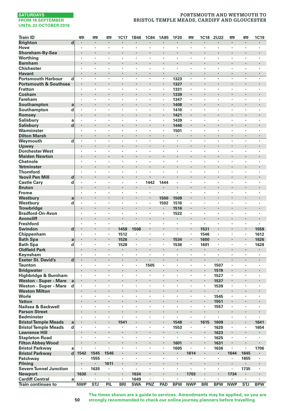# **PORTSMOUTH AND WEYMOUTH TO BRISTOL TEMPLE MEADS, CARDIFF AND GLOUCESTER**

| <b>Train ID</b>                  |   | 罒              | 罒              | 罒       | 1C17       | 1B46                 | <b>1C84</b>          | 1A85                            | 1F20           | P <sub>1</sub> | <b>1C18</b> | <b>2U22</b>          | P                    | 罒                    | <b>1C19</b> |
|----------------------------------|---|----------------|----------------|---------|------------|----------------------|----------------------|---------------------------------|----------------|----------------|-------------|----------------------|----------------------|----------------------|-------------|
| <b>Brighton</b>                  | d | $\blacksquare$ |                | ٠       | ٠          | ٠                    |                      |                                 | $\bullet$      |                | ٠           |                      | $\blacksquare$       | ٠                    |             |
| Hove                             |   | $\cdot$        | $\cdot$        | ×       | ٠          | $\cdot$              | $\blacksquare$       | $\cdot$                         | $\cdot$        | $\cdot$        | ٠           | ٠                    | $\ddot{\phantom{a}}$ | $\cdot$              | $\cdot$     |
| Shoreham-By-Sea                  |   |                |                | l,      |            |                      |                      |                                 |                |                |             | ï                    |                      |                      |             |
| Worthing                         |   | $\cdot$        |                | ٠       | ٠          | $\cdot$              | ï                    |                                 | $\cdot$        |                | ٠           | ٠                    | $\cdot$              | ٠                    |             |
| <b>Barnham</b>                   |   | $\cdot$        | $\cdot$        |         | ï          | $\cdot$              |                      |                                 | $\cdot$        |                | ×           | ï                    | ٠                    |                      |             |
| <b>Chichester</b>                |   | $\cdot$        |                | ×       | ×          | ٠                    | ٠                    |                                 | $\cdot$        |                | ٠           | ×                    | $\cdot$              | ٠                    |             |
| <b>Havant</b>                    |   | $\cdot$        | $\cdot$        | $\cdot$ | ٠          | $\cdot$              | $\ddot{\phantom{0}}$ |                                 | $\cdot$        | $\cdot$        | ×           | $\cdot$              | $\cdot$              | $\cdot$              | $\cdot$     |
| <b>Portsmouth Harbour</b>        | d | $\cdot$        | $\cdot$        | ×       | ×          | $\cdot$              | $\cdot$              | $\cdot$                         | 1323           | $\cdot$        | ×,          | ٠                    | $\cdot$              | $\cdot$              |             |
| <b>Portsmouth &amp; Southsea</b> |   | $\cdot$        | $\cdot$        | l,      | ï          | $\cdot$              | ï                    |                                 | 1327           |                | ×           | ï                    | ×,                   |                      |             |
| <b>Fratton</b>                   |   | $\cdot$        | $\cdot$        | ٠       | ٠          | $\cdot$              | ×                    |                                 | 1331           | $\blacksquare$ | ٠           | $\cdot$              | ×                    | ×                    | $\cdot$     |
| Cosham                           |   |                | $\cdot$        |         |            | ٠                    |                      |                                 | 1339           |                |             |                      |                      |                      |             |
| <b>Fareham</b>                   |   | ٠              | $\cdot$        | ٠       | ٠          | ٠                    | ٠                    | $\cdot$                         | 1347           | $\cdot$        | ٠           | ٠                    | ٠                    | ٠                    | $\cdot$     |
| Southampton                      | a | $\cdot$        | $\cdot$        |         |            | ×                    |                      |                                 | 1408           |                | ł.          |                      |                      |                      |             |
| Southampton                      | d | $\cdot$        | $\cdot$        | ×       |            | ï                    | ÷,                   | $\cdot$                         | 1410           | $\cdot$        | ï           | ÷,                   |                      |                      | $\cdot$     |
| Romsey                           |   |                | $\cdot$        |         |            | $\cdot$              |                      |                                 | 1421           |                | ×           |                      | ٠                    |                      |             |
| <b>Salisbury</b>                 | a | $\cdot$        |                | ï       | ï          | ï                    | ï                    |                                 | 1439           |                | ï           | ï                    | ï                    | ٠                    |             |
| <b>Salisbury</b>                 | d | $\blacksquare$ | $\cdot$        | ٠       |            | ٠                    |                      | $\cdot$                         | 1440           | $\blacksquare$ | ٠           |                      | $\blacksquare$       | ٠                    |             |
| Warminster                       |   | $\cdot$        |                | ×       | ï          | ×                    | ×                    |                                 | 1501           |                | ٠           | ٠                    | ×                    | ٠                    |             |
| <b>Dilton Marsh</b>              |   | $\cdot$        |                | ł.      | i,         |                      | ï                    | $\cdot$                         | $\cdot$        |                | ä,          | ä,                   | ×,                   |                      |             |
| Weymouth                         | d |                | $\cdot$        | ٠       | ï          | ×                    | ×                    |                                 | $\cdot$        | $\cdot$        | ٠           | ٠                    | ×                    | ×                    |             |
| Upwey                            |   |                |                |         |            |                      |                      |                                 |                |                |             |                      |                      |                      |             |
| <b>Dorchester West</b>           |   | $\cdot$        | $\cdot$        | ٠       | ٠          | ٠                    | ٠                    | $\cdot$                         | $\cdot$        | $\cdot$        | ٠           | ٠                    | ٠                    | ٠                    | $\cdot$     |
| <b>Maiden Newton</b>             |   | $\cdot$        | $\cdot$        |         |            | ٠                    |                      |                                 |                |                |             |                      | $\blacksquare$       |                      |             |
| Chetnole                         |   | $\cdot$        |                | ×       | ï          | ï                    | ł,                   |                                 |                |                | ï           | ł,                   | ï                    | ï                    |             |
| Yetminster                       |   | $\cdot$        | $\cdot$        | l,      | l,         | $\ddot{\phantom{0}}$ | l,                   |                                 | $\cdot$        |                |             | l,                   | ÷.                   | $\ddot{\phantom{0}}$ |             |
| <b>Thornford</b>                 |   |                |                | ×       | ×,         | ٠                    | ï                    |                                 | $\cdot$        |                | ٠           | ï                    | ٠                    | ٠                    |             |
| <b>Yeovil Pen Mill</b>           | d | $\bullet$      | $\bullet$      |         |            | ٠                    |                      |                                 | $\bullet$      |                | ٠           | ٠                    |                      |                      |             |
| <b>Castle Cary</b>               | d | $\cdot$        | $\cdot$        | ٠       | ٠          | $\cdot$              | 1442                 | 1444                            | $\cdot$        | $\cdot$        | ٠           | ٠                    | ٠                    | ٠                    | $\cdot$     |
| <b>Bruton</b>                    |   | $\cdot$        |                |         | ï          |                      |                      |                                 |                |                | i,          | ï                    |                      |                      |             |
| Frome                            |   | $\cdot$        |                | ٠       | ×          | $\cdot$              | $\cdot$              | $\cdot$                         | $\cdot$        |                | ٠           | ٠                    | ٠                    | ٠                    |             |
| Westbury                         | a |                | $\cdot$        |         | ï          |                      | ï                    | 1500                            | 1509           |                | ×           | ï                    |                      |                      |             |
| Westbury                         | d | ٠              | $\cdot$        | ٠       | ×          | ٠                    | $\cdot$              | 1502                            | 1510           |                | ×           | ٠                    | $\cdot$              | ٠                    | $\cdot$     |
| <b>Trowbridge</b>                |   | $\cdot$        | $\cdot$        |         | ×          | ٠                    |                      |                                 | 1516           | $\cdot$        | ×           | ×                    | ٠                    | ٠                    |             |
| <b>Bradford-On-Avon</b>          |   |                |                |         | ł,         | ï                    |                      | $\cdot$                         | 1522           |                | ï           | ł,                   | ï                    |                      |             |
| <b>Avoncliff</b>                 |   | $\cdot$        |                | l,      | ï          |                      |                      |                                 | $\cdot$        |                | i,          | l,                   |                      |                      |             |
| Freshford                        |   |                | $\cdot$        | ٠       | ä,         |                      | $\ddot{\phantom{0}}$ | $\cdot$                         | $\cdot$        | $\cdot$        | ä,          | ÷.                   | i.                   |                      | ï           |
| Swindon                          | d | $\bullet$      | $\bullet$      | ×       | 1458       | 1508                 |                      |                                 | $\cdot$        |                | 1531        | ł                    | ٠                    | $\blacksquare$       | 1558        |
| Chippenham                       |   | $\cdot$        | $\cdot$        | ٠       | 1512       | $\cdot$              | ×                    | $\cdot$                         | $\cdot$        | $\cdot$        | 1546        | $\cdot$              | ×                    | ×                    | 1612        |
| <b>Bath Spa</b>                  | a | $\blacksquare$ | $\cdot$        | ٠       | 1526       | $\blacksquare$       |                      |                                 | 1534           |                | 1600        |                      |                      | $\blacksquare$       | 1626        |
| <b>Bath Spa</b>                  | d | $\cdot$        | $\cdot$        | ٠       | 1528       | $\cdot$              | ÷,                   | $\cdot$                         | 1536           |                | 1601        | $\cdot$              | ×                    | $\cdot$              | 1628        |
| <b>Oldfield Park</b>             |   | $\cdot$        | $\cdot$        |         | ٠          | $\blacksquare$       | ï                    |                                 | $\cdot$        |                |             | i,                   | ٠                    | $\cdot$              | ٠           |
| Keynsham                         |   |                |                | ×       | ٠          | $\cdot$              | ï                    |                                 |                |                | ٠           | ×                    | $\cdot$              | ٠                    |             |
| <b>Exeter St. David's</b>        | d | $\blacksquare$ | $\cdot$        | ٠       | ٠          | $\blacksquare$       | ٠                    | $\blacksquare$                  | $\blacksquare$ | $\blacksquare$ | ٠           | ٠                    | $\blacksquare$       | $\blacksquare$       | $\cdot$     |
| <b>Taunton</b>                   |   | $\cdot$        |                |         | ×,         | ٠                    | 1505                 |                                 | $\cdot$        |                | ٠           | 1507                 | ٠                    | ٠                    |             |
| <b>Bridgwater</b>                |   |                |                |         | ï          |                      |                      |                                 |                |                | ï           | 1519                 |                      |                      |             |
| Highbridge & Burnham             |   | $\cdot$        | $\cdot$        | ×       | ٠          | $\cdot$              | ×                    | $\cdot$                         | $\cdot$        | $\cdot$        | ×,          | 1527                 | ×                    | ×                    | $\cdot$     |
| <b>Weston - Super - Mare</b>     | a |                |                |         |            |                      |                      |                                 |                |                |             | 1537                 |                      |                      |             |
| Weston - Super - Mare            | d | $\cdot$        |                | ٠       | ٠          | ٠                    | ٠                    | $\cdot$                         | $\cdot$        |                | ×,          | 1539                 | ٠                    | ٠                    | $\cdot$     |
| <b>Weston Milton</b>             |   |                | $\cdot$        |         | ł          |                      |                      |                                 |                |                | ٠           | ×,                   |                      |                      |             |
| Worle                            |   | $\cdot$        |                | ×       | ×          | ٠                    | ٠                    |                                 | $\cdot$        |                | ×,          | 1545                 | $\cdot$              | $\cdot$              | $\cdot$     |
| <b>Yatton</b>                    |   | $\cdot$        |                | $\cdot$ | ï          | $\cdot$              |                      |                                 | $\cdot$        |                | ,           | 1551                 |                      | $\cdot$              |             |
| Nailsea & Backwell               |   |                |                |         | ï          | ,                    | ï                    |                                 | $\cdot$        |                | ×,          | 1557                 |                      | ,                    |             |
| <b>Parson Street</b>             |   |                | $\cdot$        | ×       |            | ٠                    |                      |                                 |                |                | ×           | ×                    | ٠                    | ٠                    |             |
| <b>Bedminster</b>                |   | $\cdot$        | $\cdot$        | ٠       | ×          | ٠                    | ٠                    | $\cdot$                         | $\cdot$        |                | ٠           | ٠                    | ٠                    | ٠                    |             |
| <b>Bristol Temple Meads</b>      | a |                |                |         | 1541       |                      |                      |                                 | 1548           |                | 1615        | 1609                 |                      |                      | 1641        |
| <b>Bristol Temple Meads</b>      | d | $\cdot$        |                | ٠       | ٠          | $\cdot$              | ٠                    |                                 | 1553           |                | ٠           | 1620                 | $\cdot$              | ٠                    | 1654        |
| <b>Lawrence Hill</b>             |   |                |                |         |            |                      | ï                    |                                 |                |                |             | 1623                 |                      |                      |             |
| <b>Stapleton Road</b>            |   | ٠              |                | ٠       | ٠          | ٠                    | ï                    | $\cdot$                         | $\cdot$        |                | ٠           | 1625                 | ٠                    | ï                    | $\cdot$     |
| <b>Filton Abbey Wood</b>         |   |                | $\blacksquare$ | ٠       |            | ٠                    |                      | $\centering \label{eq:reduced}$ | 1601           | $\cdot$        | ٠           | 1631                 | $\blacksquare$       | ٠                    |             |
| <b>Bristol Parkway</b>           | a |                |                |         | ï          |                      | l,                   |                                 | 1605           | $\cdot$        | ï           | 1636                 | ï                    | l,                   | 1706        |
| <b>Bristol Parkway</b>           | d | 1542           | 1545           | 1546    | i,         |                      | ï                    |                                 | $\bullet$      | 1614           | ï           | ٠                    | 1644                 | 1645                 |             |
| Patchway                         |   |                | 1555           |         | ٠          | $\cdot$              | ×                    | $\cdot$                         | $\cdot$        |                | ٠           | ×                    |                      | 1655                 |             |
| Pilning                          |   |                | $\bullet$      | 1611    |            | ٠                    |                      |                                 | $\bullet$      |                |             | ł                    | ×                    |                      |             |
| <b>Severn Tunnel Junction</b>    |   | $\cdot$        | 1635           | ×       | ×          | $\cdot$              | $\ddot{\phantom{a}}$ | $\cdot$                         | $\cdot$        | $\cdot$        | ×           | ٠                    | $\cdot$              | 1735                 | $\cdot$     |
| Newport                          |   | 1630           | $\cdot$        | ×       | ł          | 1634                 | ï                    |                                 | $\cdot$        | 1703           |             | i,                   | 1734                 |                      |             |
| <b>Cardiff Central</b>           | a | $\cdot$        | $\cdot$        | ٠       |            | 1649                 | ä,                   | $\cdot$                         | $\cdot$        |                | ×.          | $\ddot{\phantom{a}}$ | ٠                    | ä,                   | $\cdot$     |
| <b>Train continues to</b>        |   | <b>NWP</b>     | STJ            | PIL     | <b>BRI</b> | <b>SWA</b>           | PNZ                  | PAD                             | <b>BPW</b>     | <b>NWP</b>     | <b>BRI</b>  | <b>BPW</b>           | <b>NWP</b>           | <b>STJ</b>           | <b>BPW</b>  |
|                                  |   |                |                |         |            |                      |                      |                                 |                |                |             |                      |                      |                      |             |

**The times shown are a guide to services. Amendments may be applied, so you are strongly recommended to check our online journey planners before travelling.**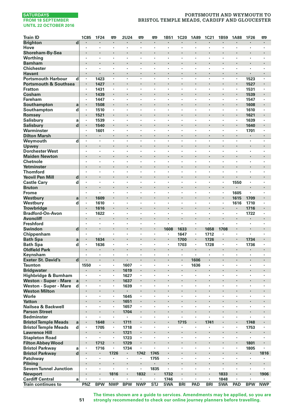# **PORTSMOUTH AND WEYMOUTH TO BRISTOL TEMPLE MEADS, CARDIFF AND GLOUCESTER**

| <b>Train ID</b>                         |                         | <b>1C85</b>               | <b>1F24</b>                     | 雫          | <b>2U24</b> | 罒                    | 罒                    | 1B51                     | <b>1C20</b>            | 1A89               | 1C21       | 1B59       | <b>1A88</b>               | 1F26                   | 罒                         |
|-----------------------------------------|-------------------------|---------------------------|---------------------------------|------------|-------------|----------------------|----------------------|--------------------------|------------------------|--------------------|------------|------------|---------------------------|------------------------|---------------------------|
| <b>Brighton</b>                         | d                       |                           | $\bullet$                       | ٠          |             | $\blacksquare$       |                      | ٠                        | $\bullet$              | $\bullet$          |            | ٠          |                           | ٠                      | ٠                         |
| Hove                                    |                         | $\cdot$                   | $\cdot$                         | ٠          | ×,          | $\cdot$              | $\cdot$              | ٠                        | $\cdot$                | $\cdot$            | ٠          | ٠          | ٠                         | ×                      | ×,                        |
| Shoreham-By-Sea                         |                         |                           |                                 | ï          | i,          |                      |                      |                          |                        |                    | ï          | ï          |                           |                        |                           |
| Worthing                                |                         | $\cdot$                   | $\cdot$                         | ×          | ×,<br>٠     | $\cdot$              | ×                    | ٠                        | $\cdot$                | $\cdot$            | ×<br>÷,    | ×<br>ï     | ٠                         | ×                      | ×                         |
| <b>Barnham</b><br><b>Chichester</b>     |                         | ٠                         | $\cdot$                         | ×          | ï           | ٠                    | ٠                    | ٠                        |                        |                    | ×          | ×          | ٠                         | ٠                      | ٠                         |
| <b>Havant</b>                           |                         | $\cdot$                   | $\cdot$                         | ٠          | ٠           | $\ddot{\phantom{0}}$ | $\ddot{\phantom{0}}$ | ٠                        | $\cdot$                | $\cdot$            | ×          | ٠          | $\cdot$                   |                        | $\cdot$                   |
| <b>Portsmouth Harbour</b>               | d                       | $\cdot$                   | 1423                            | ٠          | ×,          | ٠                    | $\cdot$              | ٠                        | $\cdot$                |                    | ٠          | $\bullet$  | $\cdot$                   | 1523                   | $\cdot$                   |
| <b>Portsmouth &amp; Southsea</b>        |                         | $\cdot$                   | 1427                            | ł.         | i,          |                      |                      |                          |                        | $\cdot$            | i,         | ï          |                           | 1527                   |                           |
| <b>Fratton</b>                          |                         | $\cdot$                   | 1431                            | ٠          | ×.          | ٠                    | ×                    | ×                        | $\cdot$                | $\cdot$            | ٠          | ×          | $\cdot$                   | 1531                   | ٠                         |
| Cosham                                  |                         |                           | 1439                            | ×          | ł,          |                      |                      |                          |                        |                    |            |            | ×                         | 1539                   | ٠                         |
| <b>Fareham</b>                          |                         | ٠                         | 1447                            | ٠          | ٠           | ٠                    | ٠                    | ٠                        | $\cdot$                | $\cdot$            | ٠          | ٠          | ٠                         | 1547                   | ٠                         |
| Southampton                             | a                       |                           | 1508                            | ×          | ł.          |                      |                      |                          |                        |                    |            |            |                           | 1608                   |                           |
| Southampton                             | d                       | $\cdot$                   | 1510                            | ä,         | ï           | l,                   | ÷,                   | l,                       |                        | $\cdot$            | ÷,         | ÷,         | $\blacksquare$            | 1610                   |                           |
| Romsey                                  |                         |                           | 1521                            |            | ٠           |                      |                      |                          |                        | $\cdot$            | ï          | ï          |                           | 1621                   |                           |
| <b>Salisbury</b>                        | a                       | $\cdot$                   | 1539                            | ï          | ï           | ï                    | ï                    | ï                        |                        |                    |            | l,         | ï                         | 1639                   | ٠                         |
| <b>Salisbury</b><br>Warminster          | $\mathbf d$             | $\blacksquare$<br>$\cdot$ | 1540<br>1601                    | ٠<br>٠     | ×<br>٠      | ٠<br>٠               | ×<br>×               | ٠<br>×                   | $\cdot$                | $\cdot$<br>$\cdot$ | ×<br>×     | ٠          | $\blacksquare$<br>$\cdot$ | 1640<br>1701           | ٠<br>$\cdot$              |
| <b>Dilton Marsh</b>                     |                         | $\cdot$                   | $\cdot$                         | ×          | ä,          |                      | ï                    |                          | $\cdot$                |                    | ×          | ä,         | ×,                        |                        | ×,                        |
| Weymouth                                | d                       |                           | $\cdot$                         | ×          | ï           | ٠                    | ï                    | ×                        | $\cdot$                | $\cdot$            | ł.         | ٠          | ×                         | ×                      | ×                         |
| Upwey                                   |                         |                           |                                 |            |             |                      | ï                    |                          |                        | $\cdot$            |            |            |                           |                        |                           |
| <b>Dorchester West</b>                  |                         | ٠                         | $\cdot$                         | ٠          | ٠           | ٠                    | ٠                    | ٠                        | $\cdot$                | $\cdot$            | ٠          | ٠          | ٠                         | ٠                      | ٠                         |
| <b>Maiden Newton</b>                    |                         | $\cdot$                   | $\centering \label{eq:reduced}$ |            |             | ٠                    | ×                    |                          |                        | $\cdot$            |            |            | ٠                         |                        | ٠                         |
| Chetnole                                |                         |                           |                                 | l,         | ï           | ï                    | ł,                   | ï                        |                        |                    | l,         | ł,         | ï                         | ï                      | ï                         |
| Yetminster                              |                         |                           | $\cdot$                         | l,         | l,          | ÷,                   | $\overline{a}$       |                          |                        | $\cdot$            | l,         | ï          | ÷,                        | l,                     | $\cdot$                   |
| <b>Thornford</b>                        |                         |                           |                                 | ×          | ×,          | ٠                    | ï                    | ٠                        |                        |                    | ٠          | ٠          | ٠                         | ï                      |                           |
| <b>Yeovil Pen Mill</b>                  | d                       | $\bullet$                 |                                 |            | ٠           |                      |                      | ٠                        |                        | $\bullet$          |            |            | ٠                         |                        | ٠                         |
| <b>Castle Cary</b>                      | d                       | $\cdot$                   | $\cdot$                         | ٠<br>l,    | ٠<br>ï      | ٠                    | ٠                    | ٠                        | $\cdot$                | $\cdot$<br>$\cdot$ | ٠          | ٠<br>ï     | 1550                      | ٠                      | ٠                         |
| <b>Bruton</b><br><b>Frome</b>           |                         | $\cdot$                   | $\cdot$                         | ٠          | ×,          | ٠                    | ٠                    | ٠                        | $\cdot$                |                    | ٠          | ×          | 1605                      | ×                      | ٠                         |
| Westbury                                | a                       |                           | 1609                            | i,         | i,          |                      |                      |                          |                        | $\cdot$            |            | ï          | 1615                      | 1709                   |                           |
| Westbury                                | d                       | ٠                         | 1610                            | ٠          | ï           | ٠                    | ٠                    | ٠                        |                        | ,                  | ٠          | ٠          | 1616                      | 1710                   | ٠                         |
| <b>Trowbridge</b>                       |                         | $\cdot$                   | 1616                            | ٠          | ł,          | ٠                    |                      | ٠                        |                        | $\cdot$            |            |            | ٠                         | 1716                   | ٠                         |
| <b>Bradford-On-Avon</b>                 |                         |                           | 1622                            | ł,         | ï           |                      |                      |                          |                        |                    | l,         |            | ï                         | 1722                   | ï                         |
| <b>Avoncliff</b>                        |                         | $\cdot$                   | $\cdot$                         | $\cdot$    | ï           |                      |                      |                          |                        |                    | ï          | ï          |                           |                        | $\ddot{\phantom{0}}$      |
| Freshford                               |                         | ٠                         | $\cdot$                         |            | ï           | ٠                    | ï                    | $\overline{\phantom{a}}$ | i.                     | $\cdot$            | ×.         | ä,         |                           |                        | $\overline{\phantom{a}}$  |
| Swindon                                 | d                       |                           | $\centering \label{eq:reduced}$ |            | ٠           |                      |                      | 1608                     | 1633                   | $\cdot$            | 1658       | 1708       | ٠                         |                        | ٠                         |
| Chippenham                              |                         | $\cdot$                   | $\cdot$                         | ٠          | ٠           | ×                    | ×                    | ٠                        | 1647                   | $\cdot$            | 1712       | ٠          | ×                         | ×                      | ٠                         |
| <b>Bath Spa</b>                         | a                       | $\cdot$<br>$\cdot$        | 1634                            | ٠<br>×     | ×<br>٠      | ×                    | ×                    | ×                        | 1700                   | $\blacksquare$     | 1726       | ٠<br>٠     | $\blacksquare$<br>٠       | 1734                   | $\blacksquare$<br>×       |
| <b>Bath Spa</b><br><b>Oldfield Park</b> | d                       |                           | 1636<br>$\blacksquare$          | $\cdot$    | ×,          | $\ddot{\phantom{0}}$ |                      |                          | 1703<br>$\blacksquare$ |                    | 1728       | ï          | ×                         | 1736                   | $\cdot$                   |
| Keynsham                                |                         |                           | $\cdot$                         | ×          | ï           |                      |                      | ٠                        | $\cdot$                |                    | ï          | ×          | ٠                         | $\cdot$                | ٠                         |
| <b>Exeter St. David's</b>               | $\overline{\mathbf{d}}$ |                           | $\blacksquare$                  | ٠          | ×,          | ٠                    | ×                    | ٠                        | $\cdot$                | 1606               | ٠          | ٠          | ٠                         | $\blacksquare$         | $\blacksquare$            |
| <b>Taunton</b>                          |                         | 1550                      | $\cdot$                         | ٠          | 1607        | ٠                    | $\cdot$              | ٠                        | $\cdot$                | 1636               | ٠          |            | ٠                         | $\cdot$                | $\cdot$                   |
| <b>Bridgwater</b>                       |                         |                           |                                 | ï          | 1619        |                      | ï                    |                          |                        |                    | ï          | ï          |                           | ï                      |                           |
| Highbridge & Burnham                    |                         | $\cdot$                   | $\cdot$                         | ٠          | 1627        | $\cdot$              | ×                    | ×                        | $\cdot$                | $\cdot$            | ×          | ×          | ×                         | ×                      | ×                         |
| <b>Weston - Super - Mare</b>            | a                       |                           |                                 |            | 1637        |                      |                      |                          |                        |                    |            |            |                           |                        |                           |
| Weston - Super - Mare                   | d                       | $\cdot$                   | $\cdot$                         | ٠          | 1639        | ٠                    | ٠                    | ٠                        | $\cdot$                |                    | ٠          | ٠          | ٠                         | ٠                      | ٠                         |
| <b>Weston Milton</b><br>Worle           |                         | $\cdot$                   |                                 | ٠<br>ï     | ٠<br>1645   | ٠                    | ٠                    | ٠                        |                        |                    | ï<br>×     | ×          | ٠                         | ٠                      | $\blacksquare$<br>$\cdot$ |
| <b>Yatton</b>                           |                         |                           |                                 | ÷          | 1651        |                      |                      |                          |                        |                    |            | ï          |                           | l,                     |                           |
| Nailsea & Backwell                      |                         |                           |                                 |            | 1657        |                      | ï                    | ٠                        |                        |                    | ï          | ï          | ٠                         | ï                      |                           |
| <b>Parson Street</b>                    |                         |                           | $\cdot$                         | ٠          | 1704        | ×                    |                      |                          |                        | $\cdot$            |            |            | ٠                         |                        | ٠                         |
| <b>Bedminster</b>                       |                         | ٠                         | $\cdot$                         | ٠          | ٠           | ٠                    | ٠                    | ٠                        | $\cdot$                |                    | ٠          | ٠          | ٠                         | ï                      | ٠                         |
| <b>Bristol Temple Meads</b>             | a                       |                           | 1648                            | ł.         | 1711        |                      |                      |                          | 1715                   | $\cdot$            | 1741       |            |                           | 1748                   |                           |
| <b>Bristol Temple Meads</b>             | d                       | $\cdot$                   | 1705                            | ×,         | 1718        | ×,                   | $\cdot$              | ٠                        | ٠                      |                    | ٠          | ٠          | ٠                         | 1753                   | $\cdot$                   |
| <b>Lawrence Hill</b>                    |                         |                           | $\cdot$                         |            | 1721        |                      |                      | ×                        |                        | $\cdot$            |            |            |                           |                        |                           |
| <b>Stapleton Road</b>                   |                         | ٠                         | $\cdot$                         | ٠          | 1723        | ٠                    | ٠                    | ٠                        | $\cdot$                |                    | ٠          | ٠          | $\cdot$                   | $\blacksquare$         | ٠                         |
| <b>Filton Abbey Wood</b>                |                         | $\bullet$                 | 1712                            | ٠          | 1729        | $\blacksquare$       | ×                    | ٠                        |                        | $\cdot$            | ×          | ٠          | $\blacksquare$            | 1801                   | $\blacksquare$            |
| <b>Bristol Parkway</b>                  | a                       | $\cdot$                   | 1716<br>$\cdot$                 | ł,         | 1734<br>٠   |                      | ï                    |                          |                        | $\cdot$            | ł.         | ï<br>ï     |                           | 1805<br>$\blacksquare$ |                           |
| <b>Bristol Parkway</b><br>Patchway      | d                       |                           |                                 | 1726       | ×,          | 1742                 | 1745<br>1755         | $\cdot$                  | $\cdot$                | $\cdot$            | ×          | ٠          | ×                         | $\cdot$                | 1816                      |
| Pilning                                 |                         |                           | $\bullet$                       | ł.         | ٠           |                      |                      | ٠                        |                        |                    |            |            |                           |                        |                           |
| <b>Severn Tunnel Junction</b>           |                         | $\cdot$                   | $\cdot$                         | ٠          | ٠           | ٠                    | 1835                 | $\cdot$                  | $\cdot$                | $\cdot$            | ٠          | $\cdot$    | ٠                         | ×                      | ٠                         |
| <b>Newport</b>                          |                         |                           | $\cdot$                         | 1816       |             | 1832                 |                      | 1732                     | $\cdot$                | $\cdot$            | ł.         | 1833       | ×                         |                        | 1906                      |
| <b>Cardiff Central</b>                  | a                       | $\cdot$                   | $\cdot$                         |            | ٠           |                      | $\cdot$              | 1746                     | $\cdot$                | $\cdot$            | ×.         | 1848       | ×                         |                        |                           |
| <b>Train continues to</b>               |                         | PNZ                       | <b>BPW</b>                      | <b>NWP</b> | <b>BPW</b>  | <b>NWP</b>           | <b>STJ</b>           | <b>SWA</b>               | <b>BRI</b>             | PAD                | <b>BRI</b> | <b>SWA</b> | PAD                       | <b>BPW</b>             | <b>NWP</b>                |

**The times shown are a guide to services. Amendments may be applied, so you are strongly recommended to check our online journey planners before travelling.**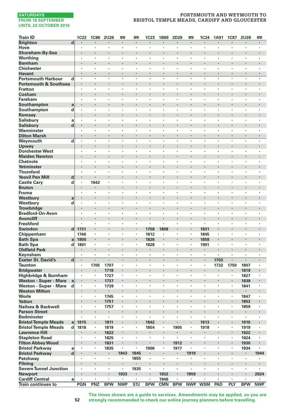# **PORTSMOUTH AND WEYMOUTH TO BRISTOL TEMPLE MEADS, CARDIFF AND GLOUCESTER**

| <b>Train ID</b>                                    |                         | 1C22                             | <b>1C86</b>        | <b>2U26</b>    | 罒          | œ                       | 1C23           | 1B69           | 2D29                 | P <sub>1</sub> | 1C24       | <b>1A91</b>              | <b>1C87</b>          | <b>2U28</b>          | 罒              |
|----------------------------------------------------|-------------------------|----------------------------------|--------------------|----------------|------------|-------------------------|----------------|----------------|----------------------|----------------|------------|--------------------------|----------------------|----------------------|----------------|
| <b>Brighton</b>                                    | d                       |                                  |                    |                | ł          |                         |                |                |                      | $\cdot$        |            |                          |                      |                      |                |
| Hove                                               |                         | $\cdot$                          | $\cdot$            | ٠              | ٠          | ٠                       | ٠              | $\cdot$        | $\cdot$              | $\cdot$        | ٠          | ٠                        | ٠                    | ٠                    | $\cdot$        |
| Shoreham-By-Sea                                    |                         | $\cdot$                          |                    |                | ł.         | $\cdot$                 | ï              |                |                      | $\cdot$        | ł.         | ï                        |                      |                      |                |
| Worthing                                           |                         | $\cdot$                          |                    | ٠              | ×          | ï                       | l,             | ï              | $\cdot$              |                | ٠          | ٠                        | $\cdot$              | ٠                    | ï              |
| <b>Barnham</b>                                     |                         | $\cdot$                          | $\cdot$            | ï              | ï          | $\cdot$                 |                |                | $\cdot$              |                | ٠          | ï                        | ٠                    |                      |                |
| <b>Chichester</b>                                  |                         |                                  |                    | ٠              | ï          | ٠                       | ï              |                | $\cdot$              |                | ٠          | ï                        | ٠                    | ٠                    |                |
| Havant                                             |                         | $\bullet$                        | $\cdot$            | ٠              | ٠          | $\blacksquare$          | ×              | $\cdot$        | $\cdot$              | $\cdot$        | ٠          | ٠                        | $\ddot{\phantom{0}}$ | $\blacksquare$       |                |
| <b>Portsmouth Harbour</b>                          | d                       | $\cdot$                          | $\cdot$            | ٠              | ÷,         |                         | ÷,             | $\cdot$        | $\cdot$              | $\cdot$        | ä,         | $\overline{\phantom{a}}$ | ÷.                   | ٠                    | $\cdot$        |
| <b>Portsmouth &amp; Southsea</b>                   |                         | $\cdot$                          |                    | ï              | ł.         | $\cdot$                 |                |                |                      |                | ×          |                          |                      | ×                    |                |
| <b>Fratton</b>                                     |                         | $\cdot$                          | $\cdot$            | ×              | $\cdot$    | ×                       | ÷,             | $\cdot$        | $\cdot$              | $\cdot$        | ٠          | $\cdot$                  | ×                    | ×                    | $\cdot$        |
| Cosham                                             |                         | $\cdot$                          | $\cdot$<br>$\cdot$ | ï<br>٠         | ٠          |                         | ï<br>×         | $\cdot$        | $\cdot$              | $\cdot$        | ٠          | ï<br>٠                   | ×,<br>٠              | ï<br>٠               |                |
| <b>Fareham</b><br>Southampton                      |                         | $\bullet$                        | $\cdot$            |                | ×          | ٠<br>٠                  |                |                |                      |                | ×          |                          | ×                    |                      | $\cdot$        |
| Southampton                                        | a<br>d                  |                                  |                    | ï              | ï          | ï                       | ł,             |                |                      |                | ï          | ł,                       | ï                    | ï                    |                |
| Romsey                                             |                         |                                  | $\cdot$            | l,             | ï          |                         |                |                | $\ddot{\phantom{0}}$ |                | i,         | ï                        |                      | ÷,                   |                |
| <b>Salisbury</b>                                   | a                       |                                  |                    | ٠              | ï          | $\cdot$                 | ï              |                | $\cdot$              |                | ٠          | ×                        | $\cdot$              | ٠                    |                |
| <b>Salisbury</b>                                   | $\mathbf d$             |                                  | $\bullet$          |                |            | ٠                       |                | ٠              |                      |                | ٠          |                          | ٠                    | ٠                    |                |
| Warminster                                         |                         | $\cdot$                          | $\cdot$            | ٠              | ٠          | ٠                       | ٠              | ٠              | $\cdot$              | $\cdot$        | ٠          | ٠                        | ×                    | ٠                    | $\cdot$        |
| <b>Dilton Marsh</b>                                |                         | $\cdot$                          |                    | $\cdot$        | i,         |                         |                |                | $\cdot$              |                | ä,         | ×,                       | ×,                   |                      |                |
| Weymouth                                           | $\overline{\mathbf{d}}$ | $\cdot$                          |                    | ł,             | ł,         |                         | l,             |                | $\cdot$              |                | ï          | ÷,                       |                      | l,                   |                |
| Upwey                                              |                         |                                  | $\cdot$            |                |            |                         | ï              |                |                      |                | ×          | ï                        | ۰                    |                      |                |
| <b>Dorchester West</b>                             |                         | ٠                                | $\cdot$            | ٠              | ٠          | ٠                       | ٠              | ٠              | $\cdot$              |                | ×          | ٠                        | $\cdot$              | ٠                    | $\cdot$        |
| <b>Maiden Newton</b>                               |                         | $\cdot$                          | $\cdot$            |                | ×          | ٠                       |                |                |                      |                | ×          | ł.                       | ×                    |                      |                |
| Chetnole                                           |                         |                                  |                    |                |            | ï                       |                |                |                      |                | ï          | ł,                       | ï                    |                      |                |
| Yetminster                                         |                         |                                  | $\cdot$            | l,             | ï          | $\cdot$                 | ï              |                | $\cdot$              |                | i,         | ï                        |                      | $\ddot{\phantom{0}}$ |                |
| <b>Thornford</b>                                   |                         | $\ddot{\phantom{0}}$             | i.                 | ×.             | ł,         | ×                       | ÷,             | i.             | $\ddot{\phantom{0}}$ | $\cdot$        | ï          | ÷.                       | i.                   | $\ddot{\phantom{0}}$ |                |
| <b>Yeovil Pen Mill</b>                             | d                       | $\bullet$                        | $\cdot$            | ٠              | ٠          | ٠<br>×                  | ×              |                |                      |                | ٠          | ٠                        | ×                    |                      |                |
| <b>Castle Cary</b><br><b>Bruton</b>                | d                       | $\cdot$<br>$\cdot$               | 1642               | ł.             |            | $\blacksquare$          |                |                | $\cdot$              | ٠              | ×          |                          | ×,                   | ٠<br>×               | ٠              |
| <b>Frome</b>                                       |                         | $\cdot$                          | $\cdot$            | ×              | $\cdot$    | ×                       | ×              | $\cdot$        | $\cdot$              | $\cdot$        | ٠          | ٠                        | ٠                    | ٠                    | $\cdot$        |
| Westbury                                           | a                       |                                  | $\cdot$            |                |            | $\cdot$                 |                |                |                      |                | ×          | ï                        | ٠                    |                      |                |
| Westbury                                           | d                       | $\cdot$                          |                    | ×              | ×          | ٠                       | ٠              |                |                      |                | ï          | ×                        | ï                    | ٠                    |                |
| <b>Trowbridge</b>                                  |                         | $\cdot$                          | $\cdot$            |                |            | ٠                       |                |                |                      |                | ٠          |                          | ×                    |                      | ï              |
| <b>Bradford-On-Avon</b>                            |                         | $\cdot$                          |                    | ×              | ï          |                         | ٠              |                | $\cdot$              |                | ٠          | ٠                        | $\cdot$              | ٠                    |                |
| <b>Avoncliff</b>                                   |                         | $\cdot$                          | $\cdot$            | l,             | ï          | $\cdot$                 | l,             |                |                      |                |            | l,                       |                      |                      |                |
| <b>Freshford</b>                                   |                         |                                  | $\cdot$            | ×              | ×          | ×                       | $\cdot$        | $\cdot$        | $\cdot$              | $\cdot$        | ×.         | $\cdot$                  | ×                    | ×                    |                |
| <b>Swindon</b>                                     | $\mathbf{d}$            | 1731                             |                    |                |            | ×                       | 1758           | 1808           |                      |                | 1831       |                          |                      |                      |                |
| Chippenham                                         |                         | 1746                             | $\cdot$            | ٠              | ٠          | ٠                       | 1812           | $\cdot$        | $\cdot$              |                | 1845       | ٠                        | ٠                    | ٠                    | $\cdot$        |
| <b>Bath Spa</b>                                    | a                       | 1800                             | $\cdot$            |                |            | $\blacksquare$          | 1826           |                |                      | $\cdot$        | 1858       | ٠                        | ×,                   | ×                    |                |
| <b>Bath Spa</b>                                    | d                       | 1801                             |                    | ٠              | ٠          | $\cdot$                 | 1828           | $\cdot$        | $\cdot$              |                | 1901       | ×                        | $\cdot$              | $\cdot$              | $\cdot$        |
| <b>Oldfield Park</b>                               |                         |                                  | $\cdot$            | $\cdot$        | l,         |                         | $\blacksquare$ |                | $\cdot$              |                | ٠          | ï                        |                      | $\cdot$              |                |
| Keynsham                                           |                         |                                  | $\cdot$            | ï              | ï          | ï                       |                | $\cdot$        |                      |                | ï          |                          | ï                    |                      |                |
| <b>Exeter St. David's</b>                          | d                       | $\blacksquare$<br>$\blacksquare$ | 1705               | ٠              | ×<br>×     | $\blacksquare$<br>٠     | $\cdot$        | $\cdot$        | $\cdot$<br>$\cdot$   | $\cdot$        | ٠<br>×     | 1703                     | $\blacksquare$       | $\blacksquare$       |                |
| <b>Taunton</b><br><b>Bridgwater</b>                |                         |                                  | $\bullet$          | 1707<br>1719   | ï          |                         | ï              |                |                      |                | i,         | 1732                     | 1750<br>×            | 1807<br>1819         |                |
| Highbridge & Burnham                               |                         | $\cdot$                          | $\cdot$            | 1727           | ×          | ×                       |                | $\cdot$        | $\cdot$              | $\cdot$        | ٠          | ÷,                       | ×                    | 1827                 | $\cdot$        |
| Weston - Super - Mare                              | a                       |                                  |                    | 1737           |            |                         | ï              |                |                      |                |            |                          |                      | 1839                 |                |
| Weston - Super - Mare                              | d                       | $\cdot$                          |                    | 1739           | ×          | ٠                       | ٠              | $\cdot$        | $\cdot$              |                | ٠          | ×                        | ٠                    | 1841                 | $\cdot$        |
| <b>Weston Milton</b>                               |                         | $\blacksquare$                   | $\blacksquare$     | $\bullet$      |            | ٠                       |                |                |                      |                | ٠          | ×                        | $\blacksquare$       |                      |                |
| Worle                                              |                         |                                  |                    | 1745           | ٠          | ٠                       | ł,             |                |                      |                | ٠          | ł,                       | ï                    | 1847                 | $\cdot$        |
| <b>Yatton</b>                                      |                         | $\cdot$                          |                    | 1751           | ï          |                         | ï              | l.             |                      |                | ï          | ï                        | ï                    | 1853                 |                |
| Nailsea & Backwell                                 |                         |                                  |                    | 1757           | ï          | ٠                       | ٠              |                | $\cdot$              |                | ٠          | ï                        | $\cdot$              | 1859                 |                |
| <b>Parson Street</b>                               |                         | $\cdot$                          | $\bullet$          | ٠              |            | ٠                       | l,             |                |                      |                |            |                          | ٠                    | ٠                    |                |
| <b>Bedminster</b>                                  |                         | $\cdot$                          |                    | $\blacksquare$ | ٠          | $\cdot$                 | ٠              | $\cdot$        | $\cdot$              | $\cdot$        | ٠          | ٠                        | $\cdot$              | ٠                    | $\cdot$        |
| <b>Bristol Temple Meads</b>                        | a                       | 1815                             | $\cdot$            | 1811           | ï          |                         | 1842           |                |                      |                | 1913       | ï                        |                      | 1910                 |                |
| <b>Bristol Temple Meads</b>                        | d                       | 1818                             |                    | 1819           | ٠          | $\cdot$                 | 1854           | $\blacksquare$ | 1905                 |                | 1918       | $\epsilon$               | $\blacksquare$       | 1919                 | $\cdot$        |
| <b>Lawrence Hill</b>                               |                         |                                  |                    | 1822           |            |                         |                |                |                      |                |            |                          | ä,                   | 1922                 |                |
| <b>Stapleton Road</b>                              |                         | $\cdot$                          | $\blacksquare$     | 1825           | ×          | ٠                       | $\cdot$        | $\cdot$        |                      |                | ٠          | ×                        | $\cdot$              | 1924                 | $\cdot$        |
| <b>Filton Abbey Wood</b><br><b>Bristol Parkway</b> |                         | $\bullet$                        | $\blacksquare$     | 1831           | ٠<br>ï     | ٠<br>ï                  | ×<br>1906      | $\cdot$        | 1912<br>1917         | $\cdot$        | ٠<br>ï     |                          | $\blacksquare$<br>ï  | 1930<br>1934         | $\blacksquare$ |
| <b>Bristol Parkway</b>                             | a<br>$\mathbf d$        | $\cdot$                          | $\cdot$            | 1835<br>٠      | 1843       | 1845                    | ٠              |                | $\cdot$              | 1919           | i,         | ï                        |                      | $\blacksquare$       | 1944           |
| Patchway                                           |                         |                                  | $\cdot$            | ٠              | ï          | 1855                    | ٠              | $\cdot$        | $\blacksquare$       |                | ٠          | ł.                       |                      |                      |                |
| Pilning                                            |                         |                                  |                    |                |            |                         |                |                | $\cdot$              |                |            |                          |                      | ٠                    |                |
| <b>Severn Tunnel Junction</b>                      |                         | $\cdot$                          | $\cdot$            | ٠              | ×          | 1935                    | $\cdot$        | $\cdot$        | $\cdot$              | $\cdot$        | ×          | ٠                        | $\ddot{\phantom{a}}$ | ٠                    |                |
| <b>Newport</b>                                     |                         |                                  | $\cdot$            | ł.             | 1933       | $\cdot$                 | ï              | 1932           | $\cdot$              | 1959           | ×          |                          | ×,                   | $\cdot$              | 2024           |
| <b>Cardiff Central</b>                             | a                       | $\cdot$                          | $\cdot$            | ×              |            | ×                       | ä,             | 1946           | $\cdot$              |                | ×.         | $\ddot{\phantom{a}}$     | ÷,                   | ×                    |                |
| <b>Train continues to</b>                          |                         | <b>PGN</b>                       | PNZ                | <b>BPW</b>     | <b>NWP</b> | $\overline{\text{STJ}}$ | <b>BPW</b>     | <b>CMN</b>     | <b>BPW</b>           | <b>NWP</b>     | <b>WSM</b> | PAD                      | PLY                  | <b>BPW</b>           | <b>NWP</b>     |

**The times shown are a guide to services. Amendments may be applied, so you are strongly recommended to check our online journey planners before travelling.**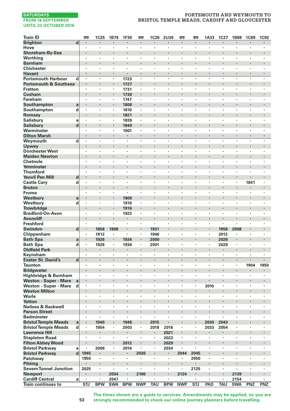# **PORTSMOUTH AND WEYMOUTH TO BRISTOL TEMPLE MEADS, CARDIFF AND GLOUCESTER**

| <b>Train ID</b>                                      | <b>m</b>             | <b>1C25</b>          | 1B79           | 1F30         | œ                    | 1C26           | 2U30                 | <b>m</b>       | <b>P</b>       | 1A33           | 1C27           | <b>1B88</b>    | <b>1C89</b>    | <b>1C92</b>    |
|------------------------------------------------------|----------------------|----------------------|----------------|--------------|----------------------|----------------|----------------------|----------------|----------------|----------------|----------------|----------------|----------------|----------------|
| <b>Brighton</b><br>$\overline{\mathbf{d}}$           | $\blacksquare$       | $\blacksquare$       | ٠              | ٠            | $\blacksquare$       | $\blacksquare$ | $\blacksquare$       | $\blacksquare$ | $\blacksquare$ | ٠              | ٠              | ٠              | $\blacksquare$ | ٠              |
| Hove                                                 | $\cdot$              | $\cdot$              | ٠              | ٠            | ٠                    | $\cdot$        | ٠                    | $\cdot$        |                | ٠              | ٠              | ٠              | $\cdot$        | ×,             |
| Shoreham-By-Sea                                      |                      | $\cdot$              | ł.             | l,           |                      |                |                      |                |                | ł.             |                |                |                | $\cdot$        |
| Worthing                                             | $\cdot$              | $\cdot$              | ×              | ×.           | ×                    | ×              | ×                    | $\cdot$        | $\cdot$        | ×              | ï              | ×              | ×              | ×              |
| <b>Barnham</b>                                       |                      |                      |                |              |                      |                |                      |                |                |                |                |                |                |                |
| <b>Chichester</b>                                    | $\cdot$              | $\cdot$              | ٠              | ×,           | ٠                    | ٠              | ٠                    | $\cdot$        |                | ٠              | ٠              | ٠              | ٠              | ٠              |
| <b>Havant</b>                                        | $\blacksquare$       | $\cdot$              | ٠              | ٠            | ٠                    | ٠              | $\ddot{\phantom{0}}$ |                | $\cdot$        | ٠              | ٠              | ٠              | ٠              | $\blacksquare$ |
| <b>Portsmouth Harbour</b><br>d                       | ٠                    | $\cdot$              |                | 1723         |                      | ٠              | ٠                    |                |                | ×              | ×              | ٠              | ٠              | $\cdot$        |
| <b>Portsmouth &amp; Southsea</b>                     |                      | $\cdot$              | ÷.             | 1727         |                      |                |                      |                | $\cdot$        |                | ï              |                |                |                |
| <b>Fratton</b>                                       |                      |                      | ٠              | 1731         |                      | ï              | ٠                    |                |                | ٠              |                | ٠              |                |                |
| Cosham                                               |                      | $\bullet$            | ٠              | 1739         | ×                    |                |                      | ٠              |                |                |                |                |                | ٠              |
| Fareham                                              | $\cdot$              | $\cdot$              | ٠<br>i,        | 1747         | ٠                    | ٠              | ٠                    | $\cdot$        | $\cdot$        | ٠              | ٠              | ٠              | ٠              | $\cdot$        |
| Southampton<br>a                                     | $\cdot$              | $\cdot$              | ×,             | 1808         | ×,                   | $\cdot$        | ٠                    |                |                | ٠              | ×              | ٠              | $\cdot$        | $\cdot$        |
| Southampton<br>d                                     |                      |                      |                | 1810         |                      |                |                      |                | $\cdot$        |                | ï              |                |                |                |
| Romsey<br><b>Salisbury</b><br>a                      | ٠                    | $\cdot$              | ٠              | 1821<br>1839 | $\cdot$              | ٠              | ٠                    |                | $\cdot$        | ٠              | ٠              | ٠              | ٠              | ٠              |
| <b>Salisbury</b><br>d                                |                      | $\cdot$              | ٠              | 1840         | ٠                    | ×              | ٠                    |                | $\cdot$        | ٠              |                | ٠              |                | $\blacksquare$ |
| Warminster                                           |                      |                      | ٠              | 1901         |                      | ï              | ٠                    |                |                | ×              |                |                | ٠              | ٠              |
| <b>Dilton Marsh</b>                                  |                      | $\cdot$              | $\cdot$        |              |                      |                |                      |                | $\cdot$        | $\cdot$        |                |                |                |                |
| d<br>Weymouth                                        | $\ddot{\phantom{0}}$ |                      | ł.             | ï            | ÷,                   | ÷,             | ÷,                   |                | ÷,             | ł.             | J.             | ÷,             | ÷,             | i.             |
| <b>Upwey</b>                                         |                      |                      |                |              |                      |                |                      |                |                |                |                |                |                |                |
| <b>Dorchester West</b>                               | ٠                    | $\cdot$              | ٠              | ٠            | ٠                    | ٠              | ٠                    | $\cdot$        | $\cdot$        | ٠              | ٠              | ٠              | ٠              | ٠              |
| <b>Maiden Newton</b>                                 |                      | $\cdot$              | ł.             | ł.           |                      |                |                      |                | $\cdot$        |                |                | ×              |                | ×              |
| <b>Chetnole</b>                                      | $\cdot$              | $\cdot$              | ÷,             | ä,           | l,                   | ÷,             | l,                   | $\cdot$        | $\cdot$        | ÷,             | ÷,             | l,             | l,             |                |
| Yetminster                                           |                      |                      | ï              | ×            |                      |                |                      |                | $\cdot$        | ï              | ï              |                |                |                |
| <b>Thornford</b>                                     |                      |                      |                | ï            |                      | ï              |                      |                |                |                | ï              |                |                |                |
| <b>Yeovil Pen Mill</b><br>d                          | $\bullet$            | $\cdot$              | ٠              | ×            | ٠                    | ×              | ٠                    |                | $\cdot$        |                | ٠              | ٠              |                | $\blacksquare$ |
| <b>Castle Cary</b><br>d                              | $\cdot$              |                      | ٠              | ٠            | ×                    | ×              | ×                    |                | $\cdot$        | ×              | ٠              | ٠              | 1841           | $\cdot$        |
| <b>Bruton</b>                                        |                      | $\cdot$              | ł.             | ï            |                      |                |                      |                | $\cdot$        | ł.             |                | ×              |                | ×              |
| Frome                                                | $\cdot$              | $\cdot$              | ×              | ï            | ×                    | ×              | ×                    | $\cdot$        | $\cdot$        | ×              | $\cdot$        | ×              | ×              | ×              |
| Westburv<br>a                                        |                      |                      |                | 1909         |                      |                |                      |                |                |                | ï              |                |                |                |
| Westbury<br>d                                        | ٠                    | $\cdot$              | ٠              | 1910         | ٠                    | ٠              | ٠                    | $\cdot$        | $\cdot$        | ٠              | ٠              | ٠              | ٠              | ٠              |
| <b>Trowbridge</b>                                    |                      | $\bullet$            | ٠              | 1916         | ٠                    | ×              |                      |                | $\cdot$        |                |                | ٠              |                | ٠              |
| <b>Bradford-On-Avon</b>                              | ,                    |                      | ï              | 1922         | ï                    | ł,             | ï                    |                |                | l,             | ł,             | ï              | ï              | ï              |
| <b>Avoncliff</b>                                     |                      |                      | l,             | ×            | l,                   | l,             | ×                    |                | $\cdot$        | l,             |                |                |                | $\cdot$        |
| <b>Freshford</b>                                     |                      | $\cdot$              | ٠              | ×,           |                      | ٠              | ٠                    |                |                | ×              | ä,             | ٠              | ï              |                |
| <b>Swindon</b><br>$\mathbf d$                        | $\blacksquare$       | 1858                 | 1908           | ٠            | ٠                    | 1931           | ٠                    |                | $\bullet$      |                | 1958           | 2008           |                | ٠              |
| Chippenham                                           | $\cdot$              | 1912                 | $\blacksquare$ | ×.           | ٠                    | 1946           | ×                    | $\cdot$        | $\cdot$        | ٠<br>i,        | 2012           | $\cdot$        | ٠              | ٠              |
| <b>Bath Spa</b><br>a                                 | $\cdot$              | 1926                 | ×<br>٠         | 1934         | $\blacksquare$       | 2000           | ٠                    | $\cdot$        |                | ٠              | 2026           | ٠              | ٠              | ٠              |
| <b>Bath Spa</b><br>d<br><b>Oldfield Park</b>         |                      | 1928<br>$\cdot$      | ÷              | 1936<br>٠    |                      | 2001           |                      |                | $\cdot$        |                | 2028<br>ı,     |                |                | $\cdot$        |
| Keynsham                                             | ٠                    | $\blacksquare$       | ٠              | ٠            | ٠                    | $\blacksquare$ | $\cdot$              | $\cdot$        | $\cdot$        | ٠              | ٠              | $\cdot$        | ٠              | ٠              |
| $\overline{\mathbf{d}}$<br><b>Exeter St. David's</b> | $\cdot$              | $\cdot$              | ٠              | ×,           |                      | $\blacksquare$ | $\blacksquare$       | $\blacksquare$ | $\cdot$        | ٠              | $\blacksquare$ | $\blacksquare$ | ٠              | $\cdot$        |
| <b>Taunton</b>                                       | $\cdot$              | $\cdot$              | ٠              | ٠            | ,                    | $\cdot$        | ,                    |                |                | ٠              | ٠              | ,              | 1904           | 1950           |
| <b>Bridgwater</b>                                    |                      | $\cdot$              | l,             | l,           |                      |                |                      |                | $\cdot$        | l,             | ï              |                |                |                |
| Highbridge & Burnham                                 | $\cdot$              | $\cdot$              | ×              | ×.           | ×                    | ×              | ٠                    | $\cdot$        | $\cdot$        | ×              | ×              | ×              | $\cdot$        | ٠              |
| <b>Weston - Super - Mare</b>                         | a                    |                      |                |              |                      |                |                      |                |                | i,             |                |                |                | ٠              |
| Weston - Super - Mare<br>d                           | $\cdot$              | $\cdot$              | ٠              | ٠            | ٠                    | ٠              | ٠                    | $\cdot$        |                | 2010           | ٠              | ٠              | ٠              | ٠              |
| <b>Weston Milton</b>                                 |                      | $\cdot$              | ×              | ×            | ×                    |                |                      |                | $\cdot$        |                |                |                |                | $\cdot$        |
| Worle                                                | $\cdot$              | $\cdot$              | ٠              | ٠            | ٠                    | ٠              | ٠                    |                |                | ٠              | ×              | ٠              | ٠              | $\cdot$        |
| <b>Yatton</b>                                        |                      | $\cdot$              | $\cdot$        | i,           | $\ddot{\phantom{0}}$ |                |                      |                | $\cdot$        | ï              | ï              |                | ï              |                |
| Nailsea & Backwell                                   |                      |                      |                | ï            |                      | ï              | ï                    |                |                | ï              | ï              |                | ï              |                |
| <b>Parson Street</b>                                 |                      | $\cdot$              | ٠              | ł.           | ×                    |                |                      |                | $\cdot$        | ł.             |                | ٠              | ×              | ٠              |
| <b>Bedminster</b>                                    | $\cdot$              | $\cdot$              | ٠              | ٠            | ٠                    | ٠              | ٠                    | $\cdot$        |                | ٠              | ٠              | ٠              | ٠              | ٠              |
| <b>Bristol Temple Meads</b>                          | a                    | 1940                 | ł.             | 1948         |                      | 2015           |                      |                |                | 2030           | 2043           |                |                | ×              |
| <b>Bristol Temple Meads</b><br>d                     | $\cdot$              | 1954                 | ٠              | 2003         | ٠                    | 2018           | 2018                 | $\cdot$        | $\cdot$        | 2033           | 2054           | ×              |                | ×              |
| <b>Lawrence Hill</b>                                 |                      | $\cdot$              |                |              |                      |                | 2021                 |                | $\cdot$        |                | ı,             |                |                |                |
| <b>Stapleton Road</b>                                | $\cdot$              | $\blacksquare$       | ×              | ×,           | ٠                    | ٠              | 2023                 | $\cdot$        |                | ٠              | ٠              | ٠              | ٠              | ٠              |
| <b>Filton Abbey Wood</b>                             | $\bullet$            | $\bullet$            | ٠              | 2012         | ٠                    | ٠              | 2029                 | $\blacksquare$ | $\cdot$        | ٠              |                | ٠              |                | $\blacksquare$ |
| <b>Bristol Parkway</b><br>a                          |                      | 2006                 | ï              | 2016         |                      | ł,             | 2034                 |                |                | ï              | ï              | ï              | ï              | ï              |
| <b>Bristol Parkway</b>                               | d<br>1945            | $\cdot$              | ł.             | ٠            | 2026                 | ï              | $\blacksquare$       | 2044           | 2045           | ł.             | i,             |                | ï<br>ï         |                |
| Patchway                                             | 1950                 |                      | ٠<br>ł         | ×,           |                      | ٠              | $\cdot$<br>٠         | $\cdot$        | 2050           | ×,<br>×        | ٠              | ٠              |                |                |
| Pilning<br><b>Severn Tunnel Junction</b>             | 2025                 | $\bullet$<br>$\cdot$ | ٠              | ٠            | ٠                    | $\cdot$        | ٠                    | $\cdot$        | 2125           | ٠              | ×              | ٠              | ٠              | ٠              |
| <b>Newport</b>                                       |                      | $\cdot$              | 2034           |              | 2106                 | ï              | $\cdot$              | 2124           |                |                | ł              | 2139           |                | ×              |
| <b>Cardiff Central</b><br>a                          | $\cdot$              | $\cdot$              | 2047           | ×.           |                      | ×              | ٠                    |                | $\cdot$        | $\blacksquare$ | $\cdot$        | 2154           |                | ×              |
| <b>Train continues to</b>                            | <b>STJ</b>           | <b>BPW</b>           | <b>SWA</b>     | <b>BPW</b>   | <b>NWP</b>           | <b>TAU</b>     | <b>BPW</b>           | <b>NWP</b>     | STJ            | PAD            | TAU            | <b>SWA</b>     | PNZ            | PNZ            |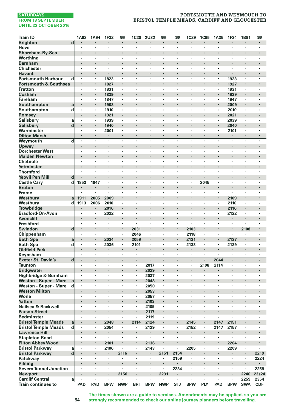# **PORTSMOUTH AND WEYMOUTH TO BRISTOL TEMPLE MEADS, CARDIFF AND GLOUCESTER**

| <b>Train ID</b>                                            | 1A92                | 1A94               | 1F32         | 罒          | <b>1C28</b>          | 2U32                 | 罒                               | 罒                    | <b>1C29</b>        | <b>1C95</b> | 1A35          | 1F34                 | 1B91                 | 罒              |
|------------------------------------------------------------|---------------------|--------------------|--------------|------------|----------------------|----------------------|---------------------------------|----------------------|--------------------|-------------|---------------|----------------------|----------------------|----------------|
| <b>Brighton</b>                                            | d                   |                    |              | ٠          |                      |                      |                                 |                      | ٠                  |             |               | ٠                    | ٠                    | $\bullet$      |
| Hove                                                       | $\cdot$             | $\cdot$            | ٠            | ×,         | $\cdot$              | $\cdot$              | $\cdot$                         | $\cdot$              | $\cdot$            | ×           | ٠             | ٠                    | ٠                    |                |
| Shoreham-By-Sea                                            | $\cdot$             |                    | ï<br>×       |            |                      | ×                    |                                 | $\cdot$              | $\cdot$            | ×           | ï<br>×        |                      | ×                    | $\cdot$        |
| Worthing<br><b>Barnham</b>                                 |                     | $\cdot$            |              | ×,<br>٠    | $\cdot$              |                      | $\cdot$                         |                      | $\cdot$            |             | ï             | ٠                    |                      |                |
| <b>Chichester</b>                                          | ٠                   | $\cdot$            | ×            | ï          | ٠                    | ٠                    |                                 |                      |                    | ×           | ×             | ٠                    | ï                    | ٠              |
| <b>Havant</b>                                              | $\cdot$             | $\cdot$            | ×            | ٠          | $\ddot{\phantom{0}}$ | $\ddot{\phantom{0}}$ | $\cdot$                         |                      | $\cdot$            | ×           | ٠             | $\ddot{\phantom{0}}$ | $\ddot{\phantom{0}}$ | $\cdot$        |
| <b>Portsmouth Harbour</b>                                  | d<br>$\cdot$        | $\cdot$            | 1823         | ٠          | ٠                    | $\cdot$              | $\cdot$                         | $\cdot$              |                    | ٠           | ٠             | 1923                 | $\cdot$              |                |
| <b>Portsmouth &amp; Southsea</b>                           |                     |                    | 1827         | i,         | ×                    |                      | $\cdot$                         |                      | $\cdot$            | ł.          | i,            | 1927                 | ï                    | $\cdot$        |
| <b>Fratton</b>                                             | $\cdot$             |                    | 1831         | ٠          | ٠                    | ×                    | $\cdot$                         | $\cdot$              | $\cdot$            | ٠           | ×,            | 1931                 | $\cdot$              |                |
| Cosham                                                     |                     | $\cdot$            | 1839         | ×          |                      |                      |                                 |                      |                    |             |               | 1939                 |                      |                |
| <b>Fareham</b>                                             | ٠                   | $\cdot$            | 1847         | ٠          | ٠                    | ٠                    | $\cdot$                         | $\ddot{\phantom{0}}$ | $\cdot$            | ٠           | ٠             | 1947                 | ٠                    | $\cdot$        |
| Southampton                                                | a<br>$\cdot$        | $\cdot$            | 1908         | ×<br>ä,    | l,                   | ÷,                   | $\cdot$                         |                      | $\cdot$            | ÷,          | i,<br>$\cdot$ | 2009                 |                      | $\cdot$        |
| Southampton                                                | d                   | $\cdot$            | 1910<br>1921 |            |                      |                      |                                 |                      | $\cdot$            | ï           | ä,            | 2010<br>2021         |                      | $\cdot$        |
| Romsey<br><b>Salisbury</b>                                 | a<br>٠              |                    | 1939         | ï          | ï                    | ï                    |                                 |                      |                    | ï           | ×             | 2039                 | ï                    |                |
| <b>Salisbury</b>                                           | d                   | $\cdot$            | 1940         | ٠          | ٠                    | ×                    | $\cdot$                         |                      | $\cdot$            | ×           | ٠             | 2040                 |                      | $\blacksquare$ |
| Warminster                                                 | $\cdot$             |                    | 2001         | ٠          | ٠                    | ×                    | $\cdot$                         |                      | $\cdot$            | ×           | ٠             | 2101                 | ٠                    | $\cdot$        |
| <b>Dilton Marsh</b>                                        |                     | $\cdot$            | ٠            | ä,         |                      | ï                    |                                 |                      |                    | ä,          | ä,            | $\cdot$              |                      |                |
| Weymouth                                                   | d                   | $\cdot$            | ×            | ٠          | ٠                    | ï                    | $\cdot$                         | $\cdot$              | $\cdot$            | ł.          | ٠             | ×                    | ×                    | $\cdot$        |
| Upwey                                                      |                     |                    | ı,           |            |                      | ï                    |                                 |                      | $\cdot$            |             |               |                      |                      |                |
| <b>Dorchester West</b>                                     | $\cdot$             | $\cdot$            | ٠            | ٠          | ٠                    | ٠                    | $\cdot$                         | $\cdot$              | $\cdot$            | ٠           | ٠             | ٠                    | ٠                    | $\cdot$        |
| <b>Maiden Newton</b>                                       | $\cdot$             | $\cdot$            | ٠            | ł          | ٠                    | ×                    | $\cdot$                         |                      | $\blacksquare$     |             |               | ٠                    |                      | $\cdot$        |
| Chetnole                                                   |                     | $\cdot$            | ï<br>l,      | ï<br>l,    | ï<br>÷,              | ł,<br>l,             | $\ddot{\phantom{0}}$            |                      | $\cdot$            | ï<br>l,     | ł,<br>ï       | ï<br>÷,              | ï<br>l,              | $\cdot$        |
| Yetminster<br><b>Thornford</b>                             |                     |                    | ٠            | ٠          | ٠                    | ï                    |                                 |                      |                    | ٠           | ٠             | ٠                    | ï                    |                |
| <b>Yeovil Pen Mill</b>                                     | d                   | $\bullet$          |              | ł          |                      |                      | $\bullet$                       |                      | $\bullet$          | ï           |               |                      |                      | $\bullet$      |
| <b>Castle Cary</b>                                         | d<br>1853           | 1947               | ٠            | ٠          | ٠                    | ٠                    | $\cdot$                         | $\cdot$              | $\cdot$            | 2045        | ٠             | ٠                    | ٠                    | $\cdot$        |
| <b>Bruton</b>                                              |                     |                    |              | ï          |                      |                      |                                 |                      |                    |             | ï             |                      | ï                    |                |
| <b>Frome</b>                                               |                     | $\cdot$            | ٠            | ٠          | ٠                    | ٠                    | $\cdot$                         | $\cdot$              |                    | ٠           | ٠             | ٠                    | ٠                    |                |
| Westbury                                                   | 1911<br>a           | 2005               | 2009         | i,         |                      |                      |                                 |                      | $\cdot$            |             | ï             | 2109                 |                      | $\cdot$        |
| Westbury                                                   | d<br>1913           | 2006               | 2010         | ٠          | ٠                    | ٠                    | $\cdot$                         | ,                    | ,                  | ٠           | ٠             | 2110                 | ٠                    | ,              |
| <b>Trowbridge</b>                                          |                     |                    | 2016         | ł          | ٠                    |                      |                                 |                      |                    |             | ł.            | 2116                 |                      | $\cdot$        |
| <b>Bradford-On-Avon</b>                                    |                     |                    | 2022         | ï<br>l,    |                      |                      |                                 |                      |                    |             | ×             | 2122                 | ï                    | $\cdot$        |
| <b>Avoncliff</b><br><b>Freshford</b>                       |                     | $\cdot$<br>$\cdot$ | ٠<br>÷,      | ä,         |                      | ä,                   | $\cdot$<br>$\ddot{\phantom{0}}$ | i.                   | $\cdot$            | ł.<br>٠     | ï<br>ä,       | ٠<br>ł.              | ٠                    | ٠              |
| Swindon                                                    | d                   | $\blacksquare$     | ٠            | ٠          | 2031                 |                      | $\cdot$                         |                      | 2103               |             | ı,            | ٠                    | 2108                 | $\bullet$      |
| Chippenham                                                 | $\cdot$             | $\cdot$            | ٠            | ٠          | 2046                 | $\ddot{\phantom{a}}$ | $\cdot$                         | $\cdot$              | 2118               | ٠           | $\cdot$       | $\ddot{\phantom{a}}$ | ٠                    | ٠              |
| <b>Bath Spa</b>                                            | a<br>$\cdot$        |                    | 2034         | ٠          | 2059                 | ×,                   |                                 |                      | 2131               | ×           |               | 2137                 |                      | $\cdot$        |
| <b>Bath Spa</b>                                            | d<br>٠              | $\cdot$            | 2036         | ٠          | 2101                 | $\cdot$              | $\cdot$                         | $\cdot$              | 2133               | ×.          | $\cdot$       | 2139                 | ×                    | $\cdot$        |
| <b>Oldfield Park</b>                                       |                     | $\cdot$            | ٠            | ×,         | $\blacksquare$       | ٠                    | $\cdot$                         |                      |                    | ×           | ï             | ٠                    |                      | $\cdot$        |
| Keynsham                                                   |                     |                    | ٠            | ٠          | $\cdot$              | ï                    |                                 |                      |                    |             |               | ٠                    | ٠                    |                |
| <b>Exeter St. David's</b>                                  | d<br>$\blacksquare$ | $\cdot$            | ٠            | ٠          | $\blacksquare$       | $\blacksquare$       | $\cdot$                         | $\cdot$              | $\cdot$            | ٠           | 2044          | $\blacksquare$       | ٠                    | $\cdot$        |
| <b>Taunton</b>                                             | ٠                   |                    | ٠<br>ï       | ٠<br>ï     | ٠<br>l,              | 2017                 | $\cdot$                         |                      |                    | 2108        | 2114          |                      | ٠<br>ï               |                |
| <b>Bridgwater</b>                                          | $\cdot$             | $\cdot$            | ×            | ٠          | ×                    | 2029                 |                                 | $\cdot$              | $\cdot$            | ×           | ×             | ×                    | ×                    | $\cdot$        |
| Highbridge & Burnham<br><b>Weston - Super - Mare</b>       | a                   |                    |              |            |                      | 2037<br>2048         |                                 |                      |                    |             |               |                      |                      |                |
| Weston - Super - Mare                                      | d<br>$\cdot$        | $\cdot$            | ٠            | ٠          | ٠                    | 2050                 | $\cdot$                         | $\cdot$              |                    | ٠           | ٠             | ٠                    | ٠                    | $\cdot$        |
| <b>Weston Milton</b>                                       |                     | $\cdot$            |              | ł          |                      | 2053                 | $\cdot$                         |                      | $\cdot$            | ï           | ï             |                      |                      | $\cdot$        |
| Worle                                                      | $\cdot$             |                    | ٠            | ï          | ٠                    | 2057                 | $\cdot$                         |                      |                    | ×           | ٠             | ٠                    | ٠                    |                |
| <b>Yatton</b>                                              |                     |                    |              |            |                      | 2103                 |                                 | ¢                    |                    | ï           | ï             |                      | l,                   |                |
| Nailsea & Backwell                                         |                     |                    | ٠            | ×,         |                      | 2109                 |                                 |                      |                    | ٠           | ï             | ٠                    | ï                    |                |
| <b>Parson Street</b>                                       |                     | $\cdot$            | ï            | ł.         |                      | 2117                 | $\cdot$                         |                      |                    |             |               |                      |                      | $\cdot$        |
| <b>Bedminster</b>                                          | ٠                   | $\cdot$            | ٠<br>2048    | ٠<br>i,    | ٠<br>2114            | 2119<br>2124         | $\cdot$                         | $\cdot$              | $\cdot$<br>2145    | ٠<br>i,     | ٠<br>2147     | ٠<br>2151            | ٠                    | $\cdot$        |
| <b>Bristol Temple Meads</b><br><b>Bristol Temple Meads</b> | a<br>d<br>$\cdot$   | $\cdot$            | 2054         | ×.         | ٠                    | 2129                 |                                 |                      | 2152               | ×.          | 2147          | 2157                 | $\cdot$              |                |
| <b>Lawrence Hill</b>                                       |                     |                    | ×            |            |                      |                      | ø                               |                      |                    |             | ı,            |                      |                      |                |
| <b>Stapleton Road</b>                                      | ٠                   | $\cdot$            | ×            | ٠          | ٠                    | $\cdot$              | $\cdot$                         |                      |                    | ٠           | ٠             | $\blacksquare$       | ٠                    | ٠              |
| <b>Filton Abbey Wood</b>                                   |                     | $\blacksquare$     | 2101         | ٠          | ٠                    | 2136                 | $\cdot$                         |                      | $\cdot$            | ٠           | ٠             | 2204                 |                      | $\blacksquare$ |
| <b>Bristol Parkway</b>                                     | a                   |                    | 2106         | ï          |                      | 2143                 |                                 |                      | 2205               | ł,          |               | 2209                 |                      |                |
| <b>Bristol Parkway</b>                                     | d                   |                    | ٠            | 2116       |                      | ٠                    | 2151                            | 2154                 | $\cdot$            | ł.          | i,            | ٠                    |                      | 2219           |
| Patchway                                                   |                     | $\cdot$            | ٠            |            | ٠                    | ×,                   |                                 | 2159                 |                    | ×           | ٠             | $\cdot$              | $\cdot$              | 2224           |
| Pilning                                                    |                     |                    |              |            |                      |                      | $\blacksquare$                  |                      | $\bullet$          |             |               | ٠                    |                      |                |
| <b>Severn Tunnel Junction</b>                              | $\cdot$             | $\cdot$            | ٠<br>ł.      | ٠<br>2156  | $\cdot$<br>×         | $\cdot$              | $\cdot$                         | 2234                 | $\cdot$<br>$\cdot$ | ٠<br>ï      | ٠             | ×<br>×               | ٠                    | 2259           |
| <b>Newport</b><br><b>Cardiff Central</b>                   | a<br>$\cdot$        | $\cdot$            | ×            |            | ×                    | ٠                    | 2231                            |                      | $\cdot$            | ٠           | $\cdot$       | ×                    | 2240<br>2259         | 23s24<br>2354  |
| <b>Train continues to</b>                                  | PAD                 | PAD                | <b>BPW</b>   | <b>NWP</b> | <b>BRI</b>           | <b>BPW</b>           | <b>NWP</b>                      | STJ                  | <b>BPW</b>         | PLY         | PAD           | <b>BPW</b>           | <b>SWA</b>           | <b>CDF</b>     |

**The times shown are a guide to services. Amendments may be applied, so you are strongly recommended to check our online journey planners before travelling.**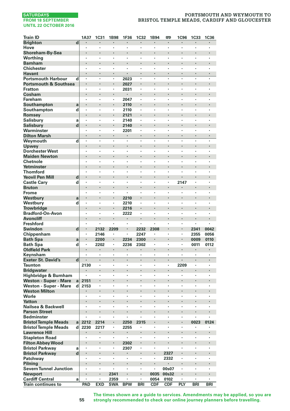### **PORTSMOUTH AND WEYMOUTH TO BRISTOL TEMPLE MEADS, CARDIFF AND GLOUCESTER**

| Train ID                                            |                         | 1A37         | <b>1C31</b>          | 1B98       | 1F36         | <b>1C32</b>  | 1B94       | 罒          | 1C96           | <b>1C33</b>          | <b>1C36</b>  |
|-----------------------------------------------------|-------------------------|--------------|----------------------|------------|--------------|--------------|------------|------------|----------------|----------------------|--------------|
| <b>Brighton</b>                                     | $\overline{\mathbf{d}}$ |              |                      |            |              |              |            |            |                |                      |              |
| Hove                                                |                         | ٠            |                      | ٠          | ×            | ï            | ٠          | ٠          | $\cdot$        | $\cdot$              | ٠            |
| Shoreham-By-Sea                                     |                         |              |                      | ł.         |              |              | ï          |            |                |                      |              |
| Worthing                                            |                         |              | ï                    | ï          | ï            | ï            | ï          | ï          | ï              |                      | ï            |
| <b>Barnham</b>                                      |                         |              |                      | l,         | l,           |              | l,         |            |                |                      |              |
| <b>Chichester</b>                                   |                         |              |                      | ×,         | ï<br>l,      | ï            | ï          | ٠          |                |                      |              |
| <b>Havant</b><br><b>Portsmouth Harbour</b>          | d                       | $\cdot$      | $\ddot{\phantom{0}}$ | ×<br>٠     | 2023         | ×,           | ٠          | ٠          |                | $\ddot{\phantom{0}}$ | ٠            |
| <b>Portsmouth &amp; Southsea</b>                    |                         |              | ł,                   | ×,         | 2027         |              |            |            |                |                      | ï            |
| <b>Fratton</b>                                      |                         | $\cdot$      | $\cdot$              | ×.         | 2031         | ï            | ï          | ٠          | $\cdot$        |                      | ï            |
| Cosham                                              |                         |              |                      | ×,         |              |              | ł,         |            |                |                      |              |
| Fareham                                             |                         | ٠            |                      | ٠          | 2047         | ٠            | ï          | ٠          |                | ٠                    | ï            |
| Southampton                                         | a                       |              |                      |            | 2110         |              |            |            |                |                      |              |
| Southampton                                         | d                       |              |                      | ï          | 2110         | ï            | ï          | ï          |                |                      | ï            |
| Romsey                                              |                         | l,           |                      |            | 2121         | l,           |            | l,         |                |                      | ï            |
| <b>Salisbury</b>                                    | a                       |              |                      | ×,         | 2140         |              | ï          | ٠          |                |                      |              |
| <b>Salisbury</b>                                    | d                       |              | ł.                   | ٠          | 2140         |              |            |            |                |                      |              |
| Warminster                                          |                         | ٠            |                      | ٠          | 2201         | ٠            | ٠          | ٠          |                |                      | ï            |
| <b>Dilton Marsh</b>                                 |                         |              |                      |            |              | ï            | ï          |            |                |                      | ï            |
| Weymouth                                            | d                       |              |                      | ï          | ï            | ï            | ï          | ï          |                |                      | ï            |
| Upwey                                               |                         |              |                      | i,         |              |              |            |            |                |                      | ï            |
| <b>Dorchester West</b>                              |                         | ,            |                      | ï          | ×            |              | ï          | ï          |                | ,                    |              |
| <b>Maiden Newton</b><br><b>Chetnole</b>             |                         |              |                      | ï          | ï            | ï            | ï          | ï          |                |                      | ï            |
| Yetminster                                          |                         |              |                      | ï          | ï            | l,           | l,         |            |                |                      | ï            |
| <b>Thornford</b>                                    |                         |              | ÷,                   | ï          | ä,           | ï            | ï          | ä,         | $\overline{a}$ | ï                    | ï            |
| <b>Yeovil Pen Mill</b>                              | d                       |              |                      |            |              |              |            |            |                |                      |              |
| <b>Castle Cary</b>                                  | d                       |              | $\cdot$              | ٠          | ٠            | ï            | ï          | ï          | 2147           | ٠                    | ï            |
| <b>Bruton</b>                                       |                         | $\cdot$      |                      | ×          | ł.           |              |            |            |                |                      |              |
| Frome                                               |                         |              | $\cdot$              | ٠          | ï            | ï            | ٠          | ٠          |                | $\cdot$              | ï            |
| Westbury                                            | a                       |              |                      | ł,         | 2210         |              | l,         |            |                |                      | ï            |
| Westbury                                            | d                       |              |                      | ï          | 2210         |              |            |            |                |                      | ï            |
| <b>Trowbridge</b>                                   |                         |              |                      | ×          | 2216         |              |            |            |                |                      |              |
| <b>Bradford-On-Avon</b>                             |                         |              |                      | ï          | 2222         | ï            | ï          |            |                |                      | ï            |
| <b>Avoncliff</b>                                    |                         |              |                      | l,         |              | l,           |            |            |                |                      |              |
| <b>Freshford</b>                                    |                         | $\cdot$      | $\cdot$              | ٠          | ٠            | ï            |            | ٠          |                |                      | ï            |
| <b>Swindon</b>                                      | d                       |              | 2132                 | 2209       |              | 2232         | 2308       |            |                | 2341                 | 0042         |
| Chippenham                                          |                         | $\cdot$      | 2146                 | ٠          | ï            | 2247         | ï          | ï          | $\cdot$        | 2355                 | 0056         |
| <b>Bath Spa</b>                                     | a<br>d                  | $\cdot$      | 2200<br>2202         | ×<br>٠     | 2234<br>2236 | 2300<br>2302 | ï          | ï          | $\cdot$        | 0009<br>0011         | 0110<br>0112 |
| <b>Bath Spa</b><br><b>Oldfield Park</b>             |                         |              |                      | i,         | ٠            |              | l,         |            |                |                      | ×,           |
| Keynsham                                            |                         |              |                      | ï          |              |              |            | ï          |                |                      | ï            |
| <b>Exeter St. David's</b>                           | $\mathbf d$             |              |                      |            | ×            |              |            |            |                |                      | ł            |
| <b>Taunton</b>                                      |                         | 2130         |                      | ×,         | ï            | ï            | ï          | ï          | 2209           |                      | ï            |
| <b>Bridgwater</b>                                   |                         |              |                      | i,         | ï            |              |            |            |                |                      | ï            |
| Highbridge & Burnham                                |                         |              | $\cdot$              | ٠          | ٠            | ٠            | ٠          | ٠          | $\cdot$        |                      | ï            |
| Weston - Super - Mare                               | a                       | 2151         |                      | i,         |              |              |            |            |                |                      |              |
| Weston - Super - Mare                               | d                       | 2153         | $\cdot$              | ٠          | ٠            | ï            | ï          | ٠          |                | $\cdot$              | ×            |
| <b>Weston Milton</b>                                |                         |              | $\cdot$              |            |              |              |            |            |                |                      |              |
| Worle                                               |                         |              |                      | ï          | ï            | ï            |            |            |                |                      | ï            |
| <b>Yatton</b>                                       |                         |              |                      |            |              | ï            | l,         | l,         |                | l,                   | ï            |
| Nailsea & Backwell                                  |                         |              |                      | ٠          | ï            |              |            | ï          |                |                      |              |
| <b>Parson Street</b>                                |                         |              |                      | ł          |              |              |            |            |                |                      |              |
| <b>Bedminster</b>                                   |                         |              | $\cdot$              | ٠<br>i,    | ٠            |              | ï          | ï          | $\cdot$        |                      | ï            |
| <b>Bristol Temple Meads</b>                         | al                      | 2212<br>2230 | 2214                 | ٠          | 2250         | 2315<br>,    | ٠          | ٠          |                | 0023                 | 0124         |
| <b>Bristol Temple Meads</b><br><b>Lawrence Hill</b> | d                       |              | 2217                 | i,         | 2255         |              |            |            |                |                      |              |
| <b>Stapleton Road</b>                               |                         | ,            | $\cdot$              | ٠          | ٠            |              | ï          | ï          |                |                      | ×            |
| <b>Filton Abbey Wood</b>                            |                         |              |                      | ٠          | 2302         |              |            |            |                |                      |              |
| <b>Bristol Parkway</b>                              | a                       |              |                      | ï          | 2307         |              | ,          |            |                |                      | ï            |
| <b>Bristol Parkway</b>                              | $\mathbf d$             |              | ,                    |            |              | ï            | ï          | 2327       |                |                      | ï            |
| Patchway                                            |                         | ÷            | $\cdot$              | ٠          |              | ï            | ï          | 2332       |                | ï                    | ï            |
| Pilning                                             |                         |              |                      | ł          |              |              |            |            |                |                      | ý            |
| <b>Severn Tunnel Junction</b>                       |                         | ٠            | $\cdot$              | ٠          | ٠            | ٠            | ٠          | 00s07      |                |                      | ï            |
| <b>Newport</b>                                      |                         |              |                      | 2341       |              |              | 0035       | 00s32      |                |                      |              |
| <b>Cardiff Central</b>                              | a                       | $\cdot$      |                      | 2359       | ٠            | ï            | 0054       | 0102       |                |                      | ï            |
| <b>Train continues to</b>                           |                         | PAD          | <b>EXD</b>           | <b>SWA</b> | <b>BPW</b>   | <b>BRI</b>   | <b>CDF</b> | <b>CDF</b> | PLY            | <b>BRI</b>           | <b>BRI</b>   |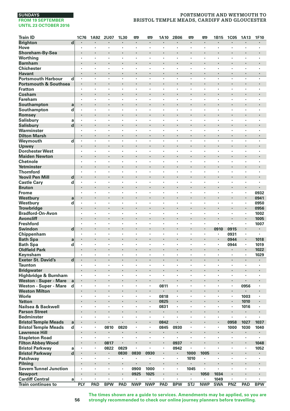# **PORTSMOUTH AND WEYMOUTH TO BRISTOL TEMPLE MEADS, CARDIFF AND GLOUCESTER**

| <b>Train ID</b>                               |                                                 | 1C76<br>1A92         | 2U07       | 1L30    | 罒                    | œ            | 1A10      | 2B06                 | 罒       | 罒          | 1B15                     | <b>1C05</b>          | 1A13                   | 1F10           |
|-----------------------------------------------|-------------------------------------------------|----------------------|------------|---------|----------------------|--------------|-----------|----------------------|---------|------------|--------------------------|----------------------|------------------------|----------------|
| <b>Brighton</b>                               | d                                               |                      |            |         | $\cdot$              |              |           |                      |         | ł          |                          |                      |                        |                |
| Hove                                          | $\cdot$                                         | $\cdot$              | ٠          | ٠       | ٠                    | ٠            | $\cdot$   | $\cdot$              | $\cdot$ | ٠          | ٠                        | ٠                    | ٠                      | $\cdot$        |
| Shoreham-By-Sea                               | $\cdot$                                         | $\cdot$              |            |         | $\cdot$              |              |           |                      |         | ł.         | ł.                       |                      |                        |                |
| Worthing                                      | $\cdot$                                         |                      | ٠          | ٠       | ï                    | l,           |           | $\cdot$              |         | ٠          | ٠                        | $\cdot$              | ٠                      | ï              |
| <b>Barnham</b>                                |                                                 | $\cdot$              | ï          | ï       | $\cdot$              |              |           | $\cdot$              |         | ٠          | ï                        | ٠                    |                        |                |
| <b>Chichester</b>                             |                                                 |                      | ×          | ï       |                      | ï            |           | $\cdot$              |         | ٠          | ï                        |                      | ٠                      |                |
| Havant                                        | $\bullet$                                       | $\cdot$              | ٠          | ٠       | $\blacksquare$       | ×            | $\cdot$   | $\cdot$              | $\cdot$ | ٠          | ٠                        | $\blacksquare$       | $\blacksquare$         |                |
| <b>Portsmouth Harbour</b>                     | d<br>$\cdot$                                    | $\cdot$              | ÷,         | ÷,      |                      | ÷,           | $\cdot$   | $\cdot$              | $\cdot$ | ä,         | $\overline{\phantom{a}}$ | ÷.                   | ٠                      | $\cdot$        |
| <b>Portsmouth &amp; Southsea</b>              | $\cdot$                                         | $\cdot$              | ï          | ł.      | $\cdot$              |              |           |                      |         | ×          |                          |                      | ×                      |                |
| <b>Fratton</b>                                | $\cdot$                                         | $\cdot$              | ×<br>ï     | $\cdot$ | ×                    | ÷,<br>ï      | $\cdot$   | $\cdot$              | $\cdot$ | ٠          | $\cdot$<br>ï             | ×                    | ×                      | $\cdot$        |
| Cosham<br>Fareham                             | $\cdot$                                         | $\cdot$              | ٠          | ٠       | ٠                    | ٠            | $\cdot$   | $\cdot$              | $\cdot$ | ×<br>٠     | ٠                        | $\ddot{\phantom{a}}$ | ٠                      | $\cdot$        |
| Southampton                                   | a<br>$\centering \label{eq:reduced}$            | $\cdot$              |            |         | ٠                    |              |           |                      |         | ×          |                          | ×                    |                        |                |
| Southampton                                   | d                                               |                      | l,         | l,      | ï                    | ł,           |           |                      |         | ï          | ł,                       | ï                    | ï                      |                |
| Romsey                                        |                                                 | $\cdot$              | ï          | ï       |                      |              |           | $\ddot{\phantom{0}}$ |         | i,         | ï                        |                      |                        |                |
| <b>Salisbury</b>                              | a                                               |                      | ٠          | ï       | $\cdot$              | ï            |           | $\cdot$              |         | ٠          | ×                        | $\cdot$              | ٠                      |                |
| <b>Salisbury</b>                              | $\mathbf d$<br>$\blacksquare$                   | $\cdot$              | ٠          |         | ٠                    |              | ٠         |                      |         | ٠          |                          | ٠                    | ٠                      |                |
| Warminster                                    | $\cdot$                                         | $\cdot$              | ٠          | ٠       | ٠                    | ٠            | ٠         | $\cdot$              | $\cdot$ | ٠          | $\cdot$                  | ×                    | ٠                      | $\cdot$        |
| <b>Dilton Marsh</b>                           | $\cdot$                                         |                      | ł.         | i,      |                      |              |           | $\cdot$              |         | ä,         | ×,                       | ×,                   |                        |                |
| Weymouth                                      | $\overline{\mathbf{d}}$<br>$\cdot$              |                      | ł,         | ł,      |                      | l,           |           | $\cdot$              |         | ï          | ÷,                       |                      | l,                     | Ţ              |
| Upwey                                         |                                                 |                      |            | ï       |                      | ï            | ÷         |                      |         | ×          | ï                        |                      |                        |                |
| <b>Dorchester West</b>                        | ٠                                               |                      | ٠          | ٠       | ٠                    | ٠            | $\cdot$   | $\cdot$              |         | ×          | ٠                        | $\cdot$              | ٠                      | $\cdot$        |
| <b>Maiden Newton</b>                          | $\cdot$                                         | $\cdot$              |            | ×       | ×                    |              |           |                      |         | ×          | ł.                       | ×                    | ٠                      |                |
| Chetnole                                      |                                                 |                      |            |         | ï                    |              |           |                      |         | ï          | ł,                       | ï                    |                        |                |
| Yetminster                                    | $\cdot$                                         | $\cdot$              | l,         | ï       | $\ddot{\phantom{0}}$ | ï            |           | $\cdot$              |         | i,         | ï                        |                      |                        |                |
| <b>Thornford</b>                              |                                                 | $\cdot$              |            |         | ×                    | ÷,           | l.        | $\ddot{\phantom{0}}$ | $\cdot$ | ï          | ÷.                       | i.                   | i.                     |                |
| <b>Yeovil Pen Mill</b>                        | d<br>$\centering \label{eq:reduced}$<br>$\cdot$ | $\bullet$<br>$\cdot$ | ٠          | ٠       | ٠<br>×               | ×            |           | $\cdot$              | $\cdot$ | ٠          | ٠                        | ×                    | ٠<br>×                 | ٠              |
| <b>Castle Cary</b><br><b>Bruton</b>           | d<br>$\cdot$                                    | $\cdot$              | ł.         | ł.      | $\blacksquare$       |              |           |                      |         |            |                          | ٠                    | $\blacksquare$         |                |
| <b>Frome</b>                                  | $\cdot$                                         | $\cdot$              | ×          | $\cdot$ | ×                    | ×            | $\cdot$   | $\cdot$              | $\cdot$ | ٠          | ٠                        | ×                    | $\cdot$                | 0932           |
| Westbury                                      | a                                               | $\cdot$              |            |         | $\cdot$              |              |           |                      |         | ×          | ï                        | ٠                    | l,                     | 0941           |
| Westbury                                      | d<br>$\cdot$                                    |                      | ×          | ×       | ٠                    | ٠            |           | $\cdot$              |         | ï          | ×                        | ï                    | $\cdot$                | 0950           |
| <b>Trowbridge</b>                             | $\cdot$                                         | $\cdot$              |            |         | ٠                    |              |           |                      |         | ×          |                          | ×                    | $\blacksquare$         | 0956           |
| <b>Bradford-On-Avon</b>                       | $\cdot$                                         |                      | ×          | ï       |                      | ٠            |           | $\cdot$              |         | ٠          | ٠                        | $\cdot$              |                        | 1002           |
| <b>Avoncliff</b>                              | $\cdot$                                         | $\cdot$              | l,         | ï       |                      | l,           |           |                      |         |            |                          |                      |                        | 1005           |
| <b>Freshford</b>                              | $\cdot$                                         | $\cdot$              | ×          | ×       | ×                    | ×            | $\cdot$   | $\cdot$              | $\cdot$ | ×,         | $\bullet$                | ×                    | ×,                     | 1007           |
| <b>Swindon</b>                                | d<br>$\cdot$                                    |                      |            |         |                      |              |           |                      |         |            | 0910                     | 0915                 |                        |                |
| Chippenham                                    | $\cdot$                                         | $\cdot$              | ٠          | ٠       | ٠                    | ٠            | $\cdot$   | $\cdot$              |         | ٠          | ٠                        | 0931                 | ٠                      | $\blacksquare$ |
| <b>Bath Spa</b>                               | a<br>$\blacksquare$                             | $\cdot$              |            | ł.      | ×                    |              |           |                      |         | ×          | ł.                       | 0944                 | $\blacksquare$         | 1018           |
| <b>Bath Spa</b>                               | d<br>$\cdot$                                    | $\cdot$              | ٠          | ٠<br>ï  | $\cdot$              | ٠            |           | $\cdot$<br>$\cdot$   |         | ٠<br>ä,    | ×<br>ï                   | 0944                 | ×,<br>×,               | 1019           |
| <b>Oldfield Park</b><br>Keynsham              |                                                 |                      |            | ï       | $\cdot$<br>ï         | ï            |           |                      |         | ï          | ï                        | ï                    |                        | 1022           |
| <b>Exeter St. David's</b>                     | d<br>$\cdot$                                    | $\cdot$              | ٠          | ×       | $\blacksquare$       | ×            | $\cdot$   | $\cdot$              |         |            | ×                        | $\blacksquare$       | $\blacksquare$         | 1029           |
| <b>Taunton</b>                                | $\cdot$                                         | $\cdot$              |            |         |                      | ×            | $\cdot$   | $\cdot$              | $\cdot$ | ٠          | ٠                        |                      |                        |                |
| <b>Bridgwater</b>                             |                                                 |                      |            | ï       |                      | ï            |           |                      |         | ł.         | ï                        | ï                    |                        |                |
| Highbridge & Burnham                          | $\cdot$                                         | $\cdot$              | ×          | ×       | ×                    | ÷,           | $\cdot$   | $\cdot$              | $\cdot$ | ×.         | $\cdot$                  | ×                    | ×                      | $\cdot$        |
| Weston - Super - Mare                         | a                                               |                      |            |         |                      |              |           |                      |         |            |                          | ٠                    |                        |                |
| Weston - Super - Mare                         | d<br>$\cdot$                                    |                      | ٠          | ٠       | ٠                    | $\cdot$      | 0811      | $\cdot$              |         | ٠          | ×                        | $\cdot$              | 0956                   | $\cdot$        |
| <b>Weston Milton</b>                          | $\blacksquare$                                  | $\blacksquare$       | ٠          |         | ٠                    | ٠            | ٠         | $\cdot$              |         | ٠          |                          |                      |                        |                |
| Worle                                         |                                                 |                      | ï          | ×       | ٠                    | ł,           | 0818      |                      |         | ٠          | ł,                       | ï                    | 1003                   | $\cdot$        |
| <b>Yatton</b>                                 | $\cdot$                                         |                      | ï          | ï       |                      |              | 0825      |                      |         | ï          | ï                        | ï                    | 1010                   |                |
| Nailsea & Backwell                            |                                                 |                      | ٠          | ï       | ٠                    | ٠            | 0831      | $\cdot$              |         | ٠          | ï                        | $\cdot$              | 1016                   |                |
| <b>Parson Street</b>                          | ٠                                               | $\cdot$              |            |         | ٠                    |              | ٠         | $\cdot$              |         |            | ï                        |                      |                        |                |
| <b>Bedminster</b>                             | $\cdot$                                         |                      | ٠          | ٠       | ٠                    | ٠            | $\cdot$   | $\cdot$              |         | ٠          | ٠                        | ٠                    | ٠                      |                |
| <b>Bristol Temple Meads</b>                   | a<br>$\cdot$                                    |                      |            |         | $\cdot$              | ï<br>$\cdot$ | 0842      |                      |         | ×,         | ï<br>٠                   | 0958                 | 1027                   | 1037           |
| <b>Bristol Temple Meads</b>                   | d                                               | $\cdot$              | 0810       | 0820    |                      | ï            | 0845      | 0930                 |         | i,         | ï                        | 1000                 | 1030<br>$\blacksquare$ | 1040           |
| <b>Lawrence Hill</b><br><b>Stapleton Road</b> | ٠                                               |                      | ä,         | ٠       | $\cdot$              | ٠            | $\cdot$   |                      |         | ٠          | ×                        | $\cdot$              | $\cdot$                | ۰              |
| <b>Filton Abbey Wood</b>                      | $\bullet$                                       | $\blacksquare$       | 0817       |         | $\blacksquare$       |              | $\bullet$ | 0937                 | $\cdot$ | ٠          |                          |                      | $\blacksquare$         | 1048           |
| <b>Bristol Parkway</b>                        | a                                               |                      | 0822       | 0829    |                      | ï            |           | 0942                 |         | ï          |                          | ï                    |                        | 1052           |
| <b>Bristol Parkway</b>                        | $\mathbf d$                                     | $\cdot$              | ٠          | 0830    | 0830                 | 0930         |           | $\cdot$              | 1000    | 1005       | ï                        |                      |                        |                |
| Patchway                                      |                                                 | $\cdot$              | ٠          |         |                      | ï            | $\cdot$   | $\cdot$              | 1010    |            | ×                        |                      | ×                      |                |
| Pilning                                       |                                                 | $\bullet$            |            |         | ٠                    | ï            |           |                      |         | ٠          |                          |                      |                        |                |
| <b>Severn Tunnel Junction</b>                 | $\cdot$                                         | $\cdot$              | ٠          | ×       | 0900                 | 1000         | $\cdot$   | $\cdot$              | 1045    | ×,         | $\cdot$                  | $\ddot{\phantom{a}}$ | ٠                      | $\cdot$        |
| <b>Newport</b>                                |                                                 | $\cdot$              |            |         | 0925                 | 1025         |           | $\cdot$              |         | 1050       | 1034                     | ٠                    |                        |                |
| <b>Cardiff Central</b>                        | a<br>$\cdot$                                    | $\cdot$              | ×          | ×       |                      | ٠            | $\cdot$   | $\cdot$              | $\cdot$ | ٠          | 1049                     |                      |                        | $\cdot$        |
| <b>Train continues to</b>                     | PLY                                             | PAD                  | <b>BPW</b> | PAD     | <b>NWP</b>           | <b>NWP</b>   | PAD       | <b>BPW</b>           | STJ     | <b>NWP</b> | <b>SWA</b>               | PNZ                  | <b>PAD</b>             | <b>BPW</b>     |

**The times shown are a guide to services. Amendments may be applied, so you are strongly recommended to check our online journey planners before travelling.**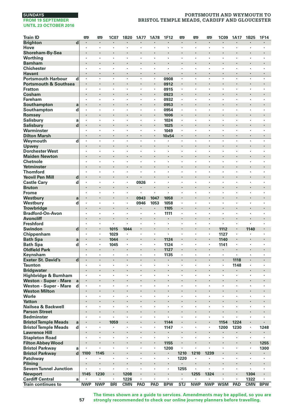# **PORTSMOUTH AND WEYMOUTH TO BRISTOL TEMPLE MEADS, CARDIFF AND GLOUCESTER**

| <b>Train ID</b>                               |             | 罒                    | 雫                               | 1C07       | 1B20       | <b>1A77</b>    | 1A78                      | <b>1F12</b>               | 罒              | 罒          | 罒          | 1C09                 | 1A17                 | 1B25           | 1F14       |
|-----------------------------------------------|-------------|----------------------|---------------------------------|------------|------------|----------------|---------------------------|---------------------------|----------------|------------|------------|----------------------|----------------------|----------------|------------|
| <b>Brighton</b>                               | d           |                      | $\centering \label{eq:reduced}$ | ٠          |            |                |                           | ٠                         |                |            |            | ٠                    |                      |                |            |
| Hove                                          |             | $\cdot$              | $\cdot$                         | ×          | ٠          | $\cdot$        | $\cdot$                   | $\cdot$                   | $\cdot$        | $\cdot$    | ٠          | ×                    | $\ddot{\phantom{a}}$ | $\cdot$        | ٠          |
| Shoreham-By-Sea                               |             | $\cdot$              |                                 |            |            |                |                           |                           |                |            | i,         | ï                    | l,                   |                |            |
| Worthing                                      |             | $\cdot$              | $\cdot$                         | ٠          | ٠          | $\cdot$        | $\cdot$                   | $\cdot$                   | $\cdot$        |            | ٠          | ×                    | ×                    | ٠              | ä,         |
| <b>Barnham</b>                                |             |                      |                                 |            | ï          |                |                           |                           |                |            | ٠          | ï                    | ٠                    |                |            |
| <b>Chichester</b>                             |             | ٠<br>$\cdot$         | $\cdot$<br>$\cdot$              | ٠<br>٠     | ×<br>×     | ٠<br>×         | ٠<br>$\cdot$              | ٠<br>$\cdot$              | $\cdot$        |            | ×<br>٠     | ٠<br>$\cdot$         | $\cdot$<br>$\cdot$   | ٠<br>$\cdot$   | ٠<br>٠     |
| <b>Havant</b><br><b>Portsmouth Harbour</b>    | d           | $\cdot$              | $\cdot$                         | ٠          | ٠          | $\cdot$        | $\cdot$                   | 0908                      | $\cdot$        |            | ×,         | ×                    | $\cdot$              | $\cdot$        | ×,         |
| <b>Portsmouth &amp; Southsea</b>              |             | $\cdot$              | $\cdot$                         | i,         | ï          | ï              | ×                         | 0912                      |                |            | ×          | i,                   | ×,                   |                |            |
| <b>Fratton</b>                                |             | $\cdot$              | $\cdot$                         | ٠          | ٠          | ٠              | $\ddot{\phantom{a}}$      | 0915                      |                | $\cdot$    | ٠          | $\cdot$              | ×                    | ×              | ٠          |
| Cosham                                        |             |                      |                                 | ł.         | ï          |                |                           | 0923                      | $\cdot$        |            |            |                      |                      |                |            |
| <b>Fareham</b>                                |             | ٠                    | $\cdot$                         | ٠          | ٠          | ٠              | ٠                         | 0932                      | $\cdot$        | ٠          | ٠          | ٠                    | ٠                    | ٠              | ٠          |
| Southampton                                   | a           |                      | $\cdot$                         |            |            |                | $\cdot$                   | 0953                      | $\cdot$        |            | ł.         |                      |                      |                |            |
| Southampton                                   | d           | $\cdot$              | $\cdot$                         |            | ł,         | ï              | ÷,                        | 0954                      | $\cdot$        | $\cdot$    | ł,         | ÷,                   |                      |                |            |
| Romsey                                        |             | $\cdot$              |                                 |            |            |                | $\cdot$                   | 1006                      |                |            | ×          | ï                    | ٠                    |                |            |
| <b>Salisbury</b>                              | a           |                      |                                 | ï          | ï          | ï              | ł,                        | 1024                      |                |            | ï          | ï                    | ï                    | ٠              |            |
| <b>Salisbury</b>                              | d           | $\blacksquare$       |                                 | ٠          |            | ×              | ٠                         | 1025                      | $\bullet$      |            | ×          |                      | ٠                    | ٠              |            |
| Warminster                                    |             | $\cdot$              |                                 | ٠          | ٠          | ï              | $\cdot$                   | 1049                      |                |            | ٠          | $\cdot$              | ×                    | ٠              | ٠          |
| <b>Dilton Marsh</b>                           |             | $\cdot$              | $\cdot$                         | ä,         | i,         |                | ×                         | 10x54                     |                |            | ä,         | ×                    |                      |                | ä,         |
| Weymouth                                      | d           |                      | $\cdot$                         | ٠          | ï          | ×              | l,                        |                           | $\cdot$        | $\cdot$    | ٠          | ×                    | ×                    | ×              | ï          |
| Upwey<br><b>Dorchester West</b>               |             | $\cdot$              | $\cdot$                         | ٠          | ٠          | ٠              | ٠                         | ٠                         | $\cdot$        | $\cdot$    | ٠          | ï<br>٠               | ٠                    | ٠              | ٠          |
| <b>Maiden Newton</b>                          |             |                      | $\cdot$                         |            |            |                | ٠                         | ٠                         |                |            |            | ×                    | ×                    |                |            |
| Chetnole                                      |             | $\cdot$              |                                 | ï          | l,         | ï              | ×                         | ï                         |                |            | ï          | ×                    | ï                    | ï              | ï          |
| Yetminster                                    |             | $\ddot{\phantom{0}}$ |                                 | ٠          | l,         | l,             |                           |                           |                |            | ý          | ï                    | l,                   | ×.             |            |
| <b>Thornford</b>                              |             |                      |                                 | ×,         | ï          | ï              | $\cdot$                   | $\cdot$                   |                |            | ٠          | ٠                    | ٠                    | ٠              | ï          |
| <b>Yeovil Pen Mill</b>                        | d           | $\bullet$            |                                 | ٠          |            |                | ٠                         |                           |                |            | ٠          |                      |                      |                |            |
| <b>Castle Cary</b>                            | d           | $\cdot$              |                                 | ٠          | ٠          | 0926           | ٠                         | ٠                         | $\cdot$        |            | ٠          | ٠                    | ٠                    | ٠              | ٠          |
| <b>Bruton</b>                                 |             |                      |                                 | ï          | i,         |                | ą                         |                           |                |            | i,         | ï                    |                      |                | ï          |
| Frome                                         |             | $\cdot$              | $\cdot$                         | ٠          | ×          | ٠              | $\ddot{\phantom{a}}$      | ×                         |                |            | ٠          | ٠                    | ٠                    | ٠              | ×,         |
| Westbury                                      | a           |                      |                                 |            | ï          | 0943           | 1047                      | 1058                      |                |            | ×          | ï                    |                      |                |            |
| Westbury                                      | d           | ٠                    |                                 | ٠          | ٠          | 0946           | 1053                      | 1058                      |                | ,          | ×          | ٠                    | $\cdot$              | ٠              | ï          |
| <b>Trowbridge</b>                             |             |                      |                                 | ×          |            | ×              | $\blacksquare$            | 1105                      | $\cdot$        | ł.         | ×          |                      | ×                    |                |            |
| <b>Bradford-On-Avon</b>                       |             | $\cdot$              |                                 | ł,<br>i,   | ï          | ï<br>ï         | $\cdot$                   | 1111                      | $\cdot$        |            | ï<br>i,    | ×<br>i,              | ï                    |                | ï<br>ï     |
| <b>Avoncliff</b><br>Freshford                 |             |                      | $\cdot$                         | ä,         | ÷,         | ł.             | $\ddot{\phantom{a}}$      | ٠<br>ä,                   | $\cdot$        |            | ï          | $\ddot{\phantom{a}}$ |                      |                | ł.         |
| Swindon                                       | d           | $\bullet$            |                                 | 1015       | 1044       |                | ×                         |                           |                |            | ×          | 1112                 |                      | 1140           |            |
| Chippenham                                    |             | $\cdot$              | $\cdot$                         | 1029       | ×          | ×              | $\ddot{\phantom{a}}$      | $\ddot{\phantom{a}}$      | $\cdot$        | $\cdot$    | ×          | 1127                 | ×                    | ٠              | ٠          |
| <b>Bath Spa</b>                               | a           | $\cdot$              | $\cdot$                         | 1044       |            |                | $\cdot$                   | 1124                      | $\cdot$        |            |            | 1140                 |                      |                |            |
| <b>Bath Spa</b>                               | d           | $\cdot$              | $\cdot$                         | 1045       | $\cdot$    | ×              | $\ddot{\phantom{a}}$      | 1124                      | $\cdot$        | $\cdot$    | ٠          | 1141                 | ×                    | ٠              | ٠          |
| <b>Oldfield Park</b>                          |             | $\cdot$              | $\cdot$                         | ٠          | ï          | ×,             |                           | 1127                      | $\cdot$        |            | ×,         | ٠                    | ×,                   | ٠              |            |
| Keynsham                                      |             |                      |                                 | ٠          | ×          | ٠              | ٠                         | 1135                      |                |            | ł,         | ×                    |                      | ٠              | ï          |
| <b>Exeter St. David's</b>                     | $\mathbf d$ | $\cdot$              | $\cdot$                         | ٠          | ٠          | $\blacksquare$ | $\cdot$                   | $\blacksquare$            | $\blacksquare$ | $\bullet$  | ٠          | ٠                    | 1118                 | $\blacksquare$ | ٠          |
| <b>Taunton</b>                                |             | $\cdot$              |                                 | ٠          | ×          | ٠              | $\cdot$                   | $\blacksquare$            |                |            | ٠          | ×                    | 1148                 | ٠              | ٠          |
| <b>Bridgwater</b>                             |             |                      |                                 | ï          | ï          | ï              | l,                        |                           |                |            | ï          | ï                    |                      | ï              |            |
| Highbridge & Burnham                          |             | $\cdot$              | $\cdot$                         | ×          | ٠          | ×              | $\ddot{\phantom{a}}$      | ×                         | $\cdot$        | $\cdot$    | ٠          | $\bullet$            | ×                    | ×              | ٠          |
| <b>Weston - Super - Mare</b>                  | a           |                      |                                 |            |            |                |                           |                           |                |            |            |                      |                      |                |            |
| Weston - Super - Mare<br><b>Weston Milton</b> | d           | $\cdot$<br>$\cdot$   | $\cdot$<br>$\cdot$              | ٠          | ٠<br>ł     | ٠              | ٠<br>$\ddot{\phantom{0}}$ | ٠                         | $\cdot$        | $\cdot$    | ٠          | ٠<br>٠               | ٠                    | ٠              | ٠          |
| Worle                                         |             | $\cdot$              | $\cdot$                         | ٠          | ×          | ٠              | ٠                         | ٠                         |                |            | ł,         | ×                    | $\cdot$              | ٠              | $\cdot$    |
| <b>Yatton</b>                                 |             | $\cdot$              |                                 |            | ï          |                | $\cdot$                   |                           | $\overline{a}$ |            | ï          | ï                    |                      | $\cdot$        | ï          |
| Nailsea & Backwell                            |             |                      |                                 | ×,         | ł,         | ï              | $\cdot$                   | $\cdot$                   |                |            | ł,         | ٠                    | $\cdot$              | ٠              |            |
| <b>Parson Street</b>                          |             |                      |                                 | ×          |            | ×              | $\ddot{\phantom{0}}$      |                           |                |            | ×          | l,                   | ٠                    | ×              |            |
| <b>Bedminster</b>                             |             | $\cdot$              | $\cdot$                         | ٠          | ٠          | ٠              | ٠                         | ٠                         | $\cdot$        | $\cdot$    | ٠          | ٠                    | ٠                    | ٠              | ٠          |
| <b>Bristol Temple Meads</b>                   | a           |                      |                                 | 1059       | ï          | ï              |                           | 1144                      |                |            | ï          | 1154                 | 1224                 | ï              |            |
| <b>Bristol Temple Meads</b>                   | d           | $\cdot$              | $\cdot$                         | ×          | ٠          | $\cdot$        | $\cdot$                   | 1147                      |                |            | ×,         | 1200                 | 1230                 | ٠              | 1248       |
| <b>Lawrence Hill</b>                          |             |                      |                                 |            | ï          |                |                           |                           |                |            | ×          | ı,                   |                      |                |            |
| <b>Stapleton Road</b>                         |             | ٠                    | $\cdot$                         | ٠          | ٠          | ٠              | ٠                         | $\cdot$                   |                | $\cdot$    | ٠          | ٠                    | ٠                    | ٠              | ä,         |
| <b>Filton Abbey Wood</b>                      |             | $\blacksquare$       | $\cdot$                         | ٠          | ł          |                | $\blacksquare$            | 1155                      | $\blacksquare$ |            | ٠          | ٠                    |                      | $\blacksquare$ | 1255       |
| <b>Bristol Parkway</b>                        | a           |                      |                                 |            |            | ï              |                           | 1200                      |                |            | ï          | ×                    | ï                    |                | 1300       |
| <b>Bristol Parkway</b>                        | $\mathbf d$ | 1100                 | 1145                            | i,<br>٠    | ï<br>٠     | ï<br>٠         | ×                         | $\blacksquare$<br>$\cdot$ | 1210           | 1210       | 1239       | ł.<br>×              | ×                    | ×              | ٠<br>٠     |
| Patchway                                      |             |                      |                                 | ٠          |            |                |                           |                           | 1220           |            |            |                      | ٠                    |                |            |
| Pilning<br><b>Severn Tunnel Junction</b>      |             |                      | $\cdot$                         | ٠          | ٠          | ×              | $\cdot$                   | $\cdot$                   | 1255           | $\cdot$    | ×          | ٠                    | ×                    | ٠              | ×          |
| <b>Newport</b>                                |             | 1145                 | 1230                            |            | 1208       |                |                           |                           |                | 1255       | 1324       | ×                    | ٠                    | 1304           |            |
| <b>Cardiff Central</b>                        | a           |                      | $\cdot$                         | ×          | 1226       |                |                           | ×                         | $\cdot$        |            |            | ÷,                   | ä,                   | 1322           | ٠          |
| Train continues to                            |             | <b>NWP</b>           | <b>NWP</b>                      | <b>BRI</b> | <b>CMN</b> | PAD            | PAD                       | <b>BPW</b>                | STJ            | <b>NWP</b> | <b>NWP</b> | <b>WSM</b>           | PAD                  | <b>CMN</b>     | <b>BPW</b> |

**The times shown are a guide to services. Amendments may be applied, so you are strongly recommended to check our online journey planners before travelling.**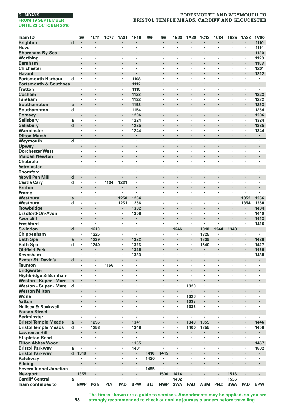# **PORTSMOUTH AND WEYMOUTH TO BRISTOL TEMPLE MEADS, CARDIFF AND GLOUCESTER**

| <b>Train ID</b>                            |                         | <b>emp</b>     | 1C11               | <b>1C77</b> | <b>1A81</b> | 1F16                 | <b>emp</b>           | <b>emp</b>         | 1B28                            | 1A20               | <b>1C13</b> | <b>1C84</b> | 1B35                      | 1A83                 | <b>1V00</b>               |
|--------------------------------------------|-------------------------|----------------|--------------------|-------------|-------------|----------------------|----------------------|--------------------|---------------------------------|--------------------|-------------|-------------|---------------------------|----------------------|---------------------------|
| <b>Brighton</b>                            | $\overline{\mathbf{d}}$ | $\cdot$        |                    |             |             |                      | ×,                   | $\cdot$            |                                 |                    |             |             | ×                         |                      | 1110                      |
| Hove                                       |                         | ٠              | $\cdot$            | ٠           | ٠           | ٠                    | $\cdot$              | $\cdot$            | $\cdot$                         |                    | ×           | ×           | ٠                         | ٠                    | 1114                      |
| Shoreham-By-Sea                            |                         |                | $\cdot$            |             | ł,          | ٠                    |                      | $\cdot$            | $\cdot$                         | $\cdot$            |             |             | ٠                         |                      | 1120                      |
| Worthing                                   |                         |                |                    | ï           | ï           |                      |                      |                    |                                 |                    |             | ï           |                           | ï                    | 1129                      |
| <b>Barnham</b>                             |                         |                |                    | l,          | ï           |                      | ï                    | $\cdot$            |                                 | $\cdot$            | ï           |             | $\ddot{\phantom{0}}$      | l,                   | 1153                      |
| <b>Chichester</b>                          |                         | $\cdot$        | $\cdot$            |             | ï           | ×                    | ٠                    |                    | $\cdot$                         | $\cdot$            | ×           | ä,          | l,                        | ï                    | 1201                      |
| <b>Havant</b>                              |                         | $\blacksquare$ | $\cdot$            | ٠           | ٠           |                      |                      | $\blacksquare$     |                                 | $\blacksquare$     | ø           | ٠           | ٠                         | $\blacksquare$       | 1212                      |
| <b>Portsmouth Harbour</b>                  | d                       | $\cdot$        | $\cdot$            | ×           | ×.          | 1108                 | $\ddot{\phantom{a}}$ | $\cdot$            | $\cdot$                         | $\cdot$            | ×           | ×           | ×                         | ×                    | ٠                         |
| <b>Portsmouth &amp; Southsea</b>           |                         | $\cdot$        |                    | ł           | ٠           | 1112                 |                      |                    |                                 | $\cdot$            | ł.          | ı,          |                           |                      |                           |
| <b>Fratton</b>                             |                         | $\cdot$        | $\cdot$            | ×           | ×,          | 1115                 | ×                    | $\cdot$            | $\cdot$                         |                    | ٠           | ٠           | ٠                         | ×                    | $\cdot$                   |
| Cosham                                     |                         |                |                    | ł.          |             | 1123                 |                      |                    |                                 | $\cdot$            | l,          | ï           |                           |                      | 1223                      |
| Fareham                                    |                         | ٠              | $\cdot$            | ×           | ٠           | 1132                 | $\cdot$              | $\cdot$            |                                 |                    | ٠           | ×           | ٠                         | $\cdot$              | 1232                      |
| Southampton                                | a                       |                | $\cdot$            | ٠           |             | 1153                 |                      | ٠                  |                                 | ٠                  |             | ï           | ٠                         |                      | 1253                      |
| Southampton                                | d                       | $\cdot$        |                    | ×           | ×,          | 1154                 | $\blacksquare$<br>l, | $\cdot$            |                                 |                    | ×           | ï           |                           | ٠                    | 1254                      |
| Romsey                                     |                         |                | $\cdot$            | l,          |             | 1206                 |                      | $\cdot$            |                                 | $\cdot$            | l,          | ï           |                           | l,                   | 1306                      |
| <b>Salisbury</b>                           | a                       | $\cdot$        | $\cdot$            | ×           | ×.          | 1224                 | ×,                   | $\cdot$            | $\cdot$                         | $\cdot$            | ×           | ٠           | $\cdot$                   | ٠                    | 1324                      |
| <b>Salisbury</b>                           | d                       |                |                    |             | ٠           | 1225                 |                      | $\cdot$            |                                 |                    |             |             |                           |                      | 1325                      |
| Warminster                                 |                         | $\cdot$        | $\cdot$<br>$\cdot$ | ٠<br>×      | ٠           | 1244                 | ٠                    | $\cdot$<br>$\cdot$ | $\ddot{\phantom{0}}$<br>$\cdot$ | $\cdot$<br>$\cdot$ | ٠<br>×      | ٠<br>÷      | ٠<br>$\ddot{\phantom{0}}$ | ٠                    | 1344                      |
| <b>Dilton Marsh</b>                        |                         | $\cdot$<br>l,  | $\cdot$            | ł,          | ×,<br>ï     | $\blacksquare$<br>l, | $\cdot$<br>÷,        | $\cdot$            | l,                              | l,                 | ł,          | ł,          | l,                        | $\cdot$<br>l,        | $\blacksquare$<br>$\cdot$ |
| Weymouth                                   | d                       |                |                    |             |             |                      |                      |                    |                                 |                    | ï           |             |                           |                      |                           |
| Upwey                                      |                         | ۰              | $\cdot$            | ï           | ×<br>ï      |                      | ł,                   |                    |                                 | $\cdot$            |             | ï           | ٠<br>ï                    |                      | $\cdot$                   |
| <b>Dorchester West</b>                     |                         | ٠              |                    |             |             | ٠                    |                      |                    |                                 |                    |             |             |                           | ٠                    |                           |
| <b>Maiden Newton</b>                       |                         | ٠              | $\cdot$            | ٠<br>٠      | ×<br>٠      | ٠<br>$\cdot$         | ×<br>$\cdot$         | $\cdot$<br>$\cdot$ |                                 | $\cdot$            | ×<br>×      | ٠           | ٠<br>٠                    | ×<br>$\cdot$         | $\bullet$                 |
| Chetnole                                   |                         |                |                    | ï           | l,          | l,                   |                      |                    |                                 |                    | ï           | ï           |                           |                      |                           |
| Yetminster                                 |                         | $\cdot$        | $\cdot$<br>$\cdot$ | ×           | ٠           | ×                    | ٠                    | $\cdot$<br>$\cdot$ | $\cdot$                         | $\cdot$            | ×           | ×.          | ×                         | ×                    | $\cdot$                   |
| <b>Thornford</b><br><b>Yeovil Pen Mill</b> |                         |                |                    |             |             |                      |                      |                    |                                 |                    |             |             |                           |                      |                           |
|                                            | d                       | $\cdot$        | $\cdot$            |             |             | ٠                    | ٠                    | $\cdot$            | $\cdot$                         |                    | ٠           | ٠           | ٠                         | ٠                    |                           |
| <b>Castle Cary</b>                         | d                       |                | $\cdot$            | 1134        | 1231        |                      |                      | $\cdot$            |                                 | $\cdot$            |             |             | ×                         |                      | $\cdot$                   |
| <b>Bruton</b><br><b>Frome</b>              |                         | ٠              | $\cdot$            | ٠           | ٠           | ٠                    | ٠                    | $\cdot$            |                                 |                    | ٠           | ٠           | ٠                         |                      |                           |
| Westbury                                   |                         |                |                    | ×           | 1250        | 1254                 | ï                    | $\cdot$            |                                 | $\cdot$            |             | ï           |                           | 1352                 | 1356                      |
| Westbury                                   | a<br>d                  |                |                    | ł,          | 1251        | 1256                 | ï                    |                    |                                 |                    |             | ï           |                           | 1354                 | 1358                      |
| <b>Trowbridge</b>                          |                         |                | $\cdot$            | ٠           | ٠           | 1302                 | ×                    | $\cdot$            |                                 | $\cdot$            |             |             | ٠                         |                      | 1404                      |
| <b>Bradford-On-Avon</b>                    |                         | $\cdot$        | $\cdot$            | ٠           | ٠           | 1308                 | $\cdot$              | $\cdot$            | $\cdot$                         | $\cdot$            |             | ٠           |                           | ٠                    | 1410                      |
| <b>Avoncliff</b>                           |                         |                |                    |             | ï           |                      |                      |                    |                                 |                    | ï           | ï           |                           |                      | 1413                      |
| <b>Freshford</b>                           |                         | $\cdot$        | $\cdot$            | ×           | ×.          | ×,                   | $\cdot$              | $\cdot$            | $\cdot$                         | $\cdot$            | ä,          | ä,          | ×                         | $\ddot{\phantom{a}}$ | 1416                      |
| Swindon                                    | d                       |                | 1210               |             |             |                      |                      |                    | 1246                            |                    | 1310        | 1344        | 1348                      |                      | $\bullet$                 |
| Chippenham                                 |                         | $\cdot$        | 1225               | ٠           | ٠           | $\blacksquare$       | ٠                    | $\cdot$            | $\cdot$                         |                    | 1325        | $\bullet$   | ٠                         | ٠                    | ٠                         |
| <b>Bath Spa</b>                            | a                       | $\bullet$      | 1239               | ٠           | ٠           | 1322                 |                      | $\bullet$          |                                 | $\blacksquare$     | 1339        | ٠           | ٠                         | $\blacksquare$       | 1426                      |
| <b>Bath Spa</b>                            | d                       | $\cdot$        | 1240               | ٠           | ٠           | 1323                 | ł,                   | $\cdot$            |                                 |                    | 1340        | ٠           | ٠                         | $\cdot$              | 1427                      |
| <b>Oldfield Park</b>                       |                         |                | $\cdot$            |             | ÷           | 1326                 |                      | $\cdot$            |                                 |                    | ٠           | ï           | $\cdot$                   |                      | 1430                      |
| Keynsham                                   |                         |                |                    | ×           |             | 1333                 | ٠                    |                    |                                 |                    | ×           | ٠           | ٠                         | ï                    | 1438                      |
| <b>Exeter St. David's</b>                  | $\overline{\mathbf{d}}$ |                | $\cdot$            | l,          | ×           |                      | ï                    |                    |                                 |                    | l,          | ï           |                           |                      | $\cdot$                   |
| Taunton                                    |                         | $\cdot$        | $\cdot$            | 1156        | ٠           | $\cdot$              | ٠                    | $\cdot$            | $\cdot$                         |                    | ٠           | ٠           | ٠                         | ٠                    |                           |
| <b>Bridgwater</b>                          |                         |                |                    |             | ï           |                      |                      |                    |                                 | $\cdot$            | ï           |             |                           |                      |                           |
| Highbridge & Burnham                       |                         | $\cdot$        | $\cdot$            | ٠           | ×,          | $\cdot$              | $\cdot$              | $\cdot$            |                                 |                    | ٠           | ٠           | ٠                         | $\cdot$              |                           |
| <b>Weston - Super - Mare</b>               | a                       |                |                    |             | ×           |                      |                      |                    |                                 |                    |             |             |                           |                      | $\cdot$                   |
| Weston - Super - Mare                      | d                       | $\cdot$        | $\cdot$            | ×           | ٠           | ×                    | ×                    | $\cdot$            | $\cdot$                         | 1320               | ×           | ×           | ٠                         | ×                    | ٠                         |
| <b>Weston Milton</b>                       |                         | $\bullet$      | $\bullet$          | ٠           |             | ٠                    | ×                    | $\cdot$            | $\bullet$                       | $\cdot$            | ٠           | ٠           | ٠                         |                      | $\blacksquare$            |
| Worle                                      |                         |                |                    | ï           | ï           | ï                    | ï                    |                    |                                 | 1326               | ï           | ï           | ï                         | ï                    |                           |
| <b>Yatton</b>                              |                         | $\cdot$        |                    | ł.          | i,          |                      |                      |                    |                                 | 1333               | ł.          | ï           |                           |                      |                           |
| Nailsea & Backwell                         |                         |                |                    | ×           | ٠           | ٠                    | ï                    | $\cdot$            |                                 | 1338               | ٠           | ٠           | ٠                         | $\cdot$              |                           |
| <b>Parson Street</b>                       |                         |                | $\cdot$            |             |             |                      |                      |                    |                                 |                    |             |             |                           |                      | $\cdot$                   |
| <b>Bedminster</b>                          |                         | ٠              | $\cdot$            | ٠           | ٠           | ٠                    | ٠                    | $\cdot$            | $\cdot$                         | $\cdot$            | ٠           | ٠           | ٠                         | $\cdot$              | ٠                         |
| <b>Bristol Temple Meads</b>                | a                       |                | 1255               | i,          |             | 1341                 |                      |                    |                                 | 1348               | 1355        |             |                           |                      | 1446                      |
| <b>Bristol Temple Meads</b>                | d                       | $\cdot$        | 1258               | ×,          | ×.          | 1348                 | ×                    |                    | $\cdot$                         | 1400               | 1355        | ×,          | $\cdot$                   | ï                    | 1450                      |
| <b>Lawrence Hill</b>                       |                         |                | $\cdot$            |             | i,          | ×                    |                      |                    |                                 | $\cdot$            | ٠           |             |                           | ï                    |                           |
| <b>Stapleton Road</b>                      |                         | ٠              | $\cdot$            | ٠           | ٠           | $\blacksquare$       | $\cdot$              | $\cdot$            |                                 |                    | ٠           | ×,          | ٠                         | $\cdot$              |                           |
| <b>Filton Abbey Wood</b>                   |                         |                | $\bullet$          | ٠           | ٠           | 1355                 | ۰                    | $\cdot$            |                                 | $\bullet$          | ×           |             | ٠                         | $\blacksquare$       | 1457                      |
| <b>Bristol Parkway</b>                     | a                       |                |                    | ×           | ï           | 1401                 | $\cdot$              |                    |                                 |                    |             | ٠           |                           | ٠                    | 1502                      |
| <b>Bristol Parkway</b>                     | d                       | 1310           |                    | ł.          | i,          | ٠                    | 1410                 | 1415               |                                 | $\cdot$            | ł.          | ï           |                           |                      |                           |
| Patchway                                   |                         |                | $\cdot$            | ٠           | ï           | ٠                    | 1420                 | $\cdot$            | $\cdot$                         | $\cdot$            | ٠           | ä,          | ٠                         | ٠                    |                           |
| Pilning                                    |                         |                | $\bullet$          |             | ٠           |                      |                      | $\cdot$            |                                 | $\cdot$            |             |             |                           |                      | $\cdot$                   |
| <b>Severn Tunnel Junction</b>              |                         | ٠              | $\cdot$            | ٠           | ٠           | $\cdot$              | 1455                 | $\cdot$            | $\cdot$                         | $\cdot$            | ٠           | $\cdot$     | ٠                         | ٠                    | $\cdot$                   |
| Newport                                    |                         | 1355           |                    | ł.          | ×           | ×                    |                      | 1500               | 1414                            | $\cdot$            |             | ï           | 1516                      |                      | $\cdot$                   |
| <b>Cardiff Central</b>                     | a                       |                | $\cdot$            | ×           | ï           | ×                    | $\cdot$              | $\cdot$            | 1432                            | $\cdot$            | ٠           | ä,          | 1536                      |                      | $\cdot$                   |
| <b>Train continues to</b>                  |                         | <b>NWP</b>     | <b>PGN</b>         | PLY         | PAD         | <b>BPW</b>           | <b>STJ</b>           | <b>NWP</b>         | <b>SWA</b>                      | PAD                | <b>WSM</b>  | PNZ         | <b>SWA</b>                | PAD                  | <b>BPW</b>                |

**The times shown are a guide to services. Amendments may be applied, so you are strongly recommended to check our online journey planners before travelling.**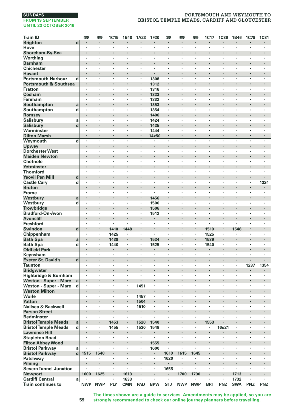# **PORTSMOUTH AND WEYMOUTH TO BRISTOL TEMPLE MEADS, CARDIFF AND GLOUCESTER**

| <b>Train ID</b>                                       |                         | <b>m</b>       | œ                               | <b>1C15</b> | 1B40       | 1A23                 | 1F20                 | <b>m</b>            | <b>m</b>       | œ              | 1C17       | <b>1C86</b> | 1B46           | 1C79                 | <b>1C81</b>    |
|-------------------------------------------------------|-------------------------|----------------|---------------------------------|-------------|------------|----------------------|----------------------|---------------------|----------------|----------------|------------|-------------|----------------|----------------------|----------------|
| <b>Brighton</b>                                       | $\overline{\mathbf{d}}$ | $\blacksquare$ | $\cdot$                         | ٠           | ٠          | $\blacksquare$       | ٠                    | $\blacksquare$      | $\blacksquare$ | $\blacksquare$ | ٠          | ٠           | $\blacksquare$ | $\blacksquare$       | $\blacksquare$ |
| Hove                                                  |                         | $\cdot$        | $\cdot$                         | ×,          | ×,         | $\cdot$              | $\blacksquare$       | $\cdot$             | $\cdot$        |                | ٠          | ٠           | $\cdot$        | $\cdot$              | ×,             |
| Shoreham-By-Sea                                       |                         |                | $\cdot$                         | l,          | l,         |                      |                      |                     |                |                | l,         |             |                |                      | l,             |
| Worthing                                              |                         | $\cdot$        | $\cdot$                         | ×           | ٠          | ×                    | $\ddot{\phantom{a}}$ | ×                   | $\cdot$        | $\cdot$        | ×          | ٠           | ×              | ×                    | ×              |
| <b>Barnham</b>                                        |                         |                |                                 | ı,          |            |                      |                      |                     |                | $\cdot$        |            |             |                |                      | $\blacksquare$ |
| <b>Chichester</b>                                     |                         | $\cdot$        | $\cdot$                         | ×           | ٠          | ٠                    | $\cdot$              | ٠                   | $\cdot$        |                | ٠          | ٠           | ٠              | ٠                    | ٠              |
| Havant                                                |                         | $\blacksquare$ | $\cdot$                         | ٠           | ٠          | ٠                    | ٠                    | ٠                   | $\cdot$        | $\cdot$        | ٠          | ٠           | ٠              | ٠                    | $\blacksquare$ |
| <b>Portsmouth Harbour</b>                             | d                       |                |                                 |             | ï          | ٠                    | 1308                 | ï                   |                |                |            | l,          | ï              | ï                    | ï              |
| <b>Portsmouth &amp; Southsea</b>                      |                         |                |                                 | l,          | ×          | l,                   | 1312                 | l,                  |                | $\cdot$        | ×          |             | ×              |                      | ä,             |
| <b>Fratton</b>                                        |                         |                |                                 | ٠           | ×,         |                      | 1316                 |                     | $\cdot$        |                | ×          | ٠           | ٠              | $\cdot$              | $\cdot$        |
| Cosham                                                |                         |                | $\cdot$                         | ł.          | ł          |                      | 1323                 | ٠                   |                |                |            |             |                |                      | ٠              |
| Fareham                                               |                         | $\cdot$        | $\cdot$                         | ٠           | ٠          | $\cdot$              | 1332                 | $\cdot$             | $\cdot$        | $\cdot$        | ٠          | ٠           | ×              | ×                    | $\cdot$        |
| Southampton                                           | a                       | $\cdot$        |                                 | ł.          | ł<br>ä,    | $\blacksquare$<br>×, | 1353                 | ×<br>$\blacksquare$ | $\cdot$        | $\cdot$        | ٠          | ×           | $\cdot$        | ï                    | ï              |
| Southampton                                           | d                       |                |                                 |             | ×          |                      | 1354                 | l,                  |                | $\cdot$        | ï          |             |                |                      | $\blacksquare$ |
| Romsey                                                | a                       | $\cdot$        |                                 | l,          | ï          | ٠                    | 1406<br>1424         | ×                   |                |                | l,         | l,          | ï              | ٠                    | ٠              |
| <b>Salisbury</b>                                      | d                       |                | $\cdot$                         | ٠           | ×          | ٠                    |                      | ٠                   |                | $\cdot$        | ×          |             | ٠              |                      | $\blacksquare$ |
| Salisbury<br>Warminster                               |                         |                |                                 | ٠           | ٠          | ٠                    | 1425<br>1444         | ٠                   | $\cdot$        |                | ٠          | ٠           | ٠              | ٠                    | $\cdot$        |
| <b>Dilton Marsh</b>                                   |                         | $\cdot$        |                                 | ä,          | l,         | l,                   | 14x50                | ä,                  | $\cdot$        | $\cdot$        | ä,         | l,          | l,             | l,                   | ä,             |
| Weymouth                                              | d                       |                | $\cdot$                         | ×           | ï          |                      |                      | ×                   | $\cdot$        | $\cdot$        | ٠          | ٠           | ×              | ٠                    | ٠              |
| Upwey                                                 |                         |                |                                 | ı,          |            |                      |                      | l,                  |                | $\cdot$        |            |             |                |                      |                |
| <b>Dorchester West</b>                                |                         | ٠              | $\cdot$                         | ٠           | ٠          | ٠                    | $\cdot$              | ٠                   | $\cdot$        | $\cdot$        | ٠          | ٠           | ٠              | ٠                    | ٠              |
| <b>Maiden Newton</b>                                  |                         |                | $\centering \label{eq:reduced}$ | ٠           |            | ٠                    |                      | ٠                   |                | $\bullet$      |            |             | ٠              |                      | ٠              |
| Chetnole                                              |                         | ٠              |                                 | ï           | ï          | ï                    | ł,                   | ï                   |                |                | ï          | ł,          | ï              | ï                    | ï              |
| Yetminster                                            |                         |                |                                 | l,          | l,         | l.                   |                      |                     |                | $\cdot$        | l,         | ï           | ÷,             |                      | l,             |
| Thornford                                             |                         |                |                                 | ٠           | ٠          | ٠                    | ٠                    | $\cdot$             |                |                | ٠          | ٠           | ٠              | ٠                    |                |
| <b>Yeovil Pen Mill</b>                                | d                       |                | $\bullet$                       | ٠           | ٠          |                      |                      |                     |                | $\bullet$      |            |             |                |                      |                |
| <b>Castle Cary</b>                                    | d                       | $\cdot$        | $\cdot$                         | ٠           | ٠          | ×                    | ×                    | ٠                   | $\cdot$        | $\cdot$        | ٠          | ٠           | ×              | ×                    | 1324           |
| <b>Bruton</b>                                         |                         |                |                                 | i,          | i,         |                      |                      |                     |                |                | i,         | ï           |                |                      |                |
| Frome                                                 |                         | $\cdot$        | $\cdot$                         | ٠           | ٠          | $\cdot$              | ×                    | ٠                   | $\cdot$        |                | ٠          | $\cdot$     | ٠              | $\cdot$              | ×,             |
| Westbury                                              | a                       |                |                                 | i,          |            |                      | 1456                 |                     | l.             | $\cdot$        | l,         | ï           |                | ۰                    |                |
| Westbury                                              | d                       | ٠              | $\cdot$                         | ٠           | ï          | ٠                    | 1500                 | ł,                  |                |                | ×          | ×           | ٠              | ٠                    | $\cdot$        |
| <b>Trowbridge</b>                                     |                         |                | $\cdot$                         | ٠           | ×          | ٠                    | 1506                 | ٠                   |                | $\cdot$        |            |             | ٠              |                      | ٠              |
| <b>Bradford-On-Avon</b>                               |                         | ٠              |                                 | ٠           | ×,         | ٠                    | 1512                 | ٠                   |                |                | ٠          | ×           | ٠              | ٠                    | ٠              |
| <b>Avoncliff</b>                                      |                         |                |                                 | l,          | ï          | l,                   |                      | l,                  |                |                | ï          | i,          |                |                      |                |
| <b>Freshford</b>                                      |                         | $\cdot$        | $\cdot$                         | ٠           | ٠          | ×                    | $\blacksquare$       | ×                   | $\cdot$        | $\cdot$        | ٠          | $\bullet$   | ×              | ×                    | ×              |
| <b>Swindon</b>                                        | d                       |                |                                 | 1410        | 1448       |                      | ×,                   |                     |                |                | 1510       | i,          | 1548           |                      |                |
| Chippenham                                            |                         | $\cdot$        | $\cdot$                         | 1425        | ٠          | ٠                    | $\blacksquare$       | ٠                   | $\cdot$        |                | 1525       | ٠           | ٠              | ٠                    | ٠              |
| <b>Bath Spa</b>                                       | a                       | $\blacksquare$ |                                 | 1439        | ٠          |                      | 1524                 | ٠                   |                | $\blacksquare$ | 1539       | ٠           | ٠              |                      | $\blacksquare$ |
| <b>Bath Spa</b>                                       | d                       | ٠              | $\cdot$                         | 1440        | ٠          | ٠                    | 1525                 | ٠                   |                |                | 1540       | ×           | ٠              | ٠                    | $\cdot$        |
| <b>Oldfield Park</b>                                  |                         |                |                                 | ٠           | ä,         | l,                   | $\blacksquare$       | l,                  |                |                | ٠          | l,          | l,             |                      | l,             |
| Keynsham                                              |                         |                |                                 | ×,          | ٠          |                      | $\cdot$              | $\cdot$             | $\cdot$        |                | ٠<br>l,    | ٠           | ٠              | ï                    |                |
| <b>Exeter St. David's</b>                             | $\overline{\mathbf{d}}$ | $\cdot$        |                                 |             | ٠          | $\cdot$              | $\cdot$              | ٠                   | $\cdot$        | $\cdot$        |            | i,<br>×     | $\cdot$        |                      |                |
| <b>Taunton</b><br><b>Bridgwater</b>                   |                         |                | $\cdot$                         | ٠           | i,         | l,                   |                      |                     |                | $\cdot$        | ٠<br>l,    | ï           |                | 1237                 | 1354           |
|                                                       |                         | $\cdot$        | $\cdot$                         | ×,          | ä,         | ï                    | ×                    | ٠                   |                |                | ×,         | ×           | ٠              | ï                    | ×,             |
| Highbridge & Burnham                                  |                         |                |                                 |             |            |                      |                      |                     |                | $\cdot$        | l,         | ï           |                |                      |                |
| <b>Weston - Super - Mare</b><br>Weston - Super - Mare | a<br>d                  | $\cdot$        | $\cdot$                         | ï           | ٠          | 1451                 | ł,                   | ٠                   |                |                | ٠          | ×           | ٠              | ٠                    | ٠              |
| <b>Weston Milton</b>                                  |                         |                | $\bullet$                       | ٠           | ٠          | ٠                    |                      | ٠                   | ٠              | $\cdot$        | ٠          | ٠           | ٠              |                      | $\blacksquare$ |
| Worle                                                 |                         | ٠              |                                 | ٠           | ×,         | 1457                 | $\cdot$              | ٠                   |                |                | ٠          | ٠           | ٠              | ٠                    | $\cdot$        |
| <b>Yatton</b>                                         |                         | $\cdot$        |                                 |             |            | 1504                 |                      |                     |                | $\cdot$        | ï          | ï           |                |                      |                |
| Nailsea & Backwell                                    |                         | $\cdot$        | $\cdot$                         | ٠           | ×,         | 1510                 | $\blacksquare$       | ×                   | $\cdot$        | $\cdot$        | ×          | ×           | ×              | $\ddot{\phantom{a}}$ | ×,             |
| <b>Parson Street</b>                                  |                         |                |                                 |             |            |                      |                      |                     |                |                |            |             |                |                      |                |
| <b>Bedminster</b>                                     |                         | ٠              | $\cdot$                         | ٠           | ٠          | ٠                    | $\cdot$              | ٠                   | $\cdot$        | $\cdot$        | ٠          | ٠           | ٠              | ٠                    | ٠              |
| <b>Bristol Temple Meads</b>                           | a                       |                |                                 | 1453        | ł,         | 1520                 | 1540                 |                     |                |                | 1553       |             |                |                      |                |
| <b>Bristol Temple Meads</b>                           | d                       | $\cdot$        |                                 | 1455        | ×          | 1530                 | 1548                 | ×                   |                |                | ٠          | 16u21       | ٠              | ï                    | ï              |
| <b>Lawrence Hill</b>                                  |                         |                | $\cdot$                         | ٠           |            |                      |                      | ÷                   |                | $\cdot$        | ÷,         | ٠           |                |                      | $\cdot$        |
| <b>Stapleton Road</b>                                 |                         |                | $\cdot$                         | ٠           | ×,         |                      | $\blacksquare$       | ٠                   |                |                | ٠          | ï           | ,              | ï                    |                |
| <b>Filton Abbey Wood</b>                              |                         |                | $\bullet$                       | ٠           | ٠          | ٠                    | 1555                 | $\blacksquare$      |                | $\bullet$      |            |             |                |                      | ٠              |
| <b>Bristol Parkway</b>                                | a                       | $\cdot$        | $\cdot$                         | ٠           | ٠          | ٠                    | 1600                 | $\cdot$             | $\cdot$        | $\cdot$        | ٠          | ٠           | ٠              | ٠                    | ٠              |
| <b>Bristol Parkway</b>                                | $\mathsf{d}$            | 1515           | 1540                            |             | i,         |                      |                      | 1610                | 1615           | 1645           |            | i,          |                |                      |                |
| Patchway                                              |                         |                | ٠                               | ×,          | ×,         | $\cdot$              | $\blacksquare$       | 1620                | $\cdot$        | ٠              | ×,         | ٠           | ٠              | $\cdot$              | ٠              |
| Pilning                                               |                         |                |                                 |             |            |                      |                      |                     |                |                |            | i,          |                |                      |                |
| <b>Severn Tunnel Junction</b>                         |                         |                | $\cdot$                         | ٠           | ٠          | $\cdot$              | $\blacksquare$       | 1655                |                | $\cdot$        | ×          | ٠           | ٠              | ٠                    | ٠              |
| Newport                                               |                         | 1600           | 1625                            | ×,          | 1613       |                      |                      | ٠                   | 1700           | 1730           | ٠          | ł           | 1713           |                      | ٠              |
| <b>Cardiff Central</b>                                | a                       |                |                                 | ٠           | 1633       |                      |                      | $\blacksquare$      |                |                | ٠          | ٠           | 1732           |                      | $\cdot$        |
| Train continues to                                    |                         | <b>NWP</b>     | <b>NWP</b>                      | PLY         | <b>CMN</b> | PAD                  | <b>BPW</b>           | <b>STJ</b>          | <b>NWP</b>     | <b>NWP</b>     | <b>BRI</b> | PNZ         | <b>SWA</b>     | PNZ                  | PNZ            |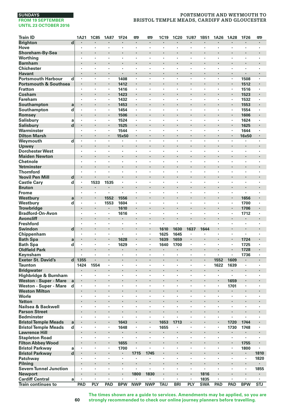# **PORTSMOUTH AND WEYMOUTH TO BRISTOL TEMPLE MEADS, CARDIFF AND GLOUCESTER**

| <b>Train ID</b>                              |                         | 1A21                            | <b>1C85</b>                     | <b>1A87</b> | 1F24           | œ                    | œ                    | 1C19                 | 1C20                 | <b>1U87</b>    | 1B51       | 1A26                 | 1A28                 | 1F26           | 罒                       |
|----------------------------------------------|-------------------------|---------------------------------|---------------------------------|-------------|----------------|----------------------|----------------------|----------------------|----------------------|----------------|------------|----------------------|----------------------|----------------|-------------------------|
| <b>Brighton</b>                              | $\overline{\mathbf{d}}$ | $\cdot$                         | $\cdot$                         | ٠           |                | $\blacksquare$       | ٠                    | $\blacksquare$       | $\cdot$              | $\blacksquare$ | ٠          | ٠                    | $\blacksquare$       | $\blacksquare$ | $\blacksquare$          |
| Hove                                         |                         | $\cdot$                         |                                 | ×           | ٠              |                      | $\blacksquare$       | $\cdot$              | $\cdot$              |                | ٠          | ×                    | $\cdot$              | $\cdot$        |                         |
| Shoreham-By-Sea                              |                         |                                 |                                 |             |                | $\cdot$              |                      |                      | $\cdot$              |                | ł.         |                      |                      |                |                         |
| Worthing                                     |                         | $\cdot$                         | $\cdot$                         | ×           | ×              | ×                    | ×                    | $\cdot$              | $\cdot$              | $\cdot$        | ٠          | ٠                    | ×                    | ×              | $\cdot$                 |
| <b>Barnham</b>                               |                         |                                 |                                 |             |                |                      |                      |                      |                      |                |            |                      |                      |                |                         |
| <b>Chichester</b>                            |                         | $\cdot$                         |                                 | ٠           | ٠              | ٠                    | ٠                    | $\cdot$              | $\cdot$              | $\cdot$        | ٠          | ٠                    | ٠                    | ٠              | $\cdot$                 |
| <b>Havant</b>                                |                         | $\blacksquare$                  | $\cdot$                         | ٠           | ٠              | $\blacksquare$       | ٠                    |                      |                      | $\cdot$        | ٠          | ٠                    | ٠                    |                |                         |
| <b>Portsmouth Harbour</b>                    | d                       | $\cdot$                         |                                 | ×           | 1408           | ٠                    | ٠                    |                      |                      |                | ï          | ×                    | $\cdot$              | 1508           |                         |
| <b>Portsmouth &amp; Southsea</b>             |                         |                                 | $\cdot$                         | $\cdot$     | 1412           |                      |                      |                      | $\cdot$              |                |            | l,                   |                      | 1512           |                         |
| <b>Fratton</b>                               |                         |                                 |                                 |             | 1416           | ٠                    | ï                    |                      | $\cdot$              |                | ٠          | ï                    | $\cdot$              | 1516           |                         |
| Cosham                                       |                         |                                 | $\bullet$                       | ٠           | 1423           | ٠                    |                      |                      |                      |                |            |                      | ×,                   | 1523           |                         |
| Fareham                                      |                         | $\cdot$                         | $\cdot$                         | ٠<br>ï      | 1432           | $\cdot$              | ٠<br>l,              | $\cdot$              | $\cdot$              | $\cdot$        | ٠          | ٠<br>ï               | $\cdot$              | 1532           | $\cdot$                 |
| Southampton                                  | a                       | $\cdot$                         |                                 | ٠           | 1453           | $\cdot$              | ï                    |                      | $\cdot$              |                | ×,         | ×                    | $\blacksquare$       | 1553           | $\cdot$                 |
| Southampton<br>Romsey                        | d                       |                                 |                                 |             | 1454<br>1506   |                      |                      |                      |                      | ۰              | ×          | ï                    | ä,                   | 1554<br>1606   |                         |
| <b>Salisbury</b>                             | a                       | $\cdot$                         |                                 | ٠           | 1524           | ٠                    | ٠                    |                      | $\cdot$              |                | ٠          | ٠                    | $\cdot$              | 1624           | $\cdot$                 |
| <b>Salisbury</b>                             | d                       | $\blacksquare$                  | $\cdot$                         | ٠           | 1525           | $\blacksquare$       |                      |                      |                      |                | ×          |                      | $\cdot$              | 1625           |                         |
| Warminster                                   |                         | $\cdot$                         |                                 |             | 1544           | ٠                    | ٠                    |                      | $\cdot$              |                | ٠          | ×                    | ٠                    | 1644           |                         |
| <b>Dilton Marsh</b>                          |                         | $\cdot$                         | $\cdot$                         | ÷.          | 15x50          | $\ddot{\phantom{0}}$ | l,                   |                      | $\cdot$              |                |            | l,                   |                      | 16x50          |                         |
| Weymouth                                     | d                       | $\ddot{\phantom{0}}$            | ÷,                              | ï           |                | ï                    | $\ddot{\phantom{0}}$ | ÷,                   | l.                   | l.             | ł.         | J.                   | ÷.                   |                | $\cdot$                 |
| Upwey                                        |                         |                                 |                                 |             |                | ٠                    |                      |                      |                      |                |            |                      |                      |                |                         |
| <b>Dorchester West</b>                       |                         | ٠                               | $\cdot$                         | ٠           | ٠              | ٠                    | ٠                    | $\cdot$              | $\cdot$              | ,              | ×          | ٠                    | ٠                    | ٠              | $\cdot$                 |
| <b>Maiden Newton</b>                         |                         | $\cdot$                         | $\cdot$                         |             |                | ×                    |                      |                      |                      |                | ł.         |                      | ×,                   |                |                         |
| Chetnole                                     |                         | $\cdot$                         | $\cdot$                         | ×           | ÷,             |                      | ÷,                   |                      | $\cdot$              | $\cdot$        | ï          | ÷,                   |                      |                | $\cdot$                 |
| Yetminster                                   |                         | $\cdot$                         | $\cdot$                         |             | ï              |                      |                      |                      |                      |                | ٠          | ï                    | ٠                    |                |                         |
| <b>Thornford</b>                             |                         |                                 |                                 |             | ï              |                      | ï                    |                      |                      |                | ï          |                      | ï                    |                |                         |
| <b>Yeovil Pen Mill</b>                       | d                       | $\blacksquare$                  | $\cdot$                         |             | ٠              | ٠                    |                      |                      | $\bullet$            |                | ٠          | ۰                    | ٠                    | ٠              |                         |
| <b>Castle Cary</b>                           | d                       | $\cdot$                         | 1533                            | 1535        | ٠              | ×                    | ×                    |                      | $\ddot{\phantom{0}}$ | $\cdot$        | ٠          | ٠                    | ×                    | ×              |                         |
| <b>Bruton</b>                                |                         | $\cdot$                         | $\bullet$                       |             |                | ×                    |                      |                      |                      |                | ×          | ï                    | ٠                    |                |                         |
| Frome                                        |                         | $\cdot$                         | $\cdot$                         |             | ä,             | ×                    | ×                    | $\cdot$              | $\cdot$              | $\cdot$        | ٠          | $\cdot$              | ×                    |                | $\cdot$                 |
| Westburv                                     | a                       |                                 | $\cdot$                         | 1552        | 1556           |                      | ï                    |                      |                      |                |            | ï                    |                      | 1656           |                         |
| Westbury                                     | d                       | $\cdot$                         |                                 | 1553        | 1604           | ٠                    | ٠                    | $\cdot$              | $\cdot$              | $\cdot$        | ٠<br>×     | ٠                    | ٠                    | 1700           | $\cdot$                 |
| <b>Trowbridge</b><br><b>Bradford-On-Avon</b> |                         | $\centering \label{eq:reduced}$ | $\centering \label{eq:reduced}$ | ×           | 1610<br>1616   | $\blacksquare$<br>ï  | ł,                   |                      |                      |                | ï          | ł,                   | ×                    | 1706<br>1712   |                         |
| <b>Avoncliff</b>                             |                         |                                 | $\cdot$                         | ł.          | ×              | $\cdot$              |                      |                      |                      |                | ×          | ï                    | l,                   |                |                         |
| <b>Freshford</b>                             |                         |                                 |                                 |             | ×,             | $\cdot$              | ï                    |                      | $\cdot$              |                | ٠          | ×                    | $\cdot$              | $\cdot$        |                         |
| <b>Swindon</b>                               | $\mathbf d$             | $\bullet$                       | $\bullet$                       | ٠           | ٠              | ٠                    |                      | 1610                 | 1630                 | 1637           | 1644       |                      | ٠                    | ٠              |                         |
| Chippenham                                   |                         | $\cdot$                         | $\cdot$                         | ٠           | ٠              | ×                    | ٠                    | 1625                 | 1645                 | $\cdot$        | ٠          | ٠                    | ×                    | ×              |                         |
| <b>Bath Spa</b>                              | a                       | $\blacksquare$                  |                                 | ï           | 1628           |                      |                      | 1639                 | 1659                 |                |            |                      |                      | 1724           |                         |
| <b>Bath Spa</b>                              | d                       | $\cdot$                         |                                 | ٠           | 1629           | $\cdot$              | $\cdot$              | 1640                 | 1700                 | $\cdot$        | ٠          | ×                    | ٠                    | 1725           | $\cdot$                 |
| <b>Oldfield Park</b>                         |                         |                                 | $\cdot$                         |             |                | $\ddot{\phantom{0}}$ |                      | $\cdot$              | $\cdot$              |                |            | i,                   |                      | 1728           |                         |
| Keynsham                                     |                         |                                 |                                 | ٠           | ٠              | ٠                    | ٠                    | $\cdot$              |                      |                | ٠          | ٠                    | ٠                    | 1736           |                         |
| <b>Exeter St. David's</b>                    | $\mathbf{d}$            | 1355                            | $\cdot$                         | ٠           | ×,             | $\blacksquare$       |                      | $\blacksquare$       | $\cdot$              | $\cdot$        | ×          | 1552                 | 1609                 | ٠              |                         |
| <b>Taunton</b>                               |                         | 1424                            | 1554                            |             | ٠              | ٠                    |                      |                      | $\cdot$              |                | ×,         | 1622                 | 1639                 | ٠              |                         |
| <b>Bridgwater</b>                            |                         |                                 | $\cdot$                         | l,          | ï              |                      | l,                   |                      | $\cdot$              |                |            |                      | ٠                    |                |                         |
| Highbridge & Burnham                         |                         | $\cdot$                         |                                 | ٠           | ٠              | ×                    | ×                    | $\cdot$              | $\cdot$              | $\cdot$        | ×.         | $\cdot$              | ×,                   | ٠              |                         |
| <b>Weston - Super - Mare</b>                 | a                       |                                 |                                 |             |                |                      |                      |                      |                      |                |            | ł.                   | 1659                 |                |                         |
| Weston - Super - Mare                        | d                       | $\cdot$<br>$\cdot$              | $\cdot$                         | ٠<br>×      | ٠<br>ł.        | ٠<br>×               | ٠                    | $\cdot$              | $\cdot$              | $\cdot$        | ٠<br>×     | ٠                    | 1701                 | ٠<br>×         | $\cdot$                 |
| <b>Weston Milton</b><br>Worle                |                         | $\cdot$                         |                                 | ٠           | ×              | ٠                    | ٠                    |                      | $\cdot$              |                | ٠          | ٠                    | $\cdot$              | $\cdot$        | $\cdot$                 |
| <b>Yatton</b>                                |                         | $\cdot$                         | $\cdot$                         | l,          | ï              | $\cdot$              |                      |                      |                      |                |            | l,                   | ٠                    | $\cdot$        |                         |
| Nailsea & Backwell                           |                         |                                 |                                 |             | ï              |                      | ï                    |                      |                      |                | ï          | ï                    | ï                    | ï              |                         |
| <b>Parson Street</b>                         |                         |                                 | $\cdot$                         | ×           |                | ٠                    |                      |                      |                      |                |            |                      | ×                    |                |                         |
| <b>Bedminster</b>                            |                         | $\cdot$                         | $\cdot$                         | ٠           | ٠              | ٠                    | ٠                    | $\ddot{\phantom{0}}$ | $\ddot{\phantom{0}}$ |                | ٠          | ٠                    | ٠                    | ٠              |                         |
| <b>Bristol Temple Meads</b>                  | a                       |                                 |                                 |             | 1643           |                      | ï                    | 1653                 | 1713                 |                | ł.         | ï                    | 1720                 | 1744           |                         |
| <b>Bristol Temple Meads</b>                  | d                       | $\cdot$                         | $\cdot$                         | ×           | 1648           |                      |                      | 1655                 | $\cdot$              | $\cdot$        | ×.         | $\ddot{\phantom{a}}$ | 1730                 | 1748           | $\cdot$                 |
| <b>Lawrence Hill</b>                         |                         |                                 |                                 |             |                |                      |                      |                      |                      |                |            | ï                    |                      |                |                         |
| <b>Stapleton Road</b>                        |                         | $\cdot$                         | $\cdot$                         | ٠           | $\blacksquare$ | ×                    | ×                    | $\cdot$              | $\cdot$              | $\cdot$        | ٠          | $\cdot$              | $\blacksquare$       | ٠              | ٠                       |
| <b>Filton Abbey Wood</b>                     |                         | $\bullet$                       | $\centering \label{eq:reduced}$ | ٠           | 1655           | $\blacksquare$       | ×                    | $\cdot$              |                      |                | ٠          |                      | $\blacksquare$       | 1755           |                         |
| <b>Bristol Parkway</b>                       | a                       |                                 |                                 | l,          | 1700           |                      |                      |                      |                      |                | ï          | l,                   | ï                    | 1800           |                         |
| <b>Bristol Parkway</b>                       | d                       | $\cdot$                         | $\cdot$                         | ł.          | ×              | 1715                 | 1745                 |                      | $\cdot$              |                | i,         | ï                    |                      | $\blacksquare$ | 1810                    |
| Patchway                                     |                         |                                 | $\cdot$                         | ×           | ×,             |                      |                      | $\cdot$              | $\cdot$              |                | ٠          | ł.                   | ×                    | $\cdot$        | 1820                    |
| Pilning                                      |                         |                                 |                                 |             |                | ٠                    |                      |                      |                      |                | ٠          |                      |                      | ٠              |                         |
| <b>Severn Tunnel Junction</b>                |                         | $\cdot$                         | $\cdot$                         | ٠           | ×              | ٠                    | $\ddot{\phantom{a}}$ | $\cdot$              | $\cdot$              | $\cdot$        | ٠          | ٠                    | ×                    | $\cdot$        | 1855                    |
| <b>Newport</b>                               |                         |                                 | $\cdot$                         |             |                | 1800                 | 1830                 |                      |                      |                | 1816       | ł                    | ٠                    |                |                         |
| <b>Cardiff Central</b>                       | a                       | $\cdot$                         | $\cdot$                         | ×           | ×              |                      |                      | $\cdot$              | $\cdot$              | $\cdot$        | 1835       | $\ddot{\phantom{a}}$ | $\ddot{\phantom{a}}$ | ×              | $\cdot$                 |
| <b>Train continues to</b>                    |                         | PAD                             | PLY                             | <b>PAD</b>  | <b>BPW</b>     | <b>NWP</b>           | <b>NWP</b>           | TAU                  | <b>BRI</b>           | PLY            | <b>SWA</b> | PAD                  | PAD                  | <b>BPW</b>     | $\overline{\text{STJ}}$ |

**The times shown are a guide to services. Amendments may be applied, so you are strongly recommended to check our online journey planners before travelling.**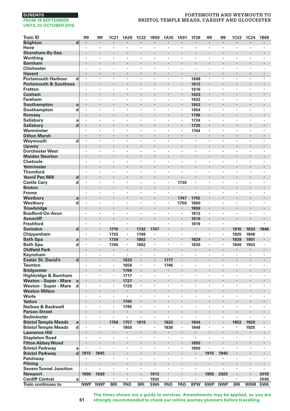# **PORTSMOUTH AND WEYMOUTH TO BRISTOL TEMPLE MEADS, CARDIFF AND GLOUCESTER**

| <b>Train ID</b>                  |              | œ                    | <b>m</b>       | 1C21       | 1A29    | <b>1C22</b>    | 1B59                 | 1A30                 | 1A91                            | 1F28           | <b>m</b>   | œ          | 1C23                 | 1C24                 | 1B69                 |
|----------------------------------|--------------|----------------------|----------------|------------|---------|----------------|----------------------|----------------------|---------------------------------|----------------|------------|------------|----------------------|----------------------|----------------------|
| <b>Brighton</b>                  | d            | $\cdot$              | $\cdot$        | ٠          | ×       | $\blacksquare$ | ٠                    | $\blacksquare$       | $\cdot$                         | $\cdot$        | ٠          | ٠          | $\blacksquare$       | $\blacksquare$       | ٠                    |
| Hove                             |              | $\cdot$              | $\blacksquare$ | ٠          | ٠       | $\cdot$        | $\cdot$              | $\cdot$              |                                 |                | ٠          | ٠          | ٠                    | $\cdot$              | ٠                    |
| Shoreham-By-Sea                  |              | $\cdot$              |                | ×          | ï       |                |                      |                      |                                 |                | ł.         | l,         |                      |                      |                      |
| Worthing                         |              | $\cdot$              | $\cdot$        | ٠          | ٠       | ×              | $\ddot{\phantom{a}}$ | ×                    | $\cdot$                         | $\cdot$        | ٠          | $\cdot$    | ×                    | ٠                    | ٠                    |
| <b>Barnham</b>                   |              |                      |                |            |         |                | ï                    |                      |                                 |                |            |            |                      |                      |                      |
| <b>Chichester</b>                |              | $\cdot$              | $\cdot$        | ٠          | ٠       | ٠              | $\bullet$            | ٠                    | $\cdot$                         | $\cdot$        | ٠          | ٠          | ٠                    | ٠                    | ٠                    |
| <b>Havant</b>                    |              | $\blacksquare$       | $\cdot$        | ٠          |         | ٠              | $\ddot{\phantom{0}}$ | ٠                    | $\cdot$                         |                | ٠          | ٠          | $\ddot{\phantom{0}}$ | ٠                    | ٠                    |
| <b>Portsmouth Harbour</b>        | d            | $\cdot$              |                |            | ×       | ٠              |                      | ٠                    |                                 | 1608           | ×          | ×          | ٠                    | ٠                    | ï                    |
| <b>Portsmouth &amp; Southsea</b> |              |                      | $\cdot$        |            | l,      |                |                      |                      | $\cdot$                         | 1612           | ł,         |            |                      |                      |                      |
| <b>Fratton</b>                   |              |                      |                | ×,         | ï       |                | $\cdot$              | ٠                    |                                 | 1616           | ×,         | ٠          | $\cdot$              | ٠                    |                      |
| Cosham                           |              |                      |                | ٠          |         | ٠              |                      | ٠                    | $\bullet$                       | 1623           | ٠          |            |                      |                      | ٠                    |
| Fareham                          |              | $\cdot$              | $\cdot$        | ٠          | ٠       | ٠              | ٠                    | ٠                    |                                 | 1632           | ٠          | ٠          | ٠                    | ٠                    | ٠                    |
| Southampton                      | a            |                      |                |            | ï       | ï              |                      |                      |                                 | 1653           | i,         | ï          |                      |                      |                      |
| Southampton                      | d            | $\cdot$              | $\cdot$        | ٠          | ٠       | $\cdot$        | $\cdot$              | $\cdot$              | ٠                               | 1654           | ×,         | ×          | $\cdot$              | ٠                    | ٠                    |
| Romsey                           |              |                      |                |            |         |                |                      |                      |                                 | 1706           |            |            | ٠                    |                      | ٠                    |
| <b>Salisbury</b>                 | a            | ٠                    | $\cdot$        | ٠          | ×       | ٠              | ٠                    | ٠                    | $\cdot$                         | 1724           | ٠          | ٠          | $\cdot$              | ٠                    | ï                    |
| <b>Salisbury</b>                 | $\mathbf d$  | $\blacksquare$       | $\cdot$        | ×          |         | ×              | ٠                    |                      | $\centering \label{eq:reduced}$ | 1725           |            | ٠          | ×                    | ×                    |                      |
| Warminster                       |              | $\cdot$              |                | ï          | ï       | ï              | ٠                    | ٠                    |                                 | 1744           | ×,         | ٠          |                      |                      | ٠                    |
| <b>Dilton Marsh</b>              |              |                      | $\cdot$        | l,         | ï       |                |                      | l,                   |                                 |                | l,         | $\cdot$    |                      |                      | ÷.                   |
| Weymouth                         | d            | $\ddot{\phantom{0}}$ |                | ł.         | J.      | ÷,             | $\ddot{\phantom{a}}$ | i.                   |                                 | $\cdot$        | ï          | ÷.         | i.                   | i.                   | ï                    |
| Upwey                            |              |                      |                |            |         | ×              |                      |                      |                                 |                | ×          |            |                      |                      |                      |
| <b>Dorchester West</b>           |              | ٠                    | $\cdot$        | ٠          | ٠       | ٠              | ٠                    | ٠                    | $\cdot$                         | ٠              | ٠          | ٠          | ٠                    | ٠                    | ï                    |
| <b>Maiden Newton</b>             |              |                      |                |            |         |                | $\ddot{\phantom{0}}$ |                      |                                 |                | ł.         |            |                      |                      |                      |
| Chetnole                         |              | $\cdot$              | $\cdot$        |            | ł,      | l,             | ÷,                   |                      | $\cdot$                         | $\cdot$        |            | ÷,         |                      | ×                    |                      |
| Yetminster                       |              |                      |                |            |         |                |                      |                      | $\cdot$                         |                | ٠          | ï          |                      |                      |                      |
| <b>Thornford</b>                 |              |                      |                | ï          |         | ï              |                      |                      |                                 |                | ï          |            | ï                    |                      |                      |
| <b>Yeovil Pen Mill</b>           | d            | $\blacksquare$       |                | ٠          |         | ×              | ٠                    | ×                    |                                 |                | ٠          | ۰          | ٠                    | ٠                    |                      |
| <b>Castle Cary</b>               | d            | $\cdot$              |                | ٠          | ٠       | ×              | ×                    | $\cdot$              | 1730                            | $\cdot$        | ٠          | $\cdot$    | ×                    | ×                    | ٠                    |
| <b>Bruton</b>                    |              | $\cdot$              |                | ł.         | ï       |                |                      |                      |                                 |                | i,         | i,         | ×,                   | ï                    | ï                    |
| Frome                            |              | $\cdot$              | $\cdot$        | ×          | $\cdot$ | ×              | $\ddot{\phantom{a}}$ | ×                    |                                 | $\cdot$        | ٠          | $\cdot$    | ×                    | ×                    | $\ddot{\phantom{0}}$ |
| Westburv                         | a            |                      |                |            | ï       |                |                      |                      | 1747                            | 1755           |            | ï          | ×,                   |                      |                      |
| Westbury                         | d            | $\cdot$              | $\cdot$        | ٠          | ٠       | ٠              | $\cdot$              | $\cdot$              | 1750                            | 1800           | ٠          | ٠          | ٠                    | ٠                    | ٠                    |
| <b>Trowbridge</b>                |              |                      |                |            |         |                |                      |                      |                                 | 1806           | ٠          | ×          | ×                    |                      |                      |
| <b>Bradford-On-Avon</b>          |              |                      |                | ï          | ï       | ï              | ×                    | ï                    | $\cdot$                         | 1812           | ï          | ×          | ï                    | ï                    | ï                    |
| <b>Avoncliff</b>                 |              | $\cdot$              |                | ×          | ï       | l,             | l,                   |                      | $\cdot$                         | 1816           | l,         | l,         |                      |                      |                      |
| <b>Freshford</b>                 |              |                      |                | ٠          | ï       | $\cdot$        | ×                    | $\cdot$              |                                 | 1819           | ٠          | ٠          | ï                    | $\cdot$              |                      |
| <b>Swindon</b>                   | d            | $\bullet$            | $\bullet$      | 1710       | ٠       | 1732           | 1747                 |                      | $\bullet$                       | ٠              | ٠          | ٠          | 1810                 | 1833                 | 1846                 |
| Chippenham                       |              | $\cdot$              | $\cdot$        | 1725       | ٠       | 1748           | ٠                    | ٠                    | $\cdot$                         | $\cdot$        | ٠          | ٠          | 1825                 | 1848                 | ٠                    |
| <b>Bath Spa</b>                  | a            |                      |                | 1739       | ×,      | 1802           |                      |                      |                                 | 1829           |            |            | 1839                 | 1901                 |                      |
| <b>Bath Spa</b>                  | d            | $\cdot$              | $\cdot$        | 1740       | ٠       | 1802           | $\cdot$              | $\cdot$              | ٠                               | 1830           | ×,         | ×          | 1840                 | 1903                 | ×,                   |
| <b>Oldfield Park</b>             |              | $\cdot$              |                | ٠          | ä,      |                |                      |                      | ¢                               |                |            |            | $\cdot$              |                      |                      |
| Keynsham                         |              |                      |                | ٠          | ٠       | ٠              | ٠                    | ٠                    |                                 |                | ٠          | ٠          | $\cdot$              | $\cdot$              | ٠                    |
| <b>Exeter St. David's</b>        | $\mathbf d$  | $\cdot$              | $\blacksquare$ | ٠          | 1633    | $\blacksquare$ | $\blacksquare$       | 1717                 | $\blacksquare$                  | $\blacksquare$ | ٠          | ٠          | $\blacksquare$       | $\blacksquare$       |                      |
| <b>Taunton</b>                   |              | $\cdot$              |                | ٠          | 1658    | ٠              | $\blacksquare$       | 1746                 |                                 |                | ï          | ٠          | ٠                    |                      |                      |
| <b>Bridgwater</b>                |              | $\cdot$              |                |            | 1709    | l,             | l,                   |                      | $\cdot$                         |                | ï          | ï          |                      |                      |                      |
| Highbridge & Burnham             |              | $\cdot$              | $\cdot$        | ٠          | 1717    | ٠              | $\ddot{\phantom{a}}$ | $\cdot$              | $\cdot$                         | $\cdot$        | ٠          | $\cdot$    | ×                    | ×                    | ٠                    |
| <b>Weston - Super - Mare</b>     | a            | $\cdot$              |                | ٠          | 1727    |                |                      |                      |                                 |                |            |            |                      |                      |                      |
| Weston - Super - Mare            | d            | $\cdot$              | $\cdot$        | ٠          | 1729    | ٠              | ٠                    | ٠                    | $\cdot$                         | $\cdot$        | ٠          | ٠          | ٠                    | ٠                    | ٠                    |
| <b>Weston Milton</b>             |              | $\cdot$              | $\cdot$        |            |         |                | $\ddot{\phantom{0}}$ |                      |                                 |                | ×          | ×          | ×,                   |                      | ×,                   |
| Worle                            |              | $\cdot$              | $\cdot$        | ٠          | ×,      | ٠              | ٠                    | $\cdot$              | $\cdot$                         |                | ٠          | ×          | $\cdot$              | ٠                    | $\cdot$              |
| <b>Yatton</b>                    |              | $\cdot$              | $\cdot$        | ä,         | 1740    |                |                      |                      |                                 |                |            |            |                      |                      | ï                    |
| Nailsea & Backwell               |              |                      |                | ł,         | 1746    | ï              | ï                    | ï                    |                                 |                | ï          | ï          | ï                    | ï                    | ï                    |
| <b>Parson Street</b>             |              |                      |                | ٠          |         | ×              | ×                    |                      |                                 |                | ×          | ł.         | ×                    |                      |                      |
| <b>Bedminster</b>                |              | $\blacksquare$       | $\blacksquare$ | ٠          | ٠       | ï              | ٠                    | ٠                    | $\cdot$                         | ٠              | ٠          | ٠          | ٠                    | ٠                    | ٠                    |
| <b>Bristol Temple Meads</b>      | a            |                      |                | 1756       | 1757    | 1816           |                      | 1822                 | $\cdot$                         | 1844           | i,         | ï          | 1853                 | 1920                 |                      |
| <b>Bristol Temple Meads</b>      | d            | $\cdot$              | $\cdot$        | ٠          | 1800    | ×              |                      | 1830                 |                                 | 1848           | ä,         | ÷,         | ×                    | 1925                 | ٠                    |
| <b>Lawrence Hill</b>             |              |                      |                |            |         |                |                      |                      |                                 |                | i,         | ï          |                      |                      |                      |
| <b>Stapleton Road</b>            |              | $\cdot$              | $\cdot$        | ٠          | ٠       | ٠              | $\ddot{\phantom{a}}$ | $\blacksquare$       |                                 | $\cdot$        | ٠          | $\cdot$    | ٠                    | ٠                    | ٠                    |
| <b>Filton Abbey Wood</b>         |              | $\blacksquare$       | $\cdot$        |            |         |                | ٠                    | ٠                    | $\centering \label{eq:reduced}$ | 1855           | ٠          | ٠          | ٠                    |                      |                      |
| <b>Bristol Parkway</b>           | a            |                      |                | l,         | l,      | ï              | ł,                   | ï                    |                                 | 1900           |            | ł,         | ï                    | ï                    | ï                    |
| <b>Bristol Parkway</b>           | $\mathbf{d}$ | 1815                 | 1845           | i,         | ï       | ï              |                      |                      |                                 | $\blacksquare$ | 1915       | 1945       | ٠                    |                      |                      |
| Patchway                         |              |                      |                |            | ï       | ٠              | ×                    | $\cdot$              | $\cdot$                         |                |            |            | $\cdot$              | ٠                    | ٠                    |
| Pilning                          |              |                      |                | ٠          |         |                |                      | ×                    |                                 |                | ٠          |            |                      |                      |                      |
| <b>Severn Tunnel Junction</b>    |              |                      | $\cdot$        | ٠          | ٠       | ×              | $\cdot$              | $\ddot{\phantom{a}}$ | $\cdot$                         | $\cdot$        | ٠          | ٠          | ×                    | ٠                    |                      |
| <b>Newport</b>                   |              | 1900                 | 1930           | ×          |         |                | 1913                 | ×,                   |                                 |                | 1955       | 2025       |                      |                      | 2018                 |
| <b>Cardiff Central</b>           | a            |                      | $\cdot$        | ×          |         |                | 1932                 | ä,                   | $\cdot$                         | $\cdot$        |            |            |                      | $\ddot{\phantom{0}}$ | 2036                 |
| Train continues to               |              | <b>NWP</b>           | <b>NWP</b>     | <b>BRI</b> | PAD     | <b>BRI</b>     | <b>SWA</b>           | PAD                  | PAD                             | <b>BPW</b>     | <b>NWP</b> | <b>NWP</b> | <b>BRI</b>           | <b>WSM</b>           | <b>SWA</b>           |

**The times shown are a guide to services. Amendments may be applied, so you are strongly recommended to check our online journey planners before travelling.**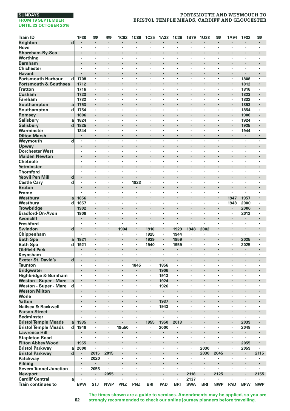# **PORTSMOUTH AND WEYMOUTH TO BRISTOL TEMPLE MEADS, CARDIFF AND GLOUCESTER**

| <b>Train ID</b>                                            |                         | 1F30           | <b>m</b>                        | œ          | <b>1C92</b> | <b>1C89</b>                | 1C25                 | 1A33                            | 1C26                 | 1B79                            | 1U33       | <b>P</b>   | 1A94                 | 1F32       | <b>emp</b>     |
|------------------------------------------------------------|-------------------------|----------------|---------------------------------|------------|-------------|----------------------------|----------------------|---------------------------------|----------------------|---------------------------------|------------|------------|----------------------|------------|----------------|
| <b>Brighton</b>                                            | $\overline{d}$          |                | $\cdot$                         | $\cdot$    |             |                            |                      |                                 |                      |                                 |            | ×          |                      |            | $\cdot$        |
| Hove                                                       |                         | ٠              | $\cdot$                         | ٠          | ٠           | ٠                          | $\cdot$              | $\cdot$                         | $\cdot$              |                                 | ٠          | ×          | ٠                    | $\cdot$    | $\cdot$        |
| Shoreham-By-Sea                                            |                         | $\cdot$        | $\cdot$                         | ٠          | ł.          | ٠                          |                      | $\cdot$                         |                      |                                 |            |            | ٠                    |            |                |
| Worthing                                                   |                         |                |                                 | ï          | ï           |                            |                      |                                 |                      |                                 | l,         | ï          |                      | ï          |                |
| <b>Barnham</b>                                             |                         |                | $\cdot$                         | l,         | ï           |                            |                      | $\cdot$                         |                      | $\cdot$                         | ï          | ï          | $\ddot{\phantom{0}}$ |            | $\cdot$        |
| <b>Chichester</b>                                          |                         | $\cdot$        |                                 |            | ï           | ×                          | ä,                   |                                 | $\ddot{\phantom{a}}$ | $\cdot$                         | ×.         | ä,         | l,                   | ä,         |                |
| <b>Havant</b>                                              |                         |                | $\centering \label{eq:reduced}$ | ٠          | ٠           |                            |                      | $\centering \label{eq:reduced}$ |                      | $\centering \label{eq:reduced}$ |            | ٠          | $\blacksquare$       |            | $\blacksquare$ |
| <b>Portsmouth Harbour</b>                                  | d١                      | 1708           | $\cdot$                         | ×          | ٠           | ×                          | ×                    | $\cdot$                         | $\cdot$              | $\cdot$                         | ×          | $\bullet$  | $\ddot{\phantom{a}}$ | 1808       | $\cdot$        |
| <b>Portsmouth &amp; Southsea</b>                           |                         | 1712           |                                 | ł          |             |                            |                      |                                 |                      |                                 | ł.         | ı,         | $\blacksquare$       | 1812       | $\cdot$        |
| <b>Fratton</b>                                             |                         | 1716           | $\cdot$                         |            | ٠           | $\cdot$                    | ×                    | $\cdot$                         | $\cdot$              |                                 | ٠          | ×          | $\cdot$              | 1816       |                |
| Cosham                                                     |                         | 1723           |                                 | l,         | i,          |                            | ï                    |                                 | $\overline{a}$       | $\cdot$                         | l,         | ï          |                      | 1823       | $\cdot$        |
| Fareham                                                    |                         | 1732           | $\cdot$                         | ×          | ï           | ٠                          | ٠                    | $\cdot$                         |                      |                                 | ×          | ï          | ٠                    | 1832       | $\cdot$        |
| Southampton                                                | a                       | 1753           | $\cdot$                         | ٠          | l,          | ٠                          |                      | ٠                               |                      | ٠                               |            | ٠          |                      | 1853       | $\cdot$        |
| Southampton                                                | d                       | 1754           | $\cdot$                         | ×          | ×,          |                            | ٠                    |                                 |                      |                                 | ×          | ï          |                      | 1854       |                |
| Romsey                                                     |                         | 1806           | $\cdot$                         | l,         | l,          |                            |                      | $\cdot$                         |                      | $\cdot$                         | l,         | ï          |                      | 1906       | $\cdot$        |
| <b>Salisbury</b>                                           | a                       | 1824           | $\cdot$                         | ×          | ٠           | ×                          | ï                    | $\cdot$                         | $\cdot$              | $\cdot$                         | ×          | ×.         | $\cdot$              | 1924       |                |
| <b>Salisbury</b>                                           | d                       | 1825           |                                 |            |             |                            |                      |                                 |                      |                                 |            |            | ×                    | 1925       |                |
| Warminster                                                 |                         | 1844           | $\cdot$                         | ٠          | ×           | ٠                          | $\ddot{\phantom{0}}$ | $\cdot$                         | $\ddot{\phantom{0}}$ | $\cdot$                         | ٠          | ٠          | ٠                    | 1944       |                |
| <b>Dilton Marsh</b>                                        |                         | $\cdot$        | $\cdot$                         | ×<br>ł,    | ×<br>ï      | $\ddot{\phantom{0}}$<br>l, | l,                   | $\cdot$                         | l,                   | $\cdot$<br>l,                   | ×<br>ł,    | ٠<br>ł,    | $\cdot$<br>l,        | ٠<br>l,    | $\cdot$        |
| Weymouth                                                   | d                       |                | $\cdot$                         |            |             |                            |                      |                                 |                      |                                 |            | ï          |                      |            |                |
| Upwey                                                      |                         |                | $\cdot$                         | l,         | ł.<br>ï     | ٠                          | ï                    |                                 |                      | $\cdot$                         |            | ï          | ٠<br>ï               | ï          | $\cdot$        |
| <b>Dorchester West</b>                                     |                         | ٠              | $\cdot$                         | ٠          | ×           | ٠                          | ×                    | $\cdot$                         |                      | $\cdot$                         |            |            | ٠                    | ×          | $\cdot$        |
| <b>Maiden Newton</b><br>Chetnole                           |                         | ٠              |                                 | ×          | ٠           | ٠                          | ٠                    | $\cdot$                         |                      |                                 | ×          | ï          | ٠                    | $\cdot$    |                |
| Yetminster                                                 |                         |                | $\cdot$                         | ï          | l,          |                            | ï                    | $\cdot$                         |                      |                                 | ï          | ï          |                      |            |                |
| <b>Thornford</b>                                           |                         | $\cdot$        | $\cdot$                         | ×          | ٠           | ×                          | ×                    | $\cdot$                         | $\cdot$              | $\cdot$                         | ×          | ×.         | ×                    | ×          | $\cdot$        |
| <b>Yeovil Pen Mill</b>                                     | d                       |                |                                 |            |             |                            |                      |                                 |                      |                                 |            |            |                      |            |                |
| <b>Castle Cary</b>                                         | d                       | ٠              | $\cdot$                         | ٠          | ٠           | 1823                       | ٠                    | $\cdot$                         | $\cdot$              |                                 | ٠          | ٠          | ٠                    | ٠          | $\cdot$        |
| <b>Bruton</b>                                              |                         |                | $\cdot$                         | ×          | ł.          |                            |                      |                                 |                      | $\cdot$                         |            | ï          | ×                    |            | $\cdot$        |
| <b>Frome</b>                                               |                         |                | $\cdot$                         | ×          | ٠           | ٠                          | ٠                    |                                 |                      |                                 | ×          | ×          | ٠                    |            |                |
| Westbury                                                   | a                       | 1856           | $\cdot$                         | l,         |             | $\ddot{\phantom{0}}$       |                      |                                 |                      | $\cdot$                         |            | ï          | 1947                 | 1957       |                |
| Westbury                                                   | d                       | 1857           |                                 | ï          | ï           |                            | ï                    |                                 |                      |                                 |            | ï          | 1948                 | 2000       |                |
| <b>Trowbridge</b>                                          |                         | 1902           | $\cdot$                         | ×          | ł,          | ٠                          |                      | $\cdot$                         |                      | $\cdot$                         |            |            | ٠                    | 2006       | $\cdot$        |
| <b>Bradford-On-Avon</b>                                    |                         | 1908           | $\cdot$                         | ×          | ٠           |                            | ×                    | $\cdot$                         | $\ddot{\phantom{0}}$ | $\cdot$                         | ٠          | ×          | $\cdot$              | 2012       |                |
| <b>Avoncliff</b>                                           |                         |                | $\cdot$                         | ï          | ł,          |                            |                      |                                 |                      |                                 |            |            | ×                    |            |                |
| <b>Freshford</b>                                           |                         | $\cdot$        | $\cdot$                         | ×          | ï           | ×                          | $\ddot{\phantom{a}}$ | $\cdot$                         | $\cdot$              | $\cdot$                         | ٠          | ٠          | ×                    |            | $\cdot$        |
| Swindon                                                    | d                       |                |                                 | ï          | 1904        |                            | 1910                 |                                 | 1929                 | 1948                            | 2002       | ï          |                      | ı,         |                |
| Chippenham                                                 |                         | $\cdot$        | $\cdot$                         | ٠          | ٠           | ٠                          | 1925                 | $\cdot$                         | 1944                 | $\cdot$                         | ٠          | ٠          | ٠                    | ï          | $\cdot$        |
| <b>Bath Spa</b>                                            | a                       | 1921           | $\bullet$                       | ٠          |             | ٠                          | 1939                 | $\cdot$                         | 1959                 |                                 |            | ٠          | ٠                    | 2025       | $\bullet$      |
| <b>Bath Spa</b>                                            | d                       | 1921           |                                 | ×          | ٠           | ٠                          | 1940                 | $\cdot$                         | 1959                 |                                 | ×          | ×          | ٠                    | 2025       |                |
| <b>Oldfield Park</b>                                       |                         |                |                                 |            | ä,          |                            | ×.                   |                                 | $\cdot$              | $\cdot$                         |            | ï          | $\cdot$              |            | $\cdot$        |
| Keynsham                                                   |                         |                | $\cdot$                         | ٠          | ٠           |                            | ٠                    |                                 |                      |                                 |            | ï          | ٠                    | ٠          |                |
| <b>Exeter St. David's</b>                                  | $\overline{\mathbf{d}}$ |                | $\cdot$                         | ï          | ï           |                            |                      |                                 |                      |                                 | l,         | ï          |                      | ł          |                |
| <b>Taunton</b>                                             |                         | ٠              | $\cdot$                         | ٠          | ×,          | 1845                       | $\cdot$              | 1856                            | $\cdot$              | $\cdot$                         | ٠          | ٠          | ٠                    | ٠          |                |
| <b>Bridgwater</b>                                          |                         |                |                                 |            | ï           |                            |                      | 1906                            |                      |                                 |            |            |                      |            |                |
| Highbridge & Burnham                                       |                         | $\cdot$        | $\cdot$                         | ٠          | ×,          | $\cdot$                    | $\blacksquare$       | 1913                            | $\cdot$              |                                 | ٠          | ٠          | ٠                    | $\cdot$    |                |
| <b>Weston - Super - Mare</b>                               | a                       |                |                                 |            | ×           |                            | ä,                   | 1924                            |                      |                                 |            |            |                      |            |                |
| Weston - Super - Mare                                      | d                       | $\cdot$        | $\cdot$                         | ×          | ٠           | ×                          | $\ddot{\phantom{a}}$ | 1926                            | $\cdot$              |                                 | ٠          | ×          | ×                    | ×          | ٠              |
| <b>Weston Milton</b>                                       |                         | $\blacksquare$ | $\blacksquare$                  | ٠          |             | ٠                          |                      | $\bullet$                       | $\bullet$            | $\bullet$                       |            |            | ٠                    |            | $\bullet$      |
| Worle                                                      |                         |                |                                 | ï          | ï           | ï                          | ï                    |                                 |                      |                                 | ï          | ï          | ï                    | ï          |                |
| <b>Yatton</b>                                              |                         | $\cdot$        |                                 | ł.<br>×    | i,          |                            | ï                    | 1937                            |                      | $\cdot$<br>$\cdot$              | ٠          | ï<br>٠     |                      | ï          | $\cdot$        |
| Nailsea & Backwell                                         |                         |                |                                 |            | ٠           | ٠                          | ٠                    | 1943                            |                      |                                 |            |            | ٠                    | ï          |                |
| <b>Parson Street</b><br><b>Bedminster</b>                  |                         | ٠              | $\cdot$                         | ٠          | ï           | ٠                          | ٠                    | $\blacksquare$<br>$\cdot$       | $\cdot$              | $\cdot$                         | ٠          | ٠          | ٠<br>×               | ٠          | $\cdot$        |
|                                                            |                         | 1935           |                                 | l,         |             |                            | 1955                 | 1950                            | 2013                 |                                 |            | ï          |                      | 2039       |                |
| <b>Bristol Temple Meads</b><br><b>Bristol Temple Meads</b> | a<br>d                  | 1948           | $\cdot$                         | ٠          | 19u50       | $\cdot$                    | ٠                    | 2000                            | $\cdot$              |                                 | ٠          | ×,         | $\cdot$              | 2048       |                |
| <b>Lawrence Hill</b>                                       |                         |                |                                 |            |             |                            |                      |                                 |                      | $\cdot$                         | l,         | ï          |                      |            |                |
| <b>Stapleton Road</b>                                      |                         | $\cdot$        | $\cdot$                         | ×          | ×           | ٠                          | ٠                    | $\cdot$                         |                      |                                 | ٠          | ï          | $\cdot$              | ×,         | ٠              |
| <b>Filton Abbey Wood</b>                                   |                         | 1955           | $\cdot$                         | ٠          | ł,          | ٠                          | ×                    | $\cdot$                         |                      | $\cdot$                         |            | ٠          | ٠                    | 2055       |                |
| <b>Bristol Parkway</b>                                     | a                       | 2000           |                                 | ×          | ٠           | ٠                          | ï                    |                                 |                      |                                 | 2030       | ٠          | ,                    | 2059       |                |
| <b>Bristol Parkway</b>                                     | d                       |                | 2015                            | 2015       | i,          |                            |                      | $\cdot$                         |                      | $\cdot$                         | 2030       | 2045       |                      | $\cdot$    | 2115           |
| Patchway                                                   |                         |                | 2020                            |            | ٠           | ٠                          | $\ddot{\phantom{a}}$ | $\ddot{\phantom{0}}$            | $\blacksquare$       | $\cdot$                         |            |            | ٠                    | ٠          |                |
| Pilning                                                    |                         |                |                                 | ×          | ł,          |                            |                      |                                 |                      |                                 |            |            |                      |            |                |
| <b>Severn Tunnel Junction</b>                              |                         | ٠              | 2055                            | ٠          | ٠           | ٠                          | ×                    | $\cdot$                         | $\cdot$              | $\cdot$                         | ×          | ×          | ×                    | ×          | ٠              |
| <b>Newport</b>                                             |                         |                |                                 | 2055       |             | ×                          | ï                    |                                 |                      | 2118                            | ł,         | 2125       |                      |            | 2155           |
| <b>Cardiff Central</b>                                     | a                       | $\cdot$        | $\cdot$                         |            | ٠           | ×                          | $\ddot{\phantom{a}}$ | $\cdot$                         | $\cdot$              | 2137                            | ×.         |            | ×                    | ł,         |                |
| <b>Train continues to</b>                                  |                         | <b>BPW</b>     | STJ                             | <b>NWP</b> | PNZ         | PNZ                        | <b>BRI</b>           | PAD                             | <b>BRI</b>           | <b>SWA</b>                      | <b>BRI</b> | <b>NWP</b> | PAD                  | <b>BPW</b> | <b>NWP</b>     |

**62**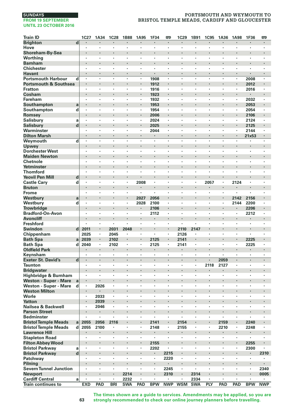# **PORTSMOUTH AND WEYMOUTH TO BRISTOL TEMPLE MEADS, CARDIFF AND GLOUCESTER**

| <b>Train ID</b>                                            | <b>1C27</b>            | 1A34                 | <b>1C28</b>     | <b>1B88</b>        | 1A95                 | 1F34                 | 罒                    | 1C29                 | 1B91               | <b>1C95</b> | 1A36         | 1A98                | 1F36            | 罒              |
|------------------------------------------------------------|------------------------|----------------------|-----------------|--------------------|----------------------|----------------------|----------------------|----------------------|--------------------|-------------|--------------|---------------------|-----------------|----------------|
| <b>Brighton</b>                                            | d                      | $\cdot$              | ×               | ٠                  | $\cdot$              | $\cdot$              | $\blacksquare$       | $\blacksquare$       | $\cdot$            | ٠           | ٠            | $\cdot$             | $\cdot$         | $\blacksquare$ |
| Hove                                                       |                        | $\cdot$              | ï               | ï                  | ï                    | ×                    | ×,                   |                      | $\cdot$            | ×           | ï            | ٠                   | ×               | ï              |
| Shoreham-By-Sea                                            |                        |                      |                 | ï                  | $\cdot$              |                      |                      |                      |                    |             |              |                     |                 |                |
| Worthing                                                   |                        |                      |                 | ï                  |                      | ï                    | ï                    |                      |                    |             | ï            |                     | ï               |                |
| <b>Barnham</b>                                             | $\cdot$                |                      |                 |                    | $\blacksquare$       | ×                    | ×                    |                      |                    |             | ٠            | ٠                   | ×               | ٠              |
| Chichester                                                 | $\cdot$                | $\cdot$              | ٠               | ٠                  | ٠                    | ٠                    | ٠                    | $\cdot$              | $\cdot$            | ٠           | ٠            | ٠                   | ٠               | ٠              |
| <b>Havant</b>                                              | $\cdot$<br>l,          | $\cdot$<br>l,        | ł.<br>×         | ł.<br>l,           | l,                   |                      | l,                   | $\cdot$              |                    | ×<br>٠      | ä,<br>×      | ×                   |                 | ٠              |
| <b>Portsmouth Harbour</b>                                  | d                      |                      |                 | i,                 |                      | 1908                 |                      |                      |                    |             | ï            |                     | 2008            |                |
| Portsmouth & Southsea<br><b>Fratton</b>                    | ٠                      | $\cdot$              | ٠               | ×                  | ٠                    | 1912<br>1916         | $\cdot$              | ٠                    |                    | ٠           | ٠            |                     | 2012<br>2016    | ٠              |
| Cosham                                                     |                        |                      |                 | ł,                 | $\cdot$              | 1923                 | ٠                    |                      |                    |             |              | $\cdot$             |                 |                |
| Fareham                                                    | $\cdot$                |                      | ٠               | ٠                  |                      | 1932                 |                      |                      |                    | ×           | ٠            | ٠                   | 2032            |                |
| Southampton                                                | a                      |                      |                 | ï                  | $\ddot{\phantom{0}}$ | 1953                 |                      |                      |                    |             | ï            |                     | 2053            |                |
| Southampton                                                | d<br>$\cdot$           |                      | ٠               | ٠                  | $\cdot$              | 1954                 | ×,                   | $\cdot$              | $\cdot$            | ×           | ٠            | $\cdot$             | 2054            | ï              |
| Romsey                                                     |                        |                      |                 |                    | ٠                    | 2006                 |                      |                      |                    |             |              | $\cdot$             | 2106            |                |
| Salisbury                                                  | a<br>$\cdot$           | $\cdot$              | ٠               | ٠                  | ٠                    | 2024                 | ٠                    | $\cdot$              | $\cdot$            | ٠           | ٠            | ٠                   | 2124            | ٠              |
| <b>Salisbury</b>                                           | d                      |                      |                 |                    | $\cdot$              | 2025                 |                      |                      |                    |             | ï            | $\cdot$             | 2125            |                |
| Warminster                                                 | $\cdot$                |                      | ٠               | ×                  | $\cdot$              | 2044                 | $\cdot$              |                      |                    | ×           | ٠            | $\cdot$             | 2144            | ï              |
| <b>Dilton Marsh</b>                                        | $\ddot{\phantom{0}}$   | $\ddot{\phantom{0}}$ | J.              | J.                 | L.                   | $\overline{a}$       | L.                   | $\ddot{\phantom{0}}$ | $\cdot$            | l,          | J.           |                     | 21x53           |                |
| Weymouth                                                   | d<br>$\cdot$           | ٠                    | ٠               | ٠                  | ٠                    | ×                    | $\blacksquare$       | $\cdot$              |                    | ×           | ٠            |                     |                 |                |
| Upwey                                                      |                        |                      |                 |                    | ٠                    |                      | ٠<br>×               |                      | ٠                  |             |              |                     |                 |                |
| <b>Dorchester West</b><br><b>Maiden Newton</b>             | $\cdot$                | $\cdot$              | ٠               | ٠                  | $\cdot$              | ٠                    |                      | $\cdot$              | $\cdot$            | ٠           | ٠<br>ï       | ٠                   | ٠               | ٠              |
| Chetnole                                                   | $\cdot$                | $\cdot$              | ٠               | ٠                  | $\cdot$              | ×                    | $\cdot$              | $\cdot$              |                    | ٠           | ×,           | ٠                   | $\cdot$         | ٠              |
| Yetminster                                                 |                        |                      |                 | ï                  | ø                    | ï                    |                      | $\ddot{\phantom{0}}$ |                    |             | ï            |                     |                 |                |
| <b>Thornford</b>                                           |                        |                      | ٠               | ×                  | ٠                    | ٠                    | ٠                    |                      |                    | ٠           | ٠            | ٠                   | ٠               | ٠              |
| <b>Yeovil Pen Mill</b>                                     | d<br>$\bullet$         | ٠                    |                 | ٠                  |                      |                      | ٠                    |                      |                    |             | ٠            |                     |                 | ٠              |
| <b>Castle Cary</b>                                         | d<br>$\cdot$           |                      | ٠               | ٠                  | 2008                 | ٠                    | ï                    |                      |                    | 2057        | ٠            | 2124                | ٠               | ï              |
| <b>Bruton</b>                                              |                        |                      | ł.              | i,                 |                      | ï                    | ï                    |                      |                    |             | i,           |                     | ï               | ï              |
| Frome                                                      | $\cdot$                | $\cdot$              | ×               | ×                  |                      | ä,                   | ×                    | $\cdot$              | $\cdot$            | ٠           | ×            |                     |                 | ٠              |
| Westbury                                                   | a                      |                      |                 | ı,                 | 2027                 | 2056                 |                      |                      |                    |             | i,           | 2142                | 2156            |                |
| Westbury                                                   | d<br>$\cdot$           | $\cdot$              | ٠               | ٠                  | 2028                 | 2100                 | ٠                    | $\cdot$              | ٠                  | ٠           | ٠            | 2144                | 2200            | ٠              |
| <b>Trowbridge</b><br><b>Bradford-On-Avon</b>               | $\cdot$                |                      | ï               | ï                  | ï                    | 2106<br>2112         | ï                    |                      |                    | l,          | ï            | $\blacksquare$<br>ï | 2206<br>2212    | ï              |
| <b>Avoncliff</b>                                           |                        |                      | ٠               | ï                  | $\cdot$              | ×                    | l,                   |                      |                    | l,          | ï            | $\cdot$             |                 | ٠              |
| <b>Freshford</b>                                           |                        |                      | ٠               |                    | ٠                    | $\cdot$              | ٠                    | $\cdot$              |                    | ×           | ٠            | $\cdot$             | ٠               |                |
| Swindon                                                    | $\mathbf{d}$<br>2011   |                      | 2031            | 2048               | ٠                    |                      |                      | 2110                 | 2147               |             |              | ٠                   | ٠               | ٠              |
| Chippenham                                                 | 2025                   | $\cdot$              | 2045            | ×                  | ×                    | $\cdot$              | ×                    | 2126                 | $\cdot$            | ٠           | ٠            | ×                   | ×               | ٠              |
| <b>Bath Spa</b>                                            | 2039<br>a              | $\cdot$              | 2102            |                    | $\blacksquare$       | 2125                 |                      | 2141                 |                    | ×           | ï            | $\blacksquare$      | 2225            |                |
| <b>Bath Spa</b>                                            | 2040<br>d              | $\cdot$              | 2102            | ×                  | ×                    | 2125                 | ×,                   | 2141                 |                    | ٠           | ×            | $\cdot$             | 2225            | ٠              |
| <b>Oldfield Park</b>                                       |                        |                      | ٠               | ï                  | $\cdot$              | ٠                    | ٠                    |                      |                    | ٠           | ï            | $\cdot$             |                 | ٠              |
| Keynsham                                                   |                        |                      | ٠               | ï                  | ٠                    | ï                    | ï                    |                      |                    |             |              | ٠                   | ٠               |                |
| <b>Exeter St. David's</b>                                  | d<br>$\blacksquare$    | $\cdot$              | ٠               | ٠                  | $\blacksquare$       | $\blacksquare$       | $\blacksquare$       | $\blacksquare$       | $\blacksquare$     | ٠           | 2059         | $\blacksquare$      | ٠               | ٠              |
| <b>Taunton</b>                                             | $\cdot$                |                      | ٠               | ٠<br>ï             | ٠                    | $\cdot$<br>ï         | ٠                    | $\cdot$              |                    | 2118        | 2127         | ٠                   | ï               | ٠              |
| <b>Bridgwater</b><br>Highbridge & Burnham                  | $\cdot$                | $\cdot$              | ×               | ×                  | ×                    | ÷,                   | ×                    | $\cdot$              | $\cdot$            | ×           | ×            | ×                   | ×               | ٠              |
| Weston - Super - Mare                                      | a                      |                      |                 |                    |                      |                      |                      |                      |                    |             |              |                     |                 |                |
| Weston - Super - Mare                                      | d                      | 2026                 | ×               | ×                  | ×                    | ×                    | ×                    | $\cdot$              | ٠                  | ٠           | ٠            | ٠                   | ٠               | ٠              |
| <b>Weston Milton</b>                                       | $\blacksquare$         |                      | ٠               |                    | ٠                    |                      | ×                    |                      |                    |             | ٠            | $\blacksquare$      | ٠               |                |
| Worle                                                      |                        | 2033                 | ł,              | ï                  |                      | ï                    | ï                    |                      |                    |             | ï            |                     |                 | ï              |
| <b>Yatton</b>                                              | $\cdot$                | 2039                 | ł.              | ï                  |                      | ï                    |                      |                      |                    | ł.          | i,           |                     | ï               |                |
| Nailsea & Backwell                                         | $\cdot$                | 2046                 | ٠               | ٠                  | ٠                    | $\ddot{\phantom{0}}$ | $\ddot{\phantom{0}}$ | $\ddot{\phantom{a}}$ | i.                 | ٠           | l.           | i.                  | ï               | ٠              |
| <b>Parson Street</b>                                       |                        |                      |                 |                    | ٠                    |                      |                      |                      |                    |             |              | $\cdot$             |                 |                |
| <b>Bedminster</b>                                          |                        | $\cdot$              | ٠               | ٠<br>ł.            | ٠<br>$\blacksquare$  | ٠                    | ٠                    | $\ddot{\phantom{0}}$ | $\cdot$            | ٠           | ٠            | ٠<br>$\blacksquare$ | ٠               | ï              |
| <b>Bristol Temple Meads</b><br><b>Bristol Temple Meads</b> | a<br>2055<br>d<br>2055 | 2056<br>2100         | 2116<br>٠       | ٠                  | $\cdot$              | 2141<br>2148         | ٠                    | 2154<br>2155         |                    | ٠           | 2159<br>2210 | ٠                   | 2240<br>2248    | $\cdot$        |
| <b>Lawrence Hill</b>                                       |                        |                      |                 | ï                  | $\cdot$              |                      | ×.                   |                      |                    | ï           | ×,           | $\cdot$             |                 | ٠              |
| <b>Stapleton Road</b>                                      | $\cdot$                |                      | ٠               | ×,                 |                      | ٠                    |                      |                      |                    |             | ٠            | ٠                   | ٠               |                |
| <b>Filton Abbey Wood</b>                                   | $\bullet$              |                      |                 | ٠                  | $\blacksquare$       | 2155                 | ٠                    | $\cdot$              |                    |             |              | $\blacksquare$      | 2255            | ٠              |
| <b>Bristol Parkway</b>                                     | a<br>$\cdot$           | $\cdot$              | ٠               | ٠                  | ٠                    | 2202                 | ٠                    | $\cdot$              | $\cdot$            | ٠           | ٠            | ٠                   | 2300            | ٠              |
| <b>Bristol Parkway</b>                                     | d                      |                      |                 | ï                  |                      |                      | 2215                 |                      |                    | ï           | ï            |                     |                 | 2310           |
| Patchway                                                   | $\cdot$                | $\cdot$              | ٠               | ٠                  | ٠                    | $\blacksquare$       | 2220                 |                      |                    | ٠           | ٠            | ٠                   | $\cdot$         |                |
| Pilning                                                    |                        |                      |                 | ï                  |                      |                      |                      | ¢                    |                    | ï           | ï            |                     | ł,              |                |
| <b>Severn Tunnel Junction</b>                              |                        | ,                    | ٠               | ٠                  | ٠                    | $\cdot$              | 2245                 | $\cdot$              |                    | ٠           | ٠            | ٠                   | $\cdot$         | 2340           |
| <b>Newport</b>                                             |                        |                      | ٠               | 2214               | ×                    | ٠                    | 2310                 | $\cdot$              | 2314               | ٠           | ł.           | $\blacksquare$      |                 | 0005           |
| <b>Cardiff Central</b><br>Train continues to               | a<br><b>EXD</b>        | $\cdot$<br>PAD       | ٠<br><b>BRI</b> | 2232<br><b>SWA</b> | ٠<br>PAD             | <b>BPW</b>           | <b>NWP</b>           | <b>WSM</b>           | 2334<br><b>SWA</b> | ٠<br>PLY    | ٠<br>PAD     | ٠<br>PAD            | ,<br><b>BPW</b> | <b>NWP</b>     |
|                                                            |                        |                      |                 |                    |                      |                      |                      |                      |                    |             |              |                     |                 |                |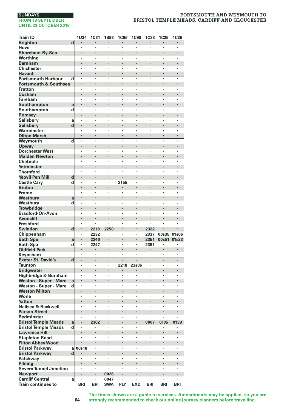| Train ID                                  |             | 1U34       | <b>1C31</b>          | 1B93       | <b>1C96</b> | <b>1C98</b>          | <b>1C33</b>    | <b>1C35</b> | <b>1C36</b> |
|-------------------------------------------|-------------|------------|----------------------|------------|-------------|----------------------|----------------|-------------|-------------|
| <b>Brighton</b>                           | d           |            |                      |            |             |                      |                |             |             |
| Hove                                      |             |            | $\cdot$              | ï          | ٠           | ٠                    |                |             | $\cdot$     |
| Shoreham-By-Sea                           |             |            |                      |            | ï           | ı,                   |                |             |             |
| Worthing                                  |             | ٠          | ٠                    | ×          | ł           | ï                    | ï              | ,           | ,           |
| Barnham                                   |             |            |                      |            |             |                      |                |             |             |
| <b>Chichester</b>                         |             |            |                      | ï          | ï           | ٠                    | ï              |             |             |
| <b>Havant</b>                             |             |            |                      | J          | l,          | l,                   | L.             |             |             |
| <b>Portsmouth Harbour</b>                 | d           |            |                      | ï          | ï           | ٠                    | ٠              |             |             |
| <b>Portsmouth &amp; Southsea</b>          |             |            |                      |            |             |                      |                |             |             |
| <b>Fratton</b><br>Cosham                  |             |            | ٠                    | ٠          | ٠           | ٠                    | ٠              | $\cdot$     |             |
| Fareham                                   |             | ٠          | $\ddot{\phantom{0}}$ | ٠          | ×           | $\ddot{\phantom{0}}$ | ×,             | $\cdot$     | $\cdot$     |
| Southampton                               | a           |            |                      |            |             |                      |                |             |             |
| Southampton                               | d           | ٠          | ٠                    | ٠          | ٠           |                      | ٠              |             |             |
| Romsey                                    |             |            |                      |            |             |                      |                |             |             |
| <b>Salisbury</b>                          | a           |            |                      | ï          | ï           | ï                    | ï              |             |             |
| <b>Salisbury</b>                          | d           |            |                      | ï          | l,          | l,                   | ï              |             |             |
| Warminster                                |             |            |                      |            | ï           | ï                    | ï              |             |             |
| <b>Dilton Marsh</b>                       |             |            |                      |            |             |                      |                |             |             |
| Weymouth                                  | d           | ٠          |                      | ï          | ï           | ×                    | ï              | $\cdot$     |             |
| Upwey                                     |             |            |                      |            | ï           |                      |                |             |             |
| <b>Dorchester West</b>                    |             | ٠          | ,                    | ٠          | ٠           | ٠                    | ï              | $\cdot$     |             |
| <b>Maiden Newton</b>                      |             |            |                      | ï          |             |                      |                |             |             |
| Chetnole                                  |             | ٠          | ٠                    | ×          | ×           | ï                    | ï              | ,           | ,           |
| Yetminster                                |             |            |                      | l,         |             |                      |                |             |             |
| <b>Thornford</b>                          |             |            |                      | ï<br>l,    | ł           |                      | ï              |             |             |
| <b>Yeovil Pen Mill</b>                    | d           |            |                      | ï          |             |                      |                |             |             |
| <b>Castle Cary</b>                        | d           | Ĭ.         | $\ddot{\phantom{0}}$ |            | 2155        | $\ddot{\phantom{0}}$ | $\blacksquare$ |             |             |
| <b>Bruton</b>                             |             | ٠          | ٠                    | ï          | ï           | ×                    | ï              | $\cdot$     | $\cdot$     |
| Frome<br>Westburv                         | a           |            |                      |            |             |                      |                |             |             |
| Westbury                                  | d           |            |                      | ٠          | ٠           | ٠                    | ٠              | $\cdot$     |             |
| <b>Trowbridge</b>                         |             |            |                      | ï          |             |                      |                |             |             |
| <b>Bradford-On-Avon</b>                   |             |            |                      | ï          | ï           | ï                    | ï              |             |             |
| <b>Avoncliff</b>                          |             |            |                      |            | ł,          |                      | ×              |             |             |
| <b>Freshford</b>                          |             |            |                      | ï          | ï           |                      | ï              |             |             |
| <b>Swindon</b>                            | $\mathbf d$ |            | 2218                 | 2250       | ï           |                      | 2322           |             |             |
| Chippenham                                |             |            | 2232                 | ٠          | ï           | $\cdot$              | 2337           | 00s35       | 01s06       |
| <b>Bath Spa</b>                           | a           |            | 2246                 |            |             |                      | 2351           | 00s51       | 01s23       |
| <b>Bath Spa</b>                           | d           | ٠          | 2247                 | ×          | ×           | ٠                    | 2351           | ٠           | ٠           |
| <b>Oldfield Park</b>                      |             |            |                      | ł          | ł.          |                      |                |             |             |
| Keynsham                                  |             | ,          | ,                    | ×<br>l,    | ×           | ï                    | ï<br>l,        |             |             |
| <b>Exeter St. David's</b>                 | d           |            |                      | ï          |             |                      | ï              |             |             |
| Taunton                                   |             |            |                      | ×          | 2218<br>×   | 23s06<br>٠           | ×              |             |             |
| <b>Bridgwater</b><br>Highbridge & Burnham |             |            |                      | ï          | ï           | ٠                    | ï              |             |             |
| <b>Weston - Super - Mare</b>              | a           |            |                      | ï          |             |                      | ï              |             |             |
| Weston - Super - Mare                     | d           | $\cdot$    | $\cdot$              | ï          | ï           | ×                    | ٠              | $\cdot$     | $\cdot$     |
| <b>Weston Milton</b>                      |             |            |                      |            |             |                      |                |             |             |
| Worle                                     |             | ٠          | $\cdot$              | ×          | ×           | ٠                    | ï              | $\cdot$     | $\cdot$     |
| <b>Yatton</b>                             |             |            |                      | l,         |             |                      |                |             |             |
| Nailsea & Backwell                        |             |            |                      | ï          |             |                      | ï              |             |             |
| <b>Parson Street</b>                      |             |            |                      | ï          |             | l,                   | ï              |             |             |
| <b>Bedminster</b>                         |             |            |                      |            |             |                      |                |             |             |
| <b>Bristol Temple Meads</b>               | a           |            | 2302                 |            |             |                      | 0007           | 0105        | 0139        |
| <b>Bristol Temple Meads</b>               | d           | ,          |                      | ×          | ×           | ٠                    | ,              | ,           |             |
| <b>Lawrence Hill</b>                      |             |            |                      | ï          |             |                      |                |             |             |
| <b>Stapleton Road</b>                     |             | $\cdot$    | $\cdot$              | ٠          | ï           | ×                    | ٠              | $\cdot$     | $\cdot$     |
| <b>Filton Abbey Wood</b>                  |             |            |                      |            |             |                      |                |             |             |
| <b>Bristol Parkway</b>                    | a<br>d      | 00s18      | $\cdot$<br>$\bullet$ | ×          | ×           | ٠                    | ï              | $\cdot$     | $\cdot$     |
| <b>Bristol Parkway</b><br>Patchway        |             |            |                      | ï          |             |                      |                |             |             |
| Pilning                                   |             | l.         |                      |            |             | ï                    | ï              |             |             |
| <b>Severn Tunnel Junction</b>             |             |            |                      |            |             |                      | ï              |             |             |
| <b>Newport</b>                            |             |            |                      | 0026       |             |                      |                |             |             |
| <b>Cardiff Central</b>                    | a           |            | ٠                    | 0047       | ×           | ٠                    | ٠              | $\cdot$     |             |
| <b>Train continues to</b>                 |             | <b>BRI</b> | <b>BRI</b>           | <b>SWA</b> | PLY         | <b>EXD</b>           | <b>BRI</b>     | <b>BRI</b>  | <b>BRI</b>  |